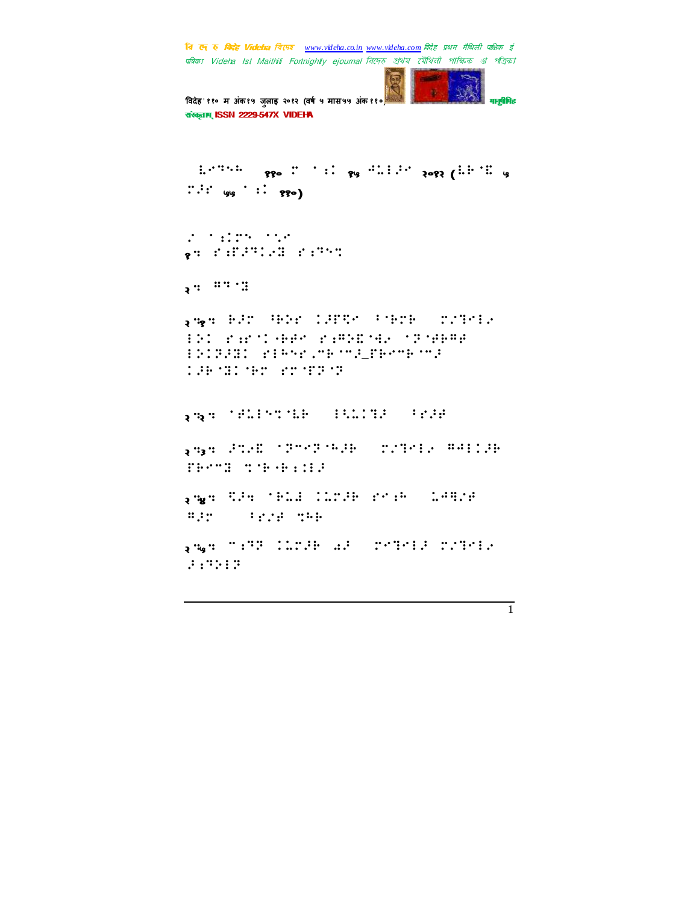विदेह' ११० म अंक१५ जुलाइ २०१२ (वर्ष ५ मास५५ अंक ११०) मानुसारी मानुसीमेह संस्कृतम् ISSN 2229-547X VIDEHA (⣇⢹⢳(!११० !⣐!१५ ⢺⣅⢼!२०१२ (⣇⢷ ⣏!५  $\therefore$   $\therefore$   $\theta_0$   $\therefore$   $\theta_1$  $\ddot{H}$  :  $\ddot{H}$  :  $\ddot{H}$  :  $\ddot{H}$  :  $\ddot{H}$  :  $\ddot{H}$  :  $\ddot{H}$  :  $\ddot{H}$  :  $\ddot{H}$  :  $\ddot{H}$  :  $\ddot{H}$  :  $\ddot{H}$  :  $\ddot{H}$  :  $\ddot{H}$  :  $\ddot{H}$  :  $\ddot{H}$  :  $\ddot{H}$  :  $\ddot{H}$  :  $\ddot{H}$  :  $\ddot{H}$  : १⣒!"⣐'⢼⢹⢴⣝!"⣐⢹⣉! २¨ ¨¨¨ ∃ २७<sub>१</sub>० स्टेट सेनेट २००१ सालेल टेल्ली हे अप ⢵!"⣐" 0⢷⢾!"⣐⢻⢵⣏ ⣚⢴!⢽ ⢾⢷⢻⢾! ⢵⢽⢼⣝!"⢳"⣀5⢷ 5⢼–'⢷5⢷ 5⢼! ⢼⢷ ⣝ ⢷!" '⢽ ⢽!! २⣒२⣒!⢾⣅⣉ ⣇⢷.!⣃⣅⣙⢼.!7"⢼⢾!! २७३º अधिकारी का सामान्य संस्था अधिकारिक अधिकारिक अधिकारिक अधिकारिक अधिकारिक अधिकारिक अधिकारिक अधिकारिक अधिकारि<br>पुरस्कारिक अधिकारिक अधिकारिक अधिकारिक अधिकारिक अधिकारिक अधिकारिक अधिकारिक अधिकारिक अधिकारिक अधिकारिक अधिकारिक TEMS THE SERIES २७७९ थिए अप्रैलिट का सामान्य सामान्य अधिकारिक अधिकारिक अधिकारिक अधिकारिक अधिकारिक अधिकारिक अधिकारिक अधिकारिक अ<br>दिल्ली  $\frac{75.7}{10.7}$ २५५ ° 193 अंधारिक करण करणातार प्राथमिक ⢼⣐⢹⢵⢽!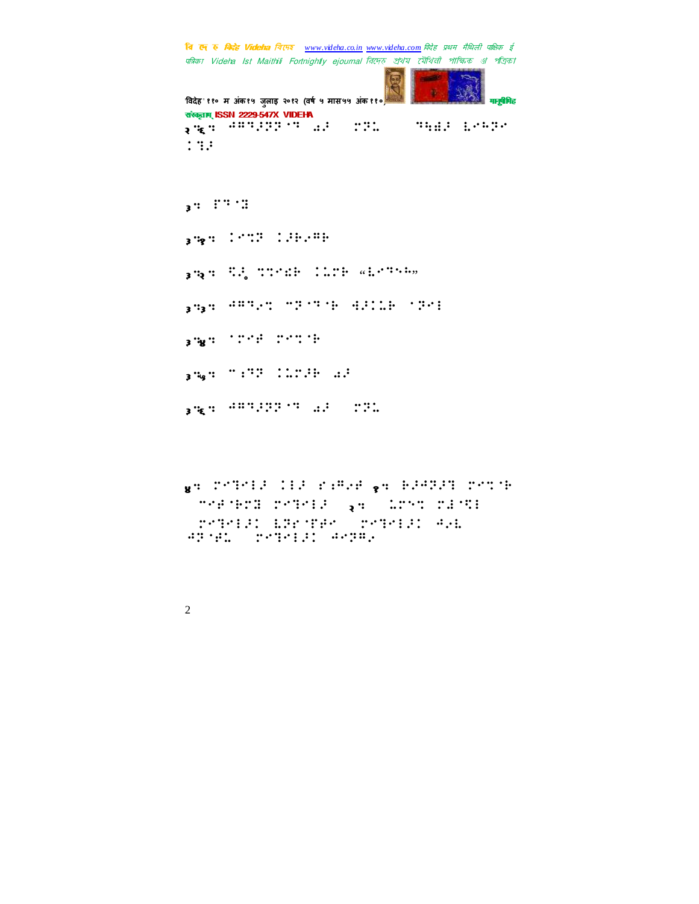'विदेह' ११० म अंक १५ जुलाइ २०१२ (वर्ष ५ मास५५ अंक ११०) मानुसीरी मानुसीरीहरू संस्कृतम् ISSN 2229-547X VIDEHA  $\frac{1}{2}$ फ्रैंको लिमप्रिये था लिए था था था था था था। अन्य अन्य प्रत्यक्षर करण  $:$   $:$   $:$ 

 $\overline{\mathbf{3}}$  :  $\overline{\mathbf{1}}$   $\overline{\mathbf{3}}$   $\overline{\mathbf{4}}$ 

३% : 2002 : 2002 : 2002 : 2003 : 2004 : 2004 : 2005 : 2006 : 2007 : 2007 : 2008 : 2007 : 2007 : 2008 : 2007 :

३५३ S. S. The Care Genesis

३⣒३⣒!⢺⢻⢹⢴⣉!5⢽ ⢹ ⢷!⣚⢼⣅⢷!⢽!

३⣒४⣒!⢾!⣉ ⢷!

३⣒५⣒!5⣐⢹⢽!⣅⢼⢷!⣔⢼!

३⣒६⣒!⢺⢻⢹⢼⢽⢽ ⢹!⣔⢼!(⢽⣅(!!

⊌थ अ° अप्रति संस्था था । अप्रति संस्था अप्रति संस्था था । अप्रति संस्था था । अप्रति संस्था था । अप्रति संस्था<br>प्राचीन )5⢾ ⢷⣝!⣙⢼\*!२⣒!!⣅⣉!⣜ ⣋! )⣙⢼!⣇⢽" '⢾0!⣙⢼!⢺⢴⣇. ⢺⢽ ⢾⣅0!⣙⢼!⢺⢽⢻⢴\*!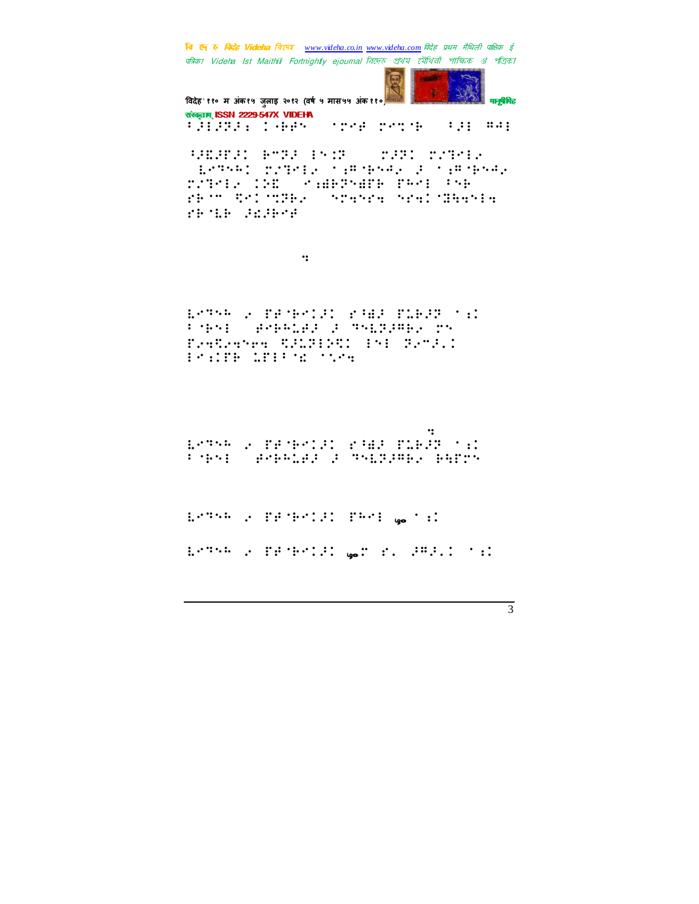'विदेह' ११० म अंक१५ जुलाइ २०१२ (वर्ष ५ मास५५ अंक ११०) मानुसीरी मानुसीरीह

संस्कृतम् ISSN 2229-547X VIDEHA 7⢼⢼⢽⢼⣐!0⢷⢾.!⢾!⣉ ⢷.!7⢼!⢻⢺!

⢸⢼⣏⢼'⢼!⢷5⢽⢼.⣈⢽!.\⢼⢽!#⣙⢴^-! \⣇⢹⢳!#⣙⢴.⣐⢻ ⢷⢺⢴!⢼!⣐⢻ ⢷⢺⢴! #⣙⢴!⢵⣏!)⣐⣞⢷⢽⣞'⢷!'⢳!7⢷!  $F$  5.0  $F$  5.0  $F$  5.0  $F$  5.0  $F$  5.0  $F$  5.0  $F$  5.0  $F$  5.0  $F$ "⢷ ⣇⢷!⢼⣎⢼⢷⢾!.Cbtfe!po!nt.trm!

Ejdujpobsz⣒^!!

L'INE E E TRESTAIN PAR TIRAP (1) 7 ⢷-!⢾⢷⢳⣅⢾⢼!⢼!⢹⣇⢽⢼⢻⢷⢴!!\*! Testers TRUSHER (F) PetAl  $\vdots$   $\vdots$   $\vdots$   $\vdots$   $\vdots$   $\vdots$   $\vdots$ 

bu!uif!gpmmpxjoh!mjol⣒!! LATHE 2 FEMELED FEM PLEAR SID 7 ⢷-!⢾⢷⢳⣅⢾⢼!⢼!⢹⣇⢽⢼⢻⢷⢴!⢷⣓'!

L'ISBN 2007-0-1-0-1-0-1-0-1-1-0-1-1-0-1-1-0-1-1-1-0-1-1-1-1-0-1-1-1-1-1-1-1-1-1-1-

⣇⢹⢳!⢴.'⢾ ⢷⢼!५०!"Z!⢼⢻⢼Z!⣐!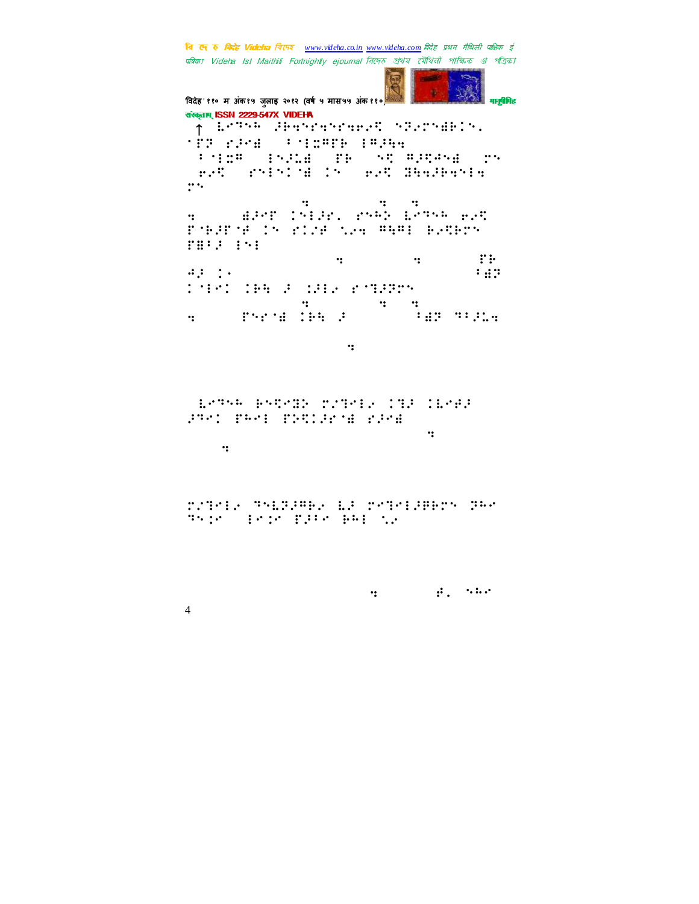'विदेह' ११० म अंक१५ जुलाइ २०१२ (वर्ष ५ मास५५ अंक ११०) मानुसीरी मानुसीरीह संस्कृतम् ISSN 2229-547X VIDEHA ↑!⣇⢹⢳!⢼⢷⣒"⣒"⣒⢶⢴⣋!⢽⢴⣞⢷Z! '⢽!"⢼⣞0!7 ⣍⢻'⢷!⢻⢼⣓⣒!! !7 ⣍⢻!#⢼⣅⣞#!'⢷!#⣋!⢻⢼⣋⢺⣞#!!  $H$  #  $\mathbb{R}^n$  =  $H$   $\mathbb{R}^n$  =  $H$   $\mathbb{R}^n$  =  $H$   $\mathbb{R}^n$  =  $H$ !!! iuuq;00xxx⣒wjefib⣒dp⣒jo0joefy yn wnw defyr 1919r, roed bythe pat ' ⢷⢼' ⢾!!"#⢾!⣁⢴⣒!⢻⣓⢻!⢷⢴⣋⢷! THE POST OF iuuq;00sfbefs⣒hpphmf⣒dpn0!'⢷!  $G$   $\mathcal{G}$   $\mathcal{G}$   $\mathcal{G}$   $\mathcal{G}$   $\mathcal{G}$  !⢷⣓!⢼!⣈⢼⢴!" ⣙⢼⢽! iuuq;00xxx⣒wjefib⣒dp⣒jo0joefy  $y$  , the distribution of  $\mathbb{R}^n$  ,  $\mathbb{R}^n$  $\mathbf{g}$  is a set of  $\mathbf{g}$  is a set of  $\mathbf{g}$ 

!⣇⢹⢳!⢷⣋⣝⢵;#⣙⢴!⣙⢼.⣇⢾⢼! : "  $\vdots$   $\vdots$   $\vdots$   $\vdots$   $\vdots$   $\vdots$   $\vdots$ ius (1983), politica angleški politica (1984), politica (1984), politica (1984), politica (1984), politica (19

 $\cdot$ :

#⣙⢴!⢹⣇⢽⢼⢻⢷⢴!⣇⢼!⣙⢼⢿⢷!⢽⢳! Principle in the PDF for BHI (1200) and the control

4 hhbkfoesbAwjefib⣒dpn\*!⢾Z!⢳!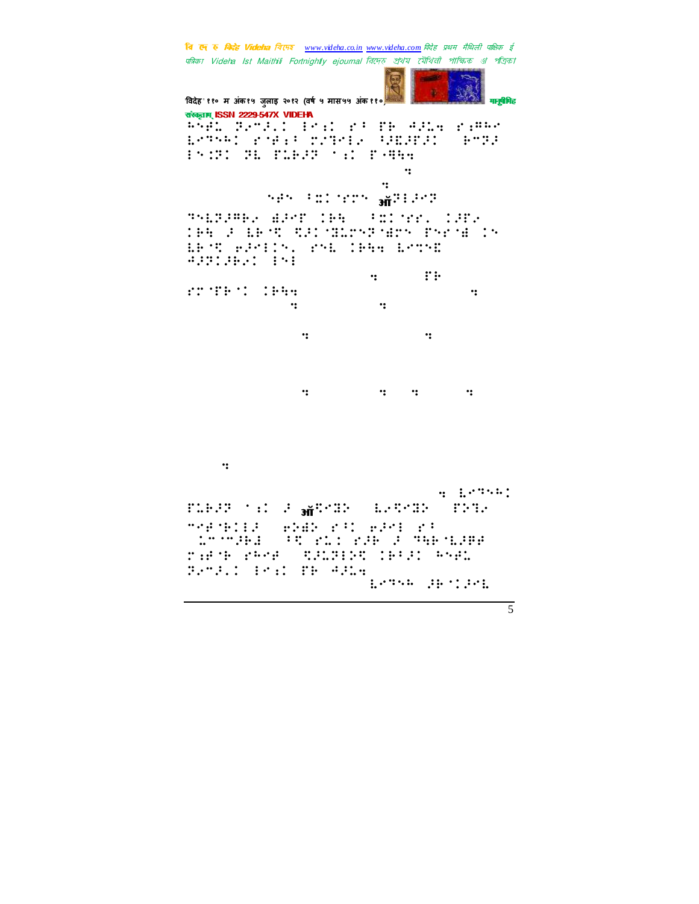चि एक रु *विदेह Videha चिए*न्छ <u>www.videha.co.in www.videha.com</u> विदेह प्रथम मैथिली पाक्षिक ई पत्रिका Videha Ist Maithili Fortnightly ejournal রিদেহ প্রথম মৌথিনী পাক্ষিক গ্র পত্রিক। विदेह' ११० म अंक१५ जुलाइ २०१२ (वर्ष ५ मास५५ अंक ११०) मानुसीरी मानुसीरीहरू संस्कृताम् ISSN 2229-547X VIDEHA <del>TVOL IVI</del>I IPAC PP PR ARLA PARAM ⣇⢹⢳!" ⢾⣐⢸!#⣙⢴!⢸⢼⣏⢼'⢼0!⢷5⢽⢼!  $\vdots$ ius (1990), provincia est anno 1990.<br>1900 - Carlo Carlo Carlo Carlo Carlo Carlo Carlo Carlo Carlo Carlo Carlo Carlo Carlo Carlo Carlo Carlo Carlo ius (100 lbvmpomio dpn0vojobha vojoba vojoba vojoba vojoba vojoba vojoba vojoba vojoba vojoba vojoba vojoba vo bsj0!!)⢾!7⣍ "!ऑ⢽⢼⢽! ⢹⣇⢽⢼⢻⢷⢴!⣞⢼'!⢷⣓-!7⣍ ""Z!⢼'⢴!  $^{\circ}$   $^{\circ}$   $^{\circ}$   $^{\circ}$   $^{\circ}$   $^{\circ}$   $^{\circ}$   $^{\circ}$   $^{\circ}$   $^{\circ}$   $^{\circ}$   $^{\circ}$   $^{\circ}$   $^{\circ}$   $^{\circ}$   $^{\circ}$   $^{\circ}$   $^{\circ}$   $^{\circ}$   $^{\circ}$   $^{\circ}$   $^{\circ}$   $^{\circ}$   $^{\circ}$   $^{\circ}$   $^{\circ}$   $^{\circ}$   $^{\circ}$   $^{\circ}$   $^{\circ}$   $^{\circ}$   $^{\circ}$ LE TO PERSON PTE CHER LOTE ⢺⢼⢽⢼⢷⢴!! hekawi harta da barat da barat da barat da barat da barat da barat da barat da barat da barat da barat da bara<br>'Yan da barat da barat da barat da barat da barat da barat da barat da barat da barat da barat da barat da bar  $^{\circ}$  : The  $^{\circ}$  : The  $^{\circ}$  $\mathbf{G}$  ) and  $\mathbf{G}$  (  $\mathbf{G}$  ) and  $\mathbf{G}$  (  $\mathbf{G}$  ) and  $\mathbf{G}$  $\mathcal{G}$  =  $\mathcal{G}$  =  $\mathcal{G}$  =  $\mathcal{G}$  =  $\mathcal{G}$  =  $\mathcal{G}$  =  $\mathcal{G}$  $\ddot{u}$  is the contract of  $\ddot{u}$  is the contract of  $\ddot{u}$  $\mathcal{G}$ qipup! gjman ( THE STATE OF STATE OF STATE OF STATE OF STATE OF STATE OF STATE OF STATE OF STATE OF STATE OF STATE OF STATE O 5⢾ ⢷⢼0!⢶⢵⣞⢵!"⢸!⢶⢼!"⢸! )⣅5 5⢼⢷⣜-!7⣋!"⣅⣈!"⢼⢷!⢼!⢹⣓⢷ ⣇⢼⢿⢾! ⣐⢾ ⢷!"⢳⢾\*!⣋⢼⣅⢽⢵⣋!⢷7⢼!⢳⢾⣅! ⢽⢴5⢼Z!⣐!'⢷!⢺⢼⣅⣒! ISTER SPIEL

 $\overline{5}$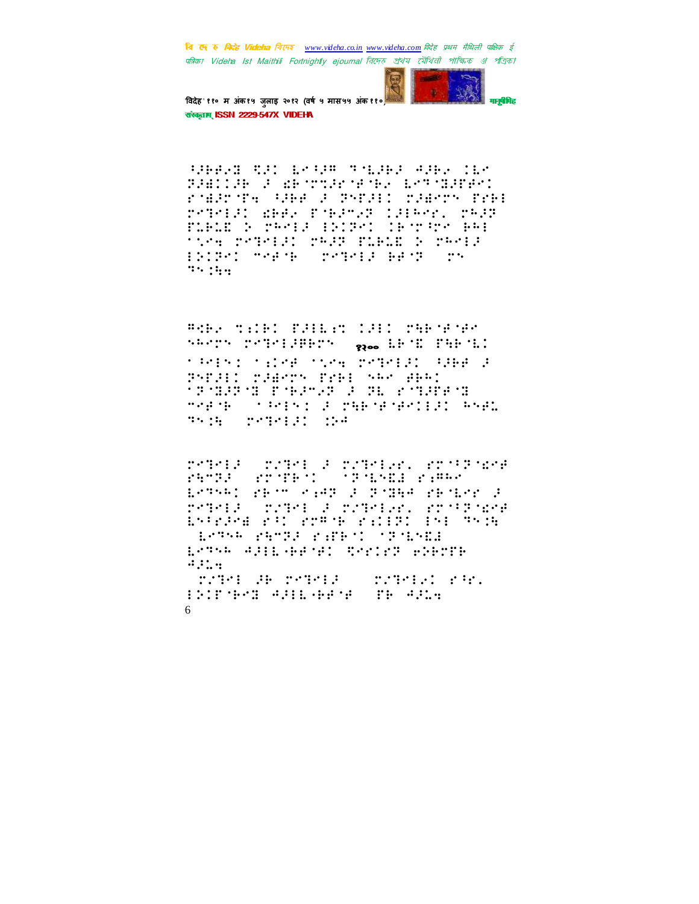

विदेह' ११० म अंक१५ जुलाइ २०१२ (वर्ष ५ मास५५ अंक११० संस्कृतम् ISSN 2229-547X VIDEHA

**THERE TO BE STORE THERE AND THE SAME** THE CHOOL SECTION WHO EST THINGS ridrig (de a pyra: raery fre: retendi deel Poedest lanker read FLELD & TRAIN INCRED CHETTER BRI TORE PRIRES PREP PLELE & PRREP ENCRYCHING TO PARABLE BENT CON  $35.344$ 

Reby Sile: PRILES 1911 SARSHAR SPECIAL CATALIER CALL Resolution FRECH. tants to change the contribution and a PSPIEL MINSTER PRES SAS ARAD rardaard ereamaa a aw eroperd media (1991) 2 march 2010 (1991) This reports.  $\mathbb{R}^n$ 

rededa (oradeda) a radición (oradedade)<br>Sanga (oscuración declara sobre ESTARD SEAT SARE FOR THE SEARCH PATALE (PATAL & PATALEN) PROFESSOR ESPERAN PROPERTY PERMIT PROPER LETTE PRTE PATENT STARBE ESTAR APIE (BESE) SARIET BIBOTH  $431.4$ CONTRACTOR CONTRACTOR **CONSTRAINS SECTION** 

**INSTART ANILARY TRANS.** 6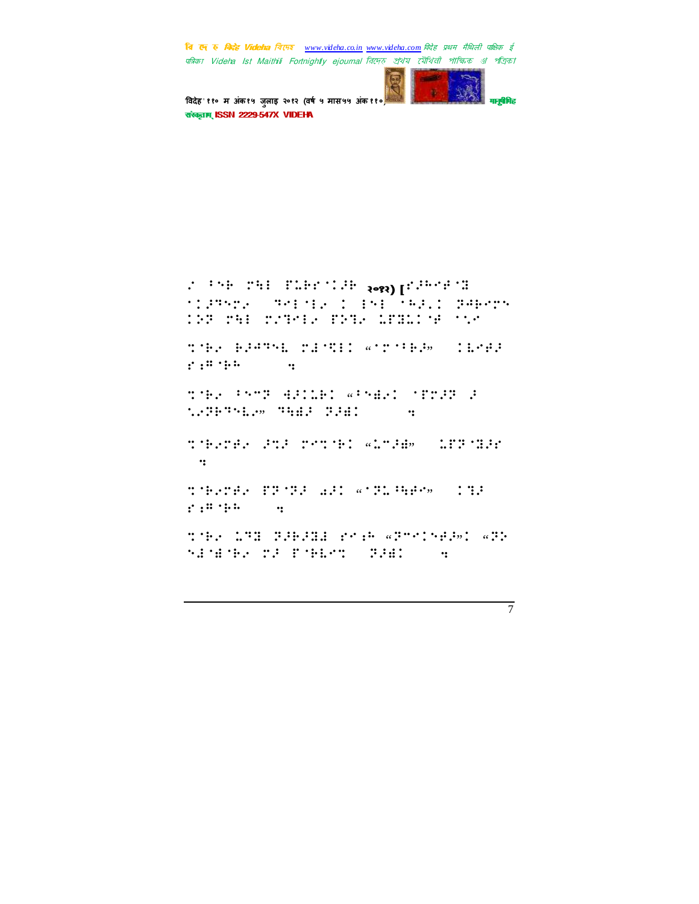

विदेह' ११० म अंक१५ जुलाइ २०१२ (वर्ष ५ मास५५ अंक ११०) मानुसारी मानुसीमेह संस्कृतम् ISSN 2229-547X VIDEHA

 $\mathcal{L}^{(1,1,1)}\mathcal{P}^{(1,1,1)}\mathcal{P}^{(1,1,1)}\mathcal{P}^{(1,1,1)}\mathcal{P}^{(1,1,1)}\mathcal{P}^{(1,1,1,1)}\mathcal{P}^{(1,1,1,1,1)}$ MIPRES (PREMIX I BRE<sup>20</sup>PRII PAPRES  $127$  THE TRIPER INTE LIBRARY TO

 $^{\prime}$  with  $^{\prime}$   $^{\prime}$   $^{\prime}$   $^{\prime}$   $^{\prime}$   $^{\prime}$   $^{\prime}$   $^{\prime}$   $^{\prime}$   $^{\prime}$   $^{\prime}$   $^{\prime}$   $^{\prime}$   $^{\prime}$   $^{\prime}$   $^{\prime}$   $^{\prime}$   $^{\prime}$   $^{\prime}$   $^{\prime}$   $^{\prime}$   $^{\prime}$   $^{\prime}$   $^{\prime}$   $^{\prime}$   $^{\prime}$   $^{\prime}$   $^{\prime}$   $^{\prime}$   $^{\prime}$   $\mathbf{r}$   $\mathbf{r}$   $\mathbf{r}$   $\mathbf{r}$   $\mathbf{r}$   $\mathbf{r}$   $\mathbf{r}$ 

 $^{\prime}$  The Form (421161) winder (12017)  $^{\prime}$ ⣁⢴⢽⢷⢹⣇⢴")⢹⣓⣞⢼!⢽⢼⣞\*!21⣒17&!!!

 $^{\prime}$  where  $^{\prime}$   $^{\prime}$  in  $^{\prime}$  and  $^{\prime}$   $^{\prime}$  and  $^{\prime}$   $^{\prime}$  and  $^{\prime}$   $^{\prime}$  and  $^{\prime}$  and  $^{\prime}$  and  $^{\prime}$  and  $^{\prime}$  and  $^{\prime}$  and  $^{\prime}$  and  $^{\prime}$  and  $^{\prime}$  and  $^{\prime}$  and  $^{\prime}$  and  $^{\prime}$  and  $^{\prime}$  $\cdot$ :

 $^{\prime}$   $^{\prime}$   $^{\prime}$   $^{\prime}$   $^{\prime}$   $^{\prime}$   $^{\prime}$   $^{\prime}$   $^{\prime}$   $^{\prime}$   $^{\prime}$   $^{\prime}$   $^{\prime}$   $^{\prime}$   $^{\prime}$   $^{\prime}$   $^{\prime}$   $^{\prime}$   $^{\prime}$   $^{\prime}$   $^{\prime}$   $^{\prime}$   $^{\prime}$   $^{\prime}$   $^{\prime}$   $^{\prime}$   $^{\prime}$   $^{\prime}$   $^{\prime}$   $^{\prime}$   $^{\prime}$   $^{\prime$  $\mathbf{f}$ :  $\mathbf{f}$   $\mathbf{F}$   $\mathbf{F}$   $\mathbf{F}$   $\mathbf{F}$   $\mathbf{F}$   $\mathbf{F}$   $\mathbf{F}$ 

 $^{\prime}$  192  $^{\prime}$   $^{\prime}$   $^{\prime}$   $^{\prime}$   $^{\prime}$   $^{\prime}$   $^{\prime}$   $^{\prime}$   $^{\prime}$   $^{\prime}$   $^{\prime}$   $^{\prime}$   $^{\prime}$   $^{\prime}$   $^{\prime}$   $^{\prime}$   $^{\prime}$   $^{\prime}$   $^{\prime}$   $^{\prime}$   $^{\prime}$   $^{\prime}$   $^{\prime}$   $^{\prime}$   $^{\prime}$   $^{\prime}$   $^{\prime}$   $^{\prime}$   $^{\prime}$   $^{\prime}$   $\overline{5}$   $\overline{3}$   $\overline{3}$   $\overline{4}$   $\overline{2}$   $\overline{3}$   $\overline{3}$   $\overline{4}$   $\overline{2}$   $\overline{3}$   $\overline{2}$   $\overline{3}$   $\overline{4}$   $\overline{2}$   $\overline{3}$   $\overline{4}$   $\overline{2}$   $\overline{3}$   $\overline{3}$   $\overline{4}$   $\overline{2}$   $\overline{3}$   $\overline{3}$   $\overline{4}$   $\overline{2$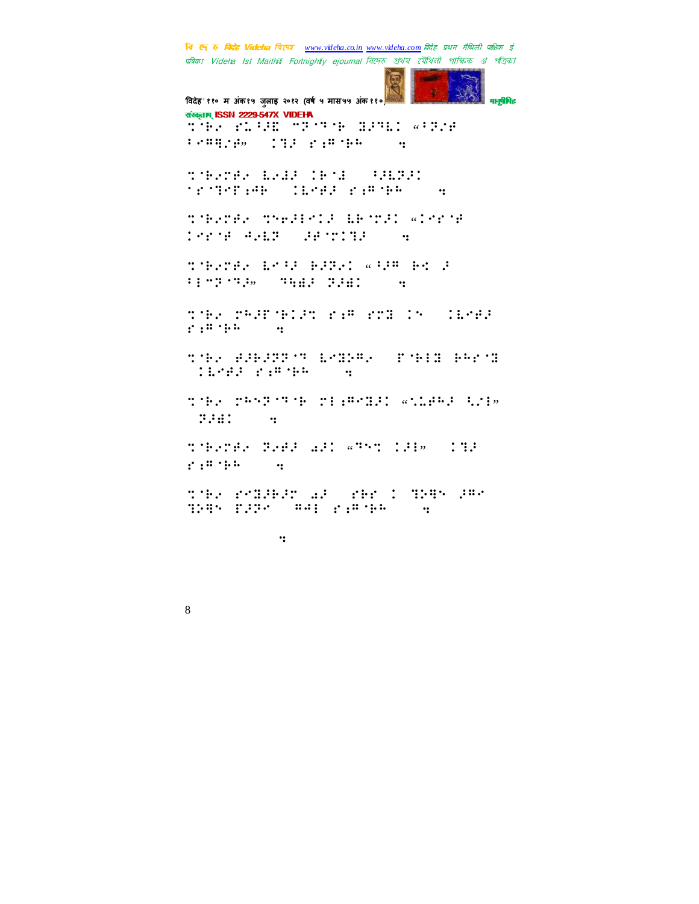विदेह' ११० म अंक१५ जुलाइ २०१२ (वर्ष ५ मास५५ अंक११०) मानवैमिट संस्कृतम् ISSN 2229-547X VIDEHA the club true beam. When  $\dddot{\mathbf{r}}$  $\mathbb{E}[\mathcal{P}(\mathbf{H},\mathbf{H}^T_{\mathbf{L}}(\mathbf{H}))]=\mathbb{E}[\mathbf{H}(\mathbf{H}^T_{\mathbf{L}}(\mathbf{H}^T_{\mathbf{L}}(\mathbf{H}^T_{\mathbf{L}}(\mathbf{H})))$ TORONA EAR IPOL (PRIPE) **SENSOR CONSTRUCTS**  $\dddot{\phantom{1}}$ TORATES TORRESTS EROTED WISCON **Constanting Constanting Constanting Constanting Constanting Constanting Constanting Constanting Constanting Co** TTERNE LOGE BIR. MARRIED E **SEMPLAY THE PART (8)** the response resorts in the  $\mathbf{r}^{2}$  ,  $\mathbf{r}^{2}$  ,  $\mathbf{r}^{2}$  ,  $\mathbf{r}^{2}$  $\cdot$ : the SHOPP' ROBBY FOR PRICE TEPAR PARTER  $\dddot{\mathbf{z}}$ the response rightle class this **WEB**  $\mathbf{r}$ there had all stat clip (no  $2.244$   $1.444$  $\dddot{\mathbf{r}}$ dides problem also per l'objet der<br>dimes pares del partier sono

 $\ddot{\cdot}$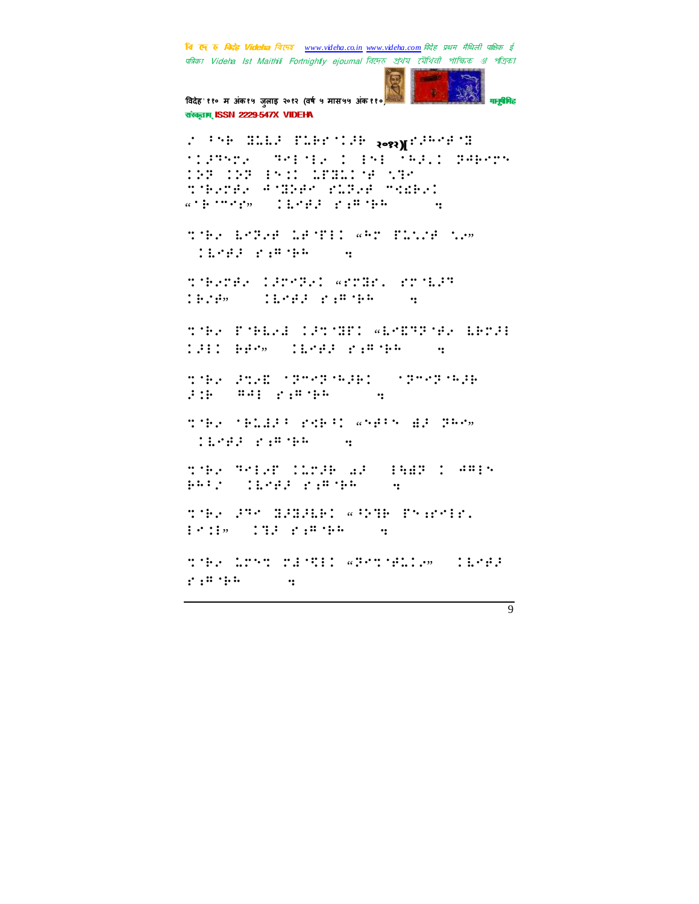

विदेह' ११० म अंक१५ जुलाइ २०१२ (वर्ष ५ मास५५ अंक११ संस्कृतम् ISSN 2229-547X VIDEHA

 $\mathcal{I}^{\pm}$  (Fig. ) Hand (Fig. ) (1998) assault (Fig. ) if STREAMS CONFIDENTIAL ENERGY REPORT 198 198 HSIL LEBUCH SBS there ander flee model  $\mathcal{U}^{\alpha}(\frac{1}{2},\frac{1}{2},\frac{1}{2},\frac{1}{2},\frac{1}{2}),\qquad \frac{1}{2},\frac{1}{2},\frac{1}{2},\frac{1}{2},\frac{1}{2},\frac{1}{2},\frac{1}{2},\frac{1}{2},\frac{1}{2},\frac{1}{2},\frac{1}{2},\frac{1}{2},\frac{1}{2},\frac{1}{2},\frac{1}{2},\frac{1}{2},\frac{1}{2},\frac{1}{2},\frac{1}{2},\frac{1}{2},\frac{1}{2},\frac{1}{2},\frac{1}{2},\frac{1}{2},\frac{1$  $\dddot{\bullet}$ 

THE ESTER LENTIC WAT TILLE LEW tish sa masukat  $\dddot{\bullet}$ 

there large graph and a lich, licia cathol  $\dddot{\mathbf{r}}$ 

THE PHEED CONDITIONS THE BEST TRIT BERN (INSPERSED)  $\dddot{\mathbf{r}}$ 

THE PIE TRYPHED CORPORAL  $\mathbb{R}^n$  :  $\mathbb{R}^n$  :  $\mathbb{R}^n$  :  $\mathbb{R}^n$  :  $\mathbb{R}^n$  :  $\mathbb{R}^n$  :  $\mathbb{R}^n$  $\dddot{\phantom{1}}$ 

THE TELEP PERTY WHIS HE PROV **TEPART PARTNERS** 

the Solar Close as (1988) (2015) **BACK TEMPS PARTNA W** 

THE PROBREMS WIND Presid.  $\frac{1}{2}$   $\frac{1}{2}$   $\frac{1}{2}$   $\frac{1}{2}$   $\frac{1}{2}$   $\frac{1}{2}$   $\frac{1}{2}$   $\frac{1}{2}$   $\frac{1}{2}$   $\frac{1}{2}$   $\frac{1}{2}$   $\frac{1}{2}$   $\frac{1}{2}$   $\frac{1}{2}$   $\frac{1}{2}$   $\frac{1}{2}$   $\frac{1}{2}$   $\frac{1}{2}$   $\frac{1}{2}$   $\frac{1}{2}$   $\frac{1}{2}$   $\frac{1}{2}$ 

the LTMT PENTIL WPOTHLISH (EDG)  $\mathbf{r}^{1}, \mathbf{r}^{2}, \mathbf{r}^{3}, \mathbf{r}^{4}$  $\dddot{\mathbf{r}}$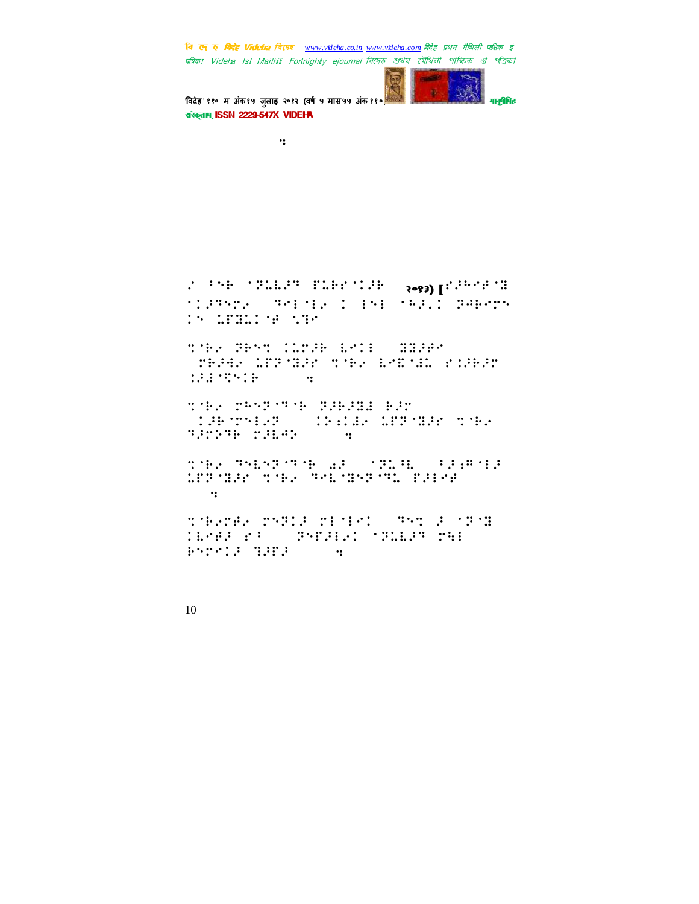

विदेह' ११० म अंक१५ जुलाइ २०१२ (वर्ष ५ मास५५ अंक ११०) मानुसारी मानुसीमेह संस्कृतम् ISSN 2229-547X VIDEHA

Puifs; 2, 46

## $\mathbb{R}^{2\times 3\times 3}$  [" $\mathbb{R}^{2\times 3\times 2}$  ] [" $\mathbb{R}^{2\times 3}$   $\mathbb{R}^{2\times 3}$   $\mathbb{R}^{2\times 3}$ ⢼⢹⢴-!⢹ ⢴^!!⢳⢼Z!⢽⢺⢷!  ${\bf ::}$   ${\bf ::}$   ${\bf ::}$   ${\bf ::}$   ${\bf ::}$

 $^{\prime}$   $^{\prime}$   $^{\prime}$   $^{\prime}$   $^{\prime}$   $^{\prime}$   $^{\prime}$   $^{\prime}$   $^{\prime}$   $^{\prime}$   $^{\prime}$   $^{\prime}$   $^{\prime}$   $^{\prime}$   $^{\prime}$   $^{\prime}$   $^{\prime}$   $^{\prime}$   $^{\prime}$   $^{\prime}$   $^{\prime}$   $^{\prime}$   $^{\prime}$   $^{\prime}$   $^{\prime}$   $^{\prime}$   $^{\prime}$   $^{\prime}$   $^{\prime}$   $^{\prime}$   $^{\prime}$   $^{\prime}$ )⢷⢼⣚⢴!⣅'⢽ ⣝⢼"!⣉ ⢷⢴!⣇⣏ ⣜⣅!"⣈⢼⢷⢼! ⣈⢼⣜ ⣋⢷\*!43⣒74&!!!

⣉ ⢷⢴!⢳⢽ ⢹ ⢷!⢽⢼⢷⢼⣝⣜!⢷⢼!  $\sim$  1.86 metric  $\sim$  1.8 main  $\sim$  1.8 main  $\sim$  1.8 main  $\sim$  $^{\circ}$   $^{\circ}$   $^{\circ}$   $^{\circ}$   $^{\circ}$   $^{\circ}$   $^{\circ}$   $^{\circ}$   $^{\circ}$   $^{\circ}$   $^{\circ}$   $^{\circ}$   $^{\circ}$   $^{\circ}$   $^{\circ}$   $^{\circ}$   $^{\circ}$   $^{\circ}$   $^{\circ}$   $^{\circ}$   $^{\circ}$   $^{\circ}$   $^{\circ}$   $^{\circ}$   $^{\circ}$   $^{\circ}$   $^{\circ}$   $^{\circ}$   $^{\circ}$   $^{\circ}$   $^{\circ}$   $^{\circ}$ 

⣉ ⢷⢴!⢹⣇⢽ ⢹ ⢷!⣔⢼!#⢽⣅⢸⣇#)7⢼⣐⢻ ⢼!  $^{\prime}$   $^{\prime}$   $^{\prime}$   $^{\prime}$   $^{\prime}$   $^{\prime}$   $^{\prime}$   $^{\prime}$   $^{\prime}$   $^{\prime}$   $^{\prime}$   $^{\prime}$   $^{\prime}$   $^{\prime}$   $^{\prime}$   $^{\prime}$   $^{\prime}$   $^{\prime}$   $^{\prime}$   $^{\prime}$   $^{\prime}$   $^{\prime}$   $^{\prime}$   $^{\prime}$   $^{\prime}$   $^{\prime}$   $^{\prime}$   $^{\prime}$   $^{\prime}$   $^{\prime}$   $^{\prime}$   $^{\prime}$ 23⣒74&!!!

 $\mathcal{L}$  of  $\mathcal{L}$  in the set of  $\mathcal{L}$  is the set of  $\mathcal{L}$  in the set of  $\mathcal{L}$ ⣇⢾⢼!"⢸#!)⢽'⢼⢴!⢽⣅⣇⢼⢹!⣓.! **ENTITY THE SEASONE**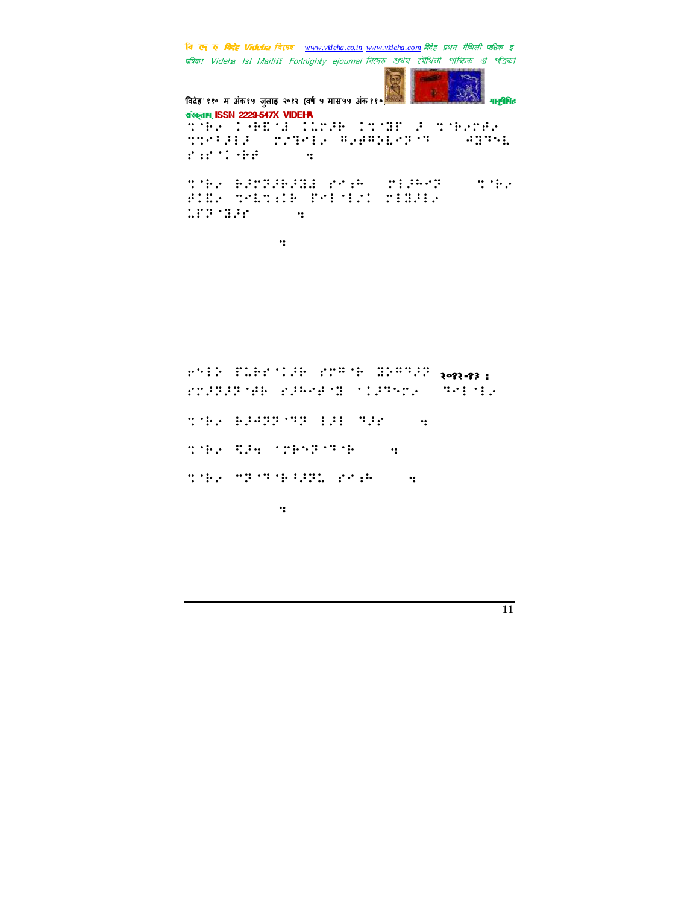'विदेह' ११० म अंक१५ जुलाइ २०१२ (वर्ष ५ मास५५ अंक ११०) मानुसीरी मानुसीरीह संस्कृताम् ISSN 2229-547X VIDEHA  $^{\prime}$   $^{\prime}$   $^{\prime}$   $^{\prime}$   $^{\prime}$   $^{\prime}$   $^{\prime}$   $^{\prime}$   $^{\prime}$   $^{\prime}$   $^{\prime}$   $^{\prime}$   $^{\prime}$   $^{\prime}$   $^{\prime}$   $^{\prime}$   $^{\prime}$   $^{\prime}$   $^{\prime}$   $^{\prime}$   $^{\prime}$   $^{\prime}$   $^{\prime}$   $^{\prime}$   $^{\prime}$   $^{\prime}$   $^{\prime}$   $^{\prime}$   $^{\prime}$   $^{\prime}$   $^{\prime}$   $^{\prime}$  $^{\prime}$  777  $^{\prime}$  77  $^{\prime}$  77  $^{\prime}$  77  $^{\prime}$  77  $^{\prime}$  77  $^{\prime}$  77  $^{\prime}$  77  $^{\prime}$  77  $^{\prime}$  77  $^{\prime}$  77  $^{\prime}$  77  $^{\prime}$  77  $^{\prime}$  77  $^{\prime}$  77  $^{\prime}$  77  $^{\prime}$  77  $^{\prime}$  77  $^{\prime}$  77  $^{\prime}$  77  $^{\prime}$  77  $^{\prime}$  77 "⣐" 0⢷⢾\*!24⣒79&!!! ⣉ ⢷⢴!⢷⢼⢽⢼⢷⢼⣝⣜!"⣐⢳!#⢼⢳⢽#!)⣉ ⢷⢴! #!E. Teknik Ferdit Times  $\ldots$   $\ldots$   $\ldots$   $\ldots$   $\ldots$ Puifs; 2, 200 and 2, 200 and 2, 200 ⢶⢵!'⣅⢷" ⢼⢷."⢻ ⢷!⣝⢵⢻⢹⢼⢽!२०१२ -१३ : "⢼⢽⢼⢽ ⢾⢷!"⢼⢳⢾ ⣝!⢼⢹⢴-!⢹ ⢴! M 100 € 100 € 100 € 100 € 100 € 100 € 100 € 100 € 100 € 100 € 100 € 100 € 100 € 100 € 100 € 100 € 100 € 100 € THE STREET STREET STREET ∵ 100 € 100 € 100 € 100 € 100 € 100 € 100 € 100 € 100 € 100 € 100 € 100 € 100 € 100 € 100 € 100 € 100 € 100 €

Puifs;!2⣒39&!!!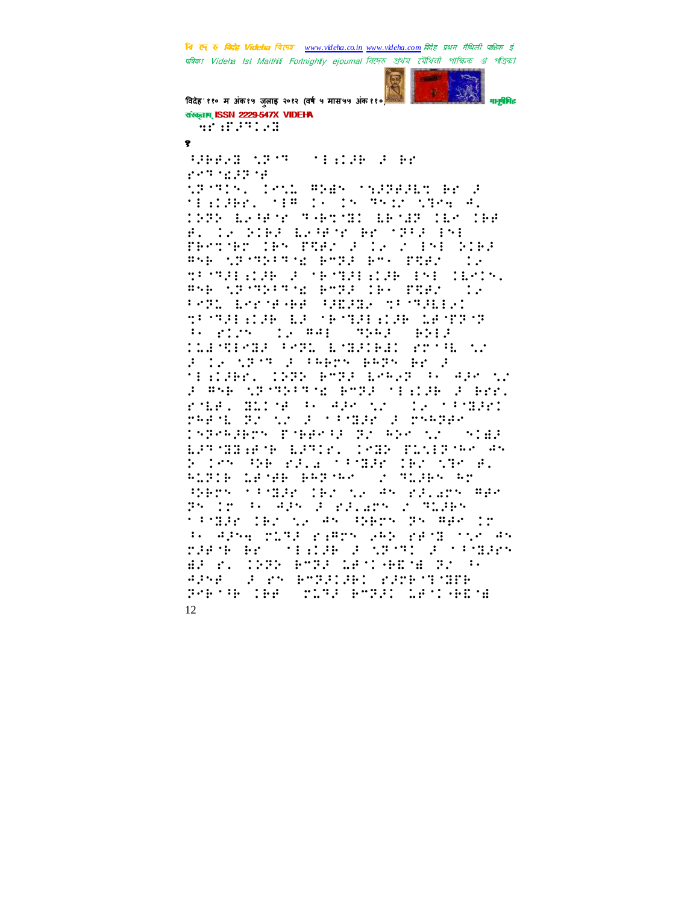

विदेह' ११० म अंक१५ जुलाइ २०१२ (वर्ष ५ मास५५ अंक११०) संस्कृतम् ISSN 2229-547X VIDEHA

**AP BEFIND**  $\bullet$ 

adhala shine shine a br eks regener

SPORTS, INC. WEBS CEPPERED BY P MERCHEL MERCIA IN RNCK NEMECR. 1985 LARMY THROWN LEMAR (LA 196 12 SIER LANFY BE MOVE INE  $\mathbf{r}$ . FROM THE FREE FOR STORE SIRE BYE SECRETAR EMPERENT PRESS IN TRIPLED A TEMPERADO DEL BYE SPORTER ESPECIES PRES FATL LARGEDY SHIFLE TECHNIC TEMPER OF SECRETS AND SECRETS **CONSTRUCTION CONTROLS IN THE SECTION OF SERVICE CONTROLS** Folk write former park prof 'Escabri (1930 BM33 Exp.3 (P. 438 N.) 2 And Schools of Book of Made 2 Brr. role, miche so age no composition regar di shora a bagi a biyyik THREADY PHERG BY WHO AN ONIGH EPPOBLEM EPOC COR PLOPMONS d 195 de rélacionese (Britan el<br>Angle never espaso lo gnes ar SPECK CROBE CENTRAL AN ESTRECHA By in a Way Fealary roughy tanger (Brown An Angers Snowge (Pr an agnes plag regard par regard the an MACH AR CONSIDER A SPORT A COORANY AR BOOK PARK WAS ARRESTED FOR APSA (F 25 BMP21181 2128 MINUTE Presidente de l'anti-dentitat de l'anti-12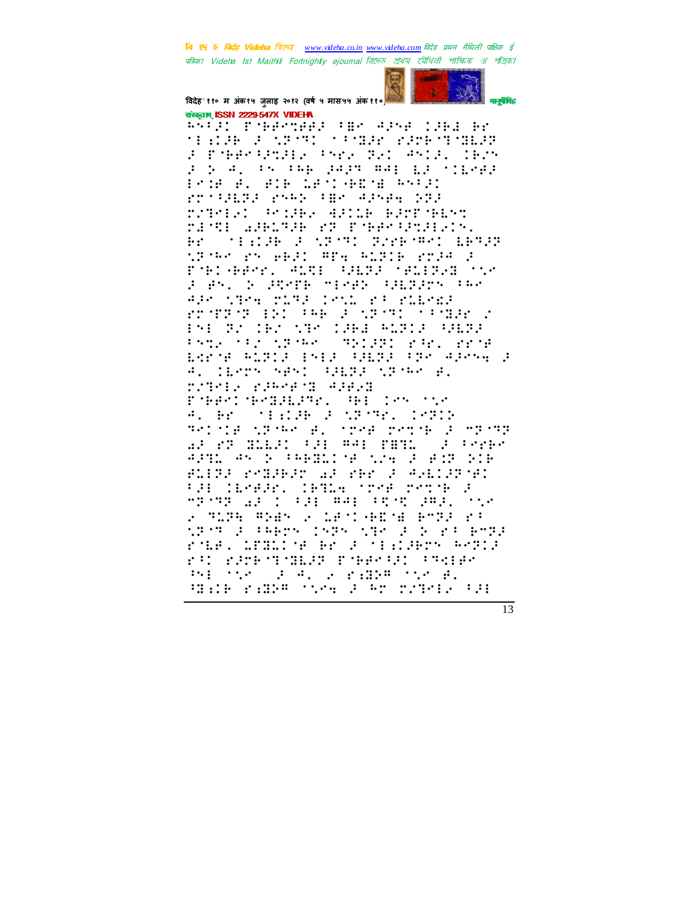

विदेह' ११० म अंक१५ जुलाइ २०१२ (वर्ष ५ मास५५ अंक११०) संस्कृतम् ISSN 2229-547X VIDEHA

ARIS PORPOGRA THA ASSA CARD BY **MEADOR OF NEWSLET PORT AND MEANS** a pobensanak soka dai Ania, ib*i*n 2 2 4. PS PAR 2425 841 12 SILMAP Professor and target and bridge rrogana regular general rateled sensor asilo BSTP-BLMT TEMPE GARLEAR PT PORPORTERLY. **STEEDED ANDERS STARTED ERRES**  $\mathbf{r}$ the second second and control and control of POBLAHAN, ALTE AHIRA MALERAR MAR F AN, S PRYTH MIYAN (PERINN (A) APP STRAINSTRIPS IN STRAINS FRIDAY IN THE FARMIO STORY ENE DU CHU NAM CUBA PLOCU SULDU trik (trongen) giragi egel eeng.<br>Beene kusid arad gabad gar garra d A. TERTY NANC SHEEP NETWORK TITEL FRAGIE ARRA **POSESTORSES** 4. Br (11:28) PARTNEL 19712 Things with a correct resolution of the AT MORALE CH WAI THIN S CHANGE APROVACIÓ PARRING NOR A BIR SIR RISE PRIGHT AF PRO F AGIOSTRI tal diesa. dema treš režuš **MEANS AND LOCAL MANUFACTURES**  $\cdots$ . 2 MINE ANDRE 2 IDENT OOK DE BENDER 1375 3 PREM 1535 136 3 5 8 8 873 role. Drawine er a stalaern Angla ri rimatika perang ing PHOTOS FOR ALL PORTER TO PART and have the Paradent's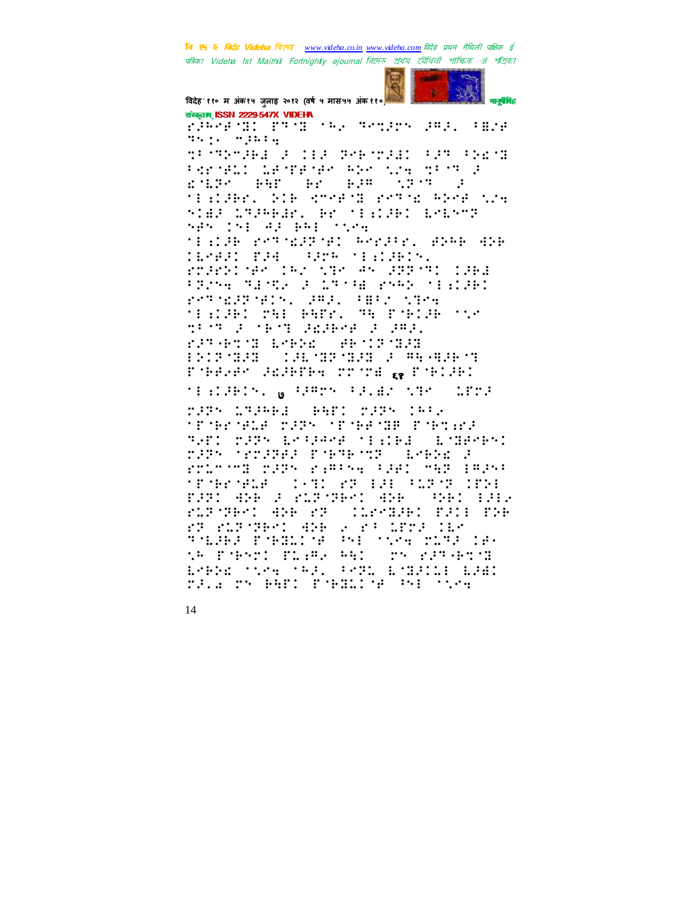

विदेह' ११० म अंक१५ जुलाइ २०१२ (वर्ष ५ मास५५ अंक११०) संस्कृतम् ISSN 2229-547X VIDEHA

FRAGANI PRNESAS RATES PRIS PRS  $\mathbf{u} \mathbf{v} \mathbf{u} + \mathbf{v} \mathbf{u} \mathbf{u} + \mathbf{v} \mathbf{u}$ things and in the second state and sections Permetic desperses abecomes maista d ENDY HAT HE HAT NOTE OF MERCHEL DIE KOMENE PARTE ADAE NOE SIEP LAPPERS PE SIEDRE LALSAR  $\mathcal{N}_2\mathcal{D}^2=\left\{\begin{array}{ccc} \mathcal{N}_1\mathcal{N}_2 & \mathcal{N}_2\mathcal{N}_1 & \mathcal{N}_2\mathcal{N}_2 & \mathcal{N}_1\mathcal{N}_2\mathcal{N}_1\mathcal{N}_2 & \mathcal{N}_2\mathcal{N}_2\mathcal{N}_2\mathcal{N}_1\mathcal{N}_2 & \mathcal{N}_2\mathcal{N}_2\mathcal{N}_2\mathcal{N}_2\mathcal{N}_2\mathcal{N}_2\mathcal{N}_2 & \mathcal{N}_2\mathcal{N}_2\mathcal{N}_2\mathcal{N}_2\mathcal{N}_2$ MERCH RYTMERMED ARRESON BRAKENER **TEMPER THE SPECIFICATION** roardinas importas as additionisma FRANK METRO S LATTE RNAR TERRES PORTHERS (PH) (PH) (2004) MALAKE MAL BATE, MA PARIAR SSP

TEST 2 SEST PRIESE 2 282. **RUPARTH LORE SHOPPIER** Pobelen Salbeba coord <sub>st</sub> Poblie:

tislabin, <sub>@</sub> Gambh Falmin Nar (1882)

rage inamed (Bert rage (May 'P'Br'HLA 2335 'P'BR'HR P'BTAZ SAPI MARS LAGAANA MEGERE (L'HAMES) MARS SEMINAL PORTHOMAGE SCHOOL rnin'na razh ramsh (aa: nez 1825) **STORY SERVICE MANUFACTURE 1988** THI AND A RITTERI AND THIS BALL FLETERS ARE FESSIONALED FRIETRE FROM FLATTARY COMPANY ARRESTS THAT drejej predstre dre vinejskog ver<br>Se poerst plak, ee: sr plangeroe ESPAC'TUSE TRAV PSPL ETHALL EARL TRIA TH BATI FOREIGN PH STRA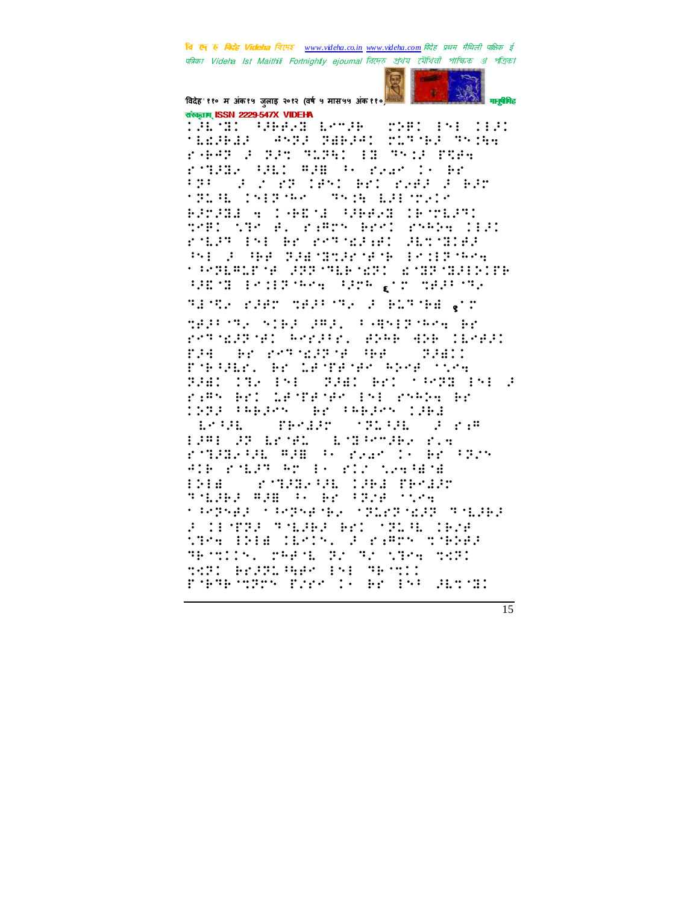

विदेह' ११० म अंक१५ जुलाइ २०१२ (वर्ष ५ मास५५ अंक११०) संस्कृतम् ISSN 2229-547X VIDEHA

DECED PREPAR LONGE **THE IND 1131** *ANTI TELLA TITTE TRIA* **MERSHER** raer a partner im mod free round and man a rear is br FRA 2020 BR 1951 BB1 B293 30 B35 **SPLAE INFORMATION IN EXECUTIV** BRANN A LANDS SHARN INTERY SMPI STROED PAPPS BRYI PSPDA IEFI rder ist er retallet genomer **The Storage Startup of the England Constant SPORTS OF STATES AND ASSESSED** APEND Ender three Applications of the Second Property of the Second Property of the Second Property of the Second Property of the Second Property of the Second Property of the Second Property of the Second Property of the

TEMPS FRED TERRITO F BLTMBE SIT MARKING SIRE PARL FRAMERING RE rethered write, spakens insid na er røndand het nam: PORTAGE, BE LANDANA ADAPTICAR BAD CO. END SAN BE SAMP END A rims art transported as ready ar 1933 (DEJPS) **Brandfilm THE**  $\mathbf{1} \cdot \mathbf{1} \cdot \mathbf{1}$ and a series and a series and a series of the series of the series of the series of the series of the series o EPROOF EMPEL (ESEPTIBL MIN romana and an even in Broad ATE POLES AN EXTRA NORTHON  $: : : : :$ **STRIP CONSTRUCTION** THE WHIP IS NO THE TIME **SPERAGE SPERAGE STREETERS STERES** F CENTER TANKS BY, TT.H. CR.H the Inde Clock. J rimmy three RESTING THESE BY RESIDENT THRI **THIS BESTORED IN THIS IS** FORTHOMPTON TIME IN THE SECOND PROPERTY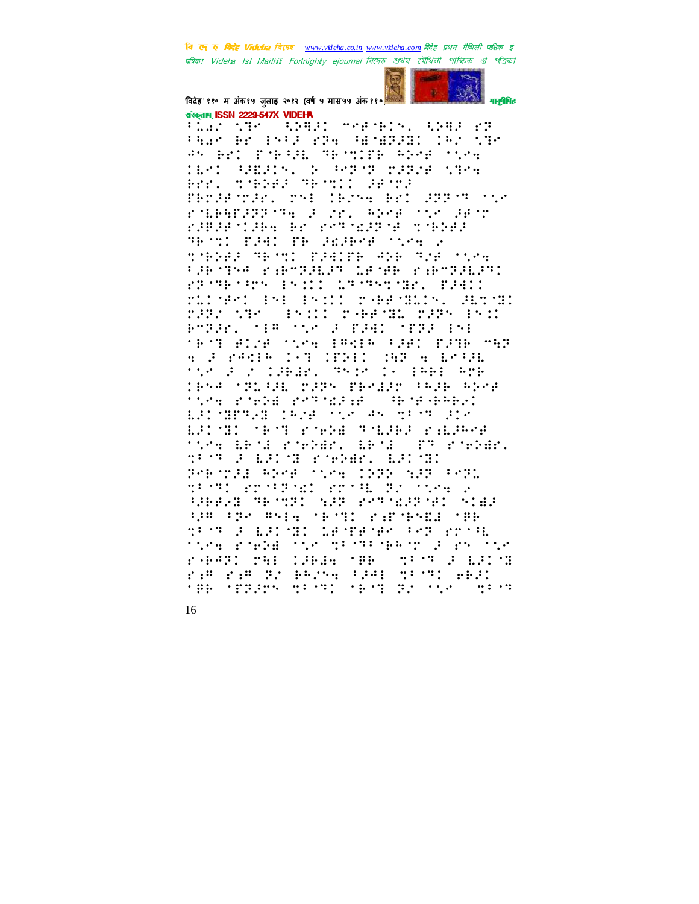

विदेह' ११० म अंक१५ जुलाइ २०१२ (वर्ष ५ मास५५ अंक११०) संस्कृतम् ISSN 2229-547X VIDEHA

<u>Fîlo nas (prestorento pres 2</u> than brodhist row (Angology Chronic AN BEL EMBAGE MEMOURE POMB SOME TERI PREPINS & PRESE CRECK STRA Bre. School about decre PROFINED ON JROH ROL 22273 155 riberary the acres breaking abor KARAFILARN BK KYTTEARTH TIRRAR TECT FRI TE REPORT CONT tikkel meint fleiffe eie moe over faktive rakegalas lange rakegalas: PROPENSIVA (EN 111) 127-1784-1881, PRAID ringen av avonne eersing girds<br>rggv vak (avonneerse singer avon PTPE, THE TV 2 FPH: TFPP 191 TECT BIZE TOOK IPMIR FRED FRIE MAR A 2 PANER COT CENED CAP A LOGGE the PortPake, Third (1981) And TESA (1919. B. 1995) PERIPU PAJE ANKE ting robe retories (Boshbell EST METAL CREATING AN MATHEMATIC ESTAN ARAN KAPE PALSES KELPAR ting lete righer. Lete (PP righer. the Public Peak. Later Personal Aber Steel (1971-1972 Pers SPORT PEOPLE PEOPLE PEOPLE P HRAB TEMPI NAT POTMAPHE SIA apelade esta cibido parabella cibi.<br>Stato la llico di Clearese aerori pratil tives analysis the distribution of an inve ràdel Mi càrdi (m. 369 a 687) ram ram di Bhina (201 dicti ebil the things with the interest with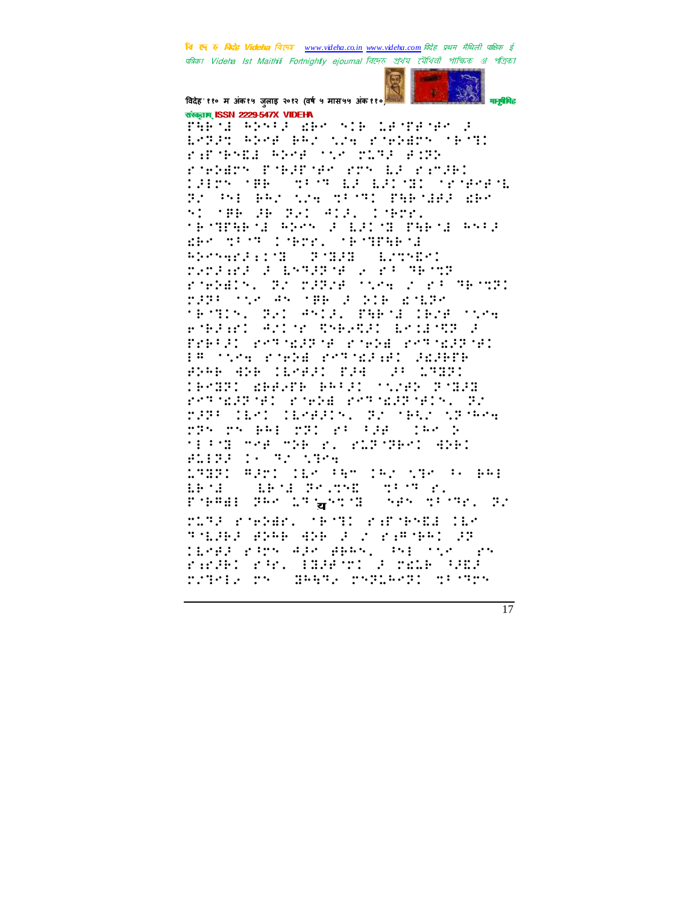

विदेह' ११० म अंक१५ जुलाइ २०१२ (वर्ष ५ मास५५ अंक११०) संस्कृतम् ISSN 2229-547X VIDEHA

PHP (2) REMARK WER CONTROLL A ESPAC PRSP PRO NON POPREDS OPOT randoma bos tro mini exp rophers poblement and all range: TREDS THE COPPORE ERGED TO THEFT T Br PH BAr who dist BAR WAR WAS **Simple THE REPORT OF STRAIN**  $\ddots$  : 'P'HTGP'E ASY' J EJI'H TGP'E AY'J den dans Chero (Sendeend PROVINCE IN THE ENDIRE randand d'Espagnant a romanang robels, an office the root method 2375 112 45 186 3 216 21676 MESTING RAI ANIA, PARSE IRAR SSA FORTHER AND MONETARY LENGTHS I President management representations PROSTER PORTE POSTER SERVICE <u> 1948: Weeler Bell: Siner 2023</u> PARTNER MET POPPE PARTNER MET PER DPP (1681) IERPRING PACTERACYPHRE 275 25 881 271 27 738 1396 2 MERCH THE THE BUSINESS WHAT HIED BLISH 14 ST 1984 1982: A201 (12) 145 (42) 595 (6 164 ARTHURSTEN THE S.  $E = 1$ ESPAIL PRO LEGANDE (1985-1991) PL PLAS POPPER, OFFICE PAPORAL ILS TAGES BREE BREAK SAFARE  $\mathbb{R}^2$ IESER ERN ARS BEAN, PNE SNS CEN rade: rev 1895-11 Proge Ado rately resources reflect: nectro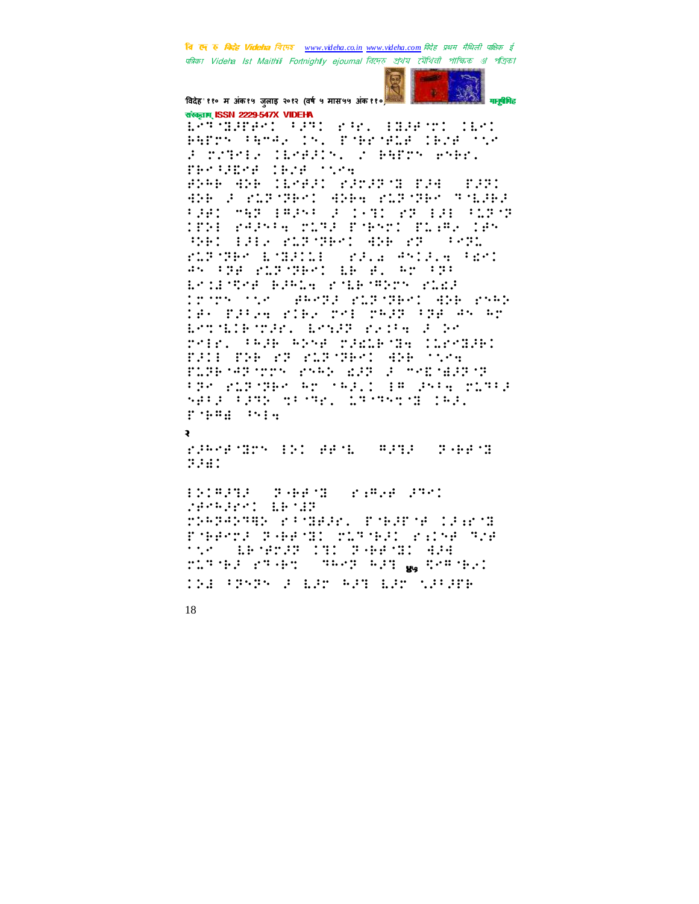

विदेह' ११० म अंक१५ जुलाइ २०१२ (वर्ष ५ मास५५ अंक११०) संस्कृतम् ISSN 2229-547X VIDEHA

Letomarge: (201 ran, 1820-01 1681 BATTS FATAL IS. TOBECHLE IBSE COO F MIRTE CLARIN, J PREM PART. TERRIER IENE MINE BRA BRITISH STORY BR  $\cdots$  : : : : : er France Ser and Money Star FRANCHER BRAND ACTIVITY OF BABCON TPRE PAPARA PLAR PORTE PLARE IRS SHI HAR KITSHED SHERT  $4.491$ FLF/FR/ EMERICE (FR.2005)FLF FR/I 45 FRA PLETRAT LE 8. AP FRA Brighter Bande richterry runa Critic the GARGE PLP SART AND PAAR 196 P.P.A. FIBA MAT MAJE FER AN AM ESTADENTEL ESSERVATE E PO refr. (FRPH) Robe rounded incented FAIL THE ST SUPPORT AND TIME FLIB MP TTN 2NBS 200 0 MMD 1000 1 the runder ar call is late rund SPER FROM SPORT INFORMATIONAL  $P^*$  (1994)  $P^*$  (1994) ₹ rakendry (DI AP11) Aang (P)AP10 **F.H. 11:03:1 7.60.2 10.00.00** SPRAGE EPSE rosporte rimar regionale PORPOR PORTH CLASHED PICE AND tre deters in raean As riter races and the service of the service THE FRARA OF EUR AUR EUR SOFIER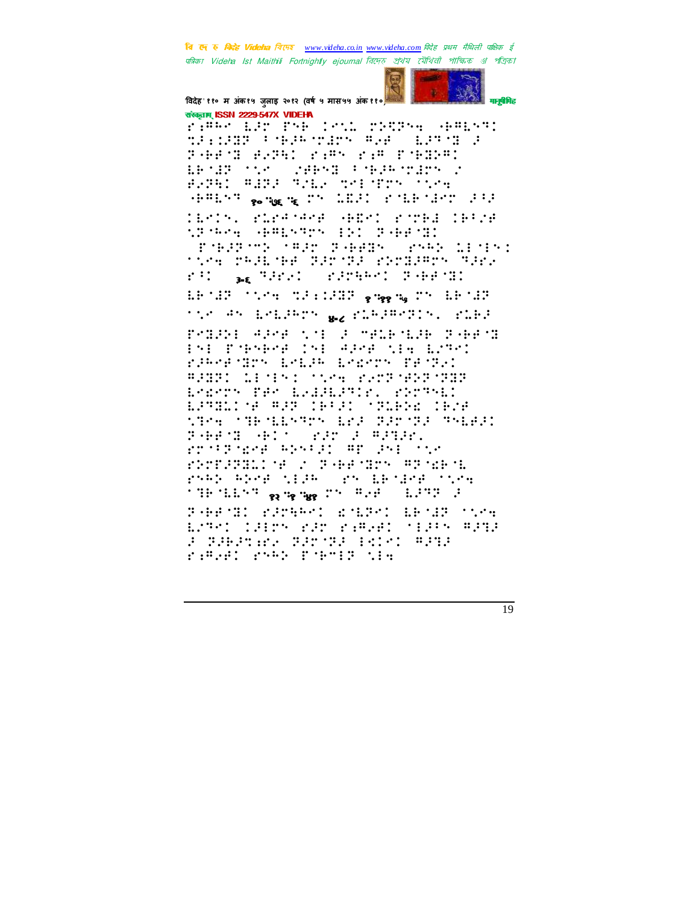

विदेह' ११० म अंक१५ जुलाइ २०१२ (वर्ष ५ मास५५ अंक११०) संस्कृतम् ISSN 2229-547X VIDEHA rame Lan Pob Loui radios (48103)<br>Same Lan Pob Loui radios (48101) PARTE RANC PARK PAR PAGGAD EPAIR SAME MARSH PORTH TELES BOWER WEST TALK TO STATE TOOK GREENS SANCHE IN LEAD STERNEOUS ARE TERIN, PLPATARA (BERI PITEE IBPIR tring Gardene and readily Tragons togh daeby Teas 1878.<br>The reduced darrow psychological **BETHING SHOWNER PHENIC**  $\mathcal{L}$ EPOIP COOR SPECIFIE gogging In EPOIP nne an Eeldhon <sub>wa</sub> ribdhedin, ribd Problem adapt the determined papern PSE PORSRE TSE APORT NEW ETAX Parader Labr Labre Befor **BREE MOVES TO MANUFACT TEST TEST** EMPTH THM EPAPHIPTIC, STORMED LOTELL'S HOT CHOOL CRIBBE CROB the firstness are her headers PARTS ANY SOME PROVI rrothere while we had the PROFESSIONAL CONFIDENTIAL REAGEAN rner ersk dife om ikdas ovsk THE SEARCH REPORTS THE SEARCH OF PHENIC PATERNI ENERGY ERNIF MYPH EZRAD CJEDN BJD BARARI MEJEN RJEJ F BREAKER BROWN BROWN MARK raman reed forms the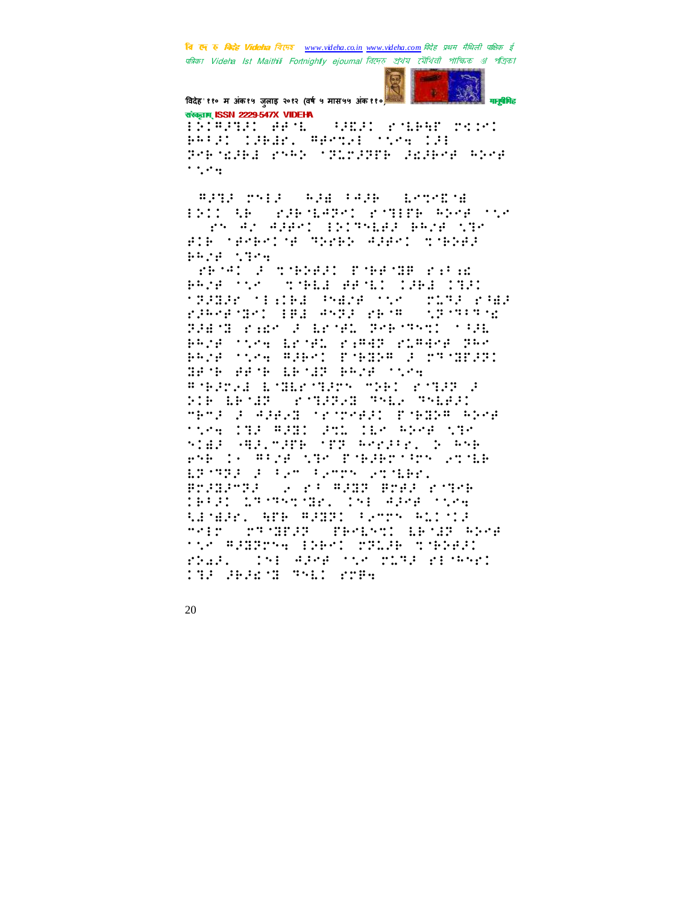

## विदेह' ११० म अंक१५ जुलाइ २०१२ (वर्ष ५ मास५५ अंक११०) संस्कृतम् ISSN 2229-547X VIDEHA

PRISI (SPEEL PROTES TION CSE Presided robb splitere didere bore  $\gamma$  ,  $\gamma$  ,  $\gamma$ 

WARE THE WAR PAPE EMTHINE EDII AB (2008-1049-10-2010) BOARD MIC an Aragen Brinker Bene (Br BIR SPORTSBURGER APPOINTMENT BR28 1306

PROFILE TORRES PORTHE PAPER PROFILE THE REAL CONSTRUCTS **SPARA SERIER PARA SSK STORE PARA** rameroni del mal refe (Casonic FRENZ PART FOR THE PERMIT TO BE PRIE TOTA LETEL EVANGE ELANE SAT BRIE MAN ARBAI CHERA I CAMERO HOS PRO HOME PACE TOO # GRANA E MER MARY MARI (P MAR) 2 BIB EBSER (PSTERDE TALD TALBED) mena a Aleks rennheim fresk ekne tics INF RANK And Inc Roof the STEP HEROSPER TER ROBBER 2 ROB e<sup>1</sup>P : "Pre The Preserver and EPOTE FOR CHILD STEEL Branansa (1910) Band Braad Pouch IPPEL LATARINE, INFORMATION REMERCI APP WEBSI FROM WEIGHT "HI" TRANSP NEMLAT BRAN ASA **MA WARRYNG EGGY TRIAN TYPAAL** real, the greater mind remove **THE SESENT TREE STEE**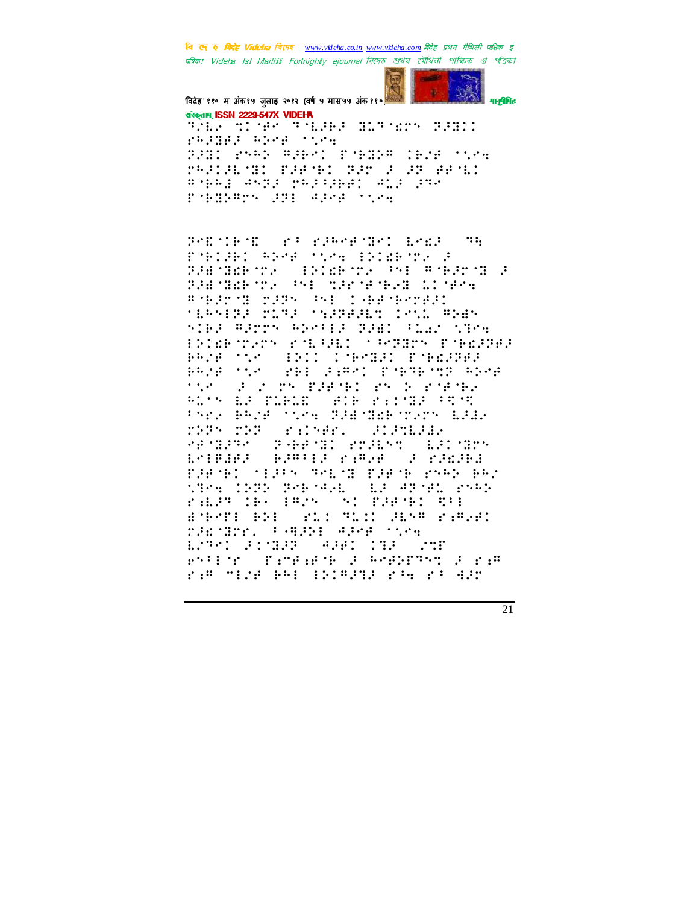

विदेह' ११० म अंक१५ जुलाइ २०१२ (वर्ष ५ मास५५ अंक११०) संस्कृतम् ISSN 2229-547X VIDEHA

this crow where movers demi PROBAC REPAIR STREET BRID RNAD AREAD EMBIDA (BRESTON PRESENTE FARMED FAR & AP ARMED # GAI #STE PAPPINED #12 275 Poblemen dil adel stea

POD SECOND CONTROLLER CONTROL  $\mathbf{u}$ FORDED ANGELONG INDEPTY F FARMARY HOLETY MI FARMI P FREMENT WE TRIME ERIC CONT **Address the Search Construction** MERMINE MINE MANHERS IPAL REAR STEP WPPPS WORLER PRED FILED CRAW ESIARTEKTY KTEREEL TRYBEN PTRAFFAR PROFING (1911) COPPORT POBARRA BRIE TOT TEE FIRT FORTHOUR RICH  $\epsilon$  ,  $\epsilon$ For the EPP AIR and Soundary RIS DE PIRIN RIB RECHER PRE Pres BROB (1554) 228-1866 (2525) 6235 MARY MAR (Filmer, Standar **CRAWFORD STARTS CONSTRUCT**  $\sigma_{\rm eff}$  , parameters  $\sigma_{\rm eff}$ L'IRAR PARILE PARA LE PARAGA FRENCING PACK TREND PART BAY STAR 1979 FARSAGE (19. APSAL)<br>BALPT 183 (1925) SI POBSEI TO id aposit some BARTE BRE (FL: ML: HLAM F.M.A) racher, tomage spoke the EPPI FINER (PHI INF )PH Prior fragant conductor and rim miza bel interno regor dor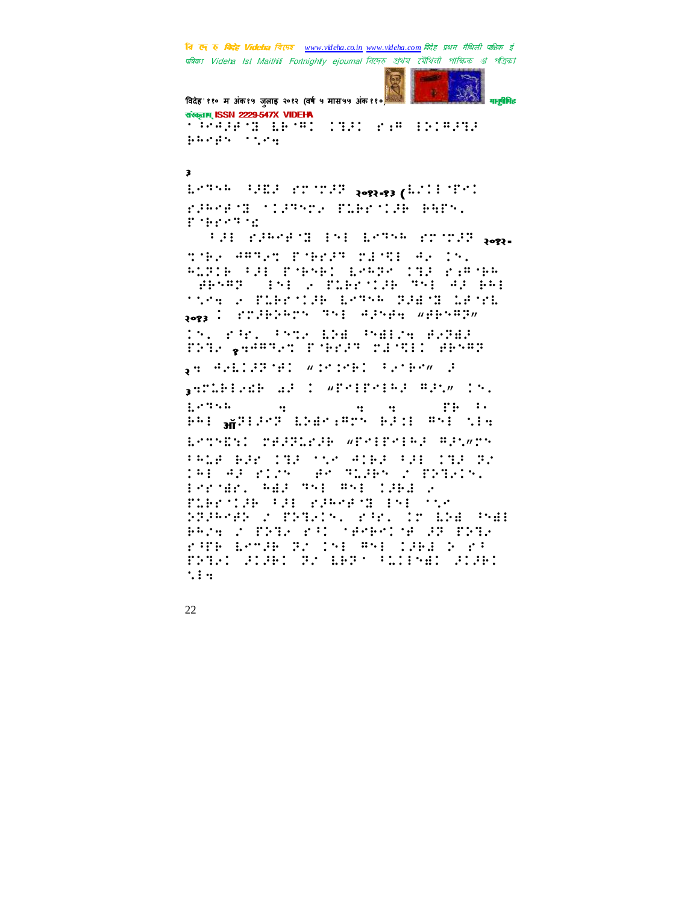विदेह' ११० म अंक१५ जुलाइ २०१२ (वर्ष ५ मास५५ अंक११०) मानवैमित

संस्कृतम् ISSN 2229-547X VIDEHA **TRAPPS LEMPL CORPORATE** phogh in the pro-

 $\mathbf{3}$ 

ESTAR PREF PUNCH ROBERT (ELLINES) rakery classe marcial Hus. properties

F.H. P.Persons in: Erneb Province <sub>Rest</sub>. the APPET PORT TEMP AT LA RITIE FAL POEME: EMPROVIE PAROER SAMPLIN STREETS ON HE AT tion a film the boyer family intri pog : cribbbro 301 dioda webosp. Inc. PARC Phone End Photographer THIS SANDRY TYPES TIME! HEAD <sub>3</sub>9 AHIJP9E xinine: Frienwol  $_3$ ernikisch af 1 whoihoisf Afra $\ldots$  $1.45444$  $\mathbf{r}$  :  $\dddot{\mathbf{r}}$  $\cdot$ :  $\ddot{\mathbf{r}}$ PRI WALPAT ENGAGEMA PAIL PAI NIG ESTADE TRAPLES WESTERN RATES **FALE BER 198 MIN AIBS FED 198 SI** THE APPRILING HAS BUREN IN FINENCY. Promano Adam Medi Adam a FLEETIGE FOR ESPECIE PHOTOS STARTED A POTATOL FAN IN EDE PAR PROVISION PROTECTION AND PROVISION rank bengk ar in: #n: 1961 b ra PRESS START PROBLEM CONTROL

22

 $\ddots$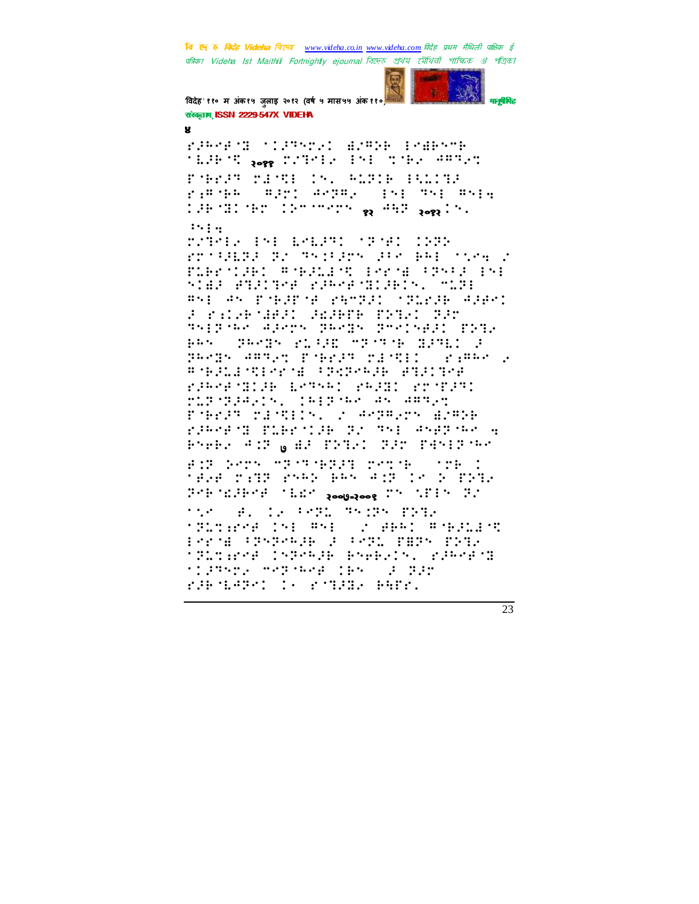ramers (1955), army four-or TEARTH <sub>Rogg</sub> Sufficient in the Seatest

ISBNED THE INSTITUTE & PHP 100175.

ESPERAN DESNE (S. ALAGRAFIA).<br>Bibliografia (Arango) (S. Asi (Arigo).



विदेह' ११० म अंक१५ जुलाइ २०१२ (वर्ष ५ मास५५ अंक११० संस्कृतम् ISSN 2229-547X VIDEHA

 $\mathbf{v}$ 

 $\cdots$  :

TURNER ENE EMERGE (TRAE 1989) rotana ar startego at partir

FLBENIAET WORLDOG BEEN FRAG IND **MAR PROTHE REPRODUCED MODE** #SE #S EMPLEME PRMPLE MODELE #2#MI Fridhmed Adee Stol 22 Beighte apers paegs preisent pick PRS TREES FLARE MESSING REAL  $\mathbb{R}^2$ PROBLEMENT PORTFOLOGIC CONTROL **A SEARCH STATE STATES AND THE** raberthiab betwal readi rritati MINTERS CONTROL AN ARTIC ESPECT CASELS, 2 POPPOS ACRED ranger fibrial av 30 averse 4 Brebe Auf War Priel San Parliner

FOR YOUR SEPECTED IN THE CONTROL teachers and ben additionales. Policies of the posses In this P.

TAC BUILD FOR THIRD FEB **TRITERE INFORMED I BEEL ROBELEY** Perma (Property ) (Pedia PAPR (Prop. **TRITANNE (SPARIE BSABAIS, KIRKANE** flamer mendere ikke a dar rabonare: 13 romans burr.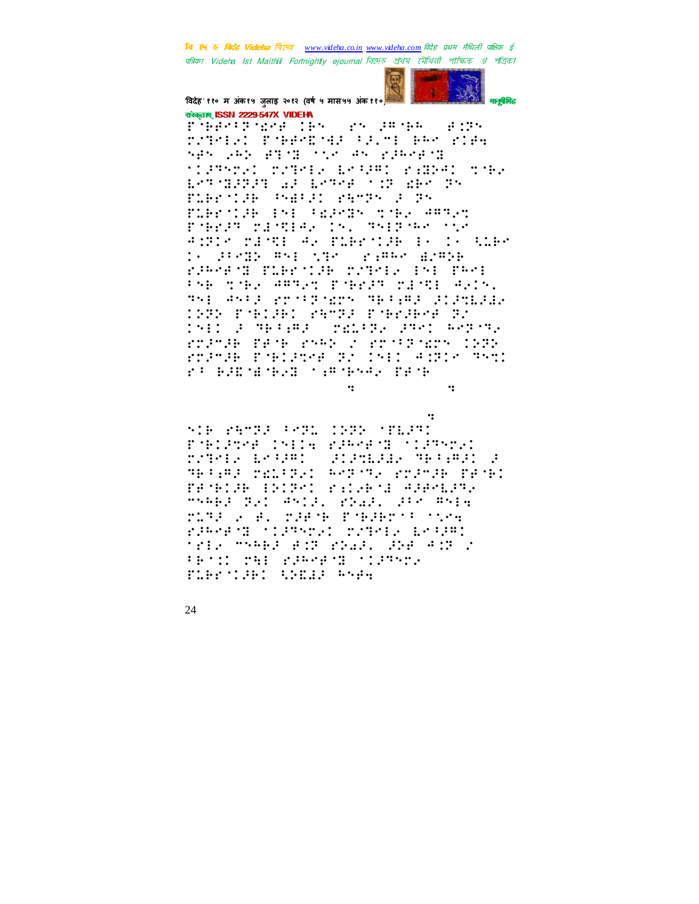

## विदेह' ११० म अंक१५ जुलाइ २०१२ (वर्ष ५ मास५५ अंक११०) संस्कृतम् ISSN 2229-547X VIDEHA

rhênirane (es as arab albr rateled pobeerings (glose bee ridh nen vap etit min an elanert SIPPOSI TATME EMPRIS PARAL TODA ESTARRE AR ESTSPANNIES EN PLEY COR (PARTIC PATTY OF TY TLESSIE IN SEPTE TOES ARTES PORTE TEMPERATION, SOFTING ONE ANTES PERTE AR PLEENIAE ES LS ALEM 19 20212 #51 512 21862 AS#26 kaske displayed as such as the special state of the second state of the second state of the second state of th Presidente appela portega del pastello al Col The Anis profinern Telese Statuely CAR PALAM PATRA PARAHAR RI THE FURNISHE TRANSPORTED AND THE roanak benk roma z romaanon 1999<br>roanak bintanye az 1911 gidaty avot ri barnenar nannsa, pene

 $\cdot:$ 

**SIR PRODUCED INC. 1989 (TELPY)** Poblace Chile Elevand (1995c) **SECOND SECTION** rathe break?  $\ddot{\cdot}$ TRIPLE MALITED ANTITE MULTIP TRIP PACHINE (PIPEL PALARCH ANACHNA mand for Anily Shall die Anim MIRE 2008, MEETH POBERTE TOOK ramers offered ready boam: tria model esportal. 256-438 d FRONT THE PLANEON COURSTS TIBE TIBI ANDIB ANGE

 $\dddot{\bullet}$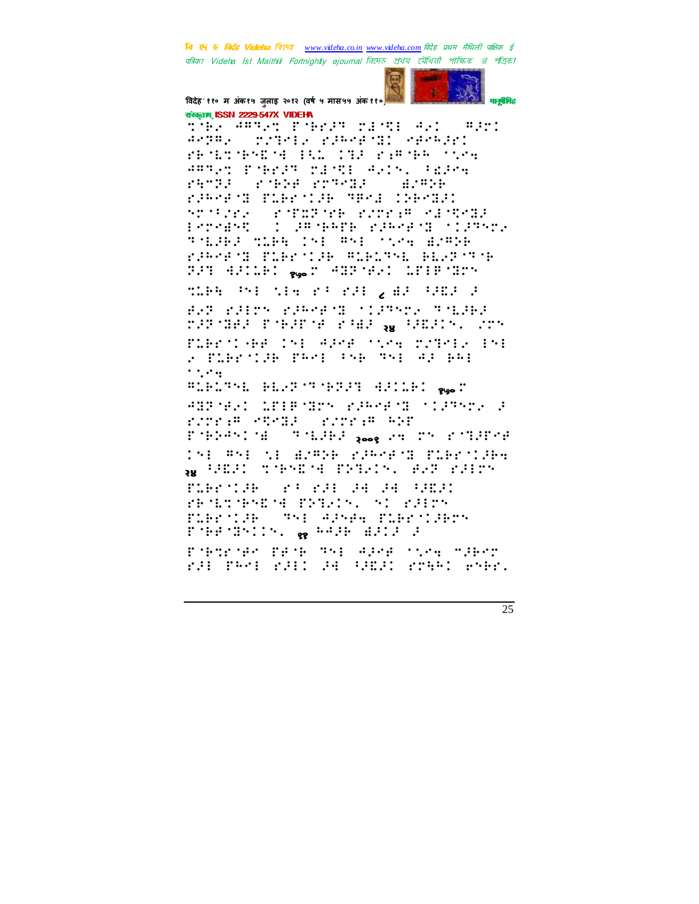

विदेह' ११० म अंक१५ जुलाइ २०१२ (वर्ष ५ मास५५ अंक११०) संस्कृतम् ISSN 2229-547X VIDEHA

the APPET PORT TEMP AND  $\cdots$   $\cdots$  $\mathbf{a} \cdot \mathbf{m}$ TITEL PARABOIL PAPRIEL PRODUCED HIS CHAIRS AND COMPARISON ARTES PORCH SECRETARY CREEK and the property of the set of the property of the property of the property of the property of the property of **SAMPLE STRAIN** a distritta in alternativa con la contecida della contecturawer fiertif med 1965. STORIE POTTERSE PATERNESSE Endreamed : PROPER PROPERTY STATE THERE WERE INFORMED TOOK BORNE rakers clerical minimal basers PAR AALLED <sub>Re</sub>c ARP Aus LEIP Rom

the service of childer three

BAR PAIRS PARABON STARSPA ROLANA TARAHA PARANG PARL<sub>OM</sub> HARIS, 275

FLEETIGE INE APMETIME PATMER ENE 2 PLEYISE PARE PAR THE 42 BAE  $\cdot$  ,  $\cdot$  .

**WELFALL BEAT THEFT SEEMS AND ALL PLACE** 

AND YEAR (LEEP NOW REAGENS (1975-19) FINER STATE STATES WHE

POPPERD MESS TOLLER goog and The POTREME 151 #51 SI AP#DR PJRPATH PLRPTIAR

pp HARRY TYPARYM PRIRING WRF PRIDY

TIRTUR TI MI AL AL IST PRODUCESEOR PRODUCT SI PRIPS PLAYIAN (SMI) APAR PLAYIANT FORECRYLIN, @ A42B B212 2

Portrolled Professor Area only a mirer rd: Per: rd: de (ded) rren: ener.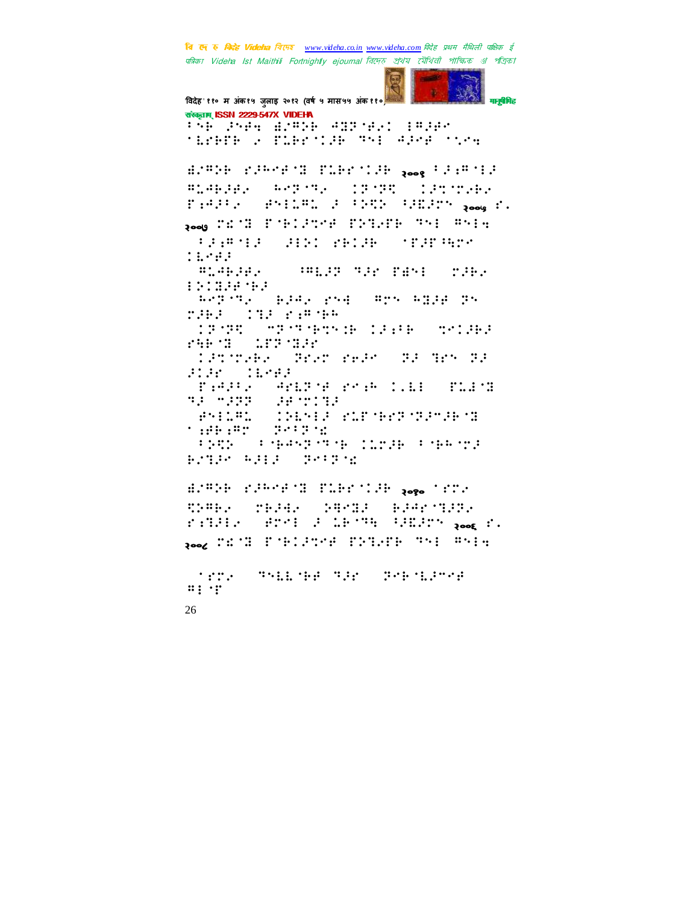विदेह' ११० म अंक१५ जुलाइ २०१२ (वर्ष ५ मास५५ अंक११०) मानवैमित संस्कृतम् ISSN 2229-547X VIDEHA têk paa groop goraal poper SEPHING PLAYSIA THE WIND STRE BOTH REPROTECTION Dee CEPTER BLANDER REPORT (2019) INTERN SPRIDED FOR SHEET Read P.  $P_1, P_2, P_3, P_4$ pool Frit Policie Prising This Wall **ARABAR AND ANDRE AND ARAB** ties:  $\mathbf{u}$  ,  $\mathbf{u}$  ,  $\mathbf{u}$  ,  $\mathbf{u}$  ,  $\mathbf{u}$ **THERE THE PART PRIME** 100338083 (683-72) BEAR PAR (825-6328-35 **280 CB 2896**  $13.777$ **MEMPHALE CAPE CAMER** LEP (BB) rab di S TRITAGE BEET PART JE TER IS STOP (11993) THERE AND RESERVE TO BE TO FURTH na mada aan dal SANG CHAR<br>Sanggun Sang **MAIL MAINSTRAPS SERRO PERSPITE COMPLETENTS** BINDS WHEN SPIRE ENTER PARTE TO FIRE TOP DOOR TITLE there there became hearting. rille ard a brown where  $\frac{1}{2}$ pook FEAR FARLENCE FRINTE THE BREE **TETA TREEMED TEN TREMEMBER**  $:::$   $"$ 26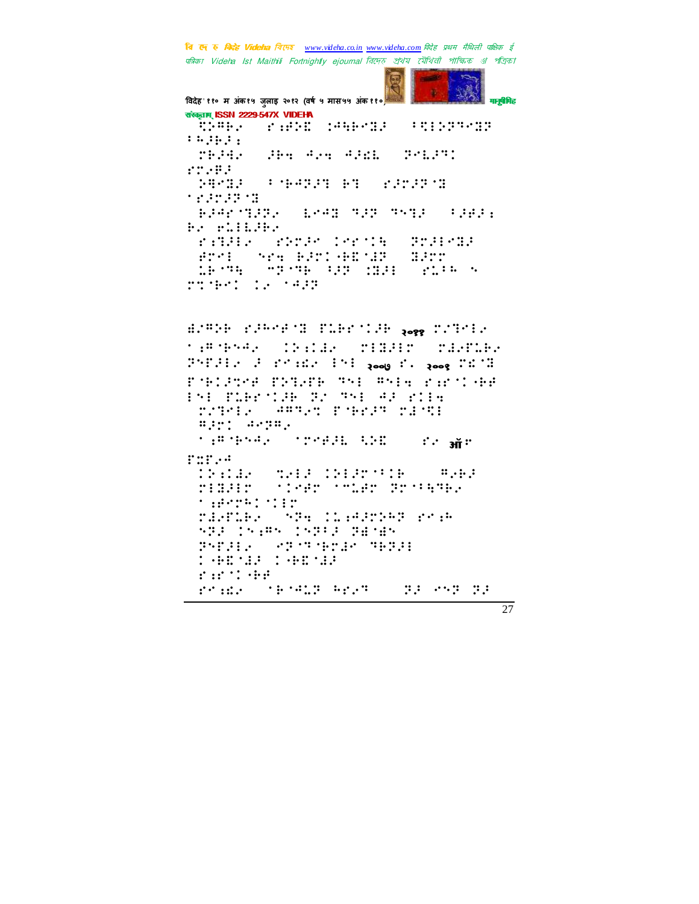विदेह'११० म अंक१५ जुलाइ २०१२ (वर्ष ५ मास५५ अंक११० मानुबैमिह संस्कृतम् ISSN 2229-547X VIDEHA Fringer rang papens suppremp  $: 4.44.4.4.4$ rhid. Jhe Ase Ald. Trijrt **STARP CHANGE : 1 (BAPSE) BY CONSISTS** 19191313 BRANCHE BRANCHE THE THE SEARCH by plinding **SERVICE SERVICE BOSE CRE**  $\therefore$  :  $\therefore$  :  $\therefore$ durm. STAR SERVICE SERVICE LESTE STORE OF MILE SLOW **PROPERTY OF STREET** 

BORDE PLACE OF FLEETING 1888 POTCLE tambre, Cilla Miller Mienie POPPER FOR HER PORT 2008 PLAYS PECH POBLEMA PROGRE THE THEE PAPER OF 151 Plendae an ann aannie.<br>Tonann Taaan bekaar often **BEFINDER SAPPARE STARK WILL**  $\cdots$   $\cdots$   $\cdots$ rnr.4 Dentale of **THE CHIPMEN**  $\ldots$ ridit (The Coler Decision **TERPRITIE START CONSTRUCTION** rdafter APP TAGES TAPPE PENES PATH: APAPALE BEEH **CHEMIN CHEMIS** Particular  $13.1413 - 47.23$  $\mathcal{L}^{(1)}$  and  $\mathcal{L}^{(2)}$ 22 852 23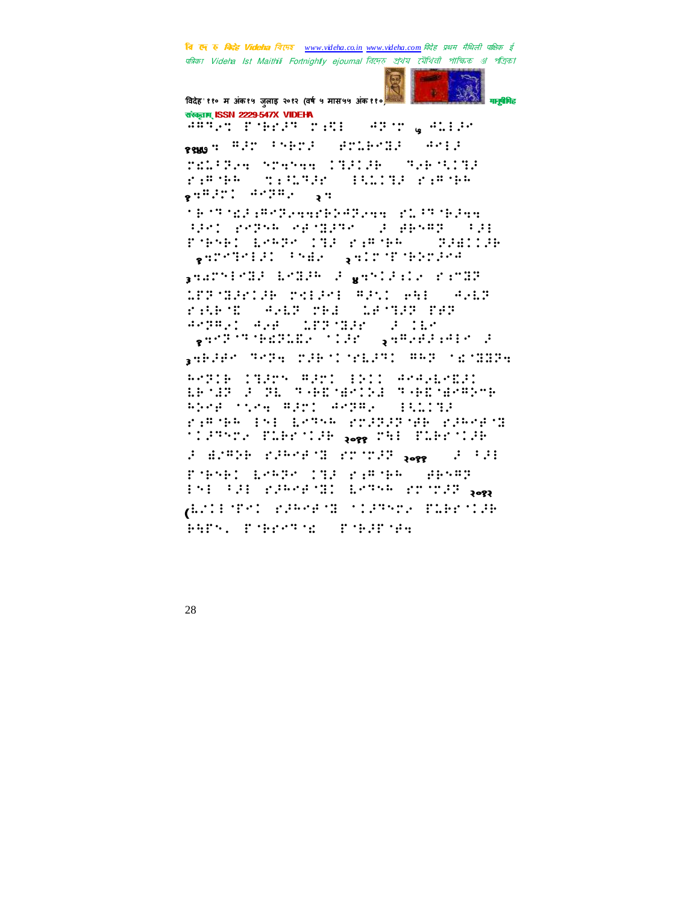

विदेह' ११० म अंक१५ जुलाइ २०१२ (वर्ष ५ मास५५ अंक११०) संस्कृतम् ISSN 2229-547X VIDEHA

**ABSAN E-BEAR PARE - APSP & ALEAS ROMO : FAR PARTA - PRIPARE - PARTA** 

PELERAN SPASAN (TRIPE) TARSET Finds tille **BELIEF PARTHE**  $\frac{1}{2}$   $\frac{1}{2}$   $\frac{1}{2}$   $\frac{1}{2}$   $\frac{1}{2}$   $\frac{1}{2}$   $\frac{1}{2}$   $\frac{1}{2}$   $\frac{1}{2}$   $\frac{1}{2}$   $\frac{1}{2}$   $\frac{1}{2}$   $\frac{1}{2}$   $\frac{1}{2}$   $\frac{1}{2}$   $\frac{1}{2}$   $\frac{1}{2}$   $\frac{1}{2}$   $\frac{1}{2}$   $\frac{1}{2}$   $\frac{1}{2}$   $\frac{1}{2}$ 

**TEMPAREMORAGERMENT COMPRES** APROVERSE PERSONAL PUBBBB (APP FORGET LARGE TOL FIRST PARTIES  $\frac{1}{2}\left\{2\left(2\right)^{2}\left(2\right)^{2}\left(2\right)^{2}\right\}-\frac{1}{2}\left\{2\left(2\right)^{2}\left(2\right)^{2}\left(2\right)^{2}\right\}+\frac{1}{2}\left\{2\left(2\right)^{2}\left(2\right)^{2}\left(2\right)^{2}\right\}-\frac{1}{2}\left\{2\left(2\right)^{2}\left(2\right)^{2}\right\}-\frac{1}{2}\left\{2\left(2\right)^{2}\left(2\right)^{2}\right\}-\frac{1}{2}\left\{2\left(2\right)^{2}\left(2\right)^{$ 

gearnings brown a genialis rimor

LPP MARIAR TREAM WALL WHEN WALD rales (elle sel designe se)<br>Angel en dersen (elle **André Gerell (1920), Anglicai**n d

**WHERE THE MEETINGS TO THE SECTION** 

Report Chart Raro Baco Aegusta Brun Full Technical Technical ANGEL 1504 BENT BRIBEL (15113) rathe in Lord rolling an electron **SIGHAMA PLEOSCOP Rogg PHE PLEOSCOP** 3 BORDE PORCHOL PT TOP DOR 2 3 301 rden begannte ræde deer PSE PRE PRESENTED ESTABLISTICATION ALCOHOL: PARCHOL COAPSPACEDABLYOUR PRES. PORTON PORTON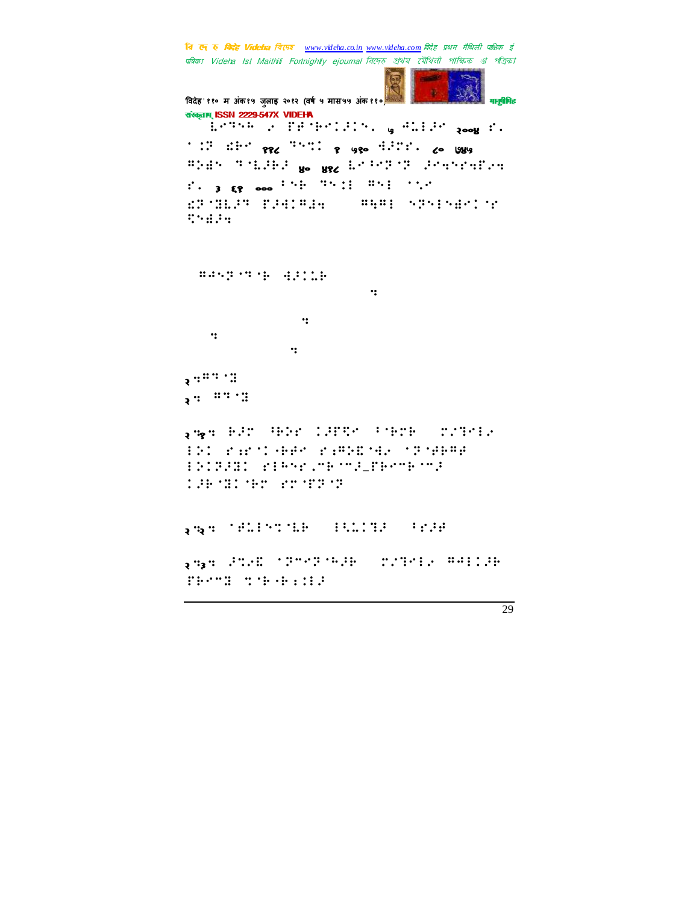```
विदेह' ११० म अंक१५ जुलाइ २०१२ (वर्ष ५ मास५५ अंक ११०) मानुसारी मानुसीमेह
संस्कृतम् ISSN 2229-547X VIDEHA
      )!⣇⢹⢳!⢴!'⢾ ⢷⢼Z!५ ⢺⣅⢼!२००४ "Z!
\frac{1}{2} : \frac{1}{2} \frac{1}{2} \frac{1}{2} \frac{1}{2} \frac{1}{2} \frac{1}{2} \frac{1}{2} \frac{1}{2} \frac{1}{2} \frac{1}{2} \frac{1}{2} \frac{1}{2} \frac{1}{2} \frac{1}{2} \frac{1}{2} \frac{1}{2} \frac{1}{2} \frac{1}{2} \frac{1}{2} \frac{1}{2} \frac{1}{2}PHOTO TALLED WO WAS LITTLE TO DISTURBED
"Z!३ ६१ ००० 7⢷!⢹⣈!⢻!⣁<!
⣎⢽ ⣝⣇⢼⢹!'⢼⣚⢻⣜⣒!.!⢻⣓⢻!⢽⣞ "!
⣋⣞⢼⣒!*!
   !⢻⢺⢽ ⢹ ⢷!⣚⢼⣅⢷!
hekawiefiburuh dipakan di kawiefiburuh dipakan di kawiefiburuh di kawiefiburuh di kawiefiburuh di kawiefiburuh<br>Awiefiburuh di kawiefiburuh di kawiefiburuh di kawiefiburuh di kawiefiburuh di kawiefiburuh di kawiefiburuh di
iuuq;00xxx⣒nbjuijmjmflibltbo
high control of the control of the control of the control of the control of the control of the control of the control of the control of the control of the control of the control of the control of the control of the control
\frac{48}{4}2^{\cdot 2} \cdot \cdot \cdot \cdot \cdot \cdot२: ""' ॥
२⣒१⣒!⢷⢼!⢸⢷⢵"!⢼'⣋!⢸ ⢷⢷.!#⣙⢴!
⢵!"⣐" 0⢷⢾!"⣐⢻⢵⣏ ⣚⢴!⢽ ⢾⢷⢻⢾!
⢵⢽⢼⣝!"⢳"⣀5⢷ 5⢼–'⢷5⢷ 5⢼!
⢼⢷ ⣝ ⢷!" '⢽ ⢽!!
२⣒२⣒!⢾⣅⣉ ⣇⢷.!⣃⣅⣙⢼.!7"⢼⢾!!
२७३º अधिकारी का सामान्य संस्था अधिकारिक अधिकारिक अधिकारिक अधिकारिक अधिकारिक अधिकारिक अधिकारिक अधिकारिक अधिकारि<br>पुरस्कारिक अधिकारिक अधिकारिक अधिकारिक अधिकारिक अधिकारिक अधिकारिक अधिकारिक अधिकारिक अधिकारिक अधिकारिक अधिकारिक
TE-73 THE-FILE
```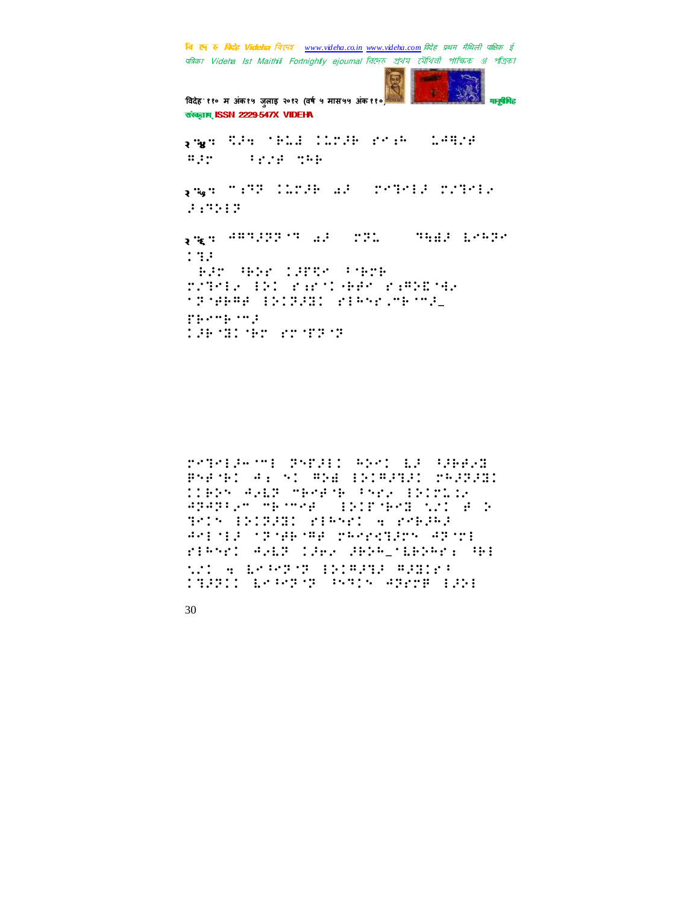वि एक रु मिनेह Videha विएम्ब www.videha.co.in www.videha.com विदेह प्रथम मैथिली पाक्षिक ई पत्रिका Videha Ist Maithili Fortnightly ejournal त्रित्मरु अथेय त्यैथिती পाश्किक अं পত্রিকা

विदेह' ११० म अंक१५ जुलाइ २०१२ (वर्ष ५ मास५५ अंक११० मानुबेमिह संस्कृतम् ISSN 2229-547X VIDEHA

gage SPA (PLE CLTPH Prim ) LABYE Bir (Prim 1994) gage mann libre as control briefs  $3.73337$ **ANGLE ARTIFICATE ALE CORD. IN THEIR BARDA**  $133$ BR WENTHER STRE rzinia ili firitani en ragoria **TRIANG INTERNATIONAL**  $\mathbb{P}(\mathbb{H}^{n+1},\mathbb{H}^{n})$ **CONSTRUCTION** 

TATALLA ME TATJE: ADAI EJ PJEFUJ Preset along mpacification respond DIERS ARES MEMBRE FARR ERICLIP apaprovi Permee, sibir med sol se b TOIN INIPERD PIRNED A PORPRE Animal Sandbrag pennelsen Aanni riber: Agla Cara abbb\_slbbbr: 981 WI A BRACK HEIGHT SANDER **THEID ESPECT PRIS REPORTED**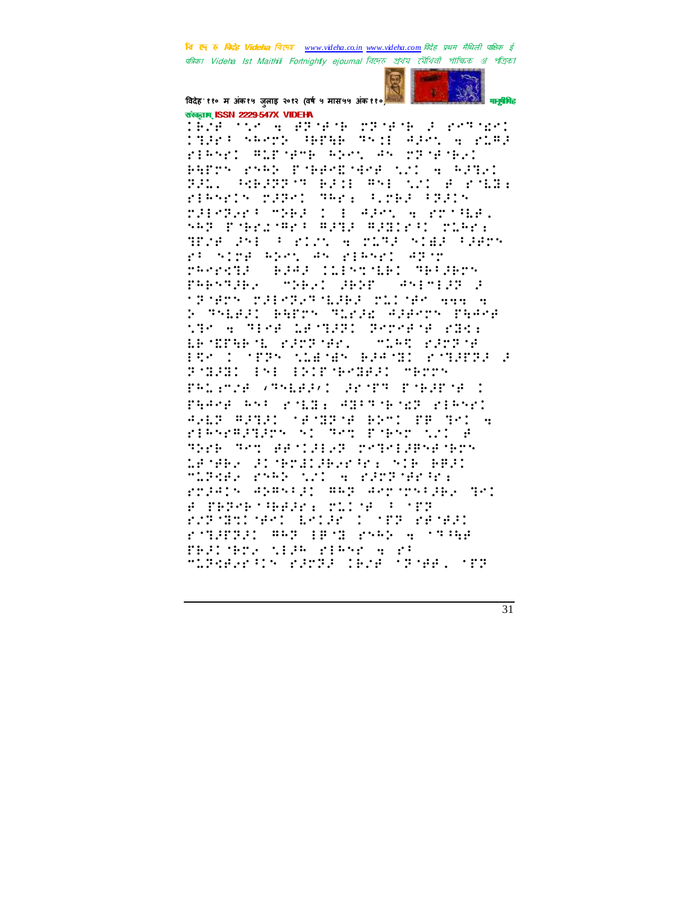

विदेह' ११० म अंक१५ जुलाइ २०१२ (वर्ष ५ मास५५ अंक११०) संस्कृतम् ISSN 2229-547X VIDEHA

IÊZÊ MIR A AZMANA MZHANA JARMINANI 1936: Skept Genee Skip Aden a sned riesri Alberg also, as proporti PATTS PSPD FORPSTAPE NOI A PATRI BELL REFERENT BELL AND NEW PORCH riesnis padei deri funka folis MERTHER MARK I E APRILA ROCHER. SAP PORCHER WEB WEBER COAC. WERE SHELL FORMS A BLASH SIGN FRAME rt sine when as riwer aren't recons ases colerally delays papergay space days website **SPORTS TRESPARED PLOTES AND A** P THEAT BATTY TEMPE APPROV TAARB the A Mies Landshi Peresna dhe. LE MORE ME SAMPARE, COMIER SAMPAR ERA I MERA MIGNERAMEN BARRER B BARRI INI ISIDAREKI MEDN BROWN SHEET BROWN BOOK PARKE AND STEEL ABOUT HIGH SIANS! AGER ARTEI SASTERIA BROI ER TRI.<br>BIBSBARIERS SI TRI ESBSPONDI B The Tet BENINGT retelling the LA MARY (AI MAMILIARY AM) (MIA) ABAI MIRGER RAPP NOT A REPROBLEMENT rradis andsid: Hap arrivedan gro a mengerakan pila <sup>i</sup> 'ne rature and break of the reter r THILL WAR IF THE RANGE STAR THIS YES SEEM FEART A PP minded the difficilities of held off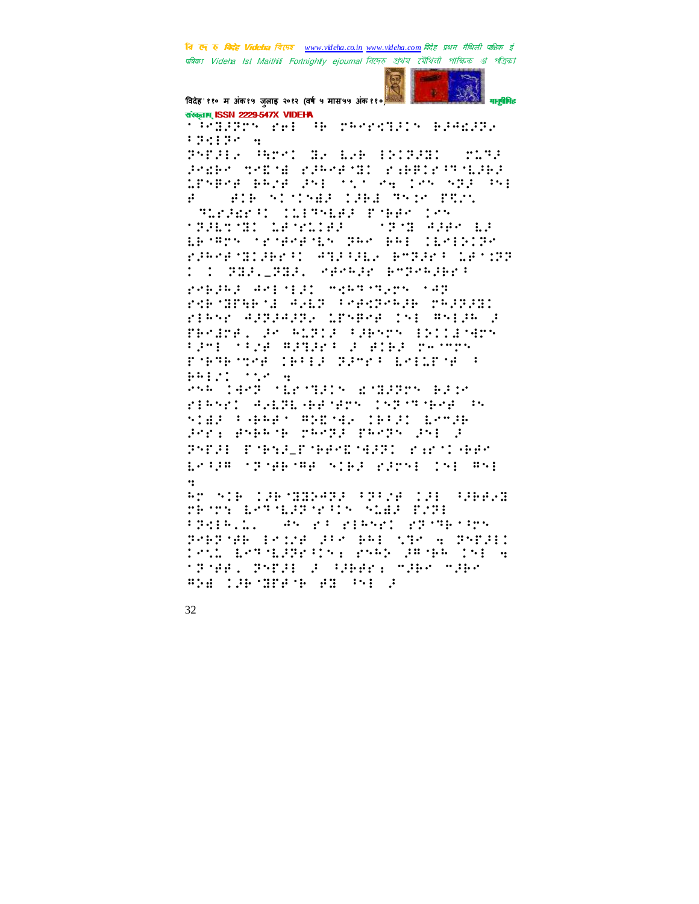

विदेह' ११० म अंक१५ जुलाइ २०१२ (वर्ष ५ मास५५ अंक११०) संस्कृतम् ISSN 2229-547X VIDEHA

**TREPPO PHI RE PROPERTY BIRDER** 134130 4

PAPPER SHOWN HR ERB EDIPPHI Probe troping offerent: capaconnicate LPARAR BAJE 25: TOT PE CRN SPR PS: **SELE SIMPARTIRE TRIM PEM**  $\mathbf{H}$ 

**TECHNICALISED PARK INS TERMINAL ARTICLES**  $\begin{minipage}{.4\linewidth} \begin{tabular}{l} \hline \multicolumn{1}{c}{\textbf{0.1}} \multicolumn{1}{c}{\textbf{0.1}} \end{tabular} \end{minipage} \begin{minipage}{.4\linewidth} \begin{tabular}{l} \hline \multicolumn{1}{c}{\textbf{0.1}} \end{tabular} \end{minipage} \begin{minipage}{.4\linewidth} \begin{tabular}{l} \hline \multicolumn{1}{c}{\textbf{0.1}} \end{tabular} \end{minipage} \begin{minipage}{.4\linewidth} \begin{tabular}{l} \hline \multicolumn{1}{c}{\textbf{0.1}} \end{tab$ ERSTON SESPECIES PRO RRE CENEDIPO rameroniaren againe rogari detog **CONSTRUCTION COMMONS BETWEENST** 

replace and diff shows have cap rde dree datum and and the regram ribsr administr create (si mello d PROBEL AO ALBIA FARSON INITESES Pani niza Adquer a alba zennzh rdementer (efte penne betirné e particle of a

ena jaro (britaln pidaor) Bale rienri Albachernen (nachernen) STAR PAPPY REDMAN TRAFT BRM2B Pres Preside cardo paro Para C SMORT PARTICULARIS SENTIFIC England the sale will have the state and  $\ddot{\cdot}$ .

52 516 136 531-632 53516 136 53665 TECTS ESTALLENTIN NEWS FILE FREELL, AN PROPERTY PROPERTY Preside from Stroed Christian Street Sol Lotherston real Peter Islam 'P'AR. PYDE 2 GRAPE "SAR "SA" ma de mare en pa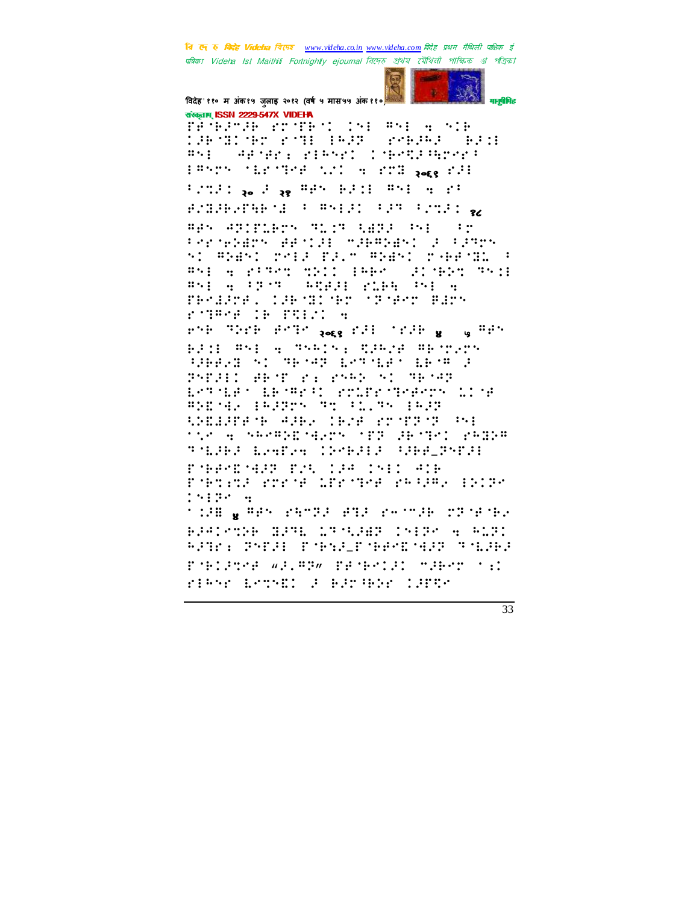

विदेह' ११० म अंक१५ जुलाइ २०१२ (वर्ष ५ मास५५ अंक११०) संस्कृतम् ISSN 2229-547X VIDEHA

PEGRAMA PROPEND INFORM ACNIE **THE MICHAEL PORT (PORT) PARTICULAR PROPERTY SAPARE PIRADO CARAGAMENTA**  $\mathbf{a} \cdot \mathbf{b}$ PRODUCED THE SALE ROOM ROLL FOR SALE Fundi <sub>Re</sub> d'<sub>88</sub> mén dudi mni Secol RANGERSHEAD (FORM) FROM PANIS & Bes Apirubrs Muin Addi (S)  $\dddot{\mathbf{z}}$ Promoters efficit manager a famos SI ANGSI PRIP PALE ANGSI PANASIN'A #51 4 PRPH MAIL IPPS (PLMAN PSH #51 A FROM (ARAFI PLDA PSI)A resarre, capsalar STASr Bars **ROBERT CONTROLLER** when there and notes the condition of which BESE WHEN STARTED REPORT WESTERN Gaalam Ar Smeed Explere eesti PAPER ART PE PARK AT TRAP Letter (LETRE) collectednes lite BEDGE HARRY TT BLITE HARR CONSIDER AND CENT STORE TO BE the a seembrages from Henri perce

TALBE LATA INDEE BRENCH

Pobside conce largered regard incred

n 128 g Adri eange agus eachda choanach. 8341-7128 NJMA 1771387 17817 4 NJM RATE: PAPAI PANGELARAN MANGARA POBLEME WALREN PROBACIL MERCY OLD

rogen as ho ca car an

riber Lenem (F. Bangbar (APR)

 $1.5139 - 9$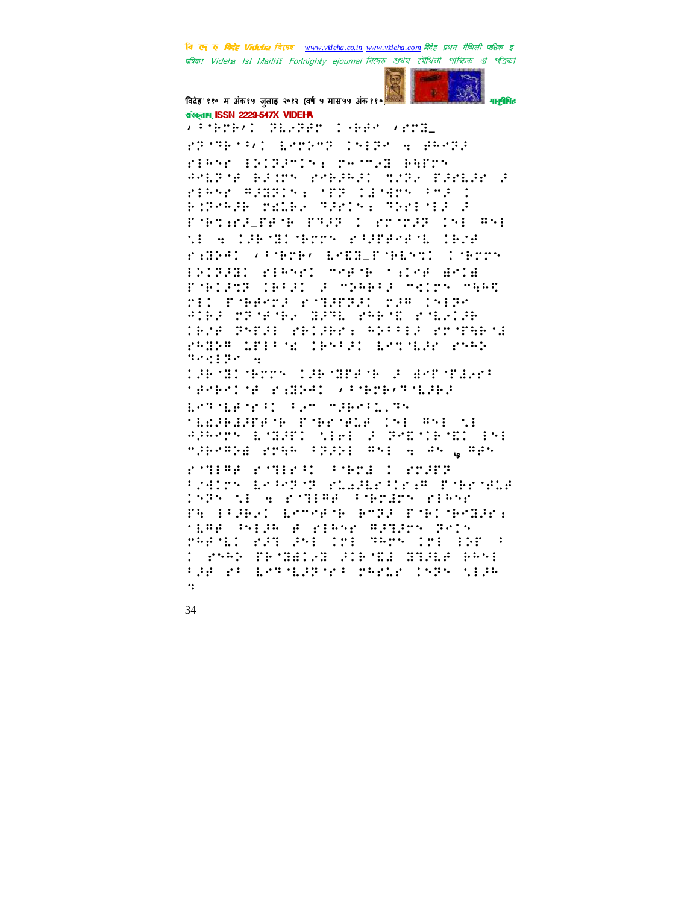

विदेह' ११० म अंक१५ जुलाइ २०१२ (वर्ष ५ मास५५ अंक११०) संस्कृतम् ISSN 2229-547X VIDEHA

*Video Constantino Video* FROM THE SALE REPORT OF PROPERTY ribbr iblaanib: rechai berrb AMERINA BETWY PMBJAJE MINE PJPEJP J rienr Albein: Med Canarn (Mac) BIP-HE MELBY THOSE THIS IS A FORTHERN PRESS INFORMATION WAS ti a Cabrolinero esargegio larg ranks: Vanere, Lond\_Phenon (nerro BRIBUEL PERSON SYRNE SALVE WYLW PORTAGE THERE I MANHER MATCH MANG MIC PORPOR ROBBERI MAR 19180 Alba 23 yankin Alba 200 ya Marejeo TEZA SYBJE PRIJEPA PRIJEJ PROBEOG PARPA LEFT RESERVED ESTADE PARP  $394139 - 4$ 

<u> 1967I: Serry (1967II: Serve Bylander</u> **MARKINE POSSESS (PROB)PROBLEM** 

ERN HERRY IS COMPOSED TO **MEDERATE TO POSTED IN THE NE** APROVA ESSETI SIPE 2 POSSIBSE (19) mjerova rred (1915) ost 4 dr <sub>6</sub> opr

FOREST PORT PERMIT FRAME Pretry branding roughratered prerighted 1575 ME A POTERE PORTER PERSP FR BRANK LOOPENE PORT FOR NECERT time ships a pishe mpiper prin PREMIUL PAR AND IPE MAPS IPE EPE  $\ddot{\phantom{1}}$ **TANK PROBLEM CONSOLERED BRAD** FOR PRODUCTION TO THE CONTROLLER  $\cdot$ :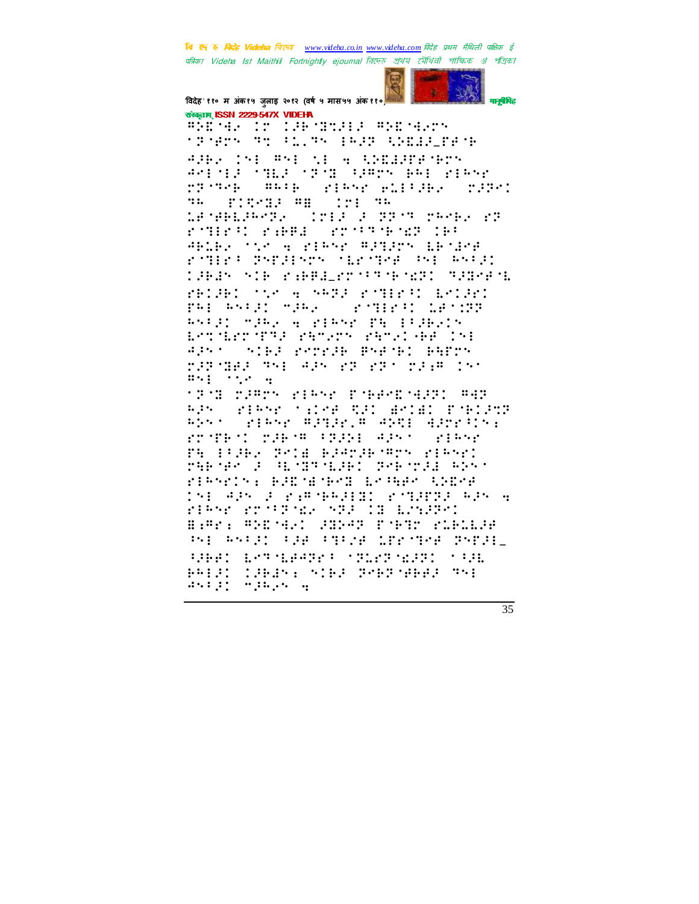

विदेह' ११० म अंक१५ जुलाइ २०१२ (वर्ष ५ मास५५ अंक११०) संस्कृतम् ISSN 2229-547X VIDEHA

#SENGE IS ISBNESSIE #SENGER **SPRESS TO RETAIN BASE REGISTERS** APROVING AND ME A SPEEPENDY Aring the the sponsor and had ready rrows were speer wither ribe: **WE REVIEW THE**  $\cdots$ LA MARIAMENTO COLA LA JAPIT CAMAN VI rinen ræd (rritiker 18) WELF, the a right written intrerilro Pender (Lried Globen) **CONSTRUCTIONS** CONTROL SERVER PRIGHT TO A THREE POTERED EMIRI PRESENTED MARKS SEMIENT LANDR PSIED MARK A VIRSE PROFIBUTS Entitler (PR) samery samel (BB) 151 APROVINCES PROPER BRANEL BADOR radinaa meessaae ed edis raam ter  $\mathbb{R}^{n}$  :  $\mathbb{R}^{n}$  :  $\mathbb{R}^{n}$  :  $\mathbb{R}^{n}$ **TRIN TRATH PERSON PIRADE SERI ART** the street where the second streams **MIRSE RATAGE AND AASSANS:**  $\mathbb{Z}^n_1$  ,  $\mathbb{Z}^n$  ,  $\mathbb{Z}^n_2$ rought of the County Arts and Contest PROFILES POINTEDNESS OFFSET

MARTER STATES IN THE MOST SERVICE PIRMINE BADMENT LOREO SADOR 151 APS 2 PARTHAINI PTIPPP APS 4 rithe rooffer all and in Economic B.Pri PROSIN SOMP PYPO KIBIBA PHORNIX RECREATED AND THE THIRD SPEED EPT EACH PART SERVER PROFILE 85121 12635: 5162 2062-0862 751<br>95121 72625 9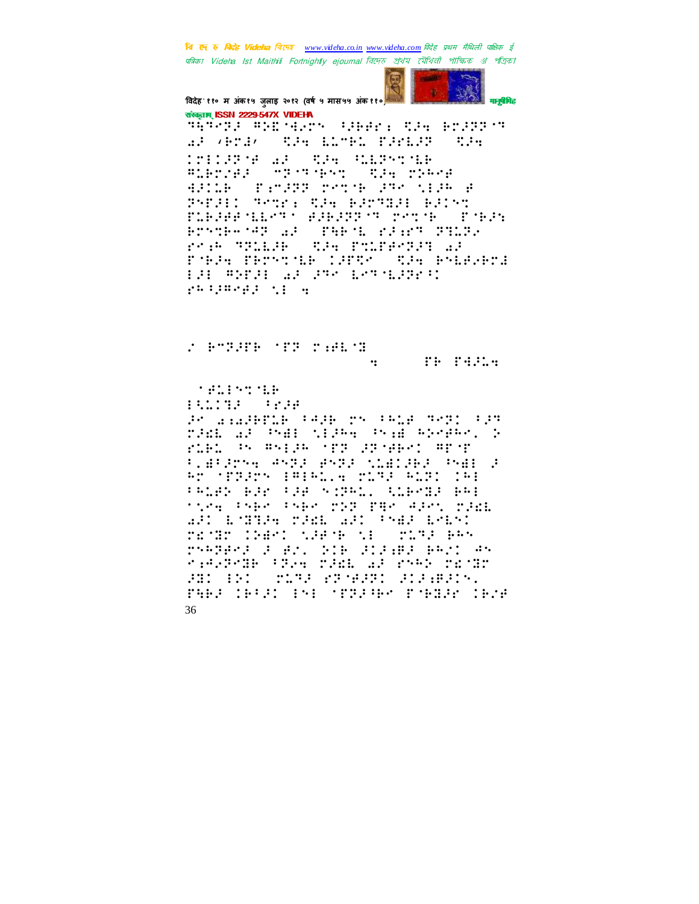

विदेह' ११० म अंक१५ जुलाइ २०१२ (वर्ष ५ मास५५ अंक११०) संस्कृतम् ISSN 2229-547X VIDEHA

SASYA ASEMBAY (PAPE) SPA BYPP'S ad verdy (Sig Mond Pickler) Sig **COLORER AF SEAR SERVICE WILDENS STATES Side pines** ARILE TEMPP MANIFICAN CREATE SYDD: Temps Dig BirTHIE Bilter FLEJEFILMIN EJEJPIN POTT (FORJ) Processer al Tabol right Thur. reak MALLAR (ASA PALPROSAN LA FORDH PROSCORR COPER (SDA RSEDDECA <u> 10 SPP: AL SS CHA LASTERI</u> ga quega que e

**A PARTH MER MARKER September 1999**  $\mathbf{H}$  and  $\mathbf{H}$ 

**MANUFACTURE** 

PO BRANCH CAN TO CAN STILL ran af hal viam, han megme, b ribl & sales are produced space t.gt/rng 4592 8592 Midl9B2 9581 2 Ar (PREP) PREALA PLAP ALAM TAP **TALES BEN FEB SIDNE, RIBSON BAB** ting the the six second art sam AT L'ORA TAL AT PAR L'OR randr (Mar) ward (B. 1829) aw rnegen a er. 216 alaea eer. An KARSPOR (PRAK TANK AF PAPE TEST FOR THE CONTROL STORES SERVICE. THE CHISO IN TITLER TYPER CROP  $36$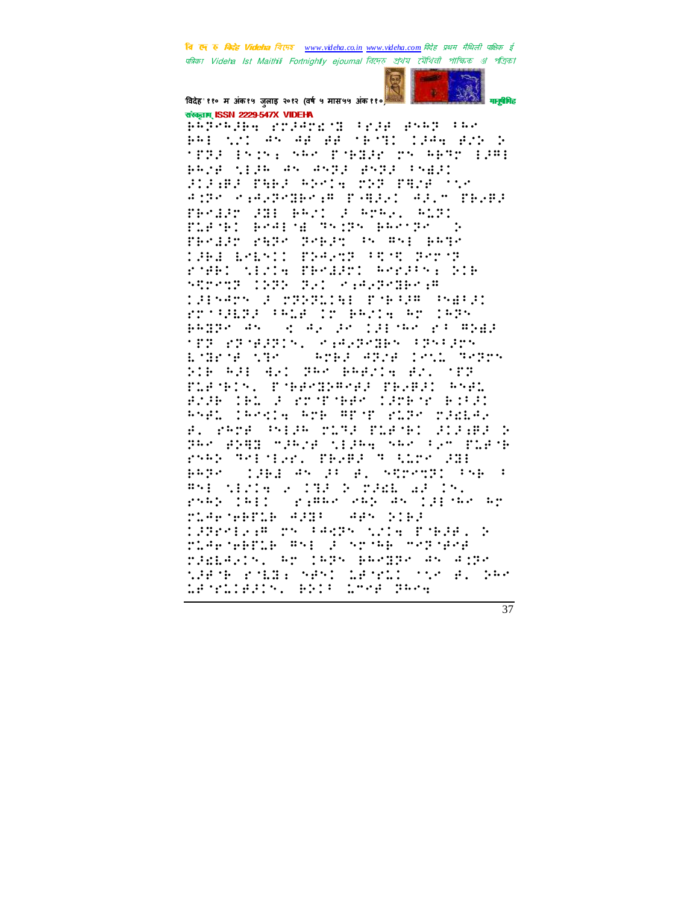

विदेह' ११० म अंक१५ जुलाइ २०१२ (वर्ष ५ मास५५ अंक११०) संस्कृतम् ISSN 2229-547X VIDEHA

PROGRAM STARTING PEAR AGAP PRODUCT MPPE ENDER NAM POBBER ON ABAD EPAE PRIE SIJR AN ANGU PNGU PNEU SCARD PART RESEARCH PROFINS ANTE PARAGEMENT PARAI ARIS PRAPR PROBRE 201 BROT 3 RORAL ROOT FLAND: Bradna Stript Barngro PROBRE PARO ROBET IN WAI BATE **CHA LEAT TRAPT FOR TEST T** rode: Siche Pergan: Arrache Sie STRATISTIC TO STATISTIC **CHAPA F MIRIGH PAGE PARIS** Prishkas (Ale Tribuil Ar 1625) PROPE AND SECRETARY IN THE MACHINESE TER PROPERTY, PAPPPRENT PROPER ESTES STATES **SAMPLE ARMA CHILL REPRO** FIR RAD HAI TRA BREATH BOL TET FLAMELY, PORPORAGE PROBED AND. BISH CHI 3 ROOM MAR COOK Y BOYS RNAL (RKVIA RTB APT) MIRK TABLAR A. Phra Phila rusi Muano Silawa S PRO BINE MARIN SEARN SRO PIC PLACE PARTNER TERRIT KIP DI PRPS (1961-45-9) P. Australian and thria 2013, hordel ad in.<br>Pharoidel of Passe 24, an 1913, ar rige werde gine også bie 19801295 MY PAMPY NOG POBBL 2 rigenerie and a none modifice ramesis, ar iags pasque as agus takok eogal skol 1931 (j. 112 g.) pez<br>1931:9415, Brit 1939 (pez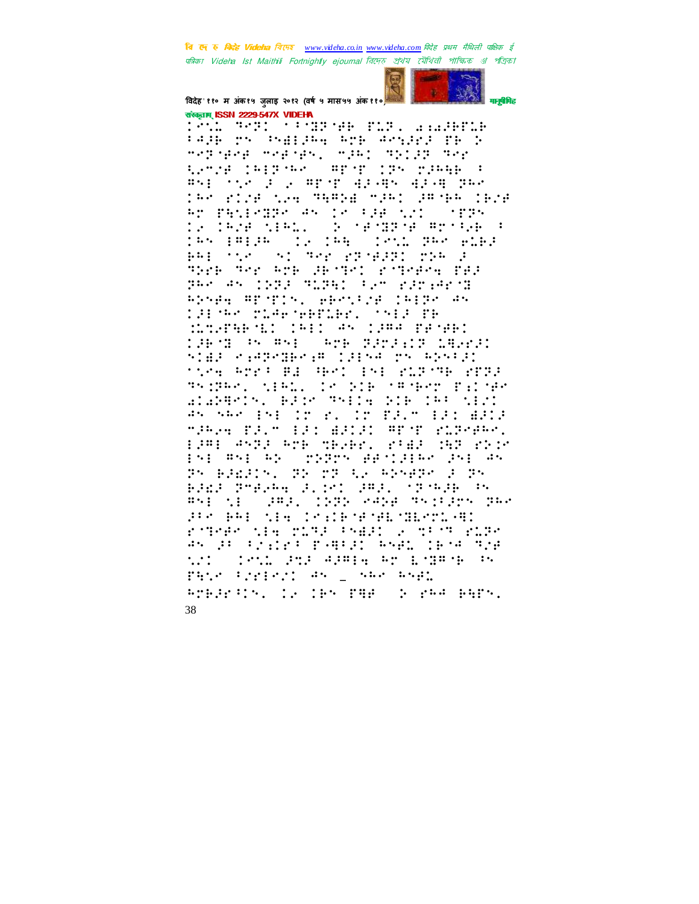

विदेह' ११० म अंक१५ जुलाइ २०१२ (वर्ष ५ मास५५ अंक११०) संस्कृतम् ISSN 2229-547X VIDEHA

<u> 10. mm - mm en fill augus</u> PARE THE PHEERE RTP ANNERS TREE medinara meanark, miaal dibilid der 52528 1912-98 ( #P T 125 23948 ) British and British Albert Albert Ber TAK KINA NGA MAADA MJAI JAMAA IANA RE PROPERT AN INTERFECT TERM DA 1620 XIAN. SA SASARSA Arsiak (<br>165 IAI2A - 12 IAN - 155N 265 ANDA PRI TOT SI THE PROPERTY PARTY. The Ter Are defined ringers for PRO AN CORE MIRE: Con SirvAri Absen Ardio, ebside inde as 1987 - San Sales Andrews, 1989 - Pr MOVEMENT CHILDRY CHAR BENER 19678 Promote Seph Baragis Lewis SIEP KAPKBEKAR 1915A MS ROSEPI tion and Ed Hero Information offic Thomas, Manil (2016) (Fight Palo WIWPHIN, BASH THEIR DIB IP: MEDI as say par in r. In malm bai aala manung paun dari masar menghungkan d EPRE ANTE AMB MBSBK. KRAE MAT KNIK Per service Created Andrame Der ad PS BREATS, PROTECTAR ADSERS 2025 BASA (Prezho al Mical Anal) (1975-96)<br>Ani: 11 - Anal (1995-9956) (1976-1989) (Pre **JURISHE NEW CRYPTHING MERTING** righer the roge (seed ) with roge as de ezivet paper espo lese mud **CONSIGNS APPEALMENT DATE**  $\cdot \cdot \cdot$ Patr Preferi As \_ sar asem RTERNING IS IRN THE COURSE BATN. 38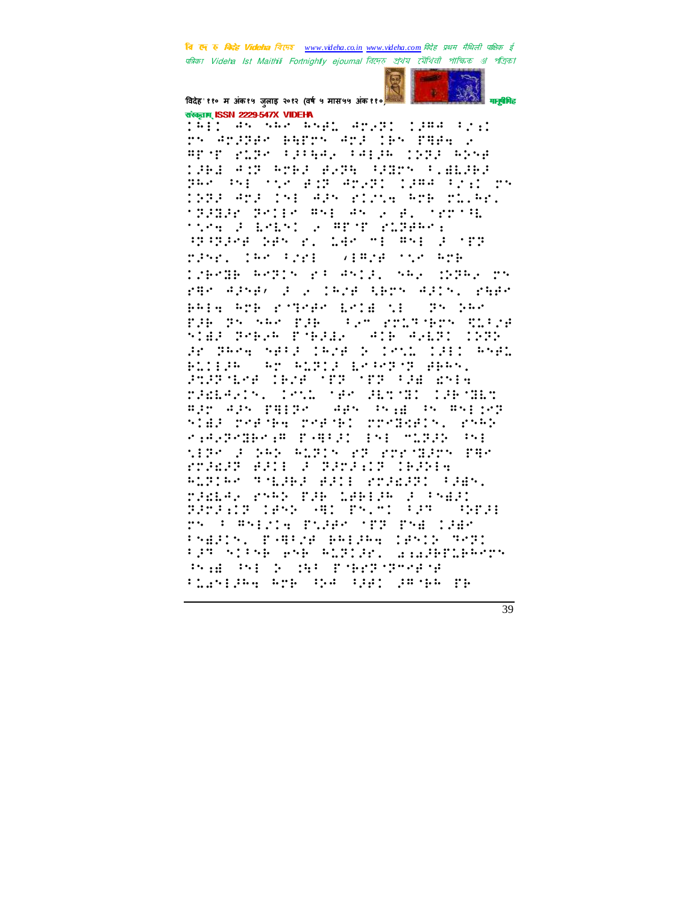

विदेह' ११० म अंक१५ जुलाइ २०१२ (वर्ष ५ मास५५ अंक११०) संस्कृतम् ISSN 2229-547X VIDEHA

16:1 45 565 6581 42.91 1284 F2:1 rs arguar agres arg tas rugg p AP Y RIP (PRAG (AB)A 1998 ASA MAR 419 AMAR BASA (SSM) (LALIA) PRO PHOTOGRAPH ANARU CARA PIEC NY 1983 And 198 Adm Elrie And Tiles **STEEP TOIR THE THE PEACHER TOM FIRENT PRINT REPRO** 323234 285 P. 185 ME #58 2 MTB TERR THA PERIO  $\sqrt{1974}$  (10)  $\sqrt{1974}$ DZBAWB ARTIN KA ANIJU NAZ (27AZ KN rge alse, li volkre ters allsk, reek  $\mathbb{R}^{n}$  . The pairs PRIN ROB STREET ESTE SI EPP PS SPO EPP (Firm and three Suffici STAR SHERB PARAR (ATE ARADI ISSS ar Bene neta lere 2 lini 1911 enel Billes ar anni heartail POSTAGE CROB TER TER FOR WHE rameans, now we amount napome Bar Aas PRIP (Aas Polk Polker) 20 SIEP TRESPACTRESS TTREECHISCHES **PARTMERSH PRESS ENE MIDDE MA** tire a par abrit er erediget fre FTHUR BILL I THEIT INDIA RITIRA TALGEZ BJID POZEZTI FJEN. rada, ryk fak dakia a tydi sana disebutakan berjadi pendapat pada bagian rn (Fomeirig Piger off Ped 1988) Prestr. Papire Balgag (Brit 702) FPP SIRE FSE RITIE, SANHTIFROTS Pred Prick de Pobracane Plandfing Arb (DA (DA) 2019-00-38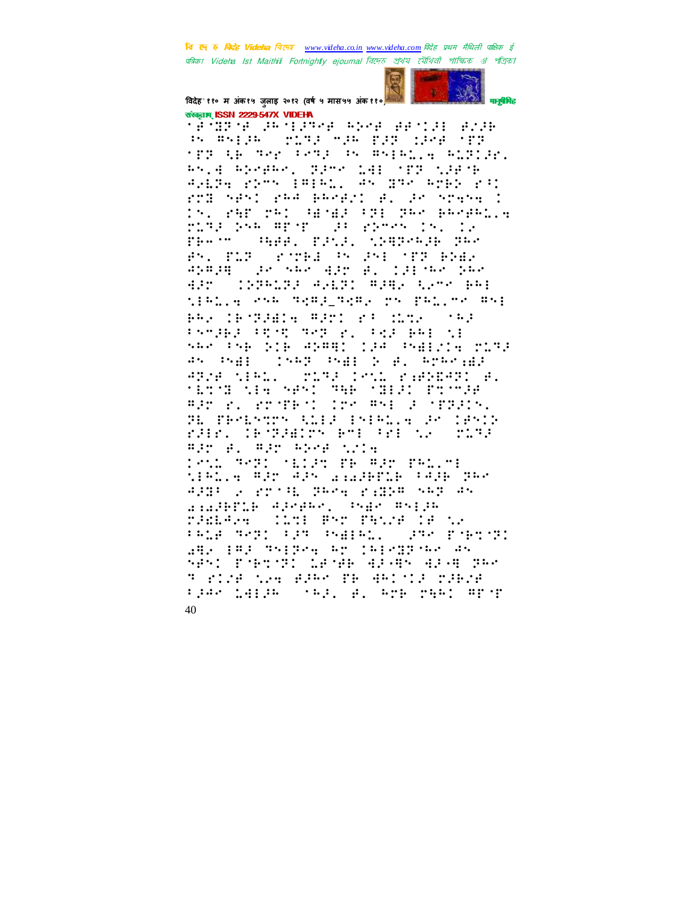

विदेह' ११० म अंक१५ जुलाइ २०१२ (वर्ष ५ मास५५ अंक११०) संस्कृतम् ISSN 2229-547X VIDEHA

na malim (stigt mim pic 124 (125 )<br>Sanding im Glene mind descript divid from the mean cemps on mathematical portion. 85.4 820880, 2250 141 122 12818 4,124 grm (8:41, 45 236 Appl p:) rol neni res escell el le novem i In the Mac House (Production) PLAS PAR APAP (SP) PPARA INT IN  $\cdots$ **MARY CONSTRUCTS** PS. PLP (POTER PS PSE OFF BREA ANNIA (Promoc Albora, 1919) (Promoc then a communication of Pancer Rol BRA CROBALLA RAMI PROGRAM (SRA PAMPER FROM THE BLOCKER BREAKE SAR PSE DIE ADARI IPA PSELVIS MISS as ball (1962 ball) and area and APIA MIRL. TEST CAN PAPEARD B. **MATH NEW YERS THE MILES FORMER** APP 2. Promest the ANE Popmans. H. Medstry Kill Pylking Politic rair, desgambs emi fri sé códorá Bir B. Bir Wind this Ship Rhad (1812) PRO Rad PAD.ht tielle Adr Ads anaderse cade per APROVEMENT PROVINCE SAP AS anaderse docamo, svač mviju ramage (11d) Pyr Peige (8 to PALE SPRI FRS PABEAL. (256 P.B.178) ABY 182 SMIRGE AN INFORMED AN Sêstîrberdî ûnde bines ang pe T PICH NAM BIRM TR HRINIS MIRCH fjar 1819 - Sel, A. Ane neel Arch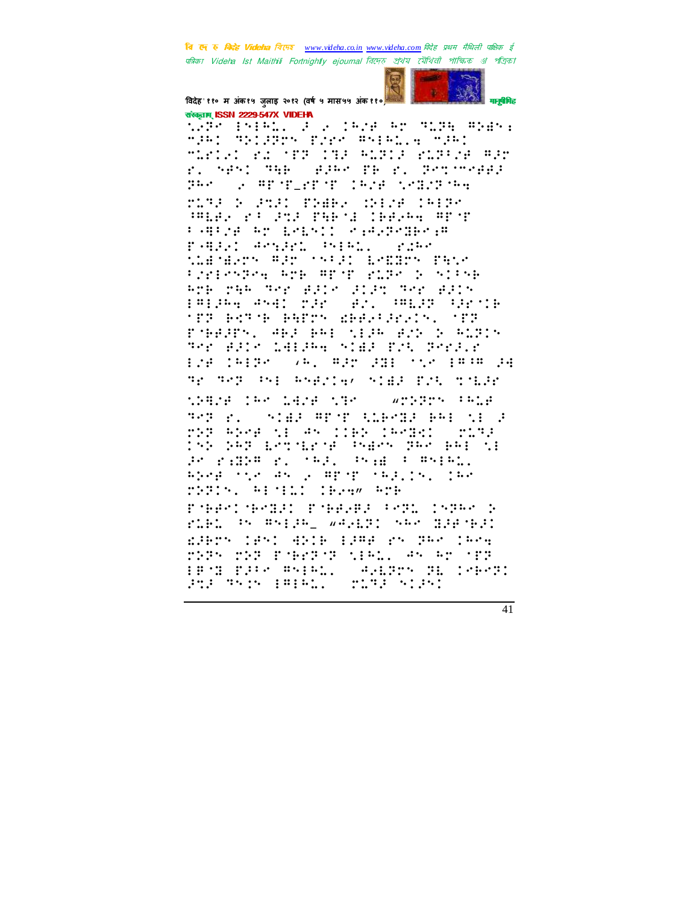

विदेह' ११० म अंक१५ जुलाइ २०१२ (वर्ष ५ मास५५ अंक११०) संस्कृतम् ISSN 2229-547X VIDEHA

SPP PRINC FOR THE RESIDENT PRESS MIRI MELIBUS BIRK MSIRL.A MIRI MARIAL RACTER CHACHARIA RAPIZE RAM r. 5851 MHP (BJP) PP r. Porcheder PRO 2 PENDENT IRAB SOBJENA

MIRA D'AMAI PREBA (DIVENIBIRM PRES PROPOSITENT CEEPS REST PARTIE AT LELEI SAGGERIESE ranger assert sympath rubs tianales Ale (sale: Lepars pate Preleste. And An enter a site Are raw for Baio alan for Bain f#fJ&g #s41 pJr (#r. ##LJP (Srj) **TEP RETTR RAPPY ERRORISES (TEP** PARADY, ARA BAI NIAR BIN N ROBIN The Bale Lafang Slaa Pal Pheale 128 19198 (9. 832 331 518 1898 34

TE TOT INE RNAINWAIGH ESS TOLED

there can term the writers and **THE R. PAIR WEST REPORT BAIL AT 2** res aboa di an (16) (angel (nos) 192 252 Lording Sand Dec 652 21 PORTHER PLOTED CREEK FOREST Apra the As a Apre tagging the TREDA: HEMELI (B24% ATB POBRIOGRAFI POBRER PRA INTER 2 riel os mspel weich ses diesel ESPER TENT GRIB FORE PROTECTION MARK MAR ESBERGE SIRL AN AN AM STR

**1872 F.C. S.L.** 

STORY STATES

41

**ARABIA SE PARTI** 

ming Start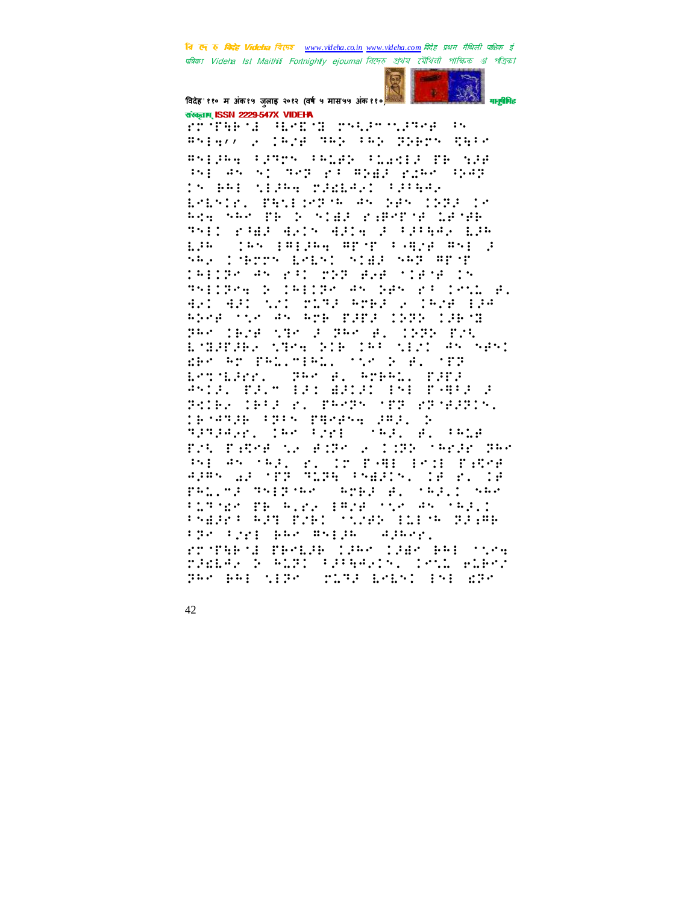

विदेह' ११० म अंक१५ जुलाइ २०१२ (वर्ष ५ मास५५ अंक११०) संस्कृतम् ISSN 2229-547X VIDEHA

rřímena Alnon relativate (e Brigan a least Bey Cey Sterr Shir skijna ijsek ingar ingali pr sia The Antino September School Company **IN BAE MEJAR MJELASI PJPAAS** EMERINA TRIEDMINA AR GAR (GGG 18 Agg SAP PE 2 STAFF PAPPENE LENPE THIS PANE ANIM ANIM 2 FRAME LOW 1958 - 1965 Emilyna mryt (1982) maj 2<br>1958 - 1965 Emilyna mryt (1982) maj 2 191124 AN EST 202 BeB 11878 15 THISPACE INTELLECTAN SAN FRONTIEL 421 431 121 2173 ACRA 2 1928 134 REAR TO AN ATE FIFI CEPE CIRCH PHOTOGRAPHY PURPORT INFORMATION EMBRIEK NIME DIE IER NEUT AN NEND ERS AN PALIMENT TOOK BULLING Estilhe. The A. Athl. Thr. ANIAL PALM BAI BALAD BNE PHRA A POIES IPER PL PROPY TER PRIMERING (Bigge fire Bases (A) 2 Hereby, las lyd (the school F.S. Pater to File a life (September 1988) stel an only right foul less finder PRIZER SHIPSHES SPEECH, SPEEC  $\cdots$ FLAMES TROPIES (PDF) the AN INFIDE PARRY RET TYPE SAMPLE RESPONDED the type par maggar square. POSTAR SESSENTED CORPORATION RAIN STOCK range to with cacherine four winds BAR BAI SIBRO STORE ERENT INFORMA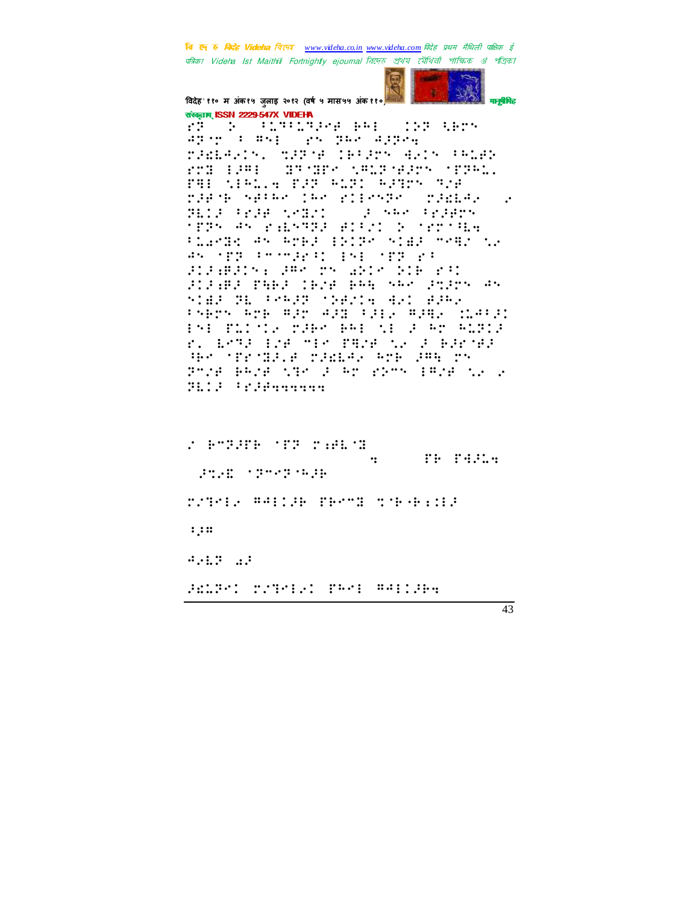विदेह' ११० म अंक१५ जुलाइ २०१२ (वर्ष ५ मास५५ अंक११०) संस्कृतम् ISSN 2229-547X VIDEHA

apart formed and part appear



**STAR SERS** 

PAGEMAIN, SAPIE IPPAPN HAIN PROPE POR LARE (RESERVATORES SERVAL FAR (BRIGG FAR RIP) RANCH MIN ndenk Setter (ter bildsbød) radia. . *CONSTRUCTED* **SEARCHEFILM TEPS AN PALSTER ATTRICE TESTING** Plands An Area (1913) niga mher na 45 MP POSSES IS MP PP FIREFINE FAR TH WHIP HIE PRI STEARD PARE TRIA RAR SAW STEPS AS SIAP PE PARAP (SAVIN ANI APRA PARTY ATE ART ARE FREE ARABY MARRI PAP PLICE THE BAP AND COMPOSITE r. 1872 fre me fare to a barrea He officially plains are less pr Prim Being (SP) 2 Ar edge (Brig (S) 2 **Will Prices SAMPAGE SERVICES** 

**THE PARTS**  $\dddot{\mathbf{z}}$ Stal Spreprose **MARIE ANILA DESS SERVICES**  $\mathbf{1}, \mathbf{2}, \mathbf{3}$  $4.417...44$ SENTI TITLE THIS WALLER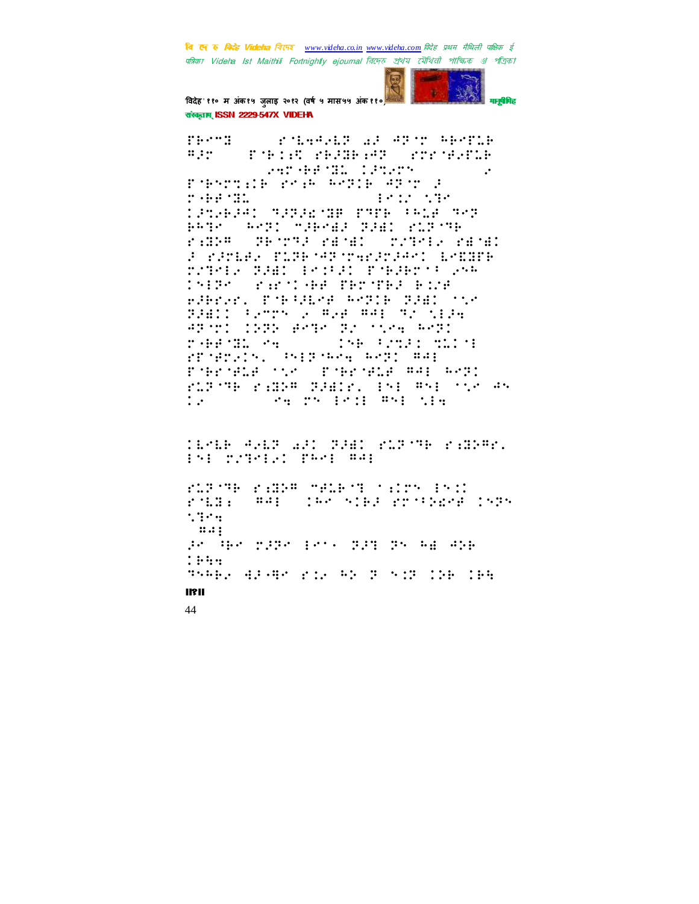

विदेह' ११० म अंक१५ जुलाइ २०१२ (वर्ष ५ मास५५ अंक११० संस्कृतम् ISSN 2229-547X VIDEHA

richt: **STEAM AND ANY SEATLE**  $\mathfrak{m}$  ,  $\mathfrak{m}$  ,  $\mathfrak{m}$ **THIS SEEMS STARD**  $\cdot$ Pobertib reim media Ador 3  $19.12 - 139$  $2.44222$ **TRIGHT TREE WE FALL THE THIN** 8098 0021 73832 3381 318798 **SAME THOMAS PERMIT STORY STATE** 2 PRIER TURPHORPHERICHT EMORIP TITME THE EMILE THERT'S PAR  $1.54321$ **Crim Comp PROTER Bird** eBrer, Poblike Wolf Sid, Mr BABIL PATTS A BAB BAE TO SERE 83 TEL 1939 BRIE 32 TERM RRS **THE POST SERVICE PORT WEIGHT** STORYSIN, PNIROWAL WARD WAL Pobrogle that Pobrogle W4: W2: FLETH FARM BRAIN, INFORMED THOUGH  $\sigma_{\rm H}$  and  $\{\sigma_{\rm H}^2, \sigma_{\rm H}^2, \sigma_{\rm H}^2, \sigma_{\rm H}^2, \sigma_{\rm H}^2, \sigma_{\rm H}^2, \sigma_{\rm H}^2, \sigma_{\rm H}^2, \sigma_{\rm H}^2, \sigma_{\rm H}^2, \sigma_{\rm H}^2, \sigma_{\rm H}^2, \sigma_{\rm H}^2, \sigma_{\rm H}^2, \sigma_{\rm H}^2, \sigma_{\rm H}^2, \sigma_{\rm H}^2, \sigma_{\rm H}^2, \sigma_{\rm H}^2, \sigma_{\rm H}^2, \sigma_{\rm$  $\ddots$ 

TERER AVED WAS DANS KLOSTE KANAPK.<br>191 SYNCHAL PRAI PAI

FLETTE FARE TELENT TAIDS INST ring: Wei (198 Siel rundere 1828  $1.399$  $\ldots$  : 38 HP 2336 EC1 333 35 HB 456  $: ...$ THERE ENDING FIRE RECEIVED THE TER

## 11311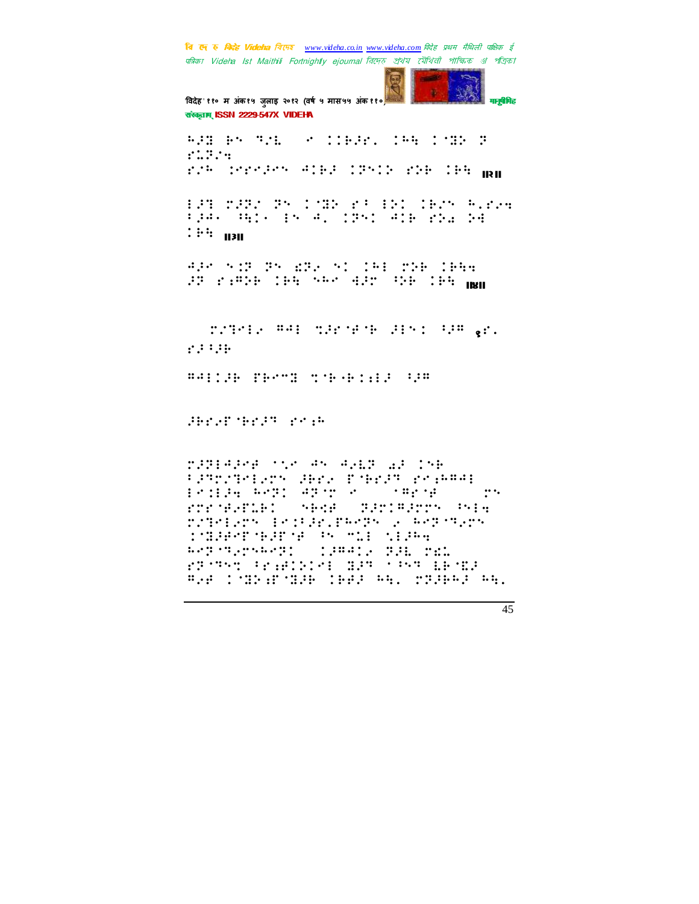पत्रिका Videha Ist Maithili Fortnightly ejournal রিদেত প্রথম মৌথিনী পাক্ষিক প্রা পত্রিকা विदेह'११० म अंक१५ जुलाइ २०१२ (वर्ष ५ मास५५ अंक११ मनुबेमिह संस्कृतम् ISSN 2229-547X VIDEHA APE BY THE OWNERS IN THE POINT F stages and rus inredes sied 19515 rue les man 195 295 35 178 27 191 1925 5.224<br>1946 5.21 15 4. 1351 416 254 54  $\mathbb{R}^n$  is a sum and  $\mathbb{R}^n$ 838 532 35 832 51 191 238 1998 37 P.P. P. LEE SAN 432 P.P. 198 Nov PATHER PPE SPECIFIES FENCOUPRONAIL  $1:1:1:1$ **##!!!# ##\*\*# tr#+#!!!# !!#** Shrifthest read radiales the an avid all the FRANCHERS HER PARK ROBBER Problem Redio Administration of Benefit  $\cdots$ **SPAR SECRET SER COMPARED** TITELEN LEILELTENEN 2 FETTET TERPENBEN POST SIRA Reporter Common PAL rat FRONT PEHINICI BAN CONTRACTE BAR TYRAPYRE TRAFFA, TRABAS AL

बि ए रु क्रिडे Videha विएक www.videha.co.in www.videha.com विदेह प्रथम मैथिली पाक्षिक ई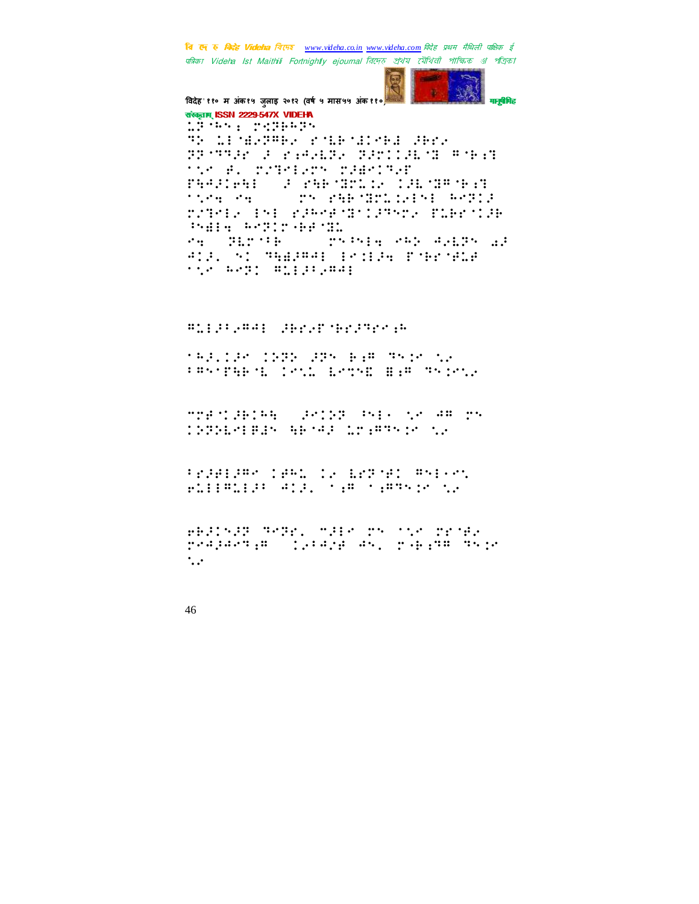

विदेह' ११० म अंक१५ जुलाइ २०१२ (वर्ष ५ मास५५ अंक११०) संस्कृतम् ISSN 2229-547X VIDEHA 12 See Programs TO LEAGUED FALLAGE SHAP BRITIN FRANK BRIING FEN **MARK PATERNE PROVIDE** PHARTEN CONTRACTOR CONTRACT **THE PHENICIPAL RATIO**  $\mathcal{O}(\sqrt{2} \log n / \log n)$ PARTIE IN PARTIE CANNON PLECTAR PARTA RANCH ARANGE sa dhenge engganga sekaraken<br>Alavis gebaggan bila piernala **Things the Second State Ale sepremiers** 

Billerad Berg Serrer

1931130 IDBN 385 BAR 3510 NE PROTEEN INTO ESTAT HER TOING

mnesiakiwa (aniversal) ne da ny **CONDENSE BENCHAMEN CONDENSER** 

Programs camp is brangly marked PLIIMLIJE ATJ. SAM SAMSTROTE

WEING PORT MARK TO MATERIAL progonale (projects) pakaments  $\cdot$ ...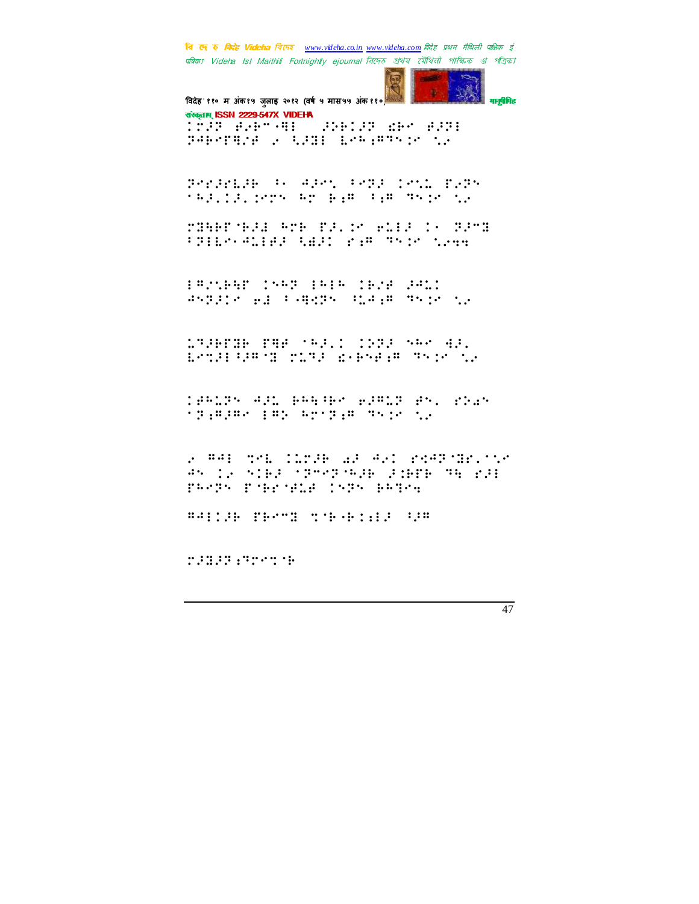वि एक रु मिनेह Videha विएम्ब www.videha.co.in www.videha.com विदेह प्रथम मैथिली पाक्षिक ई पत्रिका Videha Ist Maithili Fortnightly ejournal त्रित्मरु अथेय त्यैथिती পाश्किक अं পত্রিকা



विदेह' ११० म अंक१५ जुलाइ २०१२ (वर्ष ५ मास५५ अंक११०) संस्कृतम् ISSN 2229-547X VIDEHA <u> 1939 avensa: "SSS139 den a39:</u>

PARATHEN A SAND LARGETAIN NA

Perfright ( George Performance Press taggig persoar pas das de este tr

MARK GRAD REPORT CONTROLLER CONTROL FRIEM ALIAR AWRITCHE THIM NAME

**IRMINE IND IND IRM DEL** ANDERS ALL PARADNS CLAIR THIS COUL

LTGHTOM THE MAG.I INFO NAMES. ESTERNE TITE SARAFE TYPE TA

TARITY AIL BRAINS WIRLT AND STAY **STEPHOLOGY STORE TEST SE** 

2000: Tel. Class as Art regardering 85 12 5182 17507-528 218TB 78 223 PROPERTIES THAN 1979 BRIDG

BAILIN PROST SON RELEASED

**223339222218**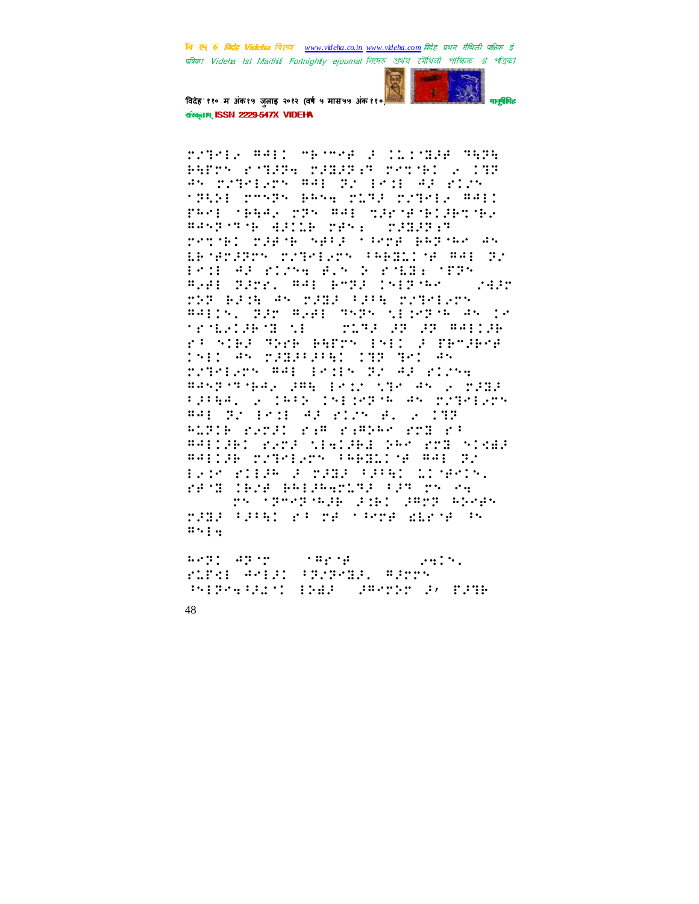

विदेह' ११० म अंक१५ जुलाइ २०१२ (वर्ष ५ मास५५ अंक११० संस्कृतम् ISSN 2229-547X VIDEHA

rrange want menned a tirraid meme BATTS FORTH TIMETER TOTAL 2 CHT AN TITREPTY AAE TI EKSELAR FIJN **TRINE TOMPS EAST TIRE TITES AND** PROF CERRY 225 RRE 222 18-181282-182 BASE SERIES DES PRINCIPALES rendel radio sala clera alperes as LE MESTER (POTERIORS) PREDICTE PRESSO Profiled Flore Burch Portlash (PPro Ref: 2222, RAI EM22 Inf2 New  $\sim$  14.30 THE BEST AN THEF FIRE TITMENTS 84115, 225 8241 3525 5110256 45 12 **TRINKLEYE NEW YORK 28 28 BAELER** ra Siel Mark Berry (Sil J Penlene iyo Wesinini do maso ratelers ##1 ledis to #1 class masperenga, pmg isin the as a padd PRINCIPAL DEPARTMENT RESERVED #41 B2 1831 AP RICH #2 2 198 RITIN MATED RAW RAWNER RE ##filb: rand timided bbs rnd sidde ##11# r2101.co (660cl+ #40 p2 EVER FILM A TABA FAPRI LIMMATA. rend (Bre Belleving Clem by Sy TS 137031536 2161 3873 50085

rada (algo re re carre directos)  $\ldots$ 

 $\mathbb{E}\left[\mathcal{L}^{n}_{\mathcal{L}}\right] = \mathbb{E}\left[\mathcal{L}^{n}_{\mathcal{L}}\right] = \mathbb{E}\left[\mathcal{L}^{n}_{\mathcal{L}}\right] = 0.$  $\mathcal{L} \left( \mathbf{0}, \mathbf{0}, \mathbf{0}, \mathbf{0}, \mathbf{0}, \mathbf{0}, \mathbf{0}, \mathbf{0}, \mathbf{0}, \mathbf{0}, \mathbf{0}, \mathbf{0}, \mathbf{0}, \mathbf{0}, \mathbf{0}, \mathbf{0}, \mathbf{0}, \mathbf{0}, \mathbf{0}, \mathbf{0}, \mathbf{0}, \mathbf{0}, \mathbf{0}, \mathbf{0}, \mathbf{0}, \mathbf{0}, \mathbf{0}, \mathbf{0}, \mathbf{0}, \mathbf{0}, \mathbf{0}, \mathbf{0}, \mathbf{0}, \mathbf{0}, \mathbf{0}, \$  $\ldots$  . rindi 40131 (Province Adres **SMIRMARIANI IRAN JAMPIC S/ MICH**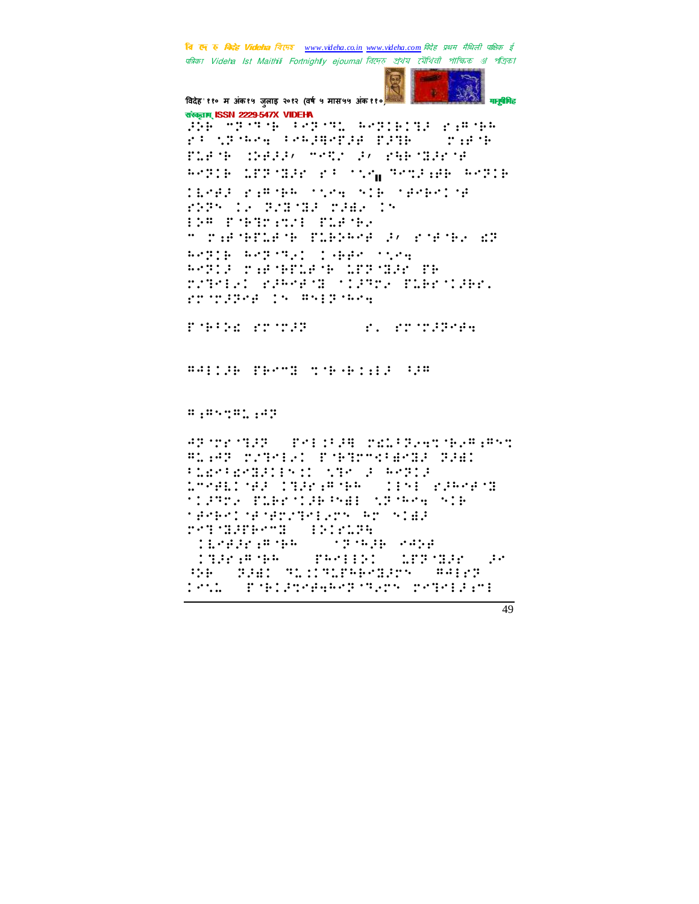

संस्कृतम् ISSN 2229-547X VIDEHA FR SPORT CONTROL STRING ri (Powellesgard) fin - rach FLAME (1983) MARY 37 PREMISENE ROBIE LEBOGAN PROTOGA POSAGAR ROBIE INSER PARTER TOSA SIR TROPOLOR FREN 12 FMB/HB 29H2 15 **ISW PORTRICH PLACES** " represent support by right at Report Reports (1966) they POIL THORE'S ANYONE IS rateled subsets that some substigat. rrendies is majourne

PORTE PROVINCE CONTRACTOR

 $H_1H_2H_3H_4H_5H_6H_7$ 

AP TECTER COPALITER CELTRATINARIANT #1942 MATHISI ESPIMAPHHIA 2281 PLEATEATHING STATE RATER LTYPELINES CHEMIPHE (1151 MSP/P)H STORY PLECIOE PART SPACE SIE **MARKINEMENTHENDY AD SIER PATAREMENT BELLER** TERBENTAL STREET **CONSTRAIN PRESS ARRIVED PR** WE THE TECTORPHYSICS WALCH  $\mathcal{L}$  and  $\mathcal{L}$ **SPORTS EXPERIENCE PROPERTY EXPERIENCE**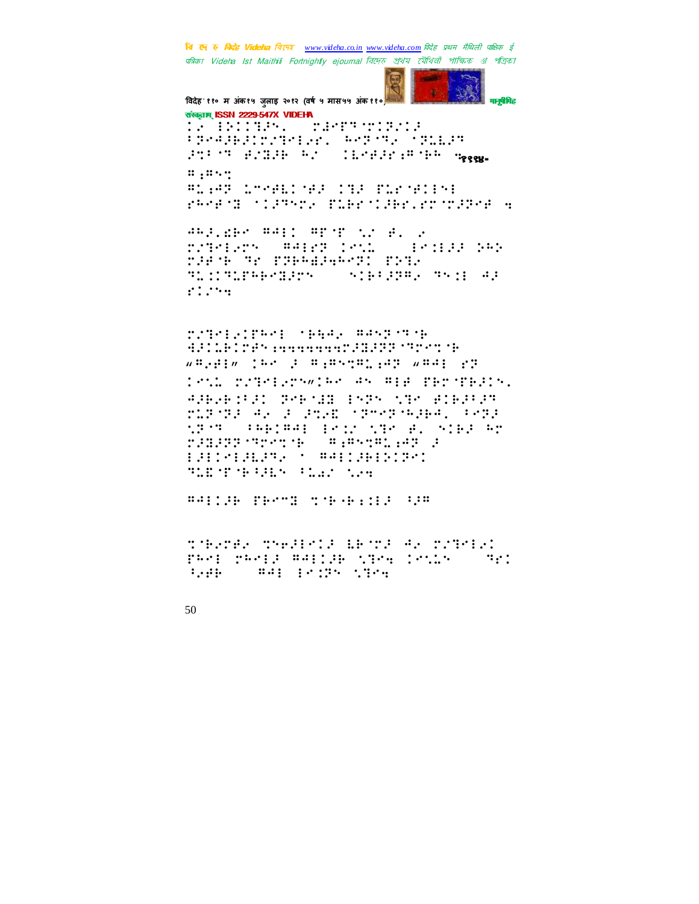

विदेह' ११० म अंक१५ जुलाइ २०१२ (वर्ष ५ मास५५ अंक११०) संस्कृतम् ISSN 2229-547X VIDEHA <u> : A Britannel Alexandrich (Barbara and Britannel Alexandrich and Britannel Alexandrich (Britannel Alexandrich</u> FRAGHAITZTALAK, PARTYK TRULAR PURST PARPENEL CROPPER PROGRAM  $\mathbf{u}_1, \mathbf{u}_2, \dots$ #1948 177411742 INF FLETHING reners flatter, plendler.rrobere 4

WARE SERVINGED TO THE RESIDENCE OF REAL PROPERTY. rolelary #4128 1211 (121138-242 rust of President Pris **TECHNIEM VIRIER TVI 43** states.

TIMESIPPE SPACE RANGERSH  $\sqrt{m}$  ,  $\mu$  (i.e.  $\mu$  )  $\mu$  ,  $\mu$  ,  $\mu$  ,  $\mu$  ,  $\mu$  ,  $\mu$  ,  $\mu$  ,  $\mu$  ,  $\mu$ Tend propositions are made partners. APPARING TARAWE 1979 STA BIRGUAY TIP TE AP I INSEDITOR SHEET FAR SPORT PRECERT ESSA STROKEN SIER PD **MINISTORY OF CONSTRAINING TAR TOWERER START WAR** 

##::# ##### ####::# ##

there theird: Browne contrig PROF PROFIN RAFIER STOR ISSUE (1921 1988 - #41 1832 (189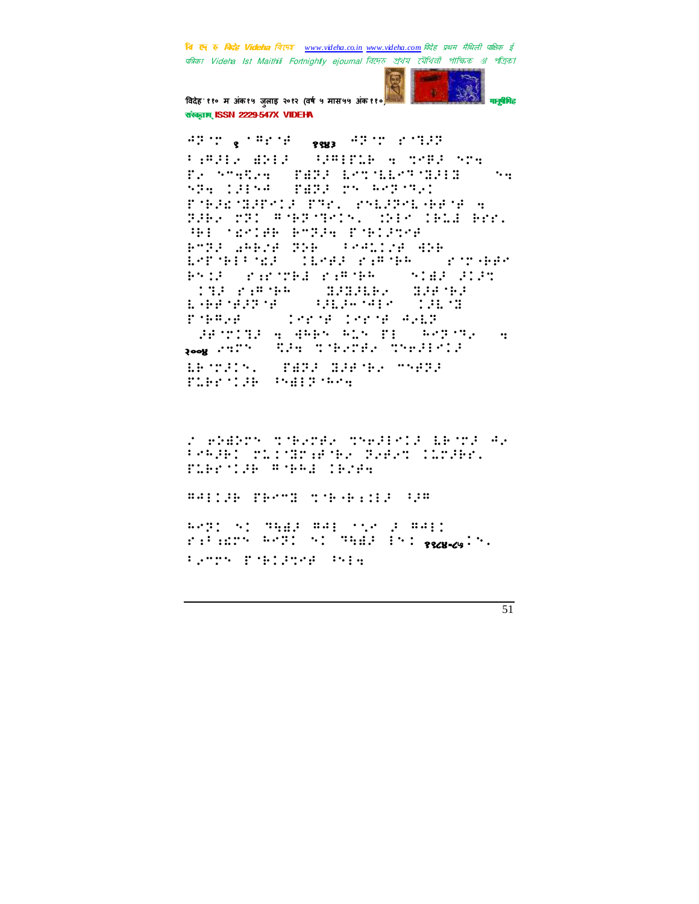

विदेह' ११० म अंक१५ जुलाइ २०१२ (वर्ष ५ मास५५ अंक११० संस्कृतम् ISSN 2229-547X VIDEHA

**PEACE & LAPLAST ASSESSMENT PARTIES** FARING ANIX (SUPPRIES A SMPILLARA) E2 STARPA (FAPP ESTIMASTINFER)  $\ddotsc$ **SPA CHISA (PAPP TS RSP)TEC** ESPARSEPTE PRO PREPRESENTA BREA 201 # 980 MAIN, WEATHER BRE. HE SECHE PSPPH FSELPSE PTE AREZE THE CONSIDERED ESPORTAGE (ISSE) riform ( romands Brian Sarrowa Samphy (1918-2125) **THE PROPER** ESPECIFIE SUBJECT DEC PORTABLE CONTROLLER PARTY GROUPER A AREA RIA PE (RAPORA) A poog 2020 - SPA STEPPER SOFFIERD ERSTEIN, TERP BRESHA SNERP THE THE PHILIPPE

r ekstry tjere, tyelenig betroek Perman Michael Berley (1988) PLES THE WORLD IESE.

**Addition Terms the General Capa** 

8291 ST SAMPLE #41 STR 2 #411 released begin of what ind sames in. Parry Poblered Puls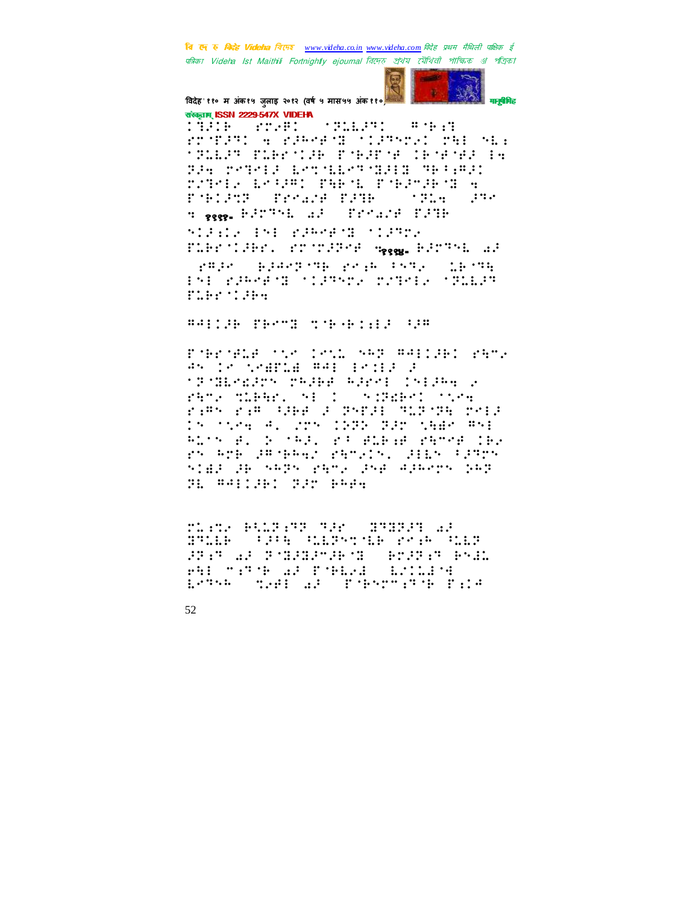

विदेह' ११० म अंक१५ जुलाइ २०१२ (वर्ष ५ मास५५ अंक११०) संस्कृतम् ISSN 2229-547X VIDEHA

MAG MARI MALAY PAR rodhami e ramerd (lameral omborida **MPLEAR PLAYTIAN PONAPOR INGOVAL IN** BR PORT ENTERTSHETHING rather bragged farms for Portion an POSTER TROADE PRINT  $\mathbf{r}$  ,  $\mathbf{r}$  ,  $\mathbf{r}$  ,  $\mathbf{r}$  ,  $\mathbf{r}$  ,  $\mathbf{r}$  ,  $\mathbf{r}$  ,  $\mathbf{r}$  ,  $\mathbf{r}$  ,  $\mathbf{r}$ n <sub>2002</sub> BROTHE AR - Product PRTB STREET ISE FRAGESE STREET FLEETIFE, FTTPFFF mass. EFTPH aF Spage (Blackboard professional CBOak ESE PRAGADE DIARSE PRESENTATION **TLEY MUPH** 

**Addition Press the George Can** 

Powership the Isni SAP WARIANI SAMP 45 18 SPEELE #41 18:12 2 **TRIBAGEM MAJER AJEMI (SIJA) 2** PROVIDENT SE DO SUREST TOS kas ka lee kan kand "sika ka 15 Mine 4, 205 (1935-320 SHER #5) Rink B. S (RE) PROBED PROMP THE rn Are Package ranging Bilm (PPrm STAR CROSSERS PATE CRECKLERS SER W. HAILID: WIT BRAW

**MARY BRUE ME SAN HUBBE AF** BRIED (1914 CIERNATED PRIN CIER STAT AN THOUGHT BY BY BY BY AN **AND THREE AND ENGINEERING** ESTAR TEMP AF POPPORTE PEDA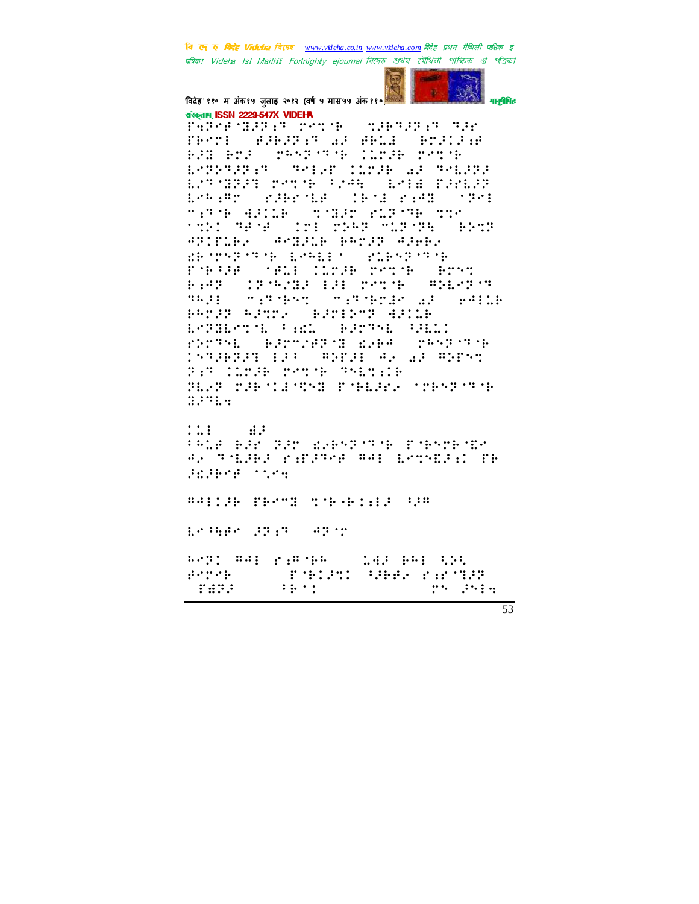

विदेह' ११० म अंक१५ जुलाइ २०१२ (वर्ष ५ मास५५ अंक११०) संस्कृतम् ISSN 2229-547X VIDEHA

FARANSKI PODE (1898) TRYTE WHATER AF WHILE WORLDW BED BOA (ORNESTS DECEMBER ON SP **SPEED COORD OF PERPR** EZTMIRI POTE CZAR (EMERIKARI) Environmental (Prior Additional **MARY BALLEY STERR PLAYER STAR MODE REMARK CONFIDENTIAL CONTINUES.** STILL STILL BRYT SHER ERCONFORMED EPRESS COLEMPORAR FOR WHICH COMPANY COMPANY ROOM BAS (SMAGE ES 2019 - SERP'S **MITHST MITHTEN AF PAILB**  $\mathbf{u}$  :: PROSP REDOX (PEDIDOR ASILA) ESTESTE PACK BETTE BELL strong Parocepos aves compose TH COOR POINT THEIR PEAR THE CENTRAL POBERTY OTENTION  $1.141...$ 

 $\mathbb{R}^n$  $\mathbf{a}$   $\mathbf{a}$ 

PALE BEN 325 ENBA3736 BOBATBORO ay shippi rangsap sap banyoni. Th JEJESE STAR

**MARK SEP AFT** 

8021 #41 24#7BA | 142 BA1 525  $\mathcal{G}(\cdot)$  ,  $\mathcal{G}(\cdot)$ TORING CONS. PHONE  $25.3514$ rana  $\mathbf{1}$  is a set of  $\mathbf{1}$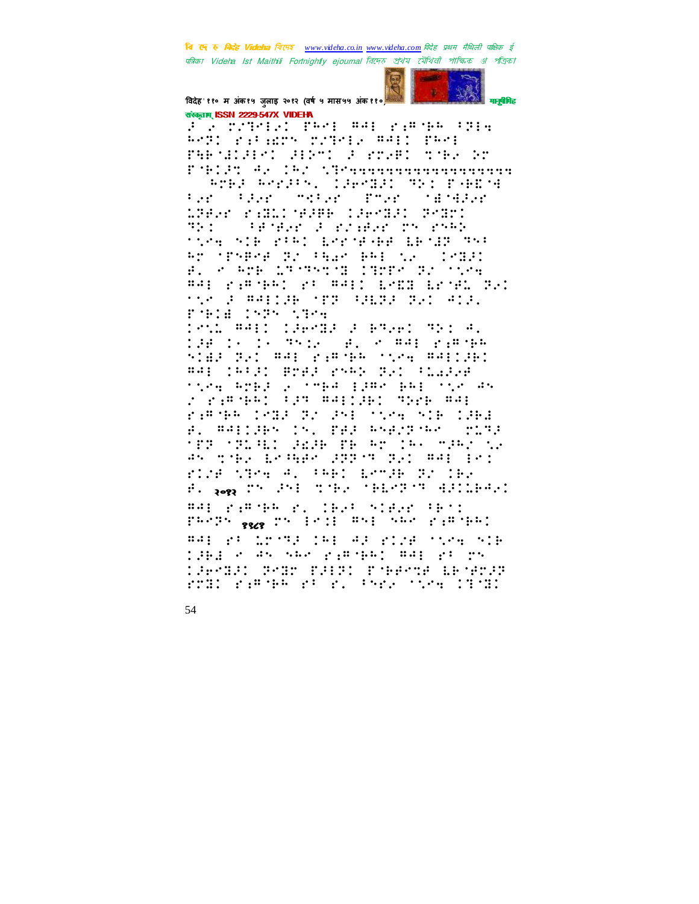

विदेह' ११० म अंक१५ जुलाइ २०१२ (वर्ष ५ मास५५ अंक११०) संस्कृतम् ISSN 2229-547X VIDEHA

For STREET PROPERTY FERRY PRES Rep: Pilliars reports WAIL PRei PHP (Aldiel Gilbo) d'arrei (roma) de<br>Pobldo de Chro (Presessessessessesses AMER AMMIRAL CIEMBIO RECORDED N Far Flar motar frac field 1980 FALLYBUR (SPYRI PYRI Sified Product Therma na a shekara the SIE PPD Lerger LENE ST Ar Spreed Br (Ran BA) to (1883) al o are information inner ar circ BAL PARTHEL PROBALL EMERGENT RAD **MARINE ME SERVICE SERVICE** FORCE CARA ATMA

THIS RAID CORNER OF BROAD RES A. 1980) (1980) San Albert Albert (1980) STAR SAL MAL PAMSHA SYSK MALLAND ##: 16521 #M#2 MMAD #21 \$1220# tion and a the personal structure r rimski fra majjer spre maj PARTNER CHOOR ON ONE TIME SIE CONFO a, mappark th, pad mhapping (pump **TER TRIBLE READ TO BE THE MARY NA** 45 TORY ESPERA 22277 221 841 181 rise vard A. (ABI 18728 BS IB) F. 102 TH PHE THE TELEVISION SECOND ##: ri#j&k r. IBSP SlB2r (B); PROPRING TO POST WHEN SAME PARTIES. BAI 23 LT TA IAI 43 2128 TIME NIB TERE 8 AN NAR PARTAGE ##: PP PN <u> 1969. ISBN 1999: Presne Berez</u>

roll rather resources the Cliff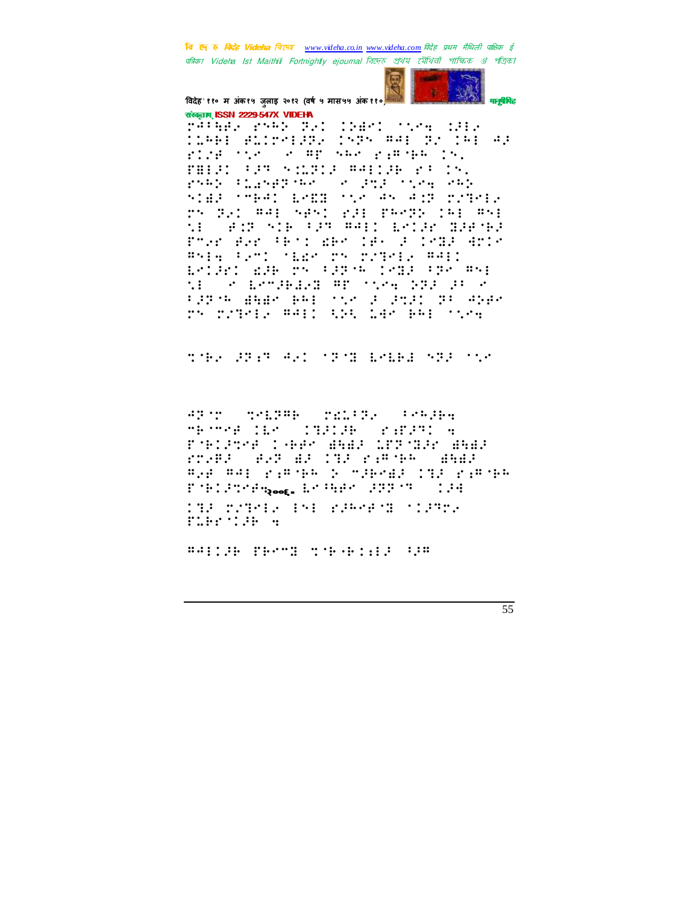

विदेह' ११० म अंक१५ जुलाइ २०१२ (वर्ष ५ मास५५ अंक११०) संस्कृतम् ISSN 2229-547X VIDEHA

range, romb Byl (berl store 1819)<br>(1861–811201389 (oppomal 82 161 43 rich the story with the rimers in. PALES (PROVIDED ANILER 25 IN) rner flangfier of file time cel SIER (MEAD EMER (NA) AN ANT POTMER PS RAI #41 SPSI PAI PROPE IN1 #51 NE SAN SIE FAR AALD ESCAN BAPAR Phone Bord Ferd Wendler of 1982 Anim #514 Femi Migh Ch crimie #411 ESCRIPT RRESON FRESH CSRP FRS AND ME SA ERMIBERE AP MORE DER IP A tagon anak eni ove a asal groeper<br>shossinia meil bab lee eni over

the SPER ART (PRINT EMER ARE (15)

sport princip rails. Present menne den codide andre a rnchen che mar drindrat mar **THAT WAS STATED TO A REAL PROPERTY Profile** Bye RAI rifine to makeda thatraches ESPIRATORS AND RESIDENCE ARRAIGNMENT CORR INF MIRLE ENE WARREN SIJNME FLEETIJE 4

##::H TEMT TTE-FILE UP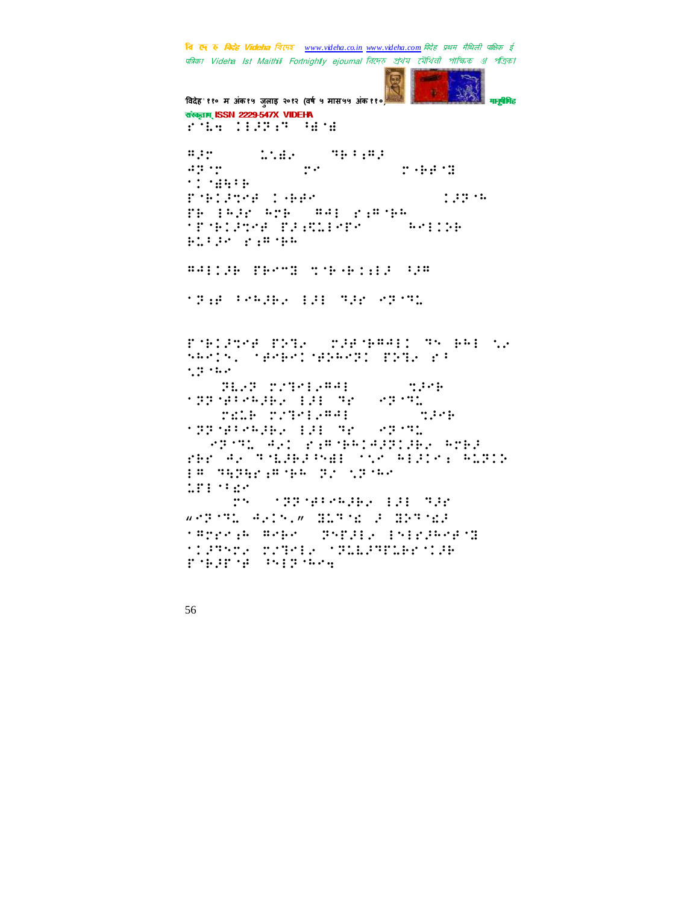**START** 

विदेह' ११० म अंक१५ जुलाइ २०१२ (वर्ष ५ मास५५ अंक११० मनुषेपिह संस्कृतम् ISSN 2229-547X VIDEHA rim der a  $\mathbf{a}$  $\# \mathbb{S} \uplus \mathbb{S}$  $\mathbf{r}$ .  $T + H + T$  $\cdot$  :  $\cdot$  and  $\cdot$ Poblement legal  $1.33 - 0.001$ TH 1922 976 991 219766 **MENSION PRESENT** BLID PRINT ##::# TEST TERRITIE fre Peake bi sa shi dhe POBLATED THIS CONDITIONS AND LO SARIS, SPREED SEARCH PETE PR  $\gamma$  (1  $\gamma$  ) and ( BLAR STREET  $\mathbb{R}^n$ 19919125362 131 32  $3.12332$ SEE STRIPED  $\mathbb{R}^n$ **SPREAMARY ERECT SPECIE PETE AND PROGRESSING ATES** ren 42 malereal to aller auch ps supurinted by this LEE MEN TS 177718106282 121 722  $\mathbf{w} \cdot \mathbf{P} \cdot \mathbf{P} \mathbf{L} = \mathbf{P} \cdot \mathbf{I} \cdot \mathbf{V} \cdot \mathbf{w} = \mathbf{H} \cdot \mathbf{P} \cdot \mathbf{H} = \mathbf{P} \cdot \mathbf{P} \cdot \mathbf{H} \cdot \mathbf{P}$ **SAMPLE AREA SPERIE INICARES MIPRO TUPLE MELLETLE MIR** PORTO PRIPORT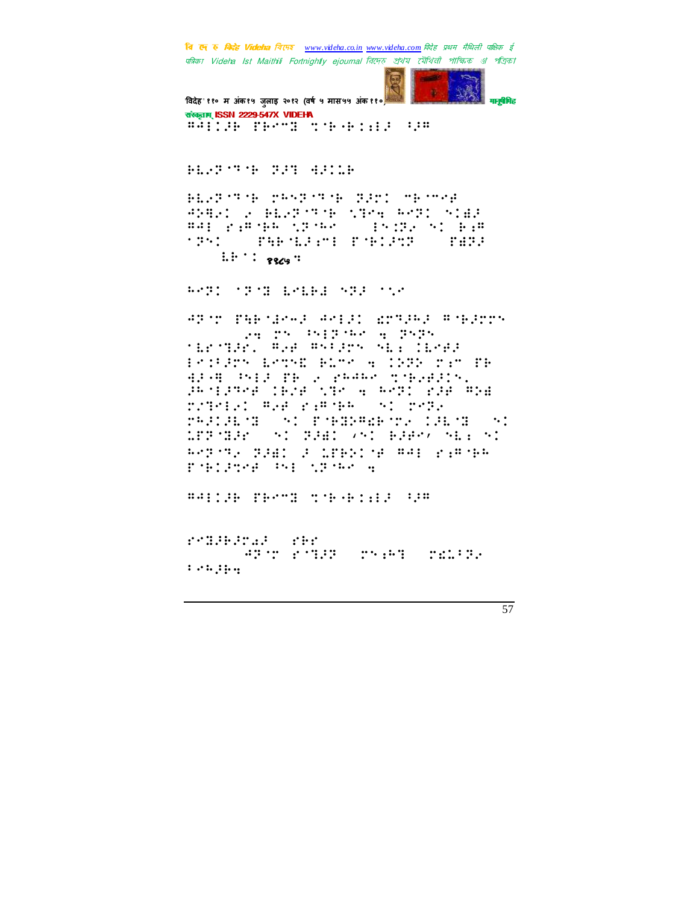remanded the APAR PARP PREMI PELIPE  $1.74.14.4$ 

**BALLAR TERMI SYE-BILLE ARE** 

AP 10 PARTNYAZ AMIZI KOTZAZ ATEZOOR and the ship case of propri MERCHER, WAR WALERY ALL CEARS Postary LoryE Bird & 1932 rin TB EPHONICIP START TESTIN jenijanje (bije nan 4 ena) zge abe TITELS WHERE THE SALESTIC 29212622 **SALEMEDERS CHAINS** MTSTART STORAGIST BRAG SERVICE Report plan a dressor man rimore Poblace Sal Charles G

APPL SPOR LOLED SPP STR

 $\vdots$   $\vdots$   $\vdots$   $\vdots$ 

BEARING CHARGES BORD SECTOR **ANGEL A BEARING NEW BREE SIER**  $\mathbb{R}^n \times \mathbb{R}^n \times \mathbb{R}^n \times \mathbb{R}^n \times \mathbb{R}^n \times \mathbb{R}^n \times \mathbb{R}^n \times \mathbb{R}^n \times \mathbb{R}^n \times \mathbb{R}^n \times \mathbb{R}^n \times \mathbb{R}^n \times \mathbb{R}^n \times \mathbb{R}^n \times \mathbb{R}^n \times \mathbb{R}^n \times \mathbb{R}^n \times \mathbb{R}^n \times \mathbb{R}^n \times \mathbb{R}^n \times \mathbb{R}^n \times \mathbb{R}^n \times$ BAI PARTER STORY **CONSTANT CONSTRUCT**  $\gamma$  (in the  $\gamma$ 

**ALCOHOL: 0.000 ALCOHOL:** 

विदेह' ११० म अंक१५ जुलाइ २०१२ (वर्ष ५ मास५५ अंक११०) संस्कृतम् ISSN 2229-547X VIDEHA ##ECH PESS TSP-FILE U#

मनुषेपिह

वि एक रु मिनेह Videha विएम्ब www.videha.co.in www.videha.com विदेह प्रथम मैथिली पाक्षिक ई पत्रिका Videha Ist Maithili Fortnightly ejournal রিদেহ প্রথম মৌথিনী পাক্ষিক প্র পত্রিকা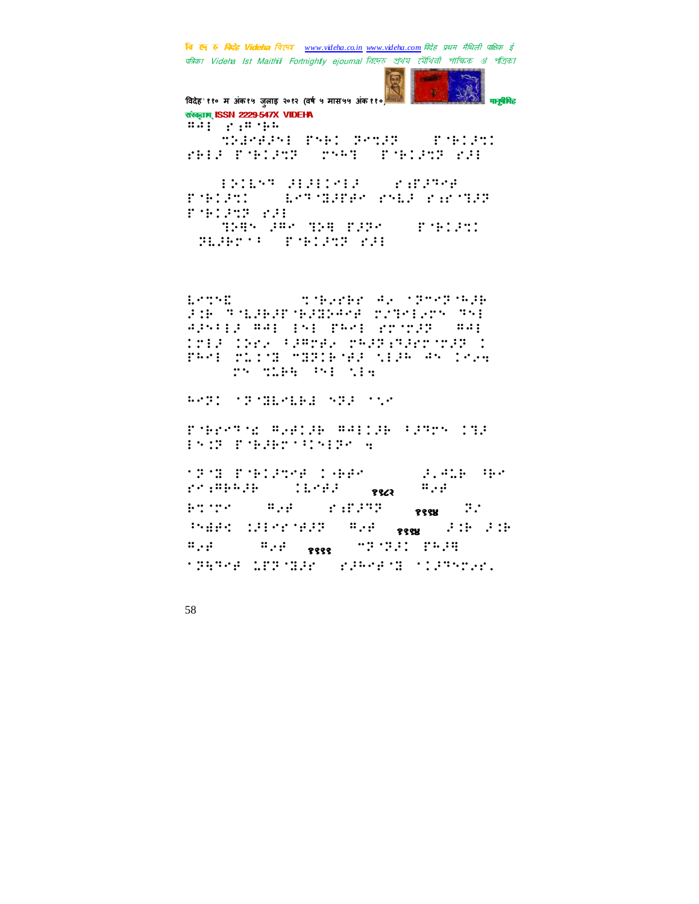

विदेह' ११० म अंक१५ जुलाइ २०१२ (वर्ष ५ मास५५ अंक११० संस्कृतम् ISSN 2229-547X VIDEHA  $\textbf{m} = \left( \begin{array}{cc} 1 & 0 \\ 0 & 1 \end{array} \right) \oplus \left( \begin{array}{cc} 1 & 0 \\ 0 & 1 \end{array} \right)$ there's reformed a recent FRIE TORICT CONNT TORICY FIL

1911-7 CONVICT  $\mathbf{r}^{\prime}$  ,  $\mathbf{r}^{\prime}$  ,  $\mathbf{r}^{\prime}$  ,  $\mathbf{r}^{\prime}$  ,  $\mathbf{r}^{\prime}$  ,  $\mathbf{r}^{\prime}$ Poblaci (Artoldares Pres Paroque F191312 PSE THE SEE THE PIRE **CONTROL H.OPTI STRIPS 200** 

 $L$  -  $L$  -  $L$ **STEATH: A. STORPHIP** FOR THEFET BESPECTIVE FINAL THE apsig map psp pasp groupp (map 1913 (10) (1096) 2433-3389-9132 ( PROF MILLOR MORTINGER SIER AN IM.A ry the PH the

WARD SPEEDWARE SPACES

reports mysich mailer (2005-101) **INSTALLMENT CONTROL** 

**MISS PRESSER LANG**  $\mathcal{P}_1$  and  $\mathcal{P}_2$  are also PRINCIPALE (ESPECIAL PRES  $:: . . :$ Bungai Cal *<u>E.S. SINTE</u>*  $\frac{1}{2}$   $\frac{1}{2}$   $\frac{1}{2}$   $\frac{1}{2}$   $\frac{1}{2}$   $\frac{1}{2}$   $\frac{1}{2}$   $\frac{1}{2}$   $\frac{1}{2}$   $\frac{1}{2}$   $\frac{1}{2}$   $\frac{1}{2}$   $\frac{1}{2}$   $\frac{1}{2}$   $\frac{1}{2}$   $\frac{1}{2}$   $\frac{1}{2}$   $\frac{1}{2}$   $\frac{1}{2}$   $\frac{1}{2}$   $\frac{1}{2}$   $\frac{1}{2}$  PARK ORPORED #8  $\mathcal{L}$  :  $\mathcal{L}$  :  $\mathcal{L}$  :  $\mathcal{L}$  :  $\mathcal{L}$ १९९४  $\ldots$  ssss  $-22.221 - 29.23$  $\mathbf{a}_i$ **TRANS LERGED SERGEN MISRATE.**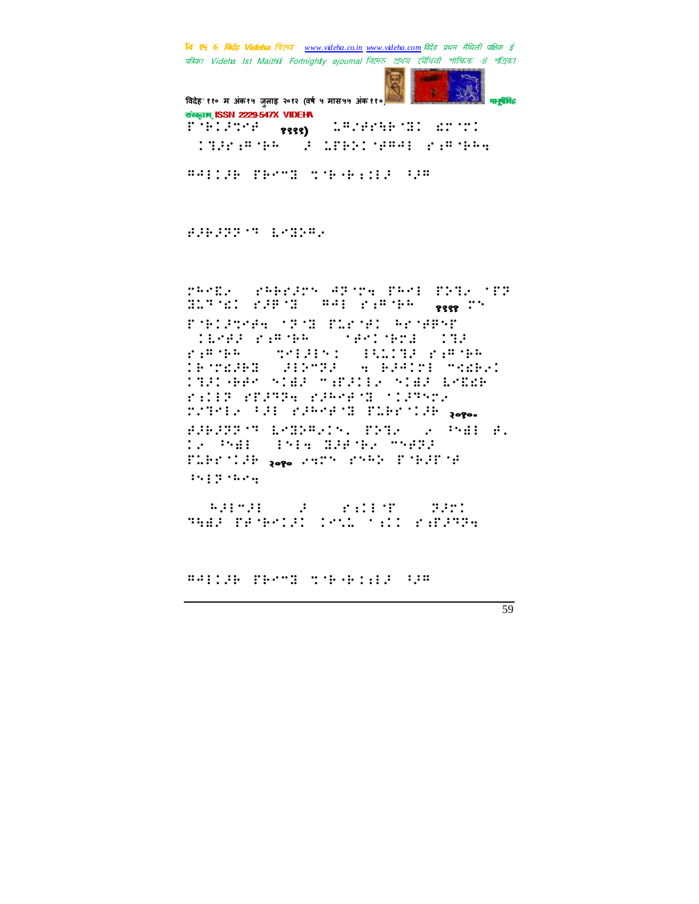वि एक रु मिनेह Videha विएक www.videha.co.in www.videha.com विदेह प्रथम मैथिली पाक्षिक ई पत्रिका Videha Ist Maithili Fortnightly ejournal तिरफ्र रथेय त्यैथिती পाश्किक अं পतिकां

विदेह' ११० म अंक१५ जुलाइ २०१२ (वर्ष ५ मास५५ अंक११०) मानुबेगिह संस्कृतम् ISSN 2229-547X VIDEHA LAZHER MI BETEI Portlande 8888) **THERMAN FATHERMAN PROPER** 

##::# PROS STRANIZ 42#

BEBED TEACHER

resp. Peerlos Alcos Pes Chil (19 BLANK: PARNE ARE PARNEY , peep Ch Poblares of the Placel Arouger TERRI SARAHA  $\mathcal{L}(\mathcal{L}(\mathcal{L}(\mathcal{L}(\mathcal{L}(\mathcal{L}(\mathcal{L}(\mathcal{L}(\mathcal{L}(\mathcal{L}(\mathcal{L}(\mathcal{L}(\mathcal{L}(\mathcal{L}(\mathcal{L}(\mathcal{L}(\mathcal{L}(\mathcal{L}(\mathcal{L}(\mathcal{L}(\mathcal{L}(\mathcal{L}(\mathcal{L}(\mathcal{L}(\mathcal{L}(\mathcal{L}(\mathcal{L}(\mathcal{L}(\mathcal{L}(\mathcal{L}(\mathcal{L}(\mathcal{L}(\mathcal{L}(\mathcal{L}(\mathcal{L}(\mathcal{L}(\mathcal{$  $\frac{1}{2}$ STARFINI (PALITE KAPTER)<br>STARFINI (ASEPTIC TABER)  $2.14 \, \text{Hz}$ **THI-BAR STAR MARTIN STAR ASSAU** rilla reaga raggan flager PARTIE PARTIE PLEASING SOME BREAT TEATHERS TRIP & PHE B. **De PAB (PRIA BRETHE THERE** FLEETIFF <sub>Roge</sub> SHIT FORE FORFIELE  $19.1333339$ 

**##!!!# ##\*\*# tr#+#!!!# !!#**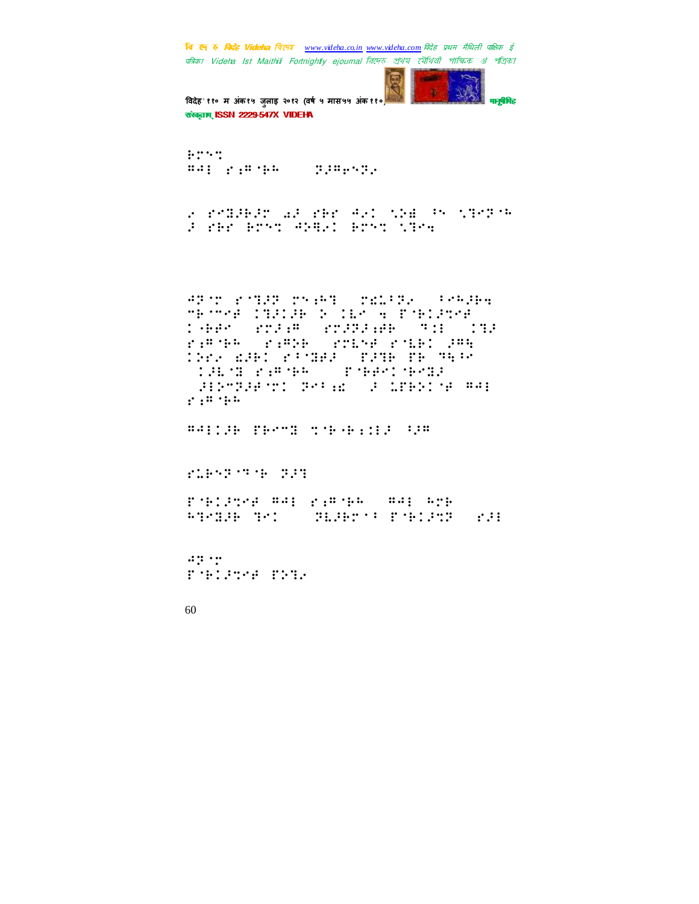

'विदेह' ११० म अंक१५ जुलाइ २०१२ (वर्ष ५ मास५५ अंक ११०) मानुसीरी मानुसीरीह संस्कृतम् ISSN 2229-547X VIDEHA

 $\vdots$  . ⢻⢺!"⣐⢻ ⢷⢳...⢽⢼⢻⢶⢽⢴...JQTJUB!

 $\sim$  1970.000  $\mu$  and the state  $\sim$  $\ddot{F}$  . The strip of  $\ddot{F}$  is the strip of  $\ddot{F}$ 

⢺⢽ !" ⣙⢼⢽!⣐⢳⣙-!⣎⣅7⢽⢴-!7⢳⢼⢷⣒! 5⢷ 5⢾!⣙⢼⢼⢷!⢵!⣇!⣒!' ⢷⢼⣉⢾! 0⢷⢾;!"⢼⣐⢻-!"⢼⢽⢼⣐⢾⢷-!⢹⣈!)⣙⢼! "⣐⢻ ⢷⢳\*-"⣐⢻⢵⢷-!"⣇⢾!" ⣇⢷!⢼⢻⣓-!  $^{\prime}$  Yer, albo right specific respectively. )⢼⣇ ⣝!"⣐⢻ ⢷⢳\*-!' ⢷⢾ ⢷⣝⢼! )⢼⢵5⢽⢼⢾ !⢽7⣐⣎\*-⢼!⣅'⢷⢵ ⢾!⢻⢺!

 $f: H \to H$ **BALCH THE THE THE SEE STATE** 

"⣅⢷⢽ ⢹ ⢷!⢽⢼⣙! ' ⢷⢼⣉⢾!⢻⢺!"⣐⢻ ⢷⢳.!⢻⢺!⢳⢷!

 $\frac{1}{2}$ 

 $\frac{4}{3}$ .  $\frac{4}{3}$ .  $\frac{4}{3}$ . ' ⢷⢼⣉⢾!'⢵⣙⢴...!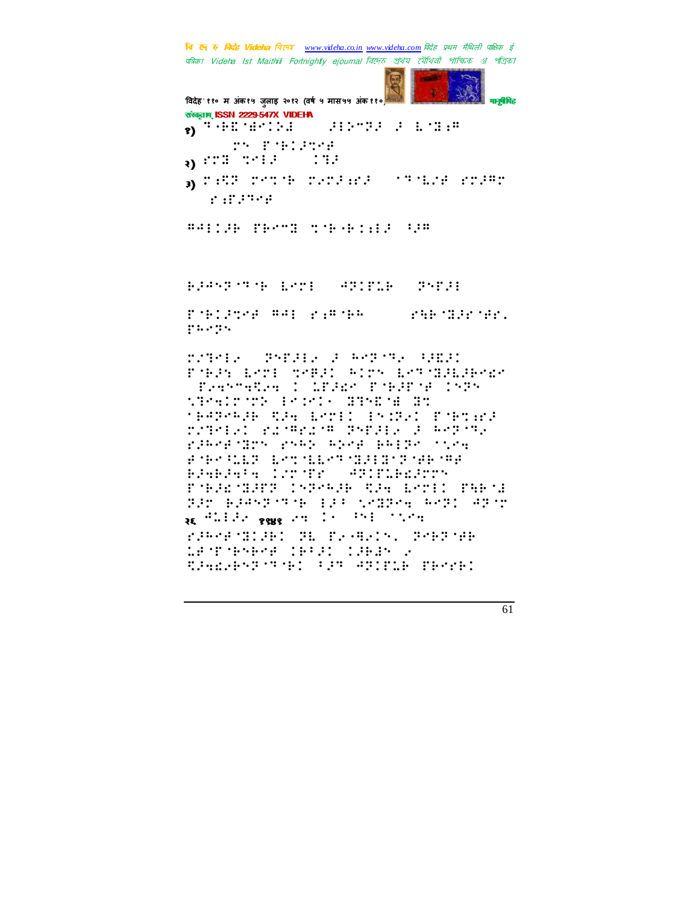विदेह' ११० म अंक१५ जुलाइ २०१२ (वर्ष ५ मास५५ अंक ११०) मनुष्यमिह संस्कृतम् ISSN 2229-547X VIDEHA  $_{81}$  =  $\div$  :  $\div$  :  $\div$  :  $\div$  : **SHOTS SACRA** TH POBLEME  $\mathbf{1}$ a CHR Chrome conferration in the country constant BRAND THE ENTIRE THREE STARTS PORTING WAL PAROLE (PHPORPORT) garge rrank and Canada and Canad PORTS LATE TABLE WITH LATORREPEAT Perronale I LEAR Port of 1828 SPACESE POST STREET ST **MERPARE REVIEWED INDED PORTIER** PARTIEL PACRELOR PRESED 3 REPORT riberingen rube beer beige schen FOR MIN IST HET WINDS THE THE BRGBRIGHT COMMIT FORECHER CORONE SEN LOTED PHPOL FROM BRAND CROB (ERR) SPIRE REPORT AR OC RE SHEET PARK ON THE STATE REPORT FARMENTIEL TE TANKING TMETHE LEATANAME TRAFT TUREN 2

CHANGE THE SUPPLICE COMPANY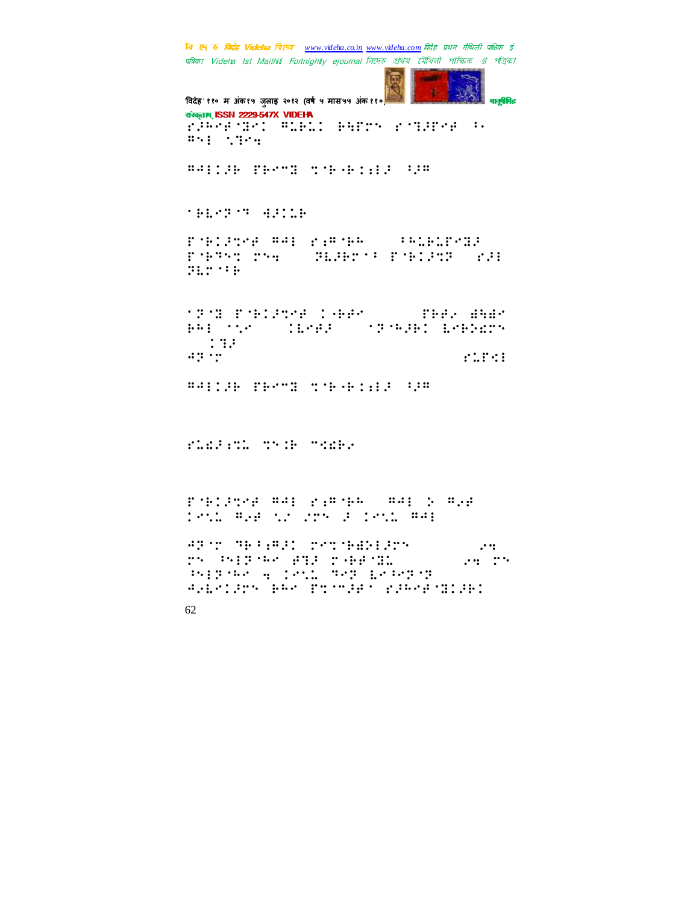**September** 

'विदेह' ११० म अंक१५ जुलाइ २०१२ (वर्ष ५ मास५५ अंक ११०) मानुसीरी मानुसीरीह संस्कृतम् ISSN 2229-547X VIDEHA  $^{\circ}$   $^{\circ}$   $^{\circ}$   $^{\circ}$   $^{\circ}$   $^{\circ}$   $^{\circ}$   $^{\circ}$   $^{\circ}$   $^{\circ}$   $^{\circ}$   $^{\circ}$   $^{\circ}$   $^{\circ}$   $^{\circ}$   $^{\circ}$   $^{\circ}$   $^{\circ}$   $^{\circ}$   $^{\circ}$   $^{\circ}$   $^{\circ}$   $^{\circ}$   $^{\circ}$   $^{\circ}$   $^{\circ}$   $^{\circ}$   $^{\circ}$   $^{\circ}$   $^{\circ}$   $^{\circ}$   $^{\circ}$ ESE STREET BAILIB TEMS STERFILE FR ⢷⣇⢽ ⢹!⣚⢼⣅⢷!  $T$  'B: Press (2011)  $T$  ,  $T$  ,  $T$  ,  $T$  ,  $T$  ,  $T$  ,  $T$  ,  $T$  ,  $T$  ,  $T$  $T$ '  $\oplus$   $T$   $\oplus$   $T$   $\oplus$   $T$   $\oplus$   $T$   $\oplus$   $T$   $\oplus$   $T$   $\oplus$   $T$   $\oplus$   $T$   $\oplus$   $T$   $\oplus$   $T$   $\oplus$   $T$   $\oplus$   $T$   $\oplus$   $T$   $\oplus$   $T$   $\oplus$   $T$   $\oplus$   $T$   $\oplus$   $T$   $\oplus$   $T$   $\oplus$   $T$   $\oplus$   $T$   $\oplus$   $T$   $\oplus$  ⢽⣇ 7⢷.3122\*!  $^{\prime}$   $^{\prime}$   $^{\prime}$   $^{\prime}$   $^{\prime}$   $^{\prime}$   $^{\prime}$   $^{\prime}$   $^{\prime}$   $^{\prime}$   $^{\prime}$   $^{\prime}$   $^{\prime}$   $^{\prime}$   $^{\prime}$   $^{\prime}$   $^{\prime}$   $^{\prime}$   $^{\prime}$   $^{\prime}$   $^{\prime}$   $^{\prime}$   $^{\prime}$   $^{\prime}$   $^{\prime}$   $^{\prime}$   $^{\prime}$   $^{\prime}$   $^{\prime}$   $^{\prime}$   $^{\prime}$   $^{\prime}$ ⢷⢳!⣁!)!⣇⢾⢼\*-!⢽ ⢳⢼⢷!⣇⢷⢵⣎!  $\blacksquare$  $\overline{AB}$  ...25. Gfcsvbsz. 2:58-1.25. Gfcsvbsz. 2:58-1.25. Gfcsvbsz. 2:58-1.25. Gfcsvbsz. 2:58-1.25. Gfcsvbsz. ⢻⢺⢼⢷!'⢷5⣝!⣉ ⢷0⢷⣈⣐⢼!⢸⢼⢻.29! "⣅⣎⢼⣐⣉⣅!⣉⣈⢷!5⣊⣎⢷⢴!2:33.2::1! '' Netayar Bagora na masa na mana na mana  $\frac{1}{2}$   $\frac{1}{2}$   $\frac{1}{2}$   $\frac{1}{2}$   $\frac{1}{2}$   $\frac{1}{2}$   $\frac{1}{2}$   $\frac{1}{2}$   $\frac{1}{2}$   $\frac{1}{2}$   $\frac{1}{2}$   $\frac{1}{2}$   $\frac{1}{2}$   $\frac{1}{2}$   $\frac{1}{2}$   $\frac{1}{2}$   $\frac{1}{2}$   $\frac{1}{2}$   $\frac{1}{2}$   $\frac{1}{2}$   $\frac{1}{2}$   $\frac{1}{2}$   $\$  $\frac{1}{2}$  . The Field is the step  $\frac{1}{2}$  and  $\frac{1}{2}$ !⢸⢽ ⢳!⢾⣙⢼!0⢷⢾ ⣝⣅!2::1!⢴⣒!! ⢸⢽ ⢳!⣒!⣁⣅!⢹⢽!⣇⢸⢽ ⢽! GAL THE THE THE SALE IS SEEN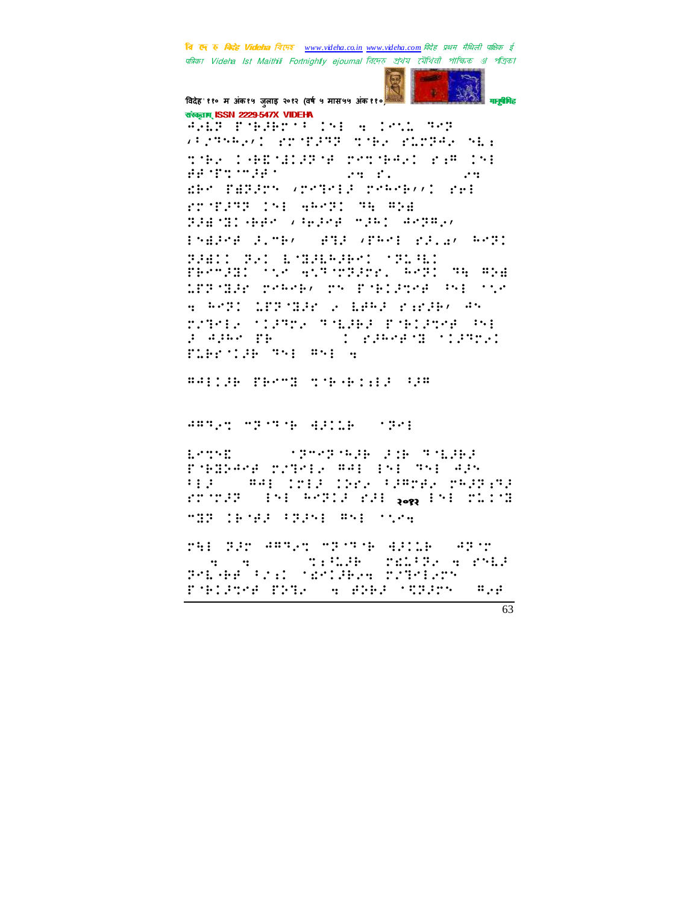## विदेह' ११० म अंक१५ जुलाइ २०१२ (वर्ष ५ मास५५ अंक११०) मानीमिह संस्कृतम् ISSN 2229-547X VIDEHA

ARD PARENT INF 6 INC. 303 *VISTARIA E PROTITTO SOLICIALE ALL* the leftilling reteat few De BE STORMARY  $\mathcal{L}$  and  $\mathcal{L}$  and  $\mathcal{L}$  $\ddots$ den fallen (retell regels/) del rrother in 4600 m mm PREMIRENT (PERS MIRI AMPR) Ending Simple **AND START START ARTI** THIS TAN EMISSION STAIRS FROM HIS STAR GARDEN PARK (PROPER LEBORAN CORONA CON ESPECIADORE SON a Redi LEPSEA 2 1882 radho 45 rated flats there in this companies g agne pp **CONSTRACT** firstin The When

##!!# TEST TTERING Q#

**ARTES SPORTS ARTISTS (SPORTS)** 

Estrag **MEMPHAM PERMIT** POBRAGE PATGES ##: 151 751 425  $\mathbf{1}$   $\mathbf{1}$   $\mathbf{2}$   $\mathbf{3}$ **SAME INTERNATIONAL PROPERTY** FUNDARY SENSIMAL PART FOR SAME PARTIES.

**MIP (PMP (PPP) PSE MV4** 

**MARK MARK MARK MARKED ARRIVE**  $\mathbf{u}$  $\mathbf{u} = \mathbf{u}$  and  $\mathbf{u} = \mathbf{u}$ t:028 rates week Prinke for Composition Soften **South State State**  $\mathbf{a} \cdot \mathbf{b}$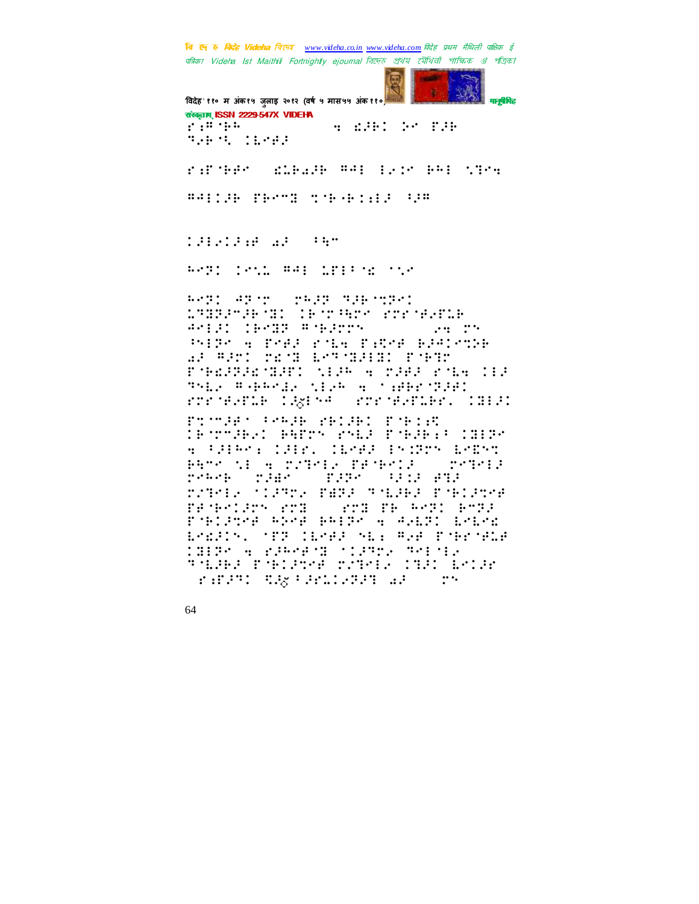विदेह' ११० म अंक१५ जुलाइ २०१२ (वर्ष ५ मास५५ अंक११०) मानवैमिड संस्कृतम् ISSN 2229-547X VIDEHA **A RADI DE PARA**  $\mathbf{r}$  :  $\mathbf{r}$  ,  $\mathbf{r}$  ,  $\mathbf{r}$ **Term Cherr** randed annual mar recognitions ##::# TEPT TYPE::11 00 **CONSTRUCTION** ARRI TRUL WAI LEIPE TUR 8021 4202 2832 3360201 STORYTH ON SPOTHER SERVICE Arist throw Windows  $2.92 \times 10^{12}$ PHIRT A PART POLA PARAB BIRINGE AP RED TEMP ESTMERED PORT PORAZZA MARI (NEAP) A (MARA (MORA) 182 THE FARME MER A THROTHE rnroekelb 12254 (rnroekelbr. 1883) Proman analysis recael poetic TROPORAT RAPPY PALE PORTRET THIRD A PRIPOLIZIK, IEMAR ISTRO EMEST PATRICAL A CONTRAD PRINCIPI (CONTRAD process plan **THE SERVICE** DZIMER (1970) PARA TOLANA PORTAGA STORE REPORT ROLL PROBATION STR PORTUGAL PEAR PRIPA A PALPI LALAR ESARIN, TER IESER NEW RAF POPPORE THIRD A PARKENT STARD SPECIE THERE PAIRSE SYNCHOLOGICAL

FRAME RANGER ARE THE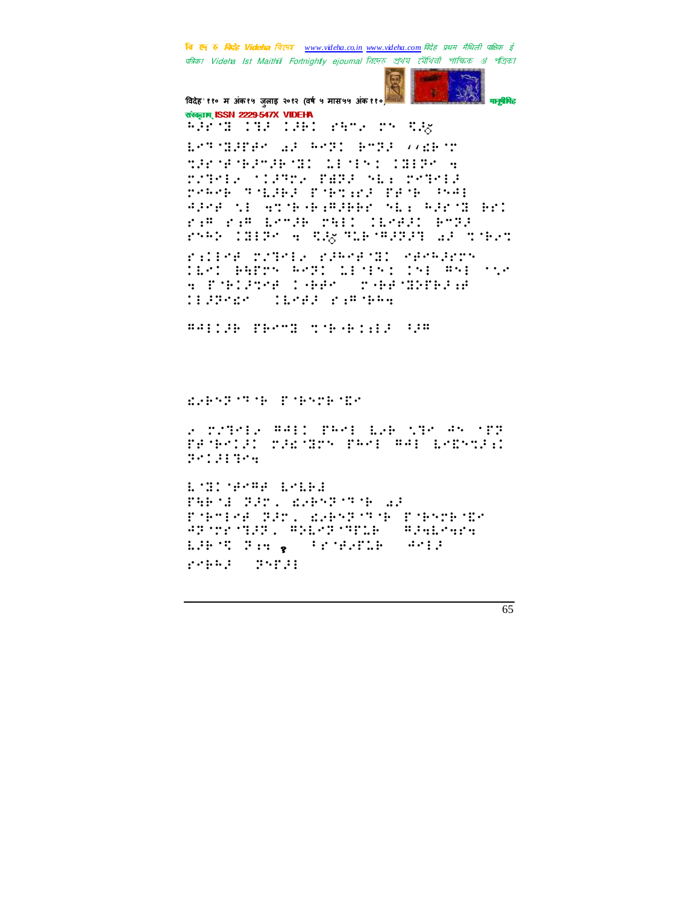

विदेह' ११० म अंक१५ जुलाइ २०१२ (वर्ष ५ मास५५ अंक११०) संस्कृतम् ISSN 2229-547X VIDEHA WESTERN THE SHEET WAS THE

ESTABLES AF WAT PATE VOORAT **MACHINES WILLIES CONTROLS** rrang (1985) BASE NEE reads reach thinks forced from the APPE 11 ATTERPREET NEE REPORTED ram ram benge refo coepso engg PARK INTER A SIN TIP MARIN AF TOPAT

rilef comes rameed eachdron TERI PRETH PRED LEMENI INE PNE MIR a Poblevé lakés sakodného **CONSTRUCTIONS** CONTROL

BAILIN PROST SON ALLIED CH

EARNE MARK PARKER TE

a pagela meli prel bab sge es spr PROPOSI MENSIMA PRAL RAL LADYNALI 20121304

L'HI 'HR'HE LRIDE FAR 12 FRY. RAPSPORT AF Poboles Plus Reports Poboles An the thun, Analyst thrum  $\frac{1}{2}$  =  $\frac{1}{2}$  +  $\frac{1}{2}$  +  $\frac{1}{2}$  +  $\frac{1}{2}$  +  $\frac{1}{2}$  +  $\frac{1}{2}$ LART PAR POST PROPERTY AND gener gegri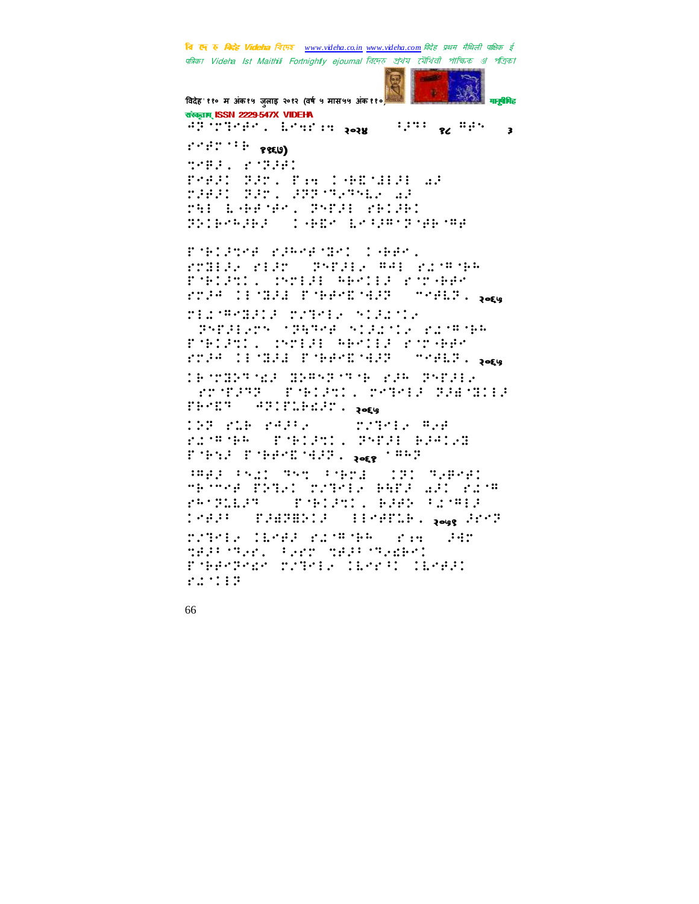विदेह' ११० म अंक१५ जुलाइ २०१२ (वर्ष ५ मास५५ अंक ११०) मनुबेमिह संस्कृतम् ISSN 2229-547X VIDEHA africant and some that we have  $\rightarrow$  $: \cdot : \cdot : \cdot : \cdot : \cdot$  <br> ? ? (9) SPRE. PORPE POST SUP. THE LANDSHIP AP THE SET STRUCKS THE LARGER SHIP SECOND SSIRARIES (1987 1239) SALAM SARA Poblased placeopolisation ( rollar riao (PSPAle #41 ric#ch+ PALENT, DRIH BESIK KANAWA FTPP IESER FSPPRSER SSSPEED, por MERSHED PARTS SIEN THEREN STEPHEN SIRES ENTRYPH PORTAGE COMPARED REPORT FOR HER PTPR IPTERS ECHPRICARY COORDINAGE TROTER OR BRAND OF RIGHT PATER. **ROCHARD PROPER STREET** FERNING STILLENSING ROLL TURNEY WAR rangement for the control of the control of the control of the control of the control of the control of the control of the control of the control of the control of the control of the control of the control of the control o F THIS F THEFE THAT . JOEP ' HAT WHERE IN MICHAEL PERSONAL PROPERTY MECTAN PRISO CATALA PHEA WAS CACH PROBLEM . **THIS BEST BEST** THERE INSTRUCTS INFIRME. <sub>Roug</sub> Anno ratele light rachen (red) dur mest der Corrosest der Stere Pobenther critery (break (break)  $22.222$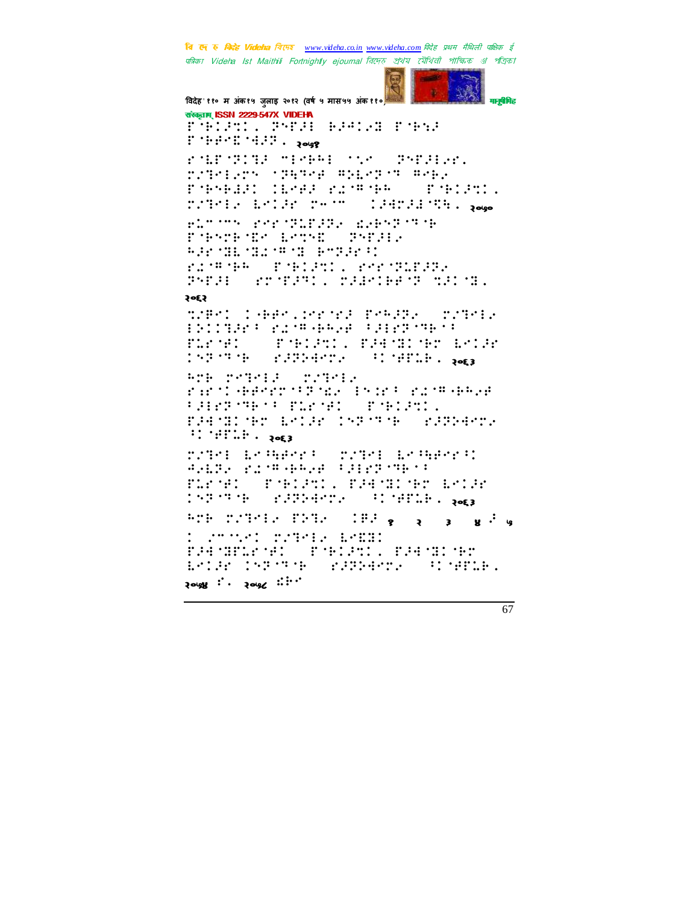```
F THETHIT . Jour
robroging speed the gendier.
rinelers (papel splere see.
POPHER CEMER FROM HE PORTER
rately below recommunicately. page
FLOTTE FEDTRICKE EFFROM TH
PORTHOL: 18750 DEPRIS
SAMILYER SERVICE
ranges (Philipi), rerubble
PARA (STARANI) TARKIBAN TILIMI.
20E2tres labeles we allessed critical
BRITHER PENGALA REPORT
         COMPOSITION PREMIUMENT EXCRE
Planet Party
INFORM PREPRINTS
                     \vdots : \vdots \vdots \vdots \vdotsTANKER
ATH TRIPES
partieprocesso aspectare prepa
FOR STRAKE POSTS CONSTRUCTS
FARTHER ESTACTMENT CONFIDENCY
\ddots with \ddots be a
right begans a right begans t
ANDRE SCHAFFEND FRISTENE
FLP 941
        THING PROBLEM
INFORME PREPARENT POSSESSED . DOES
HOR CONFIDENTIAL CRAIG (2) 3 MAY 6
: Annet Autor: Egen
FREMINANEL (FNELRI) FREMIDNA
ESTAR TRACTOR (PRIPRAPOR) SIMPLE.
\mathcal{L}^{c} : \mathcal{L}^{c} : \mathcal{L}^{c} : \mathcal{L}^{c} : \mathcal{L}^{c}
```
67

मानवैमिड

वि ए रु क्रिडे Videha विएक www.videha.co.in www.videha.com विदेह प्रथम मैथिली पाक्षिक ई पत्रिका Videha Ist Maithili Fortnightly ejournal রিদেহ প্রথম মৌথিনী পাক্ষিক ॳ পত্রিকা

विदेह' ११० म अंक१५ जुलाइ २०१२ (वर्ष ५ मास५५ अंक११०)

Pülacı, Byraf Bagıyo Pubu

संस्कृतम् ISSN 2229-547X VIDEHA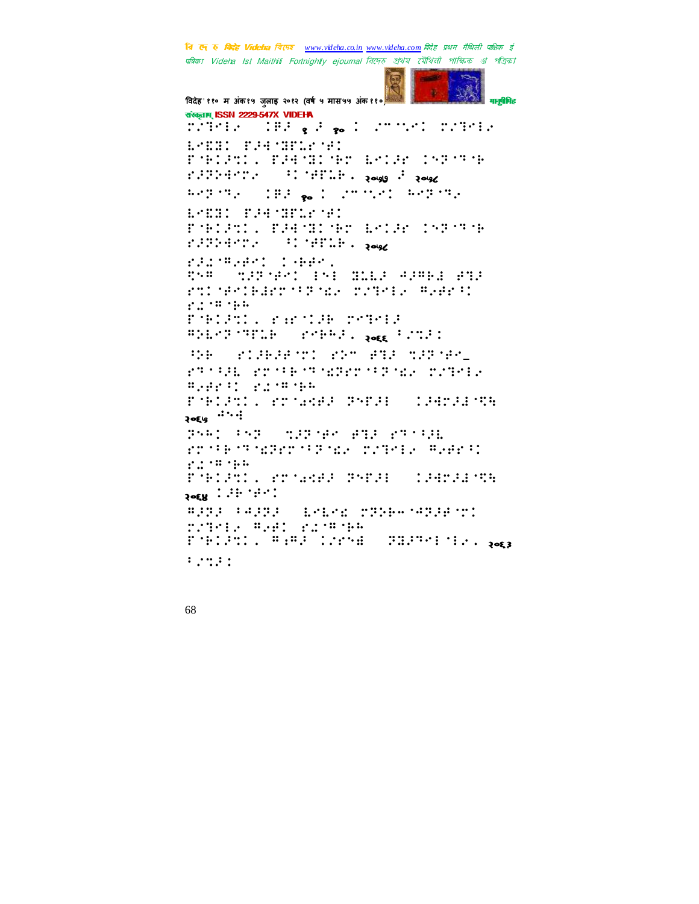विदेह' ११० म अंक१५ जुलाइ २०१२ (वर्ष ५ मास५५ अंक११०) मनुबेमिह संस्कृतम् ISSN 2229-547X VIDEHA rhées (183 . 3 . 1 . 11191 rhées E-BH BRIDGE PORTAGE. PAROLOGY ESTAY INFORMA FUNDAMENT CONTROLLED ROOM CONSE Reports (182 god) (monet Reports **ANDRE BARBER (1995)** PORTAGE. PAROLOGY ESTAS INFORMA richment (Sees) 558 (522-551 151 BLL2 42861 232 rtinesiarrettako rateia guardi  $2.22422244$ PORTAGE PHOTOGE CONFIDE WHENT TELES SOMETIME FOUR : SH STARACTI CH AR SALACT PROFIL POOFFORMERS FROM PARTIE **Biggett** given the PORTAGE COMPANY CONSTRUCTS PARI PAR (1992-1980) PRE 2017-006 rribishe mando dhe shekarar ta shekarar 200 recept, probes recept (certains)  $\frac{1}{2}$  of  $\mu$  :  $\frac{1}{2}$  :  $\frac{1}{2}$  :  $\frac{1}{2}$  :  $\frac{1}{2}$  :  $\frac{1}{2}$  : #222 F4222 Leber 2228-14228.21 TITES REPORTED FORDER WHAT DEPART THAT THE LOWER  $\mathcal{L}$  , and  $\mathcal{L}$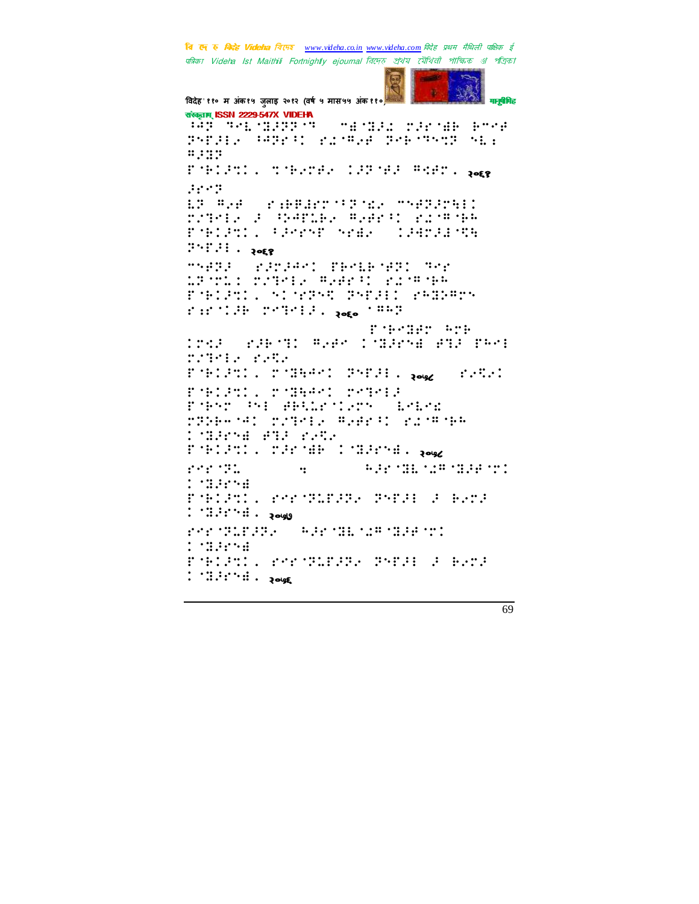विदेह'११० म अंक१५ जुलाइ २०१२ (वर्ष ५ मास५५ अंक११० मनुबेमिह संस्कृतम् ISSN 2229-547X VIDEHA ağ sergiyası sayalar baş bes PRESENTARE CONTROL PRESENT SER #200 PORTION TORONTAL THRUSH REPLACE **BEAT** 12 Ref (profesoration) medicinal<br>constellation control references Paláni, tanny maso iamaina  $P: P: P: \mathbb{R} \rightarrow \mathbb{R}$ MARR (PREPART PRALEMED MAP LEATLI TUTHE WEEKS FINGTHE POBLASI, SINGER GREAT PROPER  $\pm$  ::  $\pm$  :  $\pm$  :  $\pm$  :  $\pm$  :  $\pm$  :  $\pm$  .  $\pm$   $\pm$   $\pm$  :  $\pm$  :  $\pm$  :  $\pm$  :  $\pm$  :  $\pm$  :  $\pm$  :  $\pm$  :  $\pm$  :  $\pm$  :  $\pm$  :  $\pm$  :  $\pm$  :  $\pm$  :  $\pm$  :  $\pm$  :  $\pm$  :  $\pm$  :  $\pm$  :  $\pm$  :  $\pm$  :  $\pm$  :  $\pm$  : Poneman And ITER (2007) Reproduced 202 Park DITECT PART FORDER PONSEED POPPER Dag (1959) POBLEMA CONFERENCE MONETA FORSY PSI HRADOLETY ESESE MPDF-141 MDMF-12 RDHP31 MDMR1PF FORTECT PERMIE INSERNAL Rega ene della **APROXIMATION**  $\dddot{\mathbf{z}}$ : deres PORTAGE, POPORTARY PORT & BYDA  $\therefore$   $\therefore$   $\therefore$   $\therefore$   $\therefore$   $\therefore$   $\therefore$   $\therefore$   $\therefore$   $\therefore$   $\therefore$   $\therefore$   $\therefore$   $\therefore$   $\therefore$   $\therefore$   $\therefore$   $\therefore$   $\therefore$   $\therefore$   $\therefore$   $\therefore$   $\therefore$   $\therefore$   $\therefore$   $\therefore$   $\therefore$   $\therefore$   $\therefore$   $\therefore$   $\therefore$   $\therefore$   $\therefore$   $\therefore$   $\therefore$   $\therefore$   $\therefore$ FOR THE R. P. LEWIS CO., LANSING MICH. **Manazar** PORTECT POSTERED PORT FOR BANK  $\therefore$   $\therefore$   $\therefore$   $\therefore$   $\therefore$   $\therefore$   $\therefore$   $\therefore$   $\therefore$   $\therefore$   $\therefore$   $\therefore$   $\therefore$   $\therefore$   $\therefore$   $\therefore$   $\therefore$   $\therefore$   $\therefore$   $\therefore$   $\therefore$   $\therefore$   $\therefore$   $\therefore$   $\therefore$   $\therefore$   $\therefore$   $\therefore$   $\therefore$   $\therefore$   $\therefore$   $\therefore$   $\therefore$   $\therefore$   $\therefore$   $\therefore$   $\therefore$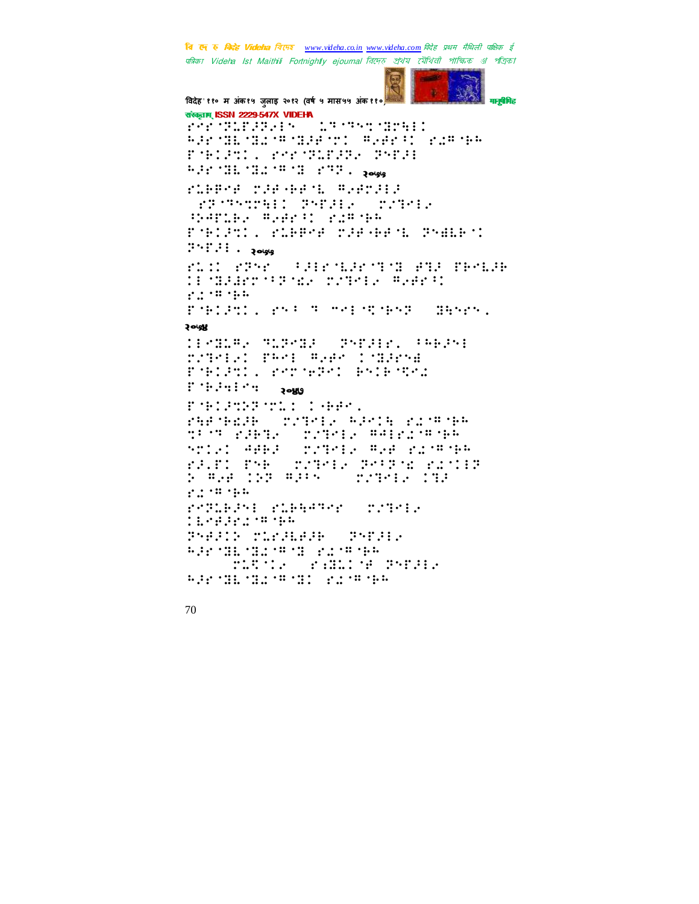विदेह' ११० म अंक१५ जुलाइ २०१२ (वर्ष ५ मास५५ अंक११०) मानवैमिड संस्कृतम् ISSN 2229-547X VIDEHA FOR THEFT : 1999 THE HI Adenticity of the this agent and the PORT PRODUCED BY AN ARTICLE **P.P. MEL MEL 18 MEL 2009** ruera raegen margo FRONTHIC PERISTICAL SAMILES WART COMME PORTETT PORPHE MIROREN PRESPO  $\therefore$   $\therefore$   $\therefore$   $\therefore$   $\therefore$   $\therefore$   $\therefore$   $\therefore$   $\therefore$   $\therefore$   $\therefore$   $\therefore$   $\therefore$   $\therefore$   $\therefore$   $\therefore$   $\therefore$   $\therefore$   $\therefore$   $\therefore$   $\therefore$   $\therefore$   $\therefore$   $\therefore$   $\therefore$   $\therefore$   $\therefore$   $\therefore$   $\therefore$   $\therefore$   $\therefore$   $\therefore$   $\therefore$   $\therefore$   $\therefore$   $\therefore$   $\therefore$ ric ray (Hrtendrich Berger) **CENTRAL SERVICE SERVICE**  $27.2 \times 10^{-1}$ PORTUGAL PARTIE MARIE NAPA (IRAPA) **Yones** HREEK SUPPER (PREFECTABLE) rineri per saar tikra PORTH POSTER PORTH Policies and the control ર૦ષ્ટ્રણ POSTOS TELEVISTO PHP GELE ( TITEL FROM PICH ST TEST PRESS TRIPLE WALPERTA **STIPE AREA (TITLE: ARE PITAGE** FAIRY PHE CONTROL PROPORTION P WAR INT WARRENT TITLE ITS FOREST PLEATER TRIPLE **CEPACHIC MANUFICATION** PARIS MERGER (PATRE 832 TH 312 TH 31 21 TH 38 **TELL FELIN STEEP Additional Manufacturers**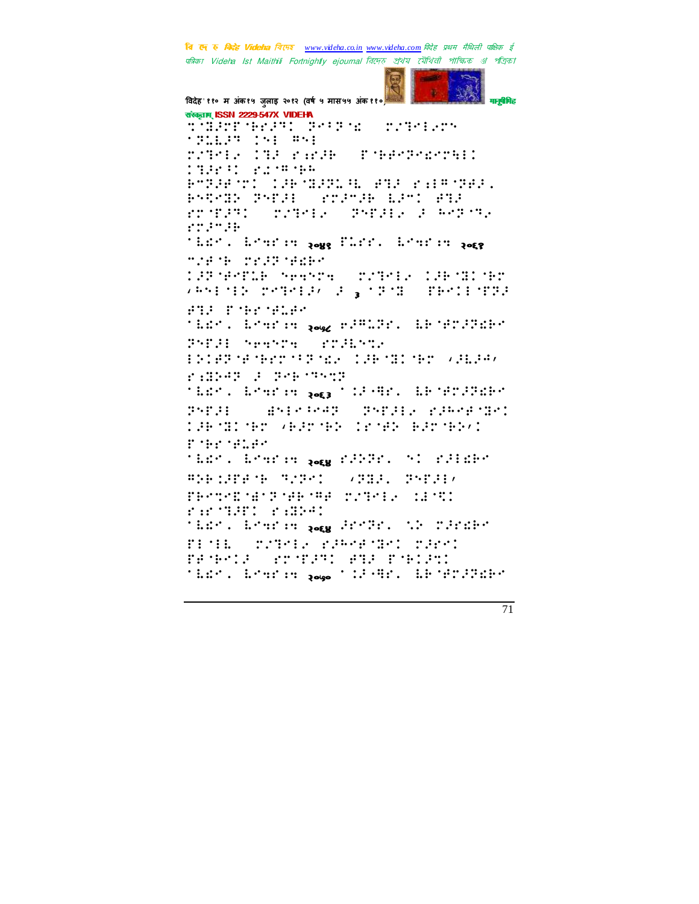विदेह' ११० म अंक१५ जुलाइ २०१२ (वर्ष ५ मास५५ अंक११० म**ाबे**मिड संस्कृतम् ISSN 2229-547X VIDEHA **THEFFICAT POPUL** 22311225 **START INE WAI** TZIMER (IER KAPZE) ESPANYMANTAEI **CONSTRUCTION** PORPORATOR MEREL BOARD PAPPORE. BYDYN PYDD (MORTH 127) 892 **Transfer Product Property PERMITTED** and the second second That . Louism <sub>Rows</sub> Phone Louism Rome modific conditionation 19878-108 Season (overled 198781780 **CANE MEN CHARLES A SURVEY CONTROL** AND PORTHER ildi, bishe <sub>kog</sub> eff.Pr. bhjf?ffff PSER Season portison ENDER SPEED SPEED OFFICE SPEED (FEED) randri represent oldr. Louise <sub>Roga</sub> (1939). LE SPOSPEES PSPIL ASPECTED PSPILE PIRESTRY **CONSTRUCTIONS** CONFIDENTIAL Potentials TEEM. EMARIN SAN PARTIE AT PAIERS springer street (small persi, FROM MORTHROW CORNER (1971) ranger radio than, brefer <sub>Rou</sub> BriBr, th floabh FECE ( STREET SPACE TECH SPECT RESPORT BOSCHILL BELLEVELON TEST, England Sage (12-98), EP NOVESPA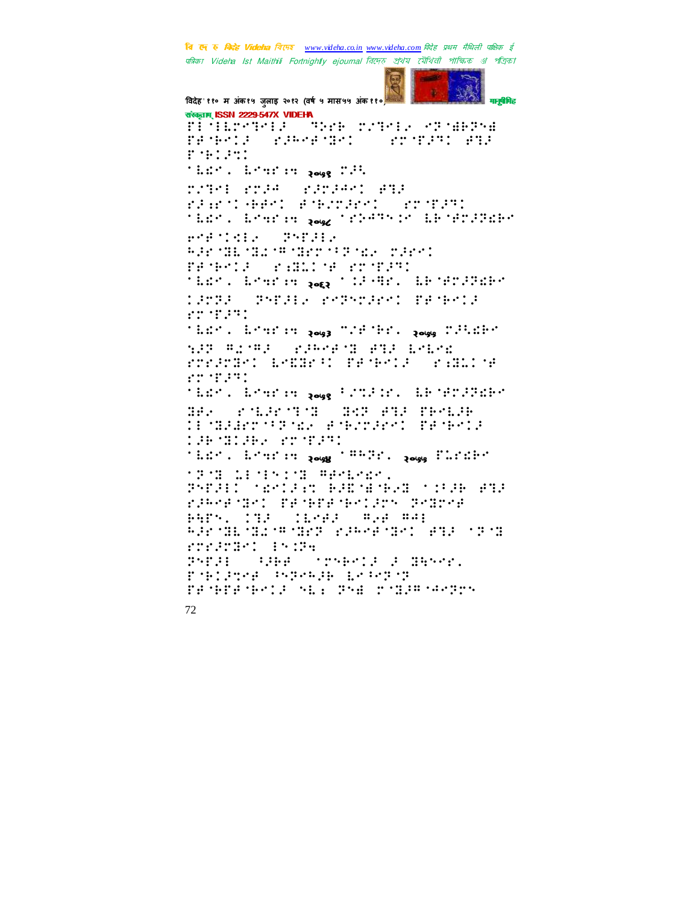मनुबैमिड विदेह' ११० म अंक१५ जुलाइ २०१२ (वर्ष ५ मास५५ अंक११०) संस्कृतम् ISSN 2229-547X VIDEHA FIGHT-THE THE TIME CONTROL PANDALL PADAR MENT - PENTRING AND FORDER There been many fill. TIME FRAME STRAKT ATA raunteen aderaret vrouwet TEDMA EMADO A VARA TEDATTA DA ER NEDIPORT  $\begin{aligned} \mathbf{r}^{11} \mathbf{r}^{21} & \mathbf{r}^{31} \mathbf{r}^{31} \mathbf{r}^{41} \mathbf{r}^{51} \end{aligned}$ **SERVICE ASSESSMENT CONTRACTS** remain control criteri TEEM, EMARIA <sub>Reg</sub> (11998), EPOPPIER 1983 Shill Scheeded Benedi en man: 'idi', isturiu <sub>koga</sub> "liftir, <sub>koga</sub> "liftir SPP RIMPS ( PIPME SE PRE LMLME rretrakt braakt penett (reactne  $(22.1232)$ tich. Drefen <sub>Rog</sub> (2020). De Gr*2*2chr 88. rusian 19 G MAARTSPAR FSCHRIEF BESPIE 800 - 1000 - 1000 - 1000 - 1000 - 1000 - 1000 - 1000 - 1000 - 1000 - 1000 - 1000 - 1000 - 1000 - 1000 - 1000 -"Ld", Louise <sub>Roug</sub> (While, <sub>Roug</sub> Mische **THIS CONTROL SECTION** PSEARD CRADA REGISTERED TO PARTICULAR PARKEMENT THORPHOENISTS TRIPPE PATS, 1920 (16942) Age Age **Additionary Theoretical State State** FIFRENT INCH PAPER (BEE (Trakets S Beach) romined by the proper TEMPEMBEL SEE TSE TMIPH WATCH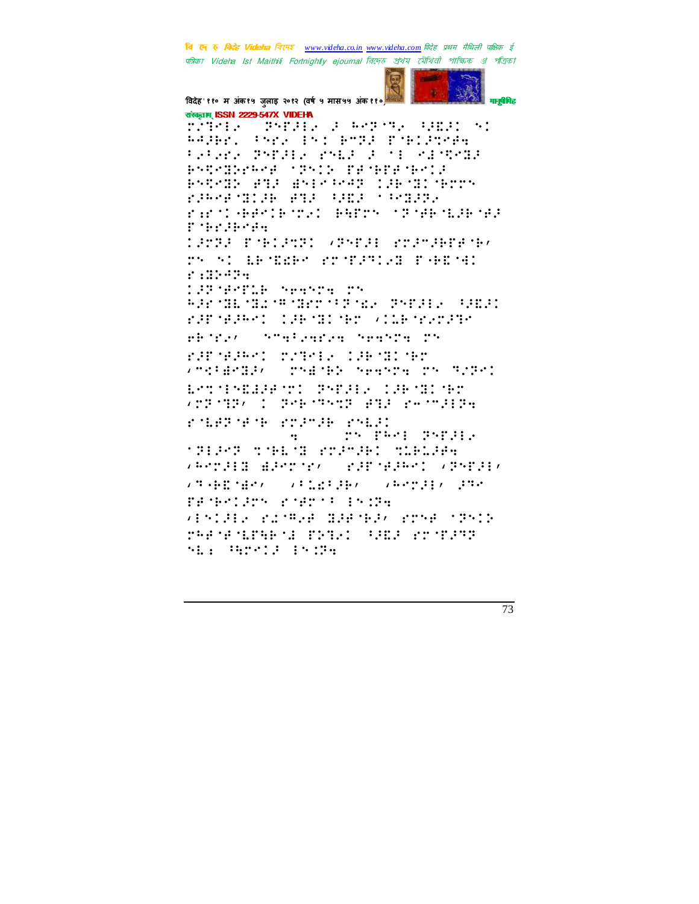

संस्कृतम् ISSN 2229-547X VIDEHA PATHE FACTOR HERIOT **MANIFEST** Adjar, Pres inc. Angl. Pracineda Prince Production and Constant BYD-BEER (DYD BEER GYD BYDYNE AND ANIXAY LOBYNISHTTY ribre dille sol sill conser rantements mat shown in her day has Policiana e **TATAR PARTNER (PAPAI STATARPAGE** rn ni benzer ernifika færni ramonia STORYCH Spanna Th **AGE THE THE THEFT THREE PAPERS CONFIDENT** randasen (abdilder (libderate eBord - Shellerier Serbir IS FUELTRIAL TITTER CORTILITAT  $\sqrt{2}$  and  $\frac{1}{2}$  and  $\frac{1}{2}$  and  $\frac{1}{2}$  and  $\frac{1}{2}$ **STRAIGHT SEARCH TO STRAIGHT** ESTIMARE TO PERE CRETE THE **VIRGINAL REPORT FOR PROVIDE** rister en rithere The Paris Philips  $\dddot{\mathbf{z}}$ **MERCH THEM STRUBI TEERS** *VAPILE BRIDGE CONFIDENT VIRESE*  $\sqrt{3}$  (BE MP)  $\sqrt{3}$  (123, FB)  $\sqrt{3}$  (PP) EV (FB) PENDANCY PORTIL ENGIN VENDER PONGE BEFNED PRNE MONDE reformation control and crocor **NEW PERMIT ENGINE**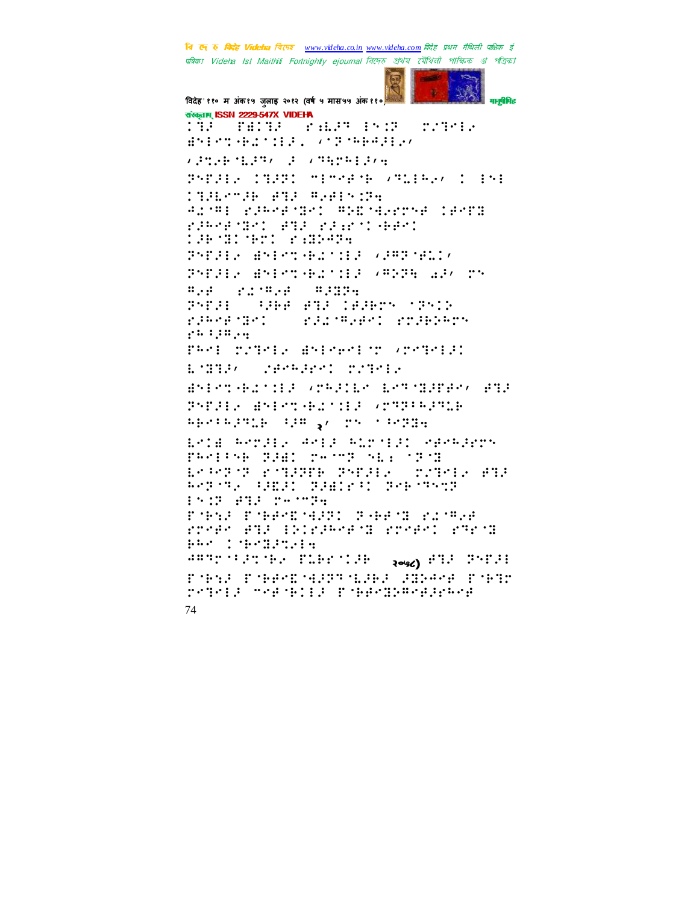विदेह' ११० म अंक१५ जुलाइ २०१२ (वर्ष ५ मास५५ अंक ११०) मानुबैमिह संस्कृतम् ISSN 2229-547X VIDEHA  $: 3.5$ **PARTIES AND PROPERTY Contract Service** ENFORMATION (TOPPED)  $\sqrt{2724}$  (1.27,  $\sqrt{2}$   $\sqrt{3424427}$ ,  $\sqrt{2}$ PHIL THE MERGE VIEW (1999) **CHARGE SHE SHEETS** Arra Karaman Amerikan (And rikerand and right-basi **CAR MEDITER:**  $\mathbf{r}$  :  $\mathbf{r}$ PARIS BALANGERALE VINFARIA Prisil aristicitis ("SPR all cr **A.A. S.M.A.**  $\ldots$   $\ldots$  $7.7774$ **SAME SIDE CONSTRUCTS** edwearders **MINIMAGE STREETS** PRODUCTORE BREAGHT SCARAGE ESTER SPARENT TITLE Brist-Bartis (MRSIES ESTMERES) BTS PRESER BREATHENIE (PRESEREN BESTRINGE OF 37 THE STRING Ente Rhodes Aned Richele (nankeon PROPER PART 24/77 MEE 1773 LARATAT EATLITE TATLES CONTAES ATL Report CHEF BREEK COMPOSED 15:2 832 25:525 PORT PORTSHED PORTS FINA rrefe fall inirikera drefe: rathe photographical control of **ARTESTATIVE PLETILIE**  $\mathbb{R}^{log}(\mathcal{E})$  :  $\mathbb{R}^{2}$  :  $\mathbb{R}^{2}$  :  $\mathbb{R}^{2}$ FORE PORPENENTSHED SERVE PORT rener een meerste reneemskelijkel 74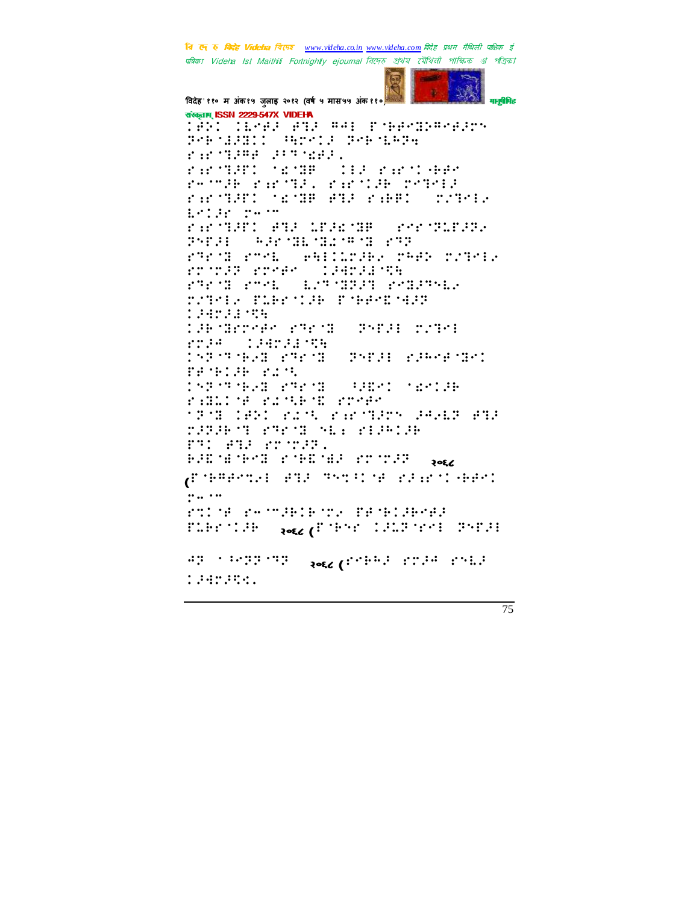विदेह' ११० म अंक१५ जुलाइ २०१२ (वर्ष ५ मास५५ अंक११० मानुबैमिह संस्कृतम् ISSN 2229-547X VIDEHA 1991 (Lega and Wal Pobenheeding POPULARII ARTOIS POPULARA ranger noge (10 and 20 and recode randal randae redea randari nange aga rakei (prova ESTER THOM randari ada inak de caratanara  $-0.51$  (Hz  $-0.12$  )  $-0.12$  (Hz  $-0.12$  )  $-0.12$  $79771 -$ PRODUCTE SERIORES PER POTER room rock (Perlion ring in the component of the component of the component of the component of the component of the component of DZIPLA PLEMOVAE POBAPROBZE 194294755 **THE SEPPRE PRESS SPEED PIRE PERMIT CONSTRUCTS** 15275928 PROB (PSDB) PARATORI HOW HOW PANE **INSTRACT PRODUCT AGEST SECTION** ramine ringer rreen 'P'E CARD PE'N PAP'HAR JAAR AHA **MINIMUM STATE SEARCHILD STATES COMPANY CONTROL** BOON STEPHENS  $20E$ grobeedie eta monarca araban een  $\cdots$ rning rechtelborg Benblüberg FLEETIGE ROLL (FIGHT 1912 THE PHEF)  $\frac{1}{2}$  and  $\frac{1}{2}$  in the set of the set of the set of the set of the set of the set of the set of the set of the set of the set of the set of the set of the set of the set of the set of the set of the set of the set  $47.144777777$ taerage.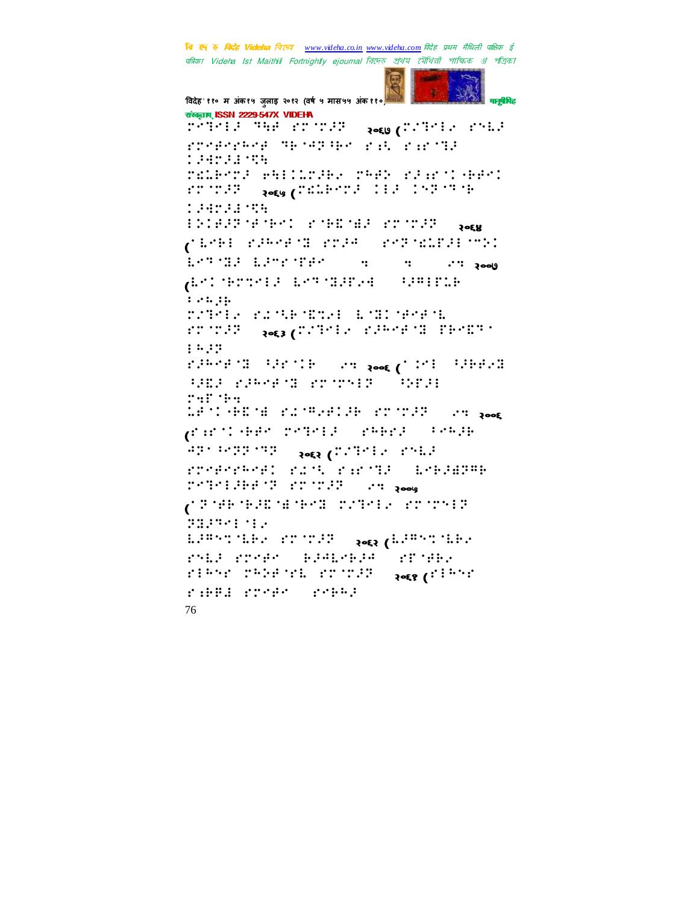विदेह' ११० म अंक१५ जुलाइ २०१२ (वर्ष ५ मास५५ अंक११० मानवैमिड संस्कृतम् ISSN 2229-547X VIDEHA PERSON WHEN PURSE REQUIRING THE romenser skrepser rad rands **TRANSPORT** releved eacourde, redy solernleed FUSTER Respectfully for the 1979 th 1942931934 EDIFFERENT PORTHEIME POINTER ... prints adventuable and model mod ESTARF REACTES ( HO း ... ၁၀၀၆ del terreta activalente contenar  $1.74.14$ TITLE FINENTIAL LONGICA STORE ROLL CONTROL SPECIFIES TECHNIC  $: 4.33$ substance of the compose (1998) General HARD SCHOOL STORES (1973) LESS HESE PLOTANIE PROVINCE (PRODUCT) grand der schrift scheid streie निर्माण का प्राप्त कर के साथ का समाज करने के साथ स्थित के साथ स्थित के साथ स्थित के साथ स्थित करने के साथ स्थि<br>जनसङ्ख्या rrepresent rich range (Eekarge POTOLIBENT PROTEEN USB Room CONFIDENTIAL POST CONTRACTOR OF 2227-111 EPPSYCHED STORE (EPPSYCHED rnis rrnen algebige from ribhr chleiri roice. ર•દ? (<sup>:' : :</sup>∵:` rabbi rrepe (repa) 76

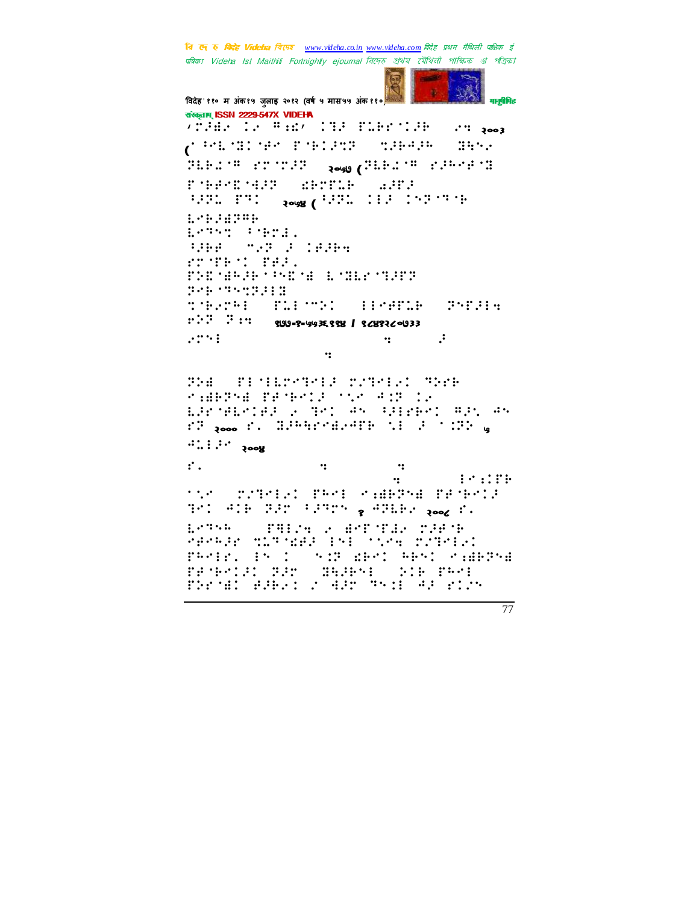विदेह' ११० म अंक१५ जुलाइ २०१२ (वर्ष ५ मास५५ अंक ११०) मानुसीरी मानुसीरीहरू संस्कृतम् ISSN 2229-547X VIDEHA \THE INTERNATIONAL (⢸⣇ ⣝ ⢾!' ⢷⢼⣉⢽-!⣉⢼⢷⢺⢼⢳-!⣝⣓⢴\*! ЛЕРИ № 11 № 112 № 1200 (№ 112 № 112 № 112 № 112 № ' ⢷⢾⣏ ⣚⢼⢽-!⣎⢷'⣅⢷-!⣔⢼'⢼\*! ⢸⢼⢽⣅!'⢹.!२०५४ (⢸⢼⢽⣅!⢼!⢽ ⢹ ⢷-! ⣇⢷⢼⣞⢽⢻⢷\*! ⣇⢹⣉.⢸ ⢷⣜⣀! ⢸⢼⢷⢾-!5⢴⢽!⢼!⢾⢼⢷⣒! " '⢷ !'⢾⢼⣀! '⢵⣏ ⣞⢳⢼⢷ ⢸⣏ ⣞!⣇ ⣝⣇" ⣙⢼'⢽! ⢽⢷ ⢹⣉⢽⢼⣝-!  $^{\prime\prime}$   $^{\prime\prime}$   $^{\prime\prime}$   $^{\prime\prime}$   $^{\prime\prime}$   $^{\prime\prime}$   $^{\prime\prime}$   $^{\prime\prime}$   $^{\prime\prime}$   $^{\prime\prime}$   $^{\prime\prime}$   $^{\prime\prime}$   $^{\prime\prime}$   $^{\prime\prime}$   $^{\prime\prime}$   $^{\prime\prime}$   $^{\prime\prime}$   $^{\prime\prime}$   $^{\prime\prime}$   $^{\prime\prime}$   $^{\prime\prime}$   $^{\prime\prime}$   $^{\prime\prime}$   $^{\prime\prime}$   $^{\prime\prime$ ⢶⢵⢽!⢽⣐⣒;!९७७ -१-५५३६९९४ / ९ ८४१२८ ०७३३  $\mathcal{L}$ : eiga $\mathcal{L}$  and  $\mathcal{L}$  and  $\mathcal{L}$  and  $\mathcal{L}$  and  $\mathcal{L}$  and  $\mathcal{L}$ eijaste kalendris kalendris parastas parastas parastas parastas parastas parastas parastas parastas parastas p<br>Etimologia parastas parastas parastas parastas parastas parastas parastas parastas parastas parastas parastas ⢽⢵⣞;!' ⣇⣙⢼!#⣙⢴!⢹⢵"⢷! ⣐⣞⢷⢽⣞!'⢾ ⢷⢼!⣁!⢺⣈⢽!⢴! ⣇⢼" ⢾⣇⢾⢼!⢴!⣙!⢺!⢸⢼"⢷!⢻⢼⣁!⢺! "Z" Rood f. HPHETERTH NE F TIP Q  $\ddot{...}: \ddot{...}$   $\ddot{...}$   $\ddot{...}$ Times and the contract of the contract of the contract of the contract of the contract of the contract of the contract of the contract of the contract of the contract of the contract of the contract of the contract of the 180cibmtbsjl.hbdii⣒iunm!⣐'⢷!  $^{\prime}$   $^{\prime}$   $^{\prime}$   $^{\prime}$   $^{\prime}$   $^{\prime}$   $^{\prime}$   $^{\prime}$   $^{\prime}$   $^{\prime}$   $^{\prime}$   $^{\prime}$   $^{\prime}$   $^{\prime}$   $^{\prime}$   $^{\prime}$   $^{\prime}$   $^{\prime}$   $^{\prime}$   $^{\prime}$   $^{\prime}$   $^{\prime}$   $^{\prime}$   $^{\prime}$   $^{\prime}$   $^{\prime}$   $^{\prime}$   $^{\prime}$   $^{\prime}$   $^{\prime}$   $^{\prime}$   $^{\prime}$ THI WIE THE PHOTOGRAPH & WHERE ROOK TO ⣇⢹⢳!#!'⣛#⣒!⢴!⣞' '⣜⢴!⢼⢾ ⢷!  $^{\prime}$  . The second second second second second second second second second second second second second second second second second second second second second second second second second second second second second second TRAIN, IN Z (NO 2R 2RA) RENO A HETHE TH GRIST SERVICE THAT THE WELFARE TO THE TREE OF THE TREE OF THE TREE OF THE TREE OF THE TREE OF THE TREE OF THE TREE OF THE TREE OF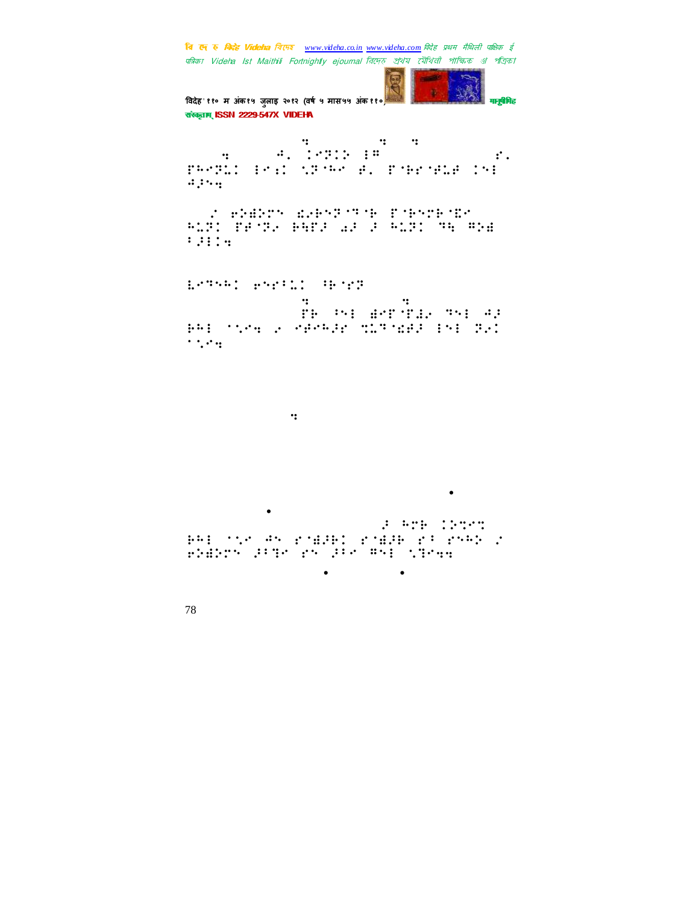'विदेह' ११० म अंक१५ जुलाइ २०१२ (वर्ष ५ मास५५ अंक ११०) मानुसीरी मानुसीरीह संस्कृतम् ISSN 2229-547X VIDEHA

iuuq;00xxx⣒wjefib⣒dp⣒jo0gffec bdlogi und de la 1971 de 1980 de la 1980 de 1980 de 1980 de 1980 de 1980 de 1980 de 1980 de 1980 de 1980 de 19 'WYSI I I I I YESHA AL ISBN 1918-1918  $\mathcal{L}$ 

) ()  $\mathcal{L}$  ,  $\mathcal{L}$  and  $\mathcal{L}$  are  $\mathcal{L}$  and  $\mathcal{L}$  . It is the single single sum of  $\mathcal{L}$ ₩WH 1999 YOU WHAT IS TO MAKE THE WARD IN THE UP OF THE UP OF THE UP OF THE UP OF THE UP OF THE UP OF THE UP OF  $7.7:$ 

⣇⢹⢳!⢶"7⣅!⢸⢷ "⢽!

ius;00xxxx quadratic production of the control of the control of the control of the control of the control of the control of the control of the control of the control of the control of the control of the control of the con to the state of the state of the state of the state of the state of the state of the state of the state of the ⢷⢳!⣁⣒!⢴!⢾⢳⢼"!⣉⣅⢹ ⣎⢾⢼!!⢽⢴!  $\mathcal{F}$  ,  $\mathcal{F}$  ,  $\mathcal{F}$ 

 $\frac{1}{\alpha}$ 

 $\ddot{\phantom{0}}$  $V$ i  $V$ i  $\bullet$   $V$ 

Btijting in de staat de staat de staat de staat de staat de staat de staat de staat de staat de staat de staat<br>Die verskeie van de staat de staat de staat de staat de staat de staat de staat de staat de staat de staat de ₿HE 'N V AN 'B NEBEL' BNEBEL BN 'BNH2' L'  $\frac{1}{2}$ 

 $\bullet$  if the state  $\bullet$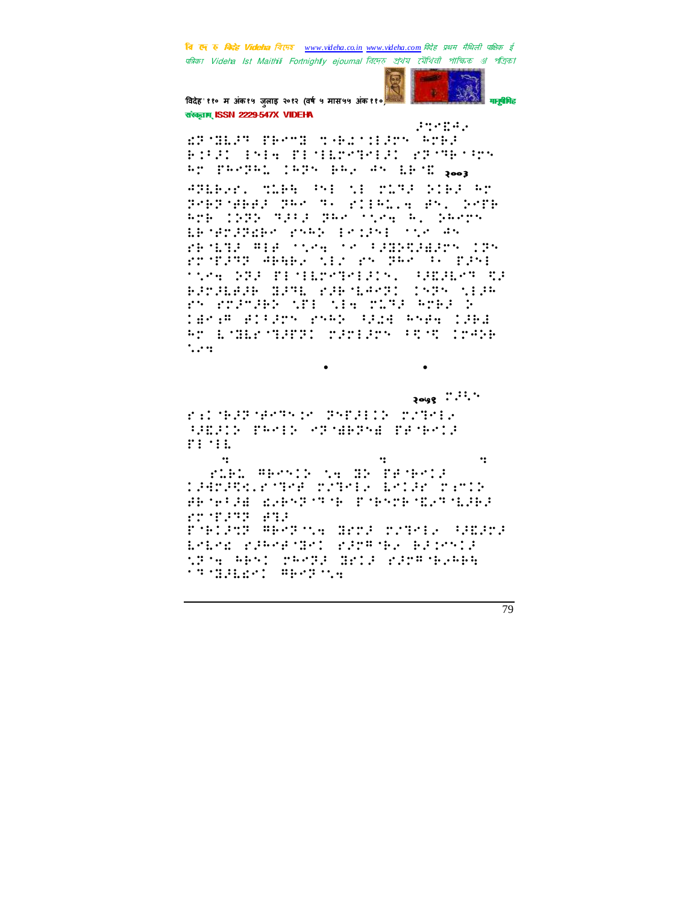

विदेह' ११० म अंक१५ जुलाइ २०१२ (वर्ष ५ मास५५ अंक११० संस्कृतम् ISSN 2229-547X VIDEHA

and Bay EPSHER PROSE SAESIFIES ATED RISI PHA PENGPHIS 227PE197 RE PROPRI 1875 BRA RS EBSE 3003

ATLENT TIME MA SE TIME DIES AT Presided Service dies, en 2000 bel 1995 ann am Steath, beech ERSPORER PRAY PROPERTY AN PRODUCED SAME OF PRINCIPLATOR CER roding Abbeyond regard to past tics STA PETERSTALLY, GENEAT CA **EPPERED HIME PIRALEST** 1535 5136 rn rogoger whe wee cigs aces r Tarim Allary 2562 (Bid A584 ISB) Ar Endernann Santary (Strate  $\ddots$  :

 $3048$  :  $\ldots$ 

 $\bullet$ 

rilmasmenter septitivo rathia HARRY PRESS CREATED RESERVE  $\mathbf{r}$ :  $\mathbf{r}$ 

 $\bullet$ 

 $\ddot{\cdot}$ •:  $\cdot$ : ribl Westling ID Tenend CAPARK.PYRA JZTMER BROAK JEMOŠ BENETA KAPATUR TUPUN KATURP ET TERR BIE ESPIRIN APPROVA GROZ CZIPIŁ SZEZOZ EnEnd diffine ment diffuse between szok epsi perzi arti riprényelé.<br>Szozialari epszosk

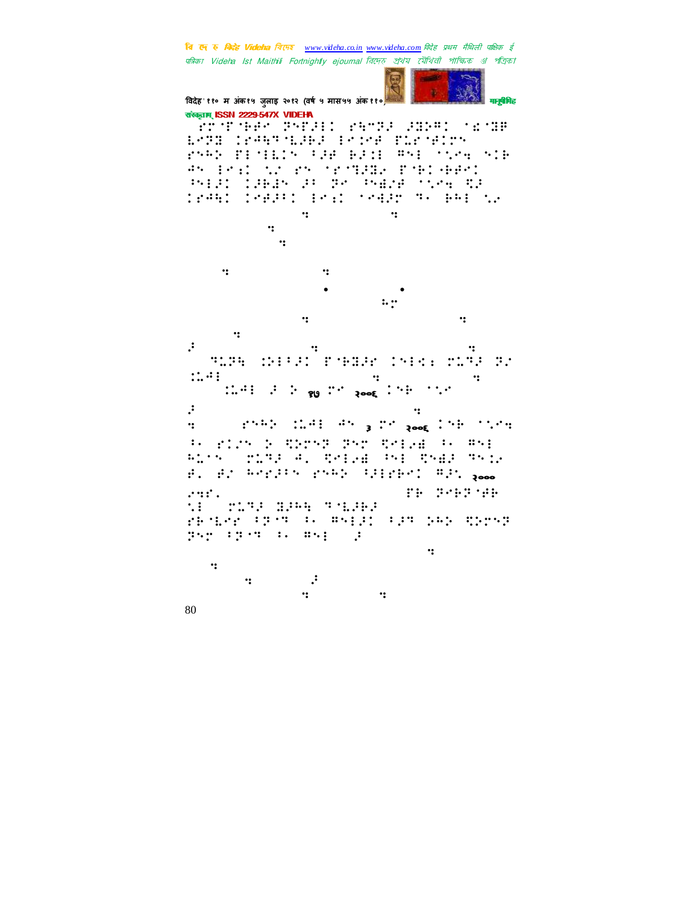विदेह' ११० म अंक१५ जुलाइ २०१२ (वर्ष ५ मास५५ अंक ११०) मानुसारी मानुसीमेह संस्कृतम् ISSN 2229-547X VIDEHA )" ' ⢷⢾!⢽'⢼!"⣓5⢽⢼!⢼⣝⢵⢻!⣎ ⣝⢿! ⣇⢽⣝!"⢺⣓⢹ ⣇⢼⢷⢼!⣈⢾!'⣅" ⢾! "⢳⢵!' ⣇!7⢼⢾!⢷⢼⣈!⢻!⣁⣒!⢷! #N PRINT NO PROTECTION PORTHER ⢸⢼!⢼⢷⣜!⢼7!⢽!⢸⣞#⢾!⣁⣒!⣋⢼! "⢺⣓!⢾⢼7!⣐!⣚⢼!⢹g!⢷⢳!⣁⢴. ius (10xxx) ius (10xx) ius (10xx) ius (10xx) ius (10xx) ius (10xx) ius (10xx) ius (10xx) ius (10xx) ius (10xx)  $\mathcal{L}_{\mathcal{D}}$ nbjoqbhana nbjoqbhana nbjoqbhana nbjoqbhana nbjoqbhana nbjoqbhana nbjoqbhana nbjoqbhana nbjoqbhana nbjoqbhana  $x \rightarrow y$  $\bullet$  if the probability of the probability  $\bullet$ Btijting de Berlingen in de Berlingen in de Berlingen in de Berlingen in de Berlingen in de Berlingen in de Be<br>Bij de Berlingen in de Berlingen in de Berlingen in de Berlingen in de Berlingen in de Berlingen in de Berling iuuq;00xxx⣒qbmmbwnjuijmb⣒nbjo  $\ddot{\phantom{a}}$ ⢼iuuq;00xxx⣒qbmmbwnjuijmb⣒ofu TERE ORIGIN THER CHINE TERR TO  $\begin{picture}(150,100) \put(0,0){\line(1,0){10}} \put(10,0){\line(1,0){10}} \put(10,0){\line(1,0){10}} \put(10,0){\line(1,0){10}} \put(10,0){\line(1,0){10}} \put(10,0){\line(1,0){10}} \put(10,0){\line(1,0){10}} \put(10,0){\line(1,0){10}} \put(10,0){\line(1,0){10}} \put(10,0){\line(1,0){10}} \put(10,0){\line(1,0){10}} \put(10,0){\line$  $\therefore$   $\therefore$   $\therefore$   $\frac{1}{2}$   $\therefore$   $\frac{1}{2}$   $\therefore$   $\frac{1}{2}$   $\therefore$   $\frac{1}{2}$   $\therefore$   $\frac{1}{2}$   $\therefore$   $\frac{1}{2}$   $\therefore$   $\frac{1}{2}$   $\therefore$   $\frac{1}{2}$   $\therefore$   $\frac{1}{2}$   $\therefore$   $\frac{1}{2}$   $\therefore$   $\frac{1}{2}$   $\therefore$   $\frac{1}{2}$   $\therefore$   $\frac{1}{2}$   $\mathcal{F}$ ius;00ifmmpng) international properties of the properties of the properties of the properties of the properties of the properties of the properties of the properties of the properties of the properties of the prop dpn0" and post independent in the set of the set of the set of the set of the set of the set of the set of the  $\frac{1}{2}$  #  $\frac{1}{2}$   $\frac{1}{2}$   $\frac{1}{2}$   $\frac{1}{2}$   $\frac{1}{2}$   $\frac{1}{2}$   $\frac{1}{2}$   $\frac{1}{2}$   $\frac{1}{2}$   $\frac{1}{2}$   $\frac{1}{2}$   $\frac{1}{2}$   $\frac{1}{2}$   $\frac{1}{2}$   $\frac{1}{2}$   $\frac{1}{2}$   $\frac{1}{2}$   $\frac{1}{2}$   $\frac{1}{2}$   $\frac{1}{2}$   $\frac{1}{2}$  ⢳⣅-!⣅⢹⢼!⢺Z!⣋⢴⣞!⢸!⣋⣞⢼!⢹⣈⢴! ⢾Z!⢾#!⢳"⢼7!"⢳⢵!⢸⢼"⢷!⢻⢼⣁!२००० ⢴⣒"Z!zbipphfpdjujft!'⢷!⢽⢷⢽ ⢾⢷!  $\mathbf{H} = \mathbf{H} \mathbf{H}$ "⢷ ⣇"!7⢽ ⢹!⢸g!⢻⢼!7⢼⢹!⢵⢳⢵!⣋⢵⢽! **The Parties of Section** iuuq;00hbkfoesbuiblvs⣒cmphtq public conditions of the conditions of the conditions of the conditions of the conditions of the conditions of hbdii⣒iunm!⢼! ius;00xxx1150181150181150181150181150181150181150181150181150181150181150181150181150181150181150181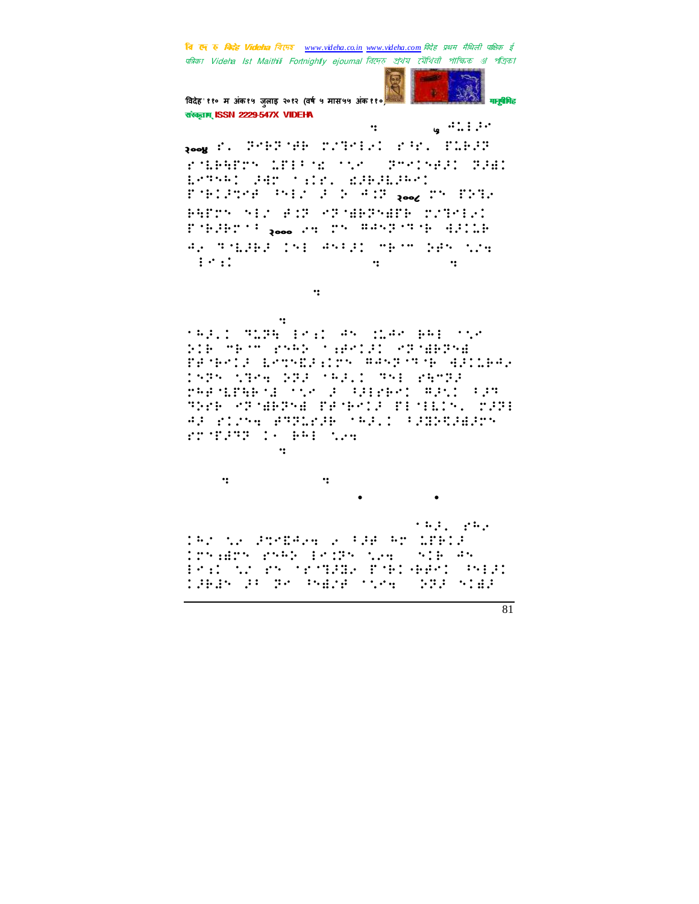विदेह' ११० म अंक१५ जुलाइ २०१२ (वर्ष ५ मास५५ अंक ११०) मानुसारी मानुसीमेह संस्कृतम् ISSN 2229-547X VIDEHA

 $\begin{array}{ccc}\n\vdots & \vdots & \vdots \\
\downarrow & \downarrow & \ldots & \vdots \\
\downarrow & \downarrow & \ldots & \downarrow\n\end{array}$ 2008 "Z. POBP WHO INTERNATIONS IN BUILDING  $T$ 'LEATTY LITETAL TAR (THATY-FAI) PAL LATSE WE SEE ON THE SEE ' ⢷⢼⣉⢾!⢸#!⢼!⢵!⢺⣈⢽!२००८ !'⢵⣙⢴! ⢷⣓'!#!⢾⣈⢽!⢽ ⣞⢷⢽⣞'⢷!#⣙⢴! ' ⢷⢼⢷ ⢸!२००० ⢴⣒!!⢻⢺⢽ ⢹ ⢷!⣚⢼⣅⢷! ⢺⢴!⢹ ⣇⢼⢷⢼!!⢺7⢼!5⢷ 5!⢵⢾!⣁#⣒! ) in the contract of the contract of the contract of the contract of the contract of the contract of the contract of the contract of the contract of the contract of the contract of the contract of the contract of the contr

qvcmjdbuje do protestantističnih političnih političnih političnih političnih političnih političnih političnih<br>Dogodpisa

 $\mathcal{L}_\mathcal{D}$  and  $\mathcal{L}_\mathcal{D}$  and  $\mathcal{L}_\mathcal{D}$  and  $\mathcal{L}_\mathcal{D}$  and  $\mathcal{L}_\mathcal{D}$  and  $\mathcal{L}_\mathcal{D}$ ⢳⢼Z!⢹⣅⢽⣓!⣐!⢺!⣈⣅⢺!⢷⢳!⣁!  $^{\circ}$  5: 5  $^{\circ}$  5  $^{\circ}$  5  $^{\circ}$  5  $^{\circ}$  5  $^{\circ}$  5  $^{\circ}$  5  $^{\circ}$  5  $^{\circ}$  5  $^{\circ}$  5  $^{\circ}$  5  $^{\circ}$  5  $^{\circ}$  5  $^{\circ}$  5  $^{\circ}$  5  $^{\circ}$  5  $^{\circ}$  5  $^{\circ}$  5  $^{\circ}$  5  $^{\circ}$  5  $^{\circ}$  5  $^{\circ}$  5  $^{\circ}$  5  $^{\circ}$  5  $^{\$ 'a'ur'o da bara ⢽!⣁⣙⣒!⢵⢽⢼!⢳⢼Z!⢹!"⣓5⢽⢼! ⢳⢾ ⣇'⣓⢷ ⣜!⣁!⢼!⢸⢼"⢷!⢻⢼⣁!7⢼⢹! PREP PROBREW PEOPLE PEOPLICAL CRPE ⢺⢼!"#⣒!⢾⢹⢽⣅"⢼⢷!⢳⢼Z!7⢼⣝⢵⣋⢼⣞⢼! " '⢼⢹⢽!g!⢷⢳!⣁⢴⣒! nbjoqbhana nbjoqbhana nbjoqbhana nbjoqbhana nbjoqbhana nbjoqbhana nbjoqbhana nbjoqbhana nbjoqbhana nbjoqbhana

 $x \rightarrow y$  $43$  njovu ft $\bullet$  in the set of  $\bullet$ 

 $\mathbb{R}^2$  Eijsfoesbelg in the state of the state of the state of the state of the state of the state of the state of the state of the state of the state of the state of the state of the state of the state of the state of  $^{\prime}$  #  $^{\prime}$  W  $^{\prime}$  =  $^{\prime}$   $^{\prime}$   $^{\prime}$   $^{\prime}$   $^{\prime}$   $^{\prime}$   $^{\prime}$   $^{\prime}$   $^{\prime}$   $^{\prime}$   $^{\prime}$   $^{\prime}$   $^{\prime}$   $^{\prime}$   $^{\prime}$   $^{\prime}$   $^{\prime}$   $^{\prime}$   $^{\prime}$   $^{\prime}$   $^{\prime}$   $^{\prime}$   $^{\prime}$   $^{\prime}$   $^{\prime}$   $^{\prime}$   $^{\prime}$   $^{\prime}$  $^{\circ}$   $^{\circ}$   $^{\circ}$   $^{\circ}$   $^{\circ}$   $^{\circ}$   $^{\circ}$   $^{\circ}$   $^{\circ}$   $^{\circ}$   $^{\circ}$   $^{\circ}$   $^{\circ}$   $^{\circ}$   $^{\circ}$   $^{\circ}$   $^{\circ}$   $^{\circ}$   $^{\circ}$   $^{\circ}$   $^{\circ}$   $^{\circ}$   $^{\circ}$   $^{\circ}$   $^{\circ}$   $^{\circ}$   $^{\circ}$   $^{\circ}$   $^{\circ}$   $^{\circ}$   $^{\circ}$   $^{\circ}$ inal worden tanger foelegel (helg:<br>1963n 95 ger heber noed (bggroote) ⢼⢷⣜!⢼7!⢽!⢸⣞#⢾!⣁⣒\*!⢵⢽⢼!⣞⢼!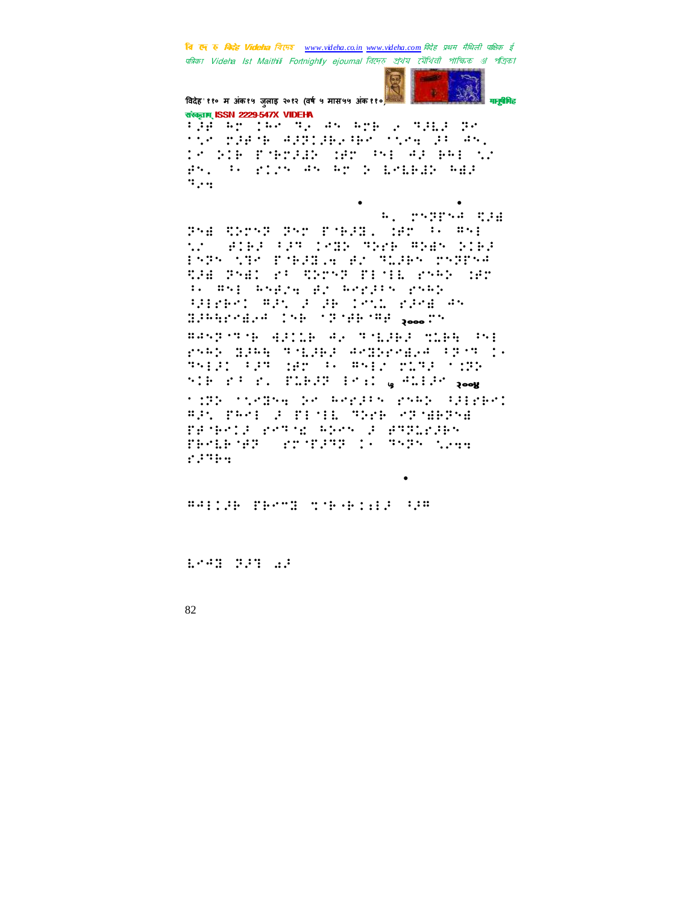

विदेह' ११० म अंक१५ जुलाइ २०१२ (वर्ष ५ मास५५ अंक११०) संस्कृतम् ISSN 2229-547X VIDEHA

138 Ap 140 May 45 App 2 Mail 30 the plane approache the problem IS NIM PORTION ORD AN AP BAILOG British Plin Ar An D'Estable Add  $\dddot{\mathbf{r}}$ ...

**B. PANDAR CAR** PH SEMP PY FORD SP W WH tro ates for temporare mode bies PAPA NTA PARRIGH AN TERRA MARPAR the Pred of throw finil order der is mal magic groundless pany SPECIES WAS A ARTICLE CAN AN BRANCHER INFORMATION Dec

BASESTON HILLE AN TOLIER SLEETING rský ding stolini endirendie (p.s.). THERE FRY HE IN THE TIME TO THE him ri r. FLBJP Phil g HLEJH goog tiny titulan ye aerik ruan (11184) **APS PRED P HISTORY APER PREDICTION** PROPOSE POTOR REON 3 RTTLP3PN PROBAGE STORAGE IN THE NAME  $f:11.4$ 

**BALLER HEATH TIME LELF CAR** 

1,043 313 51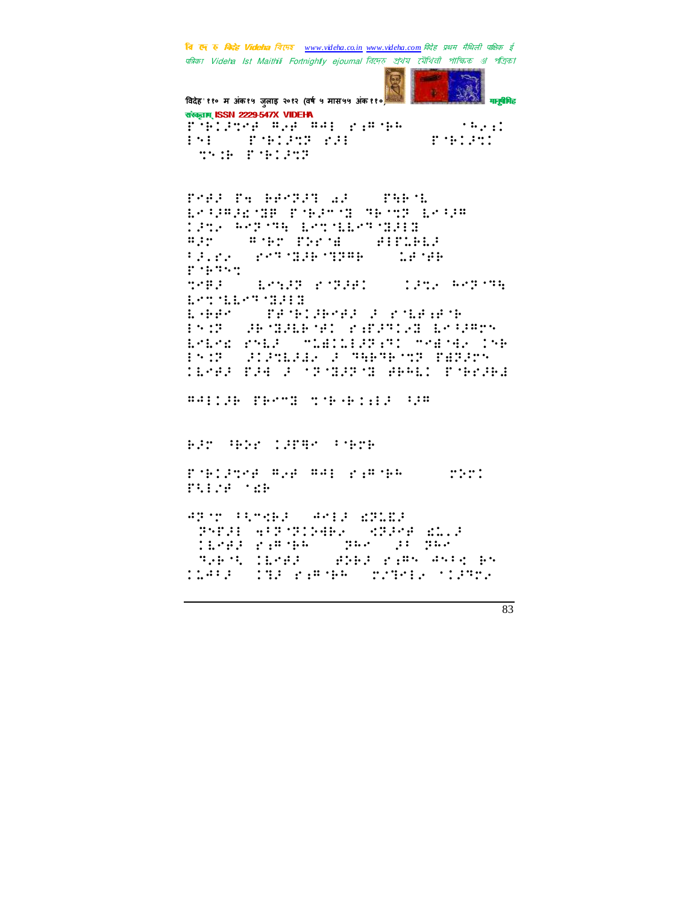विदेह' ११० म अंक१५ जुलाइ २०१२ (वर्ष ५ मास५५ अंक११०)

PH FRIED SH

riptere man and parts.

संस्कृतम् ISSN 2229-547X VIDEHA

**START** ×

मनुबैमिह

 $\cdots$   $\cdots$   $\cdots$  $\mathbf{r}$  is the first function of  $\mathbf{r}$ 

**TOB PRIZE** FOR TH PROTH AT STREET ESPERINGE PORTO BOOT ESPE **CONFIDENTIAL EXPIRES**  $\frac{1}{2}$  (Fig. ) (Fig. ) (Fig.  $\mathbf{a}$ **ARTICLE** FRIED SPECIAL CIPAL CONTACT Policies of **LANSE RATES (CONSTRUCT)** 化对铁环 Let the things **CONTROLLERS** CONTROL  $\mathbf{L}$  -i-dot PROFILE MEMBERSHIP PARTNICH ERSTERN Energy Press, Schedules Party Christian (198 PSO AUGUAL CARAFOR PERSO **CEMEDIA E MONDAY SERI PRESES** BALLAR PROSE SORGELLE ARE BIT WENTIFF STREET richtere A.A Adri eine Ste  $\mathbb{R}^n$ PUDE TER APAR PERSENT APER EPLER THIS WITHINGS STAR MUST

lings rakes (parties parties)<br>Sakst lings (abbackers such by

TEARS TO BE PARTNED COOPER TO PROV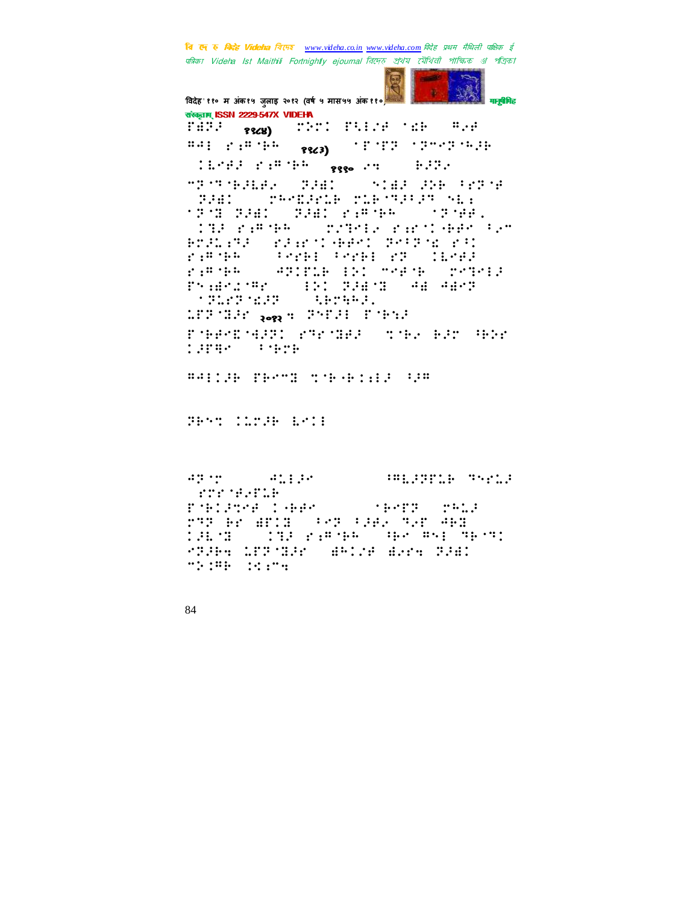$\sim$ 

विदेह' ११० म अंक१५ जुलाइ २०१२ (वर्ष ५ मास५५ अंक११०) मानुबैमिह संस्कृतम् ISSN 2229-547X VIDEHA rtr: Plice the Ape **FARR 85CH)**  $1144 + 1144 + 1144$ **STORY SPORTSE**  $88(3)$  $11.997 \pm 0.019$  The  $\sim$   $_{\rm 2330}$  PM  $_{\odot}$  $\cdots$  $\left\langle \left( \frac{1}{2} \right) \left( \frac{1}{2} \right) \left( \frac{1}{2} \right) \left( \frac{1}{2} \right) \left( \frac{1}{2} \right) \left( \frac{1}{2} \right) \left( \frac{1}{2} \right) \left( \frac{1}{2} \right) \left( \frac{1}{2} \right) \left( \frac{1}{2} \right) \left( \frac{1}{2} \right) \left( \frac{1}{2} \right) \left( \frac{1}{2} \right) \left( \frac{1}{2} \right) \left( \frac{1}{2} \right) \left( \frac{1}{2} \right) \left( \frac{1}{$ **SAME STAR STAR PROTE PART COMPARENTAL MIRINARY SEA TOM SHIP SHIP PARTHALL TO MAKE** THE PARTNEY CONTRIGUOUS HER FEM Brandra (Brand Herr Bright Pri  $2.1433441$ **SPACE PACE PROVISION** PARAGON SAPITLE IN THE ROOTER rsakine (BISBES 48-4855  $(1212121212)$  $\frac{1}{2}$ LEBORAL 1000 S POPPER ECHOR Pohenzoger Paroger (the her gree **THE STREET SPACE CONSECTS**  $\mathcal{U}^{\alpha}_{\alpha}(\mathcal{V}^{\alpha}_{\alpha}) = \mathcal{U}^{\alpha}_{\alpha}(\mathcal{V}^{\alpha}_{\alpha}) = \mathcal{U}^{\alpha}_{\alpha}(\mathcal{V}^{\alpha}_{\alpha})$ **SHERIFIE SAME STEPHANIE** Poblashe logan **SEPTE PROPER MARK BEAM AND PARK AND ARE** <u> 1967: TID Kanan Tak'ny Mess</u> PROBA LERMEDY (BALVA BIRM ROBI  $15.198 - 14.114$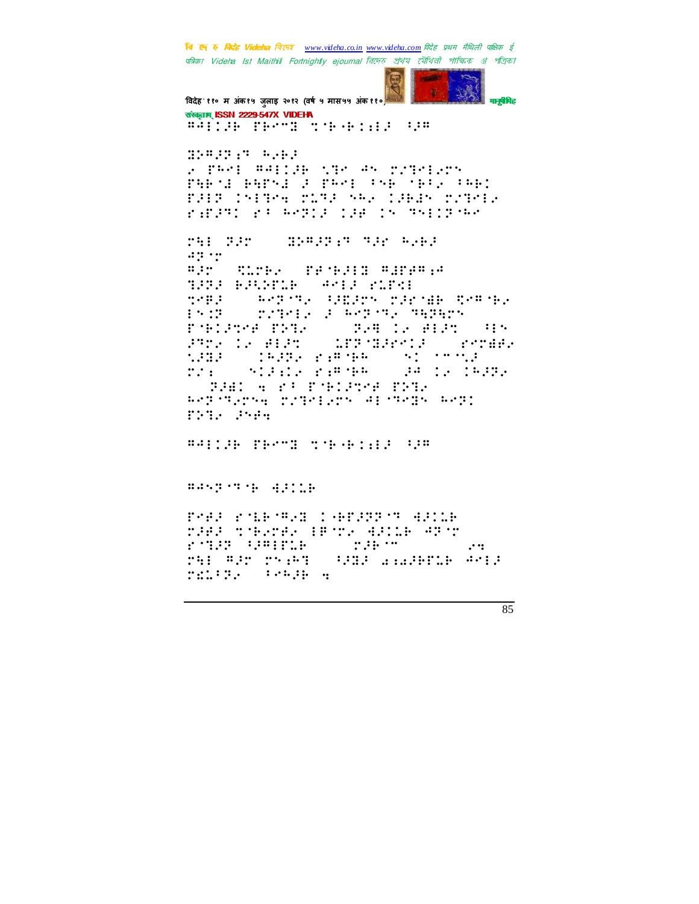

विदेह' ११० म अंक१५ जुलाइ २०१२ (वर्ष ५ मास५५ अंक११०) संस्कृतम् ISSN 2229-547X VIDEHA #AP:AP PROSE SORGEIAL AP

2 PRAI RAILER NIA AN PAIRIADN PARTA RAPTA 2 PROF PSR TRES PRRI FAIR CHITES TITE MAY CAREN TITELY ranger research the 18 exited

**THE BAY - HOUSE THE WARD**  $\mathbf{a}$  :  $\mathbf{b}$ **APP TIME TRIBE AND AREA** 1999 - 1999 - 1999 - 1999 - 1999 - 1999 - 1999 - 1999 - 1999 - 1999 - 1999 - 1999 - 1999 - 1999 - 1999 - 1999  $\mathbb{R}^{n}$ **ACTOR MEDIA TRANSFORMER STAR PROPERTY**  $1.5 \times 10^{-7}$ Poblace Phil **BAB 12 #BAB**  $\cdots$ LPP (Barrie - Caroler PTP: 12 FIPT  $\begin{minipage}{.4\linewidth} \begin{tabular}{l} \multicolumn{2}{c}{\textbf{\textit{1}}}\\ \multicolumn{2}{c}{\textbf{\textit{2}}}\\ \multicolumn{2}{c}{\textbf{\textit{2}}}\\ \multicolumn{2}{c}{\textbf{\textit{3}}}\\ \multicolumn{2}{c}{\textbf{\textit{2}}}\\ \multicolumn{2}{c}{\textbf{\textit{3}}}\\ \multicolumn{2}{c}{\textbf{\textit{4}}}\\ \multicolumn{2}{c}{\textbf{\textit{5}}}\\ \multicolumn{2}{c}{\textbf{\textit{2}}}\\ \multicolumn{2}{c}{\textbf{\textit{2}}}\\ \multicolumn{2}{c}{\$  $\ddots$  and  $\ddot{\phantom{0}}$  $\mathcal{L}^{\text{max}}_{\text{max}}=\left\{ \begin{array}{ll} 0 & \text{if} & \text{if} & \text{if} \\ \text{if} & \text{if} & \text{if} \end{array} \right.$ (34) 120 15332  $:::$ : **PART A PA PARTNAME PARA** Reporters ringers are nero Repr This Poin

BALLAR PROSE SORGHLILL AND

sangere addition

Pres ribres capacitation estab rada terra (Por Alla Altr **AND AND AND AND AND ALL AND ADDRESS**  $\mathbb{R}^n$  ,  $\mathbb{R}^n$  ,  $\mathbb{R}^n$  ,  $\mathbb{R}^n$  ,  $\mathbb{R}^n$  $\ddots$ ref gar ryeg (gan wenne gyfa rnith, teagh g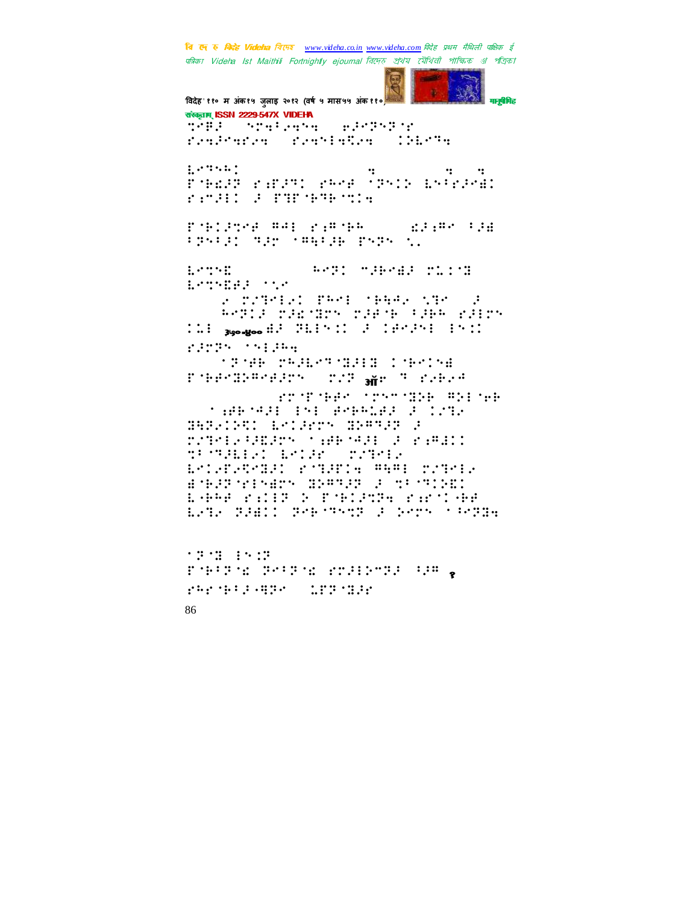मानुबेमिह विदेह' ११० म अंक१५ जुलाइ २०१२ (वर्ष ५ मास५५ अंक११०) संस्कृतम् ISSN 2229-547X VIDEHA TORE STARTED PROPERTY fraktafra fratiske 1925 genear. rger rang regularis belgik rimant a rundements rupting map pamap (  $\mathbb{R}^{2}$  :  $\mathbb{R}^{2}$  ,  $\mathbb{R}^{2}$  ,  $\mathbb{R}^{2}$  ,  $\mathbb{R}^{2}$ FRAME SECONDICATION CO. ESTAB-**Bell Schedule State** ESTADES TOP a pathial penisteena nthu d Resta cardon card tak raion :11: <sub>390-800</sub> #J (PLIN :: J (Print: Phil FRTH 15124 **SPORT PRODUCT SOLUTIONS** ESPECIPACENTS (227 MP) 7 Perch rugelstabars (1967431 3 rambio **MISSION STAR START** ESCRIPTORIAL PORTIN ANAL CORSE EMPRIMENTER PARA LARA PILLE & PARISTA PAPTAR LATA PARIS PARAMANT D'ARNA MARTHE  $13.33 \pm 0.02$ PORTH POST EXPERIENCE FREEDWAY 183783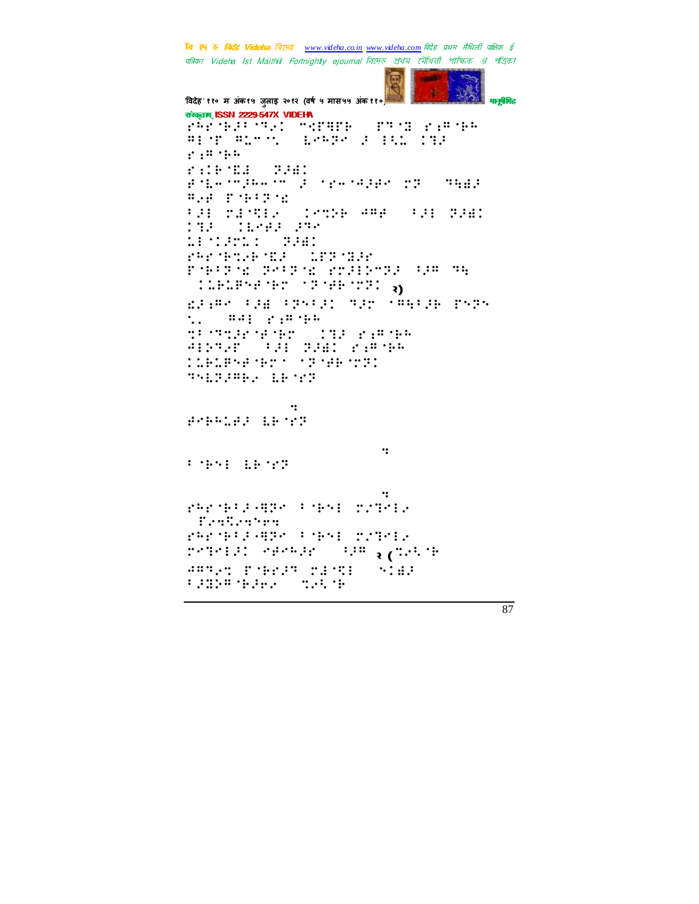**START** 

```
विदेह' ११० म अंक१५ जुलाइ २०१२ (वर्ष ५ मास५५ अंक ११०) मानुसी मानुसीमहरू
संस्कृतम् ISSN 2229-547X VIDEHA
^{\prime} ^{\prime} ^{\prime} ^{\prime} ^{\prime} ^{\prime} ^{\prime} ^{\prime} ^{\prime} ^{\prime} ^{\prime} ^{\prime} ^{\prime} ^{\prime} ^{\prime} ^{\prime} ^{\prime} ^{\prime} ^{\prime} ^{\prime} ^{\prime} ^{\prime} ^{\prime} ^{\prime} ^{\prime} ^{\prime} ^{\prime} ^{\prime} ^{\prime} ^{\prime} ^{\prime} ^{\prime}H. T. BARA I. S. S.
\mathbf{f} : \mathbf{a} \mathbf{f} : \mathbf{b} \mathbf{f}"⣐⢷ ⣏⣜!)⢽⢼⣞*!
⢾ ⣇⢲ 5⢼⢳⢲ 5!⢼!"⢲ ⢺⢼⢾!⢽!)⢹⣓⣞⢼!
⢻⢴⢾!' ⢷7⢽ ⣎*!
7⢼!⣜ ⣋⢴0!⣉⢵⢷!⢺⢻⢾!)7⢼!⢽⢼⣞-!
⣙⢼-!⣇⢾⢼!⢼⢹*!
WEINGER STAR
", "<br>"We will see the second the second the second terms of the second terms of the second terms of the second ter
' ⢷7⢽ ⣎.⢽7⢽ ⣎."⢼⢵5⢽⢼!⢸⢼⢻!⢹⣓!
   )⣅⢷⣅⢿⢾ ⢷!⢽ ⢾⢷ ⢽.२)
⣎⢼⣐⢻!7⢼⣞!7⢽7⢼!⢹⢼!⢻⣓7⢼⢷!'⢽!
\mathbb{Z} = "#: #: #: #:
⣉7 ⢹⣉⢼" ⢾ ⢷!)⣙⢼!"⣐⢻ ⢷⢳*!
⢺⢵⢹⢴'!)7⢼.⢽⢼⣞!"⣐⢻ ⢷⢳*!
\mathbf{1} . The set of the set of the set of the set of the set of the set of the set of the set of the set of the set of the set of the set of the set of the set of the set of the set of the set of the set of the set of th
⢹⣇⢽⢼⢻⢷⢴!⣇⢷ "⢽!
esburge between the second terms of the second terms of the second terms of the second terms of the second ter
⢾⢷⢳⣅⢾⢼!⣇⢷ "⢽!
esburge und der antikelige und der antikelige und der antikelige und der antikelige und der antikelige und der<br>Der antikelige und der antikelige und der antikelige und der antikelige und der antikelige und der antikelige
7 GENE 1872
esburg in de beste gelen in de beste gelen in de beste gelen in de beste gelen in de beste gelen in de beste g
T^* T^* T^* T^* T^* T^* T^* T^* T^* T^* T^* T^* T^* T^* T^* T^* T^* T^* T^* T^* T^* T^* T^* T^* T^* T^* T^* T^* T^* T^* T^* T^* T^* T^* T^* T^* T^* 
  )'⢴⣒⣋⢴⣒⢶⣒*!
T^* T^* T^* T^* T^* T^* T^* T^* T^* T^* T^* T^* T^* T^* T^* T^* T^* T^* T^* T^* T^* T^* T^* T^* T^* T^* T^* T^* T^* T^* T^* T^* T^* T^* T^* T^* T^* 
redels: elemnis (ne 3000)
⊕⊞RAN PHER PERSON
7⢼⣝⢵⢻ ⢷⢼⢶⢴!)⣉⢴⣃ ⢷*!
```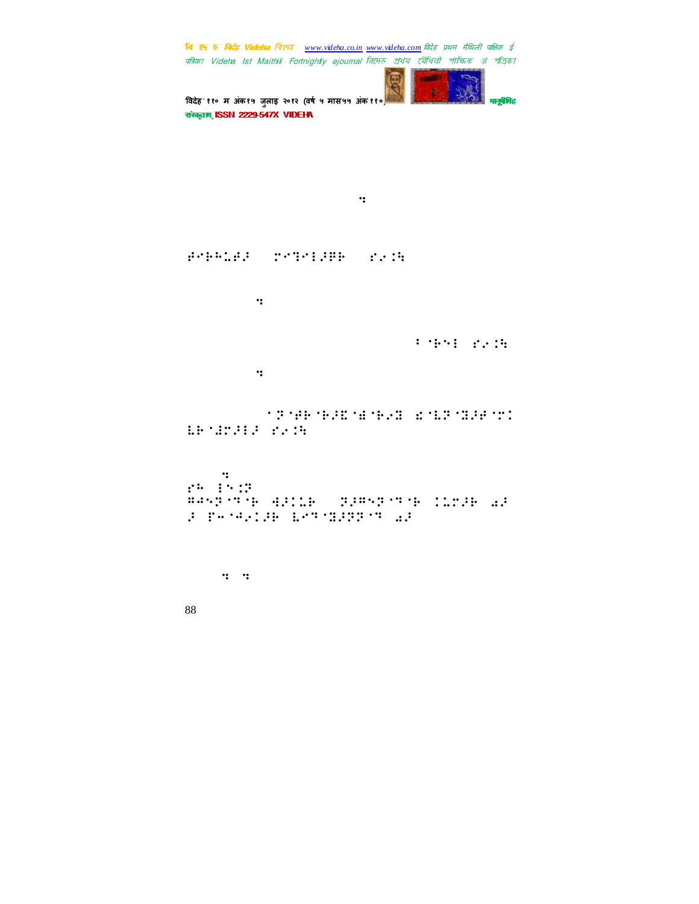

'विदेह' ११० म अंक१५ जुलाइ २०१२ (वर्ष ५ मास५५ अंक ११०) मानुसीरी मानुसीरीह संस्कृतम् ISSN 2229-547X VIDEHA

Mjufsbuvsf.!!

⢾⢷⢳⣅⢾⢼!)⣙⢼⢿⢷\*!"⢴⣈⣓!

 $\begin{array}{c}\n\bullet \\
\bullet \\
\bullet\n\end{array}$ 

Njuijmbltibs!Tdsjqu!7 ⢷!"⢴⣈⣓!

 $\begin{bmatrix} 1 & 0 \\ 0 & 0 \end{bmatrix}$ 

Tdsjournalist is de staat de staat de staat de staat de staat de staat de staat de staat de staat de staat de s ⣇⢷ ⣜⢼⢼!"⢴⣈⣓!

bsburg (1992)  $\mathbb{R}^n$  :  $\mathbb{R}^n$  :  $\mathbb{R}^n$ ⢻⢺⢽ ⢹ ⢷!⣚⢼⣅⢷-!⢽⢼⢻⢽ ⢹ ⢷!⣅⢼⢷!⣔⢼!  $F$  in the trip with  $F$  and  $F$ 

 $\cdots$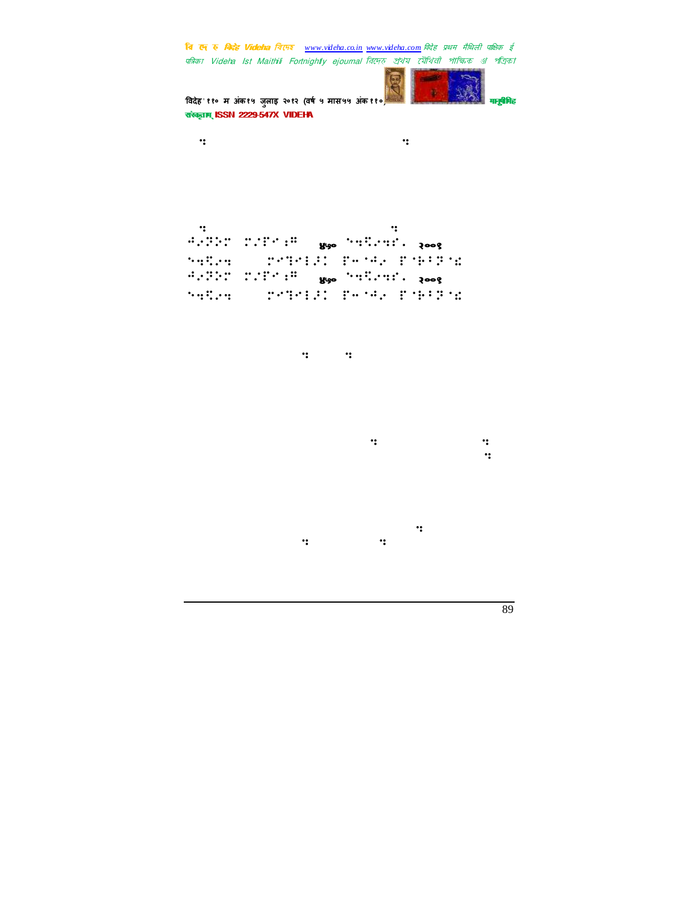

संस्कृतम् ISSN 2229-547X VIDEHA

major biological products of the state of the state of the state of the state of the state of the state of the ⢺⢴⢽⢵!#'⣐⢻!)४५० ⣒⣋⢴⣒"Z!२००९ ⣒⣋⢴⣒\*..⣙⢼!'⢲ ⢺⢴!' ⢷7⢽ ⣎! ⢺⢴⢽⢵!#'⣐⢻!)४५० ⣒⣋⢴⣒"Z!२००९  $^{\prime}$  with  $^{\prime}$  and  $^{\prime}$   $^{\prime}$  and  $^{\prime}$   $^{\prime}$  . The set of  $^{\prime}$ 

maji bila maji boleshi boleshi boleshi boleshi boleshi boleshi boleshi boleshi boleshi boleshi boleshi boleshi

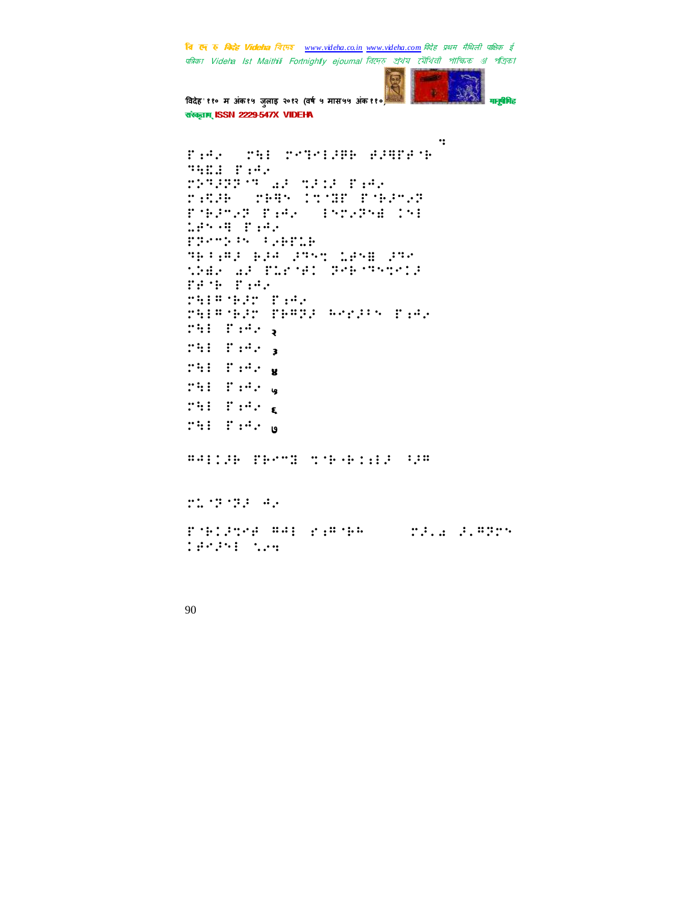

'विदेह' ११० म अंक१५ जुलाइ २०१२ (वर्ष ५ मास५५ अंक ११०) मानुसीरी मानुसीरीह संस्कृतम् ISSN 2229-547X VIDEHA

```
JNBHTT!
'⣐⢺⢴!)⣓!⣙⢼⢿⢷!⢾⢼⣛'⢾ ⢷*!
⢹⣓⣏⣜!'⣐⢺⢴!
⢵⢹⢼⢽⢽ ⢹!⣔⢼!⣉⢼⣈⢼!'⣐⢺⢴!
T.0.00 T . The T is the TT'BJ", F Hay (1955) 1950
L:P \rightarrow P : P \rightarrow P'⢽5⢵⢸!7⢴⢷'⣅⢷!
⢹⢷⢸⣐⢻⢼!⢷⢼⢺!⢼⢹⣉!⣅⢾⣟!⢼⢹!
⣁⢵⣞⢴!⣔⢼!'⣅" ⢾!⢽⢷ ⢹⣉⢼!
T^* T^* T^* T^* T^* T^*CONDUCT
\mathcal{L}9999 \mathcal{L} 19999 - Printin Biblio
THE FEMPLY
⣓!'⣐⢺⢴.३
THE FIGHT &
T^{\text{L}}: T^{\text{L}}., T^{\text{L}}., T^{\text{L}}T^{\text{L}}: T^{\text{L}}T^{\prime}: T^{\prime}: T^{\prime}. T^{\prime}. T^{\prime}⢻⢺⢼⢷!'⢷5⣝!⣉ ⢷0⢷⣈⣐⢼!⢸⢼⢻.38!
\mathbb{Z} \mathbb{Z} \mathbb{Z} \mathbb{Z} \mathbb{Z} \mathbb{Z} \mathbb{Z} \mathbb{Z} \mathbb{Z} \mathbb{Z} \mathbb{Z} \mathbb{Z} \mathbb{Z} \mathbb{Z} \mathbb{Z} \mathbb{Z} \mathbb{Z} \mathbb{Z} \mathbb{Z} \mathbb{Z} \mathbb{Z} \mathbb{Z} \mathbb{Z} \mathbb{Z} \mathbb{Z' ⢷⢼⣉⢾!⢻⢺!"⣐⢻ ⢷⢳....⢼Z⣔!⢼Z⢻⢽!
⢾⢼!⣁⢴⣒!
```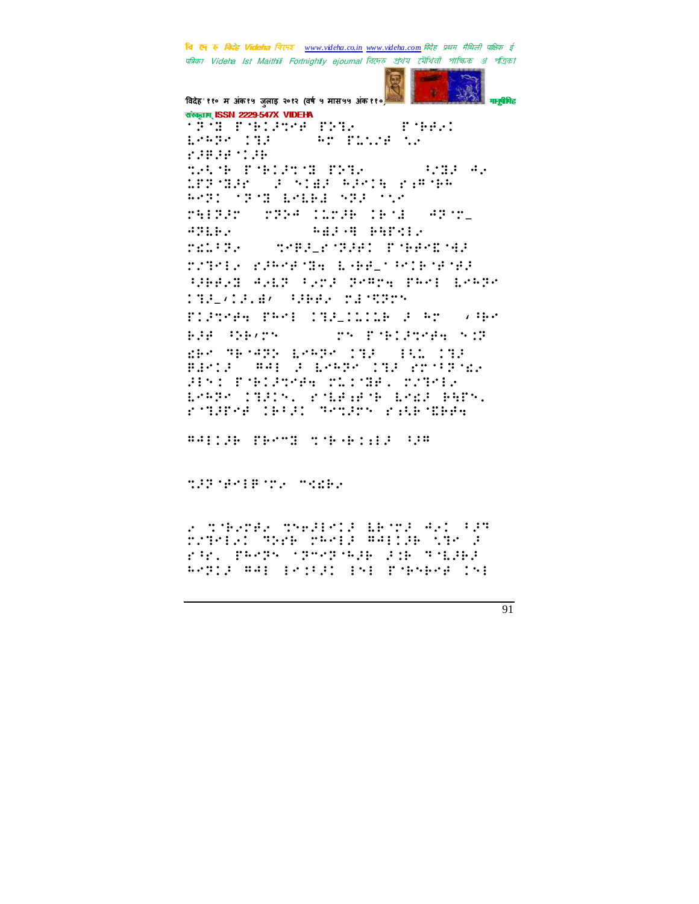and i

विदेह' ११० म अंक१५ जुलाइ २०१२ (वर्ष ५ मास५५ अंक११०) मनुवैमिह संस्कृतम् ISSN 2229-547X VIDEHA **TERMINIST PRODUCTS** Fiber:  $1.74377733$ **SAME PLATE AND** 1989119 THE PERMITTE  $3.113 - 4.5$ STRATES OF STAR RESTAURANCE BATI ATAM EALES ATA ANA **MAINST** 1991: The March 1991 (1992)  $491.84$ **Address Buildier** rantra ( **MARIS MISS CONFIDENT** rather ranners in held wiedere SHEAD AND SAME PARTY PART LANDA **THE CONSTRUCTION** MISTAR PROFILIEIGNE FAT (AR) plane the great TH PORTFORM ST de Tengo Lebo (S. 181)  $\mathbf{1}$ BANDA (BA) 2 EPART CHE ETTERER HOT PORTFORM TITURE, TZPOL EPARK INSIN, POLEHOR LOAD RAPY. Prigned (1992) Senger Pitchell ##::# TROT TYPE:#:# 9 **MINORIAL MARKET** 2 TERMA THRACK LETA ART PAT rateled make reels welcome the s ran ferromande die Sidel Ardio Hai irili ini mengerung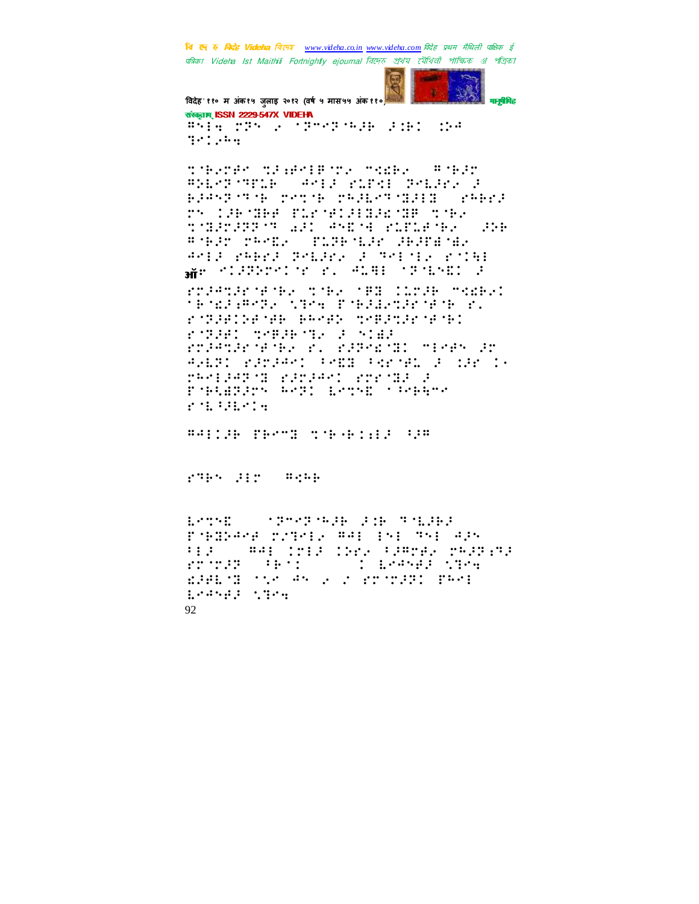**Section** विदेह' ११० म अंक१५ जुलाइ २०१२ (वर्ष ५ मास५५ अंक११०)



संस्कृतम् ISSN 2229-547X VIDEHA #APA TPS & TPTTP-BOB BIB:  $\sim$  11.4  $1001, 000$ 

there then he will be a series of the series BRETTER WHIPE THE PART BIGST THE PARTS PREPTIESES (PREPT ry CHANE TEATRIER THE **THEFIT AN ANCHORSH** .::: # 495 TRANS CONFEDER SEPTEMBE ANIX PAREZ PREJER 2 MRITIN POINT ane slagoscop el 4188 Sgénsei  $\ddot{\cdot}$ 

roleningen, nde dem Canik membel **TEMPLEMPLA STAR PORTLANDE MANE ST** rozachensk kensk prespredet FOREST CORRECTE IN STAR rolenir den rummanismen en de AGEST PARAMETERS FRPTAL A 188 16 resident is spreed shride i Poblazion bezi benni (1964-6  $f: L^2(L^2; L^2; \mathbb{R})$ 

##::# TEPT TYPE::11 00

rups dir sample

Estricit. **STRAP WAR STRAP STRAPS** POHINAME PATMER ##E ESE #SE #PS HIP ( WAI CHIP CHE PARTER PREPIRE 1 Erdned (1854) **PERMIT SERVICE** EPRIME TAK AN E I FROM PROP Endroid (1984) 92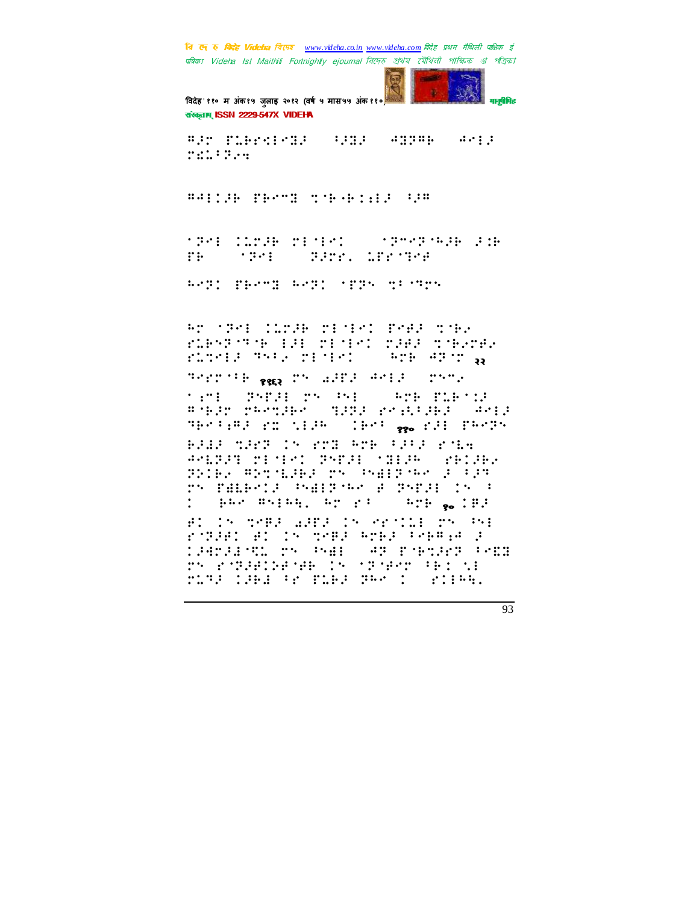विदेह' ११० म अंक१५ जुलाइ २०१२ (वर्ष ५ मास५५ अंक११ मानुबैमिह संस्कृतम् ISSN 2229-547X VIDEHA

**Section** 

 $\ldots$  and  $\vdots$ mada Para

##::# TEPT TYPE::11 00

**MERICAN SECONDENT CONSUMER**  $\begin{minipage}{.4\linewidth} \begin{tabular}{l} \hline \textbf{1} & \textbf{2} & \textbf{3} & \textbf{4} \\ \textbf{2} & \textbf{3} & \textbf{5} & \textbf{5} \\ \textbf{4} & \textbf{5} & \textbf{6} & \textbf{7} \\ \textbf{5} & \textbf{6} & \textbf{7} & \textbf{8} \\ \textbf{6} & \textbf{7} & \textbf{8} & \textbf{8} \\ \textbf{8} & \textbf{9} & \textbf{10} & \textbf{10} \\ \textbf{10} & \textbf{10} & \textbf{10} & \textbf$ **SERVICE SERVICE**  $\mathbf{r}$  is a set of  $\mathbf{r}$  in the set of  $\mathbf{r}$ 

Bedi Phemb Bedi (PPS michaes

Ar (Pel Clrift right) Pell sche riesporte (FA) dioisto daga coevrav FLOWER THEN TEMPERATURE ARMORA

Berneth <sub>8953</sub> ch additionally comp

SPRING TRANSPORT  $\cdot$   $\cdot$   $\cdot$   $\cdot$ **SPECTED TELLS** # 1632 2882368 (1832) 283636363 (4813) TESTURE POLICIER (1985) <sub>886</sub> P.H. PROPH

BRAF MRSH IN 2018 ACR FREE 2018 WARREN MISSION STARTED STRINGER BRIEF WESTERN TH PHEETHER FOR ry PALESIA SYAPRONG PYPAL IS 3 partnership and pro- $\therefore$   $\therefore$   $\therefore$   $\therefore$   $\therefore$   $\therefore$   $\therefore$   $\therefore$   $\therefore$   $\therefore$   $\therefore$   $\therefore$   $\therefore$   $\therefore$   $\therefore$   $\therefore$   $\therefore$   $\therefore$   $\therefore$   $\therefore$   $\therefore$   $\therefore$   $\therefore$   $\therefore$   $\therefore$   $\therefore$   $\therefore$   $\therefore$   $\therefore$   $\therefore$   $\therefore$   $\therefore$   $\therefore$   $\therefore$   $\therefore$   $\therefore$   $\therefore$ 

BI IN THE WHIP IN HEILE THE PH Robert Al 15 depe ener Personal *timerary. The shall are provided from* DY POTENTE SE LA CIGNAL FEL NE MINE THE RESERVE THAN IN STIRE.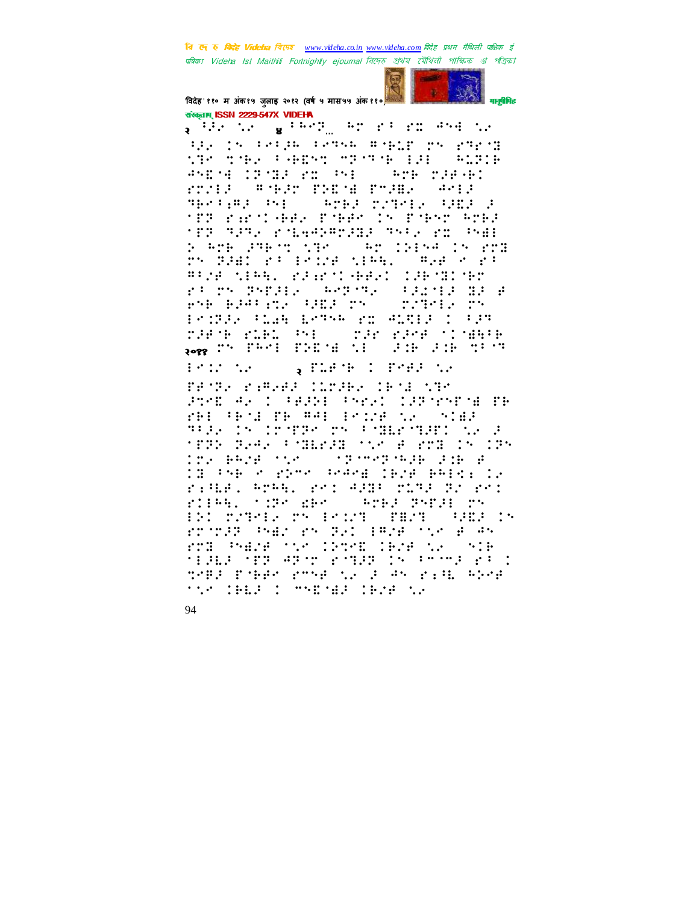

विदेह' ११० म अंक१५ जुलाइ २०१२ (वर्ष ५ मास५५ अंक११०) संस्कृतम् ISSN 2229-547X VIDEHA

 $\sqrt{2\pi^2\sigma^2}$  , the signal properties of the state of the state  $\Delta\sigma$ Has the contact connect where the shared the the Family show is meaning the PRIMA ISTA PE PHOTOGRAPH rrale where this freme where THA PART (PAL) (PRIM DITATION PART) 2<br>1978 - Parti Anno Bonnero (Politicher Prim IN POPST ROBE tra mana ringgangana melaluh pelika: 8 Are 29675 MBC - Ar 19154 15 RMB rn 2281 et Enize NEAG, "Pap noet #F2# NEPRO KRAKTOR#21 12B/HITMP rich Schrift (Service Clarification) PRE EPRINTS SPEEDED CONTRIGUOR  $\cdots$ POSSE CLA LOTER PROGRESS I rafor ring and work ranged transp **JOB 208 9879** page 27 FRAME FREME NEW

g mane i shear w  $\mathbb{R}^2$  and  $\mathbb{R}^2$  and  $\mathbb{R}^2$ 

retro ranger (1818) (Bol 198 Problem I FARE Front COProfile CP PROTECTION AND IPIDE NATIONAL PER IS IMPROVS FORMORED Res MERS RAGA FORESTROOM & STROOM CRA The BROW side of the presentation in Research 13 Pres de aldre strada (ella emeración ring, ArA. ref Alm runs ar ref rieg. (198 des 1999) Pres 20 ESI MARKER MA EKINE (MENS) (PERS) IN rough had ry had legal the acade rnB Para tir (Pred 1978 to 1919 niaia nep aproléhiaplis (Por éb.) SARA PARA POSE NA A AS PARL RESE **MARK COMPETED CENE NA**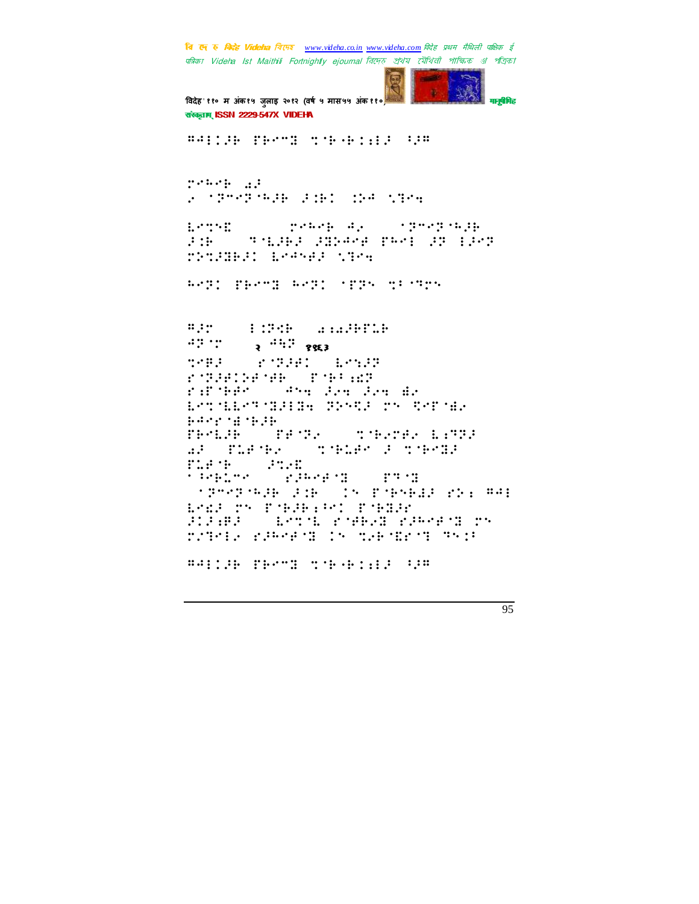वि एक रु मिनेह Videha विएक www.videha.co.in www.videha.com विदेह प्रथम मैथिली पाक्षिक ई पत्रिका Videha Ist Maithili Fortnightly ejournal রিদেত প্রথম মৌথিরী পাক্ষিক প্র পত্রিকা विदेह' ११० म अंक१५ जुलाइ २०१२ (वर्ष ५ मास५५ अंक११० मनुषेपिह संस्कृतम् ISSN 2229-547X VIDEHA ##::H TEMT TTE-FILE UP prace al 2007-00-000 2007 12:00:00 ESTABa persenta di parti  $-139233444$ **THE SEAR PRESS BAY**  $3.19<sub>1</sub>$ **WARRENT BRANGE MIRA** 8821 FRONT 8821 1FR5 1F-1715  $\mathbb{R}^n$ **EXTERN SERVICE**  $\# \mathbb{P}(\mathbb{S}^n)$  $\frac{1}{2}$   $\cdots$   $\frac{1}{2}$   $\frac{1}{2}$   $\frac{1}{2}$   $\frac{1}{2}$   $\frac{1}{2}$   $\frac{1}{2}$   $\frac{1}{2}$  $\mathbb{R}^{2}$  $f(17777)$  $1.44.33$ russer en stelle rander (1954-224-224-82 Bernbernmade Tenne ry Terna **BARY 18 19 38** regione THUR TIME INTER i stredi.<br>U stanografiji sprog FLF TH  $\mathcal{C}$  denotes the form of  $\mathcal{C}$ **STREETHER FIRE IN POPPER PRIMARY** ESSA TY PORRERT PORCH  $313.8821$ **SEPTE POPPER PARATE DY** TITEL FIREST IN THITE THIS ##::# TEPT TYPE::11 02#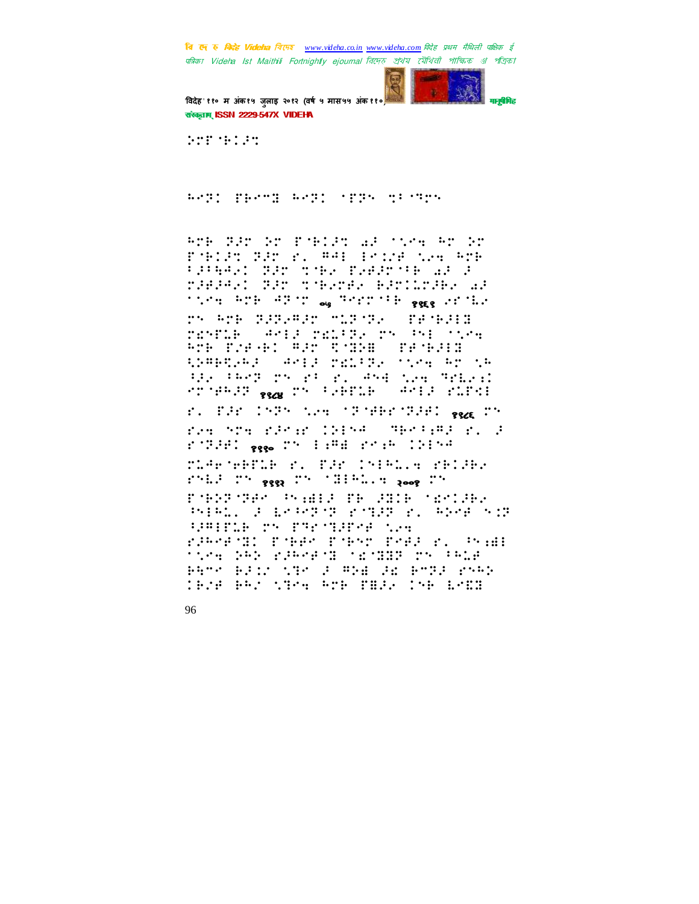

विदेह' ११० म अंक१५ जुलाइ २०१२ (वर्ष ५ मास५५ अंक११० संस्कृतम् ISSN 2229-547X VIDEHA

**STEPHINE** 

Ardi Phrome Ardi (PPS of Cars

Pre Far br Edelar af Stem Pr br POBLET FED 21 ##1 18128 New Arb PROBASI BROOKSES PARROOF WELFUR raaan: Bar tibera, bartutako ma nich arb ar mag mer na <sub>seks</sub> er me rn Are Babamar mibuber TH THAIR PENTLE ANIX PELITS TN THE TIME POR EVENTS RAD RINGE ( PEINATE) APRESED AND MADDED TONE AT TH SAR PROP TO TEST PROPERTY TELEC eremen <sub>sad</sub> re verde l'esta chief r. Par 1979 the 17-derivaer was 29 rag nog rångr 19154. Mentgel r. å POTER gees The Park Price (1995) rigenerie r. f.r (nielse rel.e.  $2^{11}$  :  $2^{11}$   $2^{11}$   $2^{11}$   $2^{11}$   $2^{11}$   $2^{11}$   $2^{11}$   $2^{11}$   $2^{11}$   $2^{11}$ PORTUGA PANILA PROSIDE MANISER PHALL FOR PROPERTY FOR PROPERTY SPHELE TY TECHNICAL EPPEND PARK PAND PAR EL PHAI <u> 1164 242 BIPART 181882 MATERIAL</u> Park Blis MBr 2 ADE 22 Prol 25AD TESE PRO STRACHOR PHAR INFORMAT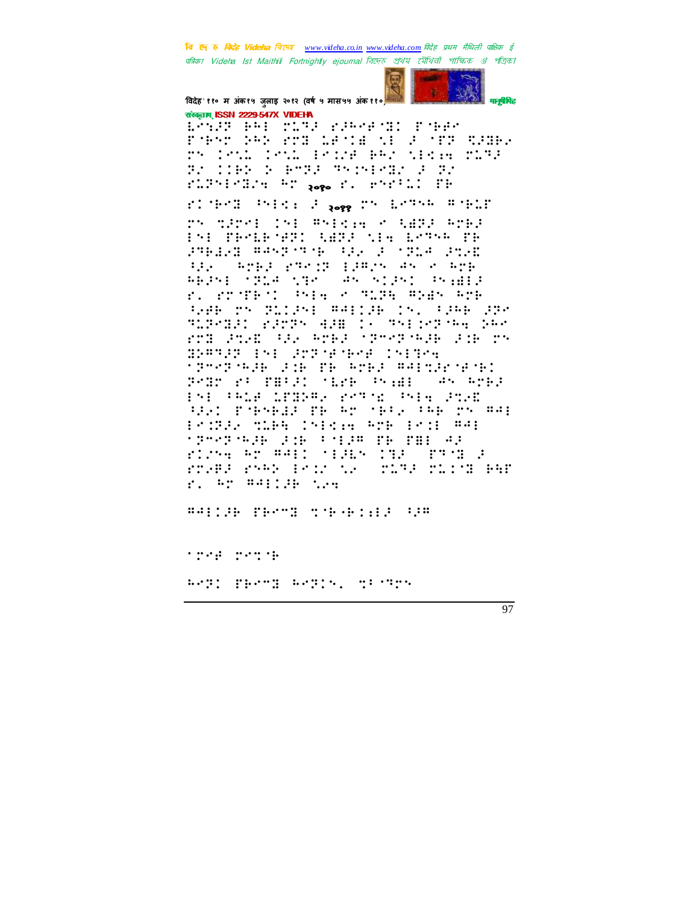

विदेह' ११० म अंक१५ जुलाइ २०१२ (वर्ष ५ मास५५ अंक११०) संस्कृतम् ISSN 2229-547X VIDEHA

Leigh bei comp compact forme FORSY PRESSING LESSE SECRETER RAGHA ry leid leid Bring BAN (Bree rock Br (1162) 2 Group Systema (P)Br FLUSTERING BU <sub>Roge</sub> f. Phillie PE

FINEST PHECK Place The ESTAR ROBLE

ry marked ine Anexage of Geral Area INE PROBEORI ABRA NIA BORNA PR FREEZ RANGER HE EN FINA FRA HA SPEARED ENGINEERS AND SPEE REPAIL: 1914 (1980) RAC STRATE PREBI r. rodnej sta z supe star stre 5286 25 261251 ##1126 15. 5266 226 SLPABIL KATPS AND IS SSAINTSHE DAY FTH PTAK SPA RTEP (PTAP GPR PH) T **INFORMATION CONTROLLING** freeless in the moment window Province Post (1886) Predi an agai PSP PALE LEBRARY PRACH PSPH PARE HAI POPHALL TROAD CREW THE DNOWNE POSSE TIME INFORMATE POINTMAN SPORTHER FOR STREET PROPERTY ring Ar Additionals (National a rough rags from the confidence ber r. 47 H41135 124

trea rette Rep: PRend Rep:s, nPerson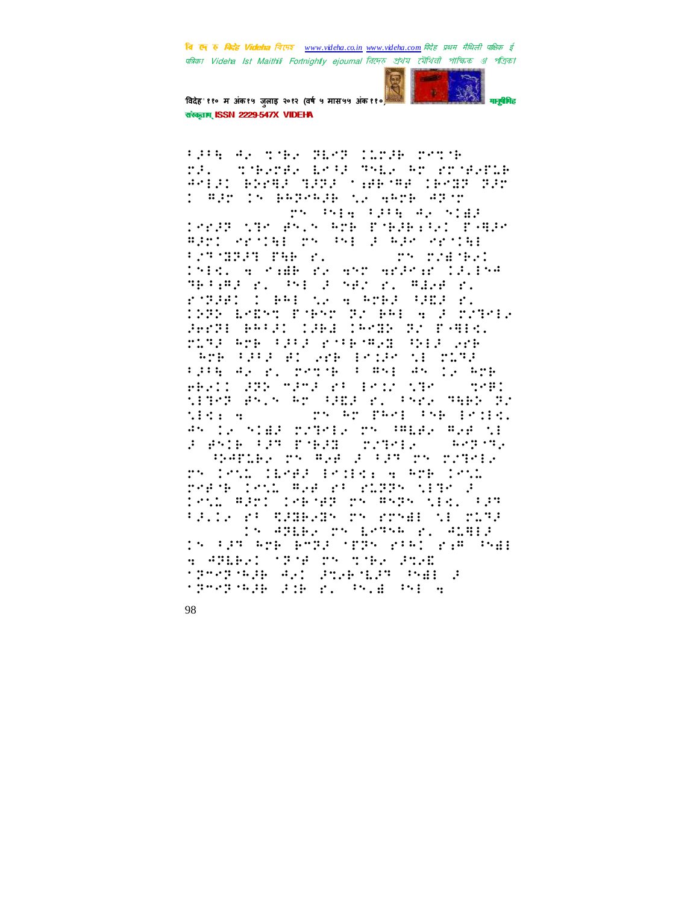

विदेह' ११० म अंक१५ जुलाइ २०१२ (वर्ष ५ मास५५ अंक११०) संस्कृतम् ISSN 2229-547X VIDEHA

FRAGE THE BRO CONFIDENTS MA STORYTH AND THE PURPOINT AMISI BRYAN MICH (ABB)AR IBMOS CIT 1 Adr 15 BASSAdB NG AArb ASTr The Principal Art Side *lergy the anchorery powderful popula* BANI SENIGI DA PAL A RAS SENIGI **BENEDICT STATE START START START** 1518. A Calb fo AST Ander 13.154 HEIGHT P. THE FOND P. HIGH P. roman (1941 to a Arba Adma r. 1935 LODY FORST 32 PRESS 2 STARES Jerni Belgi (Jel (esn) na Panis. MIRA RMB PAPA KOPEORAR PREA 2018 SAME FREE BI WHE ESSAS NE MIRE PUPE AS PLOTECH PORT AND SACRE PRODUCER SOME PRODUCERS  $\cdots$   $\cdots$ tites and as well as the map so **STAR AT PART PARTICIPS.**  $\mathbf{1} \mathbf{1} \mathbf{1} \mathbf{1} \mathbf{1} \mathbf{1} \mathbf{1} \mathbf{1} \mathbf{1} \mathbf{1} \mathbf{1} \mathbf{1} \mathbf{1} \mathbf{1} \mathbf{1} \mathbf{1} \mathbf{1} \mathbf{1} \mathbf{1} \mathbf{1} \mathbf{1} \mathbf{1} \mathbf{1} \mathbf{1} \mathbf{1} \mathbf{1} \mathbf{1} \mathbf{1} \mathbf{1} \mathbf{1} \mathbf{1} \mathbf{1} \mathbf{1} \mathbf{1} \mathbf{1} \mathbf{1} \mathbf{$ AN IS NIAE MOTORS TN PREAS REACTE  $\ldots$  :  $\ldots$  . F PAIR FPR PORT (PART) gabine, sy man a ban sy sinell ry loud dioff fodis: 4 Are loud refer (eth syf af allgre tige )<br>1951 signi (eferg re sere tige (ge **FAIL PROGRESS TY STYRE ME TIME** In ATERS TH ESTAR F. ALBER In FPP Ack Andel (PP) 2001 218 Pak 4 APLEAD TRIA THOTHA STAR **SPERSON AND POSTER PAIL P MEMPHE FOR P. P.B. PHI R**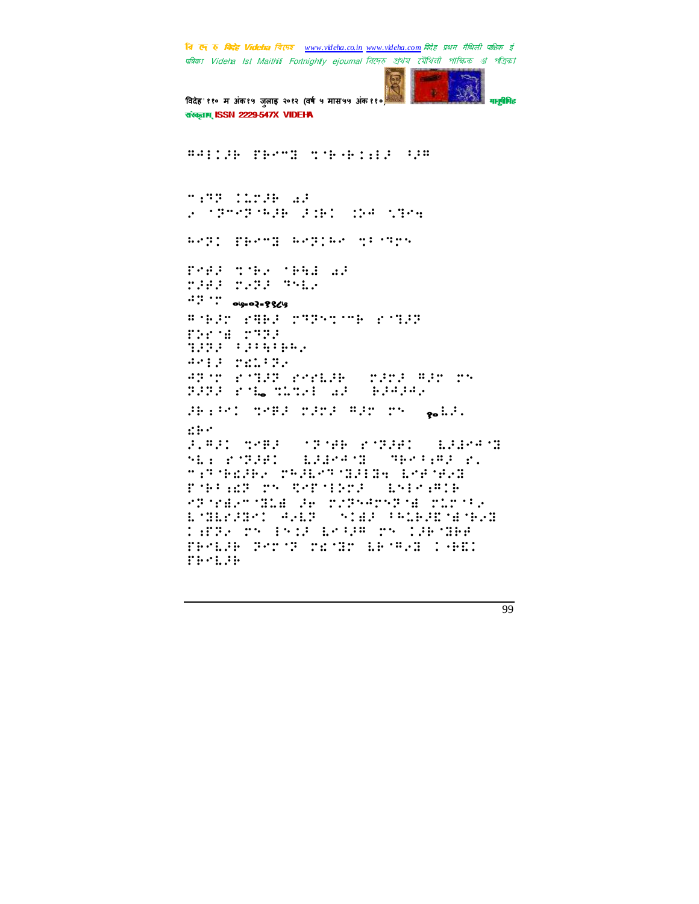

```
विदेह' ११० म अंक१५ जुलाइ २०१२ (वर्ष ५ मास५५ अंक११०
संस्कृतम् ISSN 2229-547X VIDEHA
```
**":"" :::::: .:** 2007-02-020 2001 024 0304

**ARTI HERMI ARTIAR MERTHY** 

rest the that at **THE THE THE**  $\cdots$  ord=05=386a

# 1925 PHP3 PTP51 119 PTP3 Firm music **THE CONSTRUCT** ARES TELETA ARTY RINGER RANGER (1910-1991) IN

2222 Folk which had children

Heini medi mama Aam me gald.

 $\mathbf{a}$ 

F.A.C. SMB. (19196) E19281 (1218413 MES PORTE AND THIS SEARCH "Predict reduction and the FOR AN TY REPORT AND STATE PROMERCIAL PRODUCED PRODUCED PRO L'ALFANT AND STAR PRIENDRYL THER 25 ISBN 6398-25-186388 TRALIB RATT TEMP LEARS IS GET rechee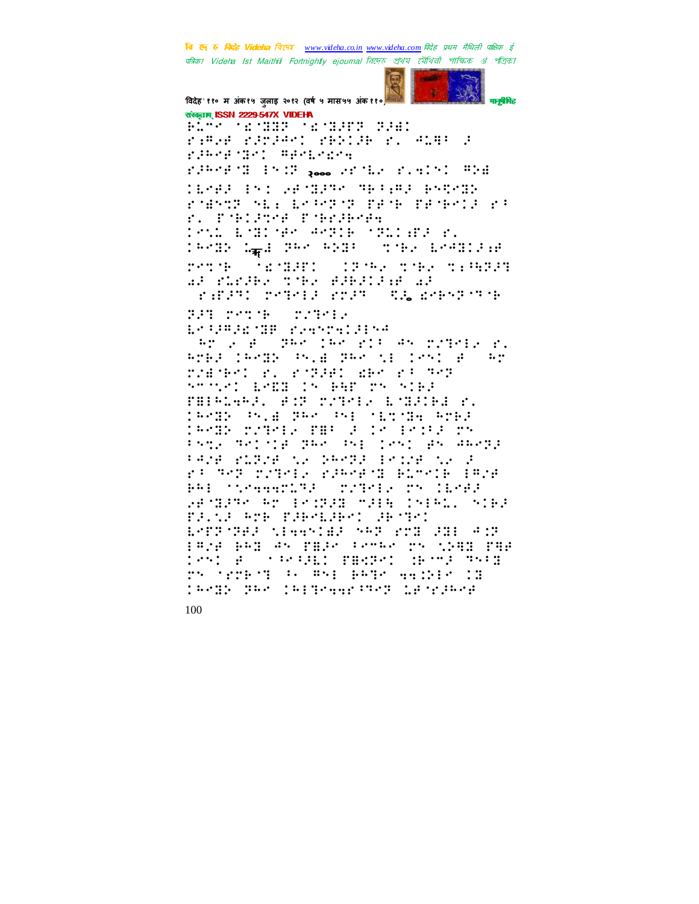

विदेह' ११० म अंक१५ जुलाइ २०१२ (वर्ष ५ मास५५ अंक११०) संस्कृतम् ISSN 2229-547X VIDEHA raman ranaman restae r. mime a

ringens and the ramori ind <sub>koo</sub> and had not we TERRE ENT SPORTER METHER BNDKRY rient als beste presentate de r. Fjellyne Fjerdende **Contracted Administration** 1988) Gel Per Star (Schrieberg) reth true (1968) the sensor al cloffe the fibrical at

rangs rende rogs (ng renden m SUS STORE STORE

ESPERANE PARTELENA

ar 2 so par tar rit an right and ROBE CROSS SNIE DRO NE CONC B. RO rzenen, 2002-2014, 265 256 357<br>Stori Well (S. 648 256 5162) FAIRLARE, AST SYTPIE L'ARIGE S. SPARE POINT RESOURCES TRANSPORT DRAWD WIREL THROUGHT EATLE TH Provided the part of lend and ameng PASA PLESA NG GAREA PRISA NG A ra ang prontsi ramneng elmnik iarre PRE STRAAGULED (UTPER US CERA) SPORTE AT POSTER MEER INFALL NIEF PASS AND PADMAGES SEMINI BATTARE MEANING SAT 201 201 410 PRIP PAI AN TIEM FROM TH NIRI THE :25: a ''+6:08: PBKPK: 16'™2 <sup>S</sup>5:0 ry trekin a wap pane ganke th **TRANS NEW TRENGALISMS LEADING**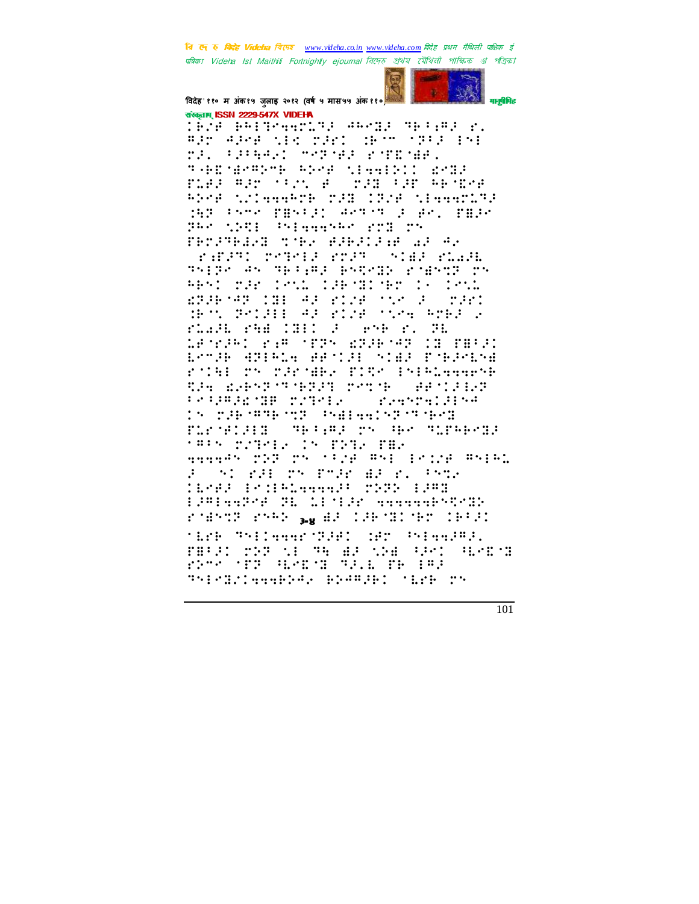

विदेह' ११० म अंक१५ जुलाइ २०१२ (वर्ष ५ मास५५ अंक११०) संस्कृतम् ISSN 2229-547X VIDEHA

IP/B PRITHERING ARMIK TRIPE E. ago agea sin cán: APH (2020) ra, tather, mergaa room dal. THE GREECH ANGELIGHENI WRIE FLAR ART 'FRY A' THE FRY ARTER REMA NZIAAARTA MJE 1928 NEAAARL93 MAR PASS PRSPEL ASTER 2 AS, PRIS 365 MASE Shiggganes 223 25 TESTELLI STER RIETINE AF AR FARPY POPUL PRP (STAR PLAN Third an Third brundly right? Th RESIGNED IMML ISEMINED IN IMML ERSENAR ISE AS EINE MIK SO PORI BOV POINT AP PINE SIME AMER 2 ruali rad (Si) 3 (ene r. Si LANDARI BAR NOSA 2008-00 (O DORA) Brnge Astela Africt Siar Presenta right the throaded filte initiative the the chest within review desired **PARTICIPS SERVICE** and property in the second second second second second second second second second second second second second In the SPRING Palenting Send ESTRING TRIPLE TO HE TUPPED **SALE TERMINAL CONSTRUCTION** agaad file for the wall prize wape. a shi na shekarar aa nu fama .<br>Cirk frikinnas 1915 fyr 'Erb "Sllaaar'SJAL de Silaaj#J. FBFAI 2008 ME MA AR MOA FRAN HARMS **FROM THE HARDER TALL TH 182** 

Thirdictanable, bleedil (1216-25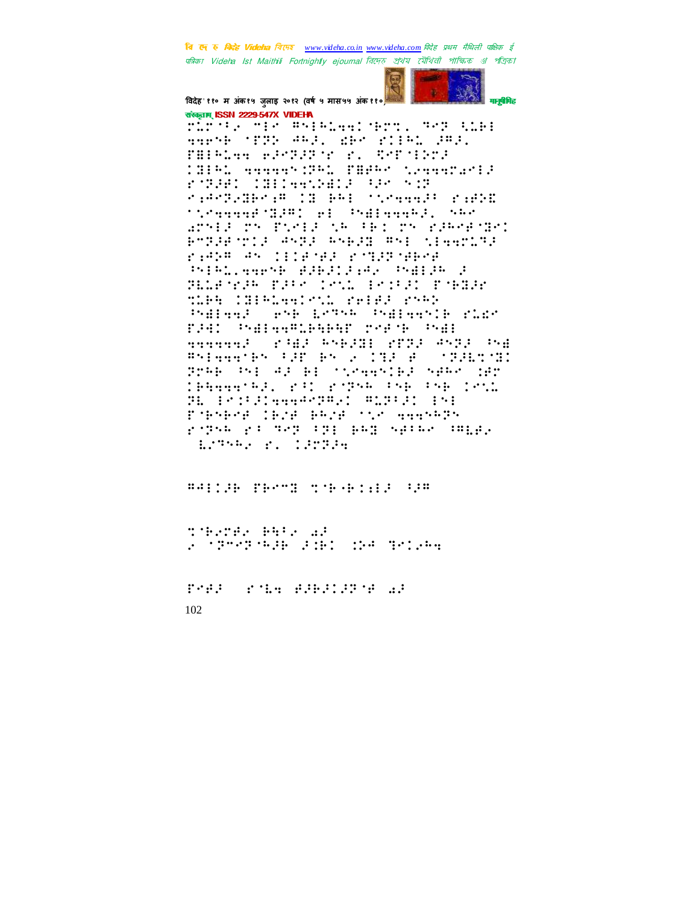

विदेह' ११० म अंक१५ जुलाइ २०१२ (वर्ष ५ मास५५ अंक११०) संस्कृतम् ISSN 2229-547X VIDEHA

rints may myanggalmen. Men kua: HAPPE TITE ARE, WHO STIRE IAL. FBIRDAM BRYTHTE P. TYPINDER **18101 ANNO 1991 ISBN 1788-1787** roger (Silverberg Georg righthamer in had tirighth ridin SteamnerSIBC el Philagaki, Ske arnik rn Field im Gei rn elmerdel PTERPTIE 4522 PSP28 PSP (Feed232 rada ay illega rooffaydee Principalent Butcher Product P BLLEYER BRA (ALL BARR) BYRGE page ignement renea reek Palland (end Letha Pallannik ride F.G. PGIGGSLEET TYPE PHI annound a body brought and angul or Briggerbroth brown (SI) Boothington Pres Pel Al Bi theseniel need Hr TEGGGTER PRI POPER PAR PAR TRIL H. Priklaaaskka. W.H.C. By: POPSPYR IPAR PRAK SAM HANSERS rope riser (program) pad spine (might ESTAR P. CETTA

##::# TROT TYPE:#:# 9 **TORONTHA SHER SALE** 2 MPMPMAR Adri dan Bright

real role admitsion al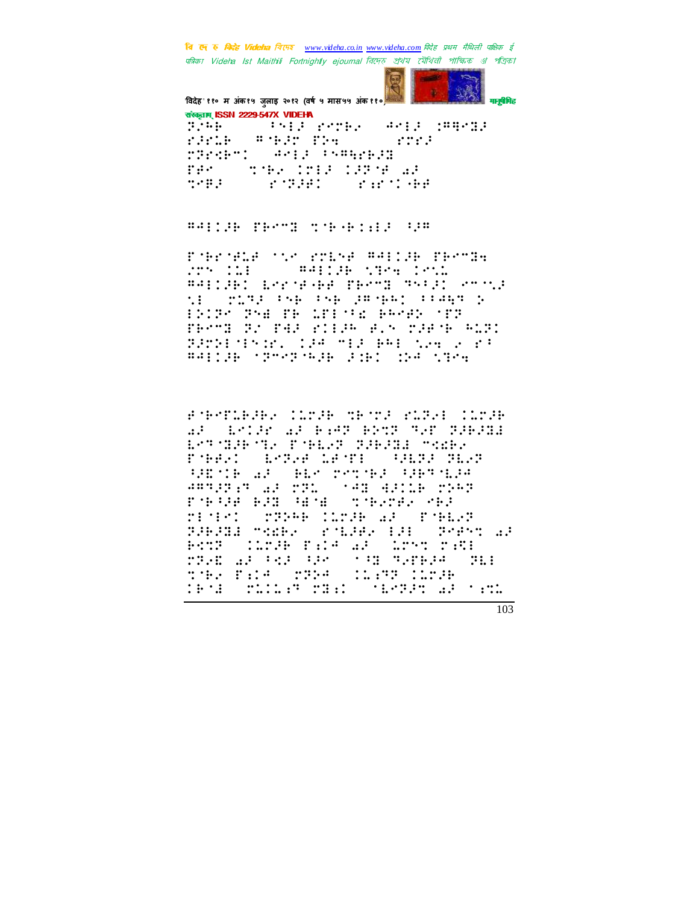

विदेह' ११० म अंक१५ जुलाइ २०१२ (वर्ष ५ मास५५ अंक११०) संस्कृतम् ISSN 2229-547X VIDEHA **SAMPLE PATES APER SHOWS** Brah. **Bible Physic**  $\pm 0.003$ **PARTIE APER PROGRESS**  $PSPCHPT$ Per 1 **THE CONSTRUCT ROBERT RESIDENT** negar

**##!!!# ##\*\*# tr#+#!!!# !!#** 

ESPECHLA COM POLOR ARIIGR ERMONA<br>2006 ILI - ARRIGA ONG IMOL ##FCPEC Engine PE PEnne (Prisc china the strain component property component BRIP PAR PROSPECTS RANGE OFF FRAME RO PAR PIERR ALS CRAMP ALRI BROAD MACHA (1940) MERCHAN CONSTRUCT **BALLAR SPORTHER FIRE INFORMA** 

FAPTLERE, COSE MESSE CORE COSE ad telle ad Red Red Mar Socoal LOTOREOL: POBLE PRESER POLES rakt brefterer andere SHOTE AFTER THIS HEATHER ARTIST AF THE 1988 HILLE THE rage el gra churez de STRAK COTH AR STORAGE BJEJSE MAARA (KALERA 1918) BARAT WA MODE FREE AFT APPROVED.  $1.111$ TRAE AR PAR PRO CONFIDENTATION tik Poslovka (Clavinope defa (strike samt Theagh ag hat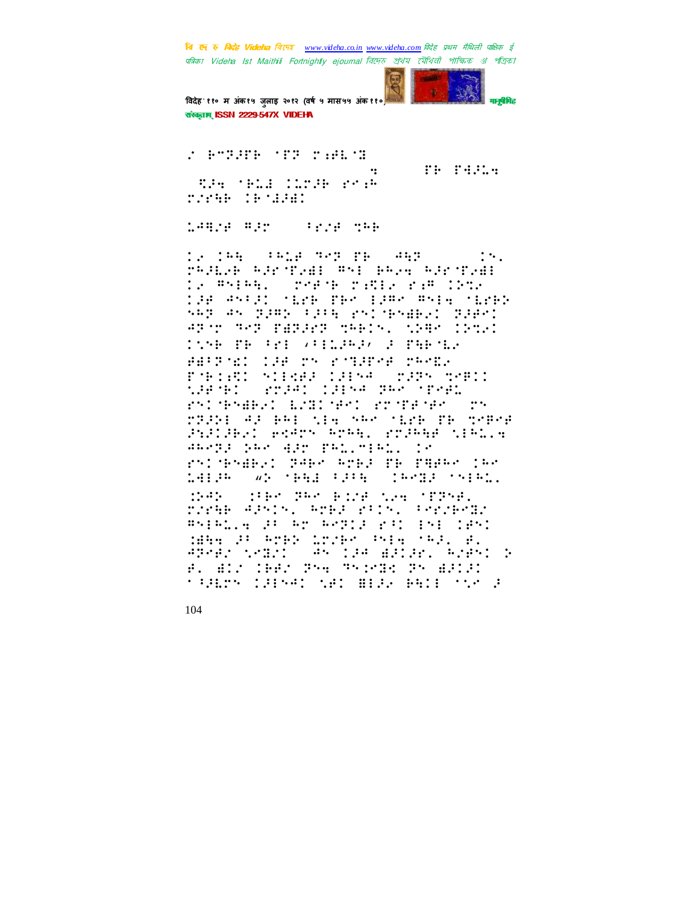

विदेह' ११० म अंक१५ जुलाइ २०१२ (वर्ष ५ मास५५ अंक११० संस्कृतम् ISSN 2229-547X VIDEHA

<u> 2 BANGIN 198 MARITI</u> **TH PASSA**  $\dddot{\bullet}$ SPA TRIE CITER POIN rreak ikilan

19828 832 - 1228 766

tu twa swip surplus war (  $\mathbb{R}^n$ . relate elsinal syl team elsinal De Anima, considerada par Cene SAR ANIAS (SEPERTEN 1988) ANIA (SEPER SAP AS PURP PUPP PSINFORMED PURPI apse nep papier early slopes incl. **TYME THE RELATIONS CONFIDENT** HARPYEL COR TY PUBBUR TRAEL FORIGE SIRGE CHESE (2005) MARIO MARTEL START CAPAR BRACKBARD rniment brown refere  $\cdots$ MICH AF BAI MEA SAN MEAR TR MNBNA analakal kegun Augus vulgaké nigala Warry: Sar Age Palleial, Tr rn: Ghabel Baby Arba PB PAAA (An 19126 WE MARK FORM (DAMIN MAIR) SAR (SPA) PRO BINE NAM (PPSE) rreak apsis, aregistis, terredr #SPALLA 2: An APRIL 2:1 PH (185) MHH 25 RMPS LM2BR SMIR SRIE B. APPER NPRESS AN IPA BRIEF, REPRISE #. #12 19#2 PS4 PS2MBX PS #P1P1 **SARES CHARLIGE BEAK BELL TO A**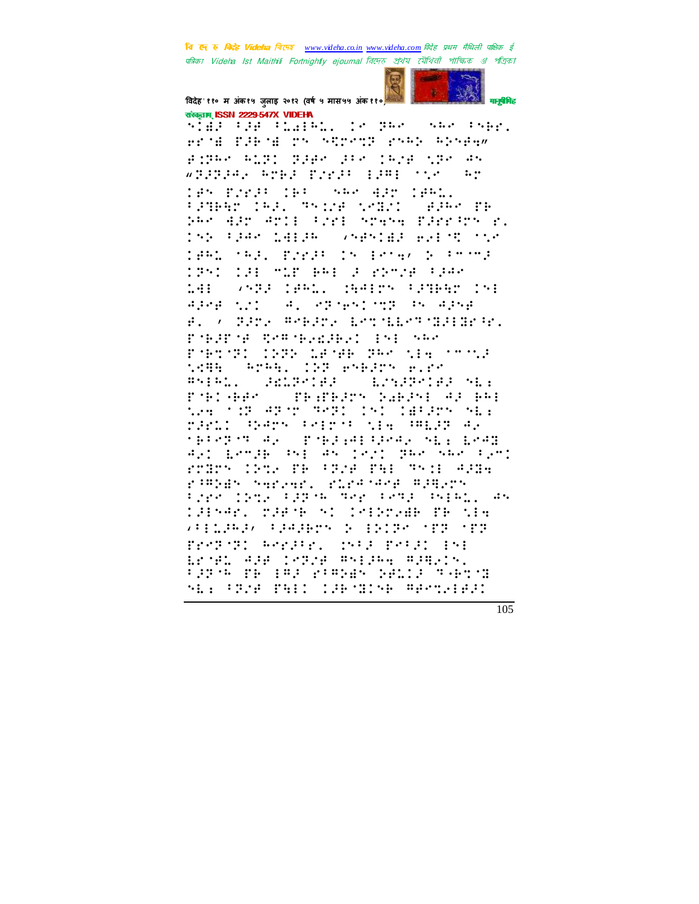विदेह' ११० म अंक१५ जुलाइ २०१२ (वर्ष ५ मास५५ अंक११०) संस्कृतम् ISSN 2229-547X VIDEHA



sîda (ar (bulko) de per (ser (ser) era TBC er stret est belge Rimar and dige directary the as WPPPP42 AMER PINER EPHE TOM AM 195 Press IBS (548-925-1941) **FIREST CAR TESTA STRIP** gine pr SAR AST ATOR FORD STAND PSPERTH P. 150 FEAR 1412A (SARSIE) AVENT SOM TARL TREL BOOKER IN BROWN & FOODE 1951 198 MIE BRE 2 STAND FORM **SMPE DEAL: HAIPM FRIER INE**  $\ldots$ 4245 121 **SA, PROPRIME PROPER** F. / FRY. WebST. Eenhardthalmen. FORTY TETRANDAL ISL SAM PORTS CHRISTER PROTECTOR tem brown the poplet place **BAIRLY RELEATED** repared regions bandy as map the first Arms mericini (APPRS SE: ranch gwars (eirschipte (August A) terent also predigionel may been Apt Ennis Shi An trit Bar nar (20) FTITY INTE TH FRIE THE TYSE ARIA r:Bhek Saraan, rurgjase Bjern Pres (Pres Pages See Peg Page) (1991) Se 1915-Ar. 2004 4: 51 ISBN 2004B PR SIA **VILLAGE CARDER & INCREASED ATT** Frederic Werdie, chil Peil (15) instel age cagne margine mgmacal<br>Fogua pe regularende delco maerto SE: PRIA PAIL CORTROL ARTIST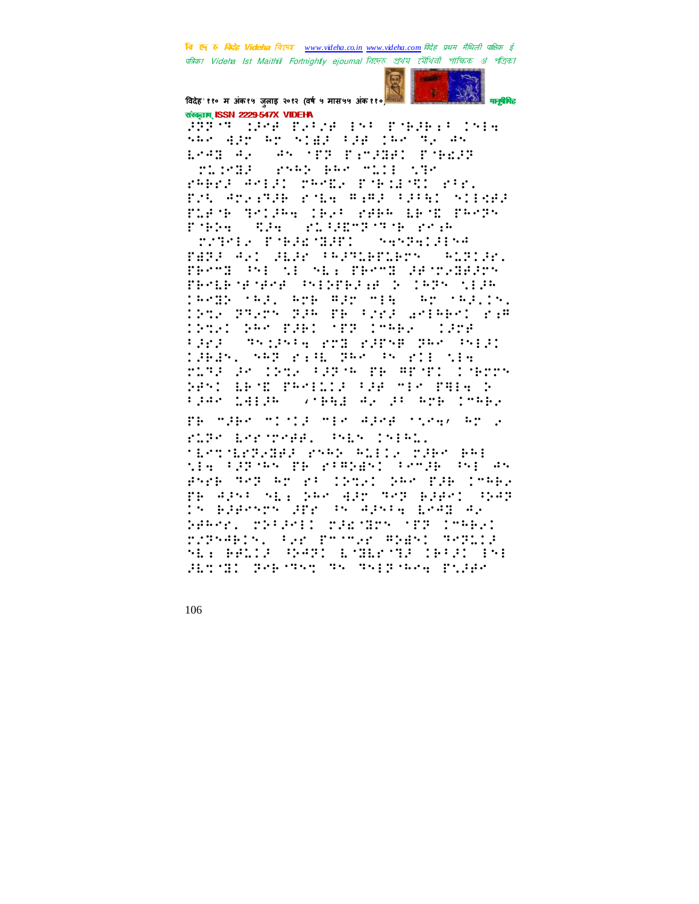

विदेह' ११० म अंक१५ जुलाइ २०१२ (वर्ष ५ मास५५ अंक११०) संस्कृतम् ISSN 2229-547X VIDEHA

aĝis definado per parafiloj Abe applied Analysis and the theory and BRAN A. (AN YER PENGHAL PYRGG) TESTE PRES BRA MILL STA PRESENTED TRANS PORTHOL PAT. Fri Arrith right Right (Fig. 5) (1993 FLAND NOTHER TACK YARD LEND FOOTH POST THE PLUMPTON POR **MANUFACTION** DIRECTORES THIS AND HIM SANDWICHTHY ANDISH. FROM THE ME HE FROM JEMPIHING PROLEOPORT POINTERED I IPPS SIRE CRABE SREE ROB RED MER (PROSPECT) (Střídných dím opřítočí sklepk)  $\cdots$ State the paper off completed that tara (shiphty rol rache server) bia THER, SAP PIE PAR IN PIE NEW ring an ingle sares in Areric Cerry SAND LEAD PRAILED FOR THAN PRINCE FJAK 14136 (VIAL A) 35 AMB (MAB) PROMIES MISING MISCONDARY START RECO FLIP LEFTPER, PHR INDEL

MESTMETRIER PARK ROLLS TRES PRI NEW PROTEST OF BEAMS COMPATING AN ande skal en di longi oek fae isee.<br>Fe kan 'nbi oek kan skrifteleni opka (n Blennen lor (n Alno) brag Ay Sebra, astgril agendans nag (1966);<br>avgsebls, tva annova gses; grgblig <u>Ali Akci Avri përrjet tetitit</u> HETTEL BARTEST TS TSIP SEA POIRS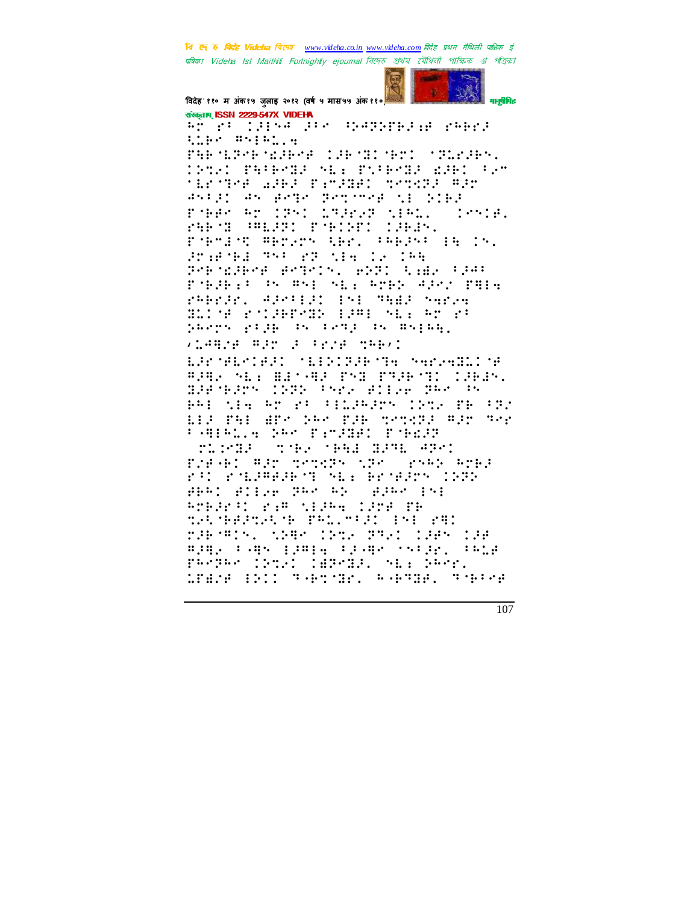

विदेह' ११० म अंक१५ जुलाइ २०१२ (वर्ष ५ मास५५ अंक११०) संस्कृतम् ISSN 2229-547X VIDEHA

Ar en 1915a gre grappergge emper the surface

PARTLEYR MURPHY (1980)11 MEMORY (2020-1980) Chil Peleng ng Pileng 2001 le 'Le'Tef alba Banadal nengza Alb Anigh An Arge Broomer of Sibl rner er (pri 1963) viel. a di servita di Servita. PHPS PERS PAINT IRES. POPTER RETEN ARE SPEECH IN IN. Premier March (Political Card President drinis, 6521 talk tjat PORTHAIN IN WHI NEARDER WIND PHIN reprint algebrit in The Sanda and the controlls due to say which packer gride in rend in major.

*<u>VIANORE REPORTED SERVE</u>* 

ERMALMARY MISCHIFTS NAMESHING #385 SE: BERGE PSE PROPORT LOGAS. HARTHAM COOR THEY BILGE OWN TH PRI MIR AT PROFILIAZITA IPTI POST BIS THE HIM DAM TIB SMYSTE AFT AND tomania per paramei poéda **STAGES STORY THAN HIME AND!** Presencer conductions and acter r: riggeren maaren broek ARAD ACTOR TAX AD (AZAM INT Robert rim Siehe 1908 pp THORNEOUS PELITED IN STO rakomin. Sime lins dhel laan laa mpm, index planned theme series, this PROPRO (DOLL CHPOBEL SE: DROB. WEEDS INTE TARTIE, RAPEE, TORPA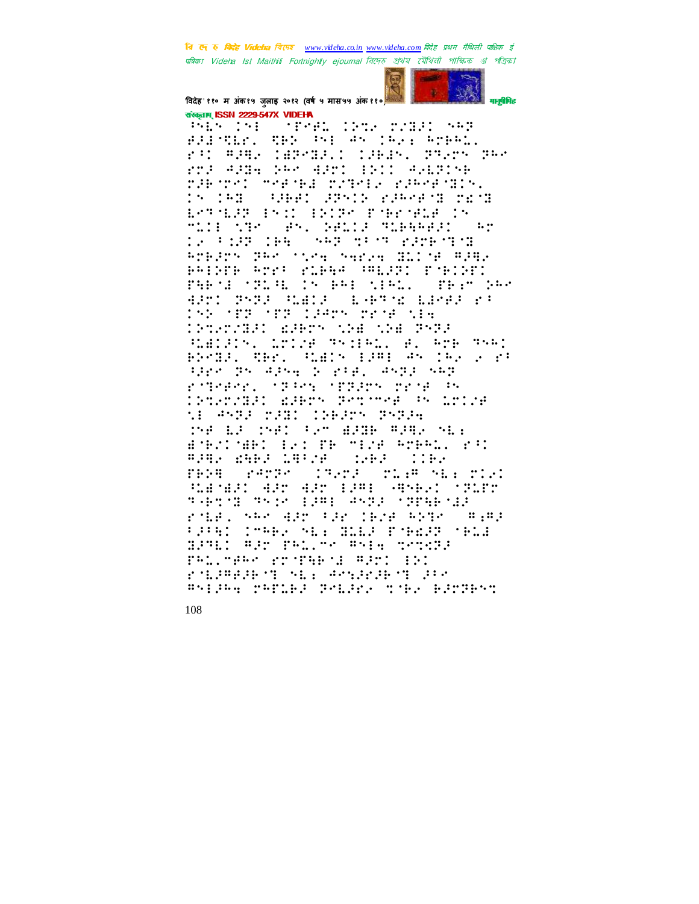

विदेह' ११० म अंक१५ जुलाइ २०१२ (वर्ष ५ मास५५ अंक११०) संस्कृतम् ISSN 2229-547X VIDEHA

PAÉN (NE ) MEREL (1992 PINEE) NAP FRINKLY, THE PAI AN INST NORM. ri figur (epoll) (leas, pros peo Pri Alda SAR Albi (SVI AVESINA raboral medida radeda adbedidati.  $15.151$ **SUBDENTIFY PARAFIE TEST** ESTALE END INDE FARALE IN mili var sev bella mleššan  $\mathbf{L}$  : 12 FILE 166 (SAF) SPRINGER STA ROBERT BROOKSE SANGE BLIDE RER. PRINTE ATEN ELPHA AMERIC PARISTI PHP M PRINT IN BAIL MIAL ( PREMISAR 43r1 PYPA SLADA (LAPTYL LAMAR 2) 152 (FF (FF 12455 SP) 514 **135223121 ASST 138 138 2523** REDUCED COLOR SECURIC BY ATE SERI BRYSE, THE SLOCK EPPE AN INFORMER SPECTRO APROVAMENT ARTICLES rothers of the critical cross  $\cdots$ **CONSTRUCTION PETITE PRODUCT** ME ANGEL MEDICINEEM GROEN MF LF MHI PAT HRIB RPRA ME: BOROTOMES ERITH MEDE ROBRO, 231 **APARTMENT CARDS AND STATES** PRSH (PATRY (1927) TLAR SEA TILL **Add Add Edge (Arabyl 1918) MARTHAL** THE TAIL TO BE ANDED THE ME role, skr 425 (28 1928 ASTR)  $\ldots$   $\ldots$ PRANCIPALE SERVICE PORCH OPLE BRAND WAS TALLED WORKER PALINARY POSTABILE RADIO EN romana di si seriene di #SEPRE TRELEP PREPER THE BRTHST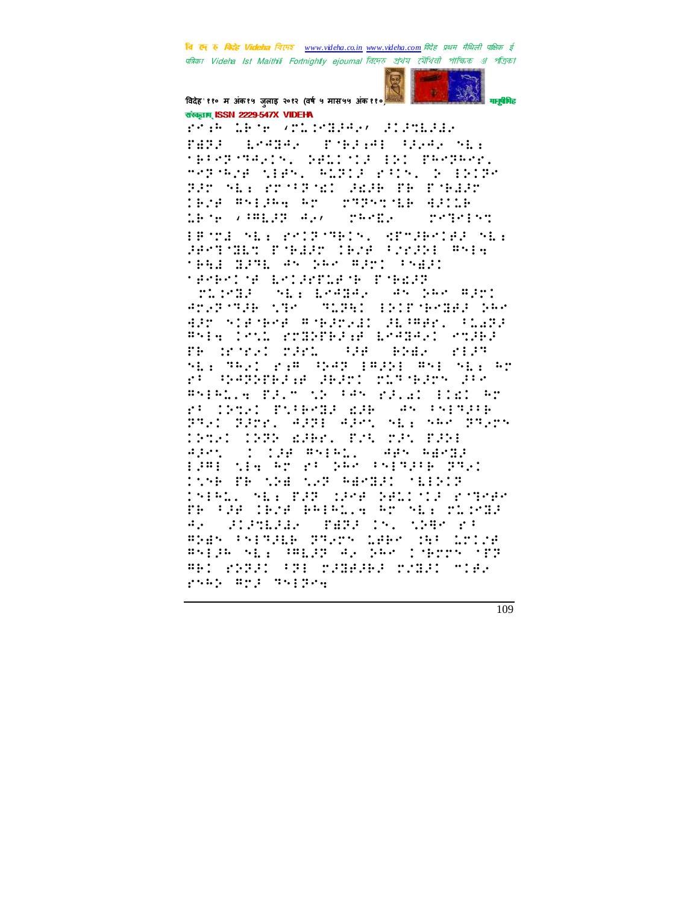

## विदेह' ११० म अंक१५ जुलाइ २०१२ (वर्ष ५ मास५५ अंक११०) संस्कृतम् ISSN 2229-547X VIDEHA

reak drive (Michael) Standar **SEPRED PRESE READ NET PASSA** TERMINALIS, SALISIA ESI PROPROS. Serger Mass William Str. 1 (1919) Bar Si: Kroffel Gear Br Poblar TEZE ASIANA AM (MTPSMILE APILE the control and **CONTRACTOR**  $\mathbb{R}^{n+1}$ 

EPSTE SEE PRIPSPEIS, RETHRIGH SEE **BESTMEN POHER TENE FREED #514 TERE BRAKE AN SAR ARRI PNER MARKINE LATARTLANE PNELLT** 

**MIRTH SEE ERAGE. AN DAR AGU** ANSPORTE NORTH MAPPED IN CONTRACTORS 435 SIPSPE PSPIELD SLOWED (1223) #Sig (PND POGREERIE EPAGAR) PORER PROSENT PARK AND BREAT  $\mathbb{R}^{2}$  :  $\mathbb{R}^{2}$  :  $\mathbb{R}^{2}$ si: Wallet Paw (1942 1821) 851 Si: Ar rt thermedie dear: richters A. #SPALLA PRIM NE FAS PRINT FIEL AT INTEL PURPORT WHO SAN INFORMA- $\mathbf{r}$ 3321 33221 9331 9301 563 560 33225 <u> 1961 1970 AJBR. PAL MIL BIG</u> **SANS REPORT**  $\mathcal{A}(\mathcal{E},\mathcal{E})$  . EPRESSENTER SPACENEREN BRAD **SYN PROGRESS REMOVE SERVE** CHAN, HER PAR (SPA GALLICA PITPAR TH FIR CHOF HAIRLE AT MEETICHER 42 STANDARY PERPORAL NAMES PA BREN PNIRELE PRATH LABY MAR LITING asija sil Galip A. GAP (Serra Srb<br>Aktorpat (Satoraalele rualt mile) gang mga maggaa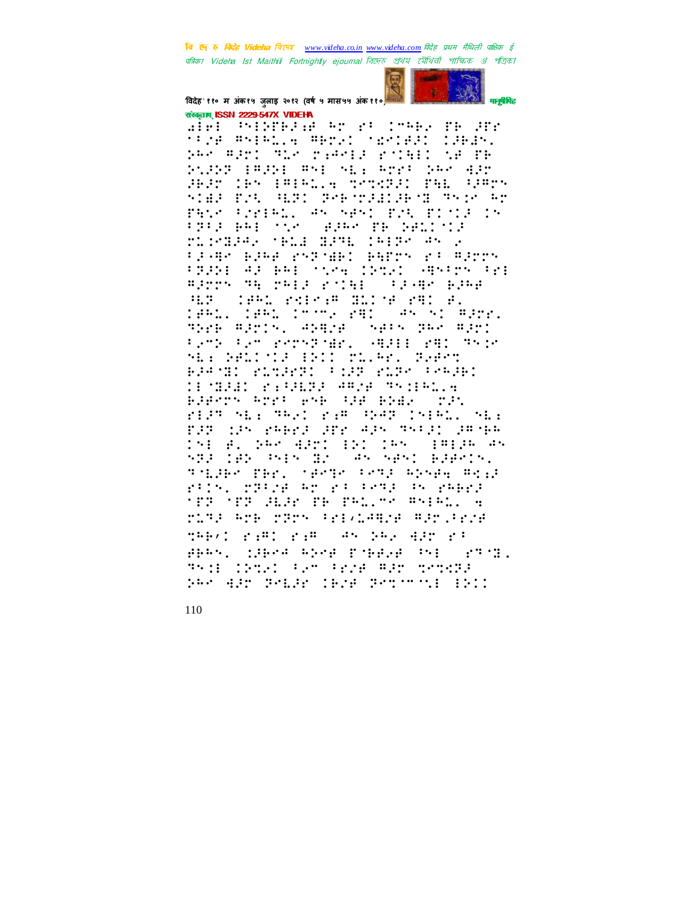

मनुषेपिह

संस्कृतम् ISSN 2229-547X VIDEHA alén Pongresia ar 20 craez ne any **TERR ANIALLA ARMAI MEMIRIC ISRIN.** SAR ARTI ALR PIAMIR POINII NA TR Stabo (Aabi Ani ne. Arro SAP Aar **JEJM (Br (Ale.), Trunks: THE COATH** SIER PAR ART PARTNALLARTE TSIK AT PROSTERED AN NAVE PER PISCA IN FREE BALLING COOPER DESCRIPTS MINTERS SPAR HPH 1919-05 Play Flag release Farry racelers FRINK AF BAL STRAG (DOLK) ABSENCERE BROOK THEORIE STILL SEARCHER (RIP) (1851) ralest SLIVE rRIVE.<br>1851, 1851 (1872) rRIV (8505) RPP. Spre Albis, Angre Sels par Albi Pena Pen Promando (APH) PHI Amir MES DELL'IS BRID MELGEN SPECT BRAND RINGER (198 RIP RIP) (2008) **11 MAAR 244444 ARTS ARTS AND ALA** BJP555 AMB PSB 138 BSB, 225 FERT SEE TRAC FER SPAR INFRE. NEE FJF 195 rabri 35r 495 55131 98386 151 A. 255 AZTI 121 155 - 19125 AS ATA 1950 PALACIER CAN ABAI BABAIN. TALBA PEN, YEARA PATE RESER ROLE rick, prize ar ricing, in rapid **THE THE HORT HE PALLYM BYERL, A** MISE AME MEMA PRISINGENE APMIRING the control of the control and the control of the control of the control of the control of the control of the c BRAN, SBRA AGAB PARGB PNE (PRAB) TRIE CROSS FOR FROM FRED OPDERS PRO 435 Polar (Bra Porconil Br.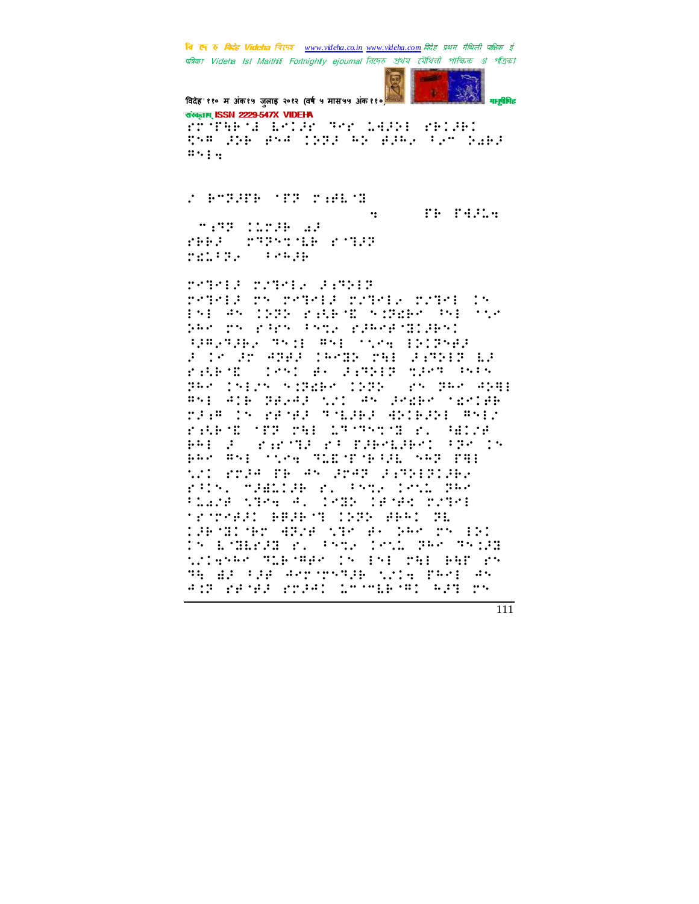विदेह' ११० म अंक१५ जुलाइ २०१२ (वर्ष ५ मास५५ अंक११०) मानुबैमिह

संस्कृतम् ISSN 2229-547X VIDEHA rřínaki brok skriugov radov 558 356 354 1553 55 3363 335 5363  $\cdots$ 

r Berger (Fr radio **THE PASSA**  $\dddot{\cdot}$ **MANIFESTIVE** FRA TTPS AR FORD rating, compared

POPOL PATOLA FIRER PARTIE DY PARTIE PLANER PLANE (P PSE AS INTE PARTE STREET BE TOP part on order those clares miller. 32823262 3531 851 3556 1013583 a tr'an Adal (670) na Santo Ga rakte (251 av landen mach betw and Chick history (202), an and Age:<br>#his Alb Seves nul an sheen center rage to renear models grieche ener rakte ter ma driverte r. Adve PRESS CONTROL PROPERTY FRONTS PRO RNE SCOR REESTS PRE SRT THE thi role of ex loed lifeldile. rans, mamile r. anne inni der Place the 4. 1988 1898 role: **TENT-BEL BRAKET COOK BRACER** DEPOINER ARMA NOM AR 1940 BRI Dr Esmerg e. Provincia gar gríga window Theorem in 191 rai Par ro THE HIS PINE WAT TEATING TO THE PRACTICAL ANY PENER POSAL LOOMERARD ASSOCK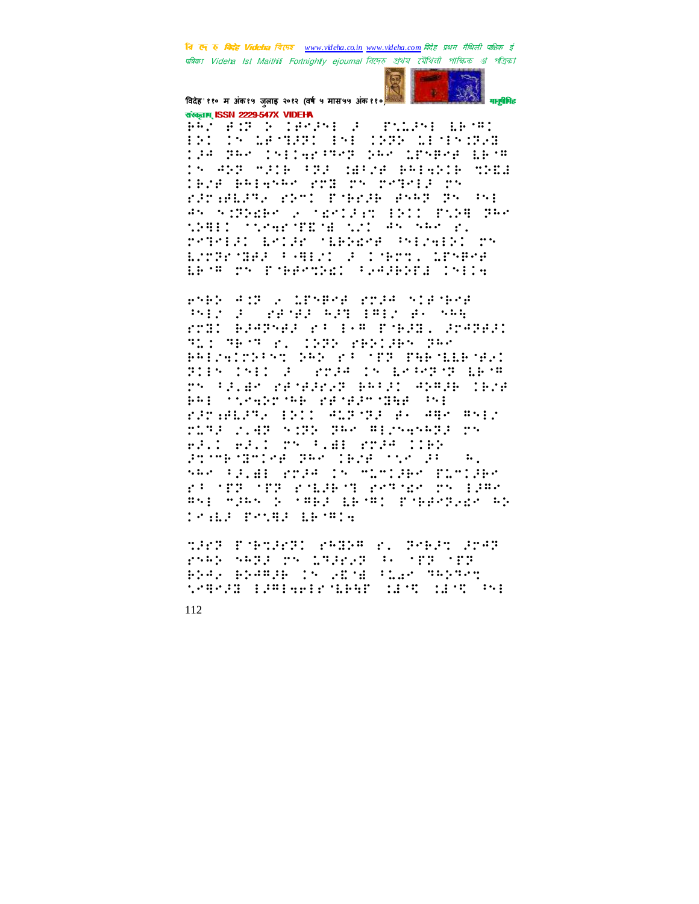

विदेह' ११० म अंक१५ जुलाइ २०१२ (वर्ष ५ मास५५ अंक११०) संस्कृतम् ISSN 2229-547X VIDEHA

PROGRESS DESPESAS POLENE LESTO HRI IN LEMBRI INE IRRA LEMENIRA 194 gar (nilwroneg 14e 18nger 16'g CH ART MAIR FIA (WEIGH-RAIGRIR MRIW TEZE BRIGHAN POR CH CROBER CH rangeland roni robrab geen ne ee AN NIREAR & MENDER BRI FUR TAN WHEEL SAMESTED ENAMY AN ARM EL reteill belle sikkeen twizelki ry ESTRATURA PARISI A INFORMATIVA LEAR TO PARROTEL PROPERTY INFIN

ener auf 2 lithere erza niadere<br>Shir 2 serviz ezi imir av nem roll blacked right completed draced TE: TEST P. CODE PERCHER THA PRIZAINSPAN SAS YR YRF PAPYLLEYDDI FILM INED FOOTE IN ESPECT EEST rn falde renere effat groepe (ere BRI MONETH PROFINS THE PH randelas, 1911 els da de des malo PLAR 2.48 SIRE BRO BE2545988 PS **ARAD ARAD TY PARE STAR ISBN** Promedenter des Telefons De  $\ddots$ SAR FRIED STAR IS MINIARY PLMIARY ra dre dre romando resort de 1980 Bri mjer i rapi istal francuskih el **Teams Petha Laterale** 

MART PARCHEI RAGGA R. GREAT ANAD PARK ARTE TA LIBRAT (A SITE SITE) Braz Brandb (n 2004 Clar Server SPRED DRIGHT WHE SACR SACR TH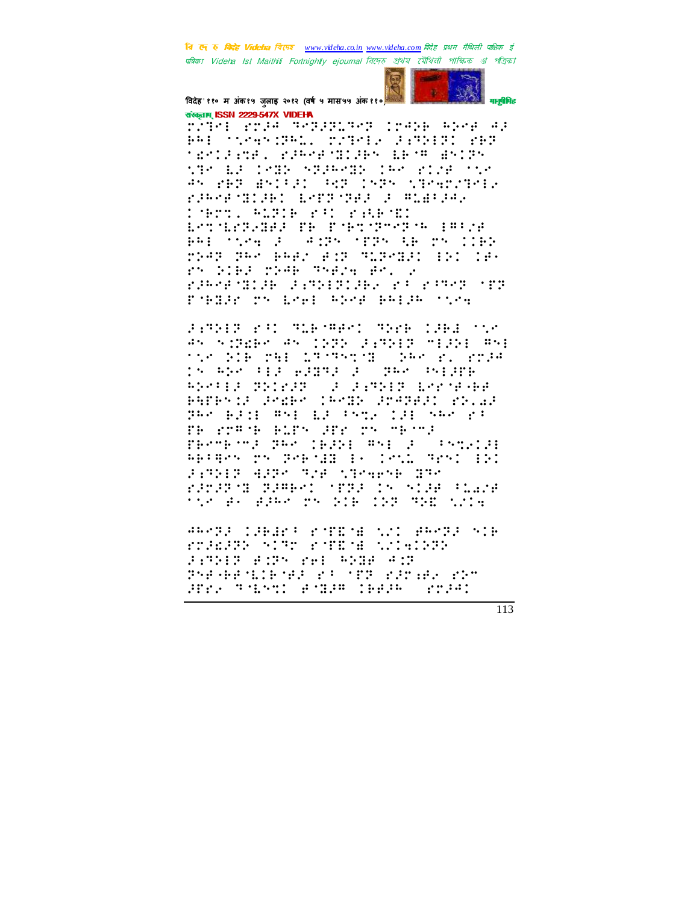

विदेह' ११० म अंक१५ जुलाइ २०१२ (वर्ष ५ मास५५ अंक११०) संस्कृतम् ISSN 2229-547X VIDEHA

right frie prisoner trees speed as PRI TOPHONIAL MONTH: PRINCIP REF MACCEANAL AGRAMATIONS LEST ASCOS the backedy spawde (We side the AN PER BNIER (RT 1878 NTPARTHER rameroniani bergegaa a mubaawa **MARY, ALBIB STI SARATI** ESTARDED BE PATTSTED BURG PRI TOTAL FOURTH TERM AR CHOICER righ has and and mindist this inrn biel roge Snerg en. F raknendije algulejace, ra radno nog POBBE TO LOBE REOR BREEK COOK

FRAME PARTNERSHED NEWS CHEMOTIC 45 5:BEF 45 1222 2:3212 51221 451 TO RIP MAIL LA MANINE (2005) EL EMPA 15 ASK (113 ASSES ) (2005) PAISER REPORT TELEVIS CONTROLLER CONFIDE PATPS OF JPERS (PPID JPATEL) PD.AP PHOTOGRAPH BALLAND IP NHOTO PROSPOR SAM (RIGE AND 2 | PROVINC Apages (ns) pepidd (b. 1951 gant 191 FSTEER HERR TEN STRAKE ITR FRONT BRANCHER IN NIA BLAZA the Benedict State Corner that the

ARATE CEBARA ROTEOR NOC ARATE SIR FTHERE SIRT FATEAR ANIWERS JUSIE ROCK PHI SOME SON Presentatement of the repair rem Hr. Thrt Full Same (BBC) rrPC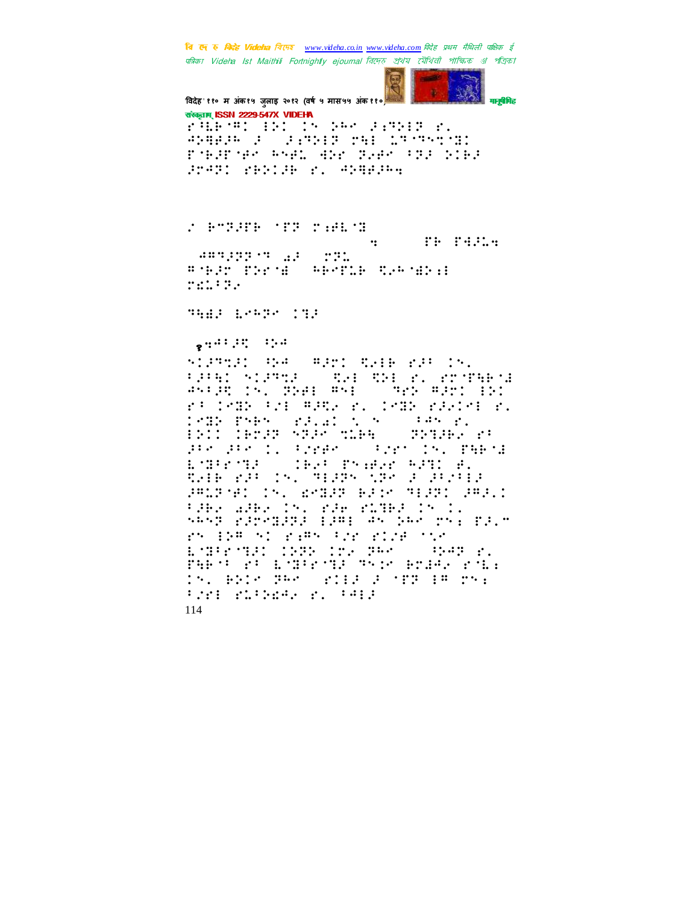**START** 

विदेह' ११० म अंक१५ जुलाइ २०१२ (वर्ष ५ मास५५ अंक११०) मानवैमित संस्कृतम् ISSN 2229-547X VIDEHA rahet and the ben Freezer specie de difficilie de l'annonce PORTOR ANEL AND THE STEP DIRE **POST NORTH P. STREET** *r* brown for radio **STRATEGILS**  $\dddot{\bullet}$ **ABCOVIDENT**  $\mathbb{R}^n$ **AMERY COMMA ARMICA CAMBRID** man Para THE LOCK TIP  $\frac{1}{3}$  and  $\frac{1}{3}$  if  $\frac{1}{3}$  if  $\frac{1}{3}$  if  $\frac{1}{3}$ SIPPLE RA SERIERE MARSIN PAPAI SIARNA (CONFORMEDIA PROPERTA akrik (K. Sar Af Jacklade) Br.<br>23 1986 321 August, 1986 2003 1. 1982 Prero agliai Noro<br>1911 1929 regeorates  $\cdots$  : TETHE FI are are to rooms, room the parta EMPRIME (TEAP Profes APR) B. SAIR PAR INT SIARN NEW AUGUSTIC **2812-91 15, RPH2P B215 91291 282.1** the alle in the dille in I. SASP PROSERT LIME AS DAY THE FRIT rn 198 ni rimn'tro director ESPECTED INTE INA THAN SPACE . PHETO PO LOBER TE TAIN BOARD ROLE IN, BRIA BRA (BILE & MEB 18 2N) Pred Sideral P. Pada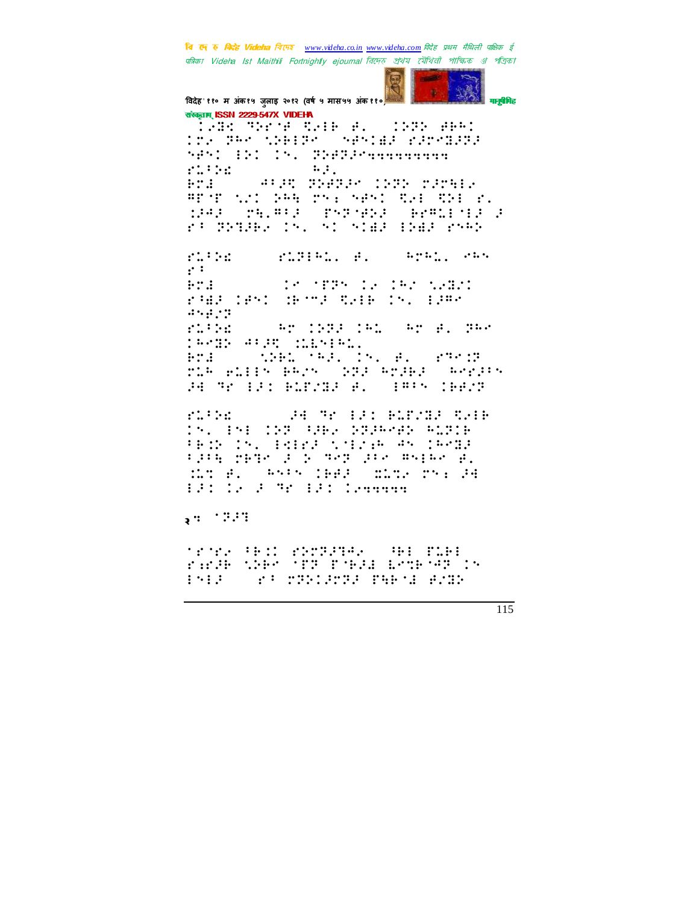**START** 

विदेह' ११० म अंक१५ जुलाइ २०१२ (वर्ष ५ मास५५ अंक११०) मानुबैमिह संस्कृतम् ISSN 2229-547X VIDEHA (1983–90219 Suib A. (1990–900) Tre PRO SPEIRO (SPSIER PROSERR SAS AN IN BRAZINGHERH  $\ddots$  :  $11.111$ **ALSO SHERR CHOICAGE Friedrich** WE'T WILLOWS THE NAME WAS CONSIDER MAR THOMAS PROGRES  $\frac{1}{2}$  :  $\frac{1}{2}$  :  $\frac{1}{2}$  :  $\frac{1}{2}$  :  $\frac{1}{2}$  :  $\frac{1}{2}$  :  $\frac{1}{2}$ r: BriHe (M. M. Mid: Ded: rmm)  $\mathcal{L}^{\text{L}}$  ,  $\mathcal{L}^{\text{L}}$  ,  $\mathcal{L}^{\text{L}}$ **ANGELIA SERIES SERIES SERIES**  $\cdot$  : Te SPPS IS IRT WEED  $: : :$ rad 1851 Show Rele In. 1985  $45.823$  $21.322$ **Ar THE TAL AR A. TAR** 1988-912, MESPEL<br>Pra – SPRI 192, IS, B. (293) rik ella kerk (202 kraka (kraka) PE TR' EP: BLEVER B. (1885) CBBVB  $\mathbf{r}$  .  $\mathbf{r}$  .  $\mathbf{r}$ **ARRIVES IN BUILDED TO BE** 

In, Ind (198 (1962) STARTER ROTCH FRID IN TERRITORIAN AN INVER til her lik teller samt **SAMP THE SEARCH PRESH**  $11.2 \pm 1.1$ **BEE AND PENDED CONNUM** 

 $5:1:1:1$ 

SENE PRI ERTPRING PRI PLAT range week off foeld bombogs in **SECTION PRESENTS**  $1.543$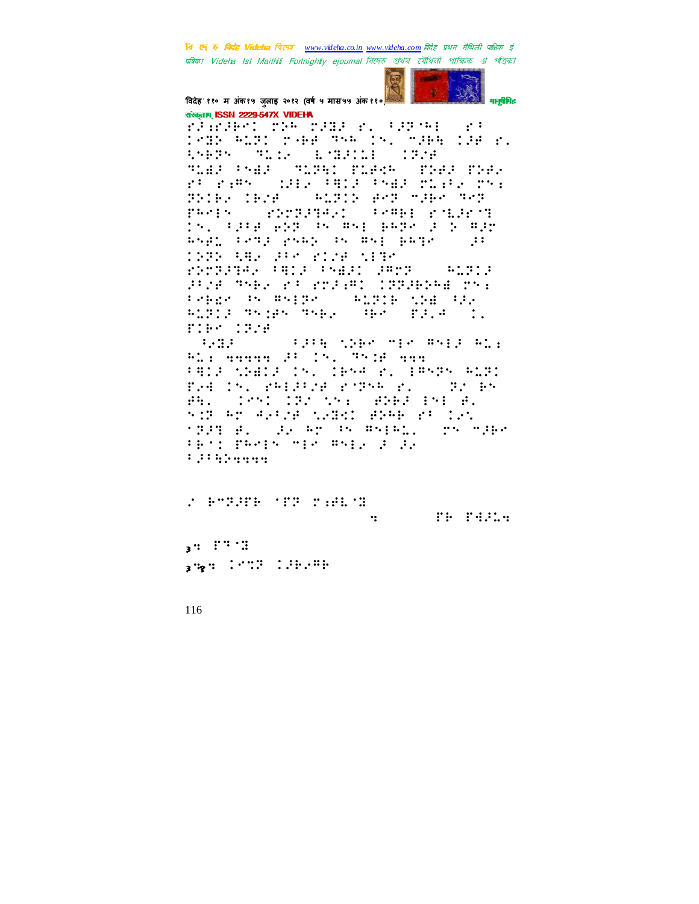

विदेह' ११० म अंक१५ जुलाइ २०१२ (वर्ष ५ मास५५ अंक११०) संस्कृतम् ISSN 2229-547X VIDEHA

phinaphilipa pagkay tarihi (p) 1885 ALBI MARK TAR IN. MJER 198 K. ANETH TO DESCRIPTION (TOP)<br>TOBER PNBE STOPE POPPE POPE POPP PROPERTY SHEETEN PARK TO HE THE BRIER IERE (1912) ALDIS ART MIER JAR PROPOSITION CONTROL PROPERTY SERVICE :s, fjor exp os ms: pape ; y mjr 8591 (2013 PSA) (5 851 PATE)  $\mathbf{H}$ : **THIS HEATER WITH SITE** FROM THE PRODUCT STATE STATES Pine They of colem (PRPPPed on: Presh (n. 8519), Salzie vas Val.<br>Algia stran Stell, Gen. 2214, I. FIRM 1728

**SPEED SOUTHERN TEACHER PLE** Placement PC Inc. 7518 mm FALE NEWSLET (S. 1858 B. 18525 FLB. E24 In: PREPER POPPER. 1982 BN PRI TENT TRACKS CORPORATOR. SIE AT ARTZE NREAD BRAE PF DRN 1998 B. (Britan Polarita, 1951-1997 PRODUCED AND STREET REPORTS : :: :: ......

| $\mathcal{L}=\mathcal{L}=\mathcal{L}=\mathcal{L}=\mathcal{L}=\mathcal{L}=\mathcal{L}=\mathcal{L}=\mathcal{L}=\mathcal{L}=\mathcal{L}=\mathcal{L}=\mathcal{L}=\mathcal{L}=\mathcal{L}=\mathcal{L}=\mathcal{L}=\mathcal{L}=\mathcal{L}=\mathcal{L}=\mathcal{L}=\mathcal{L}=\mathcal{L}=\mathcal{L}=\mathcal{L}=\mathcal{L}=\mathcal{L}=\mathcal{L}=\mathcal{L}=\mathcal{L}=\mathcal{L}=\mathcal{L}=\mathcal{L}=\mathcal{L}=\mathcal{L}=\mathcal{L}=\mathcal{$ |  |            |
|-------------------------------------------------------------------------------------------------------------------------------------------------------------------------------------------------------------------------------------------------------------------------------------------------------------------------------------------------------------------------------------------------------------------------------------------------------------|--|------------|
|                                                                                                                                                                                                                                                                                                                                                                                                                                                             |  | .<br>.<br> |

 $3:1.1.1$  $_3$  % :  $1913 - 138298$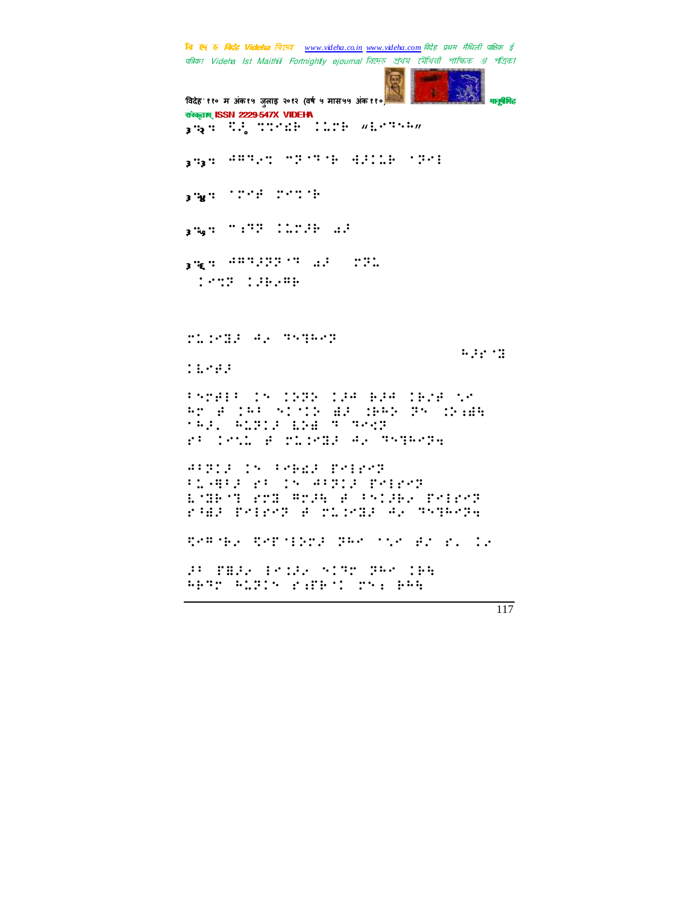वि एक रु मिनेह Videha विएम्ब www.videha.co.in www.videha.com विदेह प्रथम मैथिली पाक्षिक ई पत्रिका Videha Ist Maithili Fortnightly ejournal त्रित्मरु अथेय त्यैथिती পाश्किक अं পত্রিকা विदेह' ११० म अंक१५ जुलाइ २०१२ (वर्ष ५ मास५५ अंक११०) मनुषेपिह संस्कृतम् ISSN 2229-547X VIDEHA  $\frac{1}{3}\mathfrak{H}^{\frac{1}{2}}$  . We write the second section  $\frac{1}{3}n_{3}n_{1}^{2}$  =  $\frac{1}{2}n_{1}n_{2}n_{2}^{2}$  =  $\frac{1}{2}n_{1}n_{2}n_{3}^{2}$  =  $\frac{1}{2}n_{1}n_{2}n_{3}^{2}$  =  $\frac{1}{2}n_{1}n_{2}n_{3}^{2}$ anger (1999) persone  $_3$  mg :  $\frac{1}{2}$  :  $\frac{1}{2}$  :  $\frac{1}{2}$  :  $\frac{1}{2}$  :  $\frac{1}{2}$  :  $\frac{1}{2}$  :  $\frac{1}{2}$  :  $\frac{1}{2}$  :  $\frac{1}{2}$  :  $\frac{1}{2}$  :  $\frac{1}{2}$  :  $\frac{1}{2}$  :  $\frac{1}{2}$  :  $\frac{1}{2}$  :  $\frac{1}{2}$  :  $\frac{1}{2}$  :  $\frac{1}{2}$  :  $\frac{1}{2$ 35: 201211 22 22  $1.922 - 1.381999$ TERMIN AF SAGARY  $11.147$ PATHER IN 1939 134 B24 1828 NP RESEARCH SINIK AR SHRESH S SEARC ra denn e riceas el mogeore APPLE IN PREES PRIECH PLAND PROTH ANNIE PRIPPE L'OR'T POS ADJE E PALJEZ PALPAR ran renes a circuita al comerca Temper Templers The Side Broad In B HER PORT NIT HA IPE APROVALED VIRGINI CALL PAR

 $\overline{117}$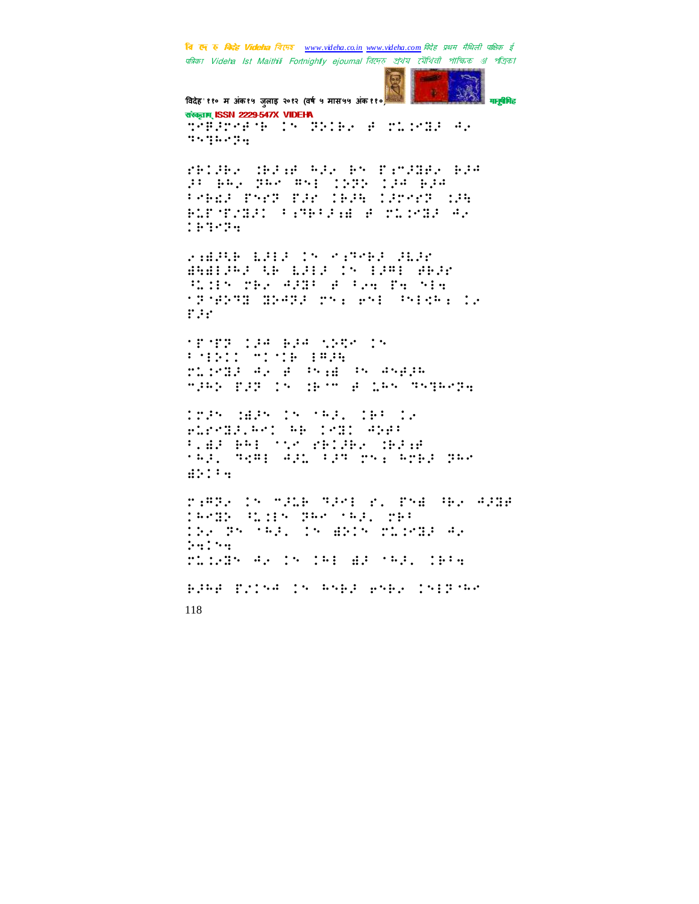

विदेह' ११० म अंक१५ जुलाइ २०१२ (वर्ष ५ मास५५ अंक११०) संस्कृतम् ISSN 2229-547X VIDEHA shërmash të prind e sidhe av nogalega,

MODEL MAN ARE PROVINCED 31 BA2 358 851 1232 134 B34 Press Prof Par (ese larror 186 BOSTONIC CONTRACT POSSESS **TERMINE** 

**THERE ESSAY SERVER SERV** BALLARY AR LILE IN 1981 BRJE SLIP THE WEST FOREST THE MIN 'P'AGS BRAGA TY: end (nich: 12  $f:Y$ 

SESER 198 B98 NPRS 15<br>FSEPIL MISIE ERPE TIPER AP # Phil Probabile STARTING IN HER BOOK SAMPLE

1825 1825 15 1921 1931 12 FRANKLING AR CANO AND **F.AP PRESSURE SECTION SERIE** sal, henrad, the sales against  $\mathbf{ii} \mathbf{iii} \mathbf{iv}$ 

rage in made game in The Geography SARBA (B.115 BAR (A.), 26: INA PROMAGE IN BEINGINGER AR  $1.41111$ TL:235 42 15 181 82 592. 1934

plan return to anno public turns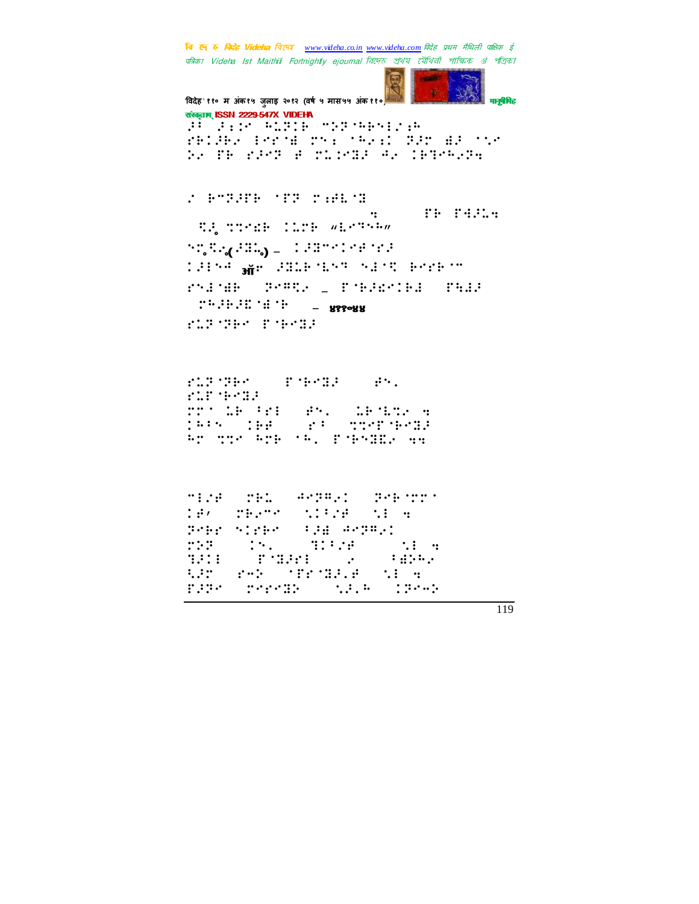विदेह' ११० म अंक१५ जुलाइ २०१२ (वर्ष ५ मास५५ अंक११० मानवैमिड संस्कृतम् ISSN 2229-547X VIDEHA al alle algebrage approximation

PRISES FOR NE THE SEARCH TET WE SAY Be TE SPAR & TLONE AS IBRASE

**S ROBBER 199 SERIES THE PARTS**  $\cdot$ : **SEPTED COMPANY WESTER**  $\mathcal{H}^1_{\mathcal{G}_1}\mathcal{H}^1_{\mathcal{G}_2}\mathcal{H}^2_{\mathcal{G}_3}\mathcal{H}^1_{\mathcal{G}_3}\equiv\mathcal{H}^1_{\mathcal{G}_1}\mathcal{H}^2_{\mathcal{G}_2}\mathcal{H}^2_{\mathcal{G}_3}\mathcal{H}^2_{\mathcal{G}_3}\mathcal{H}^2_{\mathcal{G}_3}$ 19854 We SHIP NOT SETT POINT rninge Shock (field (1912) richten für Schein

FLINIER POPPER ST FLP (BPDF) mr ik bri (sh. 1871m) a 1945 1957 By the Are on, Pobosse an

mise på Afrag refere *iBy Theme Mille* (18 m Pres Siser (1980-489821)  $\frac{1}{16}$  $22.3 - 1.5$  $\begin{array}{lll} \bullet & \bullet & \bullet & \bullet \\ \bullet & \bullet & \bullet & \bullet \\ \bullet & \bullet & \bullet & \bullet \end{array} \qquad \begin{array}{lll} \bullet & \bullet & \bullet & \bullet \\ \bullet & \bullet & \bullet & \bullet \\ \bullet & \bullet & \bullet & \bullet \end{array} \qquad \begin{array}{lll} \bullet & \bullet & \bullet & \bullet \\ \bullet & \bullet & \bullet & \bullet \\ \bullet & \bullet & \bullet & \bullet \end{array} \qquad \begin{array}{lll} \bullet & \bullet & \bullet & \bullet \\ \bullet & \bullet & \bullet & \bullet \\ \bullet & \bullet & \bullet & \bullet \end{array} \qquad \begin{array}{lll} \bullet & \bullet & \bullet$ 1911 (stagen) (2003–1914)<br>Agricules (sredgagen) (109

FRRS PREMIE (18.8 (Prop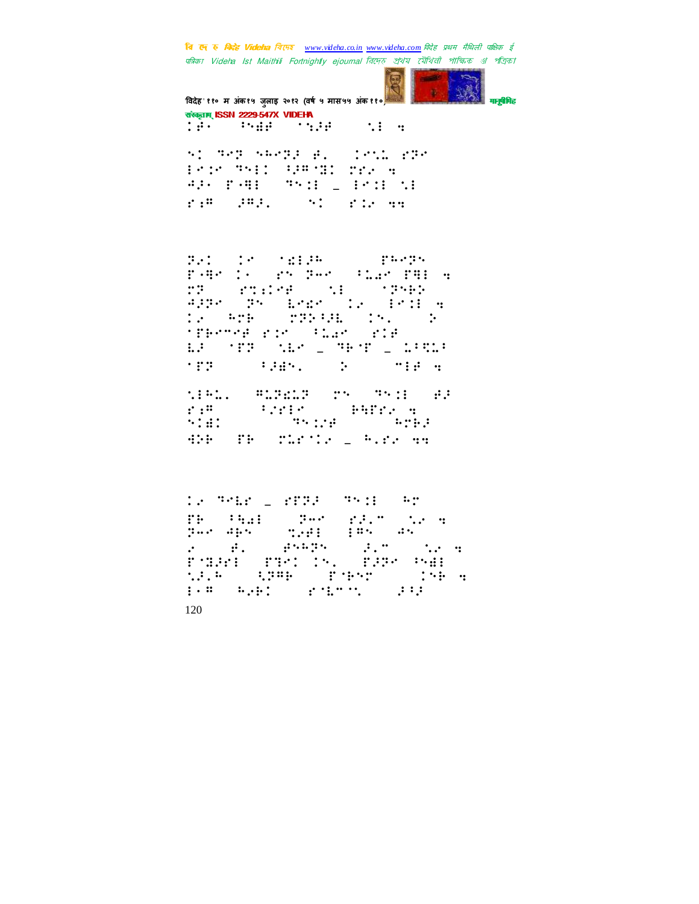**A** 

| विदेह' ११० म अंक१५ जुलाइ २०१२ (वर्ष ५ मास५५ अंक११०) के साथ प्रतिबंधि                                 |  | मानवीरिह |  |
|------------------------------------------------------------------------------------------------------|--|----------|--|
| संस्कृतम् ISSN 2229-547X VIDEHA                                                                      |  |          |  |
| te me new series the                                                                                 |  |          |  |
| AD RAB ARABE B. (1951-289<br>End This HAMBI The A<br>AP PAR THIS IS A RESERVE<br>remover, and remove |  |          |  |

Pal (18) SallPe (1992)<br>Pole 16 (25) Per (1942) Pill a ra ruské volta (1841)<br>1930 – Polské Voltaire<br>1930 – Polské Voltaire<br>1940 – Polské Voltaire (18 EF THE MET FROM LORDE **TERNAL PRESSURE AND START PROPERTY** 

 $\mathbb{E}[\mathcal{E}^{(1)}\mathcal{F}^{\mu}\mathcal{E}^{\nu}]\geq\mathbb{E}[\mathcal{F}\mathcal{F}^{\nu}]\geq\mathbb{E}[\mathcal{F}^{\nu}]\mathcal{F}=\mathbb{E}[\mathcal{F}^{\nu}].$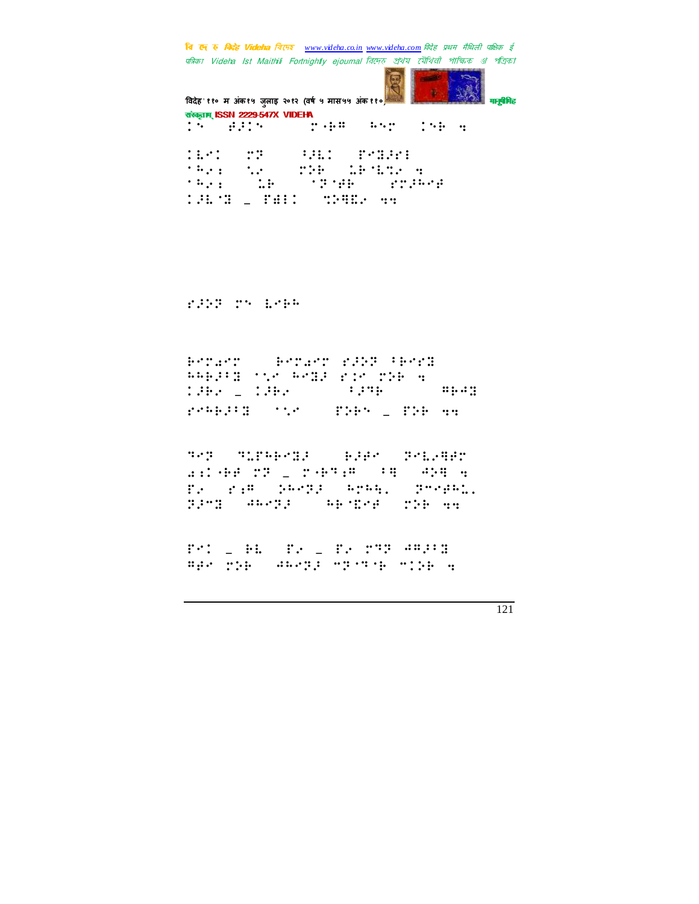**A** 

|                                 | विदेह' ११० म अंक१५ जुलाइ २०१२ (वर्ष ५ मास५५ अंक११०) काली है कि                                                       |  | मानवीरिह |
|---------------------------------|----------------------------------------------------------------------------------------------------------------------|--|----------|
| संस्कृतम् ISSN 2229-547X VIDEHA |                                                                                                                      |  |          |
|                                 | In Adin (1948) And Ink 4                                                                                             |  |          |
|                                 | <u> 1919 - 1920 - 1931 - 1942 - 1943 - 1944 - 1944 - 1944 - 1944 - 1944 - 1944 - 1944 - 1944 - 1944 - 1944 - 194</u> |  |          |
|                                 | there to a still define a                                                                                            |  |          |
| $\cdot$ : $\cdot$ :             | <b>Similar School Constitution</b>                                                                                   |  |          |
|                                 | <u> 1967 - Polit Trumperson</u>                                                                                      |  |          |

**STORY THE LITER** 

Brown (Carolino 2008)<br>AABOS (Sr Ars) 2007–2008<br>1982 - 1982 (Cologne Cocampas remains the state parameter

THE TIPHFIED SPEED PHILES Te rim been eren present 33~3 ##\*33 ##\*B\*B\*B \$26 ##

FOR 2 HEATH 2 FRONT SPRING BES 200 SARCE 202016 2100 A

 $\overline{121}$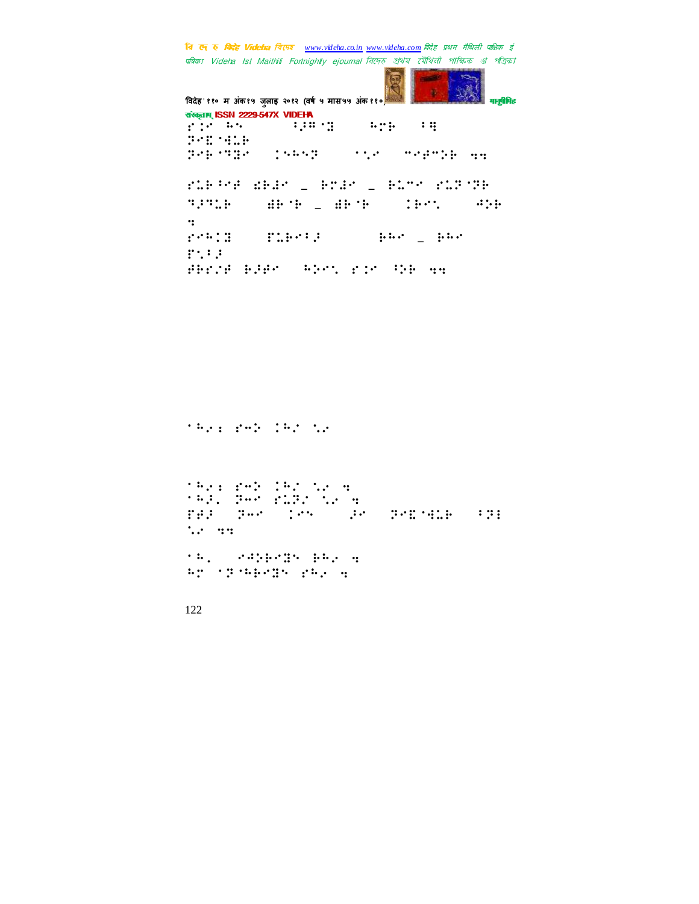```
'विदेह' ११० म अंक१५ जुलाइ २०१२ (वर्ष ५ मास५५ अंक ११०) मानुसीरी मानुसीरीह
संस्कृतम् ISSN 2229-547X VIDEHA<br>\vdots: \vdots: \vdots: \vdots"⣈!⢳!"!!⢸⢼⢻ ⣝!!!⢳⢷!!7⣛!!!
⢽⣏ ⣚⣅⢷-!
⢽⢷ ⢹⣝!!⢳⢽!!!⣁!!5⢾5⢵⢷!⣒⣒!
"⣅⢷⢸⢾!⣎⢷⣜!–!⢷⣜!–!⢷⣅5!"⣅⢽ ⢽⢷-!
⢹⢼⢹⣅⢷!!!⣞⢷ ⢷!–!⣞⢷ ⢷!!!⢷⣁!!!⢺⢵⢷!
\dddot{\mathbf{z}}"⢳⣝!!!'⣅⢷7⢼-!!!!⢷⢳!–!⢷⢳!!!
T^*T^*T^*⢾⢷"#⢾!⢷⢼⢾!!⢳⢵⣁!"⣈!⢸⢵⢷!⣒⣒!!
```

```
⢳⢴⣐!"⢲⢵!⢳#!⣁⢴!
```

```
^{\prime} #ed and ^{\prime} #ed and ^{\prime} #ed and ^{\prime} #ed and ^{\prime}⢳⢼Z!⢽⢲!"⣅⢽#!⣁⢴!⣒!
 'de all'anno 1998 anno 1998. In the Carl Constant Constant Constant Constant Constant Constant Const
\ddotsc⢳Z!!⢺⢵⢷⣝!⢷⢳⢴!⣒!
E \mathbf{F} \mathbf{F} \mathbf{F} \mathbf{F} \mathbf{F} \mathbf{F} \mathbf{F} \mathbf{F} \mathbf{F} \mathbf{F} \mathbf{F} \mathbf{F} \mathbf{F} \mathbf{F} \mathbf{F} \mathbf{F} \mathbf{F} \mathbf{F} \mathbf{F} \mathbf{F} \mathbf{F} \mathbf{F} \mathbf{F} \mathbf{F} \
```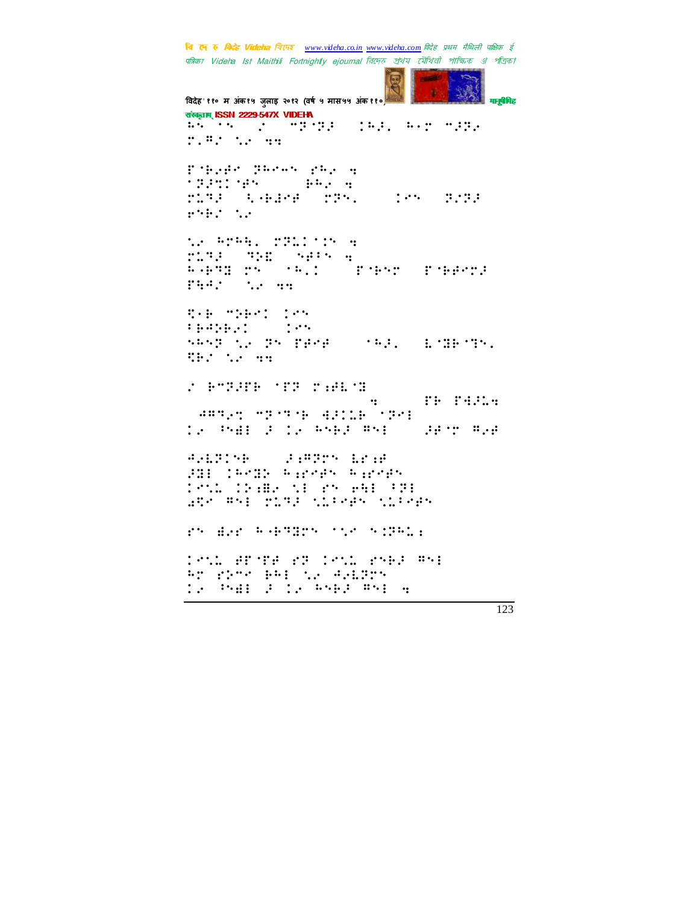पत्रिका Videha Ist Maithili Fortnightly ejournal রিদেত প্রথম মৌথিনী পাক্ষিক প্রা পত্রিকা विदेह' ११० म अंक१५ जुलाइ २०१२ (वर्ष ५ मास५५ अंक११०) मानुबेगिह संस्कृतम् ISSN 2229-547X VIDEHA AN 18 (2) MEMBER 1991 AVE MPPE  $11.41 \pm 1.000$ Poheno Baran Partin **START SERVICE SERVICE** music teacher music **Service Service** and the control te ArAB. PRODUCE B rlag agus seis .<br>Agus ros sell cuidear d'ageng **Philips (2002)** Sep mobel les  $\{1,2,3,4,5\}$  $\mathbf{r}$  . The set of  $\mathbf{r}$ SASE NE PS PROF (1982) LOBECTS. **SEP 12 55** TH PASSA  $\dddot{\bullet}$ : **SARRAN MESTER BELLE STRAE** 10 PAN 2 10 PAN2 RSP  $\mathbb{R}^2$  ,  $\mathbb{R}^2$  ,  $\mathbb{R}^2$  ,  $\mathbb{R}^2$  ,  $\mathbb{R}^2$  $4.422194$  $\mathcal{F}:\mathbb{R}\mathbb{R}\rightarrow\mathbb{R}$  is an 38: 1938 Rends Rends 1951 (1298) SI Youghi (128)<br>George Political Silver Silver groups Reproduce recognized ISSL APSTAL PRICESS AND Br Show BBI 12 AG1275 IS PAR FILE RAPP RAI 4

वि ए रु क्रिडे Videha विएक www.videha.co.in www.videha.com विदेह प्रथम मैथिली पाक्षिक ई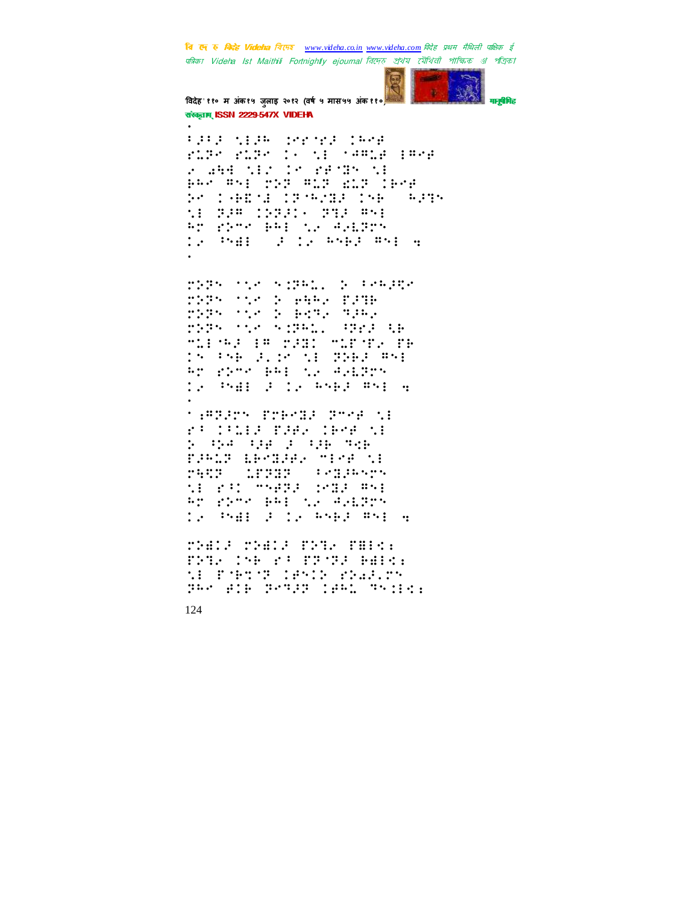

विदेह' ११० म अंक१५ जुलाइ २०१२ (वर्ष ५ मास५५ अंक ११०) संस्कृतम् ISSN 2229-547X VIDEHA

FRANCISCO DE PERSONAL ruge ruge is the camin hwere Power that the Present **BAR WAI THE WIT RUP IDAG** 50 1981 12928 198 989 11 738 11211 773 851 ar bres and the Andrew<br>19 Stadio de la Anademadea

**MIN THE STRIP I PROPER 7275 728 2 8462 FSTB** THE SEA PARTY THE PERSONAL SERVICE  $\mathcal{L}(\mathcal{D}, \mathcal{D}) = \mathcal{L}(\mathcal{D})$ THE THE PERSON THE TEN TH 15 PSB 2.16 ME BREA #51 Br Show BB: Ne WeiBro IS PAR FILE RAPP RAI 4

**MARRIN PREMIE POME NI** STORIE THE IPS SE , pa ng pang ng FINIT LECTIFIC TICE 11 1952 LEGGE (SGGGGS)<br>NE 231 MARG (SGGGGGGG Br Shee BBI to AG12re te Padd dite bang Happy

*MARINE MARINE MARINE* FRIE INFORMATION BEEN: ME PORTS IRMIN PRAKIN par ana proposana orina.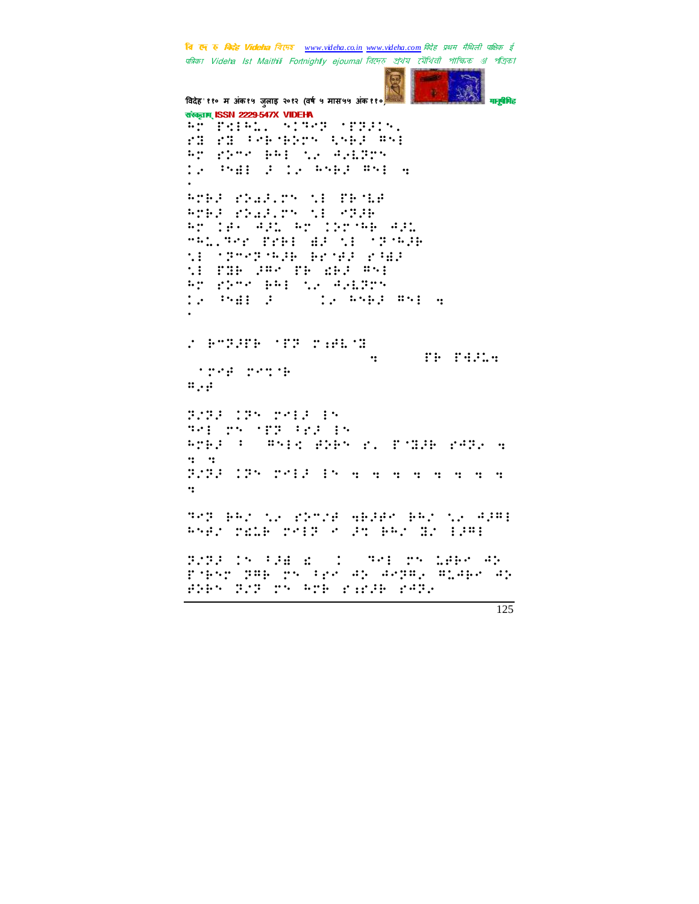**September** 

विदेह' ११० म अंक१५ जुलाइ २०१२ (वर्ष ५ मास५५ अंक११०) मनुषेपिह संस्कृतम् ISSN 2229-547X VIDEHA AP PRIAL SIRE SPREDS fi fi teknologia sol Program PRI NA PALENS 12 PAB 2 12 PART RNE 4 **ATES PRAILTY NI TEMAR** Pres chas.ry ni char Ar les Add Ar libram Add "Willmar free as the crawne the speckethold break read 11 THE PRO TE ARP RNI An electricial the AddBne  $\mathbb{E}[\mathcal{L}^{(1)}] \stackrel{\text{def}}{=} \mathbb{E}[\mathcal{L}^{(1)}] \stackrel{\text{def}}{=} \mathbb{E}[\mathcal{L}^{(1)}] \stackrel{\text{def}}{=} \mathbb{E}[\mathcal{L}^{(1)}]$ **Signal Control** Control Control Control  $\begin{minipage}{.4\linewidth} \begin{tabular}{l} \multicolumn{1}{c}{\textbf{\emph{1}}} & \multicolumn{1}{c}{\textbf{\emph{2}}} & \multicolumn{1}{c}{\textbf{\emph{3}}} & \multicolumn{1}{c}{\textbf{\emph{4}}} & \multicolumn{1}{c}{\textbf{\emph{5}}} & \multicolumn{1}{c}{\textbf{\emph{6}}} & \multicolumn{1}{c}{\textbf{\emph{7}}} & \multicolumn{1}{c}{\textbf{\emph{7}}} & \multicolumn{1}{c}{\textbf{\emph{8}}} & \multicolumn{1}{c}{\textbf{\emph{7}}} & \multicolumn{1}{c}{\$ **Simple State**  $\dddot{\mathbf{z}}$ **Simple provide**  $\mathbf{a} \cdot \mathbf{b}$ 3232 135 2513 15 **THE TH TEE FEE EN** ATES I WATER PAPER AL PORSE ARRAIG  $\dddot{ }$  : P2PA (Phone13 15 and and and and a  $\ddot{\cdot}$ Tel Bay ne short abide bay ne alor RNAS TELE TRIP POST PRO BO 1381 BORE IN FRENC IN THE DN LABY AN Poker PRE resolves and acres enable an BYES TIT TS ATE PARTH PATE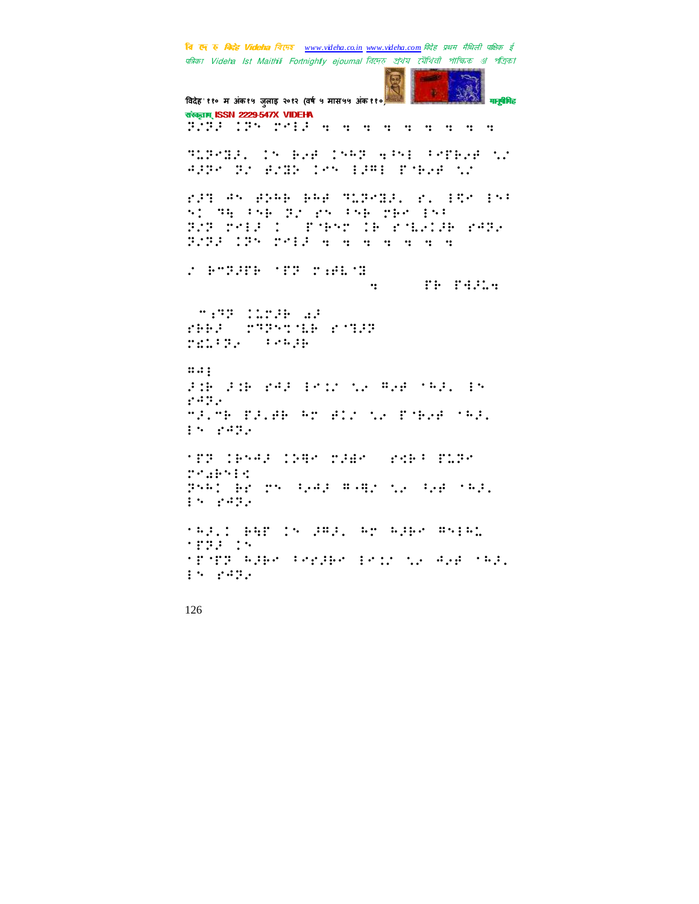**Section** 

विदेह' ११० म अंक१५ जुलाइ २०१२ (वर्ष ५ मास५५ अंक११०) मनुबैमिह संस्कृतम् ISSN 2229-547X VIDEHA dêdîn 195 dedik alan alan alan alan a SUPPORT IN BAR INGS AND PROBABILI APPA RE BEND 185 1981 PODER SE 839 AN BRAE BAB MIRMIE, 81 ERM ENF 51 TH PSE BY PS PSE THE 15P BZB 2013 I START IR KALVIR KABA PAPE 195 PALE a a a a a a a a **CONSTRAINS THE PASSA**  $\dddot{\mathbf{z}}$ **MANUFACTURE AREA** ree: runnier run rantr. feman  $\ldots$  : FOR FOR PARTICULAR ARE SAFETY  $\mathcal{C}^{1,1,1,1}$  . MALME PALER RD BIZ NA PORAB ORA.  $15.3337774$ **TER CENAR CORPORADO (PREF ELRO**  $29.29914$ PRAC BE TROGHAM AND NE SERVICE.  $15.747.$ thill bening children ber marking STOTE REPORTED ENDING REPORT.  $15.742.$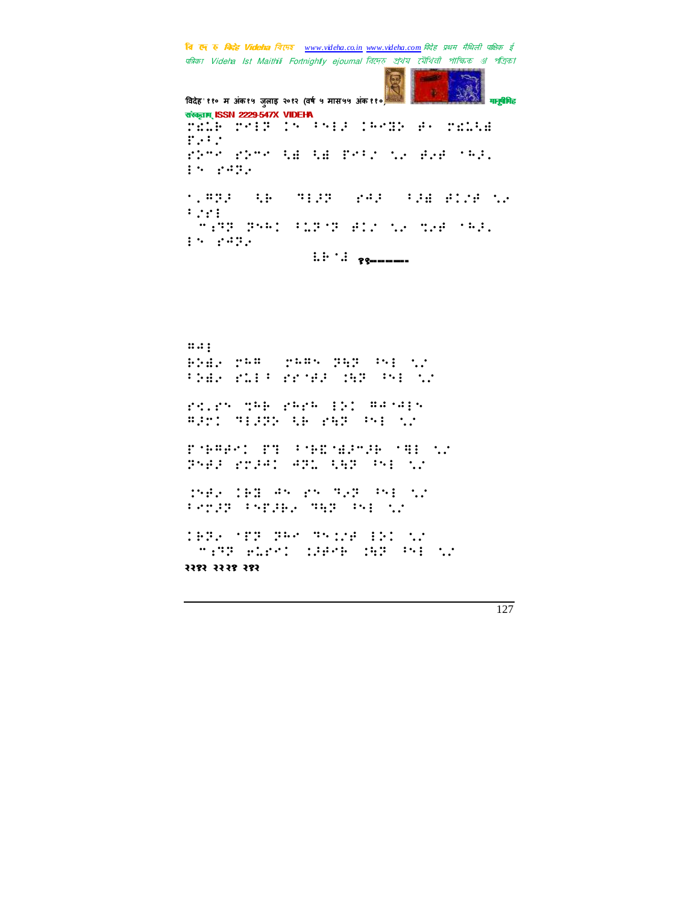```
पत्रिका Videha Ist Maithili Fortnightly ejournal রিদেত প্রথম মৌথিরী পাক্ষিক ॳ পত্রিকা
विदेह' ११० म अंक१५ जुलाइ २०१२ (वर्ष ५ मास५५ अंक११०)
                                         मनुबैमिह
संस्कृतम् ISSN 2229-547X VIDEHA
TELE TAIR IN PAIR INGEN BY TELLE
f: Yrenn renn fa fa fhir th'aidh neil
15.74271.823 AB SALES 243 AGE 2128 NA
5.221MARK PART FLEAR AIR NA MAAR MAAR
15.7424\mathbb{R}^n : \mathbb{R}^n , \mathbb{R}^n , \mathbb{R}^n\ldotsBDB: 258 (2585) 353 (51 %)
Pres riff rrows det be th
rd.rh 766 rere 101 #47415
BRI MIRR OF MAR PH SA
rest manuarum mass
PART PRIMI ARL 188 (PH 12
THE IEB 45 PS TEP 591 NT
Production and the control
1972 (FF 398 35128 191 12
 "PROGRESS SPACE SECOND ST
२२९२ २२२९ २९२
```
वि ए रु क्रिटेड Videha विएक www.videha.co.in www.videha.com विदेह प्रथम मैथिली पाक्षिक ई

```
127
```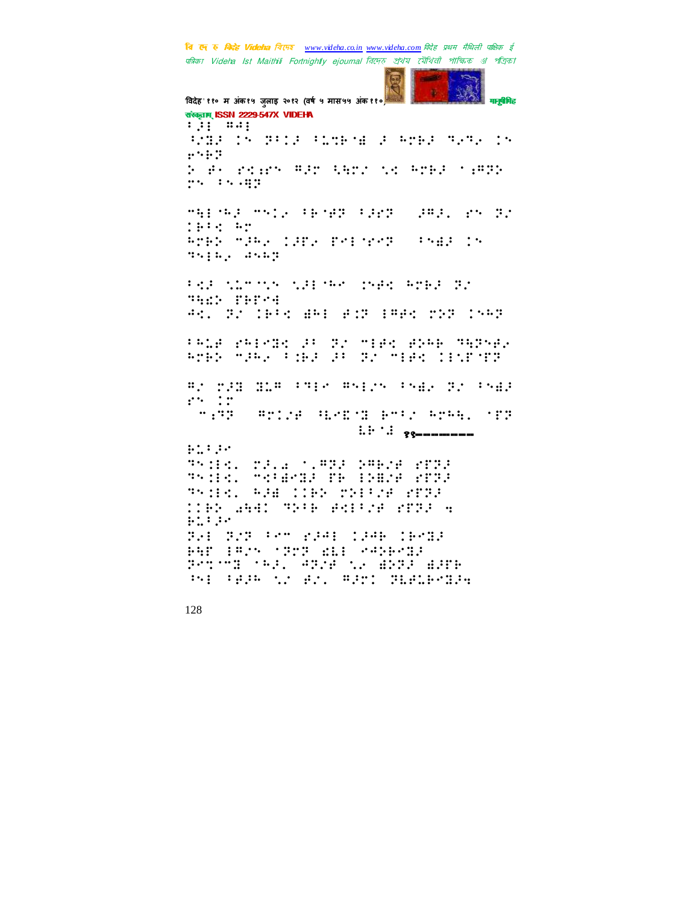**September** 

विदेह' ११० म अंक१५ जुलाइ २०१२ (वर्ष ५ मास५५ अंक११० मनुषेपिह संस्कृतम् ISSN 2229-547X VIDEHA  $:$   $:$   $:$   $:$   $:$   $:$   $:$   $:$ AND IN BALE ALMEND FOR THE TEACHER  $1.111$ Pofficers with the state with the  $25 - 15 - 42$ **MAINAZ MSIZ PENAR PARR** 1989. PR 31 1994 92 ROBE MARK CAPA PHINEMA (PNBA) DN nepale dean PARTNERS WEIGHT INFORMATED THE THIME<br>AND IN 1954 ARE FIRE EARN 200 1960 tale rates in 20 mies erak manger.<br>Arer miak taki in 20 mies listrar st placements streets that by the:<br>rh Ir  $\cdots$  : : : : : **Articl History Britishers, 197**  $\therefore$   $\therefore$   $\frac{1}{2}$   $\frac{1}{2}$   $\frac{1}{2}$   $\frac{1}{2}$   $\frac{1}{2}$   $\frac{1}{2}$   $\frac{1}{2}$   $\frac{1}{2}$   $\frac{1}{2}$   $\frac{1}{2}$   $\frac{1}{2}$   $\frac{1}{2}$   $\frac{1}{2}$   $\frac{1}{2}$   $\frac{1}{2}$   $\frac{1}{2}$   $\frac{1}{2}$   $\frac{1}{2}$   $\frac{1}{2}$   $\frac{1}{2}$   $\frac{1}{2}$  $H = 1.11$ Thild, Tale (1873-18828 STRA This. The President School TRIES, AND CIEN TRIEST STIP IIBN 2941 MPFB PRITZE 2002 A  $1:1:1$ BAL BER FOR YOUR COOK CHOOP PAP (P.S. 1922 ALI 2459-32 30000 000 0328 12 833 833 PH FRANCY RIS WEST TEECHING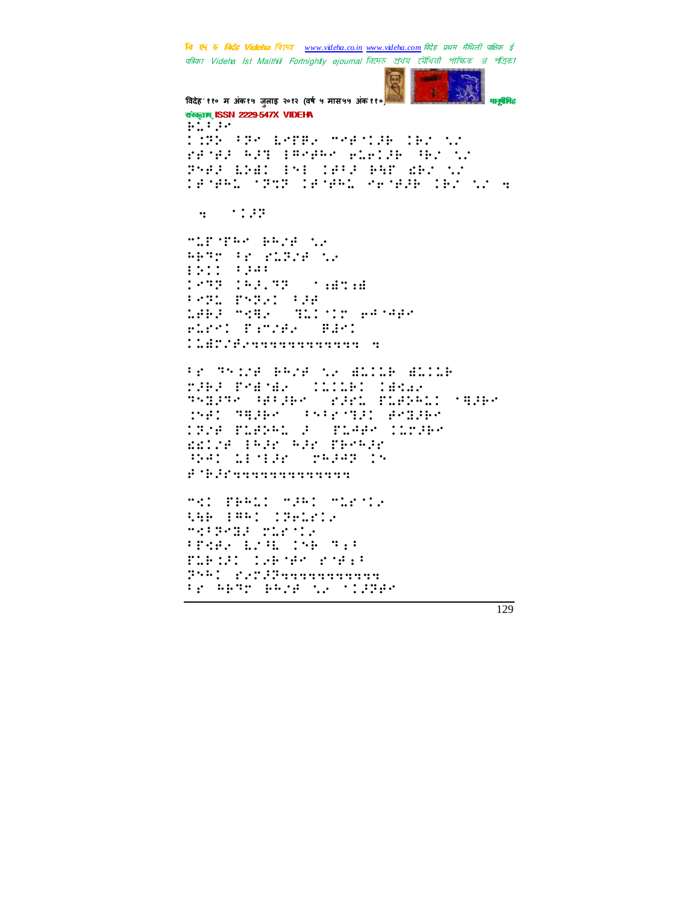**CONTRACT** 

विदेह' ११० म अंक१५ जुलाइ २०१२ (वर्ष ५ मास५५ अंक११० मनुषेपिह संस्कृतम् ISSN 2229-547X VIDEHA  $1.7.747$ **THR PROGRESS MARKER CROSS** renes Ast length wiwish the th Pres brain (red cease bar) der tr TEMPEL MOST TEMPEL MEMBER IES NS A  $\mathbf{u} = \mathbf{u} \mathbf{u}$ MIDSTRA BROWNE APRO PE PLETE LE **MARINE MARINE** 1971 PSP21 178<br>1862 Mage (Tillide Anger FLIPT TETTER THET tr Thing Bang to Mills Mills rana formal (Click) (Andr.<br>Sharsh Galank, ranc forbell (Sube DAI SALAM (PRESIDE POLINO <u> 1978 Popular I Popular (British</u> ESTIN THIS WIS TESTIN Ballarder Pagar 18 # 'P.Processervancers MAIL PRAGI MURI MORTIE **ARE BULL AND ARE MAIDABE CLEATE SPARE LOSE TOWERS** TLE LES SUPERINTENT Will C.M. Bunnennenne tr Abor BASE 12 (1996)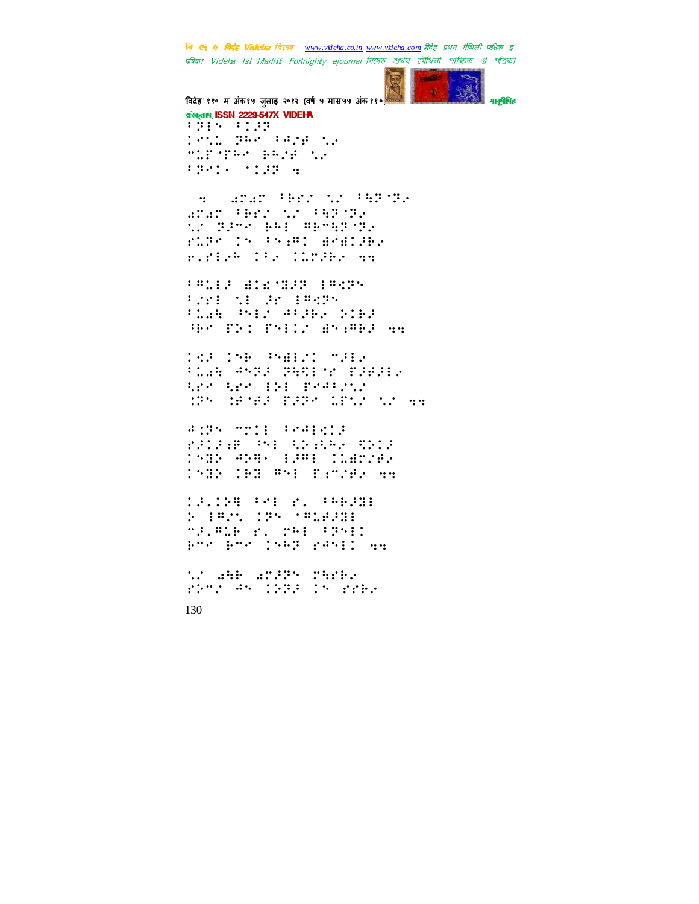

विदेह' ११० म अंक१५ जुलाइ २०१२ (वर्ष ५ मास५५ अंक११० संस्कृतम् ISSN 2229-547X VIDEHA  $\frac{1}{2}$   $\frac{1}{2}$   $\frac{1}{2}$   $\frac{1}{2}$   $\frac{1}{2}$   $\frac{1}{2}$   $\frac{1}{2}$ IST SAM PASA TA

**MIDSTER BEAR NA** FREE (1997) 4

Secondary Ferrican Ferriga STAT PRINTING PRESENT transport parameters. rupe in Physical Andrew rifish (1) Chribi an

**FRIST AND THE REAL PROPERTY** tre di angeles<br>Plak estructave viel He fit fyll dyshi am

**TAR THE PHILIC MILE Time and: defining finite** tre tre BBI Pestrui **CPS CENER BREAK LENGTHS AN** 

Adress Model (Peagadia) files be the same this SAGE ASAH TIAN CINESAS **INHE WE WAS FIMILE AN** 

13.128 (01 r. (0623) **N : #25 : 125 : #128231** "B.R.B r. rHI (PHI) Phr Part 1552 Penil am

th and angov rugby ring an indicate rrbs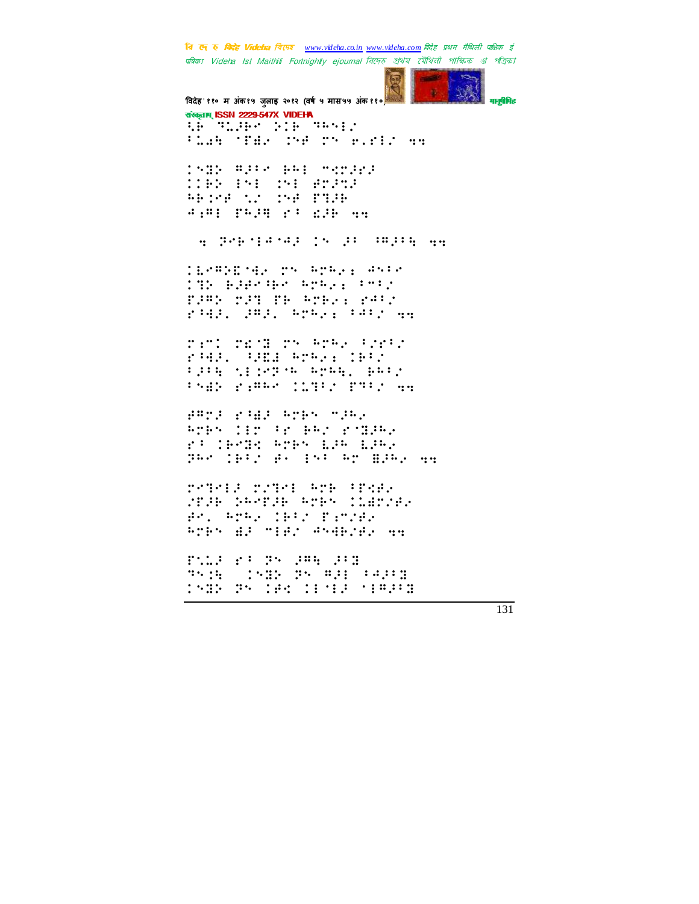**START** 

म**नुषे**मिड विदेह' ११० म अंक१५ जुलाइ २०१२ (वर्ष ५ मास५५ अंक११० संस्कृतम् ISSN 2229-547X VIDEHA th Thursday (1984) Plak (Fdr 156 25 e.fl. mm INHE WARE BRI MANAGE **COBS INE CHE BEACH** Which is the Film **A.MI PRED 31 ACR 44** a presenta po po mpre as **CONSTRACTS ATALL ANDS** Min Blackbooksbookst THUS THE WILL PART r942. 282. Aralı (991) 44 rend rend ry ArAy Ports rad. Ami Aralı Dev FRIE SECOND ASAR, BAIS PARK PARK CONFIDENTS AN PROF PART AND SCHOOL Robertion for BRO ordinal r: Chine Arby LJA LJA. particles at put an many an retell retel Ark (Pode MUR DRYTH RTP MINING Br. Anha (Bir Banzea) ATES AR TIPS ASABSAR AN **PALL 31 PM 285 200** This indicate the mail coasting **COMPOSITION CENTER PERSON**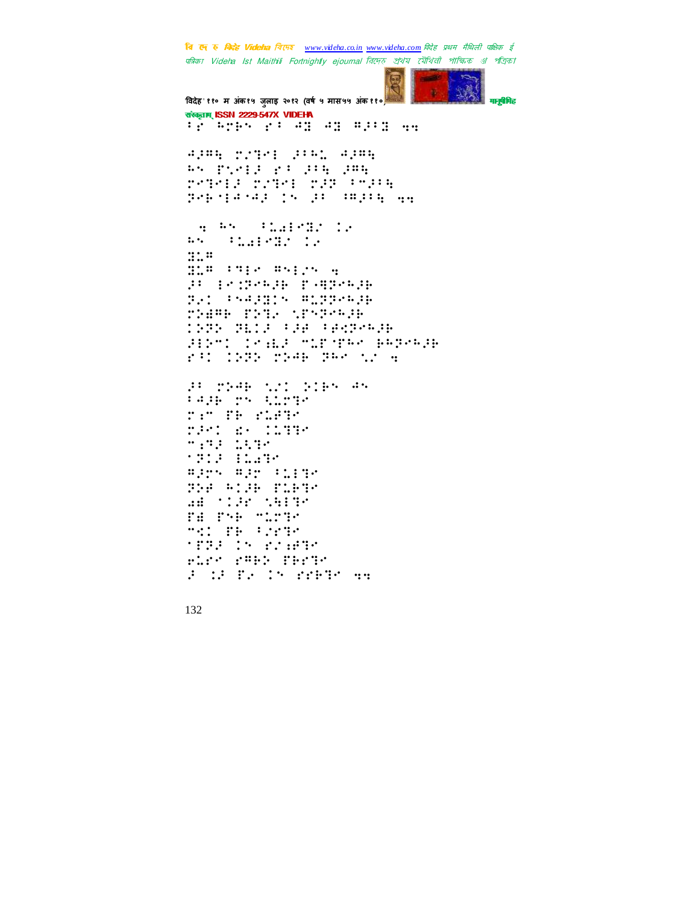

विदेह' ११० म अंक१५ जुलाइ २०१२ (वर्ष ५ मास५५ अंक११०) संस्कृतम् ISSN 2229-547X VIDEHA tê bina et di di ditir gu **4,88 22101 3161 4,88** 85 PUBL 23 235 285 reters reter rat (esta perspekte på på mongon

og Anos (Caledro La<br>25 - Chaledro La  $\mathbf{L}$  .  $\mathbb{R}^n$ ma inpromise a **PORT RESERVED WAY TARRIS MIRRANGE** THE THE STATES 1988 BM13 (1988) (808-638 HIPTO COMEP TOP THOMPHPHEM **Simple State State State State** 

an pade sui aies ds<br>Peae ps niver rim de stade nist de timps  $1.77 - 1.47$ \* 313 | 11.39 Birs Bir Mille **THE STREET STREET** AN TIM THIS **P.A. P.A. H.P.** med die Freder **SPREADE STARTS** rish shee ferre 3 OF THE THE PERTY AN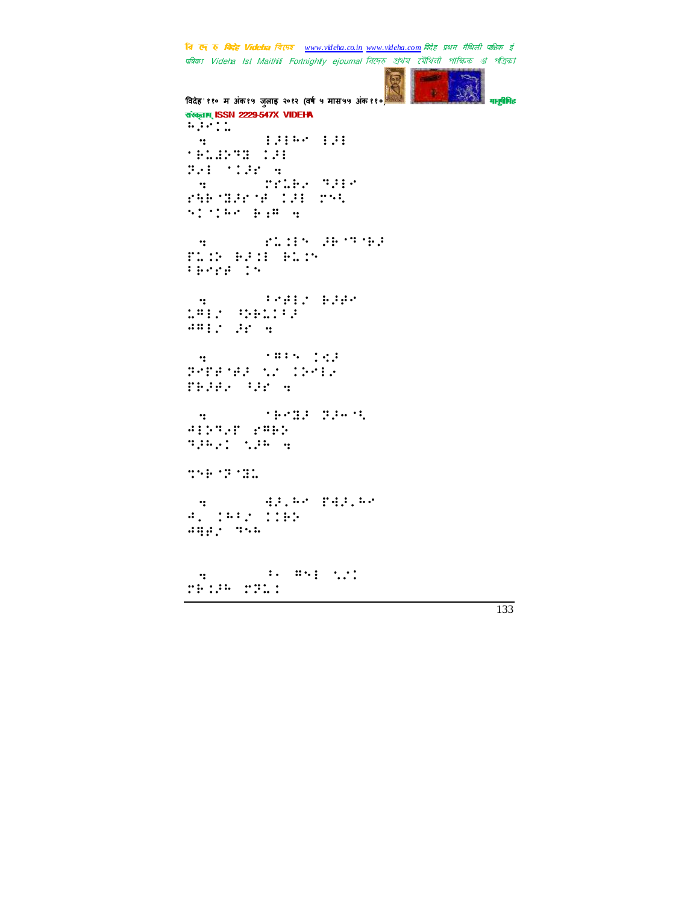बि ए रु क्रिडे Videha विएक www.videha.co.in www.videha.com विदेह प्रथम मैथिली पाक्षिक ई पत्रिका Videha Ist Maithili Fortnightly ejournal तिरमरु প্রথম মৌথিনী পাক্ষিক ্যা পত্রিকা .<br>मानुबेगिह विदेह' ११० म अंक१५ जुलाइ २०१२ (वर्ष ५ मास५५ अंक११० संस्कृतम् ISSN 2229-547X VIDEHA  $1.7.11$  $111144 + 1111$  $\ddot{\mathbf{r}}$ \*\*\*\*\*\*\*\* Bell tide a PHP (132 (# 133 (P)4  $\mathcal{N}^{\text{in}}_{\text{in}}\left(\mathcal{N}^{\text{in}}_{\text{in}}\right) \overset{\text{def}}{=} \mathcal{N}^{\text{in}}_{\text{in}}\left(\mathcal{N}^{\text{in}}_{\text{in}}\right) \overset{\text{def}}{=} \mathcal{N}^{\text{in}}_{\text{in}}\left(\mathcal{N}^{\text{in}}_{\text{in}}\right) \overset{\text{def}}{=} \mathcal{N}^{\text{in}}_{\text{in}}\left(\mathcal{N}^{\text{in}}_{\text{in}}\right) \overset{\text{def}}{=} \mathcal{N}^{\text{in}}_{\text{$ **SECTION SECTIONS**  $\ddot{\cdot}$ ELO BEN BLO **Paraget the** A STATE STATES *SALE BESTER*  $\begin{array}{ccccccccc} . & . & . & . & . & . & . \\ . & . & . & . & . & . \\ . & . & . & . & . & . \\ . & . & . & . & . & . \\ . & . & . & . & . & . \\ . & . & . & . & . & . \\ . & . & . & . & . & . \\ . & . & . & . & . & . \\ . & . & . & . & . & . \\ . & . & . & . & . & . \\ . & . & . & . & . & . \\ . & . & . & . & . & . \\ . & . & . & . & . & . \\ . & . & . & . & . & . \\ . & . & . & . & . & . \\ . & . & . & . & . & . \\ . & . & . & . & . & . \\ . & . & .$  $\mathbf{q}$  , and  $\mathbf{q}$  , and  $\mathbf{q}$ PERSENT CONTR THEF WE S  $\mathcal{A} = \{ \mathcal{A} \mid \mathcal{A} \in \mathcal{A} \text{ and } \mathcal{A} \neq \emptyset \}$ Albash Pabb **SPECIAL SERVICE**  $1194.12.131.$ ia – 42.50 f42.50<br>Avider (165  $\lim_{n\to\infty}$   $\lim_{n\to\infty}$  $\mathbf{u}$  and  $\mathbf{u}$  are  $\mathbf{u}$  and  $\mathbf{u}$  are  $\mathbf{u}$  and  $\mathbf{u}$  are  $\mathbf{u}$  $\dddot{\bullet}$ **THIN THIS**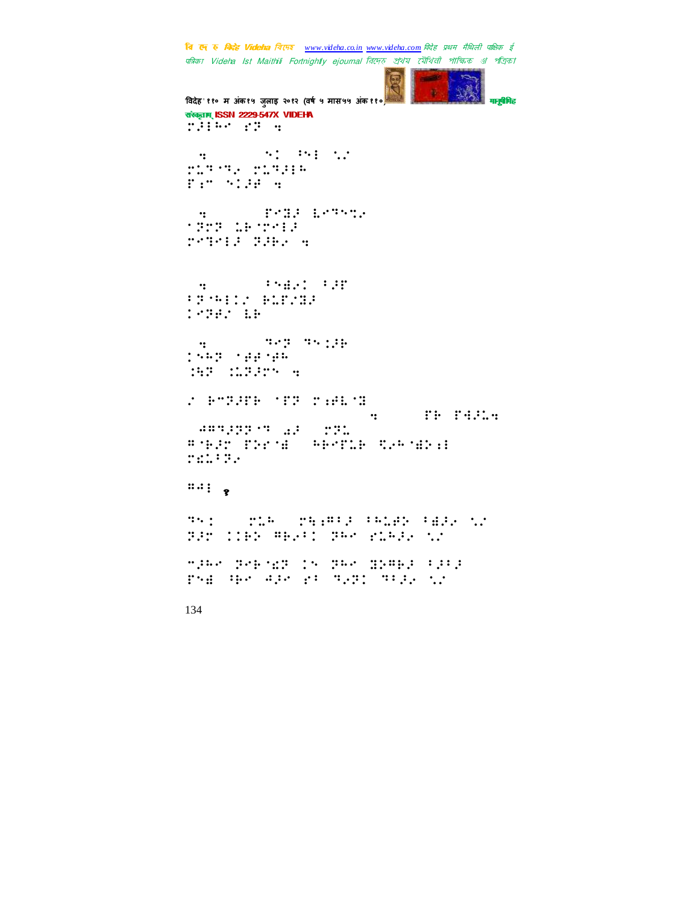```
त्रि एन रु क्रिटेह Videha विएम्ब _www.videha.co.in_www.videha.com विदेह प्रथम मैथिली पाक्षिक ई
पत्रिका Videha Ist Maithili Fortnightly ejournal রিদেহ প্রথম মৌথিনী পাক্ষিক গ্র পত্রিক।
'विदेह' ११० म अंक १५ जुलाइ २०१२ (वर्ष ५ मास५५ अंक ११०) मानुसीरी मानुसीरीहरू
संस्कृतम् ISSN 2229-547X VIDEHA
T^* : T^* : T^* : T^* : T^*4⣒*!!!!!⢸!⣁#!
\overline{111}. \overline{111}. \overline{111}. \overline{111}. \overline{111}. \overline{111}. \overline{111}T:" 'I'H +
  5.
⢽⢽!⣅⢷ ⢼!
⣙⢼.⢽⢼⢷⢴!⣒!
 \frac{1}{2} \frac{1}{2} \frac{1}{2} \frac{1}{2} \frac{1}{2} \frac{1}{2} \frac{1}{2} \frac{1}{2}77 HILL BILL
⢽⢾#!⣇⢷!""!
 7⣒*!!!!⢹⢽!⢹⣈⢼⢷!
⢳⢽!⢾⢾ ⢾⢳!
⣈⣓⢽.⣈⣅⢽⢼!⣒!
\pm 1000 \pm 1000 \pm 1000 \pm 1000 \pm 1000 \pm\frac{1}{2} is the fibre
!⢺⢻⢹⢼⢽⢽ ⢹!⣔⢼!(⢽⣅(!!
#MEX #BOOK!!!
⣎⣅7⢽⢴!!
\cdotsMNI : TALE TRIPPE FRIP FBJ2 NJ
⢽⢼!⢷⢵!⢻⢷⢴7!⢽⢳!"⣅⢳⢼⢴!⣁#!!
5⢼⢳!⢽⢷ ⣎⢽!!⢽⢳!⣝⢵⢻⢷⢼!7⢼7⢼!!
The GRACE Side of the Second State of the Second State of the Second State of the Second State of the Second S
```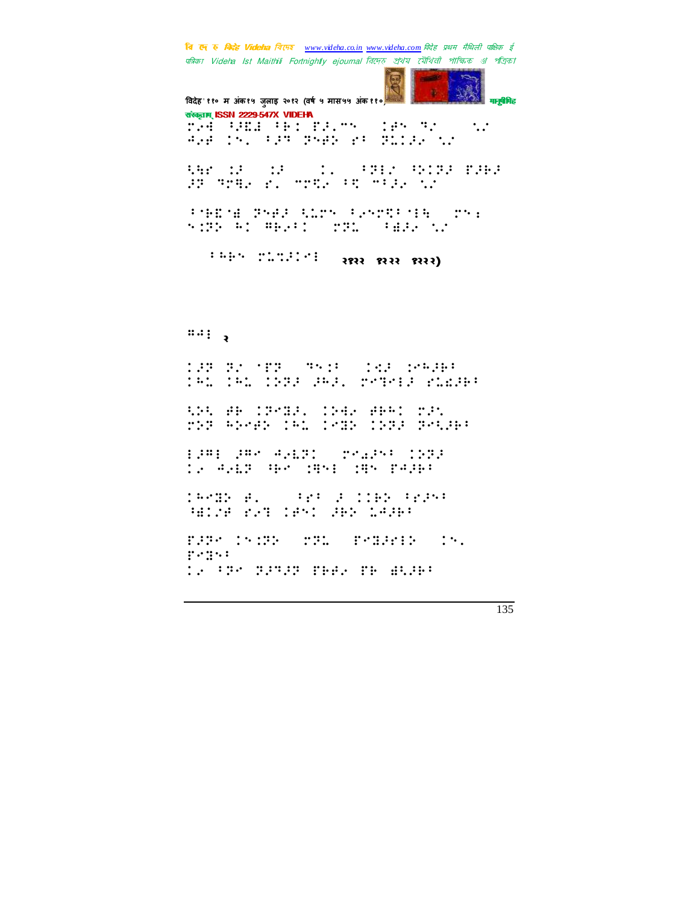विदेह' ११० म अंक१५ जुलाइ २०१२ (वर्ष ५ मास५५ अंक११०) मनुषेगिह संस्कृतम् ISSN 2229-547X VIDEHA TAR PADE PER TAIWA (185 P.)<br>PAR 15, PAP TSBN 29-TO122-12  $\dddot{\phantom{0}}$ **ABP 12 (12)** ar men el men ar mas di FARM PAR ALON PROPERTY TO sub a medi un calcul  $\left( \begin{array}{ccccc} 1 & 0 & 0 & 0 & 0 & 0 \\ 0 & 0 & 0 & 0 & 0 & 0 \\ 0 & 0 & 0 & 0 & 0 & 0 \\ 0 & 0 & 0 & 0 & 0 & 0 \\ 0 & 0 & 0 & 0 & 0 & 0 \\ 0 & 0 & 0 & 0 & 0 & 0 \\ 0 & 0 & 0 & 0 & 0 & 0 \\ 0 & 0 & 0 & 0 & 0 & 0 \\ 0 & 0 & 0 & 0 & 0 & 0 \\ 0 & 0 & 0 & 0 & 0 & 0 \\ 0 & 0 & 0 & 0 & 0 & 0 \\ 0 & 0 & 0 & 0$  $\cdots$ 198 82 MBS 9518 (189 19596) 191 191 1222 292, provid rimae: SS AR CREAT CHAR ARRIVER rti biski ili se sti ili ili disk 1981 988 42171 - 222351 1992 te 4.83 He SAME SAY PAPER TRANS NO. 181 F. LINE 1834 HEIGH RET CHAINER LAND FREE CROSS TELL FEBRIC CR. pedici i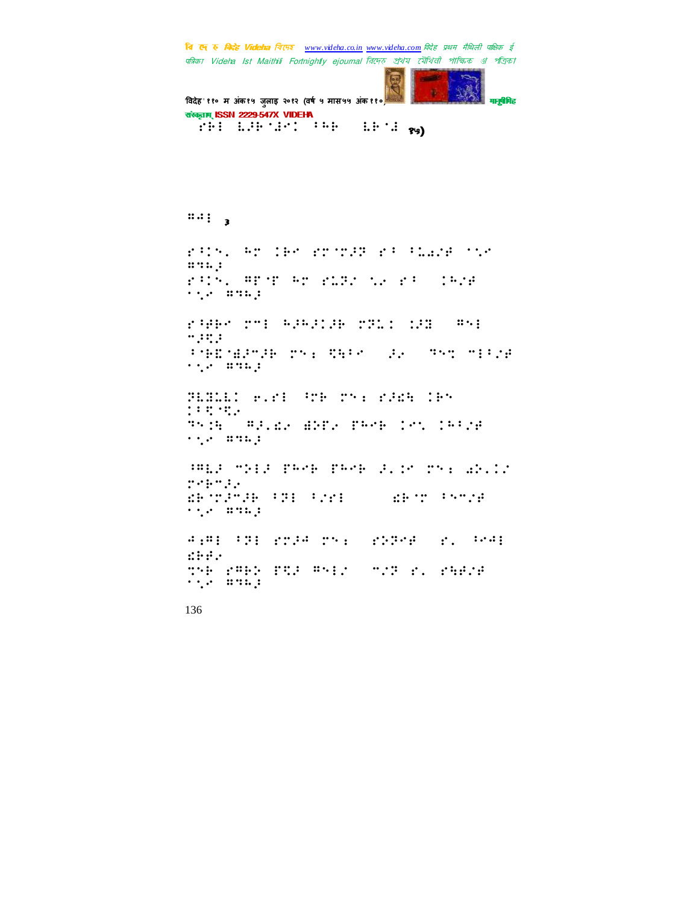म**नुबै**मिड विदेह' ११० म अंक१५ जुलाइ २०१२ (वर्ष ५ मास५५ अंक११०) संस्कृतम् ISSN 2229-547X VIDEHA FRI LIPSPO PRE  $\therefore$   $\therefore$   $\frac{1}{2}$   $\frac{1}{2}$ 

 $\cdots$ ; 3

rath, an ier rouge racaine wir  $\ldots$  : FRING WENT AT FLED NA FROUDER says denied rage of each control in an  $\cdots$  : : : : **PORTHERN THE THE SAME THIS TEAM**  $\ell$  (  $\ell$  ) and  $\ell$ HALL R.M. MT THE MANN IR  $13.53377744$ This Alus And Per (no 1912)  $\ell \lesssim \ell$  , and  $\mu$ WHIP THIS PATE PATE SIDE THE WALL? persons. ERSTERNE FRI FORI A ARST FATOR  $\ell \lesssim \ell$  , and  $\mu$ A.H. FR. 2234 25. 22356 21 PrA.  $\mathbf{r}$ ine reel posterior numbro reelde.<br>Sign emag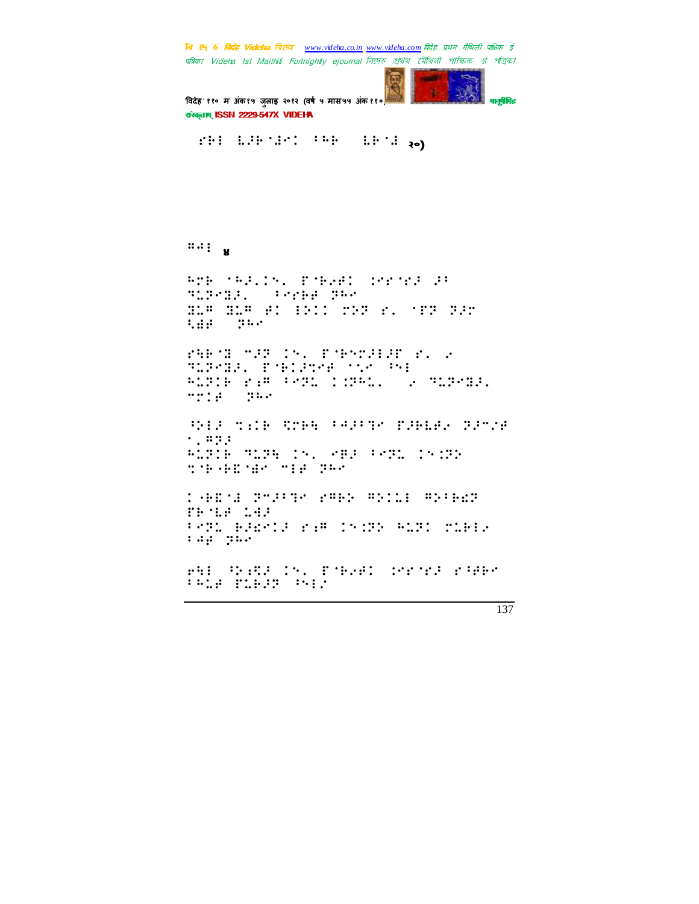विदेह'११० म अंक१५ जुलाइ २०१२ (वर्ष ५ मास५५ अंक११ संस्कृतम् ISSN 2229-547X VIDEHA

म**नुबै**मिड

PH EPPART PRE ERAINA

 $\cdots$ :  $\mathbf{g}$ 

RTE MREICH, POBLET CHROBE PR SLP-HALL SPEER PRO BLA BLA et EPIC PPP P. TER PPP the part

PHP BUTER CALL PORTFORM PLUS REPORT PORTAGE CONTROL 81918 (18 FOR 1981) (1981) (1982) mrte dae

SHIP MILE STEE FARTIM FIELE, TIMME  $\cdot$ ,  $\ldots$ ALTIB TUTE IN, MED FRIL IN CT **THANNE THE PAC** 

**THEM PROGRESS BOIL BROWN** THOMA LAP PRIL BREATE FIR INTER BLED TIBER rag gas

en hard in poesi corora ener<br>Pelecriana har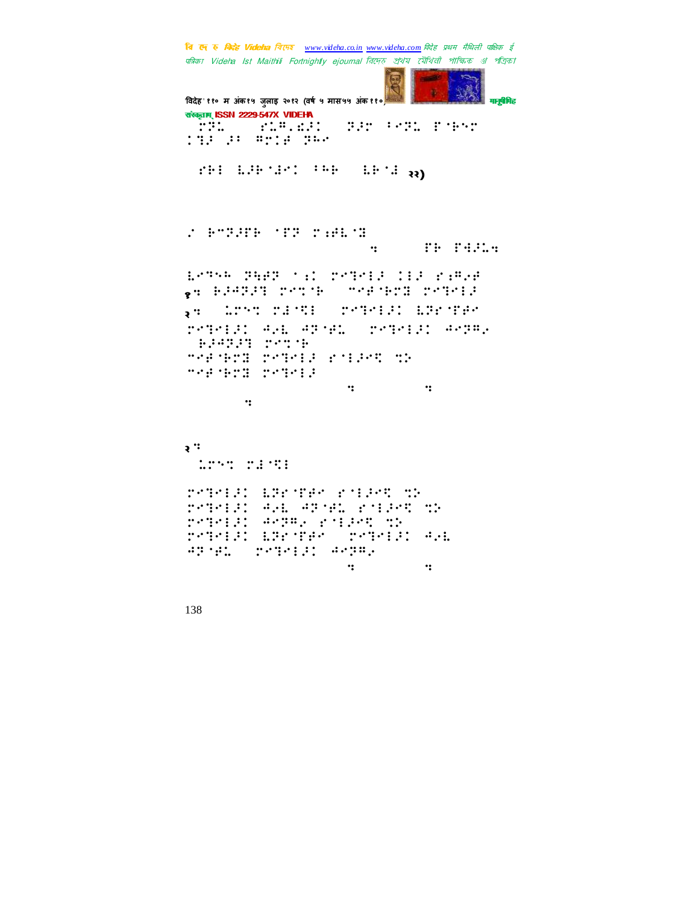**त्रि एन रु क्रिटेह Videha** विएम्ब \_www.videha.co.in\_www.videha.com विदेह प्रथम मैथिली पाक्षिक ई पत्रिका Videha Ist Maithili Fortnightly ejournal রিদেহ প্রথম মৌথিনী পাক্ষিক গ্র পত্রিক। विदेह' ११० म अंक१५ जुलाइ २०१२ (वर्ष ५ मास५५ अंक ११०) मानुसीरी मानुसीरीहरू संकृताम्ISSN 2229-547X VIDEHA (⢽⣅(!("⣅⢻Z⣎⢼(!⢽⢼!7⢽⣅!' ⢷! **THE 21 SHIP 200** )"⢷!⣇⢼⢷ ⣜!7⢳⢷-!⣇⢷ ⣜.२२) #!⢷5⢽⢼'⢷!'⢽!⣐⢾⣇ ⣝!  $\mathbf{h}$  is the state  $\mathbf{h}$  is the state  $\mathbf{h}$ ⣇⢹⢳!⢽⣓⢾⢽!⣐!⣙⢼!⢼!"⣐⢻⢴⢾! १⣒!⢷⢼⢺⢽⢼⣙!⣉ ⢷!)5⢾ ⢷⣝!⣙⢼\*!  $2^\circ$  . Little define the properties of  $\mathbb{R}^n$ ⣙⢼!⢺⢴⣇.⢺⢽ ⢾⣅0!⣙⢼!⢺⢽⢻⢴\*! !⢷⢼⢺⢽⢼⣙!⣉ ⢷! 5⢾ ⢷⣝!⣙⢼!" ⢼⣋!⣉⢵! 5⢾ ⢷⣝!⣙⢼! )iuuqt;00tjuftigta dipnobow (10th phmf)dpn0b0w jefib.dpn0wjefib.qbjoujoht.com २⣒! !⣅⣉!⣜ ⣋!  $T$  -  $T$   $\rightarrow$   $T$   $\rightarrow$   $T$   $\rightarrow$   $T$   $\rightarrow$   $T$   $\rightarrow$   $T$   $\rightarrow$   $T$   $\rightarrow$   $T$   $\rightarrow$   $T$ ⣙⢼!⢺⢴⣇.⢺⢽ ⢾⣅!" ⢼⣋!⣉⢵! ⣙⢼!⢺⢽⢻⢴!" ⢼⣋!⣉⢵! reight are the Creight and ⢺⢽ ⢾⣅0!⣙⢼!⢺⢽⢻⢴!! )iuuqt;00tjuftigta dhpphmfdpn0b0w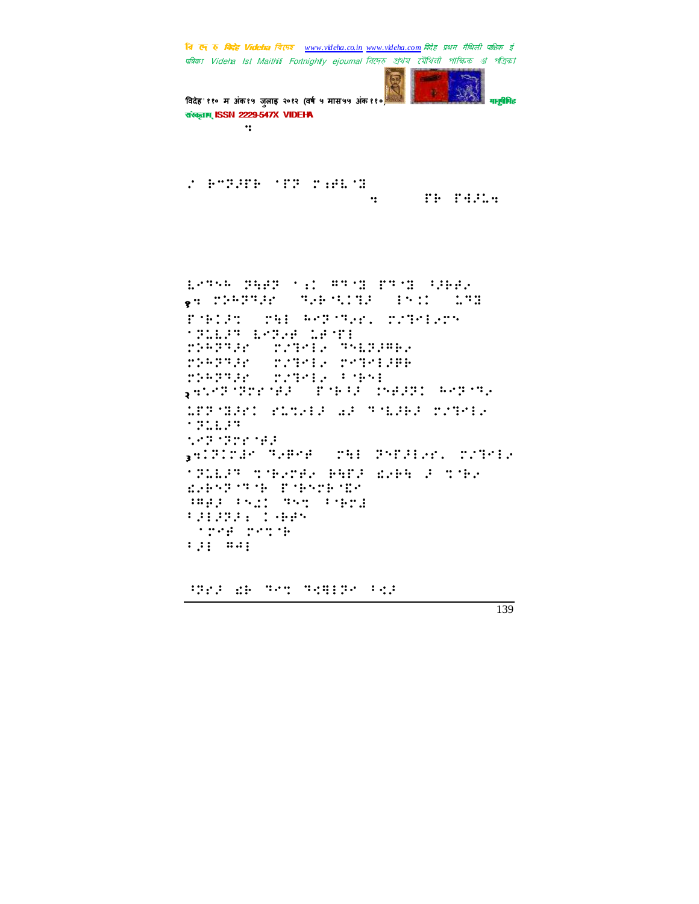'विदेह' ११० म अंक१५ जुलाइ २०१२ (वर्ष ५ मास५५ अंक ११०) मानुष्य कर राज्य स्थानिक करने वानुसमिद संस्कृतम् ISSN 2229-547X VIDEHA jefib.dpn0wjefib.qbjoujoht.com

 $\div$  \$7200 'OS 20010  $\ddot{\mathbf{u}}$  is the state.

⣇⢹⢳!⢽⣓⢾⢽!⣐!⢻⢹ ⣝.'⢹ ⣝!⢸⢼⢷⢾⢴! १⣒!⢵⢳⢽⢹⢼"!)⢹⢴⢷ ⣃⣙⢼\*;⣈;!⣅⢹⣝! ' ⢷⢼⣉!)⣓!⢳⢽ ⢹⢴"Z!#⣙⢴! ⢽⣅⣇⢼⢹!⣇⢽⢴⢾!⣅⢾ '\*! ⢵⢳⢽⢹⢼"!)#⣙⢴.⢹⣇⢽⢼⢻⢷⢴\*! ⢵⢳⢽⢹⢼"!)#⣙⢴.⣙⢼⢿⢷\*! ⢵⢳⢽⢹⢼"!)#⣙⢴.7 ⢷\*! २⣒⣁⢽ ⢽" ⢾⢼.!' ⢷⢸⢼!⣈⢾⢼⢽!⢳⢽ ⢹⢴!  $^{\prime}$   $^{\prime}$   $^{\prime}$   $^{\prime}$   $^{\prime}$   $^{\prime}$   $^{\prime}$   $^{\prime}$   $^{\prime}$   $^{\prime}$   $^{\prime}$   $^{\prime}$   $^{\prime}$   $^{\prime}$   $^{\prime}$   $^{\prime}$   $^{\prime}$   $^{\prime}$   $^{\prime}$   $^{\prime}$   $^{\prime}$   $^{\prime}$   $^{\prime}$   $^{\prime}$   $^{\prime}$   $^{\prime}$   $^{\prime}$   $^{\prime}$   $^{\prime}$   $^{\prime}$   $^{\prime}$   $^{\prime}$  $^{\circ}$   $^{\circ}$   $^{\circ}$  :  $^{\circ}$  :  $^{\circ}$  :  $^{\circ}$ ⣁⢽ ⢽" ⢾⢼! ३⣒⢽⣜!⢹⢴⢿⢾!)⣓!⢽'⢼⢴"Z!#⣙⢴! ⢽⣅⣇⢼⢹!⣉ ⢷⢴⢾⢴!⢷⣓'⢼!⣎⢴⢷⣓!⢼!⣉ ⢷⢴! ⣎⢴⢷⢽ ⢹ ⢷!' ⢷⢷ ⣏\*! ⢸⢻⢾⢼!7⣌!⢹⣉.⢸ ⢷⣜!! 7⢼⢼⢽⢼⣐!0⢷⢾! !⢾!⣉ ⢷! 7.91 = 8.41

⢸⢽"⢼!⣎⢷!⢹⣉!⢹⣊⣛⢽!7⣊⢼!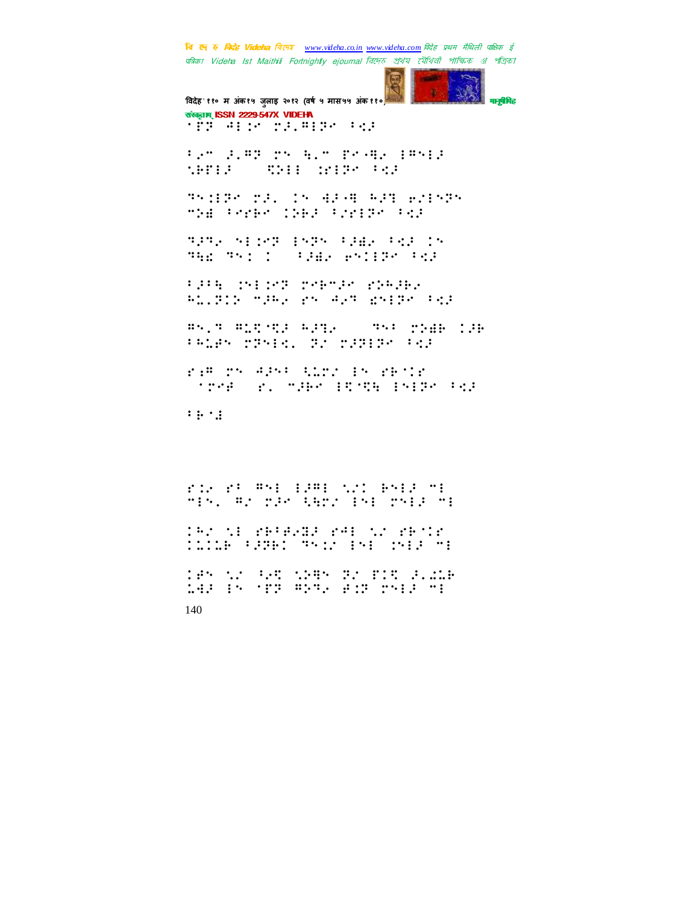

'विदेह' ११० म अंक१५ जुलाइ २०१२ (वर्ष ५ मास५५ अंक ११०) मानुष्य कर राज्य स्थानिक करने वानुसमिद संस्कृतम् ISSN 2229-547X VIDEHA 'ËT 4:20 rijet 102

7⢴5!⢼Z⢻⢽!!⣓Z5!'0⣛⢴!⢻⢼! **SHILE SENSE STREET** 

⢹⣈⢽!⢼Z!!⣚⢼0⣛!⢳⢼⣙!⢶#⢽! 5⢵⣞!7"⢷!⢵⢷⢼!7#"⢽!7⣊⢼!

⢹⢼⢹⢴!⣈⢽!⢽!7⢼⣞⢴!7⣊⢼!! THE TRICE CONSIDERT CONTROL

7⢼7⣓!⣈⣈⢽!⢷5⢼!"⢵⢳⢼⢷⢴!  $E$ 

⢻Z⢹!⢻⣅⣋ ⣋⢼!⢳⢼⣙⢴!-!⢹7!⢵⣞⢷!⢼⢷! 7⢳⣅⢾!⢽⣊Z!⢽#!⢼⢽⢽!7⣊⢼!

"ri<sup>n</sup> ry 4241 thr: 18 restr #⢾#!"Z!5⢼⢷!⣋ ⣋⣓!⢽!7⣊⢼!

 $7 + 22$ 

"YOU YAN WALL LAWEL NOT 5IN. We say that INE ship hi

;a: 10 mai 10 mai 10 mai 10 mai 10 mai 10 mai 10 mai 10 mai 110 mai 110 mai 110 m **CONDECT PRODUCT PRODUCT** 

140  $^{\prime}$  #  $^{\prime}$  #  $^{\prime}$  #  $^{\prime}$  #  $^{\prime}$  #  $^{\prime}$  #  $^{\prime}$  #  $^{\prime}$  #  $^{\prime}$  #  $^{\prime}$  #  $^{\prime}$  #  $^{\prime}$  #  $^{\prime}$  #  $^{\prime}$  #  $^{\prime}$  #  $^{\prime}$  #  $^{\prime}$  #  $^{\prime}$  #  $^{\prime}$  #  $^{\prime}$  #  $^{\prime}$  #  $^{\prime}$  #  $^{\prime}$  #  $^{\prime}$  #  $^{\prime}$  $^{\prime\prime}$  . The space of the space of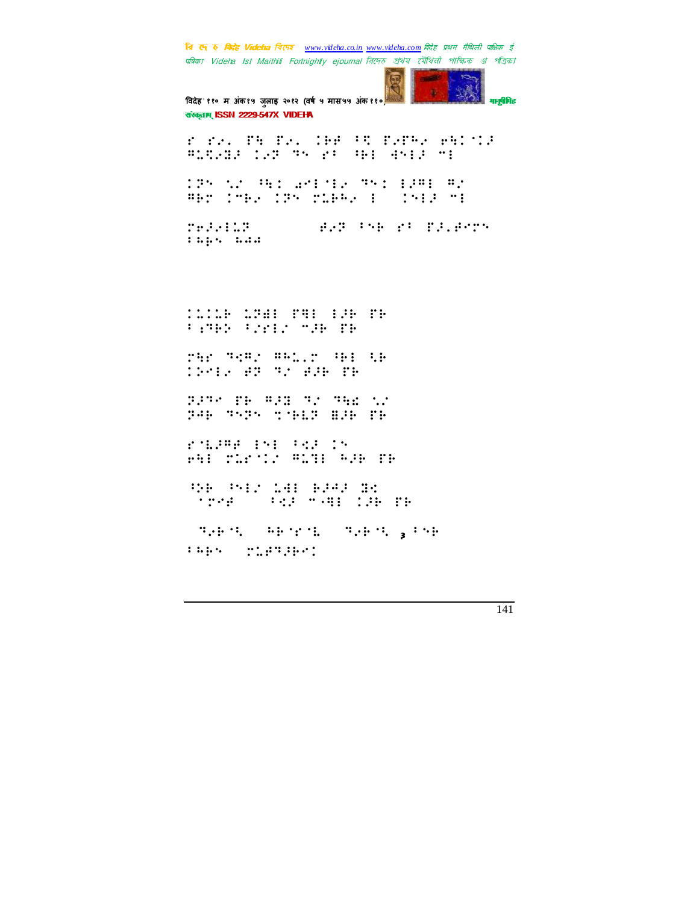**त्रि एन रु क्रिटेह Videha** विएम्ब \_www.videha.co.in\_www.videha.com विदेह प्रथम मैथिली पाक्षिक ई पत्रिका Videha Ist Maithili Fortnightly ejournal রিদেহ প্রথম মৌথিনী পাক্ষিক গ্র পত্রিক। 'विदेह' ११० म अंक१५ जुलाइ २०१२ (वर्ष ५ मास५५ अंक ११०) मानुसीरी मानुसीरीह संस्कृतम् ISSN 2229-547X VIDEHA  $T$  . The fig. (10) (10) The fight of the state ⢻⣅⣋⢴⣝⢼!⢴⢽!⢹!"7!⢸⢷!⣚⢼!5! ⢽!⣁#!⢸⣓⣈!⣔ ⢴!⢹⣈!⢼⢻!⢻#! **WES IMES IN THE SEE OF THE SEE** ⢶⢼⢴⣅⢽\2333!⢾⢴⢽!7⢷!"7!'⢼Z⢾^! THE STREET ⣅⣅⢷!⣅⢽⣞!'⣛!⢼⢷!'⢷!  $7$  . This state with the ⣓"!⢹⣊⢻#!⢻⢳⣅Z!⢸⢷!⣃⢷! ⢵⢴!⢾⢽!⢹#!⢾⢼⢷!'⢷! ⢽⢼⢹!'⢷!⢻⢼⣝!⢹#!⢹⣓⣎!⣁#! ⢽⢺⢷!⢹⢽!⣉ ⢷⣇⢽!⣟⢼⢷!'⢷! " ⣇⢼⢻⢾!!7⣊⢼!! ⢶⣓!⣅" #!⢻⣅⣙!⢳⢼⢷!'⢷! ⢸⢵⢷!⢸#!⣅⣚!⢷⢼⢺⢼!⣝⣊! #⢾!#!7⣊⢼!50⣛!⢼⢷!'⢷! +⢹⢴⢷ ⣃!`⢳⢷ " ⣇!`⢹⢴⢷ ⣃!३ 7⢷+! 7⢳⢷!.⣅⢾⢹⢼⢷!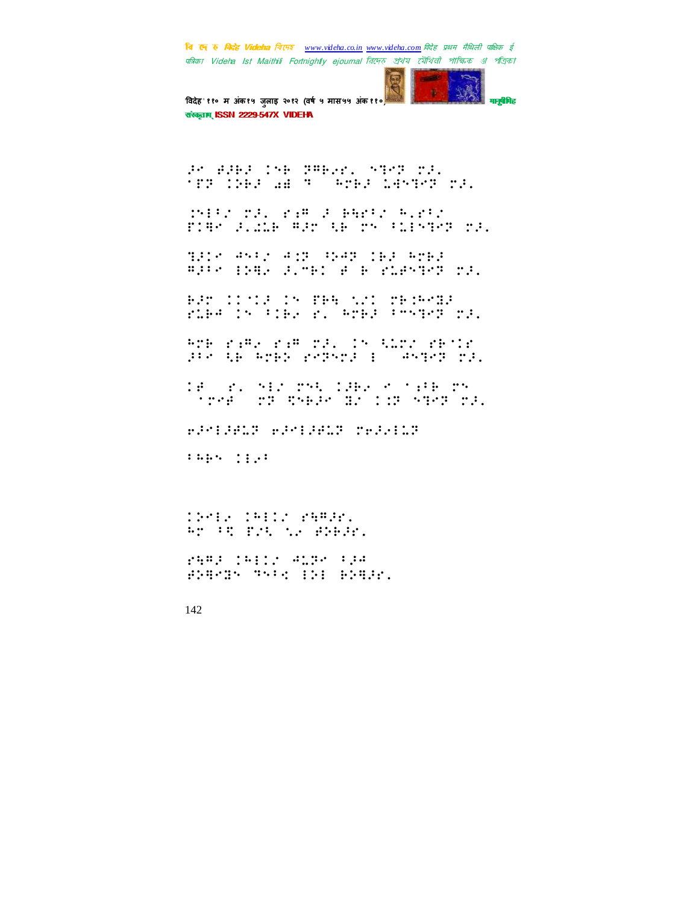

विदेह' ११० म अंक१५ जुलाइ २०१२ (वर्ष ५ मास५५ अंक ११०) मानुसारी मानुसीमेह संस्कृतम् ISSN 2229-547X VIDEHA

⢼!⢾⢼⢷⢼!⢷!⢽⢻⢷⢴"Z!⣙⢽!⢼Z! '⢽!⢵⢷⢼!⣔⣞!⢹(!⢳⢷⢼!⣅⣚⣙⢽!⢼Z!

⣈7#!⢼Z!"⣐⢻!⢼!⢷⣓"7#!⢳Z"7#! TIAN SALE ART UR TH SINNET TR.

⣙⢼!⢺7#!⢺⣈⢽!⢸⢵⢺⢽!⢷⢼!⢳⢷⢼! ⊕P: 1912 P.W. Police Parties Press

€₽? !!'!Р !™ PPB NJI ?B1PMBP | "����" Ziba r. Arba Proger ra.

BIR NIR I RE I RE I NO ⢼7!⣃⢷!⢳⢷⢵!"⢽⢼!(!⢺⣙⢽!⢼Z!

IF (20) YEAR THE COMPANY  $\sim$  1014  $\sim$  102  $\sim$  102  $\sim$  102  $\sim$  102  $\sim$  102  $\sim$  102  $\sim$  102  $\sim$ 

⢶⢼⢼⢾⣅⢽.⢶⢼⢼⢾⣅⢽.⢶⢼⢴⣅⢽!

7⢳⢷.⢴7!

 $[]$ AT 'PE TIN NA BREAT

"⣓⢻⢼!⢳#!⢺⣅⢽!7⢼⢺! ⢾⢵⣛⣝!⢹7⣊!⢵!⢷⢵⣛⢼"Z!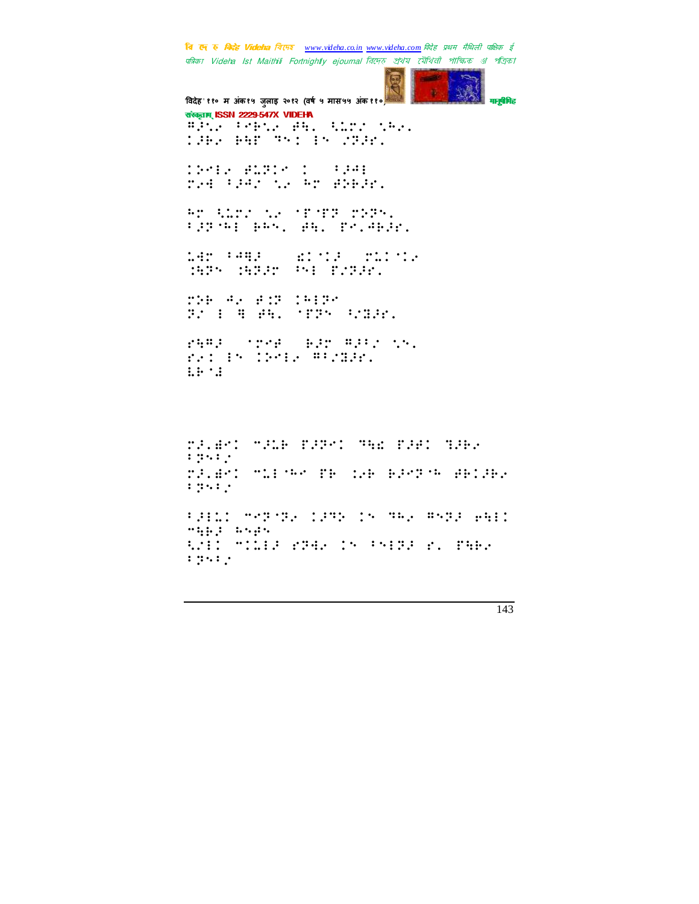'विदेह' ११० म अंक१५ जुलाइ २०१२ (वर्ष ५ मास५५ अंक ११०) मानुसीरी मानुसीरीह संस्कृताम् ISSN 2229-547X VIDEHA BRNE TREN BEL BLIN NBEL 1962 PHT 751 Ph 2002.  $\frac{1}{2}$ THE #100 THE #100 HT WALL AND THIN THE T 7⢼⢽ ⢳!⢷⢳Z!⢾⣓Z!'Z⢺⢷⢼"Z!  $\texttt{MF}$  7492 = 21713 = 21713  $\texttt{F}$ ⣈⣓⢽.⣈⣓⢽⢼!⢸!'#⢽⢼"Z!  $TSP$  4. 4. 5. 5. 5. 5. 5. 5. 6. 7. 6. 1. 5. 6. 7. 6. 1. 5. 6. 7. 6. 1. 5. 6. 7. 6. 1. 5. 6. 7. 6. 1. 6. 7. 6. ⢽#!(⣛!⢾⣓Z!'⢽!⢸#⣝⢼"Z! "⣓⢻⢼!#⢾#!⢷⢼!⢻⢼7#!⣁Z! "r.: 15 (2012) #P2B36.  $L:$   $\cdot$ .

⢼Z⣞!5⢼⣅⢷!'⢼⢽!⢹⣓⣎!'⢼⢾!⣙⢼⢷⢴!  $7.74 \pm 0.002$  $Z$  $7.77 \times 7.77$ 7⢼⣅!5⢽ ⢽⢴!⢼⢹⢵!!⢹⢳⢴!⢻⢽⢼!⢶⣓! 5⣓⢷⢼!⢳⢾! ⣃#!5⣅⢼!"⢽⣚⢴!!7⢽⢼!"Z!'⣓⢷⢴! 7⢽7#!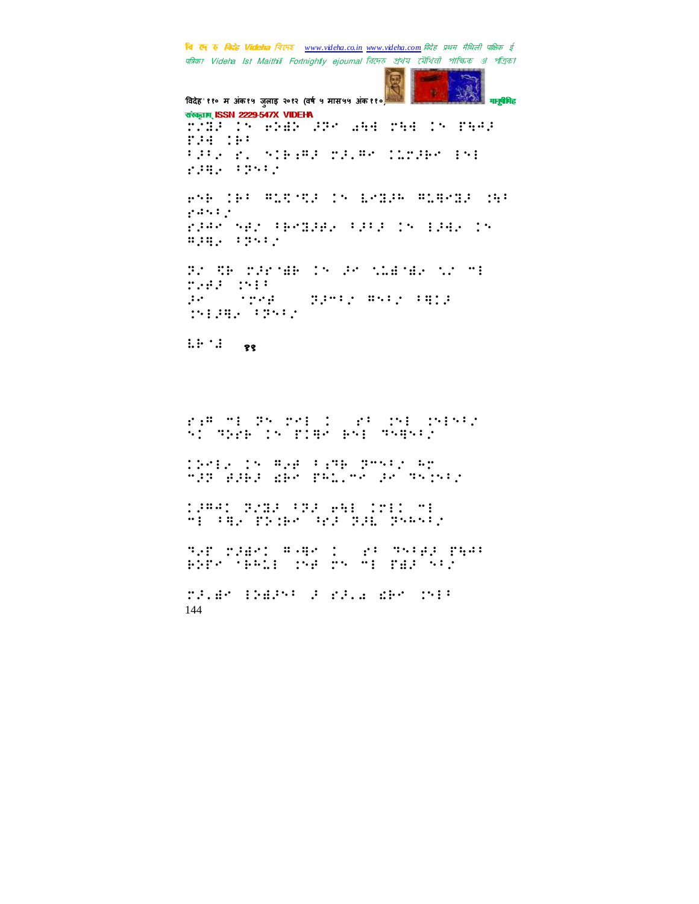**START** 

× 'विदेह' ११० म अंक१५ जुलाइ २०१२ (वर्ष ५ मास५५ अंक ११०) मानुसीरी मानुसीरीह संस्कृतम् ISSN 2229-547X VIDEHA #⣝⢼!!⢶⢵⣞⢵!⢼⢽!⣔⣓⣚.⣓⣚!!'⣓⢺⢼. F34 198 7⢼7⢴!"Z!⢷⣐⢻⢼!⢼Z⢻!⣅⢼⢷!! THE TEST?  $\frac{1}{7}$   $\frac{1}{7}$   $\frac{1}{7}$   $\frac{1}{7}$   $\frac{1}{7}$   $\frac{1}{7}$   $\frac{1}{7}$   $\frac{1}{7}$   $\frac{1}{7}$   $\frac{1}{7}$   $\frac{1}{7}$   $\frac{1}{7}$   $\frac{1}{7}$   $\frac{1}{7}$   $\frac{1}{7}$   $\frac{1}{7}$   $\frac{1}{7}$   $\frac{1}{7}$   $\frac{1}{7}$   $\frac{1}{7}$   $\frac{1}{7}$   $\frac{1}{7}$   $\$ "⢺7#! "⢼⢺!⢾#!7⢷⣝⢼⢾⢴!7⢼7⢼!!⢼⣚⢴!! ⢻⢼⣛⢴!7⢽7#! EN THE THE IN HE WARDEN IN TH

ze∄a zela<br>ar yeze  $\frac{1}{2}$ ⣈⢼⣛⢴!7⢽7#!

 $\vdots$   $\vdots$   $\vdots$ 

 $T$ :# "i 7  $T$  ,  $T$  ,  $T$  ,  $T$  ,  $T$  ,  $T$  ,  $T$  ,  $T$  ,  $T$  ,  $T$ SI TERRITA PIRA PADA TARAHA

⢵⢴!!⢻⢴⢾!7⣐⢹⢷!⢽57#!⢳! 5⢼⢽!⢾⢼⢷⢼!⣎⢷!'⢳⣅Z5!⢼!⢹⣈7#!

⢼⢻⢺!⢽#⣝⢼!7⢽⢼!⢶⣓!!5! 5!7⣛⢴!'⢵⣈⢷!⢸"⢼!⢽⢼⣇!⢽⢳7#!

THT THEY THAT IT THAT THAT FRP- 'BR1: 158 TS TE FER 5:2

144 ⢼Z⣞!⢵⣞⢼7!⢼!"⢼Z⣔!⣎⢷!⣈7!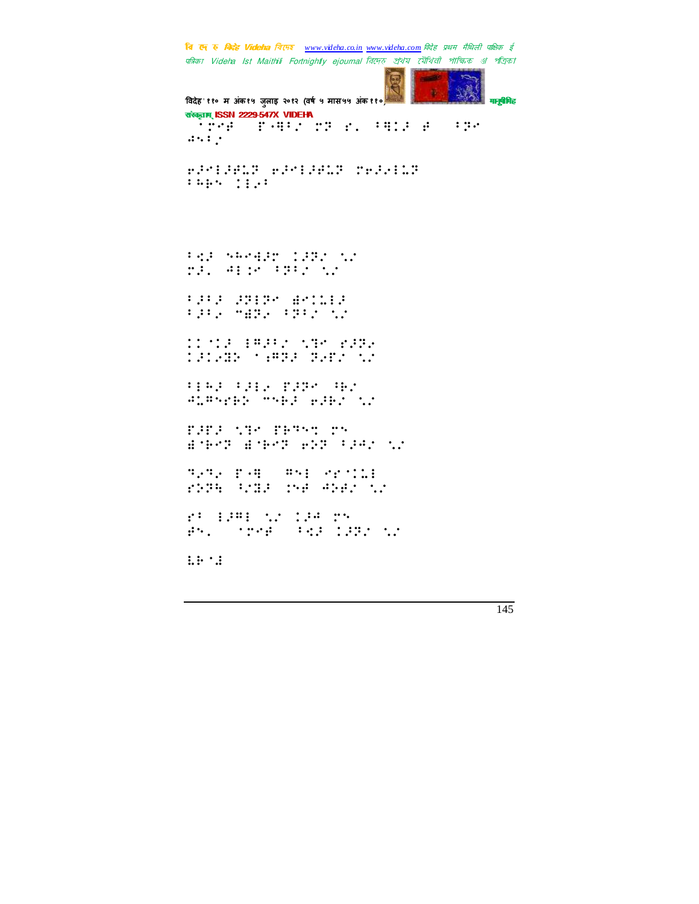चि एक रु *विदेह Videha चिए*न्छ <u>www.videha.co.in www.videha.com</u> विदेह प्रथम मैथिली पाक्षिक ई पत्रिका Videha Ist Maithili Fortnightly ejournal রিদেহ প্রথম মৌথিনী পাক্ষিক গ্র পত্রিক। 'विदेह' ११० म अंक१५ जुलाइ २०१२ (वर्ष ५ मास५५ अंक ११०) मानुसीरी मानुसीरीह संख्याम् ISSN 2229-547X VIDEHA #⢾#!'0⣛7#!⢽!"Z!7⣛⢼!⢾(!7⢽!  $25.1 \pm$ ⢶⢼⢼⢾⣅⢽.⢶⢼⢼⢾⣅⢽.⢶⢼⢴⣅⢽! 7 Spr. 11. 7qd sheddr 1221 (13) ⢼Z!⢺⣈!7⢽7#!⣁#! 7⢼7⢼!⢼⢽⢽!⣞⣅⢼! 799, 799, 799, 700 ∷: 12 |#292 |196 |1922 | ⢼⢴⣝⢵!⣐⢻⢽⢼!⢽⢴'#!⣁#! 7⢳⢼!7⢼⢴!'⢼⢽!⢸⢷#! ⢺⣅⢻"⢷⢵!5⢷⢼!⢶⢼⢷#!⣁#! THI 'S THING' TH £0.000 £0.000 £ ⢹⢴⢹⢴!'0⣛(!⢻!" ⣅! "⢵⢽⣓!⢸#⣝⢼!⣈⢾!⢺⢵⢾#!⣁#! "7!⢼⢻!⣁#!⢼⢺!! ⢾Z!#⢾#!7⣊⢼!⢼⢽#!⣁#! ⣇⢷ ⣜.:!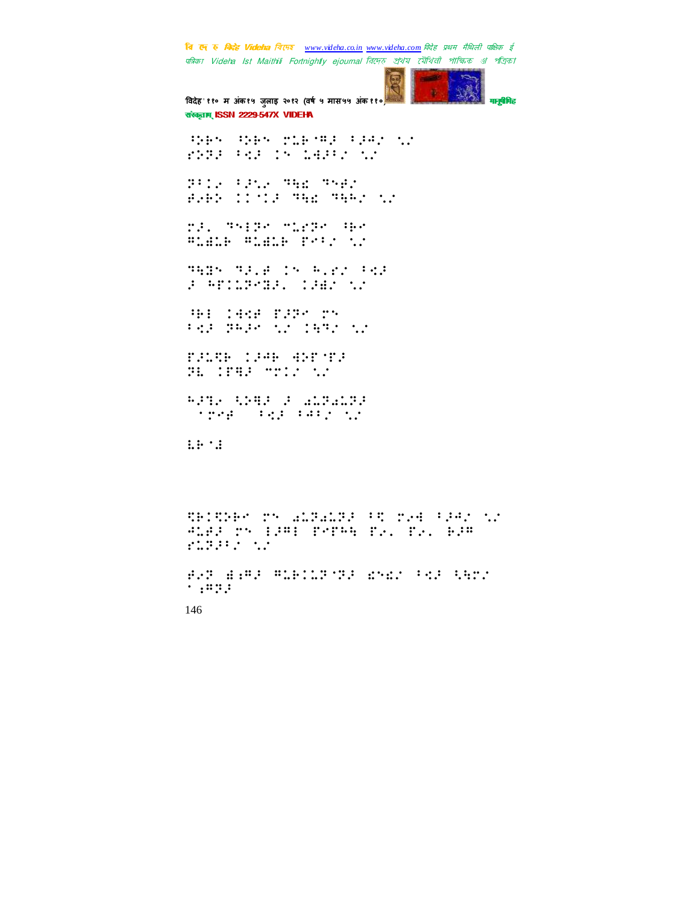

विदेह' ११० म अंक१५ जुलाइ २०१२ (वर्ष ५ मास५५ अंक११ संस्कृतम् ISSN 2229-547X VIDEHA

SPER SPER TIP THE SPER TO FRIDAY CONSERVATION

Bile (Phe San Sept BARK TIME MAR MARY ST

ra, Third Mirro He **BLACK BLACK DY!! !!!** 

HARR MALE IN RUSS FRA **FOR THE PROPERTY AND RESIDENT** 

WH TANK BURY TY red made to tame to

**POSTER CONSTRUCTION 31 1891 - 111 - 11** 

**Simple Company of the Company of the Company of the Company of the Company of the Company of the Company of th** 

 $\mathbb{R}^n \setminus \mathbb{R}^n$ 

SHISHE TO ALTALTI OT THE OFFICE ALAR THE PAPA TO THE BUR PLESS OF

HAT BARD RIBINE THE MAN FRE RATE  $\cdot$ ,  $\ldots$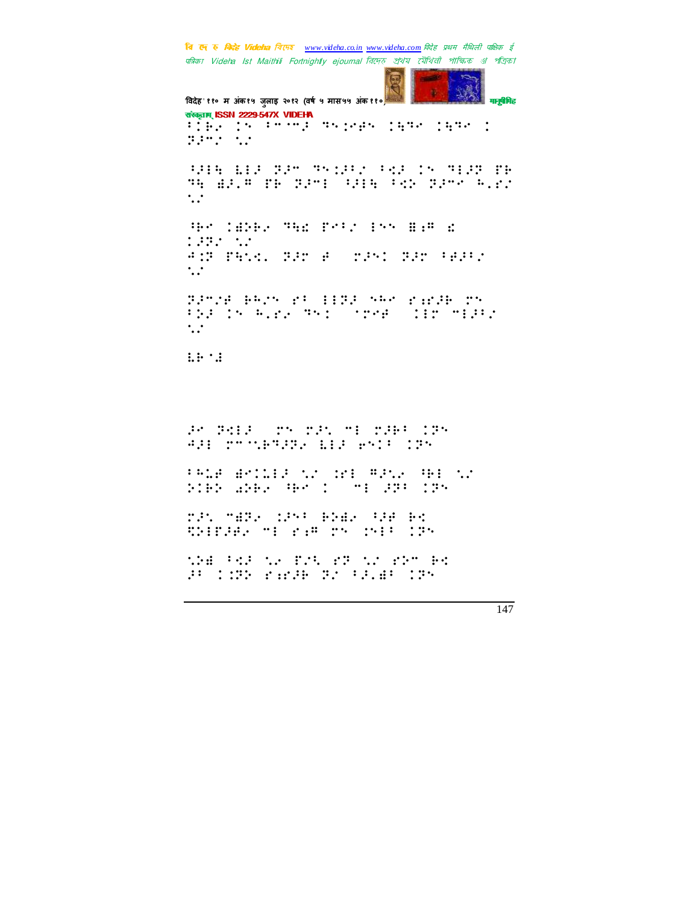**CONTRACT** × 'विदेह' ११० म अंक१५ जुलाइ २०१२ (वर्ष ५ मास५५ अंक ११०) मानुसीरी मानुसीरीह संस्कृतम् ISSN 2229-547X VIDEHA 7. The 15 70 10 10 10 10 10 10 10 10 10 10 10 ⢽⢼5#!⣁#! ⢸⢼⣓!⣇⢼!⢽⢼5!⢹⣈⢼7#!7⣊⢼!!⢹⢼⢽!'⢷! HE EAST THE TATE SAIR SAN TATE READ  $\dddot{\phantom{1}}$ HP (BRE) WAS PRESS IN THE 2 ⢼⢽#!⣁#! ⢺⣈⢽!'⣓⣁⣊Z!⢽⢼!⢾(!⢼!⢽⢼!7⢾⢼7#!  $\dddot{\phantom{1}}$ ⢽⢼5#⢾!⢷⢳#!"7!⢽⢼!⢳!"⣐"⢼⢷!! 7þa in Alex Mont (fre 1880) tir Miast  $\cdot$ ... ⣇⢷ ⣜.28! ⢼!⢽⣊⢼+!!⢼⣁!5!⢼⢷7!⢽! ⢺⢼!5 ⣁⢷⢹⢼⢽⢴!⣇⢼!⢶7!⢽! 7⢳⣅⢾!⣞⣅⢼!⣁#!⣈"!⢻⢼⣁⢴!⢸⢷!⣁#!  $^{\circ}$  X182 (aPR) (BP) (BP) (BP) ⢼⣁!5⣞⢽⢴!⣈⢼7!⢷⢵⣞⢴!⢸⢼⢾!⢷⣊! ⣋⢵'⢼⢾⢴!5!"⣐⢻!!⣈7!⢽! **WHO PER STREET AND THE PROPER** ⢼7!⣈⢽⢵!"⣐"⢼⢷!⢽#!7⢼Z⣞7!⢽!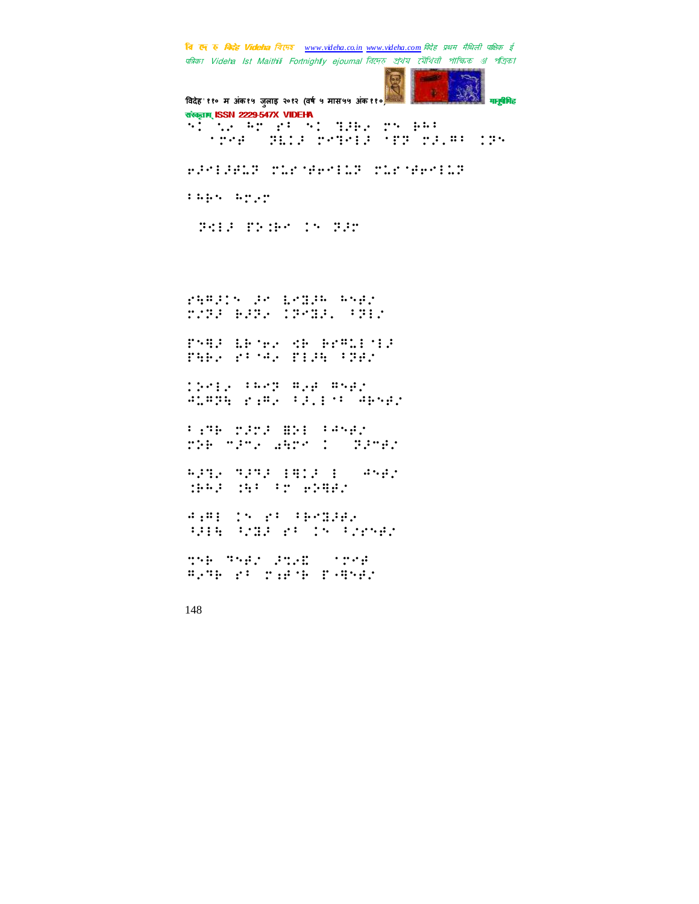'विदेह' ११० म अंक१५ जुलाइ २०१२ (वर्ष ५ मास५५ अंक ११०) मानुसीरी मानुसीरीह संस्कृतम् ISSN 2229-547X VIDEHA ! Y! NA REPORT TO STATE THE PRODUCT #!⢾#!⢽⣇⢼!⣙⢼!'⢽!⢼Z⢻7!⢽! ⢶⢼⢼⢾⣅⢽.⣅" ⢾⢶⣅⢽.⣅" ⢾⢶⣅⢽! 7⢳⢷.⢳⢴! +⢽⣊⢼|'⢵⣈⢷!!⢽⢼~! "⣓⢻⢼!⢼!⣇⣝⢼⢳!⢳⢾#! #⢽⢼!⢷⢼⢽⢴!⢽⣝⢼Z!7⢽#! THE WHITE SECTION THE 'T'' 7 º THE 'THE ⢵⢴!7⢳⢽!⢻⢴⢾!⢻⢾#!  $\frac{1}{2}$ 

7.7% THE THE SECTION OF THE T

**SOB 535 SEPT 100 SEPT 55** 

⢳⢼⣙⢴!⢹⢼⢹⢼!⣛⢼!(!⢺⢾#! ⣈⢷⢳⢼!⣈⣓7!7!⢶⢵⣛⢾#!

 $\frac{7}{7}$ ⢸⢼⣓!⢸#⣝⢼!"7!!7#"⢾#!

⣉⢷!⢹⢾#!⢼⣉⢴⣏!#⢾#! ⢻⢴⢹⢷!"7!⣐⢾ ⢷!'0⣛⢾#!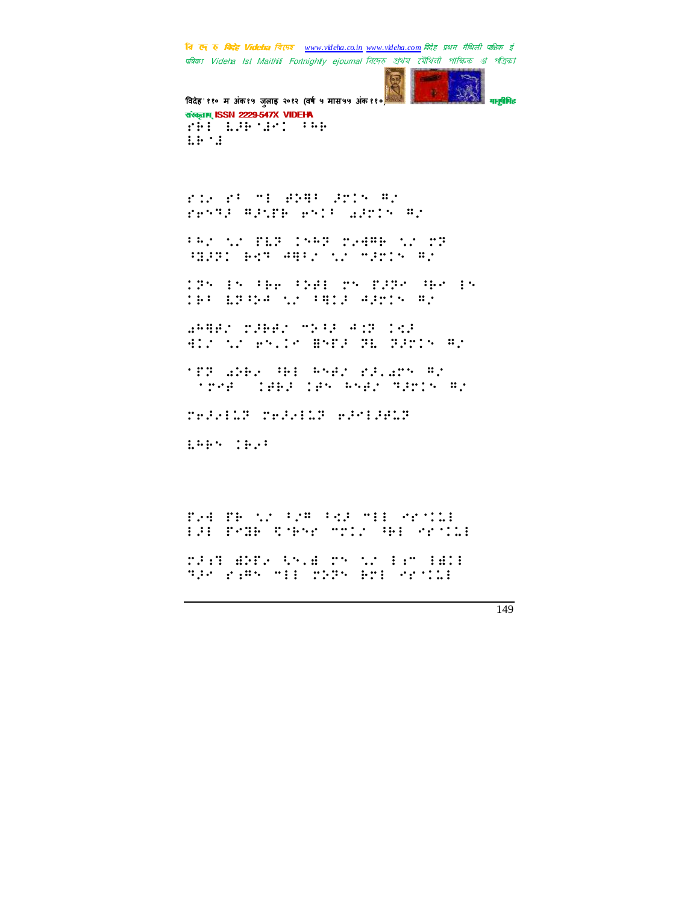

विदेह'११० म अंक१५ जुलाइ २०१२ (वर्ष ५ मास५५ अंक११ संस्कृतम् ISSN 2229-547X VIDEHA ref Labour: One i.i. ti

rik ri mi ayak arin ar resta mande esti garts mo

FAS AS PER 1988 MSHR AS MR HEAT PAT ARE SAMPATCHED

IPS IS THE THE TO FIRE THE IS **CHA APPARTICATED APPIR AT** 

SHEED THEN TRAFFIC TOP HIS NO PRICE BREE HE HANDREN

**TIP AND THE PART PRIAMP RD** Spre (1863) 185 Anglo Sarin Al

relate relate elsiket

ERRY TRAP

THE TRONG ROW REPORT OF MESSER HA POR STREETING REPORTED

MARK BREAKING BY NO FEW FBIE SPACE PARK STILL TO THE BILL SECTION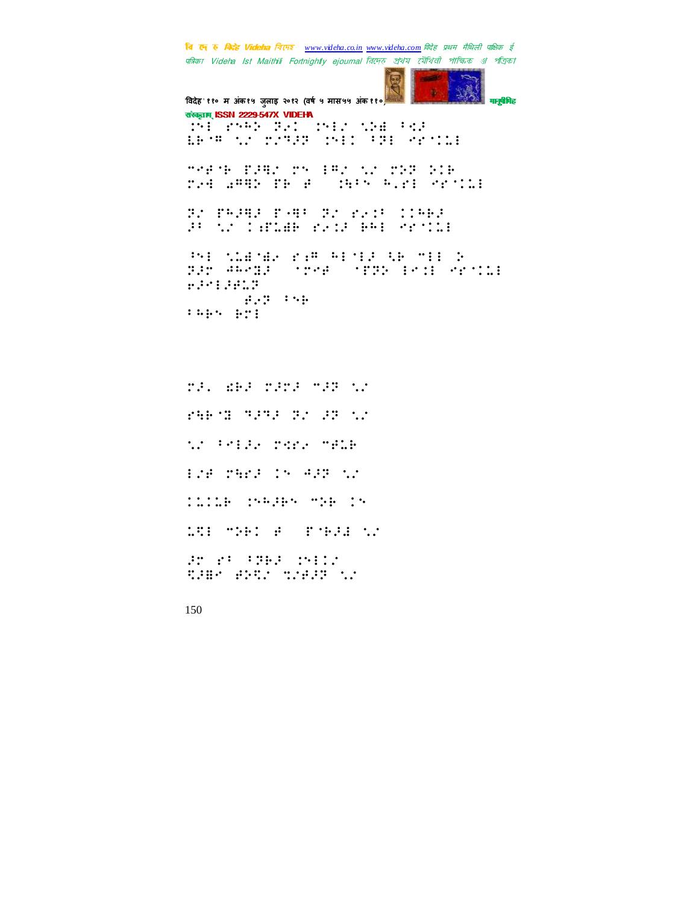'विदेह' ११० म अंक१५ जुलाइ २०१२ (वर्ष ५ मास५५ अंक ११०) मानुसीरी मानुसीरीह संस्कृतम् ISSN 2229-547X VIDEHA ⣈!"⢳⢵!⢽⢴!⣈#!⣁⢵⣞!7⣊⢼! ⣇⢷ ⢻!⣁#!#⢹⢼⢽!⣈!7⢽!" ⣅! 5⢾ ⢷!'⢼⣛#!!⢻#!⣁#!⢵⢽!⢵⢷!  $T^2$   $T^2$   $T^2$   $T^2$   $T^2$   $T^2$   $T^2$   $T^2$   $T^2$   $T^2$   $T^2$   $T^2$   $T^2$   $T^2$   $T^2$   $T^2$   $T^2$   $T^2$   $T^2$   $T^2$   $T^2$   $T^2$   $T^2$   $T^2$   $T^2$   $T^2$   $T^2$   $T^2$   $T^2$   $T^2$   $T^2$   $T^2$   $T^2$   $T^2$   $T^2$   $T^2$   $T^2$  ⢽#!'⢳⢼⣛⢼!'0⣛7!⢽#!"⢴⣈7!⢳⢷⢼! ⢼7!⣁#!⣐'⣅⣞⢷!"⢴⣈⢼!⢷⢳!" ⣅! ⢸!⣁⣅⣞ ⣞⢴!"⣐⢻!⢳ ⢼!⣃⢷!5!⢵!  $\overline{p}$  # =  $\overline{p}$  =  $\overline{p}$  =  $\overline{p}$  =  $\overline{p}$  =  $\overline{p}$  =  $\overline{p}$  =  $\overline{p}$  =  $\overline{p}$  =  $\overline{p}$  =  $\overline{p}$  =  $\overline{p}$  =  $\overline{p}$  =  $\overline{p}$  =  $\overline{p}$  =  $\overline{p}$  =  $\overline{p}$  =  $\overline{p}$  =  $\overline{p}$  =  $\overline{p}$  = ⢶⢼⢼⢾⣅⢽! 3233!⢾⢴⢽!7⢷! 1999 921

 $TZ$   $EZ$   $EZ$   $EZ$   $EZ$   $EZ$ "⣓⢷ ⣝!⢹⢼⢹⢼!⢽#!⢼⢽!⣁#!  $T$  The second second second second second second second second second second second second second second second second second second second second second second second second second second second second second second seco #⢾!⣓"⢼!!⢺⢼⢽!⣁#! ⣅⣅⢷!⣈⢳⢼⢷!5⢵⢷!! ⣅⣋!5⢵⢷!⢾(!' ⢷⢼⣜!⣁#! ⢼!"7!7⢽⢷⢼!⣈#! ⣋⢼⣟!⢾⢵⣋#!⣉#⢾⢼⢽!⣁#!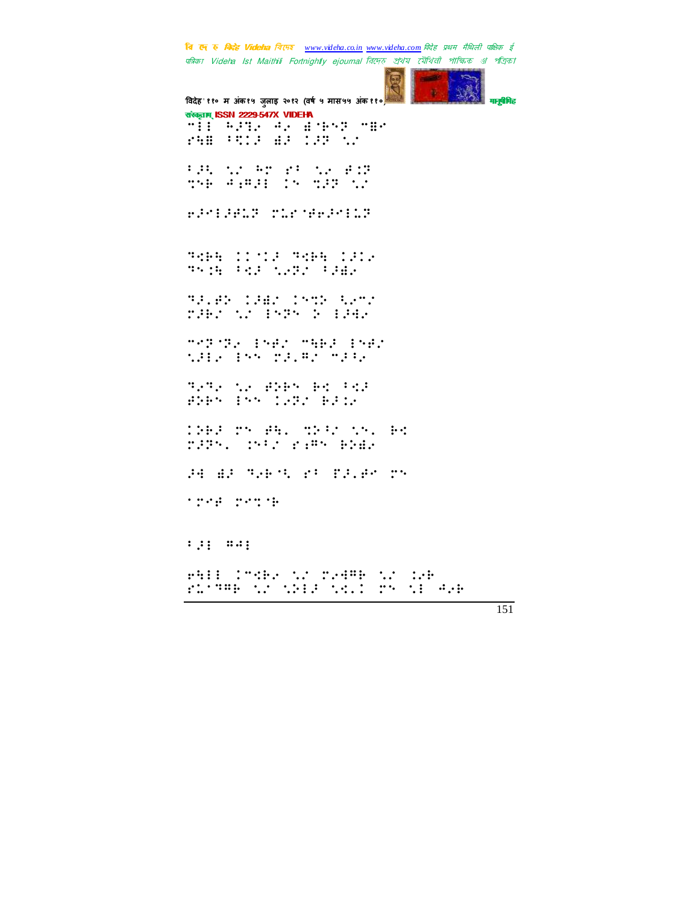ia l

 $\frac{1}{2}$ 

| विदेह' ११० म अंक१५ जुलाइ २०१२ (वर्ष ५ मास५५ अंक११०) आहे<br>मानुबेमिह |      |
|----------------------------------------------------------------------|------|
| संस्कृतम् ISSN 2229-547X VIDEHA                                      |      |
| <u> 11 ASTA AA ANDS TER</u>                                          |      |
| <b>PAR PRID AR 100 12</b>                                            |      |
| P.B. (2015) And at 1 (2016) A 22                                     |      |
| THE #4#2: IN TEP 12                                                  |      |
|                                                                      |      |
| <b>WEBST TEMPERING</b>                                               |      |
|                                                                      |      |
| TABE (1912-TABE 1212)<br>Those Palomatic Play                        |      |
|                                                                      |      |
| <b>TAVAR CABA CRON RATA</b>                                          |      |
| THE AT INTE D INE                                                    |      |
|                                                                      |      |
| MARINE (PART MARK (PAR                                               |      |
| the Enn prompt made                                                  |      |
|                                                                      |      |
| Sana ta Bibb bi Pip                                                  |      |
| SHR PR LOT BIL                                                       |      |
|                                                                      |      |
| THE TY HE TRACK AND HO                                               |      |
| THE STATE FIRE BIG                                                   |      |
|                                                                      |      |
| Side they at place to                                                |      |
|                                                                      |      |
| tre rette                                                            |      |
|                                                                      |      |
| $:$ $:$ $:$ $$                                                       |      |
|                                                                      |      |
| PHIL COMPA NA MARRE NA CAR                                           |      |
| MATHE AN ANIS AND<br>$\mathcal{L}$ : $\mathcal{L}$ , $\mathcal{L}$ : |      |
|                                                                      | 1.71 |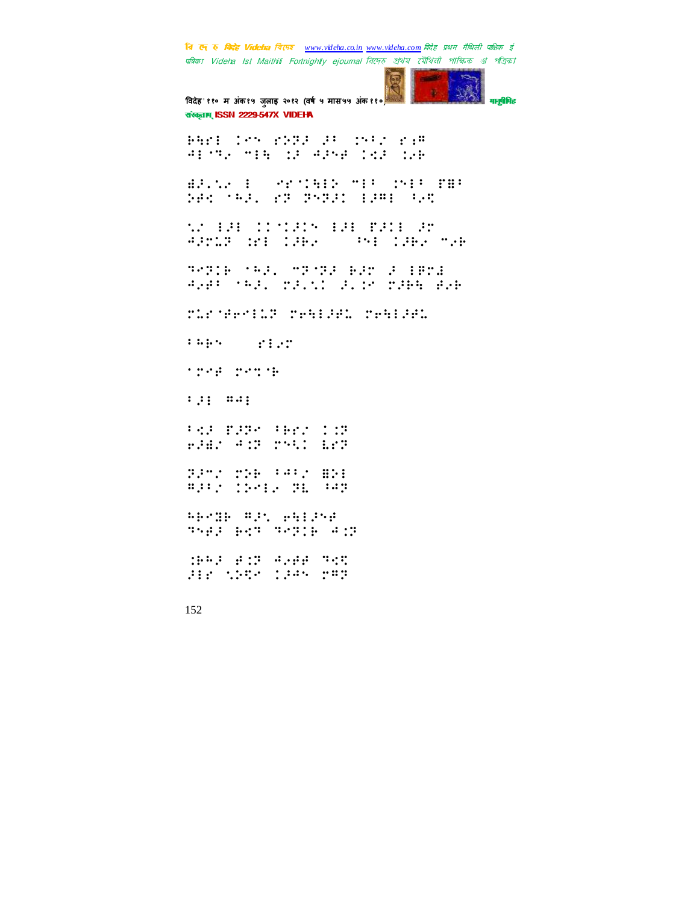विदेह' ११० म अंक१५ जुलाइ २०१२ (वर्ष ५ मास५५ अंक ११०) मानुसारी मानुसीमेह संस्कृतम् ISSN 2229-547X VIDEHA HET !!" THE THE THE T ⢺ ⢹⢴!5⣓!⣈⢼!⢺⢼⢾!⣊⢼!⣈⢴⢷! ⣞⢼Z⣁⢴!(!" ⣓⢵!57!⣈7!'⣟7! ⢵⢾⣊!⢳⢼Z!"⢽!⢽⢽⢼!⢼⢻!⢸⢴⣋! W HA CONSIN HA FAIL AT ⢺⢼⣅⢽!⣈"!⢼⢷⢴!-!⢸!⢼⢷⢴!5⢴⢷! ⢹⢽⢷!⢳⢼Z!5⢽ ⢽⢼!⢷⢼!⢼!⢿⣜! ⢺⢴⢾7!⢳⢼Z!⢼Z⣁!⢼Z⣈!⢼⢷⣓!⢾⢴⢷! ⣅" ⢾⢶⣅⢽.⢶⣓⢼⢾⣅.⢶⣓⢼⢾⣅! THE STREET **TERRIT COMMENT** 7.00 000 000 000 7⣊⢼!'⢼⢽!7⢷"#!⣈⢽! ⢶⢼⣞#!⢺⣈⢽!⣃!⣇"⢽! ⢽⢼5#!⢵⢷!7⢺7#!⣟⢵! ⢻⢼7#!⢵⢴!⢽⣇!⢸⢺⢽! ⢳⢷⣝⢷!⢻⢼⣁!⢶⣓⢼⢾! ⢹⢾⢼!⢷⣊⢹!⢹⢽⢷!⢺⣈⢽! ⣈⢷⢳⢼!⢾⣈⢽!⢺⢴⢾⢾!⢹⣊⣋!

152

 $jj$  :  $jj$   $jj$   $k$   $j$   $j$   $k$   $j$   $k$   $j$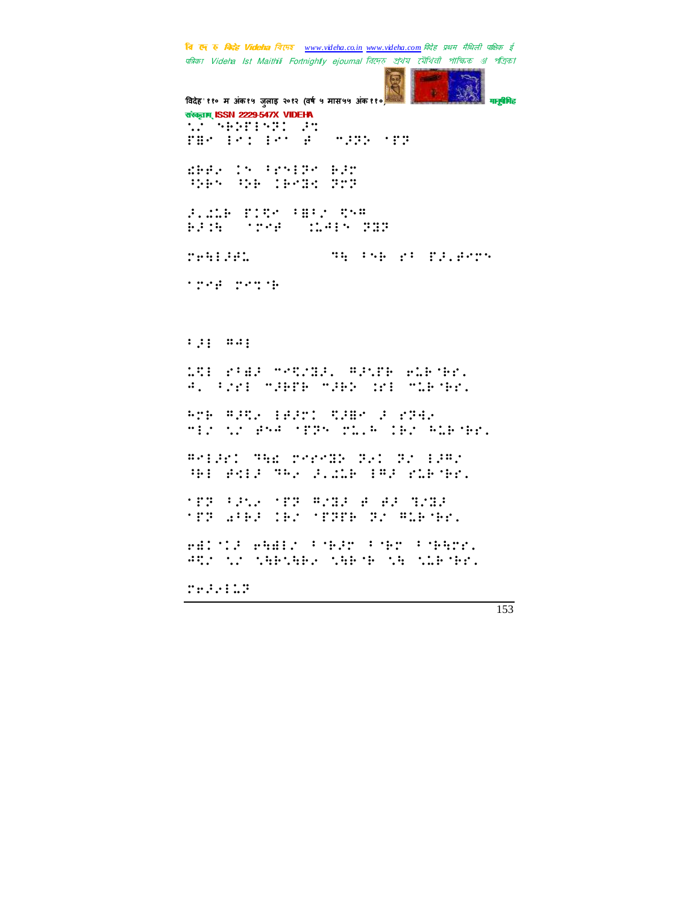बि एक रु क्रिके Videha विरमर www.videha.co.in www.videha.com विदेह प्रथम मैथिली पाक्षिक ई पत्रिका Videha Ist Maithili Fortnightly ejournal রিদেত প্রথম মৌথিনী পাক্ষিক প্রা পত্রিকা विदेह'११० म अंक१५ जुलाइ २०१२ (वर्ष ५ मास५५ अंक११ नाम<mark>ब</mark>ेमिड संस्कृतम् ISSN 2229-547X VIDEHA **ART SEPTEST ST** FBP EP: EP: B (2005) 1FF deep in tripp esp the the fects 202 **SAMP TAY INTERNATIONAL** BJ08 (2208) 11415 222 THE PHE PP PRINTS Tehlas. trea renda  $1, 1, 1, 2, 3, 4, 5$ 191 PHP SPORT RENTH RIFTER. A. Pres Maker Make of Mikers. And Water Baar: Tame a rowe MED NO BRACKERS MELROIED REPORT. #PERC THE TREPHE RAD RE EPRE HE ROLE THAN FILLE ITE PLETER. \*\*\* \*\*\* \*\*\* \*\*\* \*\*\* \* \*\* \*\*\* **TER AFRICANT TERRE RECRETER.** FEDORA FAELS PORTED PORT PRATE. ARY NY NAPIARA NAPOR NA NIPORT. Teletiar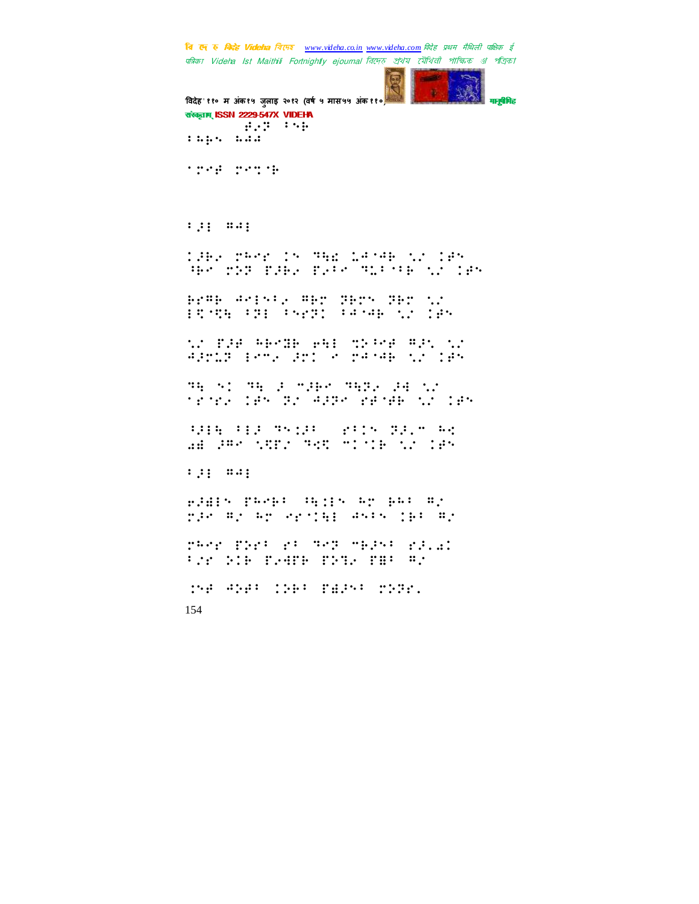चि एक रु *विदेह Videha चिए*न्छ <u>www.videha.co.in www.videha.com</u> विदेह प्रथम मैथिली पाक्षिक ई पत्रिका Videha Ist Maithili Fortnightly ejournal রিদেহ প্রথম মৌথিনী পাক্ষিক গ্র পত্রিক। 'विदेह' ११० म अंक१५ जुलाइ २०१२ (वर्ष ५ मास५५ अंक ११०) मानुष्या मानुषिमह संस्कृतम् ISSN 2229-547X VIDEHA 154 2333!⢾⢴⢽!7⢷!  $1$  in j.e. in the final ⢾!⣉ ⢷! 7⢼!⢻⢺!  $\overline{1}$ .PHz (Phr)  $\overline{1}$  .Phr)  $\overline{1}$  .Phr)  $\overline{1}$  $^+$  Hendrik Tiles in the state of the state of the state of the state of the state of the state of the state of the state of the state of the state of the state of the state of the state of the state of the state of the s €:#6 XXX + XXX + XXX + XXX + XXX + XXX + XXX + XXX + XXX + XXX + XXX + XXX + XXX + XXX + XXX + XXX + XXX + XXX  $\pm$ 5395  $\pm$ 751  $\pm$ 4746 12 1870 ⣁#!'⢼⢾!⢳⢷⣝⢷!⢶⣓!⣉⢵⢸⢾!⢻⢼⣁!⣁#! ⢺⢼⣅⢽!5⢴!⢼!!⢺ ⢺⢷!⣁#!⢾! ⢹⣓!!⢹⣓!⢼!5⢼⢷!⢹⣓⢽⢴!⢼⣚!⣁#! " "⢴!⢾!⢽#!⢺⢼⢽!"⢾ ⢾⢷!⣁#!⢾! ⢸⢼⣓!7⢼!⢹⣈⢼7(!"7!⢽⢼Z5!⢳⣊! ⣔⣞!⢼⢻!⣁⣋'#!⢹⣊⣋!5 ⢷!⣁#!⢾!! 7.9 : 3.4 :  $, . . . . . . . . . . . . . . . . . .$ ⢼!⢻#!⢳!" ⣓!⢺7!⢷7!⢻#! TRAP ENT FA THE TRAP FALL 7#"!⢵⢷!'⢴⣚'⢷!'⢵⣙⢴!'⣟7!⢻#! ⣈⢾!⢺⢵⢾7!⢵⢷7!'⣞⢼7!⢵⢽"Z!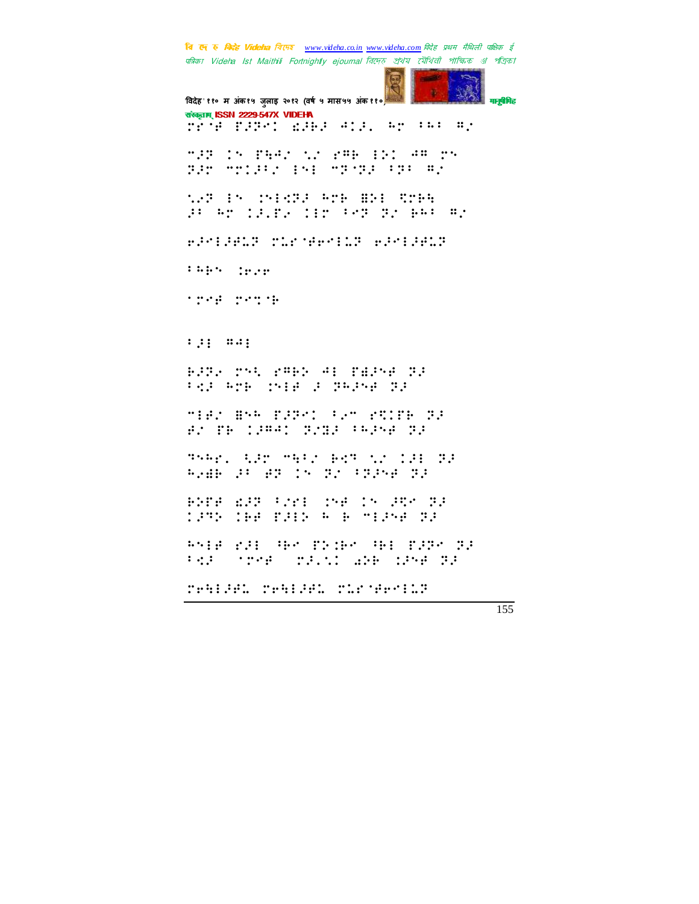विदेह' ११० म अंक१५ जुलाइ २०१२ (वर्ष ५ मास५५ अंक११० मानुबैमिह संस्कृतम् ISSN 2229-547X VIDEHA rêjê pirs kibi dil, me bu me MAR IN PHAZ NO PAR INDUAR DN FR: "TIPS 151 "FTF-FT" #2 1.3 In Third: Are Hill Stee PROBLEM IN PROPERTIES ROCKER COMMERCIAL ROCKER  $1.444$   $1.444$ **TOPS DATE:**  $1, 1, 1, 2, 3, 4, 5$ BOS THE PASS AT THINK TO PAP ATE INTE 2 PAPME BE MIRS BYA PARKI FAM BRIDE RA 8: PE 13841 B203 (6358 B3 3582. USB 3892 BE3 12 138 33 **B.AD 31 87 15 31 315 425 73** BHP 237 (231 154 15 356 33 1995 IBB B315 A B MISSE B3 ANIA MAI ARM TRIAM AR TATM TA Part (1984) States and Canal Ta realist realist nursers: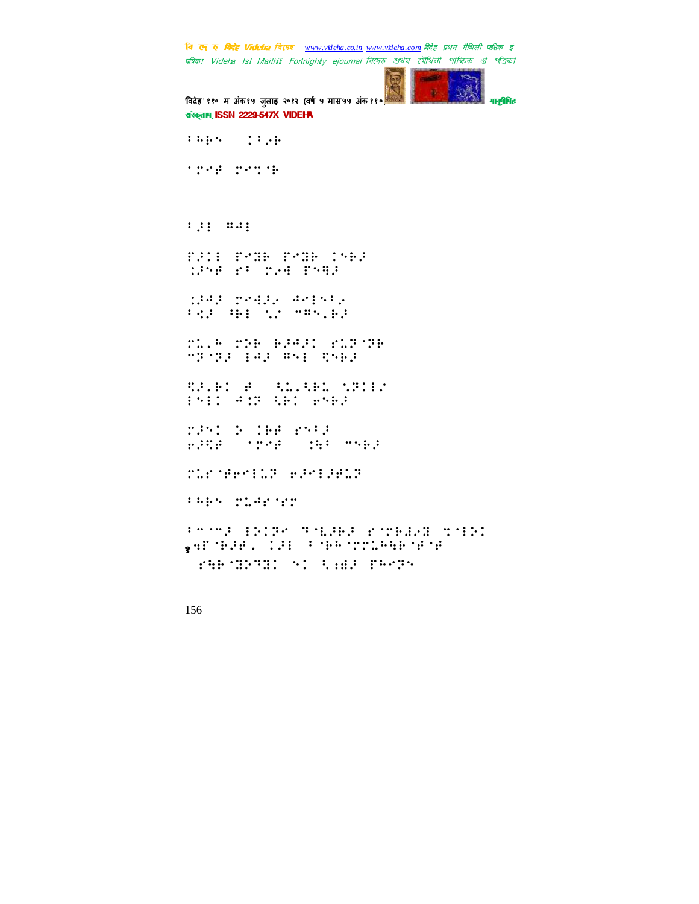चि एक रु *विदेह Videha चिए*न्छ <u>www.videha.co.in www.videha.com</u> विदेह प्रथम मैथिली पाक्षिक ई पत्रिका Videha Ist Maithili Fortnightly ejournal রিদেহ প্রথম মৌথিনী পাক্ষিক গ্র পত্রিক। 'विदेह' ११० म अंक १५ जुलाइ २०१२ (वर्ष ५ मास५५ अंक ११०) मानुसीरी मानुसीरीहरू संस्कृतम् ISSN 2229-547X VIDEHA 7.5 PM 2012 **TERE ERRITH** 7.31 mai '⢼!'⣝⢷!'⣝⢷!⢷⢼! ⣈⢼⢾!"7!⢴⣚!'⣛⢼! ⣈⢼⢺⢼!⣚⢼⢴!⢺7⢴! 7SZ PRESS PRESS  $\mathcal{T} \mathcal{L} \mathcal{L} \mathcal{L} \mathcal{L} \mathcal{L} \mathcal{L} \mathcal{L} \mathcal{L} \mathcal{L} \mathcal{L} \mathcal{L} \mathcal{L} \mathcal{L} \mathcal{L} \mathcal{L} \mathcal{L} \mathcal{L} \mathcal{L} \mathcal{L} \mathcal{L} \mathcal{L} \mathcal{L} \mathcal{L} \mathcal{L} \mathcal{L} \mathcal{L} \mathcal{L} \mathcal{L} \mathcal{L} \mathcal{L} \mathcal{L} \mathcal{L} \mathcal{L} \mathcal{L} \mathcal{L} \mathcal{L}$ 5⢽ ⢽⢼!⢺⢼!⢻!⣋⢷⢼! ⣋⢼Z⢷!⢾(!⣃⣅Z⣃⢷⣅!⣁⢽#! !⢺⣈⢽!⣃⢷!⢶⢷⢼! ⢼!⢵!⢷⢾!"7⢼! ⢶⢼⣋⢾!#⢾#!⣈⣓7!5⢷⢼! ⣅" ⢾⢶⣅⢽.⢶⢼⢼⢾⣅⢽! 7⢳⢷!⣅⢺" "! 75 5⢼!⢵⢽!⢹ ⣇⢼⢷⢼!" ⢷⣜⢴⣝!⣉ ⢵! १⣒' ⢷⢼⢾⣀!⢼!7 ⢷⢳ ⣅⢳⣓⢷ ⢾ ⢾! )"⣓⢷ ⣝⢵⢹⣝!!⣃⣐⣞⢼!'⢳⢽\*!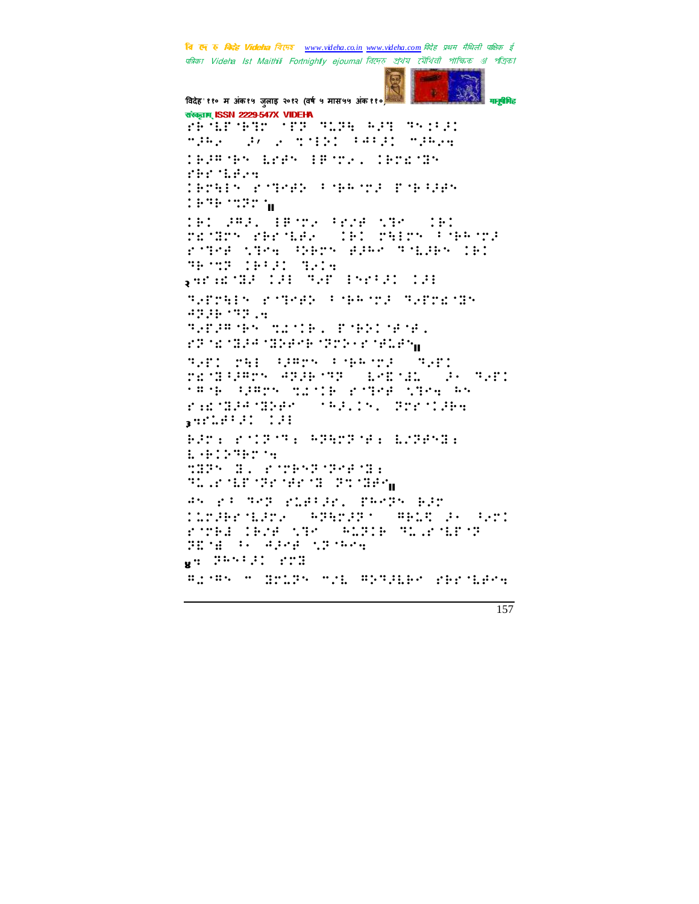विदेह' ११० म अंक१५ जुलाइ २०१२ (वर्ष ५ मास५५ अंक११०) मनुषेभिह संस्कृतम् ISSN 2229-547X VIDEHA FRANCHE TER BLEE AFT BYTER many and money cards many **CEAPTER EPAR IBMS. CEPEMBR** first factor TEMEN ROBARY FORESTRIP ENERGY  $1.9791122111$ IBI PRAY BENDA PENESTRO ( vel 252, from Spar Med (16)<br>Decrem genomes (16) parts foreona rings the German Remoted in **SEMS INSTALLS** personal Cal Mar Englat Cal SAPPAIN RITHAR FINANCE SAPPRIDE 4228.112.4 SAMARA MENDEL PARTNENEL ar na nasa nabana nabana nawan<sub>in</sub> THIS MAIL SHAMPS SCHARUNG THIS rendaares agabhay (bebnad) as mar: fere there with robe when he rangement (Aller Schriften  $3$  and  $399.31 - 1.31$ FATI POIPORE PRETTER EZRENDE  $1.401299299$ **THE H. PUPPETHERS TELEMIE VERMENTE POMIEM** AN PROPER PLATING TRATH BIT TEMPER REMOVABLE PROVIDED BET rocha (Bre Schoolwach colrobroc BEAR & APAR SPARA  $g$ a 2559.31 273 Riche w Brige will Royaler services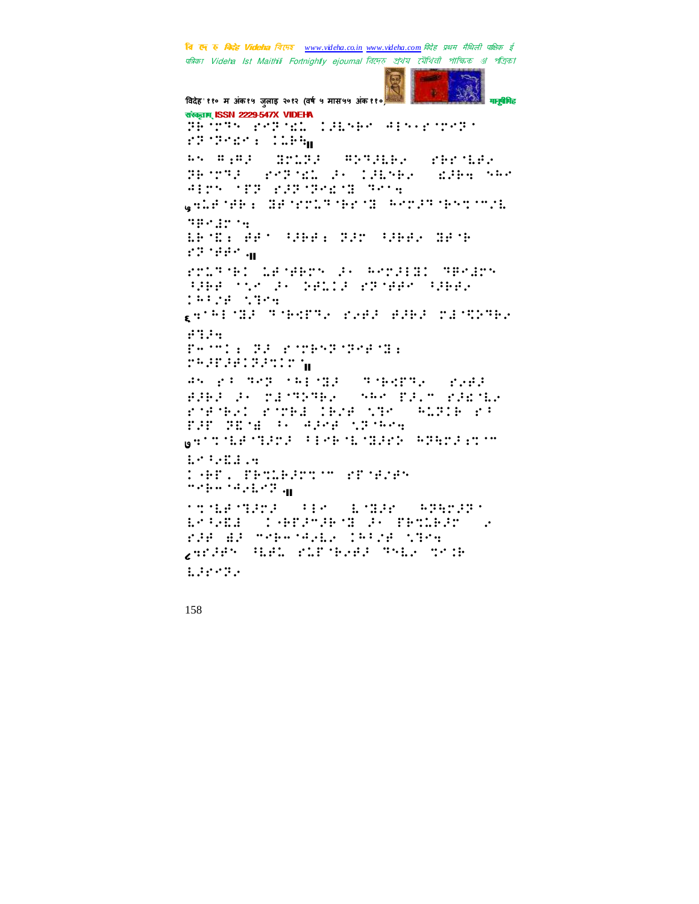विदेह' ११० म अंक१५ जुलाइ २०१२ (वर्ष ५ मास५५ अंक११०) मानुबैमिह संस्कृतम् ISSN 2229-547X VIDEHA BE TORN SPORTED I SENERO ALNOSTICARI richer : Chem STORE SPRING PROBLEM  $\mathbf{a} \cdot \mathbf{a} = \mathbf{a} \cdot \mathbf{a}$ BETTE POTTEL E LEDER **Called Star** APPS THE ESP TEETH TELL QHLP MP : GP MMLT MP M APMPT MPM MML **HEPACHING** Bros Aft Whiter Man Wheelert **PROPERTY** POLTARI LEABRON PO PODPIBI TEMBOS SHE TO A GRID STYER SHEE 19928 1384 perminds theory, publicides planners  $f:1.14$ Fermia 32 simple3 definit **PRAPARTHERS** AN PROTECT TRETHER OF THEFT POSSESS BORD DO MINIMUM **SAMPLE PROPERTIES**  $\begin{array}{ccc}\n\text{Hilb} & \text{Hilb} & \text{Hilb} \\
\text{Hilb} & \text{Hilb} & \text{Hilb} \\
\text{Hilb} & \text{Hilb} & \text{Hilb} \\
\text{Hilb} & \text{Hilb} & \text{Hilb} \\
\text{Hilb} & \text{Hilb} & \text{Hilb} \\
\text{Hilb} & \text{Hilb} & \text{Hilb} \\
\text{Hilb} & \text{Hilb} & \text{Hilb} \\
\text{Hilb} & \text{Hilb} & \text{Hilb} \\
\text{Hilb} & \text{Hilb} & \text{H$ rnened ruma dece den EST PENE POSPER SPORT **GAMMINE MESSAGE AREA SERVER ASSOCIATE** ESPECIAL **CONTRACTED AND SERVICE SERVICE SERVICE** media ravierd an **TANK THANK THE STATE STATES** Bright (1982-363 S. Sander  $\mathbf{r}$ rde de membergen (Afrik Stea garden (Bell rif Goed Shee Show Edentis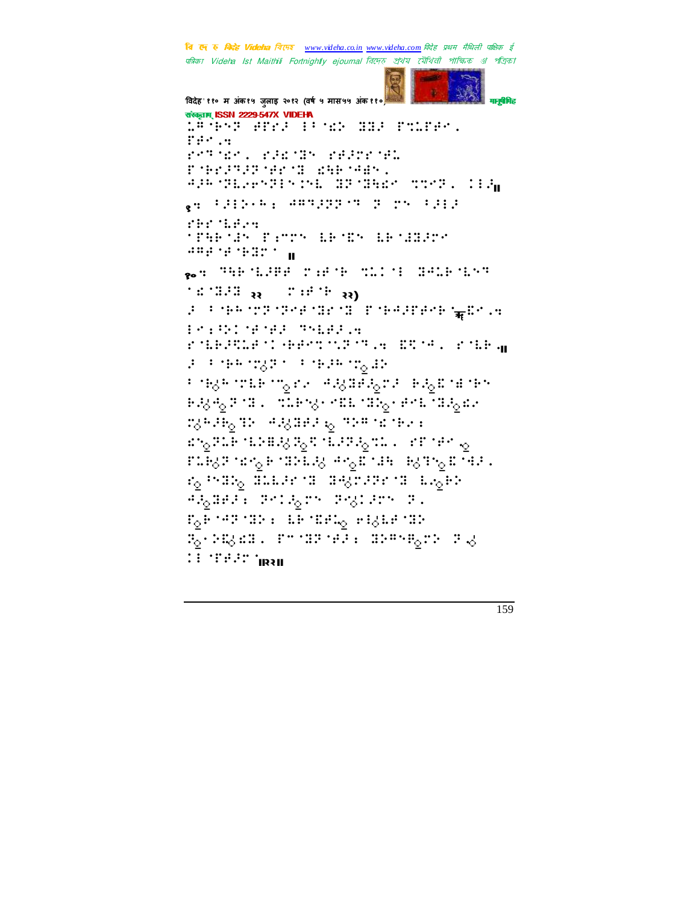म**नुबे**मिह विदेह' ११० म अंक१५ जुलाइ २०१२ (वर्ष ५ मास५५ अंक ११०) संस्कृतम् ISSN 2229-547X VIDEHA LA GAS SPEED IN MAR HELD POLESM. First State rendre, rardin reached. PORTHUR SENSIGNS APP TERRITS IN SPIER STYL SIG  $_{2}$  : :::  $\cdot$  :  $\cdot$  :  $\cdot$  :  $\cdot$  :::::  $\cdot$  :  $\cdot$  :  $\cdot$  :::: che dialen **TERMIN FININGEMENT ERMINENT**  $\frac{1}{2}$  and the theory of  $\frac{1}{2}$ **Research Service Service Construction** a componentar di presenere genera POSSESSOR THEFT rolegale visego va dise sa se se crites.  $\mathcal{F} \stackrel{\text{def}}{=} \mathcal{F} \oplus \mathcal{F} \oplus \mathcal{F} \oplus \mathcal{F} \oplus \mathcal{F} \oplus \mathcal{F} \oplus \mathcal{F} \oplus \mathcal{F} \oplus \mathcal{F} \oplus \mathcal{F} \oplus \mathcal{F} \oplus \mathcal{F} \oplus \mathcal{F} \oplus \mathcal{F} \oplus \mathcal{F} \oplus \mathcal{F} \oplus \mathcal{F} \oplus \mathcal{F} \oplus \mathcal{F} \oplus \mathcal{F} \oplus \mathcal{F} \oplus \mathcal{F} \oplus \mathcal{F}$ Finede museum and all advance search new PROSPICE CORPORATE CROSSES CROSS DOMESTIC HARRIFLES TO THE SECTION बाह्यप्रक्रियात्मान्तुं श्रुपं योजगन्तुयो । ज्या प्रस्त<sub>ाद</sub>  $\mathrm{mH}$  and  $\mathrm{m}$  and  $\mathrm{m}$  and  $\mathrm{m}$  and  $\mathrm{m}$  and  $\mathrm{m}$ ro maro aller na degreer na Eropr PAGBER: POLAGON POSTED PL  $\mathbb{F}_0\widetilde{\mathbb{F}}$  terms of the metropological case RockBad. Production demonstrate  $\mathbb{R}^n$  :  $\mathbb{R}^n$  :  $\mathbb{R}^n$  is a set  $\mathbb{R}^n$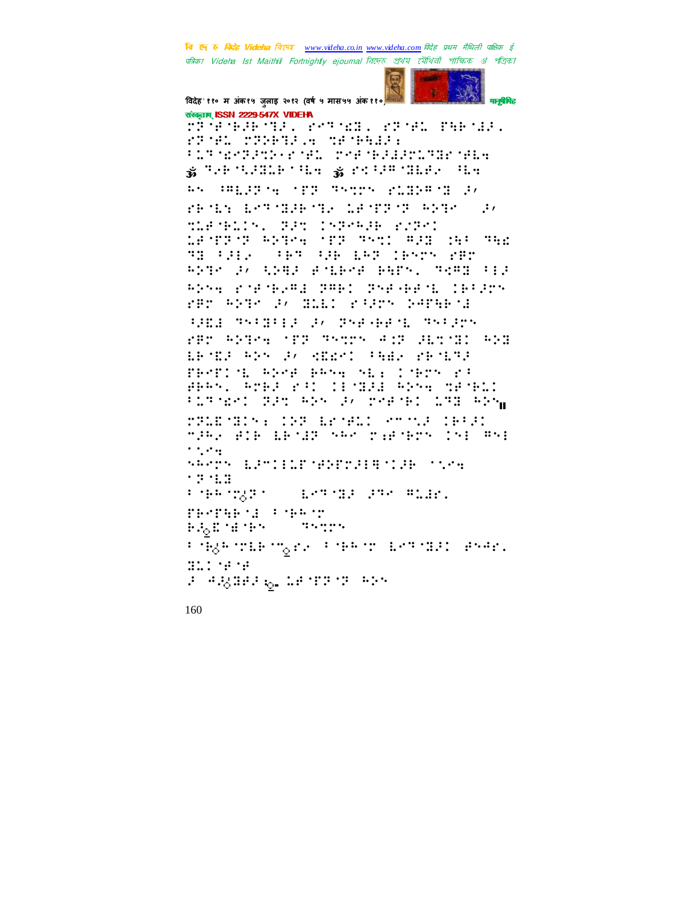**बि एक रु** *बिर्दह Videha विए***नर** www.videha.co.in www.videha.com विदेह प्रथम मैथिली पाक्षिक ई पत्रिका Videha Ist Maithili Fortnightly ejournal तिरमरु প্রথম মৌথিনী পাক্ষিক ্যা পত্রিকা



संस्कृतम् ISSN 2229-547X VIDEHA righthur annual right cheal. STOR TREES TREES **FIRMS ENDING THE STATE OF STATES** % "HEREIN THE % PORTHER THE as degree off serve runsers ro PRODUCTS ENTORPHICATE AND THE SERVICE REPORTS OF A TERMELING PRO INPERIE FURNI LANTANT RETEWNITES TEST RED IN THE THE FILE OF THE SIDE LATE CHATA STR 8238 F. C28F FALESE E5PA, 7898 FIF RESA PORTBERG PRES PSEARCH (PROPS FAR ANTE SA HILL FANN NAPARA SPEE THIRD AN INFORME THIRD FRO ANGEL TER SECON AIR JECTED AND ERSEPTED (2) SERVITAER PROBAB PROPINE ROOF RROW NEEDINGS PP APPA, Pred rat closed Apparatus FLAMENT BET RES EX PREMED LAB RESU ralburg: 198 broad and 1992 make Bib LEMAR SAR papiners info@st  $\gamma$  ,  $\gamma$  ,  $\gamma$ SPARS EPVILLE MEERING TO MAG  $2.321$  $1.194.1231$ a de la componeción de la contrada de la contrada de la contrada de la contrada de la contrada de la contrada <br>En la contrada de la contrada de la contrada de la contrada de la contrada de la contrada de la contrada de la **THOTANYA PARTY**  $\mathbf{r}$  and  $\mathbf{r}$  and  $\mathbf{r}$  and  $\mathbf{r}$ **FALMENT** Fined for the copyright of the constant of a series. Hill te te 2 HASBER W. WENTENT (PP)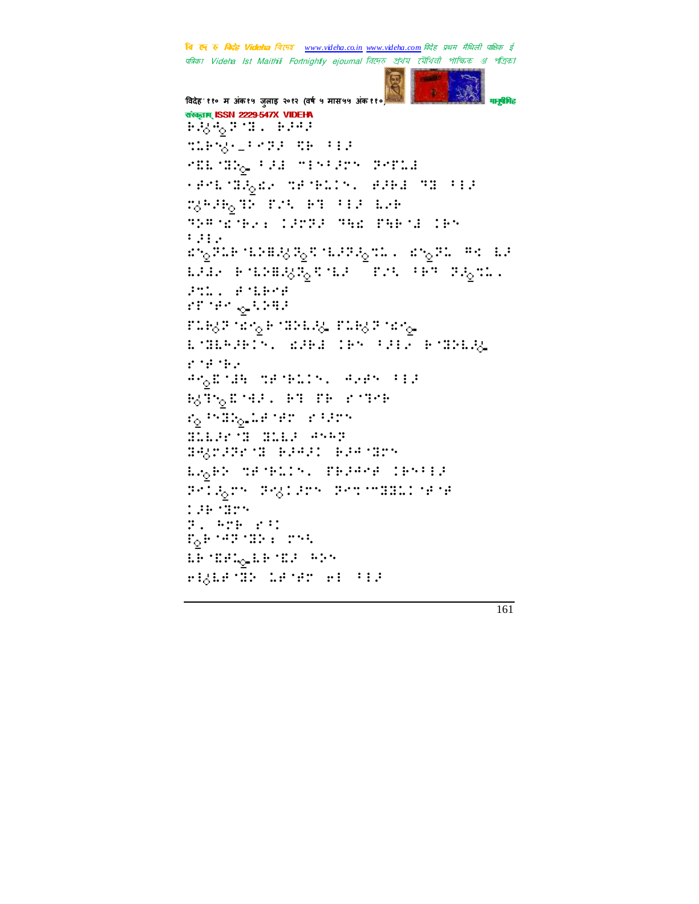```
मनुबेमिह
विदेह'११० म अंक१५ जुलाइ २०१२ (वर्ष ५ मास५५ अंक११
संस्कृतम् ISSN 2229-547X VIDEHA
4.8%27%, 42%2
TLPNG _ FRTH TH TEP
empende fall mintern derma
Herboar<sub>g</sub>er de relich. Great dat Far
MARE TO PT HIS LAR
THROUGH CHILD THE FUEL CEN
: 1: .\mathfrak{a} \gamma_0 \mathbb{P} \mathbb{L} \mathbb{H} \cap \mathbb{L} \mathbb{P} \mathbb{H} \otimes \mathbb{P} \mathbb{P} \mathbb{P} \cap \mathbb{L} \mathbb{P} \mathbb{P} \mathbb{P} \cap \mathbb{L} \mathbb{P} \subset \mathbb{R} \gamma_0 \mathbb{P} \mathbb{L} \subset \mathbb{P} \gamma_0 \cap \mathbb{L} \mathbb{P}LADE FOLDERS WORLD FINE FEW PRODUCT
SALL BALESS
\mathcal{C} \mathcal{D} \mathcal{D} \mathcal{D} \subset \mathbb{Q}^{1,1,2,3,1,2}FLEJF 1478 E 1894.FLEJF 1478.
EMBRARING EARD IRN FALL ROBBIN
\mathcal{C}^{(1)}\mathcal{C}^{(1)} . Then
Program de relativa (Poem 119
BOTH EMPLE PERFORMER
so thanglish terms to their
MARK MARK SERIES
BQTPP S PPPH PPPH
EAGEN METERING TEAPPE IENFIA
Philagen (Physiken) Photographical relig
1.34 - 3.94F. 578 FU
\mathbb{F}_2 is that the contribution of the \mathbb{F}_2LE MELGIE MES SPA
FREEDWAY FOR THE
```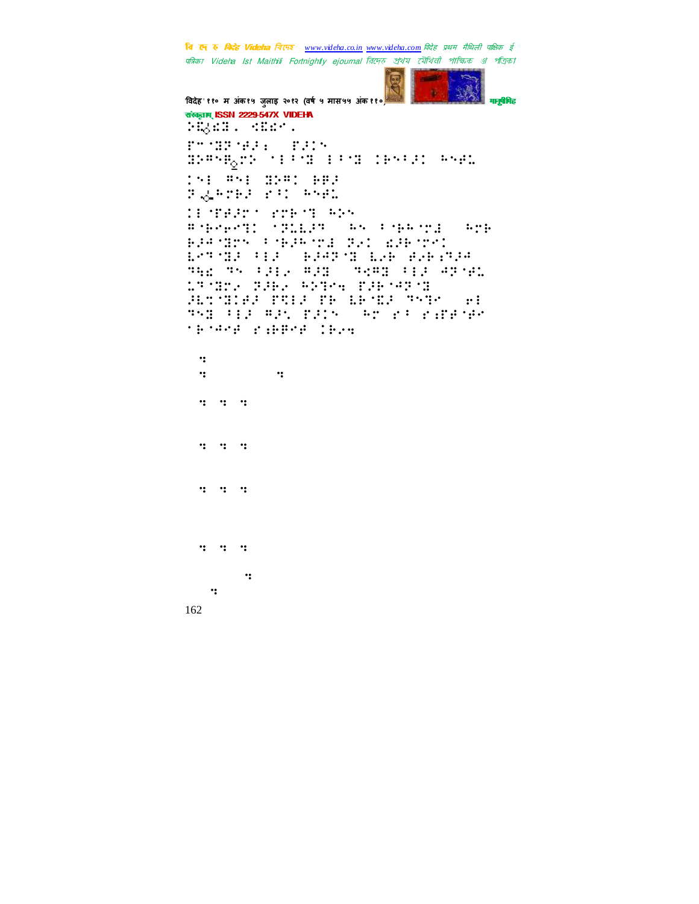

विदेह' ११० म अंक१५ जुलाइ २०१२ (वर्ष ५ मास५५ अंक ११०) मानुसीरी मानुसीरीहरू संस्कृताम् ISSN 2229-547X VIDEHA 162 CEG#H. <HP. '5 ⣝⢽ ⢾⢼⣐.!'⢼! BRPH<sub>o</sub>rR 1999 BP1B IBN921 PNBL. !!! **!!!!** J,  $\mathbb{R}^+$  . The state of the state  $\mathbb{R}^+$ B NHPHPI ⁄ ZILPT (AN POBRONI (ANE) ⢷⢼⢺ ⣝!7 ⢷⢼⢳ ⣜!⢽⢴!⣎⢼⢷ ! ⣇⢹ ⣝⢼!7⢼-!⢷⢼⢺⢽ ⣝.⣇⢴⢷-⢾⢴⢷⣐⢹⢼⢺-! THE THAT FILE THE THE FILE THE SEL ⣅⢹ ⣝⢴!⢽⢼⢷⢴!⢳⢵⣙⣒!'⢼⢷ ⢺⢽ ⣝! ⢼⣇⣉ ⣝⢾⢼!'⣋⢼!'⢷!⣇⢷ ⣏⢼!⢹⣙-!⢶! ⢹⣝!7⢼!⢻⢼⣁!'⢼-!⢳!"⢸!"⣐'⢾ ⢾! ⢷ ⢺⢾0"⣐⢷⢿⢾!⢷⢴⣒! 9. WJEFIBIBI GEOGRAFIE 9⣒2!up!9⣒4!NBJUIJMJ!  $9:2:2:2$  $9:2:2:2$  $9 - 2 - 2$  $9:2:2:2$ cz! Esperant March 2000 (Sbkiw!) Daniel March 2000 (Sbkiw!)  $\mathbb{R}^n$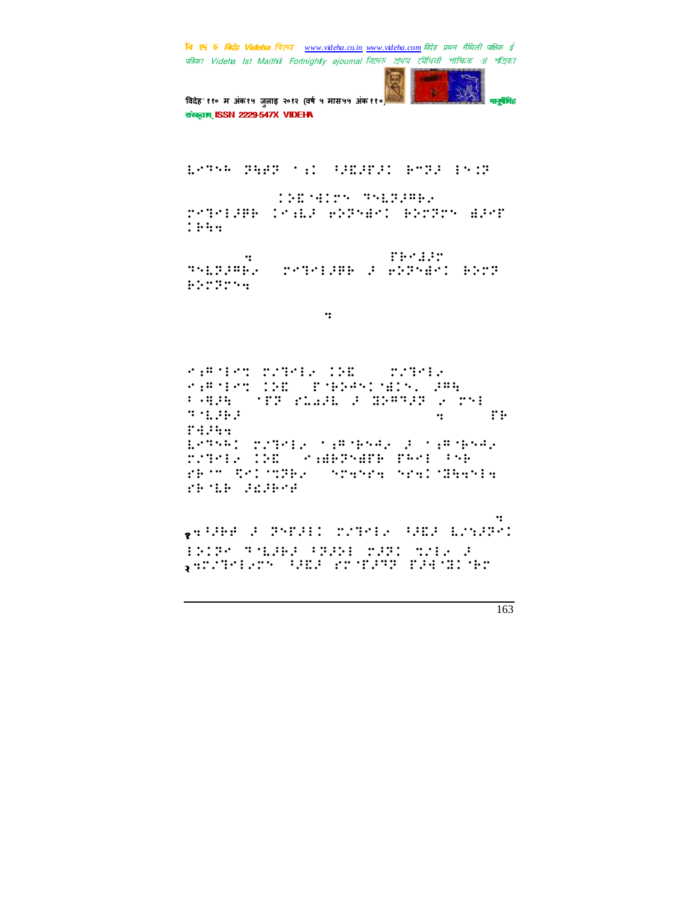

'विदेह' ११० म अंक१५ जुलाइ २०१२ (वर्ष ५ मास५५ अंक ११०) मानुसीरी मानुसीरीह संस्कृतम् ISSN 2229-547X VIDEHA

⣇⢹⢳!⢽⣓⢾⢽!⣐!⢸⢼⣏⢼'⢼!⢷5⢽⢼.⣈⢽!!!

Joqvu;!)⢵⣏ ⣚!⢹⣇⢽⢼⢻⢷⢴-!

⣙⢼⢿⢷!⣐⣇⢼!⢶⢵⢽⣞.⢷⢵⢽!⣞⢼'!  $:$   $:$   $:$   $:$   $:$ 

Spnake<br>Spnbowy (1911-1986) Spnake ⢹⣇⢽⢼⢻⢷⢴-!⣙⢼⢿⢷!⢼!⢶⢵⢽⣞.⢷⢵⢽0! ⢷⢵⢽⣒!Sftvmu!jo!Efwbobhbsj-!

Spield (Spield Control)

⣐⢻ ⣉.#⣙⢴.⢵⣏!0!#⣙⢴.  $^{\circ}$   $^{\circ}$   $^{\circ}$   $^{\circ}$   $^{\circ}$   $^{\circ}$   $^{\circ}$   $^{\circ}$   $^{\circ}$   $^{\circ}$   $^{\circ}$   $^{\circ}$   $^{\circ}$   $^{\circ}$   $^{\circ}$   $^{\circ}$   $^{\circ}$   $^{\circ}$   $^{\circ}$   $^{\circ}$   $^{\circ}$   $^{\circ}$   $^{\circ}$   $^{\circ}$   $^{\circ}$   $^{\circ}$   $^{\circ}$   $^{\circ}$   $^{\circ}$   $^{\circ}$   $^{\circ}$   $^{\circ}$ 70⣛⢼⣓-!'⢽!"⣅⣔⢼⣇!⢼!⣝⢵⢻⢹⢼⢽!⢴.! **T E i h**  $\frac{1}{2}$  **h**  $\frac{1}{2}$  **h**  $\frac{1}{2}$  **h**  $\frac{1}{2}$  **h**  $\frac{1}{2}$  **h**  $\frac{1}{2}$  **h**  $\frac{1}{2}$  **h**  $\frac{1}{2}$  **h**  $\frac{1}{2}$  **h**  $\frac{1}{2}$  **h**  $\frac{1}{2}$  **h**  $\frac{1}{2}$  **h**  $\frac{1}{2}$  **h**  $\frac{1}{2}$  **h**  $\frac{1}{2}$  '⣚⢼⣓⣒! ⣇⢹⢳!#⣙⢴.⣐⢻ ⢷⢺⢴!⢼!⣐⢻ ⢷⢺⢴! #⣙⢴!⢵⣏!)⣐⣞⢷⢽⣞'⢷!'⢳!7⢷!  $^{\prime}$  5. The set of the set of the set of the set of the set of the set of the set of the set of the set of the set of the set of the set of the set of the set of the set of the set of the set of the set of the set of the "⢷ ⣇⢷!⢼⣎⢼⢷⢾!.Cbtfe!po!nt.trm!

Fohmjti.Nbjuijmj!Ejdujpobsz⣒! १⣒⢸⢼⢷⢾!⢼!⢽'⢼!#⣙⢴!⢸⢼⣏⢼.⣇#⣑⢼⢽! ⢵⢽!⢹ ⣇⢼⢷⢼!7⢽⢼⢵!⢼⢽!⣉#⢴!⢼! २⣒#⣙⢴!⢸⢼⣏⢼!" '⢼⢹⢽!'⢼⣚ ⣝ ⢷!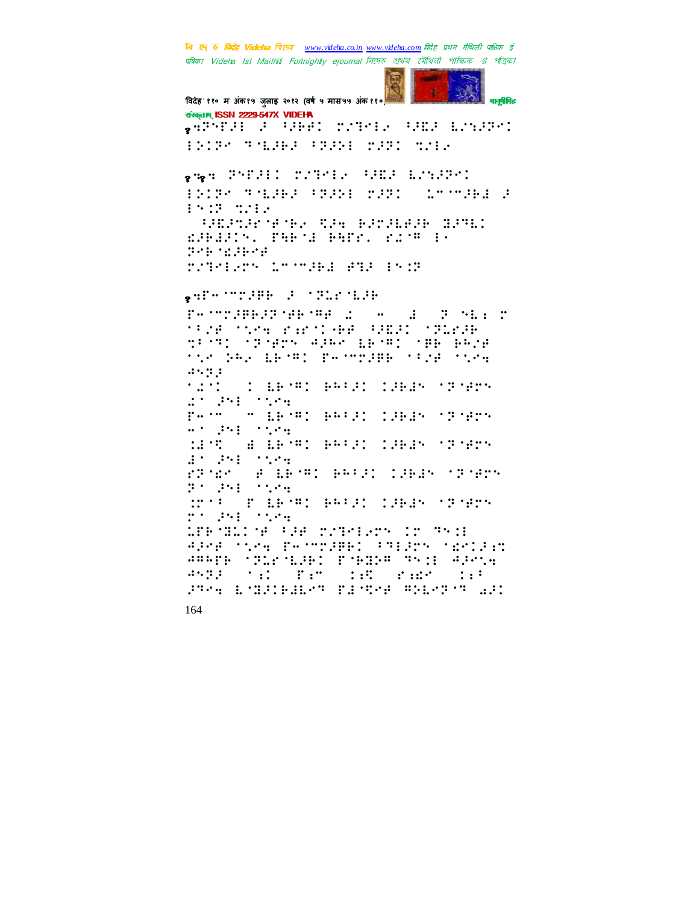**COLOR** 

× विदेह' ११० म अंक१५ जुलाइ २०१२ (वर्ष ५ मास५५ अंक११०) मानुबैमिह संस्कृतम् ISSN 2229-547X VIDEHA ,AMIN J GHAD MYRIA GADA BYSGRYD **BOOK THERE FREE THIS TILE** ... PSPRID TUBER GREE EMPRED <u> 1919 - Pales Base Mar, chual a</u> ESCR STEP dibility. PHP 1 BHPr. 2178 I. 2010121101 TITERTY LTOTALE BIR INCR **QUER MOVED OF STARTING** reconsiderations and . . . . . . . . . **SPAR TORY PAPT HE BURG TRACH** tring inches against the page the bay metal recorder time they  $45.334$ **COMMENT SERVICES** (SPECIAL COMPOS  $\cdot$  . . . . . . 21 251 1575 Permit on EB MP, BRF21 (1862) 121875  $\alpha \leq \beta \leq \beta \leq \gamma \leq \alpha$  . MST # MPT PROFILER TREP  $B = B + B + B + C$ ranch a bred bela: Cable nanch  $\mathbb{P}^{(1)}\cup\mathbb{P}^{(1)}\cup\cdots\cup\mathbb{P}^{(k)}$ WORLD BENNY BROAD CARDS OF NEW  $\mathcal{D}^{(1)}$  ,  $\mathcal{D}^{(2)}$  ,  $\mathcal{D}^{(3)}$  ,  $\mathcal{D}^{(4)}$  ,  $\mathcal{D}^{(5)}$  ,  $\mathcal{D}^{(6)}$ LEE MILL ME FUR STATES TO STATE APPE TOPE PHOTOHED FREEDS TESTED **ARADE START ESPIT ESPIRE TRIL APPLA**  $\mathcal{A}^{n}(\mathbb{R},\mathbb{R})\longrightarrow\mathbb{R}^{n}(\mathbb{R}^{n},\mathbb{R}^{n})\longrightarrow\mathbb{R}^{n}\longrightarrow\mathbb{R}^{n}\longrightarrow\mathbb{R}^{n}\longrightarrow\mathbb{R}^{n}\longrightarrow\mathbb{R}^{n}\longrightarrow\mathbb{R}^{n}\longrightarrow\mathbb{R}^{n}\longrightarrow\mathbb{R}^{n}\longrightarrow\mathbb{R}^{n}\longrightarrow\mathbb{R}^{n}\longrightarrow\mathbb{R}^{n}\longrightarrow\mathbb{R}^{n}\longrightarrow\mathbb{R}^{n}\longrightarrow\mathbb{R}^{n}\longrightarrow\mathbb{R}^{n}\longrightarrow\mathbb{R}^{n}\longrightarrow\mathbb{R}^{n$  $\mathcal{L}:\mathbb{R}^n\rightarrow\mathbb{R}$  $\therefore$  : PRO L'ARTEAR TIMOR PRIME AN 164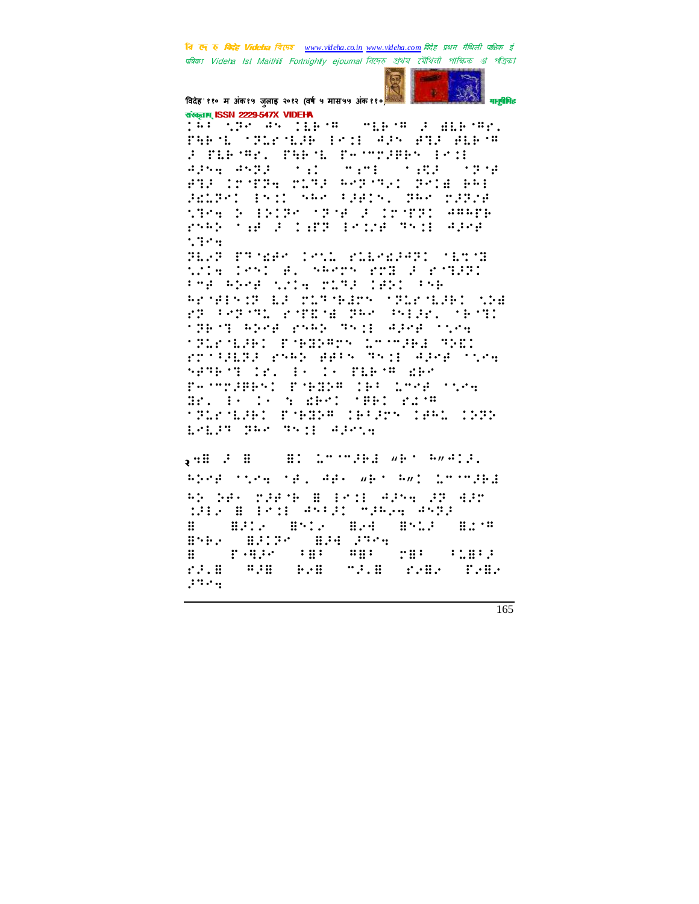

विदेह' ११० म अंक१५ जुलाइ २०१२ (वर्ष ५ मास५५ अंक११०) संस्कृतम् ISSN 2229-547X VIDEHA

:ÅP (proks liesm) siesmol wiesmr. FARME MONEYLOR EMIL APS AND ALROW F PLETEN PHETE PATTNERS EST agna anggo (si) mini (siggo (gora)<br>agi (popal ping Agpony) geli kal PELPEL ENTITYME FREIN, PRE MARTE STEATR BRIDE STEATR INSTITUTION ryan 'n fan de Christean fan de Steaten  $\mathcal{L}^{\text{max}}_{\text{max}}$ 

H.S Pres IVI MINEST MATH tria lesi A. Seers 200 2 20020 Pre Abre wile rung 1851 Pre-REMENSE LE PLANERY MARCHIEL VOL rd Geren remarker eine der \*PETE REPE PARE TAIL REPE TIPE 1912-1826: Enfrancon Company (Phil.<br>2011-2822 2006: 2016 (Phil. 2002-1100) SAME TO SAME AND THE MUSIC Feinbamen: Fibane (ef 1856 1104 Hr. E. D. S. ERSI MHED RIME **TRACKARD PORTH INSPECTING INTE** ESERVING TO HOMES

**SHE REAL REAL SECTION OF A SECOND REAL PROPERTY.** RDAB (1284-1932) ABR WEST RWI INTOTER AS SAR TARYA B ERIE AASA AR AAT WHATH ESSE ANDER THAN ANDE  $\mathbf{H}$ and mill and mill and 8562 82135 824 3556  $\ldots$  $\mathbb{R}^n$  $\cdots$  $\mathbf{H}$ 83.8 AMB 6.8 MAIN 8.8. TWO  $\mathcal{G}^{(1)}$  and  $\mathcal{G}^{(2)}$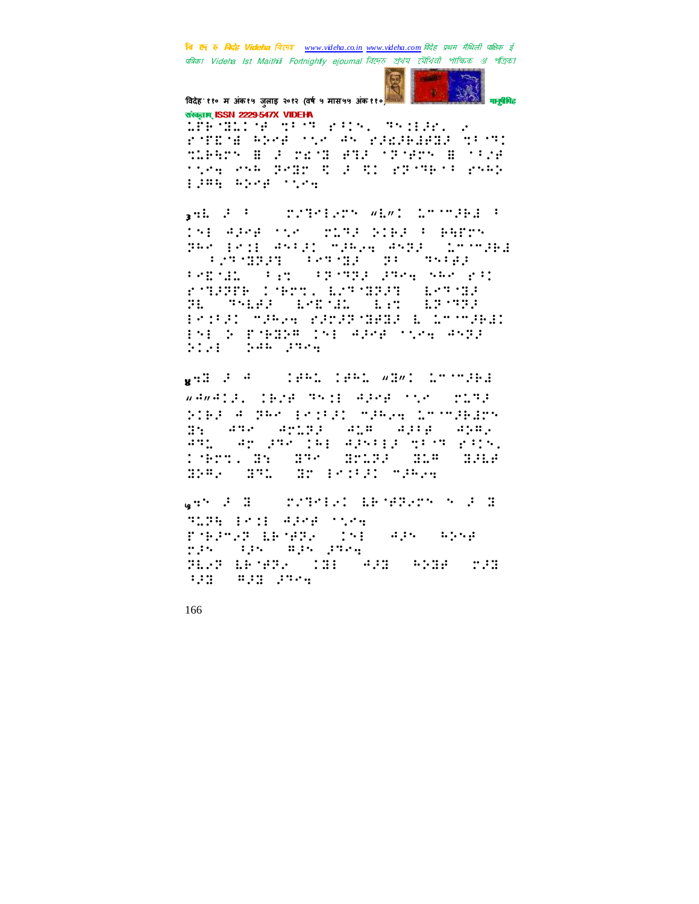

विदेह' ११० म अंक१५ जुलाइ २०१२ (वर्ष ५ मास५५ अंक११०) संस्कृतम् ISSN 2229-547X VIDEHA

LPP MILL GEORGE PROVIDED AND LEADER rottom and one as represent the MIRRON BOZ MEME FIZONIMAM BONGZA tics can pedro to the chope that can  $1.394 - 0.594 - 0.594$ 

 $_3$ HE (F) F = ( 2019) EVP (wh) I = (2019) HE = ( THE APPENDIX SINGLE POINT A BATTLE PRO ESTE ANGEL MIRIN ANTE CIMOMIRE **BENGERY BENGEL SE SABE** PRIMA SPECIFICATORS STRESS RECORD PORTE CORT. ESTABLE ESTAD BL SMLAR LMDML LID LEMSER EKSPEL MARGH VANAR MERE E LMOMARED 151 2 FMH28 151 4268 5169 4572  $\langle 144, 1924 \rangle$  $7:7:1$ 

<sub>⊌</sub>Al 2 4 | 1951 1951 x16. 1871 1559  $\mathbf{w}^{(2)}\mathbf{w}^{(2)}\mathbf{1}\mathbf{1}\mathbf{1},\quad \mathbf{1}\oplus\mathbf{1}^{(2)}\oplus\mathbf{1}^{(3)}\oplus\mathbf{1}\oplus\mathbf{1}^{(4)}\oplus\mathbf{1}^{(5)}\oplus\mathbf{1}^{(6)}\oplus\mathbf{1}^{(7)}\oplus\mathbf{1}^{(8)}\oplus\mathbf{1}^{(9)}\oplus\mathbf{1}^{(10)}\oplus\mathbf{1}^{(11)}\oplus\mathbf{1}^{(12)}\oplus\mathbf{1}^{(13)}\oplus\mathbf{1}$ BIEF A TAK EKSERI MERGE LMOMERTY  $\mathbb{R}^2$  , and , ability , almost also , abel-**1. 中国 法共和同共主义 中共科学法院 出来的生活的人。**  $\cdot \cdot \cdot$  . **THER. BY BY BELEV HIM BALE** BOY BY BY PAIR THEY

QHR 3 B - SIMPLEI ARNHRITH A 3 B SLPH ESSE APPENDING ESPANAR (1898-1918)<br>1925 - Greco Arte, amerikan and and a BLAR LEADER (1818) ADR (ADBE) 2008 **AND STATE STATE**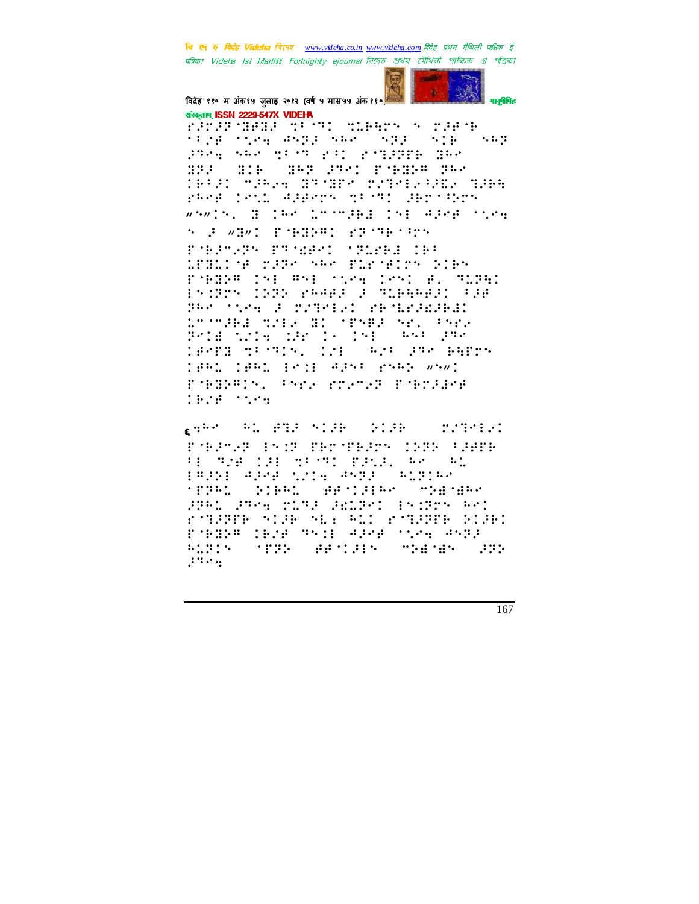

विदेह' ११० म अंक१५ जुलाइ २०१२ (वर्ष ५ मास५५ अंक११०) संस्कृतम् ISSN 2229-547X VIDEHA

ranas deda di di diese scraece tije tie, engl nas 1993 (nie  $\ddots$  : 3984 SAR MESS PAI PSIDNED BA HP: HIB HPP PP: PARPH PPP THE THE STUFF TOTAL SERVICE PROF ISSA APPOINTED TO PROTECT whath. Bolke Loomski (ni Alex ones **NORTHWEIGHT SECTIONS** Poblests Progest official inf LPHLICH PRPS SAS PLECHIPS DIRS FORDER (SI ASI Steel (SS) A. MIDE! ESIPPS 1989 PRABA A MIRRARA (AR PRO COOR 2 CONFESS PROBORERS L'OMARA SVEV BI SPARA AP. PAP. Pola wile de lo 191 (ASP) pro **TACKS SECTION INTO AN UPP BATTS** TARD TARD ERIE AGST PSPE WSWI POBRATO COMA MARAT PORTAGO TEMP STOR

part of all and side (Side) (Sidentist FORFOR INCE THOUTHION (DID SINTE FE THE CAR TRITT FAND, WAS WEL PASSE ASPA NOTA ANGLE ALGIAN **SPPAL DIRAL RESIRA STRESHO** PRAL PROVINCE PELPOL ENTRY AOD Prisée Avie Allent Prisée plus POBRE TEMP TRIP APPROXIMATE RLEIN MEDE BRAINEN MERGEN 200 gara da gu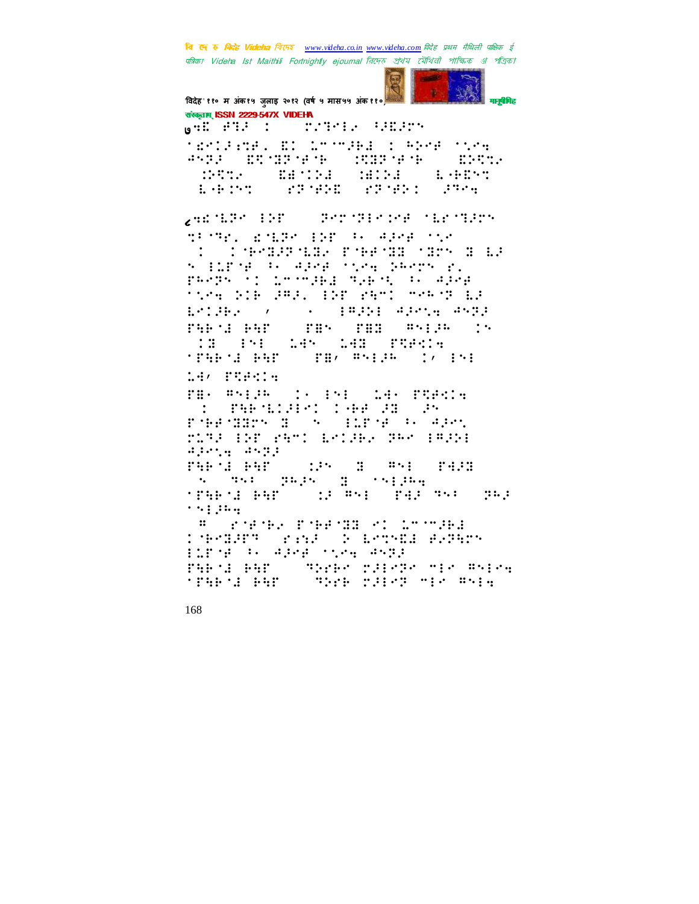

विदेह' ११० म अंक१५ जुलाइ २०१२ (वर्ष ५ मास५५ अंक११०) संस्कृतम् ISSN 2229-547X VIDEHA **WARE AND SECTION OF STRAIN AND STATES** 

**TEPLEMBL ED LTTTEE I PROB TOOM** ANTE ETMINAME MITTAME ENTI **WELL BETTE STRIP STRIP STRIP**  $\mathbb{R} \oplus \mathbb{R}$ 

24: 1124 - 1127 - 1 **COMPANY SERVICE** TESTEL ESERGIER EN APARTSEN CONTRACTS AND COMMUNICATIONS OF LA s information apertonic present ri PROPRISE IMPOUND THE SUBSIDIARY ting bie ded. Ebroeken moken la **South Constanting Constanting Constanting Constanting Constanting Constanting Constanting Constanting Constant**  $\mathbf{i} \cdot \mathbf{j} \cdot \mathbf{j} \cdot \mathbf{k}$ FARMERY THE THE WHIP IN  $\left[ \frac{1}{2} \frac{\pi}{2} \right] \left[ \frac{1}{2} \frac{\pi}{2} \right] = \frac{1}{2} \frac{4 \pi}{2} \left[ \frac{1}{2} \frac{\pi}{2} \frac{\pi}{2} \right] = \frac{1}{2} \frac{4 \pi}{2} \left[ \frac{1}{2} \frac{\pi}{2} \frac{\pi}{2} \right] = \frac{1}{2} \frac{4 \pi}{2} \left[ \frac{1}{2} \frac{\pi}{2} \frac{\pi}{2} \right] = \frac{1}{2} \frac{4 \pi}{2} \left[ \frac{1}{2} \frac{\pi}{2} \frac{\pi}{2} \right] = \frac{$ **THE SENSON SERVICES (1998)** 14, PUBLE

rms magnes (1891-1948) render<br>| 1 | raedwicher (1964-2000) 25<br>|romanizmum (1898) | 11romanis (4201 MIRE EST PAMI LEIGHE PAR EAGSE April ANDE

raktiskr (d. 1852)<br>1962 – John School, fransk politiker<br>1966 – Johann School, fransk politiker<br>1966 – Johann School, fransk politiker 

**TROOP YEAR EMPEMBENT COMMUNE THERMA FINE IN LETTER BATHIN** fire a sper speaking PARTA RAP – JAZRO ZVENZE JEN ANENA<br>1946-11 RAP – JAZRO ZVENZO JEN ANEA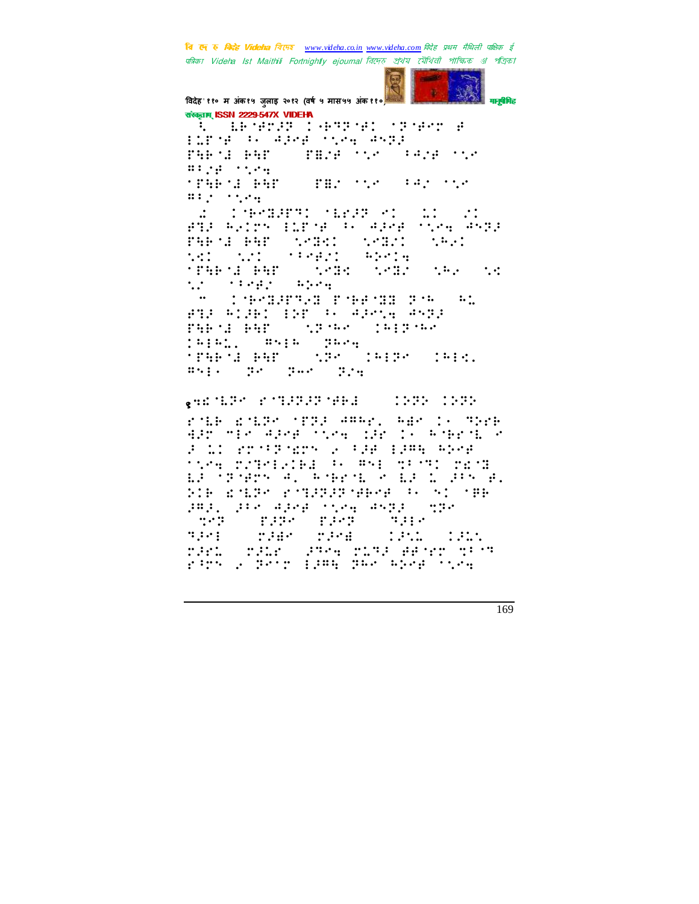

संस्कृतम् ISSN 2229-547X VIDEHA A LEMBER 1987 MET SPACE PLP 9 St. Adept they aspl THE 12 PAT a provincia de la provincia de la contrada de la contrada de la contrada de la contrada de la contrada de la c  $\mathbf{H}^{\frac{1}{2}}\left( \mathbf{F}_{\mathbf{F}}\right) =\mathbf{F}_{\mathbf{F}}\left( \mathbf{F}_{\mathbf{F}}\right)$ **TERMS RED SERVICE SERVICE**  $\mathfrak{m}$  :  $\mathfrak{m}$  :  $\mathfrak{m}$  :  $\mathfrak{m}$ E THERE MEDICAL  $\ddot{\cdot}$  $\mathcal{L}$ FIR REDN ELEME (P. APAR MONE ANTE **PART AREA**  $1.4321$  $\cdot$  :  $\cdot$  : ter in Samster Well **THE LERGE**  $\mathcal{L} = \{ \mathcal{L} \mathcal{L} \mathcal{L} \mathcal{L} \mathcal{L} \mathcal{L} \mathcal{L} \mathcal{L} \mathcal{L} \mathcal{L} \mathcal{L} \mathcal{L} \mathcal{L} \mathcal{L} \mathcal{L} \mathcal{L} \mathcal{L} \mathcal{L} \mathcal{L} \mathcal{L} \mathcal{L} \mathcal{L} \mathcal{L} \mathcal{L} \mathcal{L} \mathcal{L} \mathcal{L} \mathcal{L} \mathcal{L} \mathcal{L} \mathcal{L} \mathcal{L} \mathcal{L} \mathcal{L} \mathcal{L} \$  $\mathcal{L}^{\text{L}}(\mathcal{U},\mathcal{U})=\mathcal{U}^{\text{L}}(\mathcal{U})$ tro (Prepro Alema)  $\frac{1}{2}$  , in the distribution of the state of the  $\frac{1}{2}$  , and  $\frac{1}{2}$  , and  $\frac{1}{2}$  , and  $\frac{1}{2}$  , and  $\frac{1}{2}$  , and  $\frac{1}{2}$  , and  $\frac{1}{2}$  , and  $\frac{1}{2}$  , and  $\frac{1}{2}$  , and  $\frac{1}{2}$  , and  $\frac{1}{2}$ FARMERY STORY CRIPMA (Alal) Tega Tyak. (\*)<br>1846: Berlin (1957) 1919-1914.  $m_{11}$ ,  $m_{12}$ ,  $m_{13}$ ,  $m_{14}$ 

 $\epsilon$  and the contribution of  $\epsilon$ -:::: ::::

role rolled office annual nacional mere are me area cieva in la scavalle 2 12 rojanom vlad 1986 beg ting problems as well provided to EP SPORTS AL ASPECE POEP DOPEN B. **NIE KOLZY FOLIZIERSENE BENDETER** 383. 358 4388 1584 4593 - 598 orașe rași (1946)<br>Orae rașe (1951) 1915  $\mathbb{R}^{n}$  $22.44$ rand (rade) ages roga as no pagg ring a permitima part and chem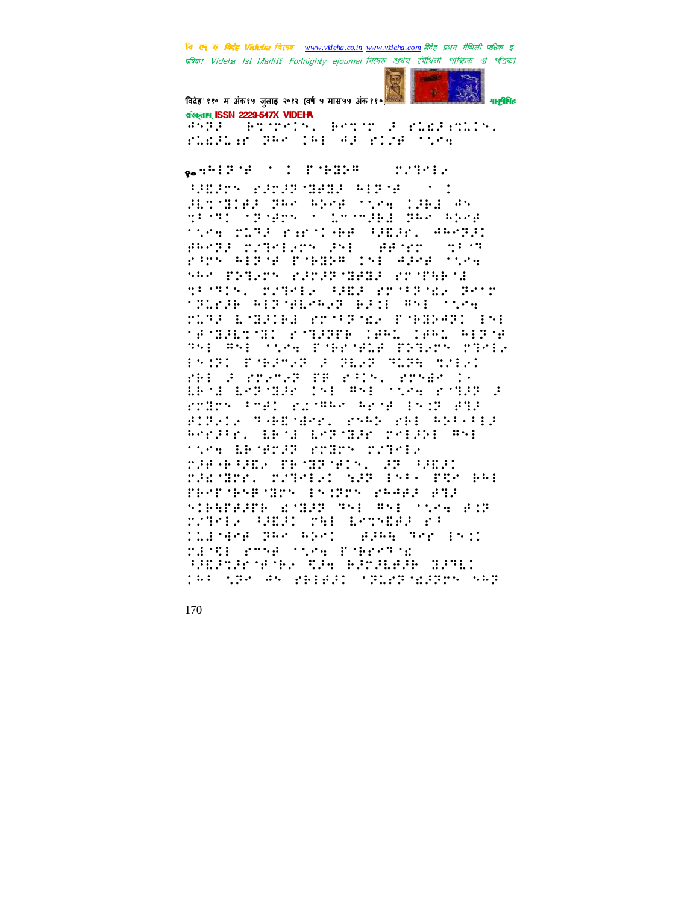

विदेह' ११० म अंक१५ जुलाइ २०१२ (वर्ष ५ मास५५ अंक११०) संस्कृतम् ISSN 2229-547X VIDEHA

**SETTEIN FOUT PEARTHILY**  $\mathcal{A} \sim \mathcal{B} \mathcal{A}$  . runguar des les 42 rich sise.

a di secondo di Santa Carattara di Santa Carattara di Santa Carattara di Santa Carattara di Santa Carattara di

**BOOK PRINTING BOOK** Hrther Ben bed the CB1 45 glating Spages of Changed per exce tice riff rariver (ABS) about PROFINED WAS ARRESTED FOR THE STATE OF THE STATE OF THE STATE OF THE STATE OF THE STATE OF THE STATE OF THE ST rans Albert Penna (si Alse Stea SAR PERSON FRONTRER FOOTBEAR transported with the state of the state **TRIPLE REPORTERS RESEARCH TOOK** MAR L'ARIBA KOMPANY P'BADARI (MI **MARINE REAL PROPERTY CARD CARD REPAR** THE RHE SAME PORTHER PRINTS TROLL PROTECTARY POST TEACHER TO BE PHOROGRAP PROPERTY PRYMOUTH ERSE EXPORED INFORMED MONETER CR rodos (med rismas arse psop edi BITSIS THROBAN, PARK PRESENTER Replied about Leftmark related med **TORY OF STORY STORY TOGET** THERE TEMPNIN, HERE rading, repeat har exp. pre pa: FRANCHABORY ENCRY PRABE BRE SIBBEARD ROBER TSE TSE SAME FIR rred (British red bryshed rt **TLENHAM BRACHERS** ging the fri ring: real time reports **BOOKS TO BE SERVED THE** 1980 STAN AN VEIBIO (STORT SOUTH) NAT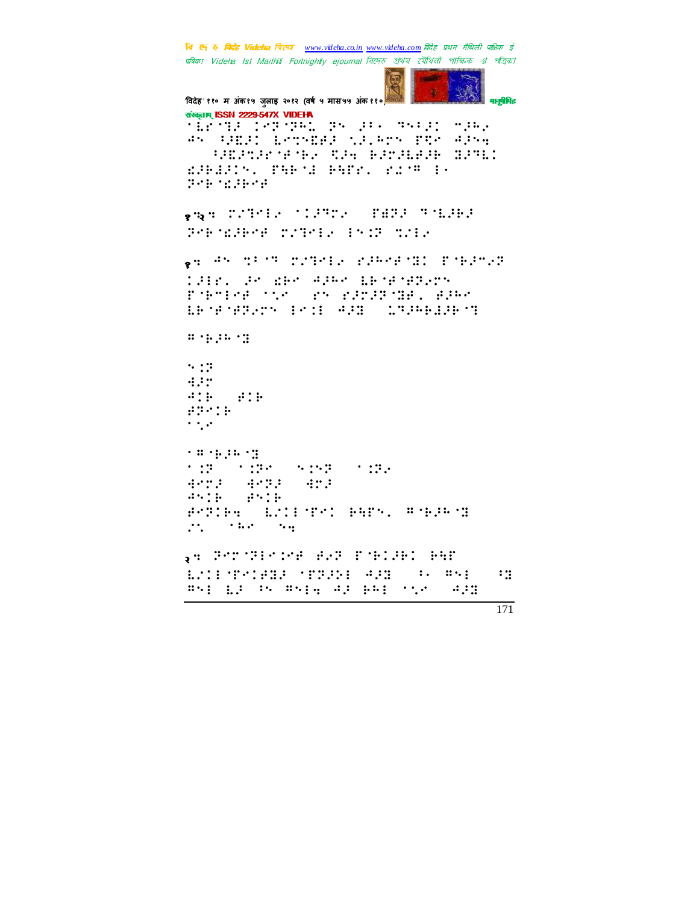**Section** 

विदेह' ११० म अंक१५ जुलाइ २०१२ (वर्ष ५ मास५५ अंक११०) मानुबेमिह संस्कृतम् ISSN 2229-547X VIDEHA through the cost of the cost of the AN HERI ESTNERE NR.ATN FRO APNA **WEBSTART CHARTERS ENGINEER** ESSENTE PRESERVE ENTRETT Portage of gas comerciales recommendation Perscher Scheie in:Poste ga shi di mi buariy kamrejdi. Ejaanya TABY, An EBR AGAN BENENBERG Premier one and admonistrative ERGENSY PORT AND CONFERENT  $\frac{1}{2}$  :  $\frac{1}{2}$  :  $\frac{1}{2}$  :  $\frac{1}{2}$  :  $\frac{1}{2}$  $\ddots$  : :: HAME.  $410 - 610$  $49018$  $\begin{picture}(150,10) \put(0,0){\vector(1,0){10}} \put(10,0){\vector(1,0){10}} \put(10,0){\vector(1,0){10}} \put(10,0){\vector(1,0){10}} \put(10,0){\vector(1,0){10}} \put(10,0){\vector(1,0){10}} \put(10,0){\vector(1,0){10}} \put(10,0){\vector(1,0){10}} \put(10,0){\vector(1,0){10}} \put(10,0){\vector(1,0){10}} \put(10,0){\vector(1,0){10}} \put(10,0){\vector($ 4873 4833 473  $\begin{aligned} \mathbf{d}^{\mathcal{A}}\mathbf{v}_{\mathbf{u}}^{\mathcal{A}}\mathbf{f}_{\mathbf{u}}^{\mathcal{A}}&=\mathbf{d}^{\mathcal{A}}\mathbf{v}_{\mathbf{u}}^{\mathcal{A}}\mathbf{f}_{\mathbf{u}}^{\mathcal{A}}\mathbf{f}_{\mathbf{u}}^{\mathcal{A}}\end{aligned}$ POTTER LISTENTO PRESS PORTHOL  $\mathcal{L}$  and  $\mathcal{L}$  and  $\mathcal{L}$  and  $\mathcal{L}$  and  $\mathcal{L}$  and  $\mathcal{L}$  and  $\mathcal{L}$  and  $\mathcal{L}$  and  $\mathcal{L}$  and  $\mathcal{L}$  and  $\mathcal{L}$  and  $\mathcal{L}$  and  $\mathcal{L}$  and  $\mathcal{L}$  and  $\mathcal{L}$  and  $\mathcal{L}$  and  $\mathcal{L}$  and . POSPODE PROTECTO PAR EMINIMUM STRANE AND CONTROL  $\mathbf{H}$ **BSE EP IN BSEW AP BRE TOM ( 422**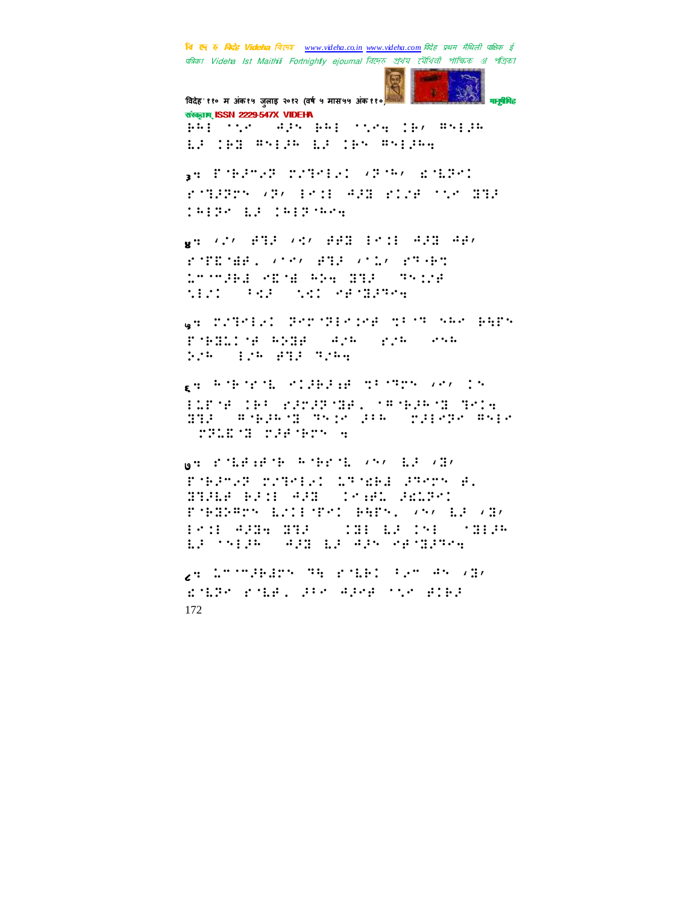**बि एक रु** *किन्हे Videha विए***नर** www.videha.co.in www.videha.com विदेह प्रथम मैथिली पाक्षिक ई पत्रिका Videha Ist Maithili Fortnightly ejournal तिरमरु প্রথম মৌথিনী পাক্ষিক ্যা পত্রিকা



ES THE WAISH ES THA WAISHA

BA PORPOR TOROLO SPORT ENERGY rigger (P) from AGB ride tir STR *TRIPS AS TRIPSDAY* 

ge siz fil sez ffil bri All Ad. FORMAL CONSTRUCTION STORY <u> Loomini Aligi Ale dhis Machin</u> tici (Bi tel del denista

WHO CONTRIGATOR PROVIDED AND CONTROL AREA BARN PARTIE AND STATE STATE 528 128 232 3284

같이 뒤가 가지도 어디라고 나 그만 그만 느냐니? 그거 ELEMENTER VARAPMEEL MARGAREMENTEN ITA PROPOSI TYO APP OSAGARY PYP **TILL I THREE STATE** 

**WHICH IS A SET AND A SHOW IS A SEA** PORPHE CLIPPERS ATOMA PRODUCE. **Communication** \*\*\*\*\*\*\*\*\*\*\*\*\*\*\*\*\*\*\*\*\*\*\*\*\*\*\*\* ESPERENCE/LIPPIC PHENICSNO LE SEA **POST ANN NHA (AND LEADS)** (HIGH EP (SPER ) 423 EP 425 SPERSON

ga information to positive and vow ROBERT ROBERT BERTHDART ON THE BEER 172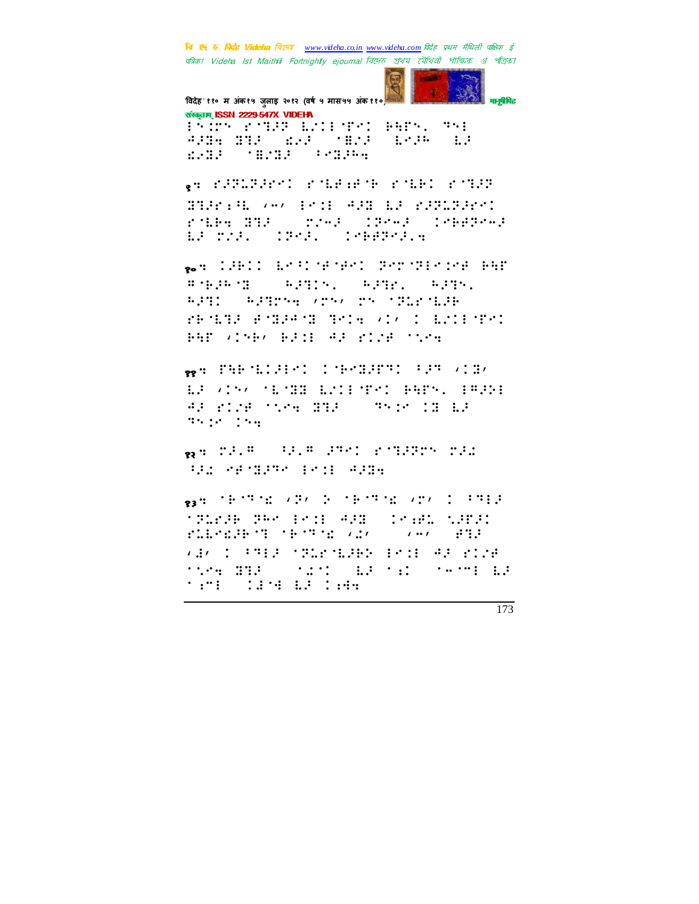विदेह' ११० म अंक१५ जुलाइ २०१२ (वर्ष ५ मास५५ अंक११० मानुबैमिह संस्कृतम् ISSN 2229-547X VIDEHA **SHIP, 751** PARTY POTER ESTECTION  $\mathbf{L}$ 

**ANA NY SO MANY BAR AND AND AND ARRIVE AND ARRIVE AND ARRIVE AND ARRIVE AND ARRIVE AND ARRIVE AND ARRIVE AND ARRIVE AND ARRIVE AND** 

en dagugaret den Antalen den Berger HARRY WORLD FOR THE RESERVE rower BiB (1976) (1986) (2069966) EF TILL (TREE) CREEPORE

**SAN ISBN 1888-1987-1988-1988-1988** # HART WARRING WARE WARN. **APROVE ATMACT STREET**  $4.331$ FROM PORT TO SAID BOILEY BHP (1987) BRIE AR FILM TOME

een PREMILIERT IMPREPENTENT VIEW EF (15) 'ESHR EMISTED BARS, 18201 AF PICA TORE HHS - TROP IN LE  $\mathcal{V}(\mathcal{V}) = \mathcal{V}(\mathcal{V}) \mathcal{V}(\mathcal{V})$ 

 $\frac{1}{22}$  = 2.5,8 (3.5,8 ) 3781 (2.713925 )231 HA SPRING POI ANN

 $\frac{1}{32}$  and the theory is the second to the second theory in the second second terms of the second second terms of the second second second second second second second second second second second second second second s **191208 988 1811 408 1810 1000** FILMENT TETTE VIA  $\mathbf{u} \cdot \mathbf{v} = \mathbf{u} \cdot \mathbf{v}$ **VALUE AND POSTMERS PRIDER RICH**  $\cdots$  $\frac{1}{2}$   $\frac{1}{2}$   $\frac{1}{2}$   $\frac{1}{2}$   $\frac{1}{2}$   $\frac{1}{2}$   $\frac{1}{2}$   $\frac{1}{2}$   $\frac{1}{2}$   $\frac{1}{2}$   $\frac{1}{2}$   $\frac{1}{2}$   $\frac{1}{2}$   $\frac{1}{2}$   $\frac{1}{2}$   $\frac{1}{2}$   $\frac{1}{2}$   $\frac{1}{2}$   $\frac{1}{2}$   $\frac{1}{2}$   $\frac{1}{2}$   $\frac{1}{2}$   $\mathcal{L}^{\mathcal{A}}\left( \mathcal{A}^{\mathcal{A}}\right) =\mathcal{L}^{\mathcal{A}}\left( \mathcal{A}^{\mathcal{A}}\right) =\mathcal{L}^{\mathcal{A}}\left( \mathcal{A}^{\mathcal{A}}\right) =\mathcal{L}^{\mathcal{A}}\left( \mathcal{A}^{\mathcal{A}}\right) =\mathcal{L}^{\mathcal{A}}\left( \mathcal{A}^{\mathcal{A}}\right) =\mathcal{L}^{\mathcal{A}}\left( \mathcal{A}^{\mathcal{A}}\right) =\mathcal{L}^{\mathcal{A}}\left( \mathcal{A}$ time three man field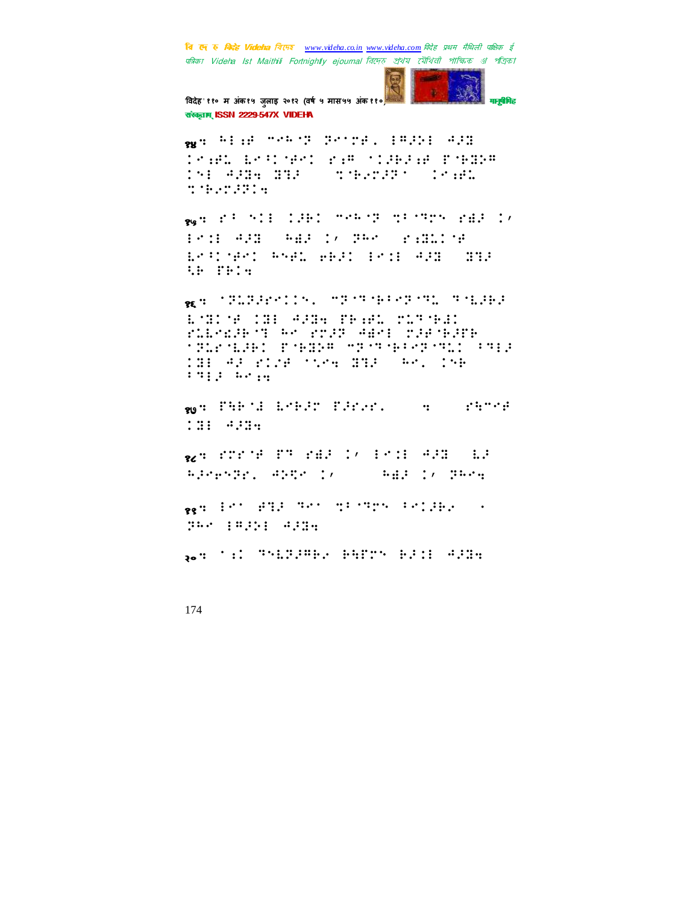

विदेह' ११० म अंक१५ जुलाइ २०१२ (वर्ष ५ मास५५ अंक११० संस्कृतम् ISSN 2229-547X VIDEHA

ws Him means Sendel HADE APE **IMAGE RESIDENT PARTIES IN THE READY INE APRA REAL STREEPS INSTAL TORONTON** 

<sub>eg</sub>s ri ni (281 meter siern ref.) **1011 422 441 / 260 242119** ERSINAL ANAL ARSI BRID ASE (200 WE TELM

gen (PLP.Profilm, Scripture) on Miles EMINE COMPARED FRANK MUSICAL rlingsburgen rrad abni rafubarb **TELEN PRES TRANSVILLAGE** 188 AP FILM STRA STP (AR) 158  $1.3131 - 0.0119$ 

gon Phill Lord Parad. The Princip 131 4334

gen strong and search and all all all Adeptify Alter 1, The Add 1, Barg

gen for and her normal bought of 288 18311 8326

be 'f Thingser Herry Bli Ages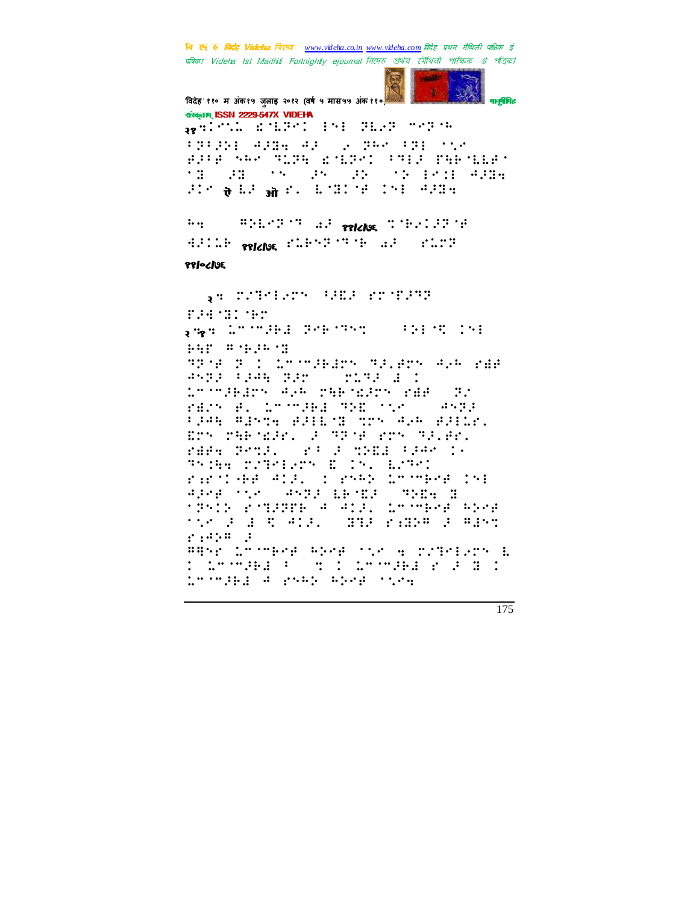F.P. 121-151 gaga londha dekaran 1998an 199 **BAP #983893 SPAR P I LOOMSBEEN SPLEEN AVAILAB ANG PARTITION CONTROLLS** Looperant Alt officiant rad (2) FEIN B. LTOWER THE ONT 19973 FJAR ABSTA AJHETH TTS ALA AJHILI. ETA TARAGEK 2 MENE KTA MELEK. rdes Poul, crist double ideo ()<br>Thomas represence in the Eerop rantee All, rank Loomers (ni APPE TO ANTE LETER (THE B **MINING PORTER A ACAL COOPERA ANGE** the F B R AND, SHE FANA F ARMS  $f: P: P: P$ #852 Loombre Abrelove & Midriers L Distribution of Distribution 2010 Loomsed A graph apertoning

संस्कृतम् ISSN 2229-547X VIDEHA senioni potenti parl'energia :3:35: 4324 43 2 348 33: 558 BREAGAN SLEE ROLES CONFIDENTIALS THE PART OF STATE AND THE POINT AND PDC & LP Windows LOBOR 1941 (PDB)

**HOLEYFEN APPROACHED TO THE SERVICE** 

HALLE SALMAR CLEAR OF THE WAY STRIPE

, STORY STREET PROPERTY

मानुबैमिह

175

वि एक रु मिनेह Videha विएक www.videha.co.in www.videha.com विदेह प्रथम मैथिली पाक्षिक ई पत्रिका Videha Ist Maithili Fortnightly ejournal রিদেহ প্রথম মৌথিনী পাক্ষিক গ্র পত্রিকা

विदेह' ११० म अंक१५ जुलाइ २०१२ (वर्ष ५ मास५५ अंक११०)

 $\cdots$ 

38/06/195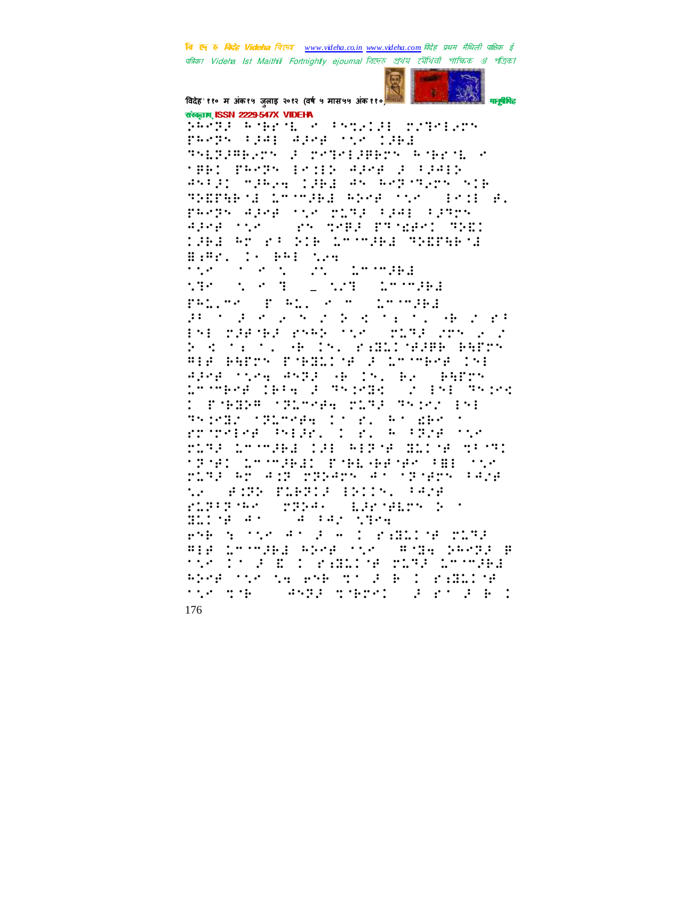

विदेह' ११० म अंक१५ जुलाइ २०१२ (वर्ष ५ मास५५ अंक११०) संस्कृतम् ISSN 2229-547X VIDEHA

program the size association statement parps (1941) Adrie thr (1961) THISPHERY F TETRIBUS ROBERT C **THE PROPY ECOLD ARGE 2 FRAID** #5121 miRea 12Bd #5 Reporters 51B THING LOOPED REAR TO PAIR B. PROPRIADOR STRAINTE PORT PORT aper sin - an deproduced din: 1961 Ar es Sie Loodel Gymneid **Hiff:** 1. PHI New  $\mathcal{L}(\mathcal{L}^{\text{max}}_{\mathcal{L}^{\text{max}}_{\mathcal{L}^{\text{max}}_{\mathcal{L}^{\text{max}}_{\mathcal{L}^{\text{max}}_{\mathcal{L}^{\text{max}}_{\mathcal{L}^{\text{max}}_{\mathcal{L}^{\text{max}}_{\mathcal{L}^{\text{max}}_{\mathcal{L}^{\text{max}}_{\mathcal{L}^{\text{max}}_{\mathcal{L}^{\text{max}}_{\mathcal{L}^{\text{max}}_{\mathcal{L}^{\text{max}}_{\mathcal{L}^{\text{max}}_{\mathcal{L}^{\text{max}}_{\mathcal{L}$ MP CACK TO LOWED AMMPRE PRISHE PAIL SOME IMPORT ਰੇਸ਼ ਹਿੱਸਾ ਕਿ ਕਿਹਾ ਕਿ ਕਿਹਾ ਕਿ ਇਹ ਸਾਰੇ ਹਨ।<br>ਸ਼ਾਮਸ਼ ਕਰਕਾਰਕ ਕਰਦੇਸ਼ ਨਾਮਨ ਨਕਕਾਰ ਕਰਨ ਕਿ ਕ Portion of the Children September 20 FIR PRIM FORESCH 2 LOOPPER IN Alexandre Andla Andre Bennemark Looperful Francis Shirter (1981-1989) D PARP (RITCH PLAS ANDC 151 dsings (durche lice) en den n<br>epopolog (bilge) i e. A (durchen) ring in what the Aspea dite steep MEMPI GMOMPHEI EMBEGBP PROTHECONO ning ay ang prangalal nanapi saha NA SERIE PLEPIA (PAINN) PANE **STEPHONE ESPIRITHENCY** richter and direktor zahr arabe<br>Bilog go da ga bayang PARTNERS AND POST PARTNERS First Loomsey Adept only to Folk deeps a tik It all planning music bronge REAR TO THE RMB STORE IS FOREIGN the mobile and conducts of profession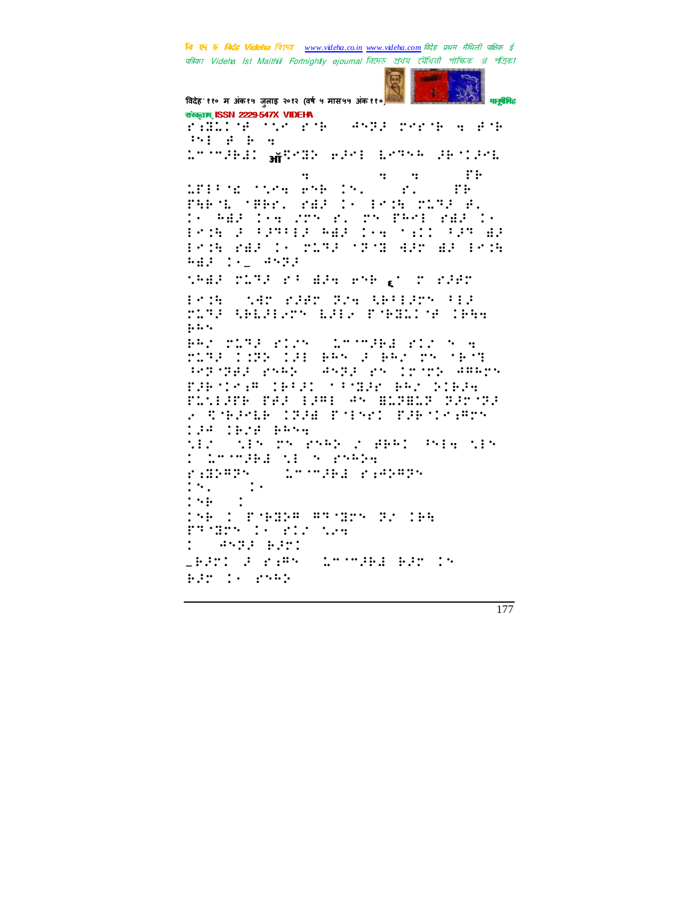**START** 

```
विदेह' ११० म अंक१५ जुलाइ २०१२ (वर्ष ५ मास५५ अंक११०)
                                             मानुबैमिह
संस्कृतम् ISSN 2229-547X VIDEHA
ridicte the resource that the most
154\pm 4\pm 5\pm 0do colegio <sub>an</sub>gegia (elecio degreso les cilecio
                 \dddot{\bullet}\mathbf{u} = \mathbf{u}\cdotsMIPS NOT PRESS
                                        ∵⊪
                               \mathbf{r}PARTE TRACK PARTICULAR PORT AL<br>19 ANN 194 205 PL PS PART PART
Problem (Proprietischer Schausen auf
POR YEAR IS TOTAL STORE HAT EACH POR
\begin{tabular}{ll} \bf 0.43 & \bf 1.42 & \bf 0.732 \\ \end{tabular}thes class of electric group offic
Problem war adapt Practike betight til
rias telelary bell realise the
\dotsBRZ DURA BIZY (COSTABLE BIZ) Y 3<br>DURA ISBN 1983-885-9-882-05-3857
PORTREE PORT (2002) PS INTERNATION
raksiya telah sebagai ke bika
FLAINE THE 1991 AN BLABLA SEMARE
F CAPPER CRPE PAPART PPRACHER
THE TEST PROP
MEAS NEW TROTHER ASSEMBLY PRESSURE
TERMINE SEARCH
              trendid radore
randen av Salar
1.941\ddot{\phantom{1}} :
      \ddot{\phantom{a}}1.94isk pjesmar store ar 164
PROBE IS FIREDER
<u>SPARI A PAPRO IMIMARA PAR IS</u>
Bir is rubb
```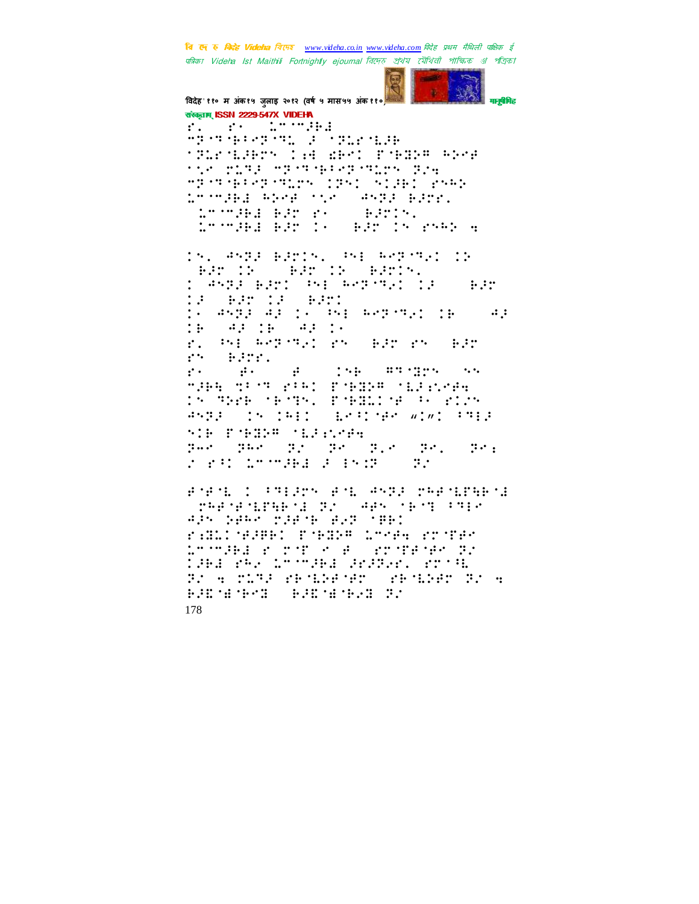

विदेह' ११० म अंक१५ जुलाइ २०१२ (वर्ष ५ मास५५ अंक११०) संस्कृतम् ISSN 2229-547X VIDEHA f. f. hemiti Province Part Construct **TELEMBRY LAB WHO PARRE ANGE MARINE MEMPERED TEM BAG MESTARIAR MESS (PAI ALBI 255)** <u>S<sup>A</sup>rmaed Abre</u> (125 - 4592 ears) de enging dige and a Bairtín. Loomska kar is okar in rhen 4 15. ASTA BATIS, PSI RETURN 15 BR IR TBRID TR TBRID. 1 ANDER BENIT AND ARDENEI (18)  $\mathbb{R}^n$  is a set of  $\mathbb{R}^n$ **1: BBT 1: BBT1** li angl al ci'ni megeng ce 'ag  $\mathbb{R}$ : SPECTRED IN STREET BACK THAT  $\mathbf{r}$ .  $\mathbf{C}$  $\mathbb{R}^2$  :  $\mathbb{R}^2$  :  $\mathbb{R}^2$  :  $\mathbb{R}^2$  $\mathbf{r}$ .  $\mathbf{P}$  $\ddot{\cdot}$ THE TOT PIE FIELD WELLING IN THE MEMPAL PORTLINE POSSIBLE  $4572 - 15 - 1611$  $\mathbb{E} \left\{ \mathbb{E} \left[ \mathbb{E} \left[ \mathbb{E} \left[ \mathbb{E} \left[ \mathbb{E} \left[ \mathbb{E} \left[ \mathbb{E} \left[ \mathbb{E} \left[ \mathbb{E} \left[ \mathbb{E} \left[ \mathbb{E} \left[ \mathbb{E} \left[ \mathbb{E} \left[ \mathbb{E} \left[ \mathbb{E} \left[ \mathbb{E} \left[ \mathbb{E} \left[ \mathbb{E} \left[ \mathbb{E} \left[ \mathbb{E} \left[ \mathbb{E} \left[ \mathbb{E} \left[ \mathbb{E} \left[ \mathbb$ **SIP FORDS SERIORS**  $\mathbb{P}^{n+1}=\mathbb{P}^{n+1}=\mathbb{P}^{n}=\mathbb{P}^{n}=\mathbb{P}^{n}=\mathbb{P}^{n}=\mathbb{P}^{n}=\mathbb{P}^{n}$  $\mathbb{R}^n$  : *CARD LETTHE FAIR CO*  $\mathbb{R}^n$ FOR NORTH COMPANY ROLL AND POSSIBLE CONTROLLERS CORPORATION OF SALE APPROXIMATION 435 SARA MIRTH AST TAB: rancess: cess treats and reco chinaka a biba ya Tabibeliko ko CARE PRESEntiment Arager, room.

Br a ring redicement redicer Br a

**BADYAMPAD BADYAMBAD BA**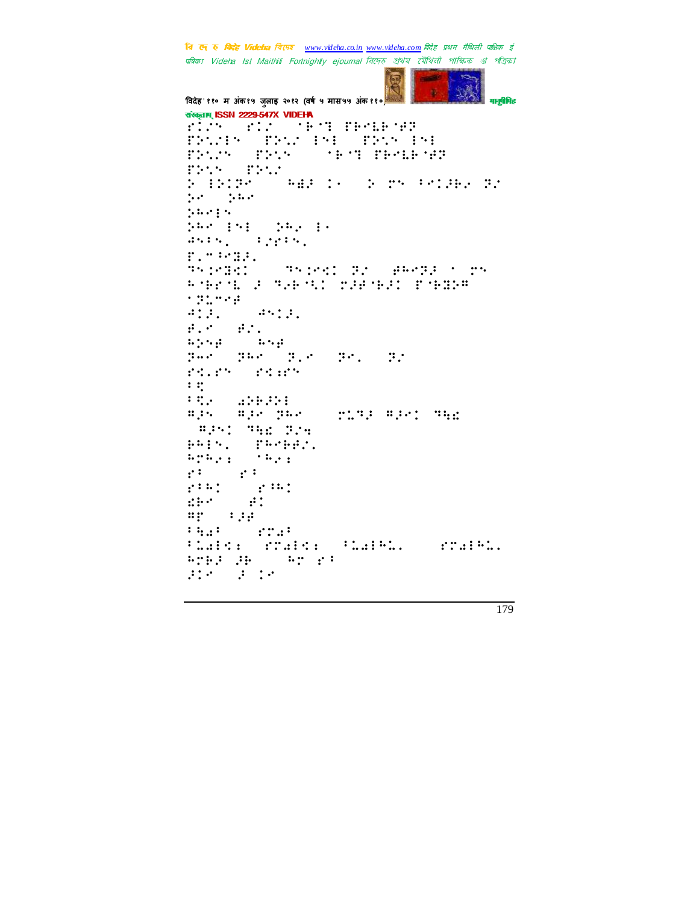**CONTRACT** 

```
विदेह' ११० म अंक१५ जुलाइ २०१२ (वर्ष ५ मास५५ अंक ११०) मानुसीरी मानुसीरीहरू
संस्कृताम् ISSN 2229-547X VIDEHA
\#10 \#11 \#11 \#11 \#10FRAME ' FRAME ' FRAME ESE
TRACY TRANS OF THE THERMET
'⢵⣁0!'⢵⣁#!!
                         ANS TO PERMIT 2012 12:00 PERMIT 2012
⢵0!⢵⢳!
⢵⢳0!!
PRANE PRESSURE
ANIN, Press,
F. WHEEL
Shings (September 1988)
\overline{+} The main \overline{+} \overline{+} \overline{+} \overline{+} \overline{+} \overline{+} \overline{+} \overline{+} \overline{+} \overline{+} \overline{+} \overline{+} \overline{+} \overline{+} \overline{+} \overline{+} \overline{+} \overline{+} \overline{+} \overline{+} \overline{+} \overline{+} \overline{+trine<br>Sil
\mathcal{A}⢾Z0!⢾#Z0!
\mathbb{R}^nZwr ZPW Z.r Zr. Zr. Z
"⣊Z"0!"⣊⣐"!
7.57⣋⢴!)⣔⢵⢷⢼⢵*!!
^{\prime\prime} ) ^{\prime\prime} ( ^{\prime\prime} ) ^{\prime\prime} ( ^{\prime\prime} ) ^{\prime\prime} ( ^{\prime\prime} ) ^{\prime\prime} ( ^{\prime\prime} ) ^{\prime\prime} ( ^{\prime\prime} ) ^{\prime\prime} ( ^{\prime\prime} ) ^{\prime\prime} ( ^{\prime\prime} ) ^{\prime\prime} ( ^{\prime\prime} ) ^{\prime\prime} ( ^{\prime\prime} ) ^{\prime\prime} ( ^)⢻⢼!⢹⣓⣎!⢽#⣒*!
PHIN. THAPPIN.
⢳⢳⢴⣐0!⢳⢴⣐!
2^{\frac{1}{2}}. 2^{\frac{1}{2}}\mathbf{r} : \mathbf{r} : \mathbf{r} : \mathbf{r} : \mathbf{r} : \mathbf{r} : \mathbf{r} : \mathbf{r} : \mathbf{r} : \mathbf{r}\mathbb{R}^2. \mathbb{R}^2⢻'.!7⢼⢾!
75.23 . That
7ïaid: rhaid: Fiaibi, rhaibi,
HIBJ HE INT PP
⢼.!⢼!!
```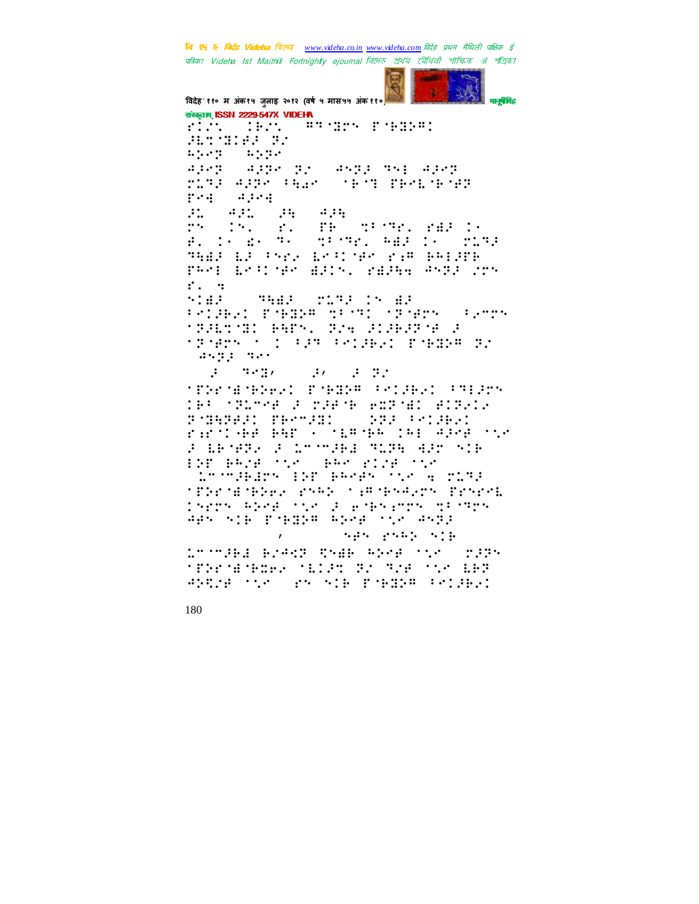**COLOR** 

× विदेह' ११० म अंक१५ जुलाइ २०१२ (वर्ष ५ मास५५ अंक११०) मनुषेभिह संस्कृतम् ISSN 2229-547X VIDEHA F.C. Hr. WESTERN PERMI BETTELER BY  $\mathbb{E}\left\{ \mathcal{P}\left( \mathcal{P}\right) \right\} =\mathbb{E}\left\{ \mathcal{P}\left( \mathcal{P}\right) \right\}$  $\mathcal{L}(\mathcal{F},\mathcal{F})$ **SAPP 2: AND THE ART** ring agger than one of people hop pear in  $H = 4H - H + 4H$  $\begin{array}{ll} \mathcal{D}^{\mathcal{L}} & \mathcal{D}^{\mathcal{L}} & \mathcal{E}_{\mathcal{L}} \\ \mathcal{E}_{\mathcal{L}} & \mathcal{D}_{\mathcal{L}} & \mathcal{E}_{\mathcal{L}} \\ \mathcal{E}_{\mathcal{L}} & \mathcal{D}_{\mathcal{L}} & \mathcal{E}_{\mathcal{L}} \end{array}$ **MISSE WE SEE THE SET OF SECTION** THE EF PYS ESTING FURNITH PRAD EAST NAME AND A PANAGE AND A CON- $\mathbf{f}$ .  $\mathbf{f}$ **THE TIME IN HIS**  $5.147$ PRIMERI POBBER SPORT OF GROOM PRODU **MERCHI BRES, EZA FIREFE F** SPORTS SOLOGER POLEKT EORDE PO  $\left(35\frac{11}{11}\right)\left(37\right)$  $\mathbb{R}^2 = \mathbb{R}^2 \mathbb{R}$  $\mathbb{R}^2$  ,  $\mathbb{R}^2$  ,  $\mathbb{R}^2$  ,  $\mathbb{R}^2$  ,  $\mathbb{R}^2$ **TERMINERS PRESS PRIER PRESS** IPF (SPLMAR 2 D2P1P POPTE) PIPALA 27352621 PROV231 - 222 PO2P21<br>Partishe RGP - TEPSP 161 9208 TV F LENGTH F LOOPFEL TITE AFD NIE 198 BR28 Min (BR) 2128 Min<br>| 15 Milesen 198 BR28 Min (BOS) **TERMINERAL MARK THROADER EMPLE** There about the discharger of cars kat tis rende bila til atr  $\mathcal{N}\oplus\mathcal{N}$  ,  $\mathcal{N}\oplus\mathcal{N}$  ,  $\mathcal{N}\oplus\mathcal{N}$  $\mathbf{r}$ tronged every the everyon only 1995 **TERPHING TELPS BY THE TIP LEF** ANDRE STAR (25 SIE POBBER FALLER)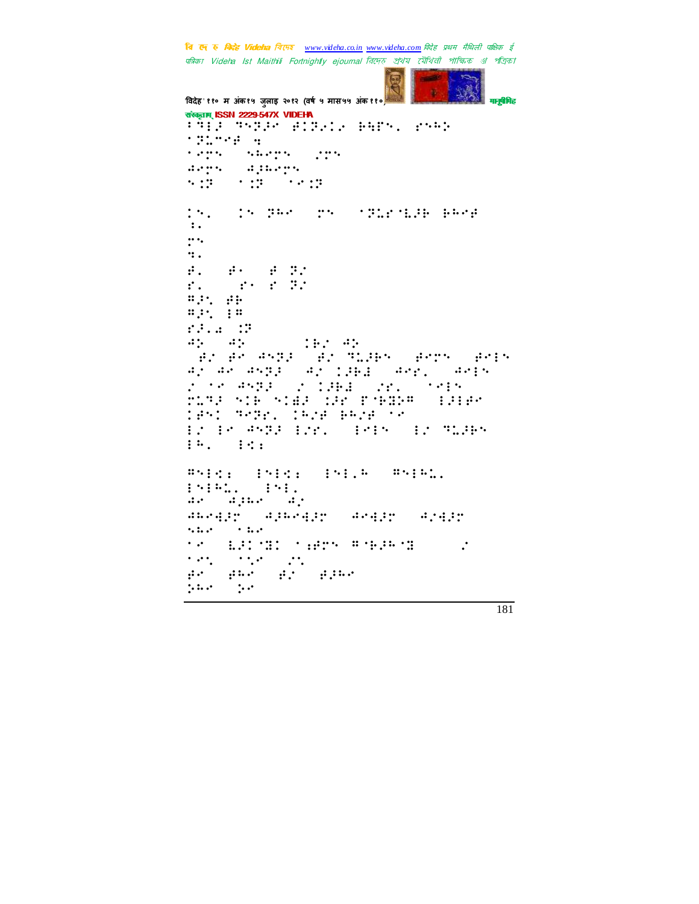पत्रिका Videha Ist Maithili Fortnightly ejournal রিদেহ প্রথম মৌথিনী পাক্ষিক গ্র পত্রিক। **COLOR** × विदेह' ११० म अंक१५ जुलाइ २०१२ (वर्ष ५ मास५५ अंक ११०) मानुसारी मानुसीमेह संस्कृतम् ISSN 2229-547X VIDEHA 7⢹⢼!⢹⢽⢼!⢾⢽⢴⢴!⢷⣓'Z!"⢳⢵! ⢽⣅5⢾\*⣒! - Same Sample Street ⢺-!⢺⢼⢳! ⣈⢽0!⣈⢽0!⣈⢽! Z!)!⢽⢳\*!!)⢽⣅" ⣇⢼⢷!⢷⢳⢾\*!!  $\ddot{\cdot}$ .  $\mathbf{P}$  $\frac{d}{dt}$ ⢾Z!)⢾g-!⢾!⢽#\*!  $\mathcal{L}$  , where  $\mathcal{L}$  and  $\mathcal{L}$  at  $\mathcal{L}$ ⢻⢼⣁!⢾⢷!  $\mathbb{Z}$   $\mathbb{Z}$   $\mathbb{Z}$   $\mathbb{Z}$   $\mathbb{Z}$   $\mathbb{Z}$   $\mathbb{Z}$   $\mathbb{Z}$   $\mathbb{Z}$   $\mathbb{Z}$   $\mathbb{Z}$   $\mathbb{Z}$   $\mathbb{Z}$   $\mathbb{Z}$   $\mathbb{Z}$   $\mathbb{Z}$   $\mathbb{Z}$   $\mathbb{Z}$   $\mathbb{Z}$   $\mathbb{Z}$   $\mathbb{Z}$   $\mathbb{Z}$   $\mathbb{Z}$   $\mathbb{Z}$   $\mathbb{$ " ⢺⢵!)⢺⢵!hp-!⢷#!⢺⢵!ep\*! !⢾#0⢾!⢺⢽⢼.!⢾#!⢹⣅⢼⢷0!⢾0!⢾!  $\frac{1}{2}$  and  $\frac{1}{2}$  are  $\frac{1}{2}$  and  $\frac{1}{2}$  and  $\frac{1}{2}$ #0!⢺⢽⢼.!#!⢼⢷⣜0!#"Z0!0! ⣅⢹⢼!⢷!⣞⢼!⣈⢼"!' ⢷⣝⢵⢻.!⢼⢾!  $\frac{1}{2}$   $\frac{2}{3}$   $\frac{2}{3}$   $\frac{2}{3}$   $\frac{2}{3}$   $\frac{2}{3}$   $\frac{2}{3}$   $\frac{2}{3}$   $\frac{2}{3}$   $\frac{2}{3}$   $\frac{2}{3}$   $\frac{2}{3}$   $\frac{2}{3}$   $\frac{2}{3}$   $\frac{2}{3}$   $\frac{2}{3}$   $\frac{2}{3}$   $\frac{2}{3}$   $\frac{2}{3}$   $\frac{2}{3}$   $\frac{2}{3}$   $\frac{2}{3}$   $\$ #0!⢺⢽⢼!#"Z0!0!#!⢹⣅⢼⢷!  $\ddot{x}$   $\ddot{y}$   $\ddot{y}$   $\ddot{y}$   $\ddot{y}$   $\ddot{y}$   $\ddot{y}$   $\ddot{y}$   $\ddot{y}$   $\ddot{y}$   $\ddot{y}$   $\ddot{y}$   $\ddot{y}$   $\ddot{y}$   $\ddot{y}$   $\ddot{y}$   $\ddot{y}$   $\ddot{y}$   $\ddot{y}$   $\ddot{y}$   $\ddot{y}$   $\ddot{y}$   $\ddot{y}$   $\ddot{y}$   $\ddot{y}$ University (2001) 2012 ESPEL (PH) de djar dj ⢺⢳⣚⢼0!⢺⢼⢳⣚⢼0!⢺⣚⢼0!⢺#⣚⢼!! where the trace !)⣇⢼ ⣝!⣐⢾!⢻ ⢷⢼⢳ ⣝\*!0!#!! oning an<br>Space Space Space ∯0 | ∄#0<br>Ş#0 | Ş0  $\blacksquare$ 

चि एक रु *विदेह Videha चिए*न्छ <u>www.videha.co.in www.videha.com</u> विदेह प्रथम मैथिली पाक्षिक ई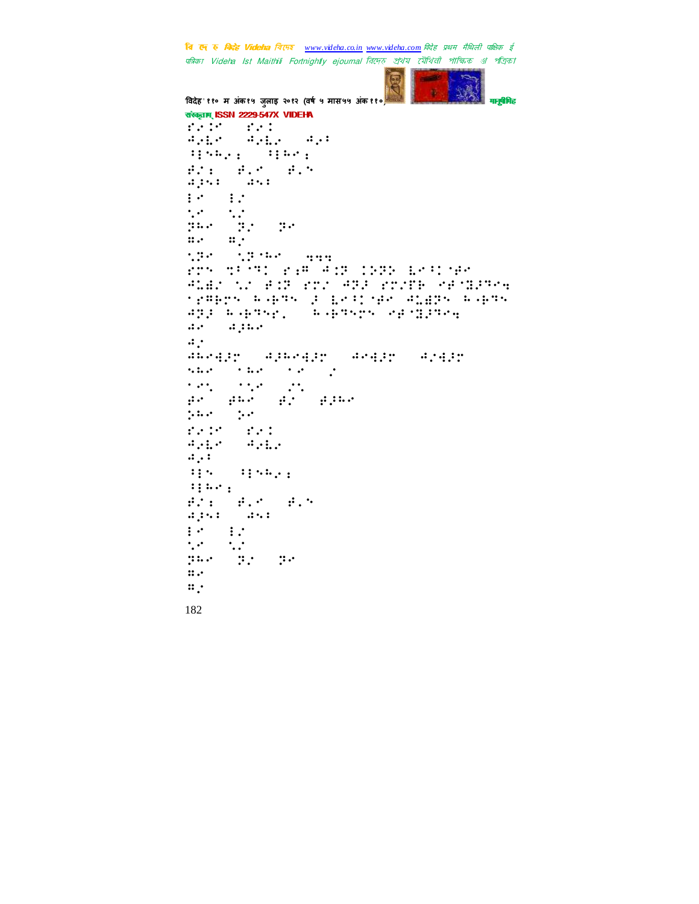

```
विदेह' ११० म अंक१५ जुलाइ २०१२ (वर्ष ५ मास५५ अंक ११०) मानुसीरी मानुसीरीहरू
संस्कृतम् ISSN 2229-547X VIDEHA
T^* of T^* T^* of T^* T^* T^*⢺⢴⣇0!⢺⢴⣇⢴0!⢺⢴7!!!
⢸⢳⢴⣐0!⢸⢳⣐!!!
∄Z: ∄Zn ∄Zn
agus aus
\begin{array}{ll} 1.6 & 0.11 \\ 0.6 & 0.11 \end{array}\mathcal{D}^{(1)} and \mathcal{D}^{(2)}⢽⢳0!⢽#0!⢽!!
\mathbf{u} \cdot \mathbf{u}⣁⢽0!⣁⢽ ⢳!!⣒⣒⣒!!
"!⣉7 ⢹!"⣐⢻!⢺⣈⢽!⢵⢽⢵!⣇⢸ ⢾!
^+#1#! ^+ #: ^+ #: ^+ #: ^+ #: ^+ #: ^+ #: ^+ #: ^+ #: ^+ #: ^+ #: ^+ #: ^+ #: ^+ #: ^+ #: ^+ #: ^+ #: ^+ #: ^+ #: ^+ #: ^+ #: ^+ #: ^+ #: ^+ #: ^+ #: ^+ #: ^+ #: ^+ 
"⢻⢷!⢳0⢷⢹!⢼!⣇⢸ ⢾!⢺⣅⣞⢽!⢳0⢷⢹!
⢺⢽⢼!⢳0⢷⢹"Z-!⢳0⢷⢹!⢾ ⣝⢼⢹⣒!!!!
die digital
\ddot{H} :
⢺⢳⣚⢼0!⢺⢼⢳⣚⢼0!⢺⣚⢼0!⢺#⣚⢼!
where \overline{\mathcal{O}} is the \mathcal{O} -contract of \mathcal{O}\mathcal{O}(\mathcal{O}(1)) . The contract of the contract of the contract of the contract of the contract of the contract of the contract of the contract of the contract of the contract of the contract of the contract of the contra
∯0 ##0 #2 #0
\frac{1}{2} for \frac{1}{2}"⢴⣈0!"⢴⣈!
⢺⢴⣇0!⢺⢴⣇⢴0!!
\ddot{a}.
 ⢸0!⢸⢳⢴⣐0!!
\mathbf{H}#2: #20 #20
ags: as:<br>Polic
\frac{1}{2} \frac{1}{2} \frac{1}{2} \frac{1}{2} \frac{1}{2} \frac{1}{2} \frac{1}{2} \frac{1}{2} \frac{1}{2} \frac{1}{2} \frac{1}{2} \frac{1}{2} \frac{1}{2} \frac{1}{2} \frac{1}{2} \frac{1}{2} \frac{1}{2} \frac{1}{2} \frac{1}{2} \frac{1}{2} \frac{1}{2} \frac{1}{2} \frac{1}{2} \frac{1}{2} \frac{1}{2} \frac{1}{2} \frac{1}{2} \frac{1}{2} \frac{1}{2} \frac{1}{2} \frac{1}{2} \frac{1}{2} \frac{1}{2} \frac{1}{2} \frac{1}{2} \frac{1}{2} \frac{1}{2} \frac{1}{2} \frac{1}{2} \frac{1}{2} \frac{1}{2} \frac{1}{2} \frac{1}{2} \frac{1}{2} \frac{1}{2} \frac{1}{2} \frac{1}{2}\mathbf{u}.
\mathbf{u}.
```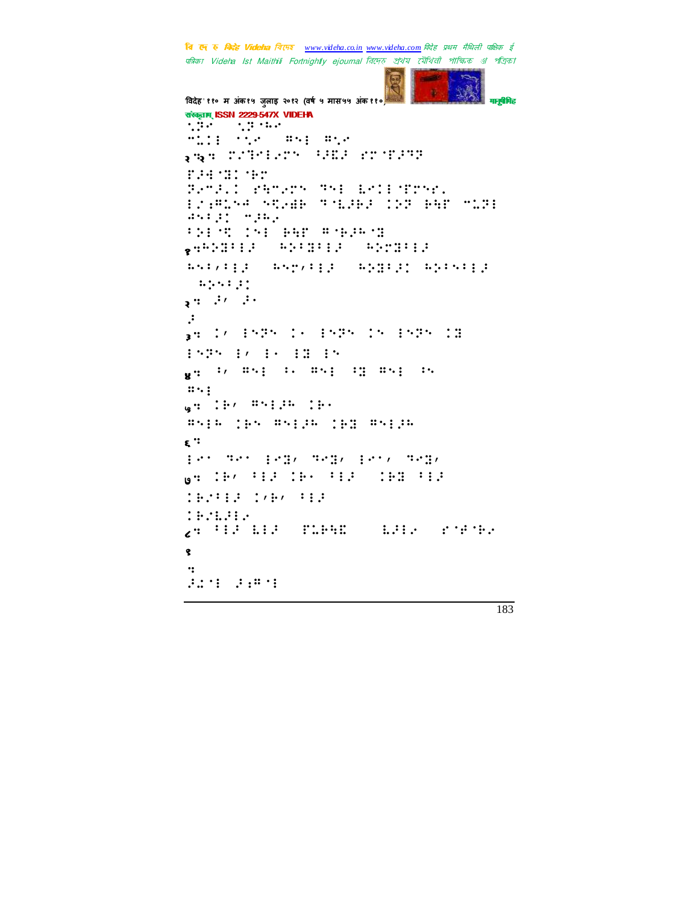```
'विदेह' ११० म अंक१५ जुलाइ २०१२ (वर्ष ५ मास५५ अंक ११०) मानुष्या मानुषिमह
संस्कृतम् ISSN 2229-547X VIDEHA
⣁⢽0!⣁⢽ ⢳!
\overline{5} \overline{1} \overline{1} \overline{1} \overline{2} \overline{2} \overline{2} \overline{2} \overline{2} \overline{2} \overline{2} \overline{2} \overline{2} \overline{2} \overline{2} \overline{2} \overline{2} \overline{2} \overline{2} \overline{2} \overline{2} \overline{2} \overline{2} \overline{2} \overline{२⣒२⣒!#⣙⢴!⢸⢼⣏⢼!" '⢼⢹⢽!
T.H(T:I,T)⢽⢴5⢼Z!"⣓5⢴!⢹!⣇ '"Z!
#⣐⢻⣅⢺!⣋⢴⣞⢷!⢹ ⣇⢼⢷⢼!⢵⢽!⢷⣓'!5⣅⢽!
Set (2) 7.5 7.57⢵ ⣋!!⢷⣓'!⢻ ⢷⢼⢳ ⣝;!!!
१⣒⢳⢵⣝7⢼0!⢳⢵7⣝7⢼0!⢳⢵⣝7⢼0!
⢳7'7⢼-!⢳'7⢼0!⢳⢵⣝7⢼0⢳⢵77⢼!
 0.000 PM
२: २० वि.
\cdot३⣒!'!⢽0g!⢽0!⢽0⣝!
⢽0'0g0⣝0!!
y4, y, \pi51, \pi, \pi51, \pi::.:
५: : : / <sup>85</sup>
⢻⢳0⢷!⢻⢼⢳0⢷⣝!⢻⢼⢳!!
\epsilon "
0⢹!⣝'-⢹⣝'-'-⢹⣝'0!!
७⣒!⢷'!7⢼0⢷g!7⢼0!⢷⣝!7⢼!
CHAPES CAPA PER
⢷#⣇⢼⢴!!
८⣒!7⢼!⣇⢼!)'⣅⢷⣓⣏*-!⣇⢼⢴!)" ⢾ ⢷⢴*!
९
\dddot{\phantom{1}}⢼⣌ !⢼⣐⢻ !!
```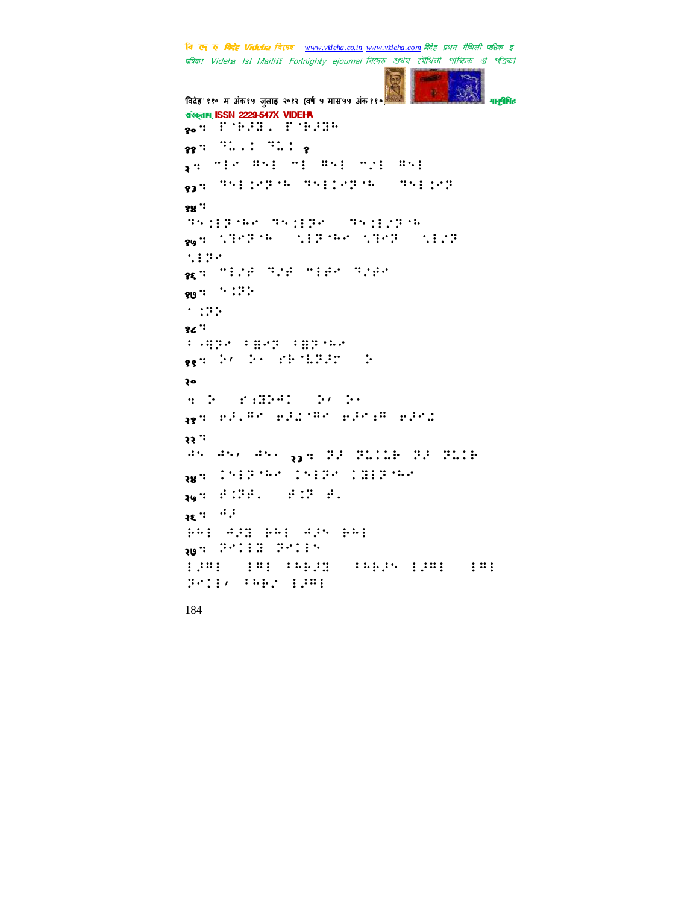```
'विदेह' ११० म अंक१५ जुलाइ २०१२ (वर्ष ५ मास५५ अंक ११०) मानुष्या मानुषिमह
संस्कृतम् ISSN 2229-547X VIDEHA
8. POST : 1999
११⣒!⢹⣅⣀⣈!⢹⣅⣈!१
२⣒!5!⢻!5!⢻05#!⢻!!
१३⣒!⢹⣈⢽ ⢳!⢹⢽ ⢳-!⢹⣈⢽!!
१४ :
⢹⣈⢽ ⢳!⢹⣈⢽0!⢹⣈#⢽ ⢳!!
१५⣒!⣁⣙⢽ ⢳0!⣁⢽ ⢳!⣁⣙⢽0!⣁#⢽0!
\cdot::
१६⣒!5#⢾0⢹#⢾!5⢾0⢹#⢾!!
\mathbf{R}^{9} : \mathbf{R}^{1} : \mathbf{R}^{1}^{\circ} :::
१८ "70⣛⢽!7⣟⢽!7⣟⢽ ⢳!!
१९९९ के अन्य अस्ति अपि अधिकारि
२०
\frac{1}{2} ( ) \frac{1}{2} ( ) \frac{1}{2} ( ) \frac{1}{2} ( ) \frac{1}{2} ( ) \frac{1}{2} ( ) \frac{1}{2}२१⣒!⢶⢼Z⢻0⢶⢼⣌ ⢻!⢶⢼⣐⢻0⢶⢼⣌!!
२२ "
\frac{1}{2} \frac{1}{2} \frac{1}{2} \frac{1}{2} \frac{1}{2} \frac{1}{2} \frac{1}{2} \frac{1}{2} \frac{1}{2} \frac{1}{2} \frac{1}{2} \frac{1}{2} \frac{1}{2} \frac{1}{2} \frac{1}{2} \frac{1}{2} \frac{1}{2} \frac{1}{2} \frac{1}{2} \frac{1}{2} \frac{1}{2} \frac{1}{2} \२४⣒!⢽ ⢳0⢽0⣝⢽ ⢳!!
२७: #226. #22 #2
२६<sup>...</sup>...
000 000 000 000 000
२७: <del>39:11: 39:11: 39:</del>
⢼⢻0!⢻!7⢳⢷⢼⣝0!7⢳⢷⢼!⢼⢻0!⢻!
S': 07 (199)
```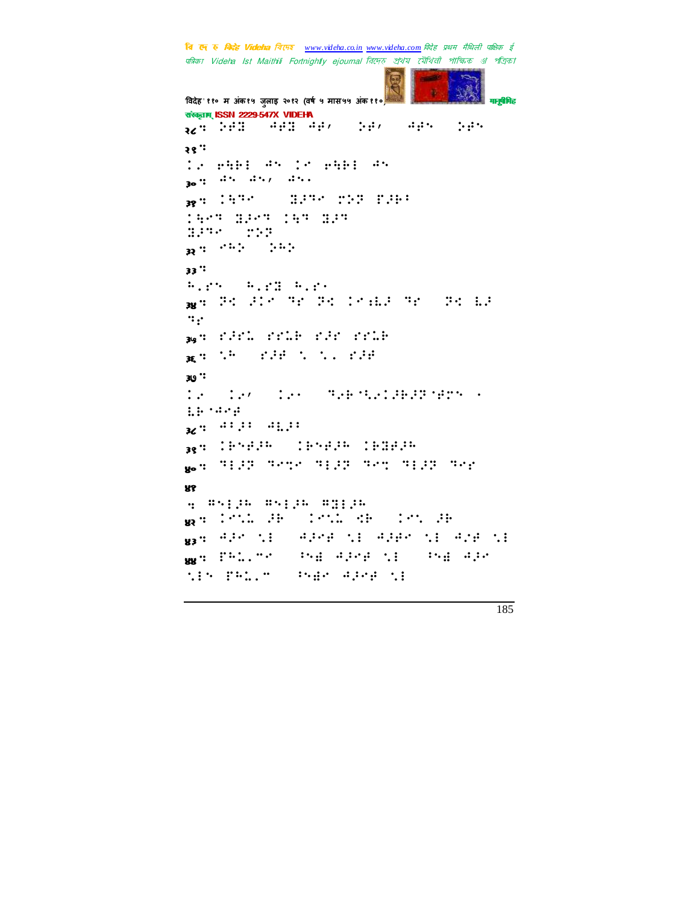```
त्रि एन रु क्रिटेह Videha विएम्ब _www.videha.co.in_www.videha.com विदेह प्रथम मैथिली पाक्षिक ई
पत्रिका Videha Ist Maithili Fortnightly ejournal রিদেহ প্রথম মৌথিনী পাক্ষিক গ্র পত্রিক।
विदेह' ११० म अंक१५ जुलाइ २०१२ (वर्ष ५ मास५५ अंक ११०) मानुसारी मानुसीमेह
संस्कृतम् ISSN 2229-547X VIDEHA
२८<sup></sup>षे २०% अस्ति । जनसङ्ख्या अस्ति । अस्ति । अस्ति । अस्ति । अस्ति । अस्ति ।
२९ :\ddot{\phantom{a}} , while the \ddot{\phantom{a}} the \ddot{\phantom{a}}30 \frac{3}{2} \frac{3}{2} \frac{3}{2} \frac{3}{2} \frac{3}{2} \frac{3}{2} \frac{3}{2} \frac{3}{2} \frac{3}{2} \frac{3}{2} \frac{3}{2} \frac{3}{2} \frac{3}{2} \frac{3}{2} \frac{3}{2} \frac{3}{2} \frac{3}{2} \frac{3}{2} \frac{3}{2} \frac{3}{2} \frac{3}{2} \frac{3}{३१⣒!⣓⢹!0!⣝⢼⢹)⢵⢽!'⢼⢷7*!
1999 1999 1999 1999<br>Gertaeren 1999
           \blacksquare३२ <sup>910</sup>े हो
३३ "
BZY0 B2Y0 B2Y0
३४⣒!⢽⣊!⢼!⢹"0⢽⣊!⣐⣇⢼!⢹"0!⢽⣊!⣇⢼!
"३७: :2011 :111 :2011 :1111
३६⣒!⣁⢳0!"⢼⢾!⣁0⣁⣀0"⢼⢾!!
३७⣒!
\mathbb{C}g (\mathbb{C}g))\mathbb{C}g (\mathbb{C}g: George Selection \mathbb{C}⣇⢷ ⢺⢾*!!
36 ? \frac{37}{7} \frac{37}{7} ? \frac{37}{7} ? \frac{37}{7}३९⣒!⢷⢾⢼⢳0!⢷⢾⢼⢳!⢷⣝⢾⢼⢳!!
४०⣒!⢹⢼⢽!⢹⣉!⢹⢼⢽!⢹⣉0⢹⢼⢽!⢹"!!
४१
⣒!⢻⢼⢳!⢻⢼⢳0⢻⣝⢼⢳!!
<sub>88</sub>व (२८८ मध्या) अस्ति यस अधि
४३⣒!⢺⢼!⣁0!⢺⢼⢾!⣁!⢺⢼⢾!⣁0⢺#⢾!⣁!!
४४⣒!'⢳⣅Z50!⢸⣞!⢺⢼⢾!⣁0!⢸⣞!⢺⢼!
\overline{15} This the species
```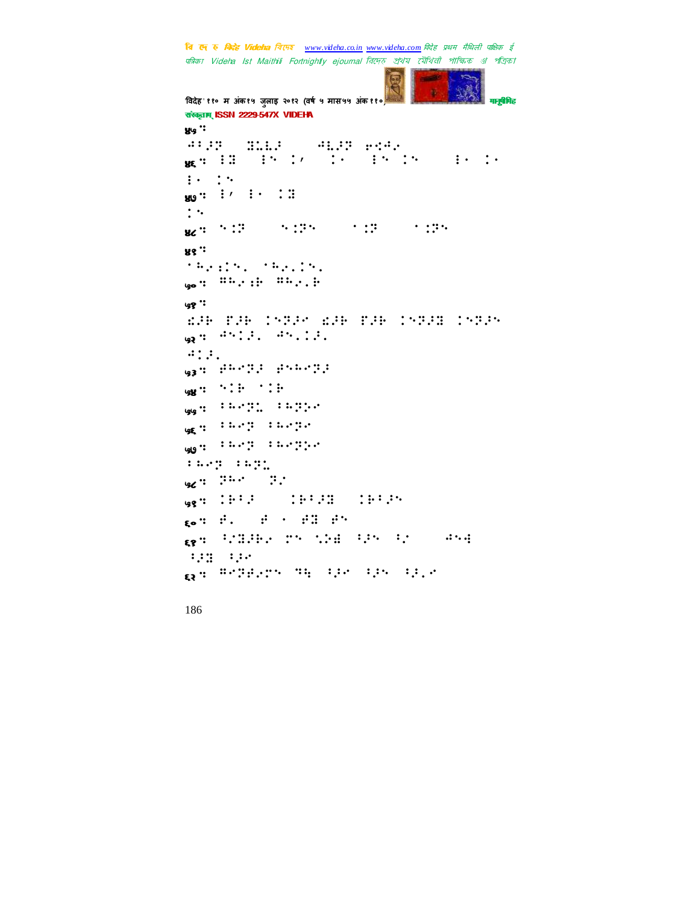```
त्रि एन रु क्रिटेह Videha विएम्ब _www.videha.co.in_www.videha.com विदेह प्रथम मैथिली पाक्षिक ई
पत्रिका Videha Ist Maithili Fortnightly ejournal রিদেহ প্রথম মৌথিনী পাক্ষিক গ্র পত্রিক।
विदेह' ११० म अंक१५ जुलाइ २०१२ (वर्ष ५ मास५५ अंक ११०) मानुसीरी मानुसीरीहरू
संस्कृतम् ISSN 2229-547X VIDEHA
४५⣒!!
HIZP INLE → HIZP 640.
<sub>अ६</sub>० ३० जिल्ह्या हे प्रति कार्य का देखा होता.<br>प्रदेश
\vdots :
30 : \frac{1}{2} : \frac{1}{2} : \frac{1}{2} : \frac{1}{2} : \frac{1}{2} : \frac{1}{2} : \frac{1}{2}\ddot{\cdot} :
४८⣒!⣈⢽!0!⣈⢽!0!⣈⢽!0!⣈⢽!!
४९⣒!!
⢳⢴⣐Z!⢳⢴ZZ!!
५०⣒!⢻⢳⢴⣐⢷!⢻⢳⢴Z⢷!!
५१ :
⣎⢼⢷!'⢼⢷!⢽⢼!⣎⢼⢷!'⢼⢷!⢽⢼⣝0⢽⢼!!
५२ में <sup>21</sup> जिल्ला करने अपने अधिकारित के अन्य अपने अधिकारित के अन्य अधिकारित के अन्य अधिकारित के अन्य अधिकारित
\mathbf{a} \mathbf{B} \mathbf{C}५३⣒!⢾⢳⢽⢼!⢾⢳⢽⢼!!
\mathbf{g} \mathbf{g} : \mathbf{h} \in \mathbb{R} : \mathbf{h} \in \mathbb{R}५५⣒!7⢳⢽⣅!7⢳⢽⢵!!
५६⣒!7⢳⢽!7⢳⢽!!
५७⣒!7⢳⢽.7⢳⢽⢵!
7⢳⢽.7⢳⢽⣅!!
५८: <del>२०० २</del>:
५९⣒!⢷7⢼!0!⢷7⢼⣝0!⢷7⢼!!
६०⣒!⢾Z0!⢾!g!⢾⣝0⢾!!
६१⣒!⢸#⣝⢼⢷⢴!!⣁⢵⣞.⢸⢼0⢸#0-!⢺⣚.
⢸⢼⣝0⢸⢼-!!
६२⣒!⢻⢽⢾⢴!⢹⣓!⢸⢼0⢸⢼0⢸⢼Z!!!
```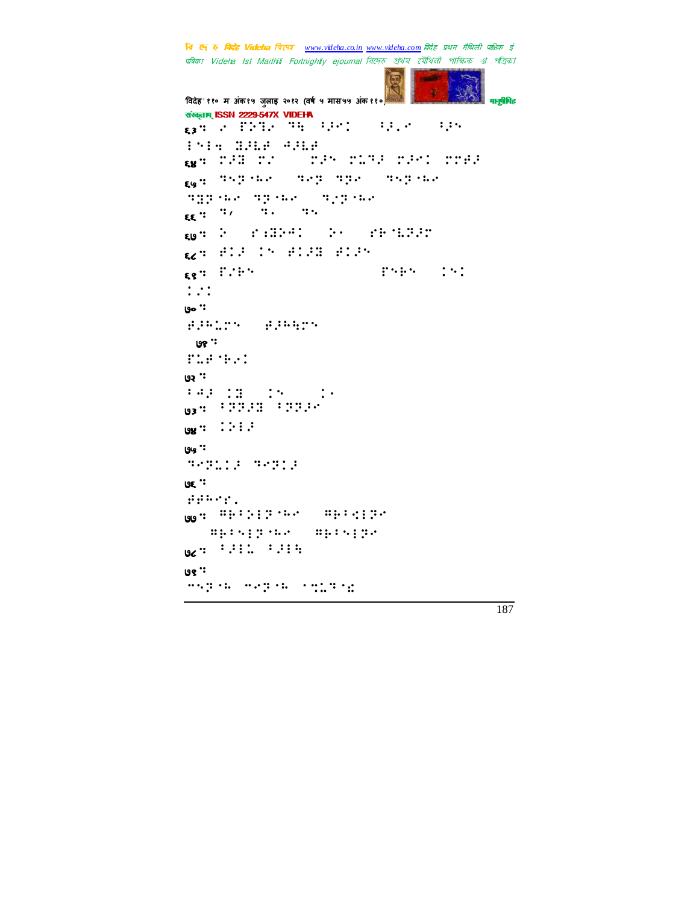```
विदेह' ११० म अंक१५ जुलाइ २०१२ (वर्ष ५ मास५५ अंक ११०) मानुसीरी मानुसीरीहरू
संस्कृतम् ISSN 2229-547X VIDEHA
ि ।<br>इन्द्रिया के साथ से प्राप्त करने के लिए जिले के लिए जिले के लिए जिले के लिए जिले के लिए जिले के लिए जिले के लि
⣒!⣝⢼⣇⢾!⢺⢼⣇⢾!!
६४⣒!⢼⣝!#!0!⢼!⣅⢹⢼!⢼!⢾⢼!!
६५⣒!⢹⢽ ⢳0!⢹⢽!⢹⢽0!⢹⢽ ⢳0!
⢹⣝⢽ ⢳!⢹⢽ ⢳0!⢹#⢽ ⢳!!
\mathbf{g} \mathbf{g}^{(0)} \mathbf{g}^{(0)} = \mathbf{g}^{(0)} \mathbf{g}^{(0)}६७⣒!⢵!)"⣐⣝⢵⢺*!⢵g!)"⢷ ⣇⢽⢼*!!
६८⣒!⢾⢼!!⢾⢼⣝!⢾⢼!!
६९९ में अधिकारित के लिए किसी की समाप्त करते हैं। इस प्रकार के लिए किसी की समाप्त करते हैं कि
\vdots :
'' ञ
⢾⢼⢳⣅0!⢾⢼⢳⣓!!
'' १७
'⣅⢾ ⢷⢴!!
''  ୨
749 13 13 13 13
لىبوت 1999 - ب<sub>وق</sub>
\mathbf{g}us: \mathbf{f}: \mathbf{f}: \mathbf{f}: واق
⢹⢽⣅⢼!⢹⢽⢼!!
७६ "⢾⢾⢳"Z!!
७७⣒!⢻⢷7⢵⢽ ⢳0!⢻⢷7⣊⢽0!
   !!⢻⢷7⢽ ⢳0!⢻⢷7⢽!!
७८: ''' : : : ''' : : 9८
'' १७
5⢽ ⢳!5⢽ ⢳)⣉⣅⢹ ⣎*!!
```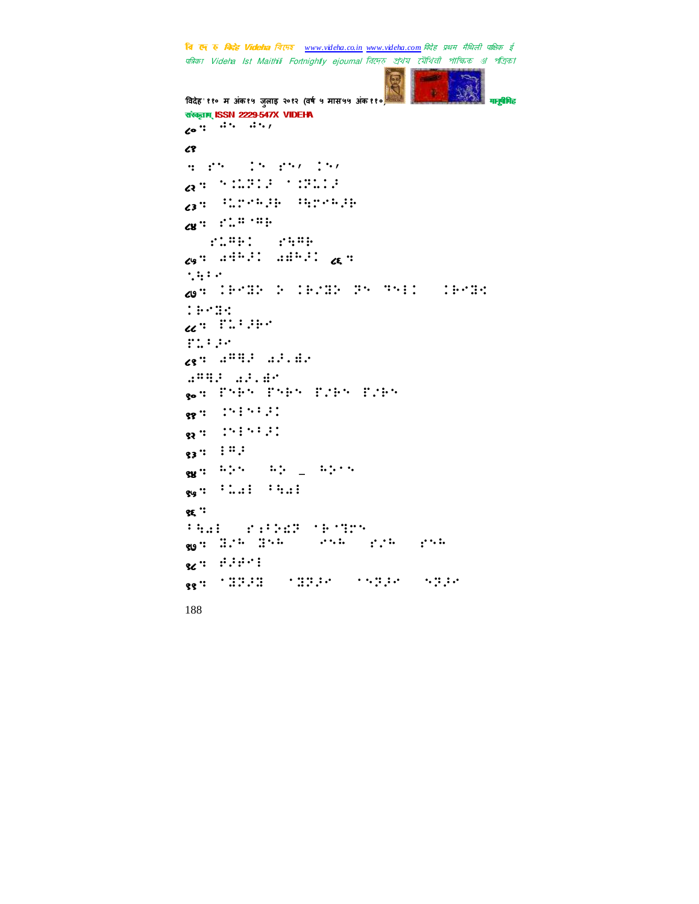```
त्रि एन रु क्रिटेह Videha विएम्ब _www.videha.co.in_www.videha.com विदेह प्रथम मैथिली पाक्षिक ई
पत्रिका Videha Ist Maithili Fortnightly ejournal রিদেহ প্রথম মৌথিনী পাক্ষিক গ্র পত্রিক।
'विदेह' ११० म अंक१५ जुलाइ २०१२ (वर्ष ५ मास५५ अंक ११०) मानुष्य कर राज्य स्थानिक करने वानुसमिद
संस्कृतम् ISSN 2229-547X VIDEHA
188
\overline{\mathcal{C}}८१
H 25 (25 25) 25)
८२⣒!⣈⣅⢽⢼!⣈⢽⣅⢼!!
८३⣒!⢸⣅⢳⢼⢷!⢸⣓⢳⢼⢷!!
\alpha" \mathbb{C} \mathbb{C} \mathbb{C} \mathbb{C} \mathbb{C} \mathbb{C} \mathbb{C} \mathbb{C} \mathbb{C}1 : 1 : 1 : 1 : 1 : 1 : 1 : 1 : 1 : 1 : 1 : 1 : 1 : 1 : 1 : 1 : 1 : 1 : 1 : 1 : 1 : 1 : 1 : 1 : 1 : 1 : 1 : 1 : 1 : 1 : 1 : 1 : 1 : 1 : 1 : 1 : 1 : 
ان عمر : e<sup>11</sup> .<sup>24</sup> . e<sup>11</sup> . e<sup>11</sup>
\gamma is a set
८७⣒!⢷⣝⢵0⢵!⢷#⣝⢵!⢽!⢹!0⢷⣝⣊.
⢷⣝⣊!!
\alpha: \cdotsTWD 34
८९⣒!⣔⢻⣛⢼.⣔⢼Z⣞⢴!
⣔⢻⣛⢼.⣔⢼Z⣞!!
९०९ Pres Pres Pres Pres
१९ : '
82 = 19919-1991
\frac{1}{33} : \frac{1}{3} : \frac{1}{3}९४ में <sup>अनुसा</sup>रित के लिए जाने हैं।
9g: '..: ''..:
९६⣒!!
7FWE (1975-1975)<br>Wand Birk Brk (1976-1976)
९७ में अपनी अपनी अधिकारिक करने अपनी अधिकारिक करने अधिकारिक अधिकारिक करने अधिकारिक अधिकारिक अधिकारिक अधिकारिक अ<br>प्राचीन करने अधिकारिक अधिकारिक अधिकारिक अधिकारिक अधिकारिक अधिकारिक अधिकारिक अधिकारिक अधिकारिक अधिकारिक अधिकार
\mathbf{g}_\mathbf{Z} : \mathbf{f} \mathbf{H} : \mathbf{f}९९⣒!⣝⢽⢼⣝.!⣝⢽⢼0!⢽⢼0!⢽⢼!!
```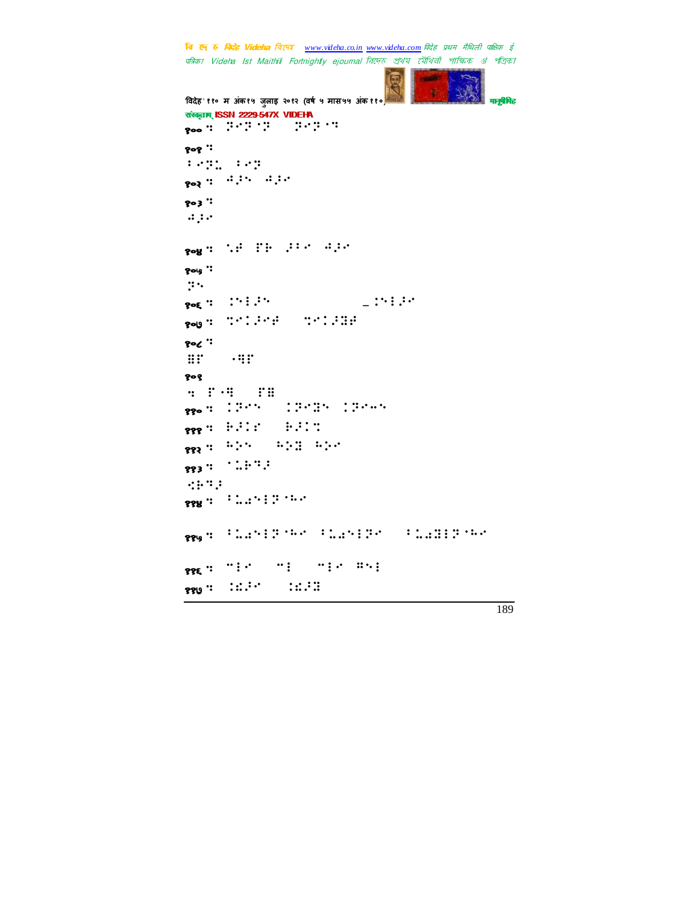```
त्रि एन रु क्रिटेह Videha विएम्ब _www.videha.co.in_www.videha.com विदेह प्रथम मैथिली पाक्षिक ई
 पत्रिका Videha Ist Maithili Fortnightly ejournal রিদেহ প্রথম মৌথিনী পাক্ষিক গ্র পত্রিক।
'विदेह' ११० म अंक१५ जुलाइ २०१२ (वर्ष ५ मास५५ अंक ११०) मानुसीरी मानुसीरीह
संस्कृतम् ISSN 2229-547X VIDEHA
१०० : ३८३ : २८३ : २०३ : २
१०१ :
7⢽⣅!7⢽!!
\mathbf{p}_{\mathbf{Q}} : \mathbf{p}_{\mathbf{Q}} : \mathbf{p}_{\mathbf{Q}}१०३⣒!!
 \mathcal{A}jo!) jo ejggfsfou tfotfolken i staten i staten i staten i staten i staten i staten i staten i staten i
 ?૦૪ઃ ઃં∷ં !ેઃ ડેઃડ ડેડ્ડ
१०७°
\mathbf{B}\frac{1}{2}os \frac{1}{2} : \frac{1}{2} : \frac{1}{2} : \frac{1}{2} : \frac{1}{2} : \frac{1}{2} : \frac{1}{2} : \frac{1}{2} : \frac{1}{2} : \frac{1}{2} : \frac{1}{2} : \frac{1}{2} : \frac{1}{2} : \frac{1}{2} : \frac{1}{2} : \frac{1}{2} : \frac{1}{2} : \frac{1१०७ : २८% : २००१ : २००१
१०८"\mathbf{u} ...
१०९
 ⣒!'0⣛.!'⣟!!
<sub>१९०</sub>० :09∾% - 1988⊱ 1988
१९९ : मेली मेला कराव
१९२ में लिये हैं कि अपने प्राप्त हैं कि अपने प्राप्त हैं कि अपने प्राप्त हैं कि अपने प्राप्त हैं कि अपने प्राप
\frac{883}{10} : \frac{11}{10}\cdot:::::
888 : 1070 : 1170 : 1170 : 1170 : 1170 : 1170 : 1170 : 1170 : 1170 : 1170 : 1170 : 1170 : 1170 : 1170 : 1170 : 1170 : 1170 : 1170 : 1170 : 1170 : 1170 : 1170 : 1170 : 1170 : 1170 : 1170 : 1170 : 1170 : 1170 : 1170 : 1170
 ११५⣒!7⣅⣔⢽ ⢳07⣅⣔⢽0!7⣅⣔⣝⢽ ⢳!
 ११६ मधील का जाता था। जिल्ला का अनुसार का अनुसार का अनुसार का अनुसार का अनुसार का अनुसार का अनुसार का अनुसार का<br>प्राचीन का अनुसार का अनुसार का अनुसार का अनुसार का अनुसार का अनुसार का अनुसार का अनुसार का अनुसार का अनुसार का
१९७ : संस्था : संस्था
```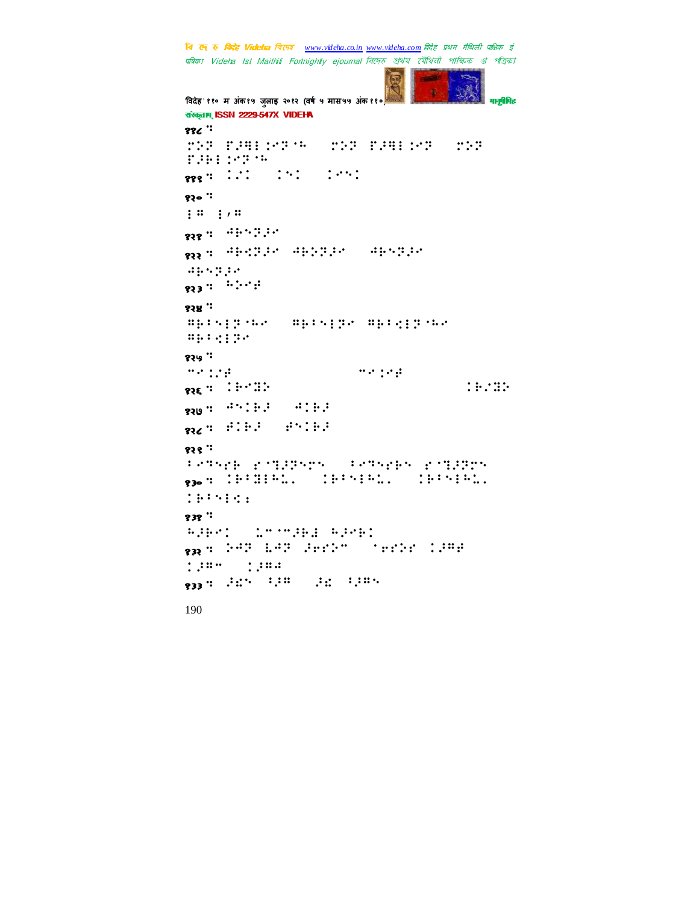```
पत्रिका Videha Ist Maithili Fortnightly ejournal রিদেহ প্রথম মৌথিনী পাক্ষিক গ্র পত্রিক।
                                                                    Section
विदेह' ११० म अंक१५ जुलाइ २०१२ (वर्ष ५ मास५५ अंक ११०) मानुसारी मानुसीमेह
संस्कृतम् ISSN 2229-547X VIDEHA
११८ "
⢵⢽!'⢼⣛⣈⢽ ⢳0!⢵⢽!'⢼⣛⣈⢽0!⢵⢽!
'⢼⢷⣈⢽ ⢳!!
1999 : 101 : 101 : 101 :
१२०⣒!
: " " : " " : " " : "१२१ मध्यम् अप्र
१२२⣒!⢺⢷⣊⢽⢼!⢺⢷⢵⢽⢼.!⢺⢷⢽⢼0!
⢺⢷⢽⢼!!
83 : \therefore \therefore \therefore१२४⣒!
⢻⢷7⢽ ⢳0!⢻⢷7⢽!⢻⢷7⣊⢽ ⢳0!
⢻⢷7⣊⢽!!
१२७ \cdot5⣈#⢾.!)up!uftu*5⣈⢾!!
१२६ थे अपनी स्थिति । अस्य अधिकारित । अस्य अधिकारित । अस्य अधिकारित । अस्य अधिकारित । अस्य अधिकारित । अस्य अधिक
830 : \frac{1}{20}. \frac{1}{20}. \frac{1}{20}. \frac{1}{20}. \frac{1}{20}. \frac{1}{20}. \frac{1}{20}. \frac{1}{20}. \frac{1}{20}. \frac{1}{20}. \frac{1}{20}. \frac{1}{20}. \frac{1}{20}. \frac{1}{20}. \frac{1}{20}. \frac{1}{20}. \frac{1}{20}. \frac{1}{20}R\epsilon : \epsilon : \epsilon : \epsilon : \epsilon : \epsilon : \epsilon : \epsilon : \epsilon : \epsilon : \epsilon : \epsilon : \epsilon : \epsilon : \epsilon : \epsilon : \epsilon : \epsilon : \epsilon : \epsilon : \epsilon : \epsilon : \epsilon : \epsilon : \epsilon : \epsilon : \epsilon : \epsilon : \epsilon : \epsilon : \epsilon : \epsilon१२९⣒!!
7⢹"⢷!" ⣙⢼⢽0!7⢹"⢷!" ⣙⢼⢽!!
<sub>93</sub><sub>o</sub>q (693886). (693986). (693986).
⢷7⣊⣐!!
१३१ :
⢳⢼⢷!)⣅5 5⢼⢷⣜!⢳⢼⢷*!!
१३२⣒!⢵⢺⢽!⣇⢺⢽!⢼⢶"⢵50!⢶"⢵"!⢼⢻⢾0!
⢼⢻50!⢼⢻⢺!
१३३ प. 2015 - 2016 - 2016 - 2016
```
**त्रि एन रु क्रिटेह Videha** विएम्ब \_www.videha.co.in\_www.videha.com विदेह प्रथम मैथिली पाक्षिक ई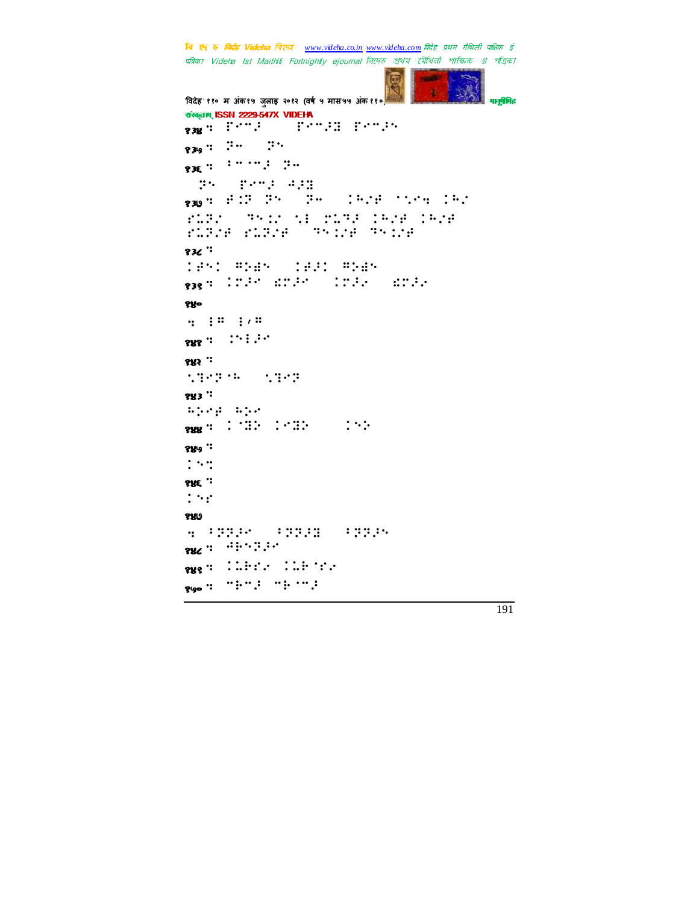```
त्रि एन रु क्रिटेह Videha विएम्ब _www.videha.co.in_www.videha.com विदेह प्रथम मैथिली पाक्षिक ई
पत्रिका Videha Ist Maithili Fortnightly ejournal রিদেহ প্রথম মৌথিনী পাক্ষিক গ্র পত্রিক।
```
**Section** 

```
'विदेह' ११० म अंक१५ जुलाइ २०१२ (वर्ष ५ मास५५ अंक ११०) मानुष्य कर राज्य स्थानिक करने वानुसमिद
संस्कृतम् ISSN 2229-547X VIDEHA
१३४ में कारण करता है। इस इस क्षेत्र के साथ करता है। इस क्षेत्र के साथ करता है। इस क्षेत्र के साथ करता है। इस क<br>इस क्षेत्र के बाद के बाद करता है। इस क्षेत्र के बाद के बाद करता है। इस क्षेत्र के बाद के बाद के बाद करता है। 
\mathbf{334} : \mathbf{36} : \mathbf{37}१३६ <sup>म</sup>ें <sup>15</sup> 75 5 56
   )⢽*!'5⢼!⢺⢼⣝!!
१३७⣒!⢾⣈⢽!⢽!)⢽⢲*!⢳#⢾!⣁⣒!⢳#0!
 "⣅⢽#0!⢹⣈#!⣁!⣅⢹⢼!⢳#⢾.⢳#⢾0!
 "⣅⢽#⢾."⣅⢽#⢾0!⢹⣈#⢾.⢹⣈#⢾!
१३८ ":=939 ° 1025 ° 2025 - 1025 - 2025
१४०
 \vdots : \vdots : \vdots883 : \cdots : \cdots१४२ :
 ⣁⣙⢽ ⢳0!⣁⣙⢽!!
१४३ :
 \begin{aligned} \mathbf{1} \cdot \mathbf{1} \cdot \mathbf{1} \cdot \mathbf{1} \cdot \mathbf{1} \cdot \mathbf{1} \cdot \mathbf{1} \cdot \mathbf{1} \cdot \mathbf{1} \cdot \mathbf{1} \cdot \mathbf{1} \cdot \mathbf{1} \cdot \mathbf{1} \cdot \mathbf{1} \cdot \mathbf{1} \cdot \mathbf{1} \cdot \mathbf{1} \cdot \mathbf{1} \cdot \mathbf{1} \cdot \mathbf{1} \cdot \mathbf{1} \cdot \mathbf{1} \cdot \mathbf{1} \cdot \mathbf{1} \cdot \mathbf{1} \cdot \mathbf{1} \cdot \mathbf{1} \<sub>१४४</sub> : २०३२ - २०३२ - २०३
१४५ \cdot: \cdot :
१४६ :
\vdots :
१४७
 ⣒!7⢽⢽⢼0!7⢽⢽⢼⣝0!7⢽⢽⢼!!
\frac{1}{386} : \frac{1}{2} : \frac{1}{2} : \frac{1}{2} : \frac{1}{2}888 : Chero Chero
१५०⣒!5⢷5⢼!5⢷ 5⢼!!
```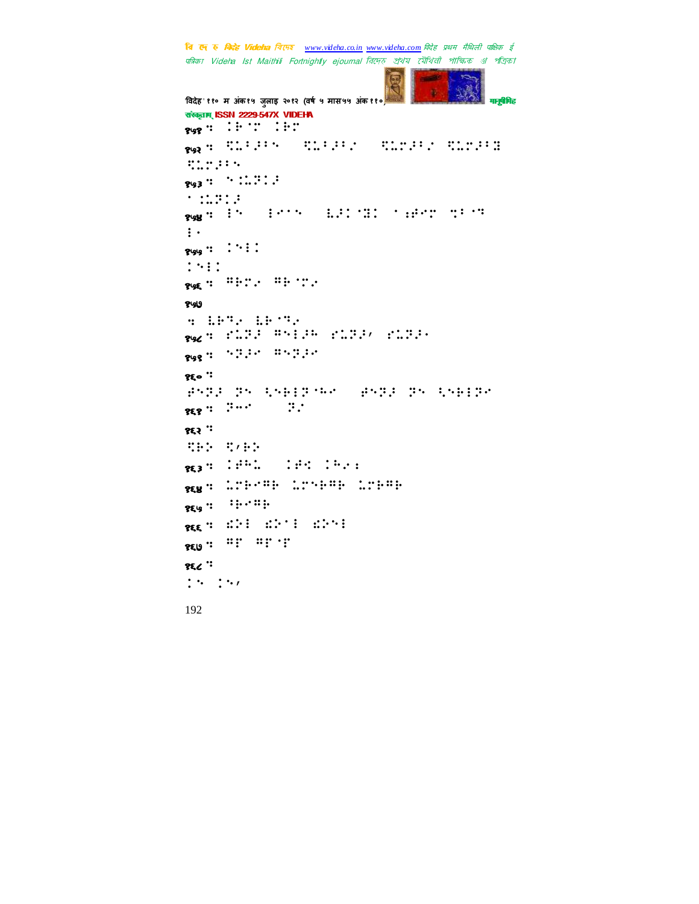```
पत्रिका Videha Ist Maithili Fortnightly ejournal রিদেহ প্রথম মৌথিনী পাক্ষিক গ্র পত্রিক।
विदेह' ११० म अंक१५ जुलाइ २०१२ (वर्ष ५ मास५५ अंक ११०) मानुसारी मानुसीमेह
संस्कृतम् ISSN 2229-547X VIDEHA
१५१⣒!⢷ !⢷!!
१५२⣒!⣋⣅7⢼70!⣋⣅7⢼7#0!⣋⣅⢼7#!⣋⣅⢼7⣝0!
⣋⣅⢼7!!
१५३⣒!⣈⣅⢽⢼0!!
^{\circ} ::::::
१७४ : 18 | 1918 | 1919 110 | 1919 110
: .
g_{.9} : \cdots :
: \cdot : :\gamma_{95}: \cdots \cdots \cdots१५७
WEIGHT:
१५८⣒!"⣅⢽⢼!⢻⢼⢳!"⣅⢽⢼'0"⣅⢽⢼g!!
१५९ : २२.३२ : २९.३२
१६० :⢾⢽⢼!⢽!⣃⢷⢽ ⢳0!⢾⢽⢼!⢽!⣃⢷⢽!!
१९६९ में लिये हैं। अन्य स्थान के अन्य स्थान के अन्य स्थान के अन्य स्थान के अन्य स्थान के अन्य स्थान के अन्य स्
१६२ :
THE TABLE
1963 T. (1990) 1991 (1991)
१६४⣒!⣅⢷⢻⢷.⣅⢷⢻⢷!⣅⢷⢻⢷!!
R_{49}: \cdots:::
<sub>१६६</sub>० अप्रैले अप्रैल अप्रैल
१६७ : "!" '"! '!
१६८ :\mathbb{R}^n : \mathbb{R}^n
```
**त्रि एन रु क्रिटेह Videha** विएम्ब \_www.videha.co.in\_www.videha.com विदेह प्रथम मैथिली पाक्षिक ई

```
192
```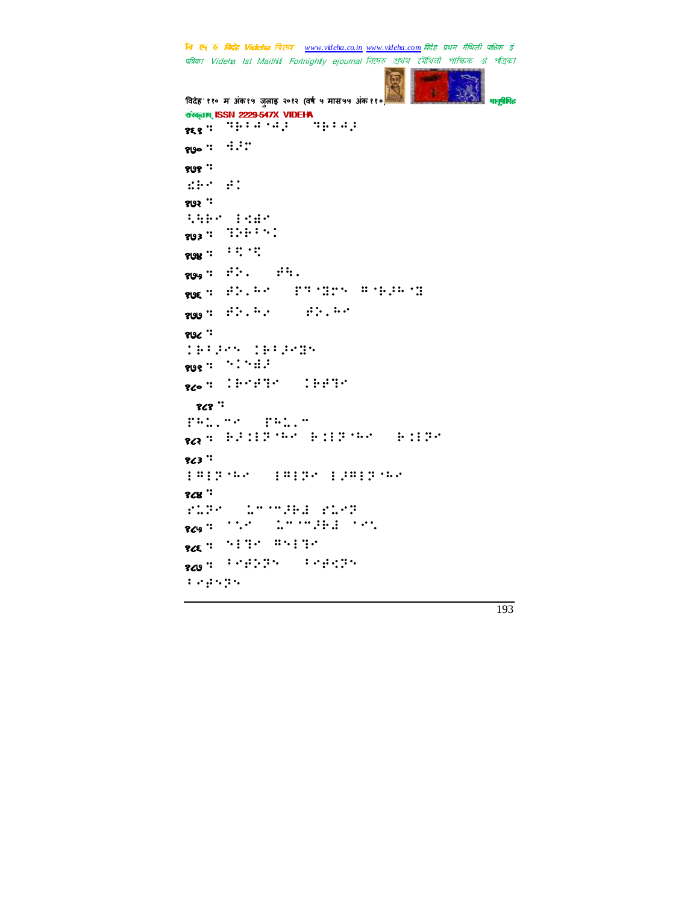पत्रिका Videha Ist Maithili Fortnightly ejournal রিদেহ প্রথম মৌথিনী পাক্ষিক গ্র পত্রিক। विदेह' ११० म अंक१५ जुलाइ २०१२ (वर्ष ५ मास५५ अंक ११०) मानुसारी मानुसीमेह संस्कृतम् ISSN 2229-547X VIDE<del>H</del>A १६९⣒!⢹⢷7⢺ ⢺⢼0!⢹⢷7⢺⢼!!  $90^\circ$ :  $\therefore$ १७१  $\cdot$ ⣎⢷!⢾!! १७२  $:$ SHEP 1888  $803$  :  $"$  :  $"$  :  $"$  :  $"$  : १७४ : २९ : २९  $\gamma_{0}$ <sub>9</sub> :  $\therefore$   $\therefore$   $\therefore$ १७६ : २२००० - २००० अपूर्ण में अधिकारी  $300$  :  $\frac{15}{200}$  :  $\frac{15}{200}$  :  $\frac{15}{200}$ १७८  $\cdot$ ⢷7⢼!⢷7⢼⣝!!  $908$  :  $\cdot$  :  $\cdot$  : ::: १८० : २००० : २००१ : २००१ १८१  $\cdot$ THE."" THE." १८२⣒!⢷⢼⣈⢽ ⢳!⢷⣈⢽ ⢳0!⢷⣈⢽!! १८३  $\because$ ⢻⢽ ⢳0!⢻⢽!⢼⢻⢽ ⢳!! १८४  $"$ "SLPP = 1" "PHE SLPP १८५ : २००० : २००० : २००० : २००० : २००० : २००० : २००० : २००० : २००० : २००० : २००० : २००० : २००० : २००० : २००० : १८६⣒!⣙!⢻⣙!! १८७ : २००० : २००० : २०००  $7.7\pm0.7\%$ 

**त्रि एन रु क्रिटेह Videha** विएम्ब \_www.videha.co.in\_www.videha.com विदेह प्रथम मैथिली पाक्षिक ई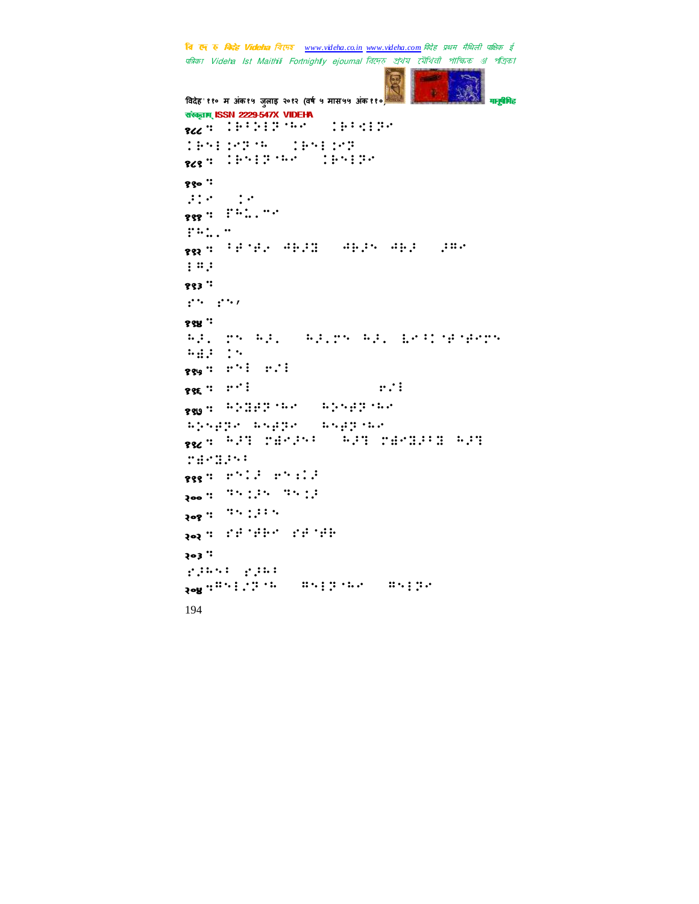```
'विदेह' ११० म अंक१५ जुलाइ २०१२ (वर्ष ५ मास५५ अंक ११०) मानुष्य कर राज्य स्थानिक करने वानुसमिद
संस्कृतम् ISSN 2229-547X VIDEHA
194
१८८ : २००१ २००१ : २००१ : २००१ : २००१ : २००१ : २००१ : २००१ : २००१ : २००१ : २००१ : २००१ : २००१ : २००१ : २००१ : २
⢷⣈⢽ ⢳0!⢷⣈⢽!!
१८९ : २००३ ३००० : २००३ ३०
१९०⣒!!
318 (18
888 : \cdotsFRI."
१९२⣒!7⢾ ⢾⢴!⢺⢷⢼⣝0!⢺⢷⢼!⢺⢷⢼!)⢼⢻!
; "१९३ "\mathcal{C}^{\mathcal{M}} : \mathcal{C}^{\mathcal{M}} /
१९४ :
⢳⢼Z!!⢳⢼Z!)⢳⢼Z!⢳⢼Z!⣇⢸ ⢾ ⢾!
Hd2 (15)
899 : " "': " " : "\mathbf{R}९६\mathbf{R}: \mathbf{R} : \mathbf{R} : \mathbf{R} : \mathbf{R} : \mathbf{R} : \mathbf{R} : \mathbf{R} : \mathbf{R} : \mathbf{R} : \mathbf{R} : \mathbf{R} : \mathbf{R} : \mathbf{R} : \mathbf{R} : \mathbf{R} : \mathbf{R} : \mathbf{R} : \mathbf{R} : \math१९७⣒!⢳⢵⣝⢾⢽ ⢳0!⢳⢵⢾⢽ ⢳0!
⢳⢵⢾⢽0⢳⢾⢽0!⢳⢾⢽ ⢳!!
१९८⣒!⢳⢼⣙!⣞⢼70!⢳⢼⣙!⣞⣝⢼7⣝0⢳⢼⣙!
⣞⣝⢼7!!
१९९३ : २९९० : २०९१ : २
२०० : २००९: २००९: २००९: २००९: २००९: २००९: २००९: २००९: २००९: २००९: २००९: २००९: २००९: २००९: २००९: २००९: २००९: २०
208 : 35.133.7२०२ में अर्थित के अर्थ के अर्थ के अर्थ के अर्थ के अर्थ के अर्थ के अर्थ के अर्थ के अर्थ के अर्थ के अर्थ के अर्थ
२०३ ""⢼⢳7!"⢼⢳7!!
२०४⣒⢻#⢽ ⢳0!⢻⢽ ⢳0!⢻⢽!!
```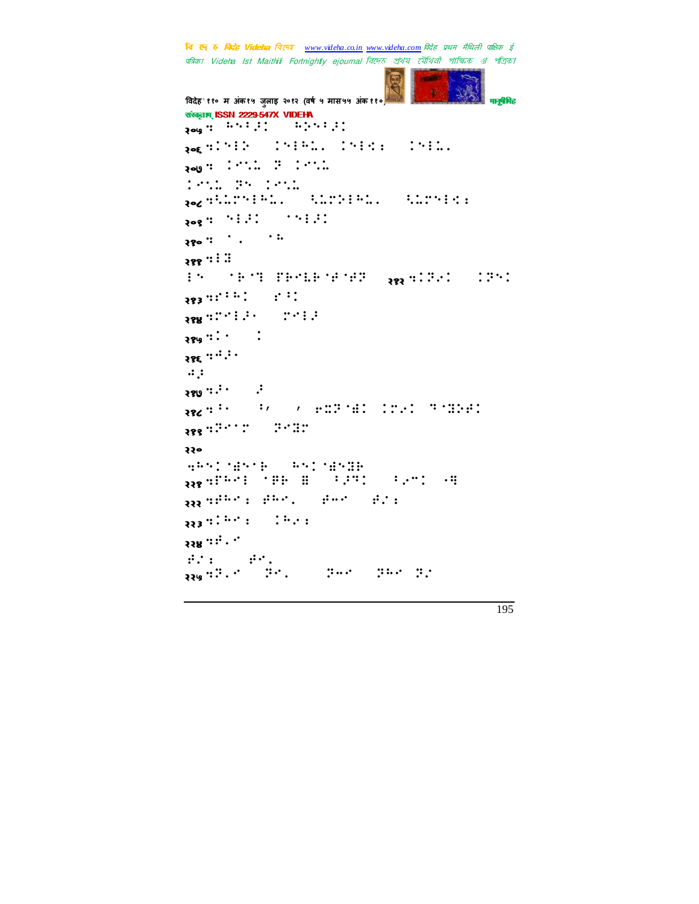```
पत्रिका Videha Ist Maithili Fortnightly ejournal রিদেহ প্রথম মৌথিনী পাক্ষিক গ্র পত্রিক।
'विदेह' ११० म अंक१५ जुलाइ २०१२ (वर्ष ५ मास५५ अंक ११० माली मानुसारी मानुसीरेड
संस्कृतम् ISSN 2229-547X VIDEHA
२०५ : 599 : 599 : 599 : 599 : 599 : 599 : 599 : 599 : 599 : 599 : 599 : 599 : 599 : 599 : 599 : 599 : 599 : 59
<sub>306</sub>q:512 (5181, 1516) (511,
२०७ : २०७ : २०७ : २०७
THIL BY INTE
२०८⣒⣃⣅⢳⣅Z0!⣃⣅⢵⢳⣅Z0!⣃⣅⣊⣐!!
२०९ : 10:20 : 10:20
२१०: ' : '२११ : : : :
!)⢷ ⣙.'⢷⣇⢷ ⢾ ⢾⢽*!२१२⣒⢽⢴0!⢽!!
283 223 223 23 24 25२१४⣒⢼g0!⢼!!
284 :: \cdot :
२१६\cdotं\cdotं\cdot\ddot{a} :
२१७ "ं में पुरुष
२१८⣒⢸g!0⢸'!)'!⢶⣍⢽ ⣞!⢴!⢹ ⣝⢵⢾*!!
२१९ मध्ये २००१ मध्ये २००१ सा
२२०
⣒⢳ ⣞⢷0!⢳ ⣞⣝⢷!!
२२१ जाणिती जिल्ला आहे. या 7 जाणिती अस
२२२ परिमान करने से समाप्त होते हैं।<br>अपने परिमान करने के समाप्त होते हैं।
२२३⣒⢳⣐0!⢳⢴⣐!!
224 224H^2 : H^2 , H^2 , H^2२२५ थे <sup>20</sup> जिल्हा थे अपनी स्थान कर साथ प्राप्त हो।
```
**त्रि एन रु क्रिटेह Videha** विएम्ब \_www.videha.co.in\_www.videha.com विदेह प्रथम मैथिली पाक्षिक ई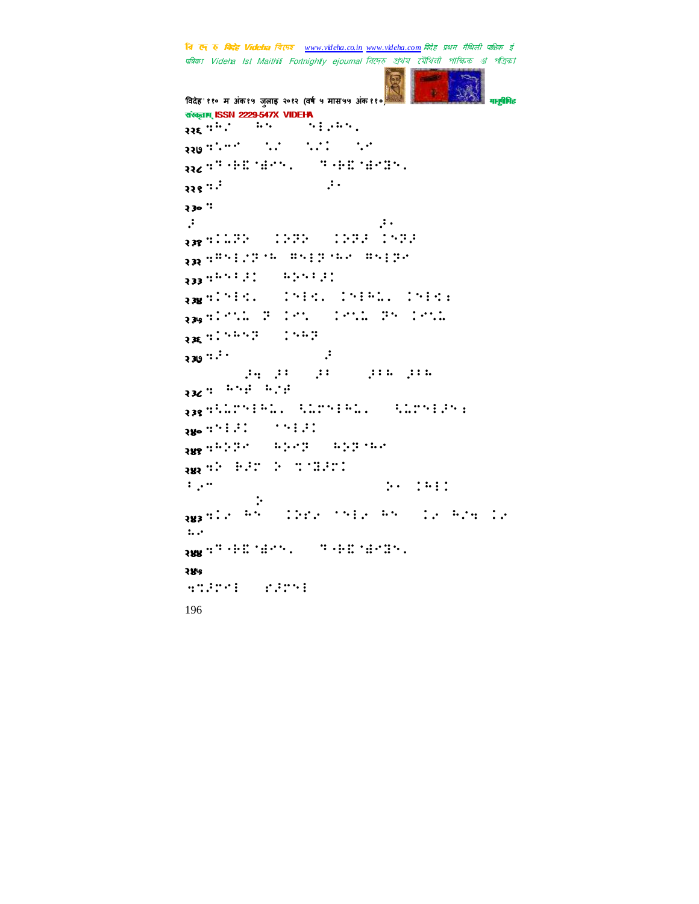```
विदेह' ११० म अंक१५ जुलाइ २०१२ (वर्ष ५ मास५५ अंक ११०) मानुसारी मानुसीमेह
संस्कृतम् ISSN 2229-547X VIDEHA
196
२२६ मध्य जानिक अधिकारी है। इसका प्रसार का साथ से साथ से साथ से साथ से साथ से साथ से साथ से साथ से साथ से साथ स<br>जनसङ्ख्या होता है कि उस साथ से साथ से साथ से साथ से साथ से साथ से साथ से साथ से साथ से साथ से साथ से साथ से सा
२२७⣒⣁⢲0!⣁#0!⣁#!0⣁!!
२२८⣒⢹0⢷⣏ ⣞Z0!⢹0⢷⣏ ⣞⣝Z!!
\mathcal{Q}२२९\mathcal{Q}: \mathcal{Q}२३० :\mathcal{F} ) denote the density of \mathcal{F} . We also denote the density of \mathcal{F}<sub>२३१</sub> साइटाल - 1999 - 1999 - 1999 -
२३२⣒⢻#⢽ ⢳.⢻⢽ ⢳.⢻⢽!
२३३⣒⢳7⢼.!⢳⢵7⢼!
२३४⣒⣊Z.!⣊Z.⢳⣅Z0⣊⣐!!
२३५ सालिया है जिसे पालिया है। अपनी स्था
२३६ <sup>(</sup> ) <sup>194</sup>7 ( ) | 1947 (
\mathbf{z}ээ\mathbf{u}^{\mathbf{z}}а\mathbf{v}^{\mathbf{z}}boe*0⢼⣒!⢼7(.⢼7(!0⢼7⢳.⢼7⢳!
२३८ में लिए में लिए में लिए
२३९⣒⣃⣅⢳⣅Z.⣃⣅⢳⣅Z.!⣃⣅⢼⣐!
२४० <sup>01:</sup>19:20 10:19:20
२४१⣒⢳⢵⢽.!⢳⢵⢽0!⢳⢵⢽ ⢳0!
२४२ मध्य २००१ छन्। २००१ मध्य २००१ छन्। २००१ छन्। २००१ छन्। २००१ छन्। २००१ छन्। २००१ छन्। २००१ छन्। २००१ छन्। २
7⢴5)dpokvodujpo*-!⢵g!⢳!)if!
t_{\rm b} the 0.01<sub>२४३</sub> वरेल किंग्ड देशियल हिन्दी किंग्ड देल किंग्व रेल |
\ddot{\mathbf{r}}.
२४४⣒⢹0⢷⣏ ⣞Z0!⢹0⢷⣏ ⣞⣝Z!
२४५
⣒⣉⢼0!"⢼!!
```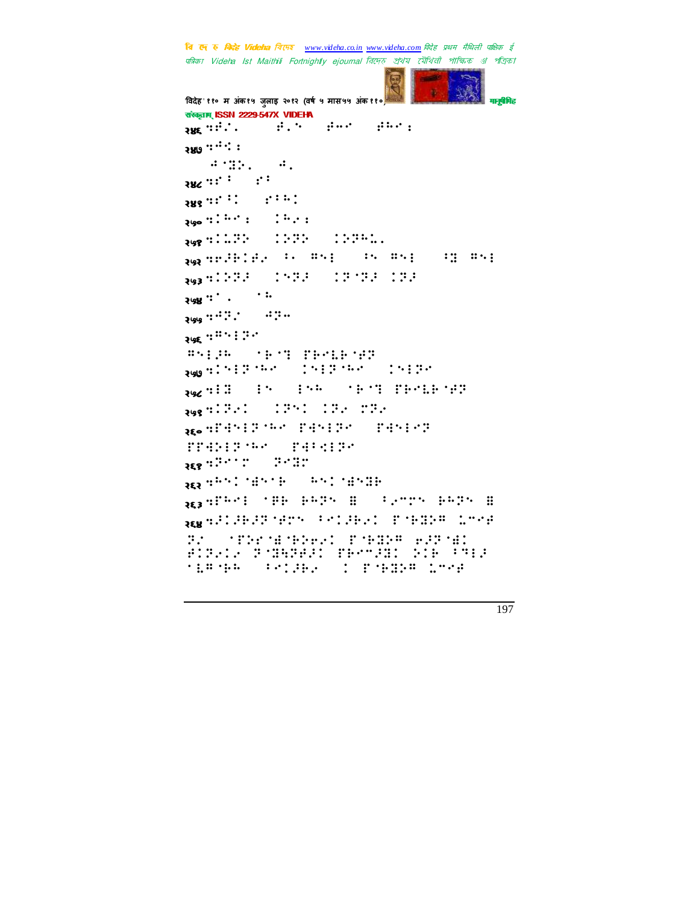पत्रिका Videha Ist Maithili Fortnightly ejournal রিদেহ প্রথম মৌথিনী পাক্ষিক গ্র পত্রিক। विदेह' ११० म अंक१५ जुलाइ २०१२ (वर्ष ५ मास५५ अंक ११०) मानुसार मानुसीमह संस्कृतम् ISSN 2229-547X VIDEHA २४६⣒⢾#Z!0!⢾Z0!⢾⢲0!⢾⢳⣐! २४७ : : :  $\frac{3}{2}$   $\frac{3}{2}$   $\frac{2}{2}$   $\frac{2}{2}$   $\frac{3}{2}$   $\frac{2}{2}$   $\frac{3}{2}$   $\frac{2}{2}$ २४८⣒"⢸0!"7! २४९⣒"⢸0!"7⢳! २५०⣒⢳⣐0!⢳⢴⣐! २*५*९९:1122 2222 2223. २५२ प्राप्त संस्कृति काल्लाली संस्कृति । अत्र संस्कृति काल्लाली संस्कृति । अत्र संस्कृति । अत्र संस्कृति । अत् २५३⣒⢵⢽⢼0!⢽⢼0!⢽ ⢽⢼0⢽⢼! २५४ : २५४ : २०१२ २*५५* ५ २ : २९५ (२००६) २७६ : : : : : : : : ⢻⢼⢳!)⢷ ⣙!'⢷⣇⢷ ⢾⢽\*!! २५७⣒⢽ ⢳0!⢽ ⢳0!⢽0!! २५८⣒⣝0!0!⢳!)⢷ ⣙!'⢷⣇⢷ ⢾⢽\*! २७९ : 22-1 - 22-1 : 22-1 : 22-1 : 23-1 : 23-1 : 23-1 : 23-1 : 23-1 : 23-1 : 23-1 : 23-1 : 23-1 : 23-1 : 23-1 : <sub>२६०</sub>०‼9913990 ‼99139 ‼99193 " २६१ मध्यप्रदेश कर प्राप्त कर प्राप्त कर प्राप्त कर प्राप्त कर प्राप्त कर प्राप्त कर प्राप्त कर प्र २६२⣒⢳ ⣞⢷0!⢳ ⣞⣝⢷! २६३⣒'⢳!⢿⢷!⢷⢳⢽!⣟0!7⢴5!⢷⢳⢽!⣟! २६४⣒⢼⢼⢷⢼⢽ ⢾!7⢼⢷⢴!' ⢷⣝⢵⢻!⣅5⢾! ⢽#0!'⢵" ⣞ ⢷⢵⢶⢴!' ⢷⣝⢵⢻!⢶⢼⢽ ⣞! ⢾⢽⢴⢴!⢽ ⣝⣓⢽⢾⢼!'⢷5⢼⣝!⢵⢷!7⢹⢼!  $^{\prime}$ G#JP#  $^{\prime}$  /7 $^{\prime}$   $^{\prime}$   $^{\prime}$   $^{\prime}$   $^{\prime}$   $^{\prime}$   $^{\prime}$   $^{\prime}$   $^{\prime}$   $^{\prime}$   $^{\prime}$   $^{\prime}$   $^{\prime}$   $^{\prime}$   $^{\prime}$   $^{\prime}$   $^{\prime}$   $^{\prime}$   $^{\prime}$   $^{\prime}$   $^{\prime}$   $^{\prime}$   $^{\prime}$   $^{\prime}$   $^{\prime}$   $^{\prime}$   $^{\prime}$   $^{\prime}$   $^{\prime}$ 

चि एक रु *विदेह Videha चिए*न्छ <u>www.videha.co.in www.videha.com</u> विदेह प्रथम मैथिली पाक्षिक ई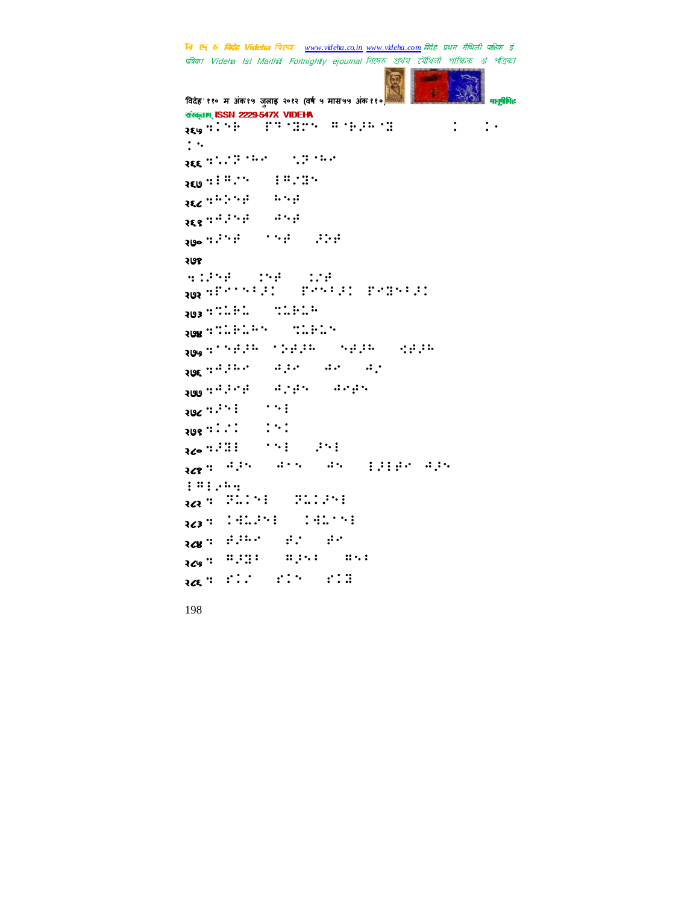पत्रिका Videha Ist Maithili Fortnightly ejournal রিদেহ প্রথম মৌথিনী পাক্ষিক গ্র পত্রিক। विदेह' ११० म अंक१५ जुलाइ २०१२ (वर्ष ५ मास५५ अंक ११०) मानुसारी मानुसीमेह संस्कृतम् ISSN 2229-547X VIDEHA २६५ थे : २६५ लिया थे इस अपनी का कारण करता है। इस अपनी कारण करता है कि इस अपनी कारण करता है। इस अपनी कारण करता<br>इस अपनी कारण करता है कि अपनी कारण करता है। इस अपनी कारण करता है कि अपनी कारण करता है। इस अपनी कारण करता है कि  $\cdot$  : २६६ प्रदेशीय केले लिया परिवेश २६७ : में में स्थान के बाद प्राप्त कर लिया। २६८ प्रसिटिक के साथ प्राप्त २६९ <sup>012</sup>ं<sup>5</sup> लं २७० : निर्माण कर कर परिम २७१ ⣒⣈⢼⢾0!⣈⢾0!⣈#⢾!! २७२ मध्ये प्रशासन करते हैं। इतने कहा कि इस प्रशासन कर २७३⣒⣉⣅⢷⣅0!⣉⣅⢷⣅⢳! २७४ अप्रै**७४ अप्रैण्ड अप्रैण्ड अप्रैण्ड अप्रैण्ड अप्रैण्ड अप्रैण्ड अप्रैण्ड अप्रैण्ड अप** २७५⣒⢾⢼⢳0⢵⢾⢼⢳0!⢾⢼⢳0!⣊⢾⢼⢳! २७६ पर्याप्तान - वर्षा वर्षा वर्षा २७७ सम्मी सम्मी का अन्य सम्मी का अन्य सम्मी का अन्य सम्मी का अन्य सम्मी का अन्य सम्मी का अन्य सम्मी का अन्य सम<br>जन्म २७८⣒⢼0!! २७९⣒#0!! २८० प्रतीक्षा सामान्य अपूर्णलेखाः । अपूर्णलेखाः । अपूर्णलेखाः । अपूर्णलेखाः । अपूर्णलेखाः । अपूर्णलेखाः । अपूर २८१ प<sup>्र</sup>मीट जन्म जन्म अनुसार मन्न  $\vdots$   $\vdots$   $\vdots$ २८२ - २००१ - २००१ - २००१ - २००१ - २००१ - २००१ - २००१ - २००१ - २००१ - २००१ - २००१ - २००१ - २००१ - २००१ - २००१ -२८३ प्राचीनिकेतील विकास करने ह २८४ <sup>म</sup>ें <sup>में इ</sup>ला बार कर २८५ : "२०! "२०! "२०! "२०! २८६ में मेरे के बार की प्रकाश करते हैं।

चि एक रु *विदेह Videha चिए*न्छ <u>www.videha.co.in www.videha.com</u> विदेह प्रथम मैथिली पाक्षिक ई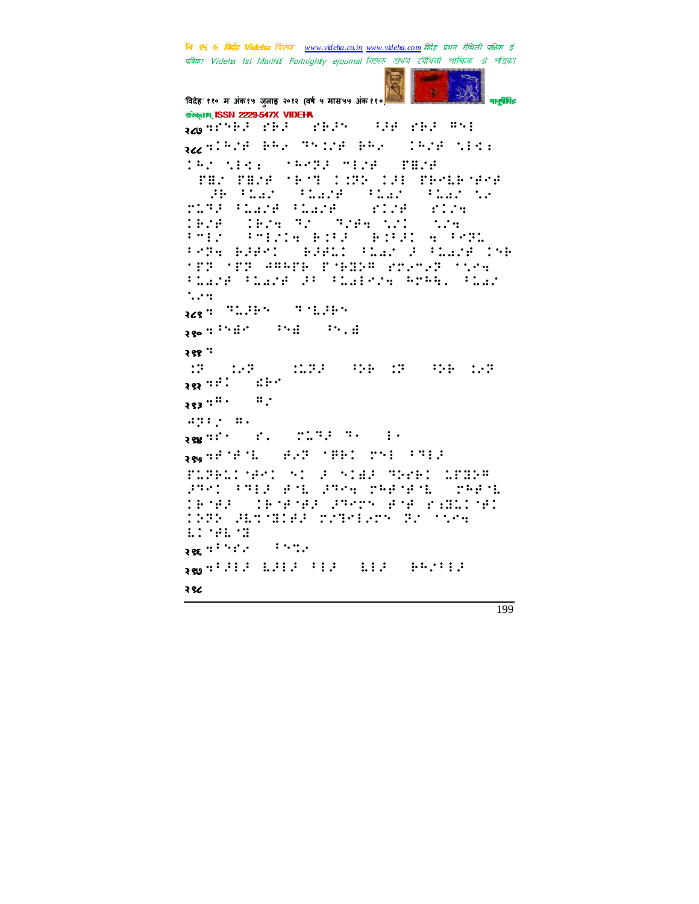**CONTRACT** 

```
विदेह' ११० म अंक१५ जुलाइ २०१२ (वर्ष ५ मास५५ अंक ११०) मानुसारी मानुसीमेह
संस्कृतम् ISSN 2229-547X VIDEHA
२८७⣒"⢷⢼0"⢷⢼0!"⢷⢼!)⢸⢼⢾!"⢷⢼!⢻*!
२८८⣒⢳#⢾!⢷⢳⢴0⢹⣈#⢾!⢷⢳⢴0!⢳#⢾!⣁⣊⣐0!
^{\circ} # ^{\circ} . The set of the set of the set of the set of the set of the set of the set of the set of the set of the set of the set of the set of the set of the set of the set of the set of the set of the set of the se
) THA THAT 'F'I LAT AT 'THAT 'THAT 'THAT '
.!⢼⢷!7⣅⣔#0!7⣅⣔#⢾!)7⣅⣔#0!7⣅⣔#!⣁⢴-!
ring filme filme aftre aftre<br>1929 : 1924 nr Shree wit wire
1B2# (1B2# ∄2 | B2#+ N21 | N2+ |
75#0 Particle Bile (Bile) # 75#0
7⢽⣒!⢷⢼⢾0!⢷⢼⢾⣅!7⣅⣔#!⢼!7⣅⣔#⢾!⢷!
'FF 'FF '###F# F'HEF 'STATEF 'STA
7GAY TEAM AND TEAM AND TEAM
\ddots :
२८९ : निर्वाचिक प्राप्त कार्यक्षम कर
२९० <sup>: अ</sup>संगठन कर
२९१ :
.<br><sub>sec</sub>uil der
२९२ ::\vdots283<sup>qm</sup>\cdots⢺⢽7#!⢻g*!
२९४ पर्या थियो थियो हो।<br>दिखां
२९५ साले घेर चाले अपनी साले अपनी साले अपनी साले अपनी साले अपनी साले अपनी साले अपनी साले अपनी साले अपनी साले अध<br>प्राचीन साले अपनी साले अपनी साले अपनी साले अपनी साले अपनी साले अधिक अपनी साले अपनी साले अधिक अधिक अधिक अधिक सा
'⣅⢽⢷⣅ ⢾!!⢼!⣞⢼!⢹⢵"⢷!⣅'⣝⢵⢻*!
⢼⢹!7⢹⢼!⢾ ⣇!⢼⢹⣒!⢳⢾ ⢾ ⣇0!⢳⢾ ⣇0!
\mathbf{I} \oplus \mathbf{I} \oplus \mathbf{I} \oplus \mathbf{I} \oplus \mathbf{I} \oplus \mathbf{I} \oplus \mathbf{I} \oplus \mathbf{I} \oplus \mathbf{I}1277 And 1277 1277 1277LIME
२९६ प्रतिप्रदेश के प्रतिप्रदेश
२९७ : 700 : 700 : 700 : 700 : 700 : 700 : 700 : 700 : 700 : 700 : 700 : 700 : 700 : 700 : 700 : 700 : 700 : 70
२९८
```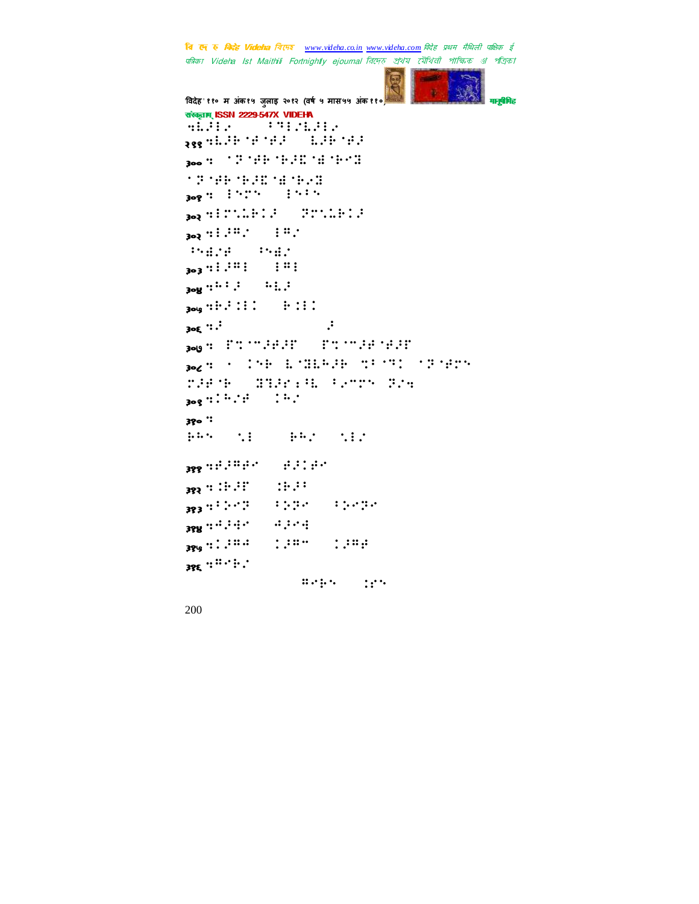```
विदेह' ११० म अंक१५ जुलाइ २०१२ (वर्ष ५ मास५५ अंक ११०) मानुसारी मानुसीमेह
संस्कृतम् ISSN 2229-547X VIDEHA
\overline{1} \overline{2} \overline{3} \overline{4} \overline{5} \overline{2} \overline{3} \overline{4} \overline{2} \overline{3} \overline{4} \overline{2} \overline{3} \overline{4} \overline{2} \overline{3} \overline{3} \overline{4} \overline{2} \overline{3} \overline{3} \overline{4} \overline{2} \overline{3} \overline{3२९९⣒⣇⢼⢷ ⢾ ⢾⢼0!⣇⢼⢷ ⢾⢼!
३००⣒!⢽ ⢾⢷ ⢷⢼⣏ ⣞ ⢷⣝0!
⢽ ⢾⢷ ⢷⢼⣏ ⣞ ⢷⢴⣝!
308 : 1575 1515३०२⣒⣁⣅⢷⢼-!⢽⣁⣅⢷⢼!
302 \frac{11.382}{1.382} \frac{18.382}{1.382}→ Weblet Weblet
303 :: :: :: :: ::३०४⣒⢳7⢼0!⢳⣇⢼!
304 :: :: :: :: ::3^\circex\ddots३०७⣒!'⣉ 5⢼⢾⢼'0!'⣉ 5⢼⢾ ⢾⢼'!
३०८⣒!g!⢷!⣇ ⣝⣇⢳⢼⢷!⣉7 ⢹!⢽ ⢾!
⢼⢾ ⢷-!⣝⣙⢼"⣐⢸⣇!7⢴5!⢽#⣒!
308 \frac{15}{10} \frac{15}{10} \frac{15}{10}३१०⣒!
⢷⢳!)⣁*0!⢷⢳#!)⣁#*!)nfbojoh!
३११⣒⢾⢼⢻⢾0!⢾⢼⢾!
<sub>383</sub> : 00:00 (00:00)
३१३⣒7⢵⢽0!7⢵⢽0!7⢵⢽!
<sub>388</sub> qilid<br><sub>388</sub> qilid<br><sub>388</sub> qilid
                    \ddotsc385 \ldots \ldotsthe property of the property of the property of the property of the property of the property of the property of the property of the property of the property of the property of the property of the property of the property o
```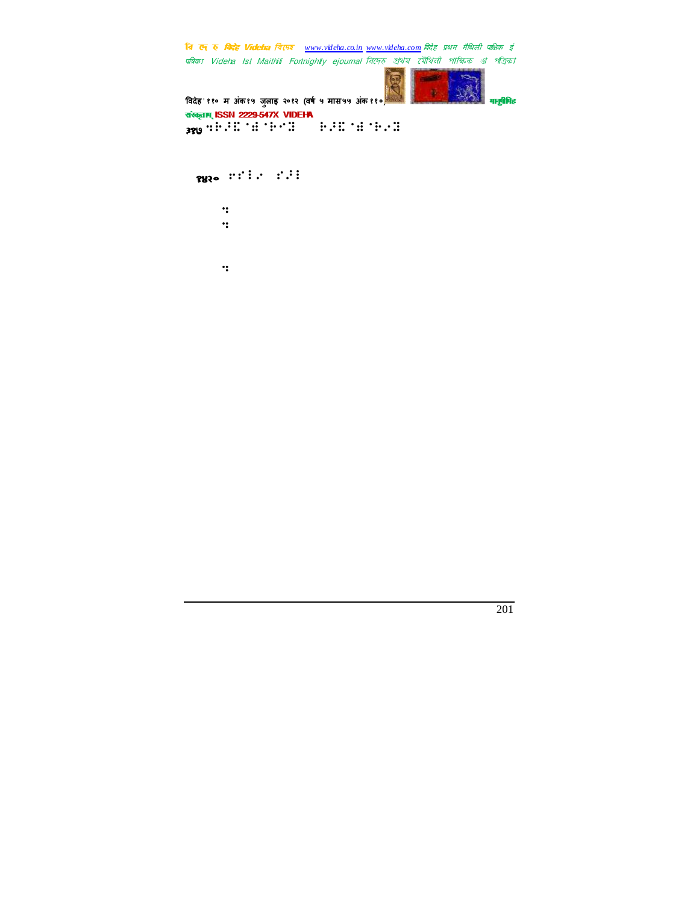

संकृताम्ISSN 2229-547X VIDEHA  $\frac{380}{100}$  :  $\frac{1}{100}$  :  $\frac{1}{100}$  :  $\frac{1}{100}$  :  $\frac{1}{100}$ 

१४२० : : : : : : : : : :

Opwer 3123. 36- 2012 12:37-12:37-22:37-22:37-23:37-23:37-23:37-23:37-23:37-23:37-23:37-23:37-23:37-23:37-23:37  $\mathbf{P}_{\mathbf{S}}$  $G_{\rm 3}$  3124.  $G_{\rm 3}$  3124.  $G_{\rm 3}$  3124.  $G_{\rm 3}$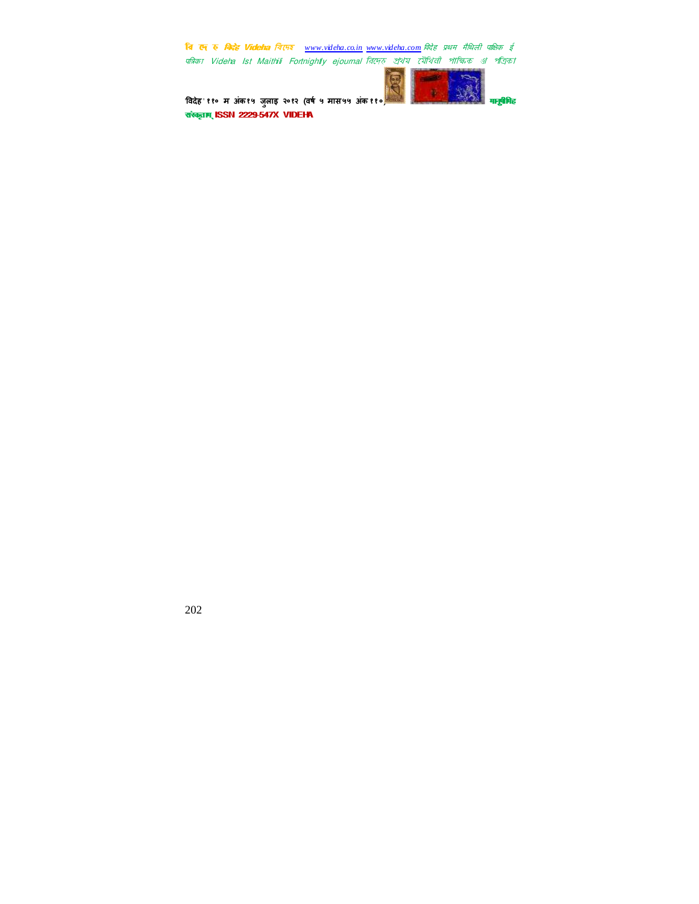

विदेह' ११० म अंक१५ जुलाइ २०१२ (वर्ष ५ मास*५*५ अंक ११०) मानुषी को सामुवीनिह संस्कृतम् ISSN 2229-547X VIDEHA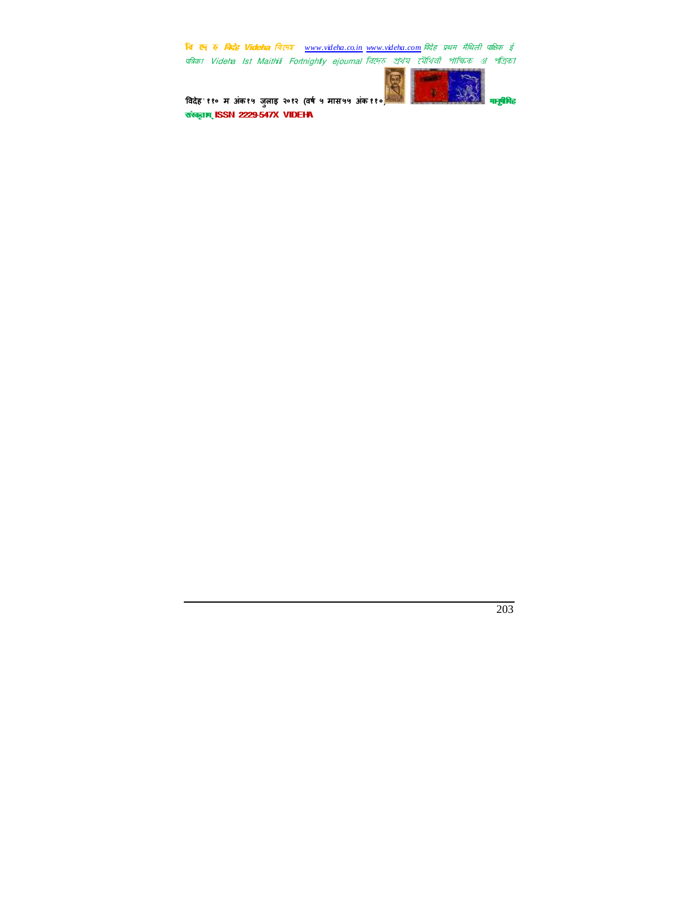

विदेह' ११० म अंक१५ जुलाइ २०१२ (वर्ष ५ मास*५*५ अंक ११०) मानुषी को सामुवीनिह संस्कृतम् ISSN 2229-547X VIDE<del>H</del>A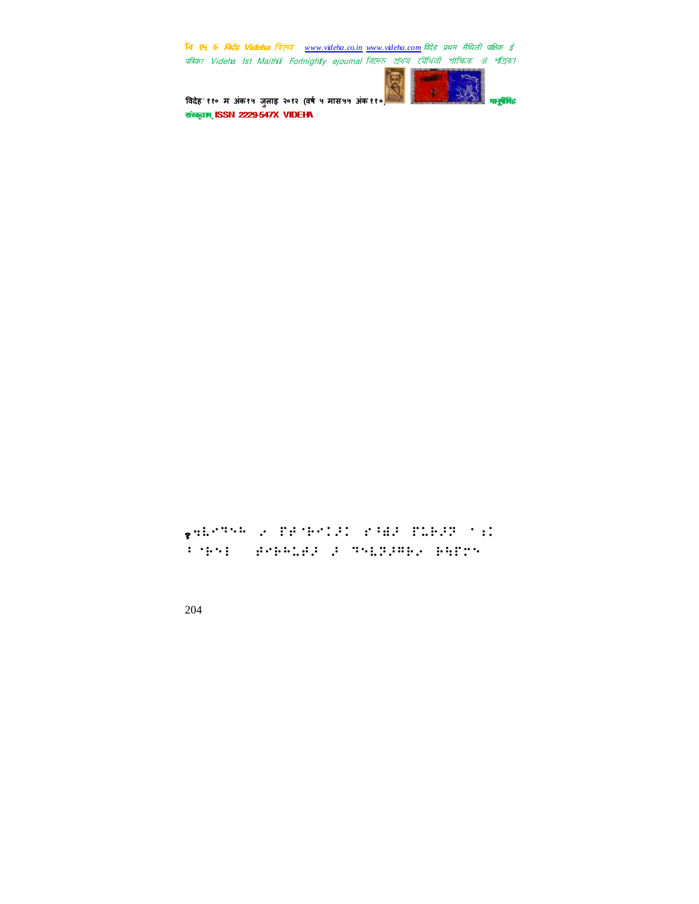

विदेह' ११० म अंक१५ जुलाइ २०१२ (वर्ष ५ मास५५ अंक ११०) मानुसारि मानुसीरिह संस्कृतम् ISSN 2229-547X VIDEHA

 $\frac{1}{2}$ qi.''Yoko $\frac{1}{2}$ . Ed terili etal etal etal etal eta 7 ⢷-!⢾⢷⢳⣅⢾⢼!⢼!⢹⣇⢽⢼⢻⢷⢴!⢷⣓'!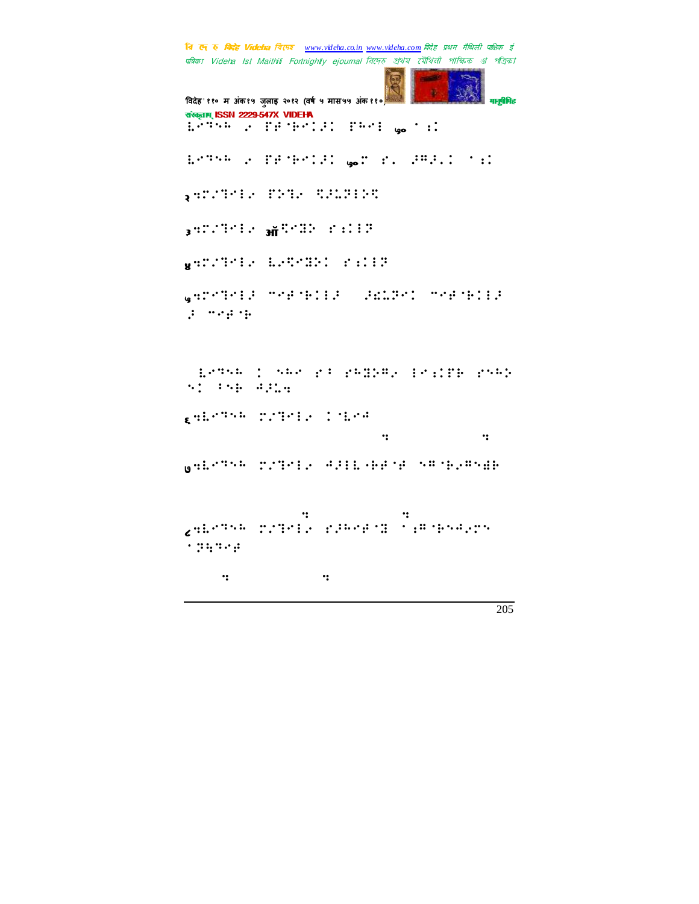चि एक रु *विदेह Videha चिए*न्छ <u>www.videha.co.in www.videha.com</u> विदेह प्रथम मैथिली पाक्षिक ई पत्रिका Videha Ist Maithili Fortnightly ejournal রিদেহ প্রথম মৌথিনী পাক্ষিক গ্র পত্রিক। 'विदेह' ११० म अंक१५ जुलाइ २०१२ (वर्ष ५ मास५५ अंक ११०) मानुसीरी मानुसीरीह संस्कृतम् ISSN 2229-547X VIDEHA LATAR & PRINCE 1841 | 1941 | 1942 ⣇⢹⢳!⢴.'⢾ ⢷⢼!५०!"Z!⢼⢻⢼Z!⣐!  $\overline{\mathcal{R}}$ #2.7940 : 2040 : 2040 : 2040 : 2040 : 2040 : 2040 : 2040 : 2040 : 2040 : 2040 : 2040 : 2040 : 2040 : 2040 : 20 ad: 2000 in 1990 in 1990 in 1990 in 1990 in 1990 in 1990 in 1990 in 1990 in 1990 in 1990 in 1990 in 1990 in 19<br>External State State State State State State State State State State State State State State State State State  $y$ #2019913 | 1.259321 | 2.1119 ५⣒⣙⢼!5⢾ ⢷⢼0!⢼⣎⣅⢽!5⢾ ⢷⢼! ⢼!5⢾ ⢷!Njuijmb!Qbjoujoh0! #⣇⢹⢳#!⢳!"⢸!"⢳⣝⢵⢻⢴!⣐'⢷!"⢳⢵! %! Phil 9315  $\epsilon$ Historic Indian (1984) ius;00wjefibration;00wjefibration;00wjefibration;00wjefibration;00wjefibration;00wjefibration;00wjefibration; ७∰ि प्राप्त था ते. संस्कृति अपूर्ण अपूर्ण अपूर्ण अपूर्ण । bhship shows the control of the control of the control of the control of the control of the control of the control of ८⣒⣇⢹⢳!#⣙⢴!"⢼⢳⢾ ⣝!⣐⢻ ⢷⢺⢴! ⢽⣓⢹⢾! bsuch the control of the control of the control of the control of the control of the control of the control of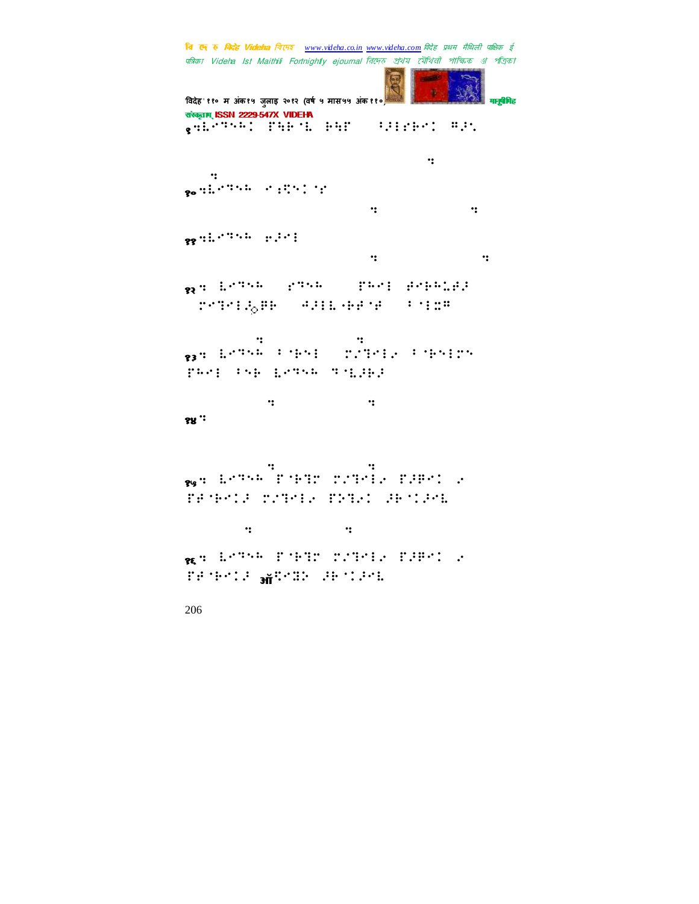चि एक रु *विदेह Videha चिए*न्छ <u>www.videha.co.in www.videha.com</u> विदेह प्रथम मैथिली पाक्षिक ई पत्रिका Videha Ist Maithili Fortnightly ejournal রিদেহ প্রথম মৌথিনী পাক্ষিক গ্র পত্রিক। विदेह' ११० म अंक१५ जुलाइ २०१२ (वर्ष ५ मास५५ अंक ११०) मानुसारी मानुसीमेह संस्कृतम् ISSN 2229-547X VIDEHA 206 ९⣒⣇⢹⢳!'⣓⢷ ⣇.⢷⣓'!#⢸⢼"⢷!⢻⢼⣁#!! iuuq;00hbkfoesbuiblvs⣒cmphtq puòde della contra-<sub>%</sub>o स‡राप्रस्य काला अध्याप्रस् ius;00wjefib234 ministerio dpn १<mark>१</mark>९ मध्य प्राप्त करने के लिख है। ius;00wjefib234,000wjefib234 १२ %) हिल्पा देवा दिने हे अस्ति स्थिति हे अस्ति ।<br>१९७९ साले जन्म दृश्य दृश्य स्थिति ।  $\mathcal{L}$  )  $\mathcal{L}$   $\mathcal{L}$   $\mathcal{L}$   $\mathcal{L}$   $\mathcal{L}$   $\mathcal{L}$   $\mathcal{L}$   $\mathcal{L}$   $\mathcal{L}$   $\mathcal{L}$   $\mathcal{L}$   $\mathcal{L}$   $\mathcal{L}$   $\mathcal{L}$   $\mathcal{L}$   $\mathcal{L}$   $\mathcal{L}$   $\mathcal{L}$   $\mathcal{L}$   $\mathcal{L}$   $\mathcal{L}$   $\mathcal{L}$   $\mathcal{L}$   $\math$ tbefore the control of the control of the control of the control of the control of the control of the control of the control of the control of the control of the control of the control of the control of the control of the <sub>१३</sub>० ६८९५ - राक्षेत्रे (१८९८ - १८९८ - १८६५) THAI THE EATHL THERE csbimmed and the control of the control of the control of the control of the control of the control of the control of the control of the control of the control of the control of the control of the control of the control of १४ <sup>w</sup>ite<br>JTU JEFIB II HEFT bsdijwata banda banda banda banda banda banda banda banda banda banda banda banda banda banda banda banda band ال ( Letter Poble) 2016. PJBelo TEMPLE TRIPLE FROM THE  $q_1$ cmpht $q_2$ dpuij $\alpha$ १६⣒!⣇⢹⢳!' ⢷⣙!#⣙⢴!'⢼⢿!⢴! TEND OF THE SECOND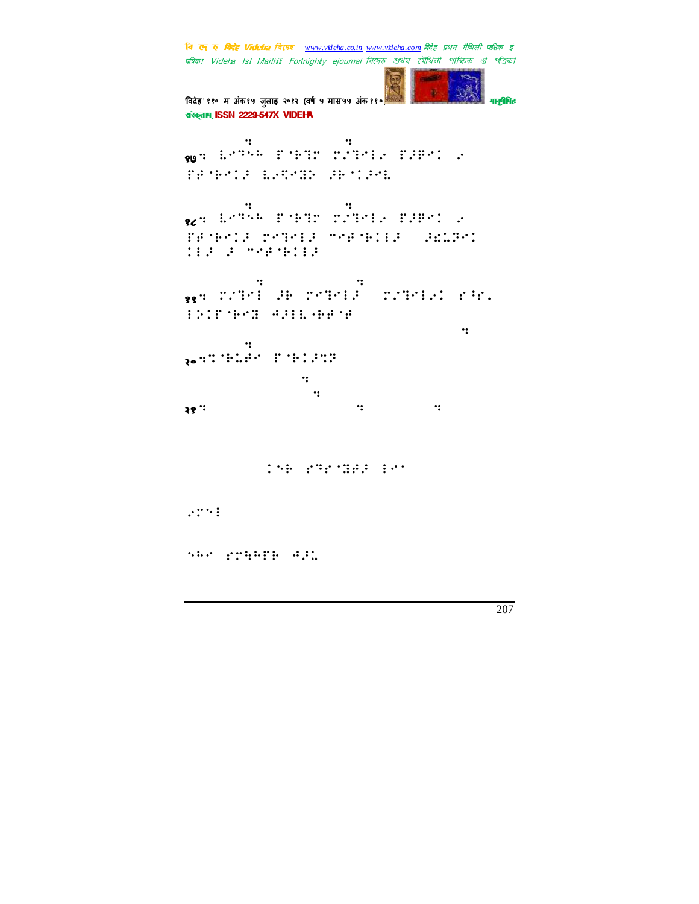'विदेह' ११० म अंक१५ जुलाइ २०१२ (वर्ष ५ मास५५ अंक ११०) मानुसीरी मानुसीरीह संस्कृतम् ISSN 2229-547X VIDEHA

by the control of the control of the control of the control of the control of the control of the control of the <sub>१७</sub>५ 12755 | FORS | FORS | 2009 TEND OF STREET

where  $\mathbf{q}$  is the positive point of  $\mathbf{q}$  $\bm{R}$ g istrator in the control of the control  $\bm{R}$ TRANS THE SECTION OF THE SECTION OF THE SECTION OF THE SECTION OF THE SECTION OF THE SECTION OF THE SECTION OF ⢼!⢼!5⢾ ⢷⢼!

quadratic control of the control of the control of the control of the control of the control of the control of १९७ - २०१२ से अनुसार का साथ का साथ का साथ का साथ का साथ का साथ का साथ का साथ का साथ का साथ का साथ का साथ का सा<br>प्राथम **:::::-:: 400** 

ius;00nbjuijmbvsnjuijmbvsnjuijmbvsniuijmbvsniuijmbvsniuijmbvsniuijmbvsniuijmbvsniuijmbvsniuijmbvsniuijmbvsniui https://www.facebook.com <sub>२०</sub>०:' <del>'</del> %८:४ ल ius in control de la control de la control de la control de la control de la control de la control de la control de la control de la control de la control de la control de la control de la control de la control de la contr  $\mathbf{q}$ <mark>२१</mark> भी प्रकाशित हो जाता है। यह साथ प्रकाशित हो जाता है। यह साथ प्रकाशित हो जाता है। यह साथ प्रकाशित हो जाता है।<br>जनसङ्ख्या

INE STRANGE INT

 $\mathcal{L}^{\text{max}}$ 

⢳!"⣓⢳'⢷!⢺⢼⣅!!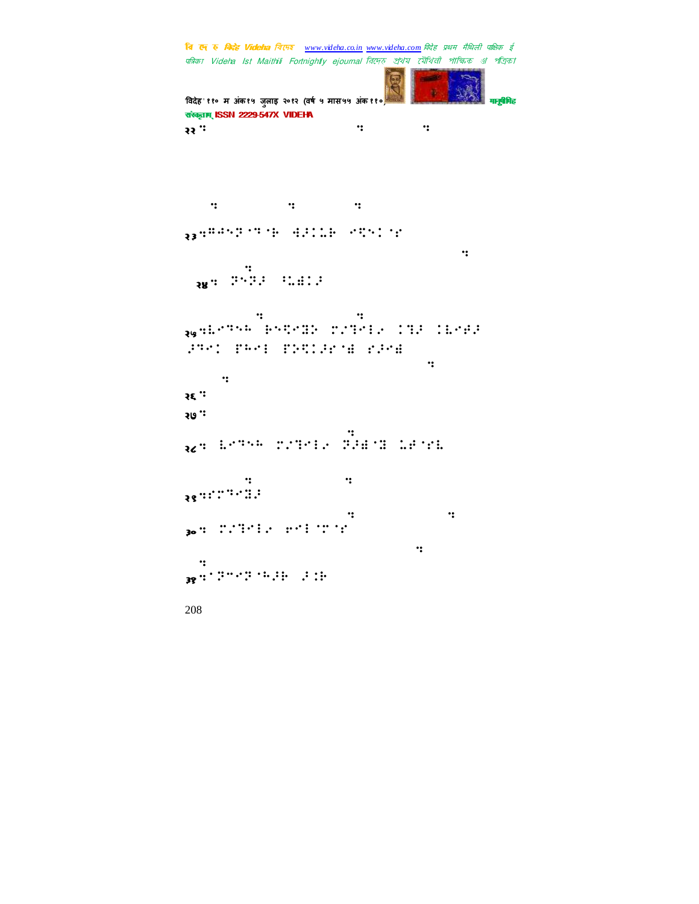```
चि एक रु विदेह Videha चिएन्छ <u>www.videha.co.in www.videha.com</u> विदेह प्रथम मैथिली पाक्षिक ई
पत्रिका Videha Ist Maithili Fortnightly ejournal রিদেহ প্রথম মৌথিনী পাক্ষিক গ্র পত্রিক।
'विदेह' ११० म अंक१५ जुलाइ २०१२ (वर्ष ५ मास५५ अंक ११०) मानुसीरी मानुसीरीह
संस्कृतम् ISSN 2229-547X VIDEHA
208
\mathbf{22}ंग प्राप्त करते हैं। यह स्वीकृत करते हैं कि
     \ddot{\mathbf{v}}३३५<sup>००</sup>०० था था लाढ था था था था।
ius;00hbkgbkgbkgbkgbkgbkgbkgbkgbkg
https://www.facebook.com
  <sub>२४</sub>९ प्रधानम् ।<br>जन्म
libcbt⣒cmphtqpu⣒dpn0!!!!
२५⣒⣇⢹⢳!⢷⣋⣝⢵;#⣙⢴!⣙⢼.⣇⢾⢼!
 (PP) | TP: THING TENS
ius (1993) in the control of the control of the control of the control of the control of the control of the co
ftttt til den stad og den stad og den stad og den stad og den stad og den stad og den stad og den stad og den
२६"२७:\mathbf{g} is a set of \mathbf{g} is a set of \mathbf{g}\alphaa istra romano di anti
esbnb, esbnb, esbnb, esbnb, esbnb, esbnb, esbnb, esbnb, esbnb, esbnb, esbnb, esbnb, esbnb, esbnb, esbnb, esbnb
२९ :::::::::::
ius;00ftbnbbesquedpnbbesquedpnbbesquedpnbbesquedpnbbesquedpnbbesquedpnbbesquedpnbbesquedpnbbesquedpnbbesquedpn
<sub>३०</sub>० : 2299: 2001 : 229
ius;00nbjuijmjegimntoja (1900-1900)
u⣒dpn0!!
३१⣒⢽5⢽ ⢳⢼⢷!⢼⣈⢷!
```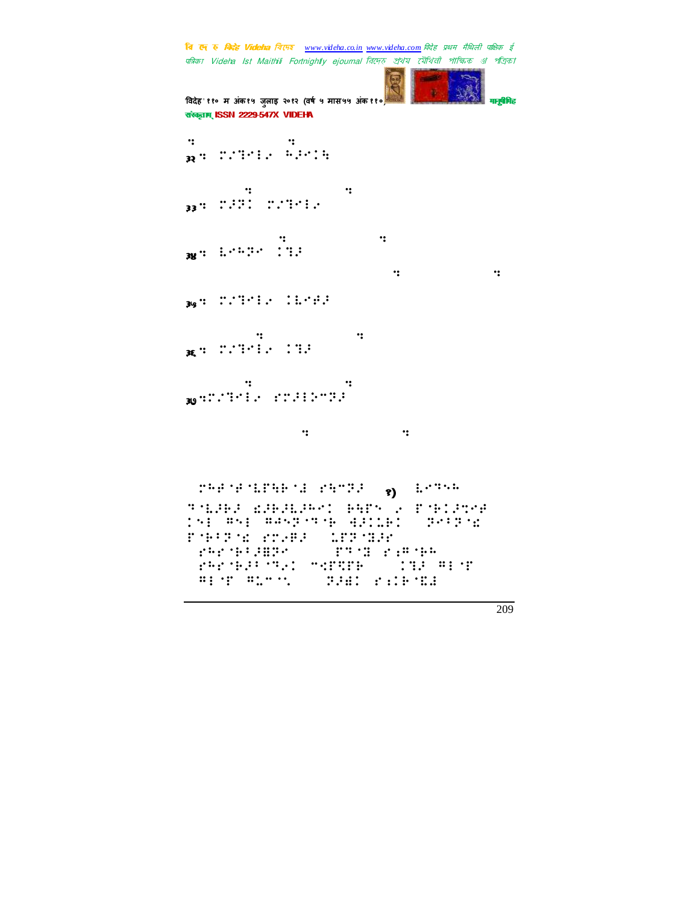चि एक रु *विदेह Videha चिए*न्छ <u>www.videha.co.in www.videha.com</u> विदेह प्रथम मैथिली पाक्षिक ई पत्रिका Videha Ist Maithili Fortnightly ejournal রিদেহ প্রথম মৌথিনী পাক্ষিক গ্র পত্রিক। 'विदेह' ११० म अंक१५ जुलाइ २०१२ (वर्ष ५ मास५५ अंक ११०) मानुसीरी मानुसीरीह संस्कृतम् ISSN 2229-547X VIDEHA ⣒cmphtqpu⣒dpn0!! <sub>32</sub>q: 2019:16 (B.P.C.B.) ibility of the company of the company of the company of the company of the company of the company of the company of the company of the company of the company of the company of the company of the company of the company of t <sub>33</sub>q: 2330 2009:2012 nbjurga (1990), provincia (1990), provincia (1990), provincia (1990), provincia (1990), provincia (1990), provi <u>ઋ</u>લ અંતર્ગત : સ્ટા ius dialektura dialektura dialektura dialektura dialektura dialektura dialektura dialektura dialektura dialekt<br>Dialektura dialektura dialektura dialektura dialektura dialektura dialektura dialektura dialektura dialektura <sub>३७</sub>: 2239: 224 lbwydd a chwaraeth a chwaraeth a chwaraeth a chwaraeth a chwaraeth a chwaraeth a chwaraeth a chwaraeth a chwar<br>Daeth a chwaraeth a chwaraeth a chwaraeth a chwaraeth a chwaraeth a chwaraeth a chwaraeth a chwaraeth a chwara <sub>क्</sub>ष (2019) (2019) lbuib $\mathcal{L}$ <sub>30</sub> 420 FM 20 - 127 FM 20 tbnbmpdiobate book and the problem of the problem of the problem of the problem of the problem of the problem !⢳⢾ ⢾ ⣇'⣓⢷ ⣜!"⣓5⢽⢼;)१) (⣇⢹⢳(! TALAR GARAN ERTY 2 TALARA<br>Ini ⊞ni ⊞nnan Erikalish (Priano !⢻!⢻⢺⢽ ⢹ ⢷!⣚⢼⣅⢷!!⢽7⢽ ⣎. ' ⢷7⢽ ⣎."⢴⢿⢼-!⣅'⢽ ⣝⢼"! )" ("CONSTRUCTURE") " ("CONSTRUCTURE") " ("CONSTRUCTURE") " ("CONSTRUCTURE") )"⢳" ⢷⢼7 ⢹⢴!5⣊'⣋'⢷\*-!⣙⢼.⢻ '! ) **T.E. S. S. S. T.E.**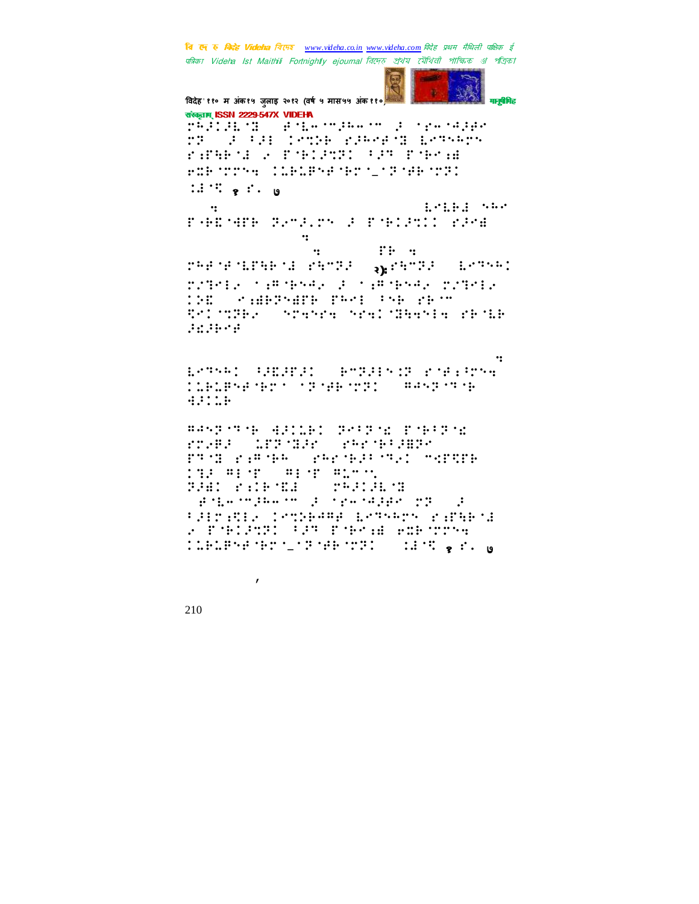**START** 

× विदेह' ११० म अंक१५ जुलाइ २०१२ (वर्ष ५ मास५५ अंक ११०) मानुसारी मानुसीमेह संस्कृतम् ISSN 2229-547X VIDEHA  $\mathbb{R}$  )  $\mathbb{R}$   $\mathbb{R}$   $\mathbb{R}$   $\mathbb{R}$   $\mathbb{R}$   $\mathbb{R}$   $\mathbb{R}$   $\mathbb{R}$   $\mathbb{R}$   $\mathbb{R}$   $\mathbb{R}$   $\mathbb{R}$   $\mathbb{R}$   $\mathbb{R}$   $\mathbb{R}$   $\mathbb{R}$   $\mathbb{R}$   $\mathbb{R}$   $\mathbb{R}$   $\mathbb{R}$   $\mathbb{R}$   $\mathbb{R}$   $\mathbb{R}$   $\mathbb$  $T$ .  $T$  .  $T$  .  $T$  .  $T$  .  $T$  .  $T$  .  $T$  .  $T$  .  $T$  .  $T$  .  $T$  .  $T$  .  $T$  .  $T$  .  $T$  .  $T$  .  $T$  .  $T$  .  $T$  .  $T$  .  $T$  .  $T$  .  $T$  .  $T$  .  $T$  .  $T$  .  $T$  .  $T$  .  $T$  .  $T$  .  $T$  .  $T$  .  $T$  .  $T$  .  $T$  .  $T$  . "⣐'⣓⢷ ⣜!⢴.' ⢷⢼⣉⢽!7⢼⢹!' ⢷⣐⣞! ⢶⣍⢷ ⣒!⣅⢷⣅⢿⢾ ⢷ –⢽ ⢾⢷ ⢽!  $\exists \vdots \vdots \vdots \vdots \vdots \vdots \vdots \vdots$ Op⣒:89.92.:1883:.8.7!⣇⣇⢷⣜!⢳!  $T$  + 0  $T$  + 0  $T$  ,  $T$  +  $T$  +  $T$  +  $T$  +  $T$  +  $T$  +  $T$  +  $T$  +  $T$  +  $T$  +  $T$  +  $T$  +  $T$  +  $T$  +  $T$  +  $T$  +  $T$  +  $T$  +  $T$  +  $T$  +  $T$  +  $T$  +  $T$  +  $T$  +  $T$  +  $T$  +  $T$  +  $T$  +  $T$  +  $T$  +  $T$  +  $T$  +  $T$  +  $T$ ius in control de la control de la control de la control de la control de la control de la control de la control de la control de la control de la control de la control de la control de la control de la control de la contr qvcmjdbujpo dpn0 i se objektori dpn0 i se objektori dpn0 i se objektori dpn0 i se objektori dpn0 i se objektor<br>Dana dpn0 i se objektori dpn0 i se objektori dpn0 i se objektori dpn0 i se objektori dpn0 i se objektori dpn0  $\mathbb{R}^{5+1}$  of the finite  $\mathbb{R}^{5+1}$  of the  $\mathbb{R}^{5+1}$   $\mathbb{R}^{5+1}$  of the  $\mathbb{R}^{5+1}$ #⣙⢴.⣐⢻ ⢷⢺⢴!⢼!⣐⢻ ⢷⢺⢴!#⣙⢴! ⢵⣏!)⣐⣞⢷⢽⣞'⢷!'⢳!7⢷!"⢷ 5.  $\overline{u}$   $\overline{u}$   $\overline{u}$   $\overline{u}$   $\overline{u}$   $\overline{u}$   $\overline{u}$   $\overline{u}$   $\overline{u}$   $\overline{u}$   $\overline{u}$   $\overline{u}$   $\overline{u}$   $\overline{u}$   $\overline{u}$   $\overline{u}$   $\overline{u}$   $\overline{u}$   $\overline{u}$   $\overline{u}$   $\overline{u}$   $\overline{u}$   $\overline{u}$   $\overline{u}$   $\overline{u$ ⢼⣎⢼⢷⢾!.Cbtfe!po!nt.trm!tfswfs! Fohmjti.Nbjuijmj!Ejdujpobsz⣒! ⣇⢹⢳!⢸⢼⣏⢼'⢼.!⢷5⢽⢼⣈⢽!" ⢾⣐⢸⣒! ⣅⢷⣅⢿⢾ ⢷ !⢽ ⢾⢷ ⢽.!⢻⢺⢽ ⢹ ⢷! ⣚⢼⣅⢷! ⢻⢺⢽ ⢹ ⢷!⣚⢼⣅⢷!⢽7⢽ ⣎.' ⢷7⢽ ⣎. "⢴⢿⢼-!⣅'⢽ ⣝⢼"!)"⢳" ⢷7⢼⣟⢽\*!-!  $T^*$   $T^*$   $T^*$   $T^*$   $T^*$   $T^*$   $T^*$   $T^*$   $T^*$   $T^*$   $T^*$   $T^*$   $T^*$   $T^*$   $T^*$   $T^*$   $T^*$   $T^*$   $T^*$   $T^*$   $T^*$   $T^*$   $T^*$   $T^*$   $T^*$   $T^*$   $T^*$   $T^*$   $T^*$   $T^*$   $T^*$   $T^*$   $T^*$   $T^*$   $T^*$   $T^*$   $T^*$  <mark>;que mint compatentat</mark><br>Cumic avienta constatuidad  $\mathbb{R}$ H: : : : : : : : :  $\mathbb{R}$   $\rightarrow$   $\mathbb{R}$   $\rightarrow$   $\mathbb{R}$   $\rightarrow$   $\mathbb{R}$   $\rightarrow$ )  $\pm$  150  $\pm$  500  $\pm$  5.000  $\pm$  5.000  $\pm$  5.000  $\pm$  5.000  $\pm$ 7⢼⣐⣋⢴.⣉⢵⢷⢺⢻⢾!⣇⢹⢳!"⣐'⣓⢷ ⣜!  $\overline{X}$  P41951 (20 CH) P426 (20 CH) ⣅⢷⣅⢿⢾ ⢷ –⢽ ⢾⢷ ⢽-!⣈⣜ ⣋.१ "Z!<sup>७</sup>

Uiblist van die Grootste van die Grootste van die Grootste van die Grootste van die Grootste van die Grootste<br>Gebeure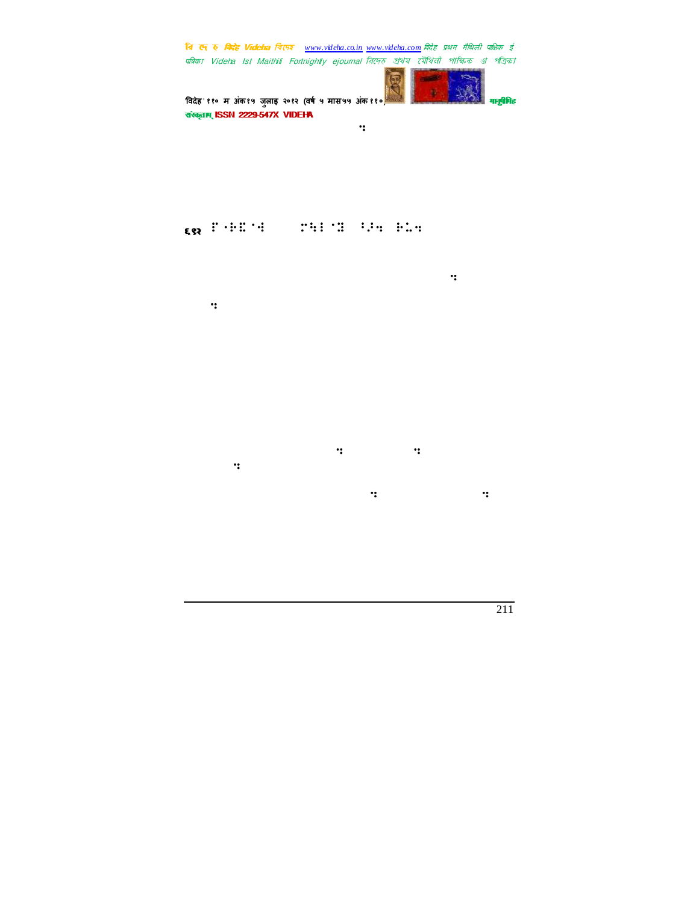विदेह' ११० म अंक१५ जुलाइ २०१२ (वर्ष ५ मास*५*५ अंक ११०) मानुषी को सामुवीनिह संस्कृतम् ISSN 2229-547X VIDE<del>H</del>A

Boubsnboble. (2001). When the second control of the second control of the second control of the second control of the second control of the second control of the second control of the second control of the second control o

## ६९२ °C (10ºE) 1999 °C (10ºE) 1999 °C (10ºE) 1999 °C (10ºE) 1999 °C (10ºE) 1909 °C (10ºE) 1909 °C (10ºE) 1909 °

) (between the distribution of the distribution of the distribution of the distribution of the distribution of

State of the state of the state of the state of the state of the state of the state of the state of the state

iuuqt;00tjuftigtat;00tjuftigtat;00tjuftigtat;00tjuftigtat;00tjuftigtat;00tjuftigtat;00tjuftigtat;00tjuftigtat;

efib $\alpha$  of  $\alpha$  of  $\alpha$  of  $\alpha$  of  $\alpha$ ius;00wjefib234,000wjefib234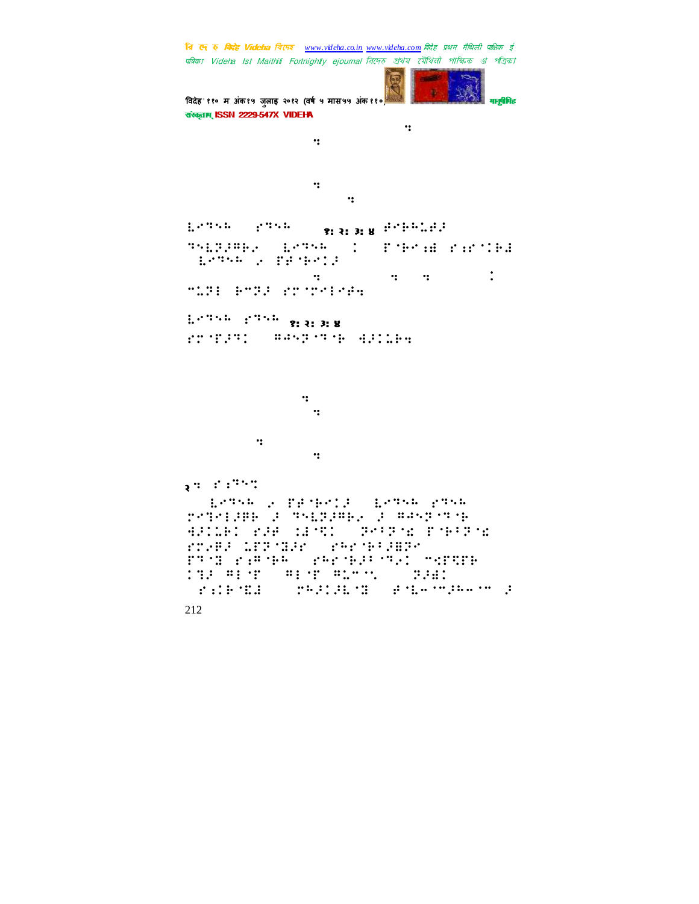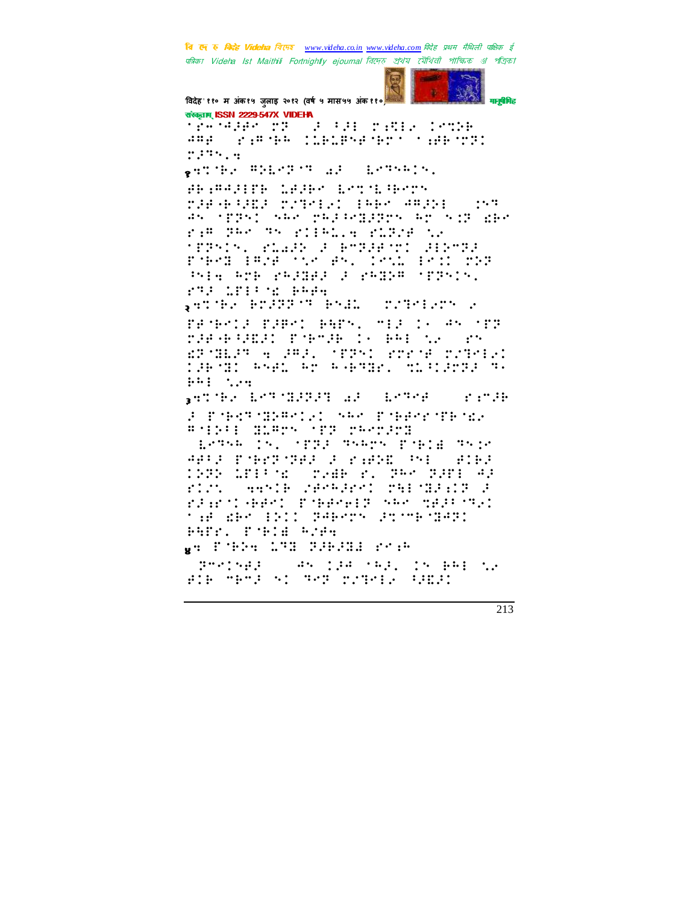

विदेह' ११० म अंक१५ जुलाइ २०१२ (वर्ष ५ मास५५ अंक११०) संस्कृतम् ISSN 2229-547X VIDEHA třenagan pro godge pade (npa amp (p.m.new coponership (control)  $11334.4$ permanental service SPORTS WILL BE SERVED FOR THE SPORTS rachan reth) and and  $\cdot$  :  $\cdot$  : W STAT AW PALPARTY AT NIT APP ram der de richter richte in **MERNING PLASH S PTRSPTT SERTRE** PAPA (PAP the Pr. 1911 (Pil 201 Princeto Peddal I Pedre (PPrin. FULLISH & PRES , et the decreased deal. a poderne e rankola rapol Bars, mia 1979ko ora<br>1949koarea - Poboak IV Bei New Yos EPSHIP A PAR. STRY, STRY TITER, **THE MILLER AND PHAMIC CONSIDER A**  $1.11 - 1.14$ **AUTOR ESTIMATE AN Salar Bandar**  $\mathbb{R}^n$  :  $\mathbb{R}^n$  ,  $\mathbb{R}^n$ 2 Energysperigi ser Energysense.<br>Antigot sigers off respurs SEPTER IS, STRACTERS PORCHOTECH APPE PARTNER F PAPE PH  $\mathbf{f}$  :  $\mathbf{f}$ 1999 1819'd - Myde Y. 245 2281 42 rict (aanik zenkent meeskilke k ranchest Pest (Present Secondal Mai '# de Bil PAer Jroedag PATE. PORTA POPR un Pible 173 Sibili reak  $3991543 \begin{aligned} \mathbf{1} & \mathbf{1} \mathbf{1} \mathbf{3} \mathbf{4} \mathbf{5} \mathbf{1} \mathbf{1} \mathbf{1} \mathbf{1} \mathbf{1} \mathbf{1} \mathbf{1} \mathbf{1} \mathbf{1} \mathbf{1} \mathbf{1} \mathbf{1} \mathbf{1} \mathbf{1} \mathbf{1} \mathbf{1} \mathbf{1} \mathbf{1} \mathbf{1} \mathbf{1} \mathbf{1} \mathbf{1} \mathbf{1} \mathbf{1} \mathbf{1} \mathbf{1} \mathbf{1} \mathbf{1} \mathbf{1} \mathbf{$ 

BIB MEMP NI MAN PANALA (PREP)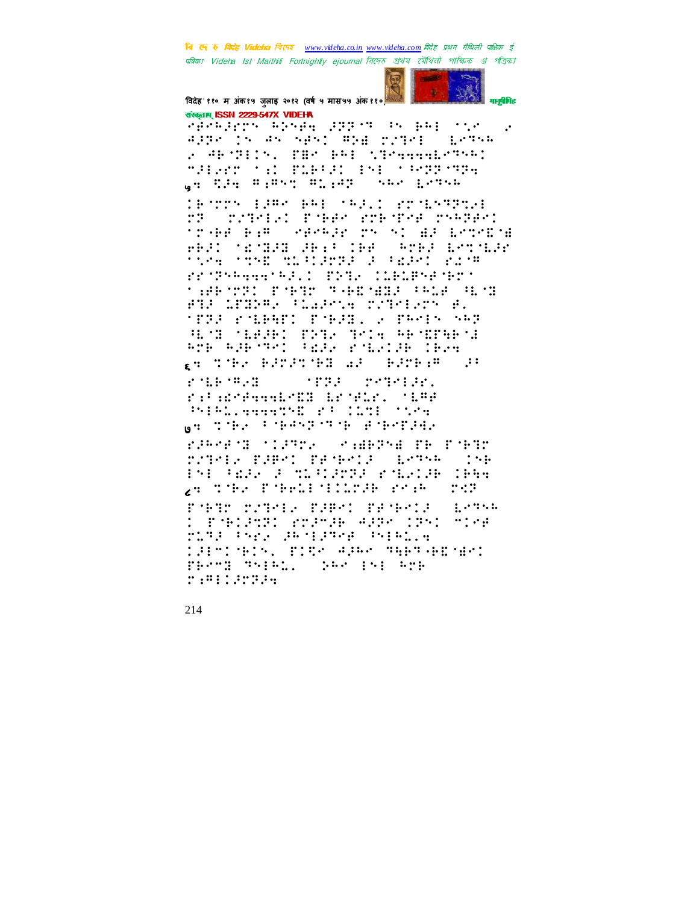

## विदेह' ११० म अंक१५ जुलाइ २०१२ (वर्ष ५ मास५५ अंक११०) संस्कृतम् ISSN 2229-547X VIDEHA

adardisha piyahit ishka ne bel aste  $\cdot$ APPA IN AN NANI ADE MITHE (1875) 2 ARYBION, PBM RAI (SPANNHEMSSA) MALGER SAL PLEAD, INE SAMPROMPA WHERE HISTORICAL SAMPLESS.

IP TOTAL EPROPERE CORP. I SOMEARDTEE 27 - 223-121 Enbek 226-226 2552651 trake kam (seskar ry yo aa bsrebta eRAI SESBAB ARIS IRE (PORA ESTADA nthe normal of Placeau a Calandi pung rrynhaaanhi: DDB CLELPHNET MARK THIN TAEMER (ALA AM SI MBR MART THREE WE TERPORABBEL EMPRES & PROPOSING H. T. T. H. M. T. T. T. T. H. H. T. T. H. RTE RABITED FEAR POLICIE CERE pe the Barannes Wa Barbem (a)

**STORY SECTIONS** ratardeeskalk brabri (1886)<br>Johnnessen richtisch **WHO IS A REPORT OF PROPERTY** 

rakers tifty, rakers of court TITME FURNI TEMPORA EMTSPACING PH REF F MATHER FARIOR TRA ga moter forest dilinge anako ndr

PORT TIRES FRAG PROPOSE ASTAR D PALEND STATH ARR ORN TOAR the they and she chindle **TREMOVEDY, PIRM APAM MARMARYNES** PROTECTATE. (1988) 1911 (921) 2:8:122725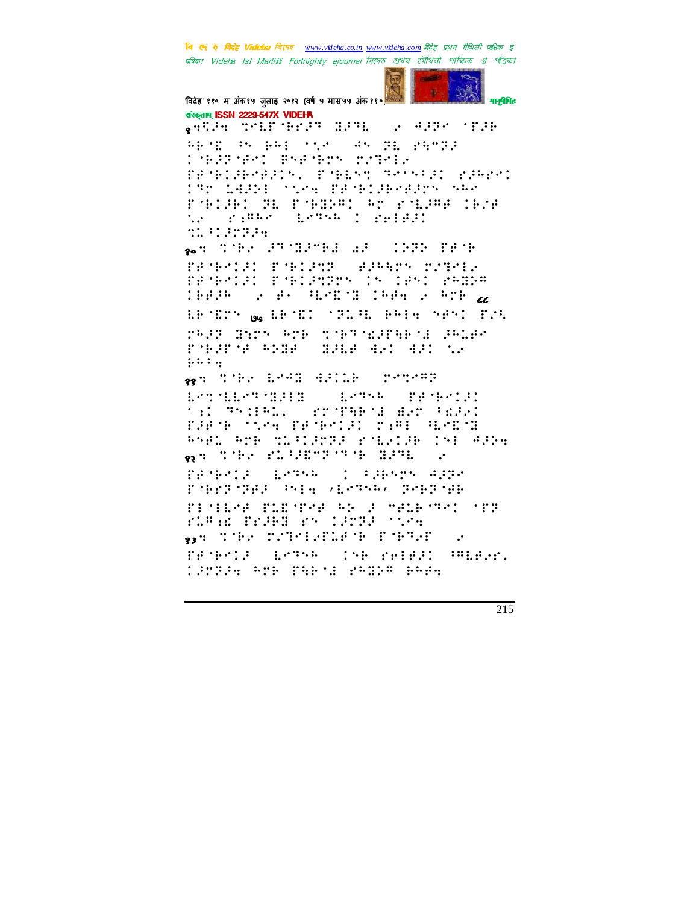

संस्कृतम् ISSN 2229-547X VIDEHA .Ath through chicago and a services ABON PO BAILONE (AN NE PRONE **THAPMAN PREMERY CORPOR** PACHINERIS, POHLSO RECEPT FREED ITT LASSE TIME PROPISEMENT SHM PORTUGAL PE PORTUGAL AN INSTALLER TENE t. Preme lette : releat **MARISHER** es the Promote ar (1972-1978) FRONTIL PORTRY SAMAGE CONST FRONTIE PORTRER IN 1851 PAGER TEEPHO 2018-00-112010-112010-22010-22010-22010-22010-22010-22010-22010-22010-22010-22010-22010-22010 ERMEDY <sub>By</sub> ERMEI (1918) BRIG (1915) FIRE raff Byrs are coeforffeed fairs regressions and an an to  $......$ <sub>22</sub> - Tobel Ergi (Elib) (Prover ESTALPRADED ESTAD PRAECE **TIP RESERVED TO THE SECOND PRINT** PART TOG PROPORT PART ROOM RNAL RTB TLADARA POLECIB INE ARDE at the significant means.  $\sim$ property depart of Chronologye PORTUGE SHE ALSON PORTUE TEMENT TURNING AN I MAGEMAN MIT rusa Prako ny tango nya  $\ddot{\cdot}$ <sub>03</sub>: The Supplement Phone: PROPOSE LOTAR CAR PRINT PRINT. **CONSERVER PERMIT PASSAGE PAPA**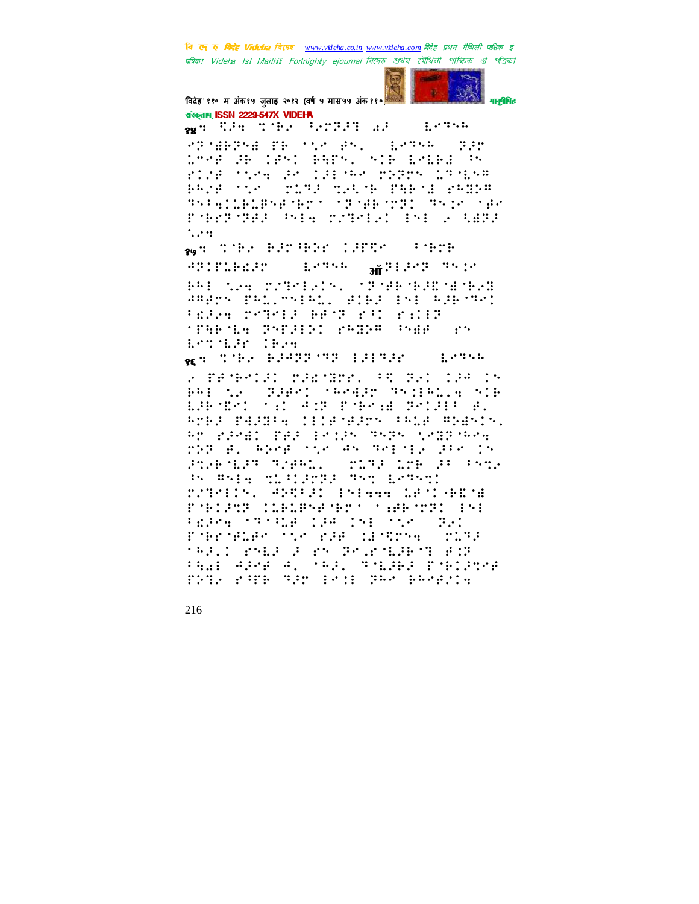

विदेह' ११० म अंक१५ जुलाइ २०१२ (वर्ष ५ मास५५ अंक११०) संस्कृतम् ISSN 2229-547X VIDEHA

w: We wife World af  $\mathbb{R}^{11}$  . The set of  $\mathbb{R}^{11}$ 

rangers as the structure of the 1798 AB 1851 BAPS, SIB 19181 BS rich time an 191748 regres 177188 PROF TO TEST THE THE SECRET **THE RICHCHARGE THAT THE THE CONTROLLER** rnerge marketer man fan  $\ddotsc$ 

post with PAT Her CAPRY ( Fibre APIPLEMAN (MATSE) WRIGHT TSIM

PRESSA DVENEZIN, SPORTERENEORI WHERE PALINGEL BIEF ESE REPORT FERRY CROPER BENT PAI PAIER trakta recent pack bas ∵.∙ Letteling Chem

**REACTION ESPERING ESERSE COLVEN** 

2 Penendai pabiner. At P21 124 15 PRESS, PRESS SPEED TRIPLE, SIP Lakašt (21 Augustus august al RTEA PAAREN CICA'AARTA FRON ASANCA. RE PROBLEMENT ECONOMICATOR SOMETIMOS 200 F. Work the Rolling of Provinci Proboter Sheet, which the concern By Brig Millerge Srd Lesse: rrants, andst fries 1871-8078 FALLAS CLELBYFART TERMIN IN Pages (1939) 194 151 152 (P.1 Führleber Tie rae darungen rung **MARIN PALE A PROPORTED BY BIR** PAUL APPE AL SAPL TELPER PEDITOR THIS PATE THE PAIR TEST BESENING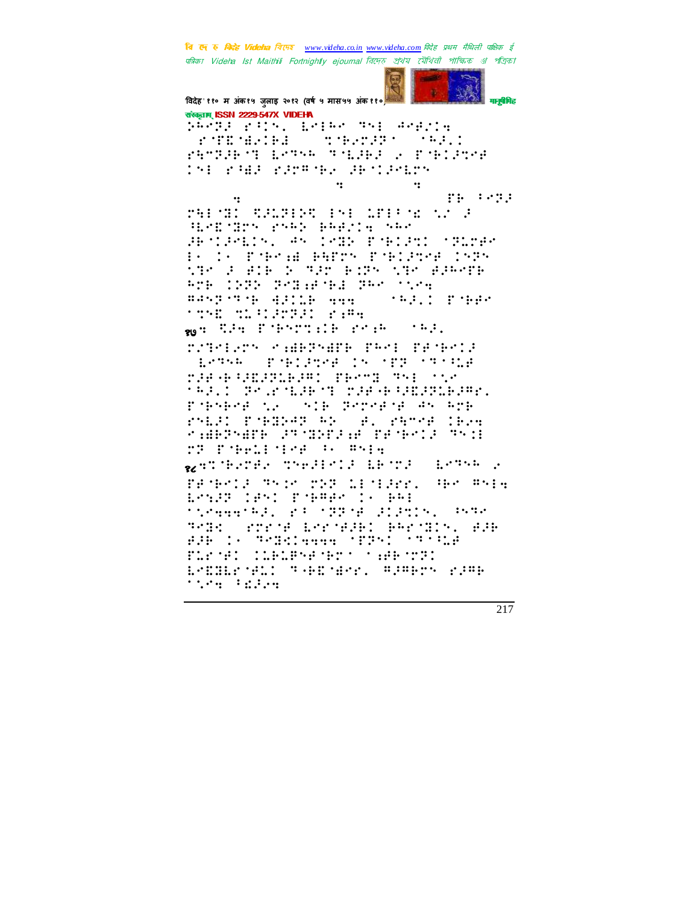

विदेह' ११० म अंक१५ जुलाइ २०१२ (वर्ष ५ मास५५ अंक११०) संस्कृतम् ISSN 2229-547X VIDEHA SARR PRS, EMERY TSE AMERIC rummarks there was

PROTECT ESTAR TOLER & PORTPOR 151 PART PROGRESS PESSPECTS  $\ddot{\cdot}$  $\bullet\bullet$ 

TH POIL  $\ddot{\cdot}$ METHOLOGICAL ENDERGY CONFIDENTIAL SERDOROS ESPO PREZIA SRR<br>GROIGELIS, AS IRDE PORTUGI OGLOBA En la Pobrag Barry Poblache 1929 the Fair Pone Fire the Albert ATE COOP POINT THE PART TOOK sayne guib and  $\rightarrow$  42.1 Toppe **THE MILITIM FIRE** 

gga S.H. Pobertilb reib (1921)

ratelers eadprooff peel propert ESTAR PIECESE IN MER MINER **MARK REPORTS IN THE SECTION OF A SECTION OF A SECTION OF A SECTION OF A SECTION OF A SECTION OF A SECTION OF A** 1932 Brandard Margaratean. Portrar New York Provens an Act rnic radium and alonen care KABPSARE 255BEE2A PESEC2 551 **TF PARLINE BOWLER** 

gen Gerde (nordbrid Ebord) (Espos) e

FRONT THE TIME AND THE SEAL OF THE ESSID TEST PORRES IN RAD Steamerbal racerate alanis, avay PARK (Projector Early Personally, 1998) BR DO MARCHAN (PPS) (MOSR TLEND CLELPHORY THEORY L'ESLIVATI SARVANI SARPIV ETR  $\mathcal{F}(\mathcal{L},\mathcal{L},\mathcal{L})=\mathcal{F}(\mathcal{L},\mathcal{L},\mathcal{L},\mathcal{L})$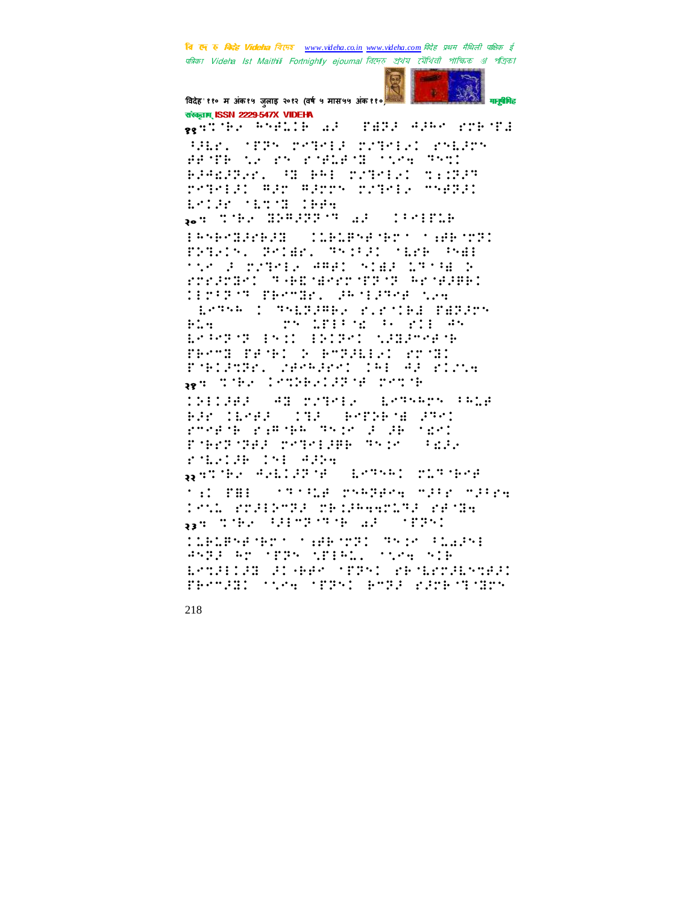

विदेह' ११० म अंक१५ जुलाइ २०१२ (वर्ष ५ मास५५ अंक११०) संस्कृतम् ISSN 2229-547X VIDEHA

ggandir Anghlie ad THUS APAR PTRING SHER, MERS PREMIS PREMISE PRESPR PROTECTA POST PORTEON ON TOTAL BJANJSKI SE BAI SVEMIKI SIST retendi Adr Adres retens msAddi **MORE MANNETHER** 

positive draggate and conduct

1959-122628 CLBLB5838757 CHB327 PRINCE POWER TESTIC MEMBERSHIP the Portfolk American Contemp rreached septimerriches erspreis HOPPY PROBA PROBABLE (LOTAR I TALBING PLENIER PERIOD **PS LEEP 2008 (2008) 45**  $H:U$ Breze Bro Broed Maleren

HATE PATH: 2 BTRALLAI STIL Poblacación desaproclama al circa <sub>38</sub> - Tibe Condeclarie ronie

INICAR AN MARGE BATHAMA PALA BAR (1694) (1930) Bergena (2961 rockie rache synonymical pro PORTUGE TETERN TER SER rulis in the Adda.

avenue des ses langues de la componente de la til PB: (1933) pregade mare mares ISM PRHISTE TRIPHATURE PROGR <sub>33</sub>9 TORY RESPONSE AR (1885)

ILBLEYEMEN (1986)221 PYON FLAPY<br>PYPE RE MEPY NEFRL, MNH NIB ESTATIVA VIGHAS (TPSI VECENTALSTAVI FROM FILE STOCK (TEPS) ROBE FIRE CITES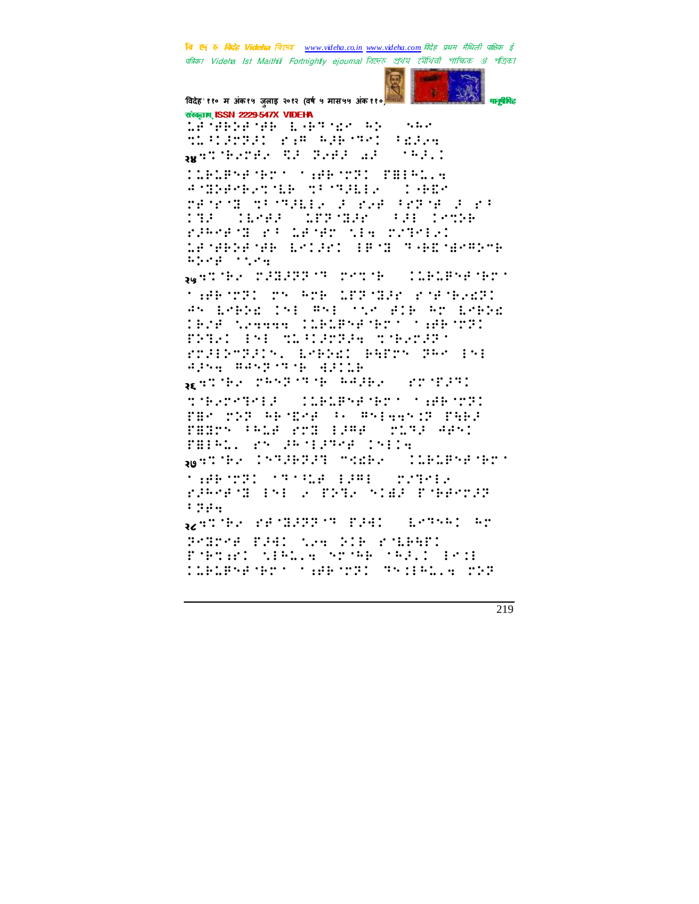

विदेह' ११० म अंक१५ जुलाइ २०१२ (वर्ष ५ मास५५ अंक११०) संस्कृतम् ISSN 2229-547X VIDEHA MOREON LATER AP  $\ddots$  :  $\ddot{\cdot}$ milion and the state of the state of the state of the state of the state of the state of the state of the state of

aged thereby the freed all octable **CONSERVANT CONSTRUCTS** 

**ANDREWSING TENNIS CORP.** Maria di Samara a Rae Prane a ra Web Arrane  $13.3<sub>1</sub>$  $\rightarrow$  31  $\rightarrow$  77755 ramers ra dener die rastel 1979B2979B Gridri (Brd SyBonarShB 

**AGHINE PARAPROP POINT (DIRLENE PP)** 

**SAPE MORE ON SPORT APPIRED ON MORE PROBE** An Exphanited And Star Alb Ar Expha TRIE SPAAAA (IDRIPSPIRT) SAPRITI PRINT INFORMATION CONSTRU rrathers: Lebhai burre The 191 sportschedule

RESULTING THAT THE HAPPY CONTINUES.

thermal Cleberger (8672) FBP 200 REMEMB IN BRIGGANIE PHRP FARTS (GAL FTA 1988) TERR APS FBIRL PROPRIETER INED

agencies (STAPARAI medes (Cliendrecien) radings recognized news

rawers in the strip night present **Figure** 

RETURN PENDEDIK BEHIT  $\frac{1}{2}$ ,  $\frac{1}{2}$ ,  $\frac{1}{2}$ ,  $\frac{1}{2}$ ,  $\frac{1}{2}$ ,  $\frac{1}{2}$ 

时时候 中担 外国的医的时间 Pobsided office order official foot CLELPSEMENT TANK MYSER SENDER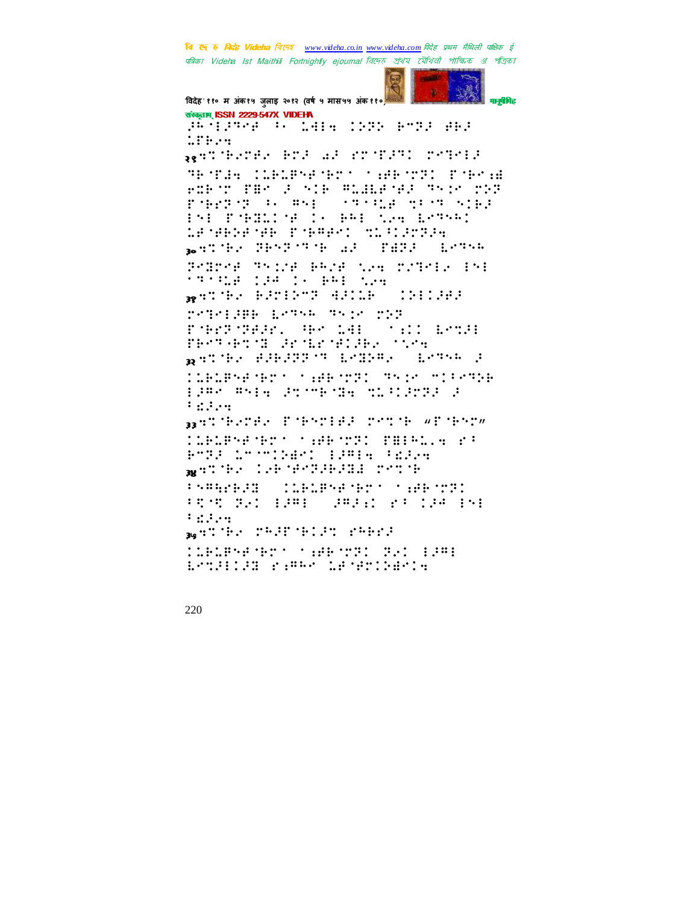

विदेह' ११० म अंक१५ जुलाइ २०१२ (वर्ष ५ मास५५ अंक११०) संस्कृतम् ISSN 2229-547X VIDEHA JR 19708 (F. 1916 1922 PTP) ARD  $...$   $...$ gen Gerde Großen auf er mund remede **TEMPER CORDENAMENT MARKET PROVIDE** FOR THE POST PORTHOLD THIS TIP progress to my **STATE TO THE STATE** PH PORTING IS HAD NAM LOTARY **MONDAY MANUFACTURES INC. R**OUTH THAT THE APPENDENT LATAR Promote Thing Bene new promote (h) **STARR DESCRIPTIONS** sentific Bardbor Aarle (1981aa) reneign fers reporter PORTUGAL AR LAI (1911 ESTA PROTHER GOVERNMENT CONT man the Buburn to Exipal (Exist ) CONDENSATION OF SERVICE CONTROL MORE RESEARCH EPRO RNEW STOCK TO TO CONTROL BRITTENTEN FORMIER CONTE WEIGHT **CONSERVATORE SERVICE SERVICE SERVICE** BTD: 150011401 13814 FR204 gevez taközbakkal revé PARAMENT CORDRAPTED COMPOST FROM MAIL 1981 - 198211-108 1981  $1:1:1:2$ **B**SINE THE THIS STATE. CLELPSEMANY SHEMAN CAL CARE Brillia rame Sencialis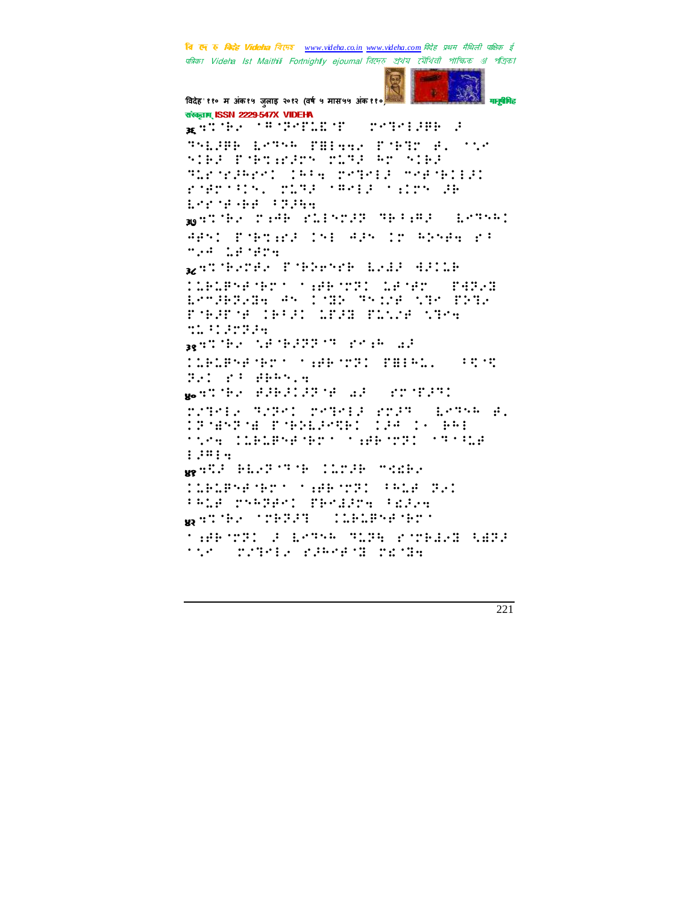

विदेह' ११० म अंक१५ जुलाइ २०१२ (वर्ष ५ मास५५ अंक ११०) संस्कृतम् ISSN 2229-547X VIDEHA **RATHE SEMPELE T STATISTICS** THERE ESTAR SHIRRY FARTY R. TYS SIER PORTBERT TITE AT SIER Sirnahre: 1934 redela medialis reposes play candy circuit Lereshi (2004) most the cost of the state of the second second APSI PORTHER ISE APS IN ADSPECTA most defender permere former bas daile CLALBYA YAZIN YENARI CI NASHI (1972) ESTIRRER AN INDE TRINE NOR TED POSSOS INTE INTE PALLA 1974 **MARK STARTS** Bendinan was the PP of Sandar and **CONSENSATION CONSENSATION CONSENSATION** The contract of the second second second second second second second second second second second second second wenter Babalar was springed rugele guget regelg rrag (begewort Criantia Tringvent (19 1) Teg tics Information (approximation  $: 10114$ well History Class Made CLELBYFYET (1980-1931) PRIE 32 **CALP PSAGES! PROBRET PERSON** wander orbeen clablesheder **THE TEL 3 LETTE TEST FOTELS REEP MAS TEMPER REPORTS TRIES**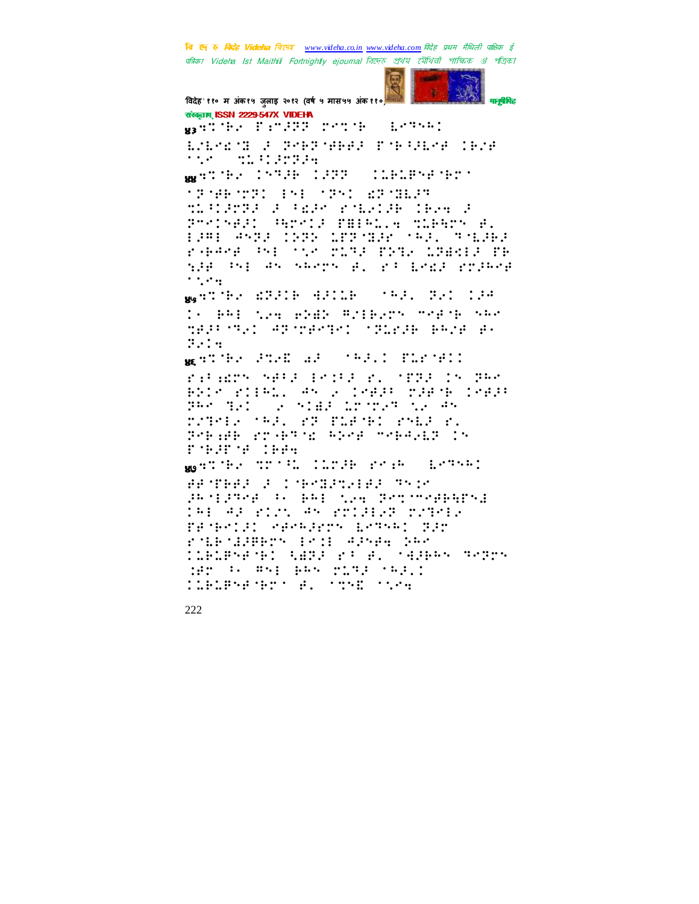

मनुबैमिह विदेह' ११० म अंक१५ जुलाइ २०१२ (वर्ष ५ मास५५ अंक११०) संस्कृतम् ISSN 2229-547X VIDEHA watched ParkPP retib (18754)

EMERGYN F PREPYEER PYEARENE IEME **THE MILLIPSE** 

wether Infam (288) (Ilmiannenbri

**MIGHTED IN MIND AT TALLS** 

MIRIEME FARA PARTIE IEA F Protest Garcia PHIPLIA SLEADY S. 1981 4523 1992 1827838 1932 541393 range and the ruse from Loanis ch add the december of a toral spleed  $\cdots$ 

Westfall EPPIE APPLE (1991) Park 199

In BRE the BDBD ASEBSTA TERMS NAM MARK MAIL AR MEASAIL (MRLEIB) BAZE (B)  $\dddot{v}$ .:

WESTER PORT AP STREET FOR SEC

rilms affiliate running the BRIS BIERD, AN 2 1882) 22838 1882)<br>GRANDEL V NIAR DOCTOR NANAN DIRECTOR, PRODUCED PRESSO Porale probable broad moreless in POSSED FOR STREET

weather trib. Clrde read (1956)

BETHE FITTERER TYP jangster (K. 64) një Senovështë. IRE AR RICH AN ROIBERT COTAER FRONTIL SPEARERS ESTAND PRE rdbusser Pod Ara 250 <u> COBORN DO BAS 21 P. MAGAN RAGAN</u> NP 8-85: 855 MAY 2173 MARI **CONDENSATION E. MOVE TOOK**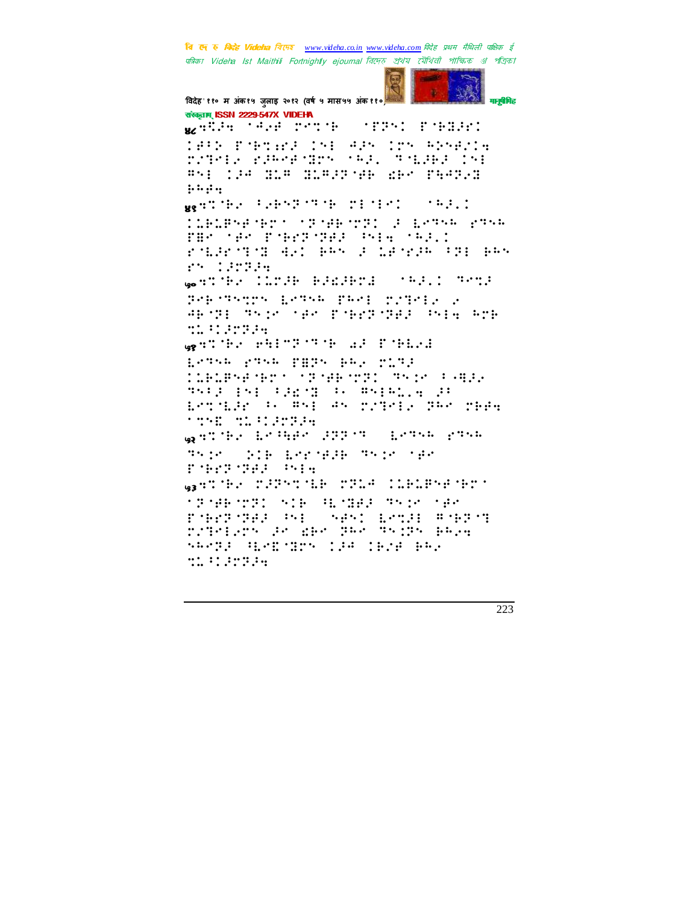

विदेह' ११० म अंक१५ जुलाइ २०१२ (वर्ष ५ मास५५ अंक ११०) संस्कृतम् ISSN 2229-547X VIDEHA wells tele renth **STORY CONSTRUCT** 1955 Edenard 15: 825 185 AG59214 rately raw-edges (Aa. Things Ind ski ja zis zistra de ze regez  $\ddot{v}$   $\ddot{v}$   $\ddot{v}$   $\ddot{v}$   $\ddot{v}$ <sub>MS</sub>HT TEV (FVENT TROTE) IN TEND. INFORMED TO THE TOOL OF EXTAL PTAP FBP TAP PORTPART PHALOWER rollector and amountained (Fig. 200 rn Caraa wentle Close Bacaboa (1931) Shop Persiangen Leiner Prei gullele a AB THE TRIP OF THE POST THE SPEAR ATE **MARISHING** west the children's all fitters LOTAR PTAR PHPA RRS PLTP CONSENSATION OF MARKET TANK FRAGE THE PHORNIC ROBBIN ST Estile Work as the president part read 1950 913139339 watche beside 200 m - benew Photo Third Die Erroede Third der **POST THE PHY** WESTER CHARTER CARLES INFORMED **SPORTUGE SIR RESERVATOR** EMPERING ME SPACEFILE PREM ratelers an den den dische Beag SARRE HERITH CAR CENE BAY mistera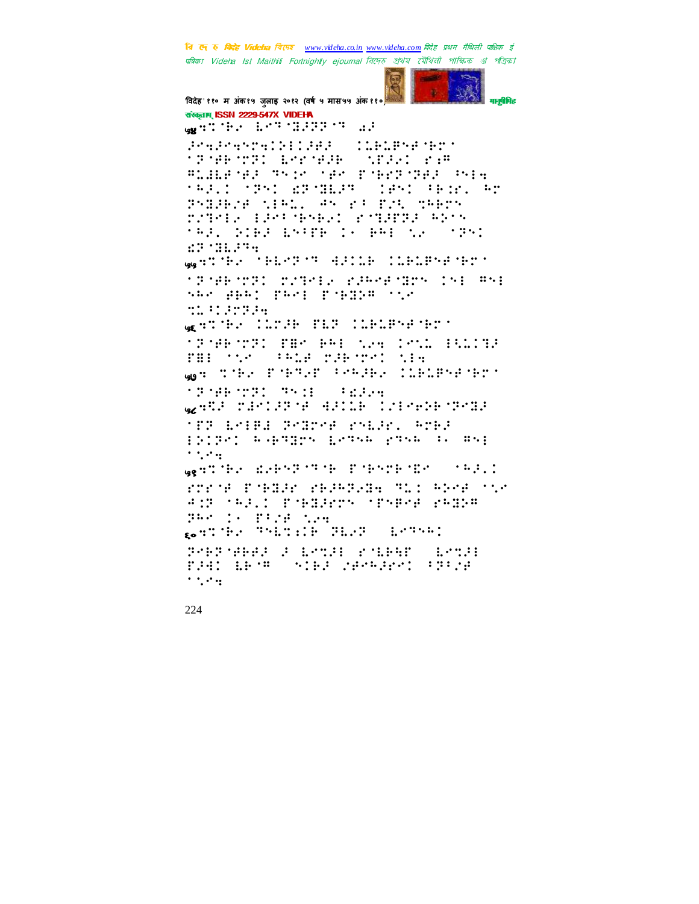

विदेह' ११० म अंक१५ जुलाइ २०१२ (वर्ष ५ मास५५ अंक११० संस्कृतम् ISSN 2229-547X VIDEHA Prefreshell:DRP (1161858.95) **MINE MAY LOCALE CONFIDENT** BLILENES TYPE NEW PORTUGES TYPE **MARIO MENI ARMALEN (1851-1818) AM** PARABOR NIAL, AN PROPER MARTY MARIA BERIMANAK KABUPENGANYA TRE. DIEE ENTER IN BRESCH (1981  $17.11.144$ www.chargers.educk.chargers.com **1318F123 2236F2 2356F325 15F 85F** sar gaaj part pragon sor **MARK PERSON** genoral Classe FLP Clelevenest **MEMBER THE BRIGHT IMAGE INSITE** FB: tir (BALE MIRTH) Mis West Time Pomper (Progress Claimers) **SPORTS TOR SERVE** gestal dariazire (eacom cocarementeda 'TP LOIBE POINCE POLES, AND EDIRET ROBRIM LERGA PROG (A. 85)  $\cdots$ Gentlin debthine Pobten Brooker rrens finally rainteds the bors the AND SALE PORTHERS SPARE PAREN **PRODUCTION NAME** control Princip BioB (Estra) POSPOSER P ESTAD POLENT  $\frac{1}{2}$  .  $\frac{1}{2}$  .  $\frac{1}{2}$  .  $\frac{1}{2}$ FAAD LETE (SIER SACHART FRISA  $\cdot$  ,  $\cdot$  .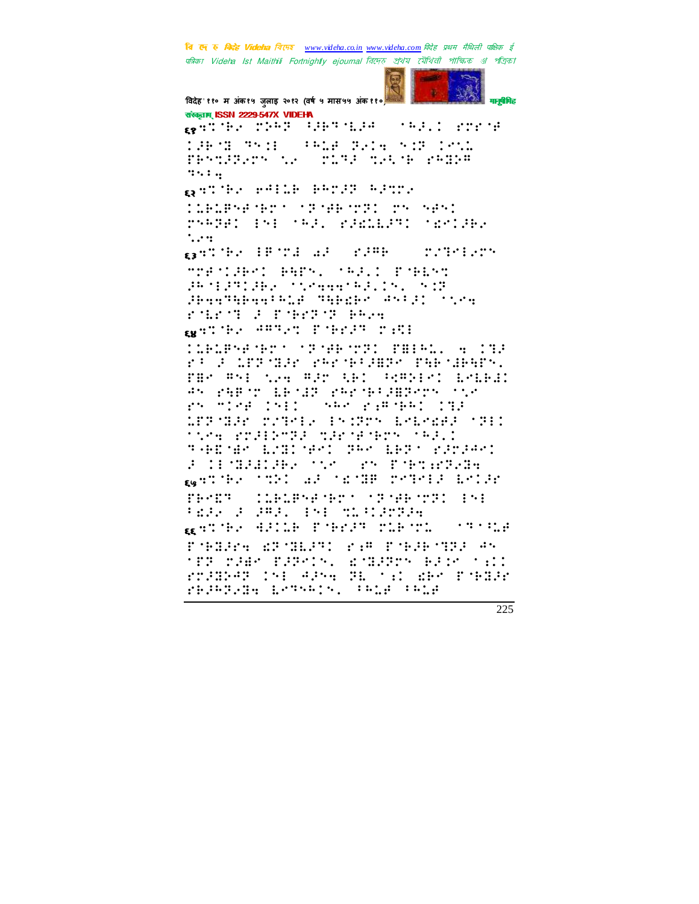

विदेह' ११० म अंक१५ जुलाइ २०१२ (वर्ष ५ मास५५ अंक११०) संस्कृतम् ISSN 2229-547X VIDEHA  $\cdots$  and  $\cdots$  and  $\cdots$ permanent siernale THE TEST CHAN BILE SIT IS. FRANCISCO NA STATE NAISE PRIDE  $3.44<sub>1</sub>$ gatter efflik bengs egnne **CONSENSATION CONTRACTS CONTRACT** ryABA: EnE 'AJ. PIRGLIS', 'RYCIA.  $\ddots$  : gander (Bond af Stime) **CONSTRUCTS** MORALDRO PHONE ARE CONTAENS PROPERTY CONTROLLED AND JEGGTGEGGIELE TEERES ASIJU SUSA FART FIRETT PRA wathe WARRENT PART PART **CLEARSHOT TRIME THERE, WITH** FOUR LES MIR PARTHOLISM PHETIMENT. FBP #51 New #25 RBI REMBERT BREAK AN PHENO LENIE PARABIZERSON SAM PS TIME INED ( NAM PARTHAI ITE) LPP MIR STATES INSPERSEDENT STIL **TRANSPORTATORS TO THE TRANSPORT OF A SECOND PROPERTY.** 7-BENBY EZELNEMI PRM EBPN KJMJAMI F HOBBING OF STRONG EQUIPMENT TIME OF THE METHODS ENCOR TRANS (MANDARY STARTING) IN PEAK FURNISH MAN turnu. permanent fredak (President  $\cdots$  :  $\cdots$ remark artman: Fam readings as MER SAWA EARNIN, WORARDN BAIN MEI rrados (ni especientis den Pobose PROPERED ESTATIS, CALE CALE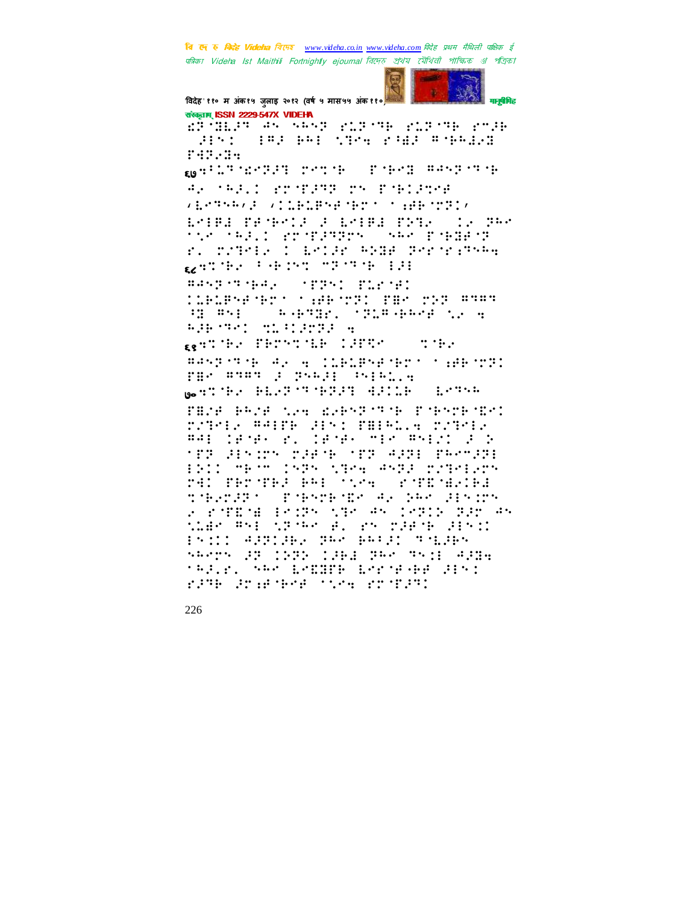

संस्कृतम् ISSN 2229-547X VIDEHA RÎMÎNIYA AN NANG PIRTAN PIRTAN POJN

rer.e. ment and the second terms of the second control of the second control of the second control of the second control of the second control of the second control of the second control of the second control of the second contro

AF MARID ET TRAT TY FORDING **VERTHALL VILELENAMES (1998-1931)** EMIRI PANEMIA I EMIRI PRT2 (12 PRM the sale: property was pobleth r. There I boid and Pressent general Person of Store 191

**BASESTARY STERY FLETED** CLELPSEMENT THE MUSIC PHS MUSIC ANALY  $\mathbb{Z}^n$  and  $\mathbb{Z}^n$ **SARTE: TELEARCH LEAR** Appendicities and the state of

general Personia (SPR) ( nobe

##SPYRIE #2 A CLELPSFIENT TAPPITE par sus possi central

**Boat The Bleft' SPEPT AFILE (Letter** 

FEAR PRAP NAME RAPORTER FOR THE TRAC rately malin disc formula rately PAL DENH YOURNAMIN PREZO A D **TER SENION OSENE TER ASSE ERRORE** ESIL MESMO DARA STRAD ANDE COTRESCH MAI PROTRA RHI SVAL COTESENIA there are the state of the state of the state 2 POTENE ERSTROOM (POSSESSED) AN wien And worker al an overskilder: Print Additions day parts which **SRATH OF ISTS ISBN 788-7511-4336 TRAVEL SPO EMEDDE EMPORTABLE APSI** file and the streaments: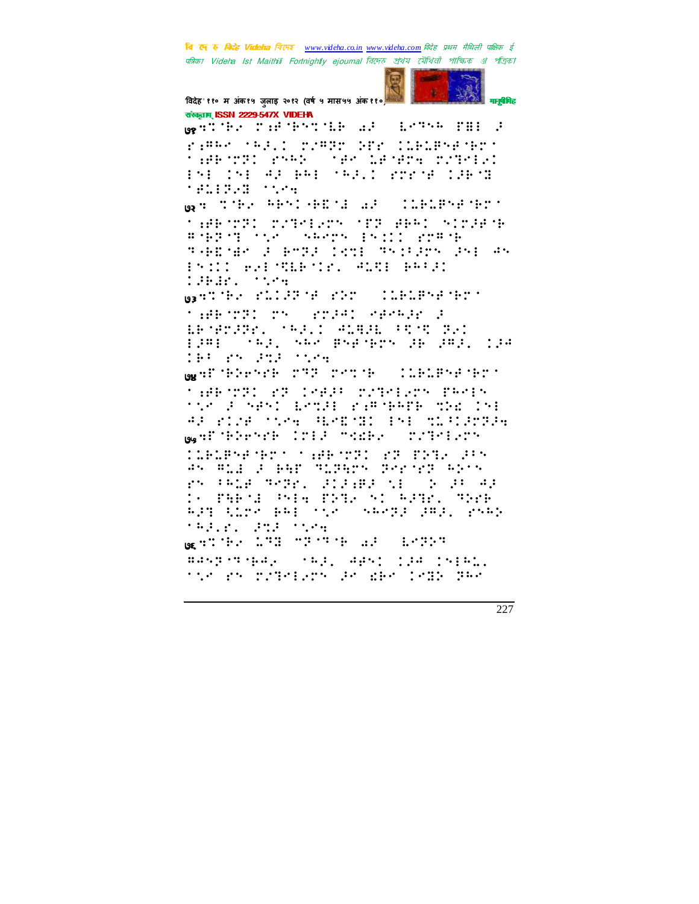

संस्कृतम् ISSN 2229-547X VIDEHA **Genomer contribution of the second part of** rime (sell rimg) Shr Cleaments ta#Fro%: pr#2 (t#r 1#j#org ov?PCE): ESE TSE AP BAE SARIT POPSA TRASH g, : T'Be WBSD (BB'1 aP) **CONSIGNATION** MARKING CONFIDENTI CONTRACTOR **# 19711 112 - SPACE ESIL POPINE** THE NEW POST COOL TO FROM PHILAPS **INSTEAD MEETING ALTERNATIC TERMINAL STAR** <sub>03</sub>93762 PLIPPOR PRT (ILBLESPORT) **TARPTED TY STIPL PROPER I** LE MOVIES, SAVILLE ALBIEL FROM TAI 1981 (1991) SAR BSB BOS 28 2821 198 THE PROPERTY STATE werthere 233 room (1968-1927 ta#FTPI KP 1983: TZTM12TN PRM15 the Poses: EstRE President the Ine AF RICH STRAG HRESHI INE TERRIFIA <sub>04</sub>HP (PRESS) (PER CONFRESS) POTER POS TIRING SET TAGGINI YA BINGA SAN as what a par Girary derivative PS PALE ROBEL SISHES NEW DOCK AP S PARMA PHA PRIA SI PRIN, TREB RPT SLTP BRE TOP (SRPPP PRP) PSRP **SARVEL ROBERTSHIP GENERAL LINE STATE AND LENGTH** #452757642 (7821-4851-124-15161) the shoppied sproke decoded ted the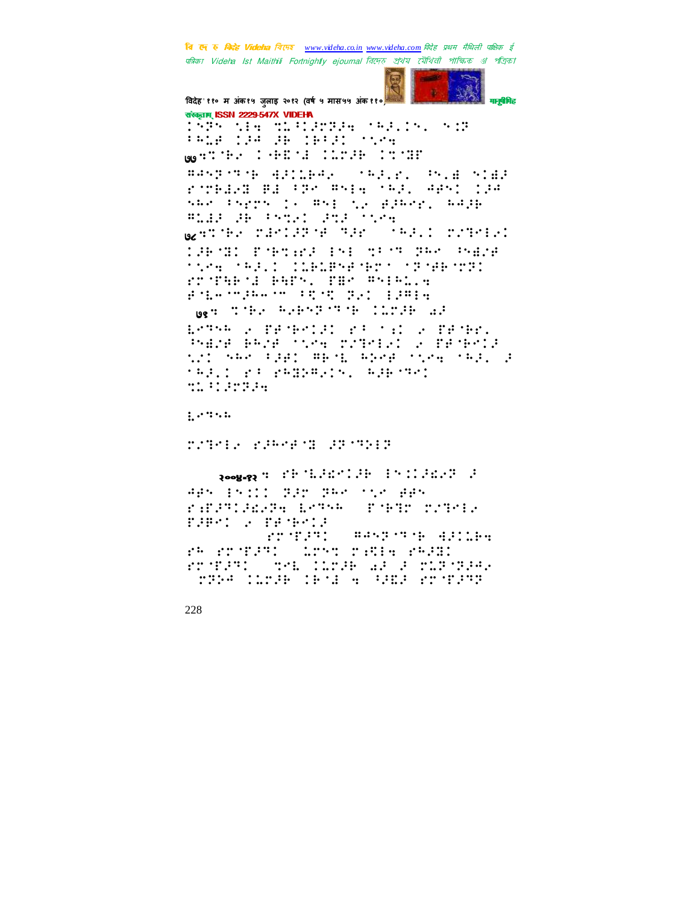

विदेह' ११० म अंक१५ जुलाइ २०१२ (वर्ष ५ मास५५ अंक११०) संस्कृतम् ISSN 2229-547X VIDEHA 1595 MH MIRIPER SARIISI SIR

**FALA COW OF CREAT STAR 00** STORY OF REAL CONSIDERING

BASESTON APPLEAD (SAPIDEL PSIE SIEP roman massed measurers and the SAR PSPP IS RSE NE FRAME RAPE BLIP HE PATHI PTP STAR

WHITEH TEMISPOR TER CONFIDENT

THE SIT PORT AND INFORMATION PRESE **TOPH TRACE CORDRAFTED TO MARTING** rromand agns, mar msialle File make the FET SAL (1991) **West Times Almost The Conservation of** 

ESTAR A PROPOSICIONAL A PROPIN înaza Akza (skê pirklî) û Panêdir<br>sin nek firk fers elka sska (skê sel) r radio es eaguards, adarect that starter

 $L$  and the field  $L$ 

rathe research spreads

Poog-92 T FR TEST SECTION OF PRINCIPLE APROINCES BEN BAR SCR APR ratuurang bese fings sind. THROW PENNIN FT TPT: ##SP T F #PILER FR FTTERI (ATMT TIELE FREE) POSTERI (SPA) CLOSE AS SUPPORTS MINE COMBA CROSS RED SAMPLES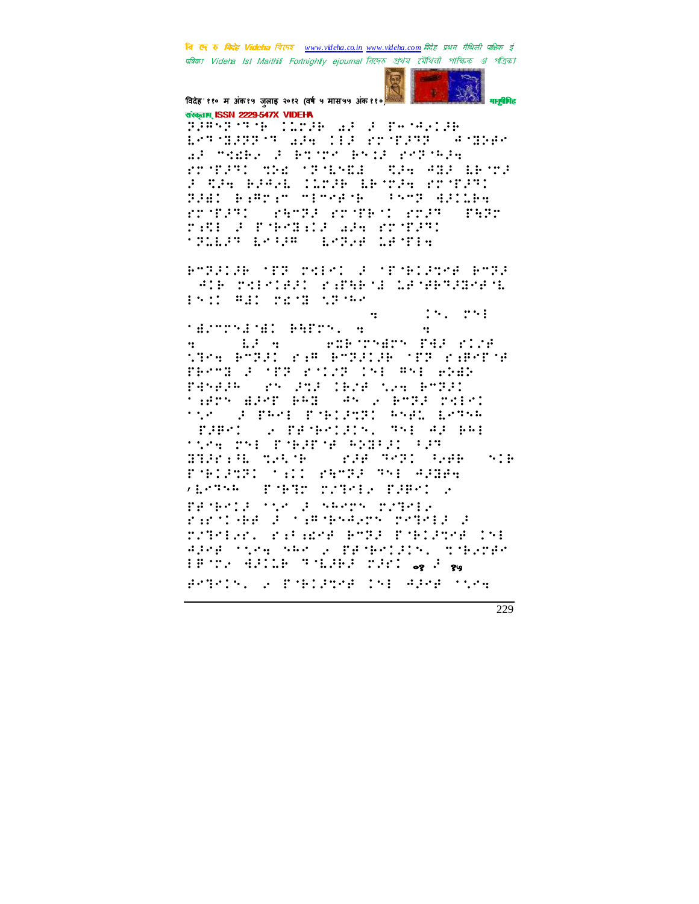

विदेह' ११० म अंक१५ जुलाइ २०१२ (वर्ष ५ मास५५ अंक११०) संस्कृतम् ISSN 2229-547X VIDEHA

BRANCH CONFIDER COMMUNIS ESTARRET WAR DIE KONFERE SPARES al model i enjoy esti rezimin PT TET THE TENNIE (THE SEE LETTE F CH BAGE COSB ERSTA PRSPT FAAD BAARYAM MIMMAGHA (FSMP) AADDBA POTENT CONTECT POTENT SOLET **SERVICE** ran a raenala ag ergan **TRIER EPAPE EPREE LETTER** 

BMPELER MER MALENT E MEMBELEMAR BMPE and reference remove to component **INST WAIT TEST STORY** 

 $\mathbb{R}^{n}$  . The  $\dddot{\cdot}$ **SAPPARTHE BRIDGE** a – 12 a – edforars f42 fljf.<br>Stra friði fjæ friðilæ ofi fjærfof  $\mathbf{H}^{\text{max}}$ FRAME FOOTE ROLLE INE WAS RIGHT Pasale) as and leve was empai taers dang eel (as ) enga rikki the a part poblach and brown THE STREETS THE WELL **TOM THE PHOP'S ANDER SON RAD REST PARE CONF WEIGHT: THE TELL OF** POSSESS THIS PRESS THE ARBAY ALSTER PIPER MITHIN PRESS & PROPOSED TO A SERVE TITLE rantake posamonary reports DZIPLAM, KALAMAR BTRA POBLAMAR (SI APPE TORE NEW 2 PENERISING STEPPER EPOTA HALLE TOLARA DATI og å gu

Bedele, a PoblaceB 191 Adep ones